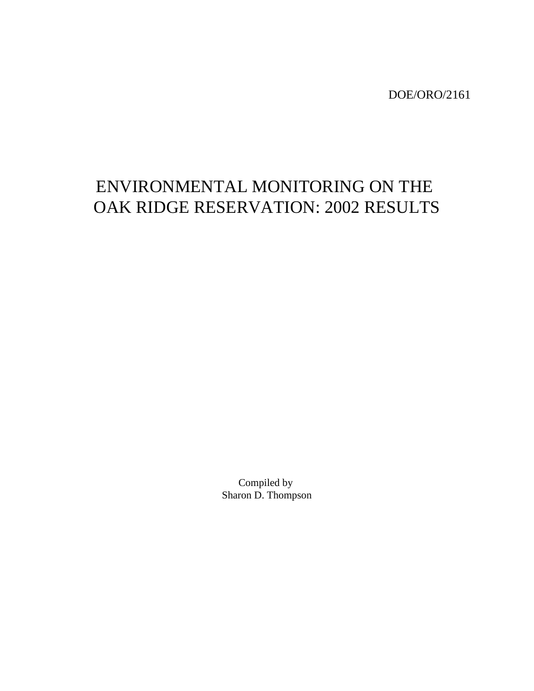DOE/ORO/2161

# ENVIRONMENTAL MONITORING ON THE OAK RIDGE RESERVATION: 2002 RESULTS

Compiled by Sharon D. Thompson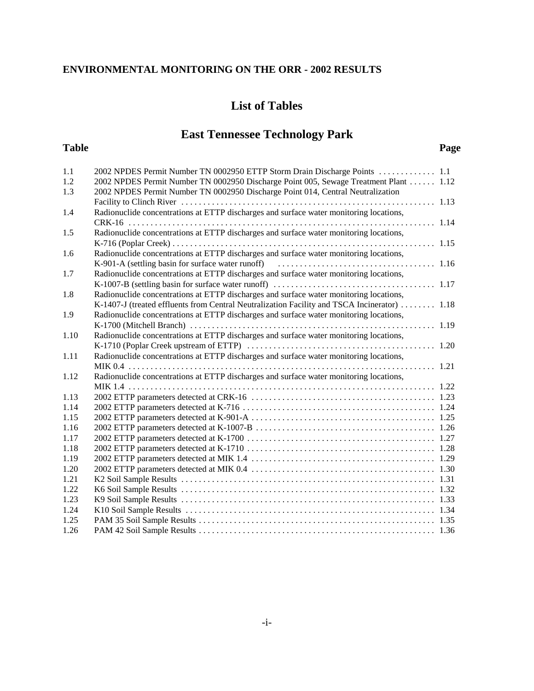## **List of Tables**

## **East Tennessee Technology Park**

#### **Table Page**

| 1.1<br>1.2   | 2002 NPDES Permit Number TN 0002950 ETTP Storm Drain Discharge Points  1.1<br>2002 NPDES Permit Number TN 0002950 Discharge Point 005, Sewage Treatment Plant 1.12 |  |
|--------------|--------------------------------------------------------------------------------------------------------------------------------------------------------------------|--|
| 1.3          | 2002 NPDES Permit Number TN 0002950 Discharge Point 014, Central Neutralization                                                                                    |  |
| 1.4          | Radionuclide concentrations at ETTP discharges and surface water monitoring locations,                                                                             |  |
|              |                                                                                                                                                                    |  |
| 1.5          | Radionuclide concentrations at ETTP discharges and surface water monitoring locations,                                                                             |  |
|              |                                                                                                                                                                    |  |
| 1.6          | Radionuclide concentrations at ETTP discharges and surface water monitoring locations,                                                                             |  |
|              | K-901-A (settling basin for surface water runoff) (all contains and the settling basin for surface water runoff)                                                   |  |
| 1.7          | Radionuclide concentrations at ETTP discharges and surface water monitoring locations,                                                                             |  |
|              |                                                                                                                                                                    |  |
| 1.8          | Radionuclide concentrations at ETTP discharges and surface water monitoring locations,                                                                             |  |
|              | K-1407-J (treated effluents from Central Neutralization Facility and TSCA Incinerator)  1.18                                                                       |  |
| 1.9          | Radionuclide concentrations at ETTP discharges and surface water monitoring locations,                                                                             |  |
|              |                                                                                                                                                                    |  |
| 1.10         | Radionuclide concentrations at ETTP discharges and surface water monitoring locations,                                                                             |  |
|              |                                                                                                                                                                    |  |
| 1.11         | Radionuclide concentrations at ETTP discharges and surface water monitoring locations,                                                                             |  |
|              |                                                                                                                                                                    |  |
| 1.12         | Radionuclide concentrations at ETTP discharges and surface water monitoring locations,                                                                             |  |
|              |                                                                                                                                                                    |  |
| 1.13         |                                                                                                                                                                    |  |
| 1.14         |                                                                                                                                                                    |  |
| 1.15         |                                                                                                                                                                    |  |
| 1.16         |                                                                                                                                                                    |  |
| 1.17         |                                                                                                                                                                    |  |
| 1.18         |                                                                                                                                                                    |  |
| 1.19<br>1.20 |                                                                                                                                                                    |  |
| 1.21         |                                                                                                                                                                    |  |
| 1.22         |                                                                                                                                                                    |  |
| 1.23         |                                                                                                                                                                    |  |
| 1.24         |                                                                                                                                                                    |  |
| 1.25         |                                                                                                                                                                    |  |
| 1.26         |                                                                                                                                                                    |  |
|              |                                                                                                                                                                    |  |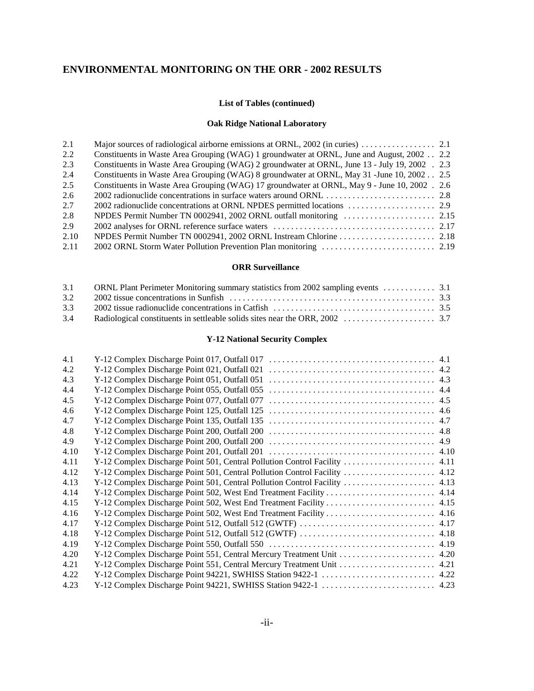#### **List of Tables (continued)**

#### **Oak Ridge National Laboratory**

| 2.1  |                                                                                                |  |
|------|------------------------------------------------------------------------------------------------|--|
| 2.2  | Constituents in Waste Area Grouping (WAG) 1 groundwater at ORNL, June and August, 2002 2.2     |  |
| 2.3  | Constituents in Waste Area Grouping (WAG) 2 groundwater at ORNL, June 13 - July 19, 2002 . 2.3 |  |
| 2.4  | Constituents in Waste Area Grouping (WAG) 8 groundwater at ORNL, May 31 - June 10, 2002 2.5    |  |
| 2.5  | Constituents in Waste Area Grouping (WAG) 17 groundwater at ORNL, May 9 - June 10, 2002. 2.6   |  |
| 2.6  |                                                                                                |  |
| 2.7  |                                                                                                |  |
| 2.8  |                                                                                                |  |
| 2.9  |                                                                                                |  |
| 2.10 |                                                                                                |  |
| 2.11 |                                                                                                |  |

#### **ORR Surveillance**

| 3.2 |  |
|-----|--|
| 3.3 |  |
|     |  |

#### **Y-12 National Security Complex**

| 4.1  |                                                                            |      |
|------|----------------------------------------------------------------------------|------|
| 4.2  |                                                                            |      |
| 4.3  | Y-12 Complex Discharge Point 051, Outfall 051                              |      |
| 4.4  | Y-12 Complex Discharge Point 055, Outfall 055                              |      |
| 4.5  | Y-12 Complex Discharge Point 077, Outfall 077                              |      |
| 4.6  | Y-12 Complex Discharge Point 125, Outfall 125                              |      |
| 4.7  |                                                                            |      |
| 4.8  | Y-12 Complex Discharge Point 200, Outfall 200                              |      |
| 4.9  |                                                                            |      |
| 4.10 |                                                                            |      |
| 4.11 |                                                                            |      |
| 4.12 | Y-12 Complex Discharge Point 501, Central Pollution Control Facility  4.12 |      |
| 4.13 | Y-12 Complex Discharge Point 501, Central Pollution Control Facility  4.13 |      |
| 4.14 | Y-12 Complex Discharge Point 502, West End Treatment Facility              | 4.14 |
| 4.15 |                                                                            |      |
| 4.16 |                                                                            |      |
| 4.17 |                                                                            |      |
| 4.18 |                                                                            |      |
| 4.19 |                                                                            |      |
| 4.20 | Y-12 Complex Discharge Point 551, Central Mercury Treatment Unit           | 4.20 |
| 4.21 | Y-12 Complex Discharge Point 551, Central Mercury Treatment Unit 4.21      |      |
| 4.22 | Y-12 Complex Discharge Point 94221, SWHISS Station 9422-1                  | 4.22 |
| 4.23 |                                                                            |      |
|      |                                                                            |      |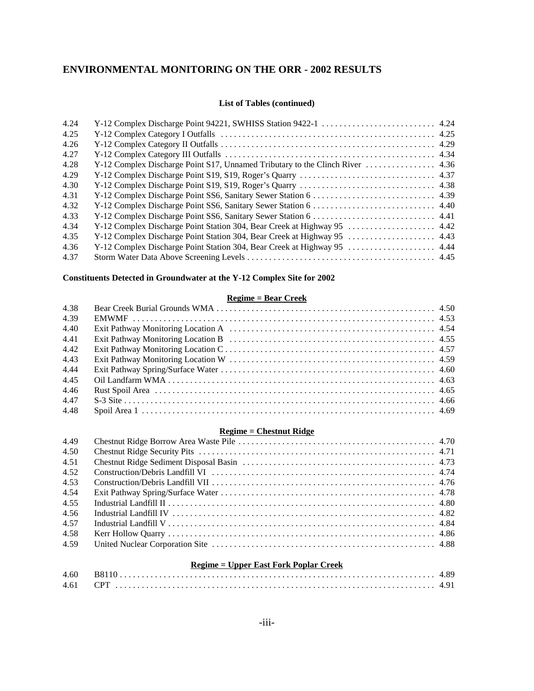#### **List of Tables (continued)**

| 4.24 |  |
|------|--|
| 4.25 |  |
| 4.26 |  |
| 4.27 |  |
| 4.28 |  |
| 4.29 |  |
| 4.30 |  |
| 4.31 |  |
| 4.32 |  |
| 4.33 |  |
| 4.34 |  |
| 4.35 |  |
| 4.36 |  |
| 4.37 |  |

#### **Constituents Detected in Groundwater at the Y-12 Complex Site for 2002**

#### **Regime = Bear Creek**

| 4.38 |  |
|------|--|
| 4.39 |  |
| 4.40 |  |
| 4.41 |  |
| 4.42 |  |
| 4.43 |  |
| 4.44 |  |
| 4.45 |  |
| 4.46 |  |
| 4.47 |  |
| 4.48 |  |

#### **Regime = Chestnut Ridge**

| 4.49 |                                                                                                                                                                                                                                                                                                                                 |  |
|------|---------------------------------------------------------------------------------------------------------------------------------------------------------------------------------------------------------------------------------------------------------------------------------------------------------------------------------|--|
| 4.50 |                                                                                                                                                                                                                                                                                                                                 |  |
| 4.51 |                                                                                                                                                                                                                                                                                                                                 |  |
| 4.52 |                                                                                                                                                                                                                                                                                                                                 |  |
| 4.53 |                                                                                                                                                                                                                                                                                                                                 |  |
| 4.54 |                                                                                                                                                                                                                                                                                                                                 |  |
| 4.55 |                                                                                                                                                                                                                                                                                                                                 |  |
| 4.56 | Industrial Landfill IV $\ldots$ $\ldots$ $\ldots$ $\ldots$ $\ldots$ $\ldots$ $\ldots$ $\ldots$ $\ldots$ $\ldots$ $\ldots$ $\ldots$ $\ldots$ $\ldots$ $\ldots$ $\ldots$ $\ldots$ $\ldots$ $\ldots$ $\ldots$ $\ldots$ $\ldots$ $\ldots$ $\ldots$ $\ldots$ $\ldots$ $\ldots$ $\ldots$ $\ldots$ $\ldots$ $\ldots$ $\ldots$ $\ldots$ |  |
| 4.57 |                                                                                                                                                                                                                                                                                                                                 |  |
| 4.58 |                                                                                                                                                                                                                                                                                                                                 |  |
| 4.59 |                                                                                                                                                                                                                                                                                                                                 |  |
|      |                                                                                                                                                                                                                                                                                                                                 |  |

#### **Regime = Upper East Fork Poplar Creek**

| 4.60 |  |
|------|--|
| 4.61 |  |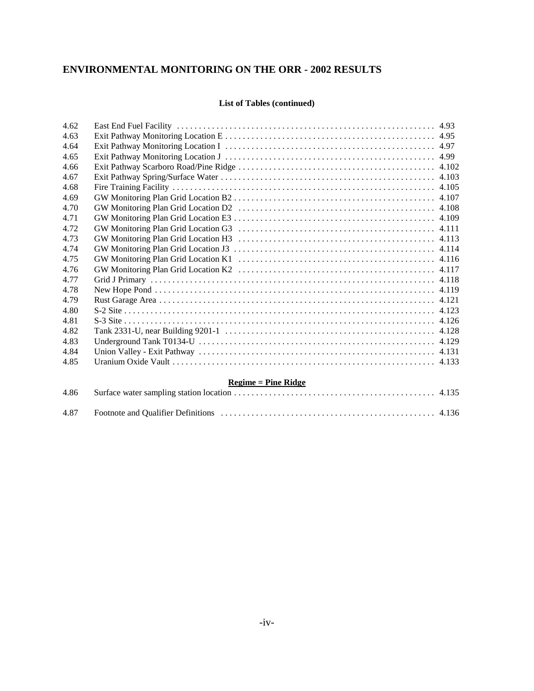#### **List of Tables (continued)**

| 4.62 |                       |  |
|------|-----------------------|--|
| 4.63 |                       |  |
| 4.64 |                       |  |
| 4.65 |                       |  |
| 4.66 |                       |  |
| 4.67 |                       |  |
| 4.68 |                       |  |
| 4.69 |                       |  |
| 4.70 |                       |  |
| 4.71 |                       |  |
| 4.72 |                       |  |
| 4.73 |                       |  |
| 4.74 |                       |  |
| 4.75 |                       |  |
| 4.76 |                       |  |
| 4.77 |                       |  |
| 4.78 |                       |  |
| 4.79 |                       |  |
| 4.80 |                       |  |
| 4.81 |                       |  |
| 4.82 |                       |  |
| 4.83 |                       |  |
| 4.84 |                       |  |
| 4.85 |                       |  |
|      | $Regime = Pine Ridge$ |  |
| 4.86 |                       |  |
| 4.87 |                       |  |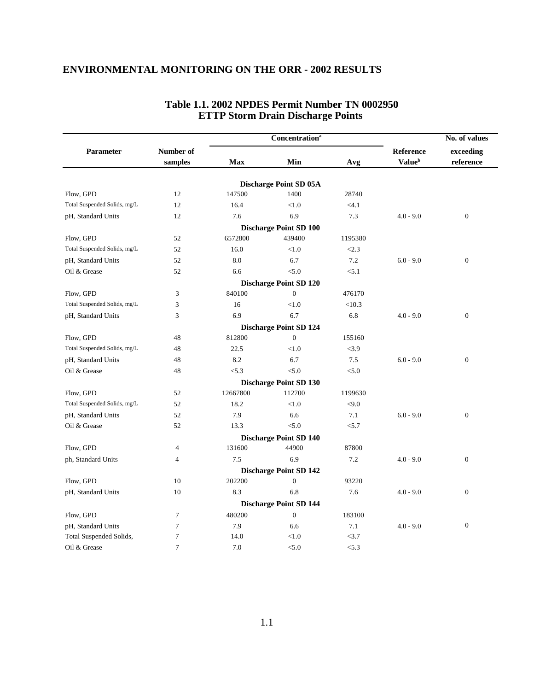|                              |                | <b>Concentration</b> <sup>a</sup> |                               |         |                           | No. of values    |  |
|------------------------------|----------------|-----------------------------------|-------------------------------|---------|---------------------------|------------------|--|
| Parameter                    | Number of      |                                   |                               |         | Reference                 | exceeding        |  |
|                              | samples        | Max                               | Min                           | Avg     | <b>Value</b> <sup>b</sup> | reference        |  |
|                              |                |                                   |                               |         |                           |                  |  |
|                              |                |                                   | <b>Discharge Point SD 05A</b> |         |                           |                  |  |
| Flow, GPD                    | 12             | 147500                            | 1400                          | 28740   |                           |                  |  |
| Total Suspended Solids, mg/L | 12             | 16.4                              | < 1.0                         | < 4.1   |                           |                  |  |
| pH, Standard Units           | 12             | 7.6                               | 6.9                           | 7.3     | $4.0 - 9.0$               | $\boldsymbol{0}$ |  |
|                              |                |                                   | <b>Discharge Point SD 100</b> |         |                           |                  |  |
| Flow, GPD                    | 52             | 6572800                           | 439400                        | 1195380 |                           |                  |  |
| Total Suspended Solids, mg/L | 52             | 16.0                              | < 1.0                         | < 2.3   |                           |                  |  |
| pH, Standard Units           | 52             | 8.0                               | 6.7                           | 7.2     | $6.0 - 9.0$               | $\boldsymbol{0}$ |  |
| Oil & Grease                 | 52             | 6.6                               | < 5.0                         | < 5.1   |                           |                  |  |
|                              |                |                                   | <b>Discharge Point SD 120</b> |         |                           |                  |  |
| Flow, GPD                    | 3              | 840100                            | $\mathbf{0}$                  | 476170  |                           |                  |  |
| Total Suspended Solids, mg/L | 3              | 16                                | < 1.0                         | < 10.3  |                           |                  |  |
| pH, Standard Units           | 3              | 6.9                               | 6.7                           | 6.8     | $4.0 - 9.0$               | $\boldsymbol{0}$ |  |
|                              |                |                                   | <b>Discharge Point SD 124</b> |         |                           |                  |  |
| Flow, GPD                    | 48             | 812800                            | $\Omega$                      | 155160  |                           |                  |  |
| Total Suspended Solids, mg/L | 48             | 22.5                              | < 1.0                         | < 3.9   |                           |                  |  |
| pH, Standard Units           | 48             | 8.2                               | 6.7                           | 7.5     | $6.0 - 9.0$               | $\boldsymbol{0}$ |  |
| Oil & Grease                 | 48             | < 5.3                             | < 5.0                         | < 5.0   |                           |                  |  |
|                              |                |                                   | <b>Discharge Point SD 130</b> |         |                           |                  |  |
| Flow, GPD                    | 52             | 12667800                          | 112700                        | 1199630 |                           |                  |  |
| Total Suspended Solids, mg/L | 52             | 18.2                              | < 1.0                         | < 9.0   |                           |                  |  |
| pH, Standard Units           | 52             | 7.9                               | 6.6                           | 7.1     | $6.0 - 9.0$               | $\boldsymbol{0}$ |  |
| Oil & Grease                 | 52             | 13.3                              | < 5.0                         | < 5.7   |                           |                  |  |
|                              |                |                                   | <b>Discharge Point SD 140</b> |         |                           |                  |  |
| Flow, GPD                    | $\overline{4}$ | 131600                            | 44900                         | 87800   |                           |                  |  |
| ph, Standard Units           | 4              | 7.5                               | 6.9                           | 7.2     | $4.0 - 9.0$               | $\boldsymbol{0}$ |  |
|                              |                |                                   | <b>Discharge Point SD 142</b> |         |                           |                  |  |
| Flow, GPD                    | 10             | 202200                            | $\overline{0}$                | 93220   |                           |                  |  |
| pH, Standard Units           | 10             | 8.3                               | 6.8                           | 7.6     | $4.0 - 9.0$               | $\boldsymbol{0}$ |  |
|                              |                |                                   |                               |         |                           |                  |  |
|                              |                |                                   | <b>Discharge Point SD 144</b> |         |                           |                  |  |
| Flow, GPD                    | $\tau$         | 480200                            | $\overline{0}$                | 183100  |                           | $\boldsymbol{0}$ |  |
| pH, Standard Units           | 7              | 7.9                               | 6.6                           | 7.1     | $4.0 - 9.0$               |                  |  |
| Total Suspended Solids,      | $\tau$         | 14.0                              | < 1.0                         | <3.7    |                           |                  |  |
| Oil & Grease                 | $\overline{7}$ | 7.0                               | < 5.0                         | < 5.3   |                           |                  |  |

#### **Table 1.1. 2002 NPDES Permit Number TN 0002950 ETTP Storm Drain Discharge Points**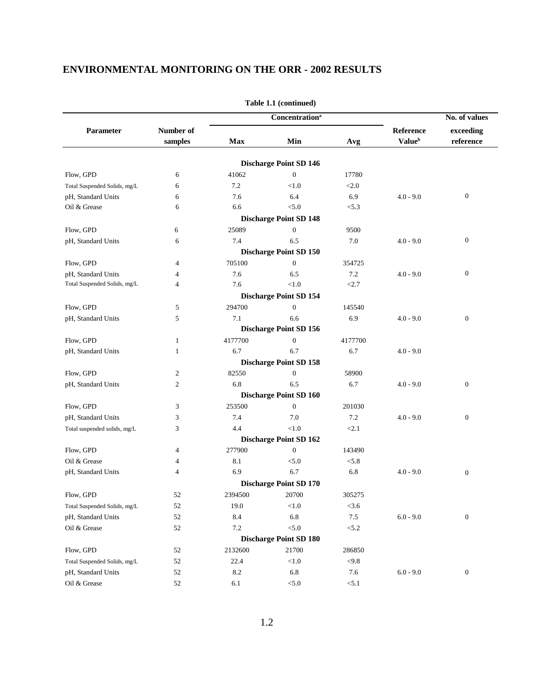|                              |                      |         |                               | No. of values |                                        |                        |
|------------------------------|----------------------|---------|-------------------------------|---------------|----------------------------------------|------------------------|
| Parameter                    | Number of<br>samples | Max     | Min                           | Avg           | Reference<br><b>Value</b> <sup>b</sup> | exceeding<br>reference |
|                              |                      |         | <b>Discharge Point SD 146</b> |               |                                        |                        |
| Flow, GPD                    | 6                    | 41062   | $\mathbf{0}$                  | 17780         |                                        |                        |
| Total Suspended Solids, mg/L | 6                    | 7.2     | < 1.0                         | < 2.0         |                                        |                        |
| pH, Standard Units           | 6                    | 7.6     | 6.4                           | 6.9           | $4.0 - 9.0$                            | $\mathbf{0}$           |
| Oil & Grease                 | 6                    | 6.6     | < 5.0                         | < 5.3         |                                        |                        |
|                              |                      |         | <b>Discharge Point SD 148</b> |               |                                        |                        |
| Flow, GPD                    | 6                    | 25089   | $\boldsymbol{0}$              | 9500          |                                        |                        |
| pH, Standard Units           | 6                    | 7.4     | 6.5                           | 7.0           | $4.0 - 9.0$                            | $\mathbf{0}$           |
|                              |                      |         | <b>Discharge Point SD 150</b> |               |                                        |                        |
| Flow, GPD                    | 4                    | 705100  | $\boldsymbol{0}$              | 354725        |                                        |                        |
| pH, Standard Units           | 4                    | 7.6     | 6.5                           | 7.2           | $4.0 - 9.0$                            | $\boldsymbol{0}$       |
| Total Suspended Solids, mg/L | $\overline{4}$       | 7.6     | $<1.0$                        | < 2.7         |                                        |                        |
|                              |                      |         | <b>Discharge Point SD 154</b> |               |                                        |                        |
| Flow, GPD                    | 5                    | 294700  | $\mathbf{0}$                  | 145540        |                                        |                        |
| pH, Standard Units           | 5                    | 7.1     | 6.6                           | 6.9           | $4.0 - 9.0$                            | $\boldsymbol{0}$       |
|                              |                      |         | <b>Discharge Point SD 156</b> |               |                                        |                        |
| Flow, GPD                    | $\mathbf{1}$         | 4177700 | $\boldsymbol{0}$              | 4177700       |                                        |                        |
| pH, Standard Units           | 1                    | 6.7     | 6.7                           | 6.7           | $4.0 - 9.0$                            |                        |
|                              |                      |         | <b>Discharge Point SD 158</b> |               |                                        |                        |
| Flow, GPD                    | $\overline{c}$       | 82550   | $\boldsymbol{0}$              | 58900         |                                        |                        |
| pH, Standard Units           | $\mathfrak{2}$       | 6.8     | 6.5                           | 6.7           | $4.0 - 9.0$                            | $\mathbf{0}$           |
|                              |                      |         | <b>Discharge Point SD 160</b> |               |                                        |                        |
| Flow, GPD                    | 3                    | 253500  | $\mathbf{0}$                  | 201030        |                                        |                        |
| pH, Standard Units           | 3                    | 7.4     | 7.0                           | 7.2           | $4.0 - 9.0$                            | $\mathbf{0}$           |
| Total suspended solids, mg/L | 3                    | 4.4     | $<1.0$                        | < 2.1         |                                        |                        |
|                              |                      |         | <b>Discharge Point SD 162</b> |               |                                        |                        |
| Flow, GPD                    | 4                    | 277900  | $\boldsymbol{0}$              | 143490        |                                        |                        |
| Oil & Grease                 | 4                    | 8.1     | < 5.0                         | < 5.8         |                                        |                        |
| pH, Standard Units           | $\overline{4}$       | 6.9     | 6.7                           | 6.8           | $4.0 - 9.0$                            | $\boldsymbol{0}$       |
|                              |                      |         | <b>Discharge Point SD 170</b> |               |                                        |                        |
| Flow, GPD                    | 52                   | 2394500 | 20700                         | 305275        |                                        |                        |
| Total Suspended Solids, mg/L | 52                   | 19.0    | < 1.0                         | < 3.6         |                                        |                        |
| pH, Standard Units           | 52                   | 8.4     | 6.8                           | $7.5\,$       | $6.0 - 9.0$                            | $\boldsymbol{0}$       |
| Oil & Grease                 | 52                   | $7.2\,$ | < 5.0                         | < 5.2         |                                        |                        |
|                              |                      |         | <b>Discharge Point SD 180</b> |               |                                        |                        |
| Flow, GPD                    | 52                   | 2132600 | 21700                         | 286850        |                                        |                        |
| Total Suspended Solids, mg/L | 52                   | 22.4    | $<1.0$                        | $<9.8$        |                                        |                        |
| pH, Standard Units           | 52                   | 8.2     | 6.8                           | 7.6           | $6.0 - 9.0$                            | $\boldsymbol{0}$       |
| Oil & Grease                 | $52\,$               | 6.1     | < 5.0                         | < 5.1         |                                        |                        |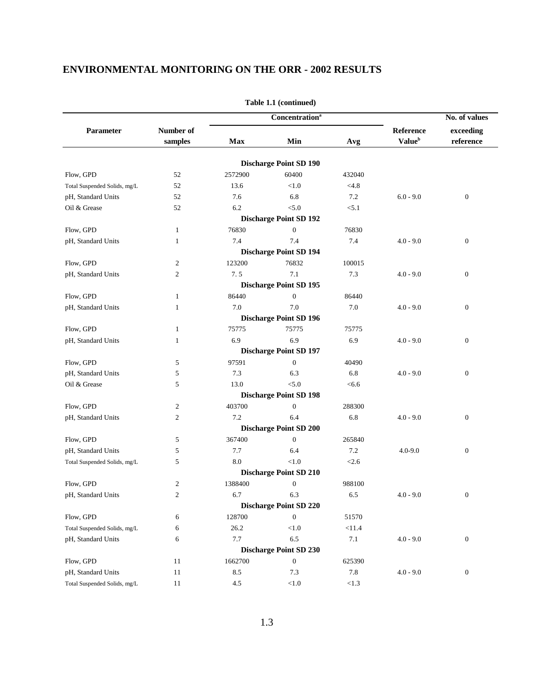|                              |                         | <b>Concentration</b> <sup>a</sup> |                                      |        | No. of values             |                  |
|------------------------------|-------------------------|-----------------------------------|--------------------------------------|--------|---------------------------|------------------|
| Parameter                    | Number of               |                                   |                                      |        | Reference                 | exceeding        |
|                              | samples                 | <b>Max</b>                        | Min                                  | Avg    | <b>Value</b> <sup>b</sup> | reference        |
|                              |                         |                                   | <b>Discharge Point SD 190</b>        |        |                           |                  |
| Flow, GPD                    | 52                      | 2572900                           | 60400                                | 432040 |                           |                  |
| Total Suspended Solids, mg/L | 52                      | 13.6                              | < 1.0                                | < 4.8  |                           |                  |
| pH, Standard Units           | 52                      | 7.6                               | 6.8                                  | 7.2    | $6.0 - 9.0$               | $\boldsymbol{0}$ |
| Oil & Grease                 | 52                      | 6.2                               | < 5.0                                | < 5.1  |                           |                  |
|                              |                         |                                   | <b>Discharge Point SD 192</b>        |        |                           |                  |
| Flow, GPD                    | 1                       | 76830                             | $\mathbf{0}$                         | 76830  |                           |                  |
| pH, Standard Units           | 1                       | 7.4                               | 7.4                                  | 7.4    | $4.0 - 9.0$               | $\boldsymbol{0}$ |
|                              |                         |                                   | <b>Discharge Point SD 194</b>        |        |                           |                  |
| Flow, GPD                    | $\overline{c}$          | 123200                            | 76832                                | 100015 |                           |                  |
| pH, Standard Units           | $\mathfrak{2}$          | 7.5                               | 7.1                                  | 7.3    | $4.0 - 9.0$               | $\boldsymbol{0}$ |
|                              |                         |                                   | <b>Discharge Point SD 195</b>        |        |                           |                  |
| Flow, GPD                    | $\mathbf{1}$            | 86440                             | $\mathbf{0}$                         | 86440  |                           |                  |
| pH, Standard Units           | 1                       | 7.0                               | 7.0                                  | 7.0    | $4.0 - 9.0$               | $\boldsymbol{0}$ |
|                              |                         |                                   | <b>Discharge Point SD 196</b>        |        |                           |                  |
| Flow, GPD                    | 1                       | 75775                             | 75775                                | 75775  |                           |                  |
| pH, Standard Units           | 1                       | 6.9                               | 6.9                                  | 6.9    | $4.0 - 9.0$               | $\boldsymbol{0}$ |
|                              |                         |                                   | <b>Discharge Point SD 197</b>        |        |                           |                  |
| Flow, GPD                    | 5                       | 97591                             | $\mathbf{0}$                         | 40490  |                           |                  |
| pH, Standard Units           | 5                       | 7.3                               | 6.3                                  | 6.8    | $4.0 - 9.0$               | $\boldsymbol{0}$ |
| Oil & Grease                 | 5                       | 13.0                              | < 5.0                                | < 6.6  |                           |                  |
|                              |                         |                                   | <b>Discharge Point SD 198</b>        |        |                           |                  |
| Flow, GPD                    | $\overline{c}$          | 403700                            | $\mathbf{0}$                         | 288300 |                           |                  |
| pH, Standard Units           | $\overline{c}$          | 7.2                               | 6.4                                  | 6.8    | $4.0 - 9.0$               | $\boldsymbol{0}$ |
|                              |                         |                                   | <b>Discharge Point SD 200</b>        |        |                           |                  |
| Flow, GPD                    | 5                       | 367400                            | $\mathbf{0}$                         | 265840 |                           |                  |
| pH, Standard Units           | 5                       | 7.7                               | 6.4                                  | 7.2    | $4.0 - 9.0$               | $\boldsymbol{0}$ |
| Total Suspended Solids, mg/L | 5                       | 8.0                               | < 1.0                                | < 2.6  |                           |                  |
|                              |                         |                                   | <b>Discharge Point SD 210</b>        |        |                           |                  |
| Flow, GPD                    | $\overline{c}$          | 1388400                           | $\mathbf{0}$                         | 988100 |                           |                  |
|                              |                         |                                   |                                      |        | $4.0 - 9.0$               |                  |
| pH, Standard Units           | $\overline{\mathbf{c}}$ | 6.7                               | 6.3<br><b>Discharge Point SD 220</b> | 6.5    |                           | $\boldsymbol{0}$ |
| Flow, GPD                    |                         | 128700                            | $\overline{0}$                       | 51570  |                           |                  |
| Total Suspended Solids, mg/L | 6                       | 26.2                              | $<1.0$                               | < 11.4 |                           |                  |
|                              | 6                       |                                   |                                      |        |                           |                  |
| pH, Standard Units           | 6                       | 7.7                               | 6.5                                  | 7.1    | $4.0 - 9.0$               | $\boldsymbol{0}$ |
|                              |                         |                                   | <b>Discharge Point SD 230</b>        |        |                           |                  |
| Flow, GPD                    | 11                      | 1662700                           | $\boldsymbol{0}$                     | 625390 |                           |                  |
| pH, Standard Units           | 11                      | 8.5                               | 7.3                                  | 7.8    | $4.0 - 9.0$               | $\boldsymbol{0}$ |
| Total Suspended Solids, mg/L | 11                      | $4.5\,$                           | $<\!\!1.0$                           | < 1.3  |                           |                  |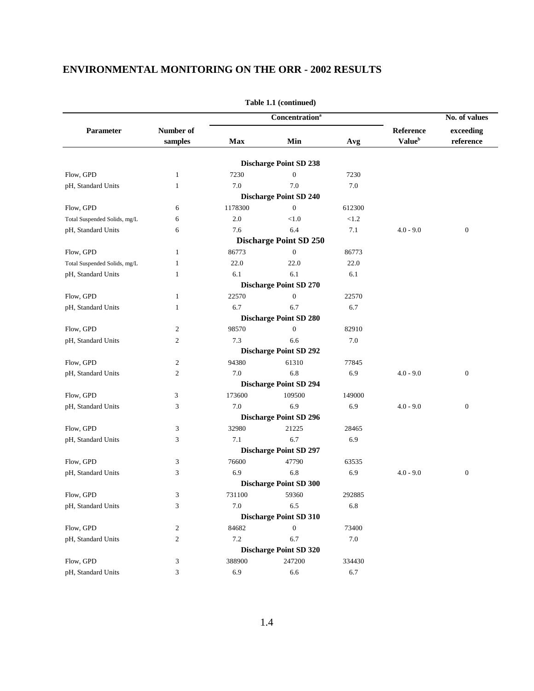|                              |                      |         | <b>Concentration</b> <sup>a</sup> |          | No. of values                          |                        |  |
|------------------------------|----------------------|---------|-----------------------------------|----------|----------------------------------------|------------------------|--|
| Parameter                    | Number of<br>samples | Max     | Min                               | Avg      | Reference<br><b>Value</b> <sup>b</sup> | exceeding<br>reference |  |
|                              |                      |         |                                   |          |                                        |                        |  |
|                              |                      |         | <b>Discharge Point SD 238</b>     |          |                                        |                        |  |
| Flow, GPD                    | $\mathbf{1}$         | 7230    | $\boldsymbol{0}$                  | 7230     |                                        |                        |  |
| pH, Standard Units           | 1                    | 7.0     | 7.0                               | 7.0      |                                        |                        |  |
|                              |                      |         | <b>Discharge Point SD 240</b>     |          |                                        |                        |  |
| Flow, GPD                    | 6                    | 1178300 | $\overline{0}$                    | 612300   |                                        |                        |  |
| Total Suspended Solids, mg/L | 6                    | $2.0\,$ | < 1.0                             | ${<}1.2$ |                                        |                        |  |
| pH, Standard Units           | 6                    | 7.6     | 6.4                               | 7.1      | $4.0 - 9.0$                            | $\mathbf{0}$           |  |
|                              |                      |         | <b>Discharge Point SD 250</b>     |          |                                        |                        |  |
| Flow, GPD                    | $\mathbf{1}$         | 86773   | $\mathbf{0}$                      | 86773    |                                        |                        |  |
| Total Suspended Solids, mg/L | $\mathbf{1}$         | 22.0    | 22.0                              | 22.0     |                                        |                        |  |
| pH, Standard Units           | 1                    | 6.1     | 6.1                               | 6.1      |                                        |                        |  |
|                              |                      |         | <b>Discharge Point SD 270</b>     |          |                                        |                        |  |
| Flow, GPD                    | 1                    | 22570   | $\mathbf{0}$                      | 22570    |                                        |                        |  |
| pH, Standard Units           | 1                    | 6.7     | 6.7                               | 6.7      |                                        |                        |  |
|                              |                      |         | <b>Discharge Point SD 280</b>     |          |                                        |                        |  |
| Flow, GPD                    | $\overline{c}$       | 98570   | $\overline{0}$                    | 82910    |                                        |                        |  |
| pH, Standard Units           | $\overline{c}$       | 7.3     | 6.6                               | 7.0      |                                        |                        |  |
|                              |                      |         | <b>Discharge Point SD 292</b>     |          |                                        |                        |  |
| Flow, GPD                    | $\overline{c}$       | 94380   | 61310                             | 77845    |                                        |                        |  |
| pH, Standard Units           | $\mathfrak{2}$       | $7.0\,$ | 6.8                               | 6.9      | $4.0 - 9.0$                            | $\mathbf{0}$           |  |
|                              |                      |         | <b>Discharge Point SD 294</b>     |          |                                        |                        |  |
| Flow, GPD                    | 3                    | 173600  | 109500                            | 149000   |                                        |                        |  |
| pH, Standard Units           | 3                    | 7.0     | 6.9                               | 6.9      | $4.0 - 9.0$                            | $\mathbf{0}$           |  |
|                              |                      |         | <b>Discharge Point SD 296</b>     |          |                                        |                        |  |
| Flow, GPD                    | 3                    | 32980   | 21225                             | 28465    |                                        |                        |  |
| pH, Standard Units           | 3                    | 7.1     | 6.7                               | 6.9      |                                        |                        |  |
|                              |                      |         | <b>Discharge Point SD 297</b>     |          |                                        |                        |  |
| Flow, GPD                    | 3                    | 76600   | 47790                             | 63535    |                                        |                        |  |
| pH, Standard Units           | 3                    | 6.9     | 6.8                               | 6.9      | $4.0 - 9.0$                            | $\boldsymbol{0}$       |  |
|                              |                      |         | <b>Discharge Point SD 300</b>     |          |                                        |                        |  |
| Flow, GPD                    | 3                    | 731100  | 59360                             | 292885   |                                        |                        |  |
| pH, Standard Units           | 3                    | 7.0     | 6.5                               | 6.8      |                                        |                        |  |
|                              |                      |         | <b>Discharge Point SD 310</b>     |          |                                        |                        |  |
| Flow, GPD                    | $\overline{c}$       | 84682   | $\boldsymbol{0}$                  | 73400    |                                        |                        |  |
| pH, Standard Units           | $\overline{c}$       | 7.2     | 6.7                               | $7.0\,$  |                                        |                        |  |
|                              |                      |         | <b>Discharge Point SD 320</b>     |          |                                        |                        |  |
| Flow, GPD                    | 3                    | 388900  | 247200                            | 334430   |                                        |                        |  |
| pH, Standard Units           | 3                    | 6.9     | 6.6                               | 6.7      |                                        |                        |  |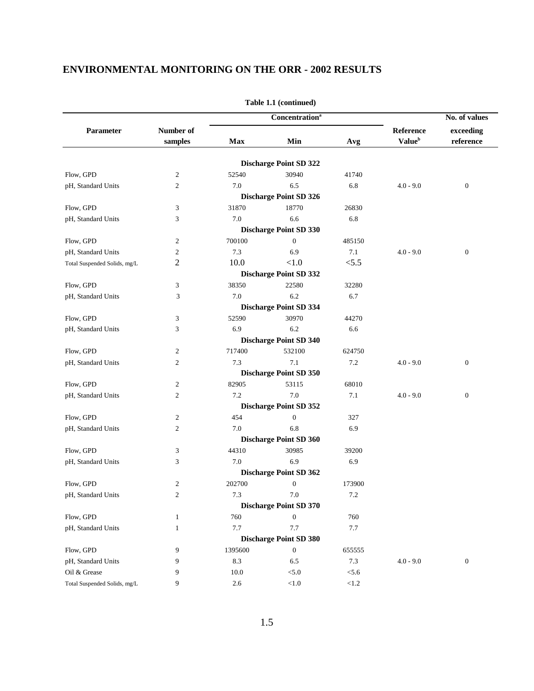|                              |                  |              | <b>Concentration</b> <sup>a</sup>      |            |                           | No. of values    |
|------------------------------|------------------|--------------|----------------------------------------|------------|---------------------------|------------------|
| Parameter                    | Number of        |              |                                        |            | Reference                 | exceeding        |
|                              | samples          | Max          | Min                                    | Avg        | <b>Value</b> <sup>b</sup> | reference        |
|                              |                  |              |                                        |            |                           |                  |
|                              |                  |              | <b>Discharge Point SD 322</b><br>30940 |            |                           |                  |
| Flow, GPD                    | $\overline{c}$   | 52540<br>7.0 |                                        | 41740      |                           |                  |
| pH, Standard Units           | $\mathfrak{2}$   |              | 6.5                                    | 6.8        | $4.0 - 9.0$               | $\boldsymbol{0}$ |
| Flow, GPD                    |                  |              | <b>Discharge Point SD 326</b>          |            |                           |                  |
|                              | 3                | 31870<br>7.0 | 18770                                  | 26830      |                           |                  |
| pH, Standard Units           | 3                |              | 6.6                                    | 6.8        |                           |                  |
|                              |                  |              | <b>Discharge Point SD 330</b>          |            |                           |                  |
| Flow, GPD                    | $\overline{c}$   | 700100       | $\mathbf{0}$                           | 485150     |                           |                  |
| pH, Standard Units           | $\overline{c}$   | 7.3          | 6.9                                    | 7.1        | $4.0 - 9.0$               | $\boldsymbol{0}$ |
| Total Suspended Solids, mg/L | $\overline{2}$   | 10.0         | < 1.0                                  | < 5.5      |                           |                  |
|                              |                  |              | <b>Discharge Point SD 332</b>          |            |                           |                  |
| Flow, GPD                    | 3                | 38350        | 22580                                  | 32280      |                           |                  |
| pH, Standard Units           | 3                | 7.0          | 6.2                                    | 6.7        |                           |                  |
|                              |                  |              | <b>Discharge Point SD 334</b>          |            |                           |                  |
| Flow, GPD                    | 3                | 52590        | 30970                                  | 44270      |                           |                  |
| pH, Standard Units           | 3                | 6.9          | 6.2                                    | 6.6        |                           |                  |
|                              |                  |              | <b>Discharge Point SD 340</b>          |            |                           |                  |
| Flow, GPD                    | 2                | 717400       | 532100                                 | 624750     |                           |                  |
| pH, Standard Units           | $\mathfrak{2}$   | 7.3          | 7.1                                    | 7.2        | $4.0 - 9.0$               | $\boldsymbol{0}$ |
|                              |                  |              | <b>Discharge Point SD 350</b>          |            |                           |                  |
| Flow, GPD                    | $\overline{c}$   | 82905        | 53115                                  | 68010      |                           |                  |
| pH, Standard Units           | $\mathfrak{2}$   | 7.2          | 7.0                                    | 7.1        | $4.0 - 9.0$               | $\boldsymbol{0}$ |
|                              |                  |              | <b>Discharge Point SD 352</b>          |            |                           |                  |
| Flow, GPD                    | $\mathfrak{2}$   | 454          | $\mathbf{0}$                           | 327        |                           |                  |
| pH, Standard Units           | $\boldsymbol{2}$ | 7.0          | 6.8                                    | 6.9        |                           |                  |
|                              |                  |              | <b>Discharge Point SD 360</b>          |            |                           |                  |
| Flow, GPD                    | 3                | 44310        | 30985                                  | 39200      |                           |                  |
| pH, Standard Units           | 3                | 7.0          | 6.9                                    | 6.9        |                           |                  |
|                              |                  |              | <b>Discharge Point SD 362</b>          |            |                           |                  |
| Flow, GPD                    | $\boldsymbol{2}$ | 202700       | $\mathbf{0}$                           | 173900     |                           |                  |
| pH, Standard Units           | $\overline{2}$   | 7.3          | 7.0                                    | 7.2        |                           |                  |
|                              |                  |              | <b>Discharge Point SD 370</b>          |            |                           |                  |
| Flow, GPD                    | 1                | 760          | $\mathbf{0}$                           | 760        |                           |                  |
| pH, Standard Units           | $\mathbf{1}$     | 7.7          | 7.7                                    | 7.7        |                           |                  |
|                              |                  |              | <b>Discharge Point SD 380</b>          |            |                           |                  |
| Flow, GPD                    | 9                | 1395600      | $\boldsymbol{0}$                       | 655555     |                           |                  |
| pH, Standard Units           | 9                | 8.3          | 6.5                                    | $7.3\,$    | $4.0 - 9.0$               | $\boldsymbol{0}$ |
| Oil & Grease                 | 9                | 10.0         | $< 5.0$                                | < 5.6      |                           |                  |
|                              | 9                |              |                                        |            |                           |                  |
| Total Suspended Solids, mg/L |                  | $2.6\,$      | $<\!\!1.0$                             | $<\!\!1.2$ |                           |                  |

**Table 1.1 (continued)**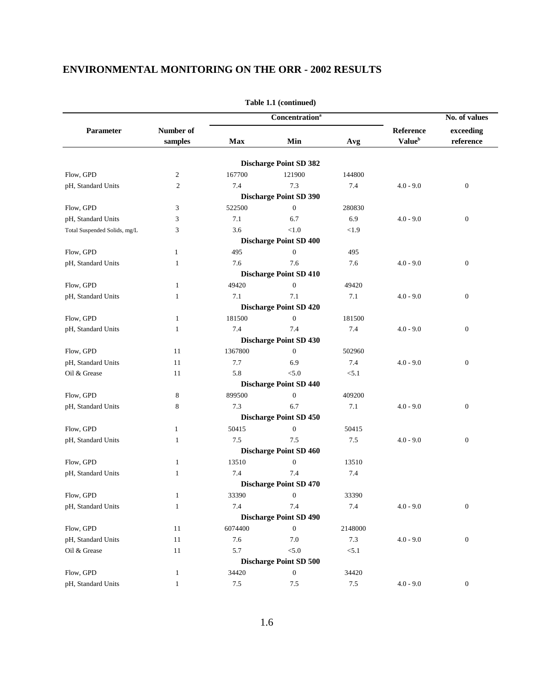|                              |                |         | <b>Concentration</b> <sup>a</sup>       |         |                           | No. of values    |
|------------------------------|----------------|---------|-----------------------------------------|---------|---------------------------|------------------|
| Parameter                    | Number of      |         |                                         |         | Reference                 | exceeding        |
|                              | samples        | Max     | Min                                     | Avg     | <b>Value</b> <sup>b</sup> | reference        |
|                              |                |         |                                         |         |                           |                  |
| Flow, GPD                    | $\overline{c}$ | 167700  | <b>Discharge Point SD 382</b><br>121900 | 144800  |                           |                  |
| pH, Standard Units           | $\mathbf{2}$   | 7.4     | 7.3                                     | 7.4     | $4.0 - 9.0$               | $\boldsymbol{0}$ |
|                              |                |         | <b>Discharge Point SD 390</b>           |         |                           |                  |
| Flow, GPD                    | 3              | 522500  | $\boldsymbol{0}$                        | 280830  |                           |                  |
| pH, Standard Units           | 3              | 7.1     | 6.7                                     | 6.9     | $4.0 - 9.0$               | $\mathbf{0}$     |
| Total Suspended Solids, mg/L | 3              | 3.6     | < 1.0                                   | < 1.9   |                           |                  |
|                              |                |         | <b>Discharge Point SD 400</b>           |         |                           |                  |
| Flow, GPD                    | $\mathbf{1}$   | 495     | $\boldsymbol{0}$                        | 495     |                           |                  |
| pH, Standard Units           | 1              | 7.6     | 7.6                                     | 7.6     | $4.0 - 9.0$               | $\mathbf{0}$     |
|                              |                |         | <b>Discharge Point SD 410</b>           |         |                           |                  |
| Flow, GPD                    | 1              | 49420   | $\boldsymbol{0}$                        | 49420   |                           |                  |
| pH, Standard Units           | 1              | 7.1     | 7.1                                     | 7.1     | $4.0 - 9.0$               | $\mathbf{0}$     |
|                              |                |         | <b>Discharge Point SD 420</b>           |         |                           |                  |
| Flow, GPD                    | $\mathbf{1}$   | 181500  | $\boldsymbol{0}$                        | 181500  |                           |                  |
| pH, Standard Units           | 1              | 7.4     | 7.4                                     | 7.4     | $4.0 - 9.0$               | $\boldsymbol{0}$ |
|                              |                |         | <b>Discharge Point SD 430</b>           |         |                           |                  |
| Flow, GPD                    | 11             | 1367800 | $\mathbf{0}$                            | 502960  |                           |                  |
| pH, Standard Units           | 11             | 7.7     | 6.9                                     | 7.4     | $4.0 - 9.0$               | $\boldsymbol{0}$ |
| Oil & Grease                 | 11             | 5.8     | < 5.0                                   | < 5.1   |                           |                  |
|                              |                |         | <b>Discharge Point SD 440</b>           |         |                           |                  |
| Flow, GPD                    | 8              | 899500  | $\mathbf{0}$                            | 409200  |                           |                  |
| pH, Standard Units           | 8              | 7.3     | 6.7                                     | 7.1     | $4.0 - 9.0$               | $\mathbf{0}$     |
|                              |                |         | <b>Discharge Point SD 450</b>           |         |                           |                  |
| Flow, GPD                    | $\mathbf{1}$   | 50415   | $\boldsymbol{0}$                        | 50415   |                           |                  |
| pH, Standard Units           | 1              | 7.5     | 7.5                                     | 7.5     | $4.0 - 9.0$               | $\mathbf{0}$     |
|                              |                |         | <b>Discharge Point SD 460</b>           |         |                           |                  |
| Flow, GPD                    | 1              | 13510   | $\boldsymbol{0}$                        | 13510   |                           |                  |
| pH, Standard Units           | 1              | 7.4     | 7.4                                     | 7.4     |                           |                  |
|                              |                |         | <b>Discharge Point SD 470</b>           |         |                           |                  |
| Flow, GPD                    | $\mathbf{1}$   | 33390   | $\boldsymbol{0}$                        | 33390   |                           |                  |
| pH, Standard Units           | $\mathbf{1}$   | 7.4     | $7.4\,$                                 | 7.4     | $4.0 - 9.0$               | $\boldsymbol{0}$ |
|                              |                |         | <b>Discharge Point SD 490</b>           |         |                           |                  |
| Flow, GPD                    | 11             | 6074400 | $\boldsymbol{0}$                        | 2148000 |                           |                  |
| pH, Standard Units           | 11             | 7.6     | 7.0                                     | 7.3     | $4.0 - 9.0$               | $\mathbf{0}$     |
| Oil & Grease                 | 11             | 5.7     | $< 5.0$                                 | < 5.1   |                           |                  |
|                              |                |         | <b>Discharge Point SD 500</b>           |         |                           |                  |
| Flow, GPD                    | $\mathbf{1}$   | 34420   | $\boldsymbol{0}$                        | 34420   |                           |                  |
| pH, Standard Units           | $\mathbf{1}$   | $7.5\,$ | $7.5\,$                                 | $7.5\,$ | $4.0 - 9.0$               | $\boldsymbol{0}$ |
|                              |                |         |                                         |         |                           |                  |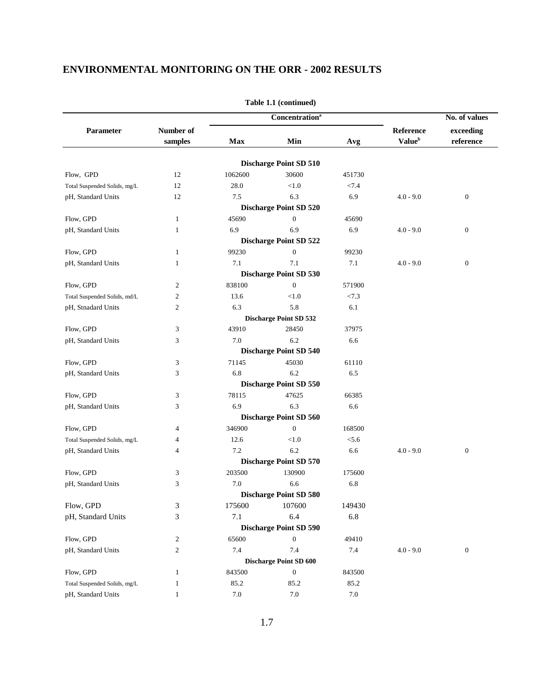|                              |                |         | <b>Concentration</b> <sup>a</sup> |         |                           | No. of values    |
|------------------------------|----------------|---------|-----------------------------------|---------|---------------------------|------------------|
| Parameter                    | Number of      |         |                                   |         | Reference                 | exceeding        |
|                              | samples        | Max     | Min                               | Avg     | <b>Value</b> <sup>b</sup> | $\rm reference$  |
|                              |                |         |                                   |         |                           |                  |
|                              |                |         | <b>Discharge Point SD 510</b>     |         |                           |                  |
| Flow, GPD                    | 12             | 1062600 | 30600                             | 451730  |                           |                  |
| Total Suspended Solids, mg/L | 12             | 28.0    | < 1.0                             | $<7.4$  |                           |                  |
| pH, Standard Units           | 12             | 7.5     | 6.3                               | 6.9     | $4.0 - 9.0$               | $\mathbf{0}$     |
|                              |                |         | <b>Discharge Point SD 520</b>     |         |                           |                  |
| Flow, GPD                    | $\mathbf{1}$   | 45690   | $\mathbf{0}$                      | 45690   |                           |                  |
| pH, Standard Units           | $\mathbf{1}$   | 6.9     | 6.9                               | 6.9     | $4.0 - 9.0$               | $\boldsymbol{0}$ |
|                              |                |         | <b>Discharge Point SD 522</b>     |         |                           |                  |
| Flow, GPD                    | $\mathbf{1}$   | 99230   | $\boldsymbol{0}$                  | 99230   |                           |                  |
| pH, Standard Units           | $\mathbf{1}$   | 7.1     | 7.1                               | 7.1     | $4.0 - 9.0$               | $\boldsymbol{0}$ |
|                              |                |         | <b>Discharge Point SD 530</b>     |         |                           |                  |
| Flow, GPD                    | $\mathfrak{2}$ | 838100  | $\mathbf{0}$                      | 571900  |                           |                  |
| Total Suspended Solids, md/L | $\mathfrak{2}$ | 13.6    | < 1.0                             | < 7.3   |                           |                  |
| pH, Stnadard Units           | $\overline{c}$ | 6.3     | 5.8                               | 6.1     |                           |                  |
|                              |                |         | <b>Discharge Point SD 532</b>     |         |                           |                  |
| Flow, GPD                    | 3              | 43910   | 28450                             | 37975   |                           |                  |
| pH, Standard Units           | 3              | 7.0     | 6.2                               | 6.6     |                           |                  |
|                              |                |         | <b>Discharge Point SD 540</b>     |         |                           |                  |
| Flow, GPD                    | 3              | 71145   | 45030                             | 61110   |                           |                  |
| pH, Standard Units           | 3              | 6.8     | 6.2                               | 6.5     |                           |                  |
|                              |                |         | <b>Discharge Point SD 550</b>     |         |                           |                  |
| Flow, GPD                    | 3              | 78115   | 47625                             | 66385   |                           |                  |
| pH, Standard Units           | 3              | 6.9     | 6.3                               | 6.6     |                           |                  |
|                              |                |         | <b>Discharge Point SD 560</b>     |         |                           |                  |
| Flow, GPD                    | $\overline{4}$ | 346900  | $\overline{0}$                    | 168500  |                           |                  |
| Total Suspended Solids, mg/L | $\overline{4}$ | 12.6    | < 1.0                             | < 5.6   |                           |                  |
| pH, Standard Units           | $\overline{4}$ | 7.2     | 6.2                               | 6.6     | $4.0 - 9.0$               | $\boldsymbol{0}$ |
|                              |                |         | <b>Discharge Point SD 570</b>     |         |                           |                  |
| Flow, GPD                    | 3              | 203500  | 130900                            | 175600  |                           |                  |
| pH, Standard Units           | 3              | 7.0     | 6.6                               | 6.8     |                           |                  |
|                              |                |         | <b>Discharge Point SD 580</b>     |         |                           |                  |
| Flow, GPD                    | 3              | 175600  | 107600                            | 149430  |                           |                  |
| pH, Standard Units           | 3              | 7.1     | 6.4                               | 6.8     |                           |                  |
|                              |                |         | <b>Discharge Point SD 590</b>     |         |                           |                  |
| Flow, GPD                    | $\overline{c}$ | 65600   | $\boldsymbol{0}$                  | 49410   |                           |                  |
| pH, Standard Units           | $\overline{c}$ | 7.4     | 7.4                               | 7.4     | $4.0 - 9.0$               | $\boldsymbol{0}$ |
|                              |                |         | <b>Discharge Point SD 600</b>     |         |                           |                  |
| Flow, GPD                    | $\mathbf{1}$   | 843500  | $\boldsymbol{0}$                  | 843500  |                           |                  |
| Total Suspended Solids, mg/L | $\mathbf{1}$   | 85.2    | 85.2                              | 85.2    |                           |                  |
|                              |                |         |                                   |         |                           |                  |
| pH, Standard Units           | $\mathbf{1}$   | $7.0\,$ | 7.0                               | $7.0\,$ |                           |                  |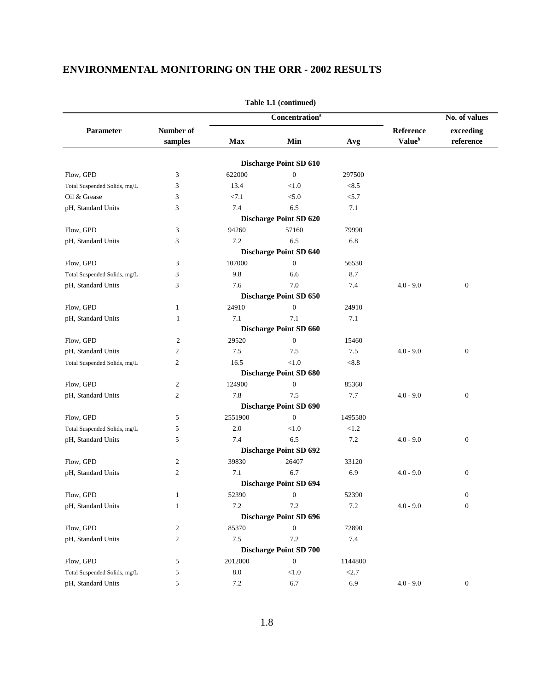|                              |                      |            |                                   | No. of values |                                        |                        |
|------------------------------|----------------------|------------|-----------------------------------|---------------|----------------------------------------|------------------------|
|                              |                      |            | <b>Concentration</b> <sup>a</sup> |               |                                        |                        |
| Parameter                    | Number of<br>samples | <b>Max</b> | Min                               | Avg           | Reference<br><b>Value</b> <sup>b</sup> | exceeding<br>reference |
|                              |                      |            | <b>Discharge Point SD 610</b>     |               |                                        |                        |
| Flow, GPD                    | 3                    | 622000     | $\boldsymbol{0}$                  | 297500        |                                        |                        |
| Total Suspended Solids, mg/L | 3                    | 13.4       | < 1.0                             | < 8.5         |                                        |                        |
| Oil & Grease                 | 3                    | < 7.1      | < 5.0                             | < 5.7         |                                        |                        |
| pH, Standard Units           | 3                    | 7.4        | 6.5                               | 7.1           |                                        |                        |
|                              |                      |            | <b>Discharge Point SD 620</b>     |               |                                        |                        |
| Flow, GPD                    | 3                    | 94260      | 57160                             | 79990         |                                        |                        |
| pH, Standard Units           | 3                    | 7.2        | 6.5                               | 6.8           |                                        |                        |
|                              |                      |            | <b>Discharge Point SD 640</b>     |               |                                        |                        |
| Flow, GPD                    | 3                    | 107000     | $\boldsymbol{0}$                  | 56530         |                                        |                        |
| Total Suspended Solids, mg/L | 3                    | 9.8        | 6.6                               | 8.7           |                                        |                        |
| pH, Standard Units           | 3                    | 7.6        | 7.0                               | 7.4           | $4.0 - 9.0$                            | $\mathbf{0}$           |
|                              |                      |            | <b>Discharge Point SD 650</b>     |               |                                        |                        |
| Flow, GPD                    | 1                    | 24910      | $\boldsymbol{0}$                  | 24910         |                                        |                        |
| pH, Standard Units           | 1                    | 7.1        | 7.1                               | 7.1           |                                        |                        |
|                              |                      |            | <b>Discharge Point SD 660</b>     |               |                                        |                        |
| Flow, GPD                    | $\overline{c}$       | 29520      | $\overline{0}$                    | 15460         |                                        |                        |
| pH, Standard Units           | 2                    | 7.5        | 7.5                               | 7.5           | $4.0 - 9.0$                            | $\boldsymbol{0}$       |
| Total Suspended Solids, mg/L | 2                    | 16.5       | < 1.0                             | < 8.8         |                                        |                        |
|                              |                      |            | <b>Discharge Point SD 680</b>     |               |                                        |                        |
| Flow, GPD                    | 2                    | 124900     | $\boldsymbol{0}$                  | 85360         |                                        |                        |
| pH, Standard Units           | 2                    | 7.8        | 7.5                               | 7.7           | $4.0 - 9.0$                            | $\mathbf{0}$           |
|                              |                      |            | <b>Discharge Point SD 690</b>     |               |                                        |                        |
| Flow, GPD                    | 5                    | 2551900    | $\mathbf{0}$                      | 1495580       |                                        |                        |
| Total Suspended Solids, mg/L | 5                    | 2.0        | < 1.0                             | < 1.2         |                                        |                        |
| pH, Standard Units           | 5                    | 7.4        | 6.5                               | $7.2\,$       | $4.0 - 9.0$                            | $\boldsymbol{0}$       |
|                              |                      |            | <b>Discharge Point SD 692</b>     |               |                                        |                        |
| Flow, GPD                    | 2                    | 39830      | 26407                             | 33120         |                                        |                        |
| pH, Standard Units           | 2                    | 7.1        | 6.7                               | 6.9           | $4.0 - 9.0$                            | $\boldsymbol{0}$       |
|                              |                      |            | <b>Discharge Point SD 694</b>     |               |                                        |                        |
| Flow, GPD                    | 1                    | 52390      | $\boldsymbol{0}$                  | 52390         |                                        | $\boldsymbol{0}$       |
| pH, Standard Units           | $\mathbf{1}$         | 7.2        | $7.2\,$                           | $7.2\,$       | $4.0 - 9.0$                            | $\mathbf{0}$           |
|                              |                      |            | <b>Discharge Point SD 696</b>     |               |                                        |                        |
| Flow, GPD                    | $\overline{c}$       | 85370      | $\boldsymbol{0}$                  | 72890         |                                        |                        |
| pH, Standard Units           | $\overline{c}$       | $7.5$      | 7.2                               | 7.4           |                                        |                        |
|                              |                      |            | <b>Discharge Point SD 700</b>     |               |                                        |                        |
| Flow, GPD                    | 5                    | 2012000    | $\boldsymbol{0}$                  | 1144800       |                                        |                        |
| Total Suspended Solids, mg/L | 5                    | $\ \, 8.0$ | < 1.0                             | < 2.7         |                                        |                        |
| pH, Standard Units           | 5                    | $7.2\,$    | 6.7                               | 6.9           | $4.0 - 9.0$                            | $\boldsymbol{0}$       |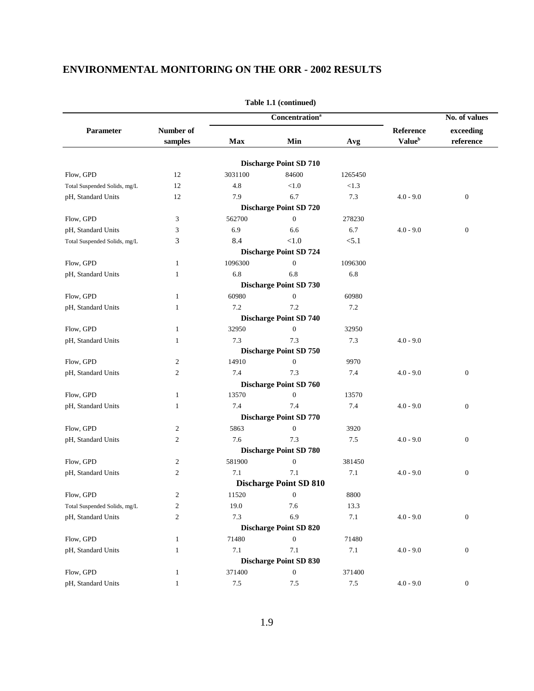|                              |                      |         | <b>Concentration</b> <sup>a</sup>             |         | No. of values                          |                              |  |
|------------------------------|----------------------|---------|-----------------------------------------------|---------|----------------------------------------|------------------------------|--|
| Parameter                    | Number of<br>samples | Max     | Min                                           | Avg     | Reference<br><b>Value</b> <sup>b</sup> | exceeding<br>$\rm reference$ |  |
|                              |                      |         |                                               |         |                                        |                              |  |
|                              |                      |         | <b>Discharge Point SD 710</b>                 |         |                                        |                              |  |
| Flow, GPD                    | 12                   | 3031100 | 84600                                         | 1265450 |                                        |                              |  |
| Total Suspended Solids, mg/L | 12                   | 4.8     | < 1.0                                         | < 1.3   |                                        |                              |  |
| pH, Standard Units           | 12                   | 7.9     | 6.7                                           | 7.3     | $4.0 - 9.0$                            | $\boldsymbol{0}$             |  |
|                              |                      |         | <b>Discharge Point SD 720</b><br>$\mathbf{0}$ |         |                                        |                              |  |
| Flow, GPD                    | 3                    | 562700  |                                               | 278230  |                                        |                              |  |
| pH, Standard Units           | 3                    | 6.9     | 6.6                                           | 6.7     | $4.0 - 9.0$                            | $\boldsymbol{0}$             |  |
| Total Suspended Solids, mg/L | 3                    | 8.4     | < 1.0                                         | < 5.1   |                                        |                              |  |
|                              |                      |         | <b>Discharge Point SD 724</b>                 |         |                                        |                              |  |
| Flow, GPD                    | $\mathbf{1}$         | 1096300 | $\boldsymbol{0}$                              | 1096300 |                                        |                              |  |
| pH, Standard Units           | 1                    | 6.8     | 6.8                                           | 6.8     |                                        |                              |  |
|                              |                      |         | <b>Discharge Point SD 730</b>                 |         |                                        |                              |  |
| Flow, GPD                    | $\mathbf{1}$         | 60980   | $\boldsymbol{0}$                              | 60980   |                                        |                              |  |
| pH, Standard Units           | 1                    | 7.2     | 7.2                                           | 7.2     |                                        |                              |  |
|                              |                      |         | <b>Discharge Point SD 740</b>                 |         |                                        |                              |  |
| Flow, GPD                    | $\mathbf{1}$         | 32950   | $\mathbf{0}$                                  | 32950   |                                        |                              |  |
| pH, Standard Units           | 1                    | 7.3     | 7.3                                           | $7.3\,$ | $4.0 - 9.0$                            |                              |  |
|                              |                      |         | <b>Discharge Point SD 750</b>                 |         |                                        |                              |  |
| Flow, GPD                    | 2                    | 14910   | $\boldsymbol{0}$                              | 9970    |                                        |                              |  |
| pH, Standard Units           | $\mathfrak{2}$       | 7.4     | 7.3                                           | 7.4     | $4.0 - 9.0$                            | $\boldsymbol{0}$             |  |
|                              |                      |         | <b>Discharge Point SD 760</b>                 |         |                                        |                              |  |
| Flow, GPD                    | 1                    | 13570   | $\boldsymbol{0}$                              | 13570   |                                        |                              |  |
| pH, Standard Units           | 1                    | 7.4     | 7.4                                           | 7.4     | $4.0 - 9.0$                            | $\boldsymbol{0}$             |  |
|                              |                      |         | <b>Discharge Point SD 770</b>                 |         |                                        |                              |  |
| Flow, GPD                    | 2                    | 5863    | $\boldsymbol{0}$                              | 3920    |                                        |                              |  |
| pH, Standard Units           | $\overline{c}$       | 7.6     | 7.3                                           | $7.5\,$ | $4.0 - 9.0$                            | $\boldsymbol{0}$             |  |
|                              |                      |         | <b>Discharge Point SD 780</b>                 |         |                                        |                              |  |
| Flow, GPD                    | $\mathfrak{2}$       | 581900  | $\boldsymbol{0}$                              | 381450  |                                        |                              |  |
| pH, Standard Units           | $\mathfrak{2}$       | 7.1     | 7.1                                           | 7.1     | $4.0 - 9.0$                            | $\boldsymbol{0}$             |  |
|                              |                      |         | <b>Discharge Point SD 810</b>                 |         |                                        |                              |  |
| Flow, GPD                    | $\overline{2}$       | 11520   | $\boldsymbol{0}$                              | 8800    |                                        |                              |  |
| Total Suspended Solids, mg/L | $\overline{c}$       | 19.0    | 7.6                                           | 13.3    |                                        |                              |  |
| pH, Standard Units           | $\mathbf{2}$         | 7.3     | 6.9                                           | $7.1\,$ | $4.0 - 9.0$                            | $\boldsymbol{0}$             |  |
|                              |                      |         | <b>Discharge Point SD 820</b>                 |         |                                        |                              |  |
| Flow, GPD                    | $\mathbf{1}$         | 71480   | $\boldsymbol{0}$                              | 71480   |                                        |                              |  |
| pH, Standard Units           | $\mathbf{1}$         | 7.1     | 7.1                                           | 7.1     | $4.0 - 9.0$                            | $\boldsymbol{0}$             |  |
|                              |                      |         | <b>Discharge Point SD 830</b>                 |         |                                        |                              |  |
| Flow, GPD                    | $\mathbf{1}$         | 371400  | $\boldsymbol{0}$                              | 371400  |                                        |                              |  |
| pH, Standard Units           | $\mathbf{1}$         | $7.5\,$ | $7.5\,$                                       | $7.5\,$ | $4.0 - 9.0$                            | $\boldsymbol{0}$             |  |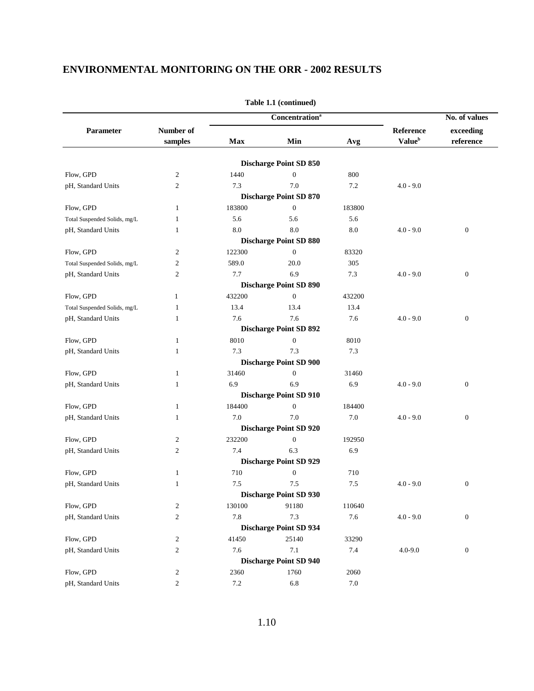| Number of<br>Reference<br>exceeding<br>Parameter<br><b>Value</b> <sup>b</sup><br>Max<br>Min<br>reference<br>samples<br>Avg<br><b>Discharge Point SD 850</b><br>Flow, GPD<br>$\boldsymbol{0}$<br>$\overline{c}$<br>1440<br>800<br>7.3<br>7.0<br>7.2<br>pH, Standard Units<br>$\mathfrak{2}$<br>$4.0 - 9.0$<br><b>Discharge Point SD 870</b><br>183800<br>Flow, GPD<br>$\mathbf{0}$<br>183800<br>1<br>5.6<br>5.6<br>5.6<br>Total Suspended Solids, mg/L<br>1<br>8.0<br>8.0<br>8.0<br>$\boldsymbol{0}$<br>pH, Standard Units<br>$4.0 - 9.0$<br>1<br><b>Discharge Point SD 880</b><br>$\mathbf{0}$<br>Flow, GPD<br>$\mathfrak{2}$<br>122300<br>83320<br>$\mathfrak{2}$<br>589.0<br>20.0<br>305<br>Total Suspended Solids, mg/L<br>7.7<br>6.9<br>7.3<br>$\boldsymbol{0}$<br>pH, Standard Units<br>$\mathfrak{2}$<br>$4.0 - 9.0$<br><b>Discharge Point SD 890</b><br>Flow, GPD<br>432200<br>$\mathbf{0}$<br>432200<br>$\mathbf{1}$<br>13.4<br>$\mathbf{1}$<br>13.4<br>13.4<br>Total Suspended Solids, mg/L<br>7.6<br>$\boldsymbol{0}$<br>pH, Standard Units<br>7.6<br>7.6<br>$4.0 - 9.0$<br>1<br><b>Discharge Point SD 892</b><br>8010<br>$\boldsymbol{0}$<br>8010<br>Flow, GPD<br>$\mathbf{1}$<br>7.3<br>7.3<br>7.3<br>pH, Standard Units<br>1<br><b>Discharge Point SD 900</b><br>31460<br>$\boldsymbol{0}$<br>Flow, GPD<br>31460<br>$\mathbf{1}$<br>6.9<br>6.9<br>pH, Standard Units<br>6.9<br>$4.0 - 9.0$<br>$\boldsymbol{0}$<br>1<br><b>Discharge Point SD 910</b><br>184400<br>Flow, GPD<br>$\mathbf{0}$<br>184400<br>1<br>7.0<br>7.0<br>7.0<br>$\boldsymbol{0}$<br>pH, Standard Units<br>$4.0 - 9.0$<br>1<br><b>Discharge Point SD 920</b><br>232200<br>$\boldsymbol{0}$<br>Flow, GPD<br>192950<br>2<br>7.4<br>6.3<br>6.9<br>pH, Standard Units<br>$\mathfrak{2}$<br><b>Discharge Point SD 929</b><br>$\boldsymbol{0}$<br>Flow, GPD<br>$\mathbf{1}$<br>710<br>710<br>pH, Standard Units<br>7.5<br>7.5<br>7.5<br>$4.0 - 9.0$<br>$\boldsymbol{0}$<br>1<br><b>Discharge Point SD 930</b><br>Flow, GPD<br>$\overline{c}$<br>130100<br>91180<br>110640<br>7.8<br>7.3<br>$7.6\,$<br>$\boldsymbol{0}$<br>pH, Standard Units<br>$\overline{c}$<br>$4.0 - 9.0$<br><b>Discharge Point SD 934</b><br>Flow, GPD<br>41450<br>25140<br>2<br>33290<br>7.6<br>7.1<br>pH, Standard Units<br>$\overline{c}$<br>7.4<br>$4.0 - 9.0$<br>$\boldsymbol{0}$ |  | <b>Concentration</b> <sup>a</sup> |  | No. of values |
|--------------------------------------------------------------------------------------------------------------------------------------------------------------------------------------------------------------------------------------------------------------------------------------------------------------------------------------------------------------------------------------------------------------------------------------------------------------------------------------------------------------------------------------------------------------------------------------------------------------------------------------------------------------------------------------------------------------------------------------------------------------------------------------------------------------------------------------------------------------------------------------------------------------------------------------------------------------------------------------------------------------------------------------------------------------------------------------------------------------------------------------------------------------------------------------------------------------------------------------------------------------------------------------------------------------------------------------------------------------------------------------------------------------------------------------------------------------------------------------------------------------------------------------------------------------------------------------------------------------------------------------------------------------------------------------------------------------------------------------------------------------------------------------------------------------------------------------------------------------------------------------------------------------------------------------------------------------------------------------------------------------------------------------------------------------------------------------------------------------------------------------------------------------------------------------------------------------------------------------------------------------------------------------------------------------------------------------|--|-----------------------------------|--|---------------|
|                                                                                                                                                                                                                                                                                                                                                                                                                                                                                                                                                                                                                                                                                                                                                                                                                                                                                                                                                                                                                                                                                                                                                                                                                                                                                                                                                                                                                                                                                                                                                                                                                                                                                                                                                                                                                                                                                                                                                                                                                                                                                                                                                                                                                                                                                                                                      |  |                                   |  |               |
|                                                                                                                                                                                                                                                                                                                                                                                                                                                                                                                                                                                                                                                                                                                                                                                                                                                                                                                                                                                                                                                                                                                                                                                                                                                                                                                                                                                                                                                                                                                                                                                                                                                                                                                                                                                                                                                                                                                                                                                                                                                                                                                                                                                                                                                                                                                                      |  |                                   |  |               |
|                                                                                                                                                                                                                                                                                                                                                                                                                                                                                                                                                                                                                                                                                                                                                                                                                                                                                                                                                                                                                                                                                                                                                                                                                                                                                                                                                                                                                                                                                                                                                                                                                                                                                                                                                                                                                                                                                                                                                                                                                                                                                                                                                                                                                                                                                                                                      |  |                                   |  |               |
|                                                                                                                                                                                                                                                                                                                                                                                                                                                                                                                                                                                                                                                                                                                                                                                                                                                                                                                                                                                                                                                                                                                                                                                                                                                                                                                                                                                                                                                                                                                                                                                                                                                                                                                                                                                                                                                                                                                                                                                                                                                                                                                                                                                                                                                                                                                                      |  |                                   |  |               |
|                                                                                                                                                                                                                                                                                                                                                                                                                                                                                                                                                                                                                                                                                                                                                                                                                                                                                                                                                                                                                                                                                                                                                                                                                                                                                                                                                                                                                                                                                                                                                                                                                                                                                                                                                                                                                                                                                                                                                                                                                                                                                                                                                                                                                                                                                                                                      |  |                                   |  |               |
|                                                                                                                                                                                                                                                                                                                                                                                                                                                                                                                                                                                                                                                                                                                                                                                                                                                                                                                                                                                                                                                                                                                                                                                                                                                                                                                                                                                                                                                                                                                                                                                                                                                                                                                                                                                                                                                                                                                                                                                                                                                                                                                                                                                                                                                                                                                                      |  |                                   |  |               |
|                                                                                                                                                                                                                                                                                                                                                                                                                                                                                                                                                                                                                                                                                                                                                                                                                                                                                                                                                                                                                                                                                                                                                                                                                                                                                                                                                                                                                                                                                                                                                                                                                                                                                                                                                                                                                                                                                                                                                                                                                                                                                                                                                                                                                                                                                                                                      |  |                                   |  |               |
|                                                                                                                                                                                                                                                                                                                                                                                                                                                                                                                                                                                                                                                                                                                                                                                                                                                                                                                                                                                                                                                                                                                                                                                                                                                                                                                                                                                                                                                                                                                                                                                                                                                                                                                                                                                                                                                                                                                                                                                                                                                                                                                                                                                                                                                                                                                                      |  |                                   |  |               |
|                                                                                                                                                                                                                                                                                                                                                                                                                                                                                                                                                                                                                                                                                                                                                                                                                                                                                                                                                                                                                                                                                                                                                                                                                                                                                                                                                                                                                                                                                                                                                                                                                                                                                                                                                                                                                                                                                                                                                                                                                                                                                                                                                                                                                                                                                                                                      |  |                                   |  |               |
|                                                                                                                                                                                                                                                                                                                                                                                                                                                                                                                                                                                                                                                                                                                                                                                                                                                                                                                                                                                                                                                                                                                                                                                                                                                                                                                                                                                                                                                                                                                                                                                                                                                                                                                                                                                                                                                                                                                                                                                                                                                                                                                                                                                                                                                                                                                                      |  |                                   |  |               |
|                                                                                                                                                                                                                                                                                                                                                                                                                                                                                                                                                                                                                                                                                                                                                                                                                                                                                                                                                                                                                                                                                                                                                                                                                                                                                                                                                                                                                                                                                                                                                                                                                                                                                                                                                                                                                                                                                                                                                                                                                                                                                                                                                                                                                                                                                                                                      |  |                                   |  |               |
|                                                                                                                                                                                                                                                                                                                                                                                                                                                                                                                                                                                                                                                                                                                                                                                                                                                                                                                                                                                                                                                                                                                                                                                                                                                                                                                                                                                                                                                                                                                                                                                                                                                                                                                                                                                                                                                                                                                                                                                                                                                                                                                                                                                                                                                                                                                                      |  |                                   |  |               |
|                                                                                                                                                                                                                                                                                                                                                                                                                                                                                                                                                                                                                                                                                                                                                                                                                                                                                                                                                                                                                                                                                                                                                                                                                                                                                                                                                                                                                                                                                                                                                                                                                                                                                                                                                                                                                                                                                                                                                                                                                                                                                                                                                                                                                                                                                                                                      |  |                                   |  |               |
|                                                                                                                                                                                                                                                                                                                                                                                                                                                                                                                                                                                                                                                                                                                                                                                                                                                                                                                                                                                                                                                                                                                                                                                                                                                                                                                                                                                                                                                                                                                                                                                                                                                                                                                                                                                                                                                                                                                                                                                                                                                                                                                                                                                                                                                                                                                                      |  |                                   |  |               |
|                                                                                                                                                                                                                                                                                                                                                                                                                                                                                                                                                                                                                                                                                                                                                                                                                                                                                                                                                                                                                                                                                                                                                                                                                                                                                                                                                                                                                                                                                                                                                                                                                                                                                                                                                                                                                                                                                                                                                                                                                                                                                                                                                                                                                                                                                                                                      |  |                                   |  |               |
|                                                                                                                                                                                                                                                                                                                                                                                                                                                                                                                                                                                                                                                                                                                                                                                                                                                                                                                                                                                                                                                                                                                                                                                                                                                                                                                                                                                                                                                                                                                                                                                                                                                                                                                                                                                                                                                                                                                                                                                                                                                                                                                                                                                                                                                                                                                                      |  |                                   |  |               |
|                                                                                                                                                                                                                                                                                                                                                                                                                                                                                                                                                                                                                                                                                                                                                                                                                                                                                                                                                                                                                                                                                                                                                                                                                                                                                                                                                                                                                                                                                                                                                                                                                                                                                                                                                                                                                                                                                                                                                                                                                                                                                                                                                                                                                                                                                                                                      |  |                                   |  |               |
|                                                                                                                                                                                                                                                                                                                                                                                                                                                                                                                                                                                                                                                                                                                                                                                                                                                                                                                                                                                                                                                                                                                                                                                                                                                                                                                                                                                                                                                                                                                                                                                                                                                                                                                                                                                                                                                                                                                                                                                                                                                                                                                                                                                                                                                                                                                                      |  |                                   |  |               |
|                                                                                                                                                                                                                                                                                                                                                                                                                                                                                                                                                                                                                                                                                                                                                                                                                                                                                                                                                                                                                                                                                                                                                                                                                                                                                                                                                                                                                                                                                                                                                                                                                                                                                                                                                                                                                                                                                                                                                                                                                                                                                                                                                                                                                                                                                                                                      |  |                                   |  |               |
|                                                                                                                                                                                                                                                                                                                                                                                                                                                                                                                                                                                                                                                                                                                                                                                                                                                                                                                                                                                                                                                                                                                                                                                                                                                                                                                                                                                                                                                                                                                                                                                                                                                                                                                                                                                                                                                                                                                                                                                                                                                                                                                                                                                                                                                                                                                                      |  |                                   |  |               |
|                                                                                                                                                                                                                                                                                                                                                                                                                                                                                                                                                                                                                                                                                                                                                                                                                                                                                                                                                                                                                                                                                                                                                                                                                                                                                                                                                                                                                                                                                                                                                                                                                                                                                                                                                                                                                                                                                                                                                                                                                                                                                                                                                                                                                                                                                                                                      |  |                                   |  |               |
|                                                                                                                                                                                                                                                                                                                                                                                                                                                                                                                                                                                                                                                                                                                                                                                                                                                                                                                                                                                                                                                                                                                                                                                                                                                                                                                                                                                                                                                                                                                                                                                                                                                                                                                                                                                                                                                                                                                                                                                                                                                                                                                                                                                                                                                                                                                                      |  |                                   |  |               |
|                                                                                                                                                                                                                                                                                                                                                                                                                                                                                                                                                                                                                                                                                                                                                                                                                                                                                                                                                                                                                                                                                                                                                                                                                                                                                                                                                                                                                                                                                                                                                                                                                                                                                                                                                                                                                                                                                                                                                                                                                                                                                                                                                                                                                                                                                                                                      |  |                                   |  |               |
|                                                                                                                                                                                                                                                                                                                                                                                                                                                                                                                                                                                                                                                                                                                                                                                                                                                                                                                                                                                                                                                                                                                                                                                                                                                                                                                                                                                                                                                                                                                                                                                                                                                                                                                                                                                                                                                                                                                                                                                                                                                                                                                                                                                                                                                                                                                                      |  |                                   |  |               |
|                                                                                                                                                                                                                                                                                                                                                                                                                                                                                                                                                                                                                                                                                                                                                                                                                                                                                                                                                                                                                                                                                                                                                                                                                                                                                                                                                                                                                                                                                                                                                                                                                                                                                                                                                                                                                                                                                                                                                                                                                                                                                                                                                                                                                                                                                                                                      |  |                                   |  |               |
|                                                                                                                                                                                                                                                                                                                                                                                                                                                                                                                                                                                                                                                                                                                                                                                                                                                                                                                                                                                                                                                                                                                                                                                                                                                                                                                                                                                                                                                                                                                                                                                                                                                                                                                                                                                                                                                                                                                                                                                                                                                                                                                                                                                                                                                                                                                                      |  |                                   |  |               |
|                                                                                                                                                                                                                                                                                                                                                                                                                                                                                                                                                                                                                                                                                                                                                                                                                                                                                                                                                                                                                                                                                                                                                                                                                                                                                                                                                                                                                                                                                                                                                                                                                                                                                                                                                                                                                                                                                                                                                                                                                                                                                                                                                                                                                                                                                                                                      |  |                                   |  |               |
|                                                                                                                                                                                                                                                                                                                                                                                                                                                                                                                                                                                                                                                                                                                                                                                                                                                                                                                                                                                                                                                                                                                                                                                                                                                                                                                                                                                                                                                                                                                                                                                                                                                                                                                                                                                                                                                                                                                                                                                                                                                                                                                                                                                                                                                                                                                                      |  |                                   |  |               |
|                                                                                                                                                                                                                                                                                                                                                                                                                                                                                                                                                                                                                                                                                                                                                                                                                                                                                                                                                                                                                                                                                                                                                                                                                                                                                                                                                                                                                                                                                                                                                                                                                                                                                                                                                                                                                                                                                                                                                                                                                                                                                                                                                                                                                                                                                                                                      |  |                                   |  |               |
|                                                                                                                                                                                                                                                                                                                                                                                                                                                                                                                                                                                                                                                                                                                                                                                                                                                                                                                                                                                                                                                                                                                                                                                                                                                                                                                                                                                                                                                                                                                                                                                                                                                                                                                                                                                                                                                                                                                                                                                                                                                                                                                                                                                                                                                                                                                                      |  |                                   |  |               |
|                                                                                                                                                                                                                                                                                                                                                                                                                                                                                                                                                                                                                                                                                                                                                                                                                                                                                                                                                                                                                                                                                                                                                                                                                                                                                                                                                                                                                                                                                                                                                                                                                                                                                                                                                                                                                                                                                                                                                                                                                                                                                                                                                                                                                                                                                                                                      |  |                                   |  |               |
|                                                                                                                                                                                                                                                                                                                                                                                                                                                                                                                                                                                                                                                                                                                                                                                                                                                                                                                                                                                                                                                                                                                                                                                                                                                                                                                                                                                                                                                                                                                                                                                                                                                                                                                                                                                                                                                                                                                                                                                                                                                                                                                                                                                                                                                                                                                                      |  |                                   |  |               |
|                                                                                                                                                                                                                                                                                                                                                                                                                                                                                                                                                                                                                                                                                                                                                                                                                                                                                                                                                                                                                                                                                                                                                                                                                                                                                                                                                                                                                                                                                                                                                                                                                                                                                                                                                                                                                                                                                                                                                                                                                                                                                                                                                                                                                                                                                                                                      |  |                                   |  |               |
|                                                                                                                                                                                                                                                                                                                                                                                                                                                                                                                                                                                                                                                                                                                                                                                                                                                                                                                                                                                                                                                                                                                                                                                                                                                                                                                                                                                                                                                                                                                                                                                                                                                                                                                                                                                                                                                                                                                                                                                                                                                                                                                                                                                                                                                                                                                                      |  |                                   |  |               |
|                                                                                                                                                                                                                                                                                                                                                                                                                                                                                                                                                                                                                                                                                                                                                                                                                                                                                                                                                                                                                                                                                                                                                                                                                                                                                                                                                                                                                                                                                                                                                                                                                                                                                                                                                                                                                                                                                                                                                                                                                                                                                                                                                                                                                                                                                                                                      |  |                                   |  |               |
|                                                                                                                                                                                                                                                                                                                                                                                                                                                                                                                                                                                                                                                                                                                                                                                                                                                                                                                                                                                                                                                                                                                                                                                                                                                                                                                                                                                                                                                                                                                                                                                                                                                                                                                                                                                                                                                                                                                                                                                                                                                                                                                                                                                                                                                                                                                                      |  |                                   |  |               |
|                                                                                                                                                                                                                                                                                                                                                                                                                                                                                                                                                                                                                                                                                                                                                                                                                                                                                                                                                                                                                                                                                                                                                                                                                                                                                                                                                                                                                                                                                                                                                                                                                                                                                                                                                                                                                                                                                                                                                                                                                                                                                                                                                                                                                                                                                                                                      |  |                                   |  |               |
|                                                                                                                                                                                                                                                                                                                                                                                                                                                                                                                                                                                                                                                                                                                                                                                                                                                                                                                                                                                                                                                                                                                                                                                                                                                                                                                                                                                                                                                                                                                                                                                                                                                                                                                                                                                                                                                                                                                                                                                                                                                                                                                                                                                                                                                                                                                                      |  |                                   |  |               |
| <b>Discharge Point SD 940</b>                                                                                                                                                                                                                                                                                                                                                                                                                                                                                                                                                                                                                                                                                                                                                                                                                                                                                                                                                                                                                                                                                                                                                                                                                                                                                                                                                                                                                                                                                                                                                                                                                                                                                                                                                                                                                                                                                                                                                                                                                                                                                                                                                                                                                                                                                                        |  |                                   |  |               |
| Flow, GPD<br>$\overline{c}$<br>2360<br>1760<br>2060                                                                                                                                                                                                                                                                                                                                                                                                                                                                                                                                                                                                                                                                                                                                                                                                                                                                                                                                                                                                                                                                                                                                                                                                                                                                                                                                                                                                                                                                                                                                                                                                                                                                                                                                                                                                                                                                                                                                                                                                                                                                                                                                                                                                                                                                                  |  |                                   |  |               |
| $\mathfrak{2}$<br>6.8<br>pH, Standard Units<br>$7.2\,$<br>$7.0\,$                                                                                                                                                                                                                                                                                                                                                                                                                                                                                                                                                                                                                                                                                                                                                                                                                                                                                                                                                                                                                                                                                                                                                                                                                                                                                                                                                                                                                                                                                                                                                                                                                                                                                                                                                                                                                                                                                                                                                                                                                                                                                                                                                                                                                                                                    |  |                                   |  |               |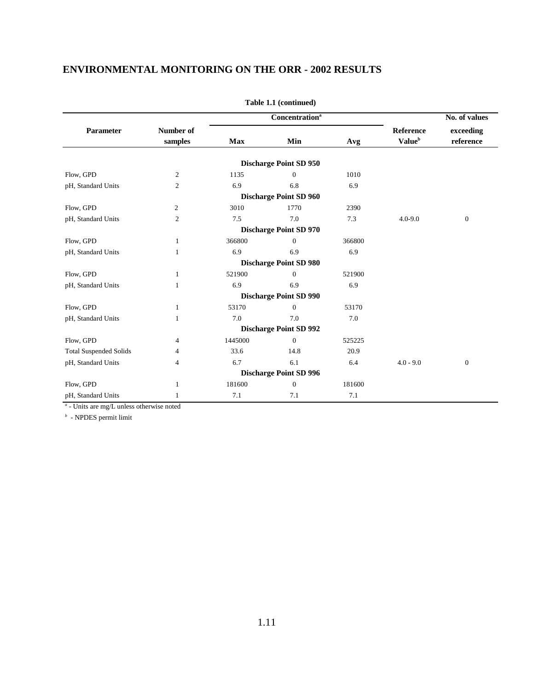|                               |                      |            | <b>Concentration</b> <sup>a</sup> |        |                                               | No. of values                |
|-------------------------------|----------------------|------------|-----------------------------------|--------|-----------------------------------------------|------------------------------|
| Parameter                     | Number of<br>samples | <b>Max</b> | Min                               | Avg    | <b>Reference</b><br><b>Value</b> <sup>b</sup> | exceeding<br>$\rm reference$ |
|                               |                      |            | <b>Discharge Point SD 950</b>     |        |                                               |                              |
| Flow, GPD                     | $\overline{c}$       | 1135       | $\Omega$                          | 1010   |                                               |                              |
| pH, Standard Units            | $\overline{c}$       | 6.9        | 6.8                               | 6.9    |                                               |                              |
|                               |                      |            | <b>Discharge Point SD 960</b>     |        |                                               |                              |
| Flow, GPD                     | 2                    | 3010       | 1770                              | 2390   |                                               |                              |
| pH, Standard Units            | $\mathfrak{2}$       | 7.5        | 7.0                               | 7.3    | $4.0 - 9.0$                                   | $\boldsymbol{0}$             |
|                               |                      |            | <b>Discharge Point SD 970</b>     |        |                                               |                              |
| Flow, GPD                     | 1                    | 366800     | $\Omega$                          | 366800 |                                               |                              |
| pH, Standard Units            | 1                    | 6.9        | 6.9                               | 6.9    |                                               |                              |
|                               |                      |            | <b>Discharge Point SD 980</b>     |        |                                               |                              |
| Flow, GPD                     | $\mathbf{1}$         | 521900     | $\Omega$                          | 521900 |                                               |                              |
| pH, Standard Units            | $\mathbf{1}$         | 6.9        | 6.9                               | 6.9    |                                               |                              |
|                               |                      |            | <b>Discharge Point SD 990</b>     |        |                                               |                              |
| Flow, GPD                     | 1                    | 53170      | $\Omega$                          | 53170  |                                               |                              |
| pH, Standard Units            | 1                    | 7.0        | 7.0                               | 7.0    |                                               |                              |
|                               |                      |            | <b>Discharge Point SD 992</b>     |        |                                               |                              |
| Flow, GPD                     | 4                    | 1445000    | $\Omega$                          | 525225 |                                               |                              |
| <b>Total Suspended Solids</b> | 4                    | 33.6       | 14.8                              | 20.9   |                                               |                              |
| pH, Standard Units            | $\overline{4}$       | 6.7        | 6.1                               | 6.4    | $4.0 - 9.0$                                   | $\theta$                     |
|                               |                      |            | <b>Discharge Point SD 996</b>     |        |                                               |                              |
| Flow, GPD                     | -1                   | 181600     | $\Omega$                          | 181600 |                                               |                              |
| pH, Standard Units            |                      | 7.1        | 7.1                               | 7.1    |                                               |                              |

**Table 1.1 (continued)**

*a* - Units are mg/L unless otherwise noted

*b* - NPDES permit limit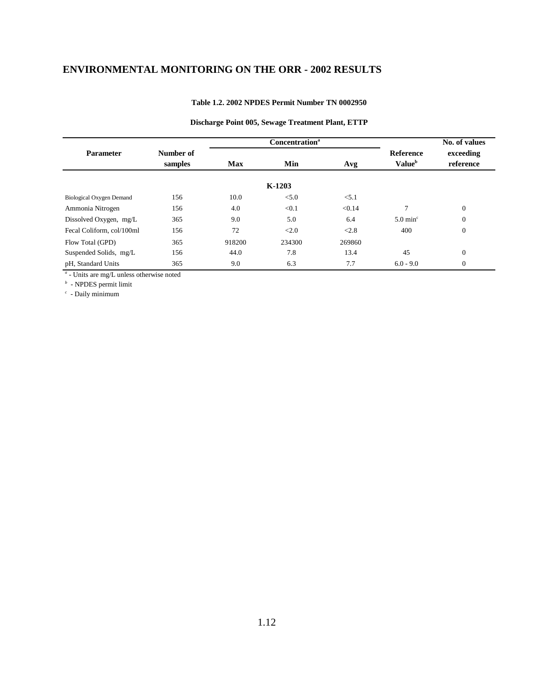#### **Table 1.2. 2002 NPDES Permit Number TN 0002950**

#### **Discharge Point 005, Sewage Treatment Plant, ETTP**

|                                 |                      |            | <b>Concentration</b> <sup>a</sup> |        | No. of values                                 |                        |
|---------------------------------|----------------------|------------|-----------------------------------|--------|-----------------------------------------------|------------------------|
| <b>Parameter</b>                | Number of<br>samples | <b>Max</b> | Min                               | Avg    | <b>Reference</b><br><b>Value</b> <sup>b</sup> | exceeding<br>reference |
|                                 |                      |            | $K-1203$                          |        |                                               |                        |
| <b>Biological Oxygen Demand</b> | 156                  | 10.0       | < 5.0                             | < 5.1  |                                               |                        |
| Ammonia Nitrogen                | 156                  | 4.0        | < 0.1                             | < 0.14 | $\mathcal{I}$                                 | $\Omega$               |
| Dissolved Oxygen, mg/L          | 365                  | 9.0        | 5.0                               | 6.4    | $5.0 \text{ min}^{\circ}$                     | $\mathbf{0}$           |
| Fecal Coliform, col/100ml       | 156                  | 72         | <2.0                              | < 2.8  | 400                                           | $\mathbf{0}$           |
| Flow Total (GPD)                | 365                  | 918200     | 234300                            | 269860 |                                               |                        |
| Suspended Solids, mg/L          | 156                  | 44.0       | 7.8                               | 13.4   | 45                                            | $\mathbf{0}$           |
| pH, Standard Units              | 365                  | 9.0        | 6.3                               | 7.7    | $6.0 - 9.0$                                   | $\mathbf{0}$           |

*a* - Units are mg/L unless otherwise noted

*b* - NPDES permit limit

*c* - Daily minimum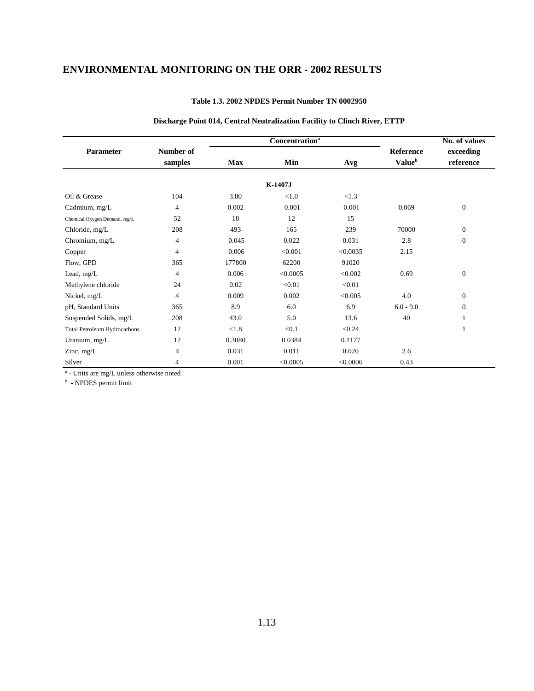|                                     |                |            | <b>Concentration</b> <sup>a</sup> |          |                           | No. of values    |
|-------------------------------------|----------------|------------|-----------------------------------|----------|---------------------------|------------------|
| Parameter                           | Number of      |            |                                   |          | <b>Reference</b>          | exceeding        |
|                                     | samples        | <b>Max</b> | Min                               | Avg      | <b>Value</b> <sup>b</sup> | reference        |
|                                     |                |            | K-1407J                           |          |                           |                  |
|                                     |                |            |                                   |          |                           |                  |
| Oil & Grease                        | 104            | 3.80       | < 1.0                             | < 1.3    |                           |                  |
| Cadmium, mg/L                       | $\overline{4}$ | 0.002      | 0.001                             | 0.001    | 0.069                     | $\boldsymbol{0}$ |
| Chemical Oxygen Demand, mg/L        | 52             | 18         | 12                                | 15       |                           |                  |
| Chloride, mg/L                      | 208            | 493        | 165                               | 239      | 70000                     | $\boldsymbol{0}$ |
| Chromium, mg/L                      | $\overline{4}$ | 0.045      | 0.022                             | 0.031    | 2.8                       | $\boldsymbol{0}$ |
| Copper                              | 4              | 0.006      | < 0.001                           | < 0.0035 | 2.15                      |                  |
| Flow, GPD                           | 365            | 177800     | 62200                             | 91020    |                           |                  |
| Lead, mg/L                          | $\overline{4}$ | 0.006      | < 0.0005                          | < 0.002  | 0.69                      | $\boldsymbol{0}$ |
| Methylene chloride                  | 24             | 0.02       | < 0.01                            | < 0.01   |                           |                  |
| Nickel, mg/L                        | $\overline{4}$ | 0.009      | 0.002                             | < 0.005  | 4.0                       | $\boldsymbol{0}$ |
| pH, Standard Units                  | 365            | 8.9        | 6.0                               | 6.9      | $6.0 - 9.0$               | $\mathbf{0}$     |
| Suspended Solids, mg/L              | 208            | 43.0       | 5.0                               | 13.6     | 40                        |                  |
| <b>Total Petroleum Hydrocarbons</b> | 12             | < 1.8      | < 0.1                             | < 0.24   |                           |                  |
| Uranium, mg/L                       | 12             | 0.3080     | 0.0384                            | 0.1177   |                           |                  |
| Zinc, $mg/L$                        | $\overline{4}$ | 0.031      | 0.011                             | 0.020    | 2.6                       |                  |
| Silver                              | 4              | 0.001      | < 0.0005                          | < 0.0006 | 0.43                      |                  |

#### **Table 1.3. 2002 NPDES Permit Number TN 0002950**

#### **Discharge Point 014, Central Neutralization Facility to Clinch River, ETTP**

*a* - Units are mg/L unless otherwise noted

*b* - NPDES permit limit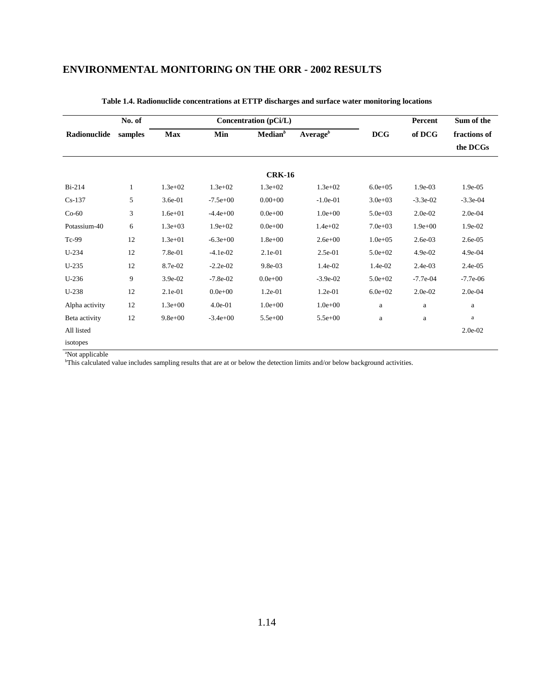|                | No. of  |             |             | Concentration (pCi/L) |                      |              | Percent     | Sum of the   |
|----------------|---------|-------------|-------------|-----------------------|----------------------|--------------|-------------|--------------|
| Radionuclide   | samples | <b>Max</b>  | Min         | Median <sup>b</sup>   | Average <sup>b</sup> | <b>DCG</b>   | of DCG      | fractions of |
|                |         |             |             |                       |                      |              |             | the DCGs     |
|                |         |             |             |                       |                      |              |             |              |
|                |         |             |             | <b>CRK-16</b>         |                      |              |             |              |
| $Bi-214$       | 1       | $1.3e+02$   | $1.3e + 02$ | $1.3e+02$             | $1.3e+02$            | $6.0e + 0.5$ | 1.9e-03     | $1.9e-0.5$   |
| $Cs-137$       | 5       | 3.6e-01     | $-7.5e+00$  | $0.00 + 00$           | $-1.0e-01$           | $3.0e + 03$  | $-3.3e-02$  | $-3.3e-04$   |
| $Co-60$        | 3       | $1.6e + 01$ | $-4.4e+00$  | $0.0e + 00$           | $1.0e + 00$          | $5.0e + 03$  | 2.0e-02     | $2.0e-04$    |
| Potassium-40   | 6       | $1.3e+03$   | $1.9e + 02$ | $0.0e + 00$           | $1.4e + 02$          | $7.0e + 03$  | $1.9e + 00$ | 1.9e-02      |
| Tc-99          | 12      | $1.3e + 01$ | $-6.3e+00$  | $1.8e + 00$           | $2.6e + 00$          | $1.0e + 0.5$ | $2.6e-03$   | 2.6e-05      |
| $U-234$        | 12      | 7.8e-01     | $-4.1e-02$  | $2.1e-01$             | 2.5e-01              | $5.0e + 02$  | $4.9e-02$   | 4.9e-04      |
| $U-235$        | 12      | 8.7e-02     | $-2.2e-02$  | 9.8e-03               | 1.4e-02              | 1.4e-02      | $2.4e-03$   | $2.4e-0.5$   |
| $U-236$        | 9       | 3.9e-02     | $-7.8e-02$  | $0.0e + 00$           | $-3.9e-02$           | $5.0e + 02$  | $-7.7e-04$  | $-7.7e-06$   |
| $U-238$        | 12      | 2.1e-01     | $0.0e + 00$ | $1.2e-01$             | $1.2e-01$            | $6.0e + 02$  | 2.0e-02     | 2.0e-04      |
| Alpha activity | 12      | $1.3e + 00$ | $4.0e-01$   | $1.0e + 00$           | $1.0e + 00$          | a            | $\rm{a}$    | $\mathbf{a}$ |
| Beta activity  | 12      | $9.8e + 00$ | $-3.4e+00$  | $5.5e+00$             | $5.5e+00$            | a            | $\mathbf a$ | $\rm{a}$     |
| All listed     |         |             |             |                       |                      |              |             | $2.0e-02$    |
| isotopes       |         |             |             |                       |                      |              |             |              |

**Table 1.4. Radionuclide concentrations at ETTP discharges and surface water monitoring locations**

a Not applicable b This calculated value includes sampling results that are at or below the detection limits and/or below background activities.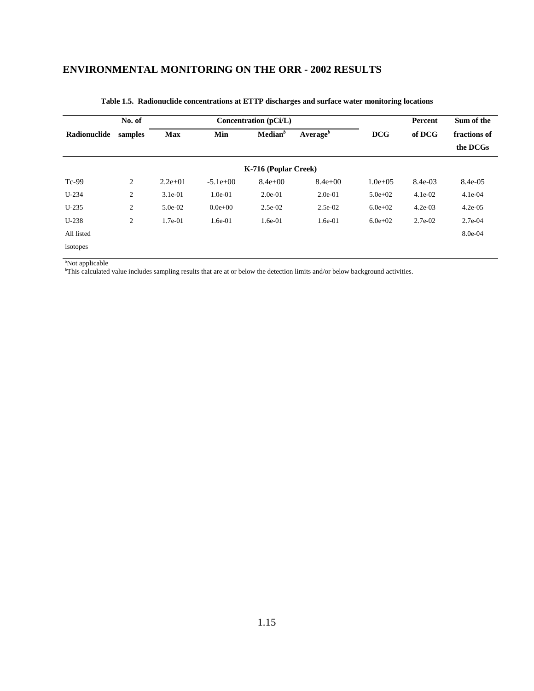|              | No. of  | Concentration (pCi/L) |              |                      |                      |              | Percent   | Sum of the               |  |
|--------------|---------|-----------------------|--------------|----------------------|----------------------|--------------|-----------|--------------------------|--|
| Radionuclide | samples | <b>Max</b>            | Min          | Median <sup>b</sup>  | Average <sup>b</sup> | <b>DCG</b>   | of DCG    | fractions of<br>the DCGs |  |
|              |         |                       |              | K-716 (Poplar Creek) |                      |              |           |                          |  |
| $Tc-99$      | 2       | $2.2e+01$             | $-5.1e+00$   | $8.4e+00$            | $8.4e + 00$          | $1.0e + 0.5$ | 8.4e-03   | 8.4e-05                  |  |
| $U-234$      | 2       | $3.1e-01$             | $1.0e-01$    | $2.0e-01$            | $2.0e-01$            | $5.0e + 02$  | $4.1e-02$ | $4.1e-04$                |  |
| $U-235$      | 2       | $5.0e-02$             | $0.0e + 0.0$ | $2.5e-02$            | $2.5e-02$            | $6.0e + 02$  | $4.2e-03$ | $4.2e-0.5$               |  |
| $U-238$      | 2       | $1.7e-01$             | $1.6e-01$    | $1.6e-01$            | $1.6e-01$            | $6.0e + 02$  | $2.7e-02$ | $2.7e-04$                |  |
| All listed   |         |                       |              |                      |                      |              |           | 8.0e-04                  |  |
| isotopes     |         |                       |              |                      |                      |              |           |                          |  |

#### **Table 1.5. Radionuclide concentrations at ETTP discharges and surface water monitoring locations**

a Not applicable b This calculated value includes sampling results that are at or below the detection limits and/or below background activities.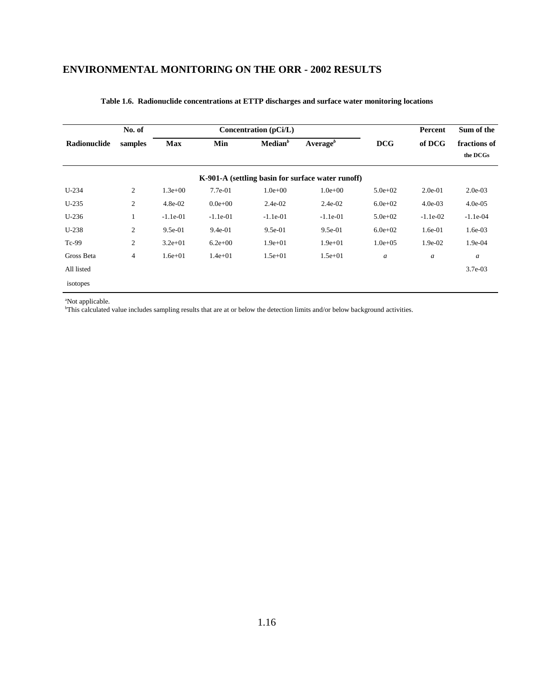|              | No. of  |             |             | Concentration $(pCi/L)$ |                                                   |                  | Percent          | Sum of the               |
|--------------|---------|-------------|-------------|-------------------------|---------------------------------------------------|------------------|------------------|--------------------------|
| Radionuclide | samples | <b>Max</b>  | Min         | Median <sup>b</sup>     | Average <sup>b</sup>                              | <b>DCG</b>       | of DCG           | fractions of<br>the DCGs |
|              |         |             |             |                         | K-901-A (settling basin for surface water runoff) |                  |                  |                          |
| $U-234$      | 2       | $1.3e+00$   | 7.7e-01     | $1.0e + 00$             | $1.0e + 00$                                       | $5.0e + 02$      | $2.0e-01$        | $2.0e-03$                |
| $U-235$      | 2       | $4.8e-02$   | $0.0e + 00$ | $2.4e-02$               | $2.4e-02$                                         | $6.0e + 02$      | $4.0e-03$        | $4.0e-05$                |
| $U-236$      |         | $-1.1e-01$  | $-1.1e-01$  | $-1.1e-01$              | $-1.1e-01$                                        | $5.0e + 02$      | $-1.1e-02$       | $-1.1e-04$               |
| $U-238$      | 2       | $9.5e-01$   | $9.4e-01$   | $9.5e-01$               | $9.5e-01$                                         | $6.0e + 02$      | $1.6e-01$        | $1.6e-03$                |
| Tc-99        | 2       | $3.2e+01$   | $6.2e+00$   | $1.9e + 01$             | $1.9e + 01$                                       | $1.0e + 0.5$     | 1.9e-02          | 1.9e-04                  |
| Gross Beta   | 4       | $1.6e + 01$ | $1.4e + 01$ | $1.5e + 01$             | $1.5e + 01$                                       | $\boldsymbol{a}$ | $\boldsymbol{a}$ | $\boldsymbol{a}$         |
| All listed   |         |             |             |                         |                                                   |                  |                  | $3.7e-03$                |
| isotopes     |         |             |             |                         |                                                   |                  |                  |                          |

#### **Table 1.6. Radionuclide concentrations at ETTP discharges and surface water monitoring locations**

a Not applicable.

b This calculated value includes sampling results that are at or below the detection limits and/or below background activities.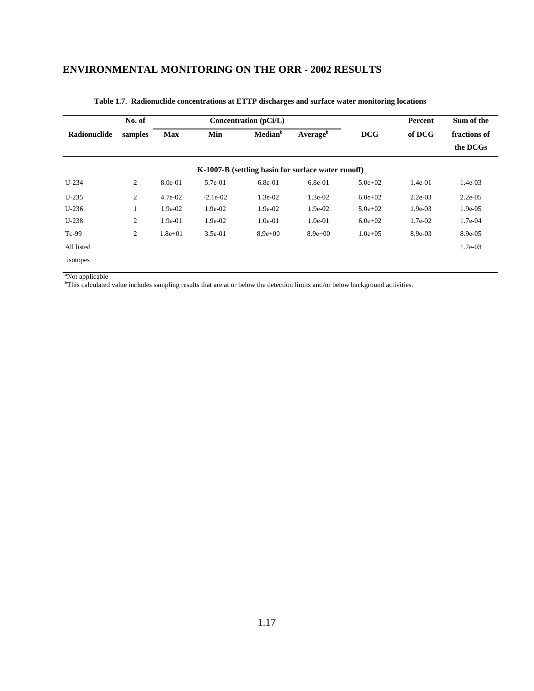|                     | No. of         |             |            | Concentration (pCi/L) |                                                    |              | Percent   | Sum of the               |
|---------------------|----------------|-------------|------------|-----------------------|----------------------------------------------------|--------------|-----------|--------------------------|
| <b>Radionuclide</b> | samples        | <b>Max</b>  | Min        | $\mathbf{Median}^b$   | Average $^b$                                       | <b>DCG</b>   | of DCG    | fractions of<br>the DCGs |
|                     |                |             |            |                       | K-1007-B (settling basin for surface water runoff) |              |           |                          |
| $U-234$             | $\overline{c}$ | 8.0e-01     | 5.7e-01    | $6.8e-01$             | $6.8e-01$                                          | $5.0e + 02$  | $1.4e-01$ | $1.4e-03$                |
| $U-235$             | 2              | $4.7e-02$   | $-2.1e-02$ | $1.3e-02$             | $1.3e-02$                                          | $6.0e + 02$  | $2.2e-03$ | $2.2e-0.5$               |
| $U-236$             | $\perp$        | $1.9e-02$   | $1.9e-02$  | $1.9e-02$             | $1.9e-02$                                          | $5.0e + 02$  | $1.9e-03$ | $1.9e-0.5$               |
| $U-238$             | $\overline{c}$ | 1.9e-01     | $1.9e-02$  | $1.0e-01$             | $1.0e-01$                                          | $6.0e + 02$  | $1.7e-02$ | 1.7e-04                  |
| Tc-99               | $\overline{c}$ | $1.8e + 01$ | $3.5e-01$  | $8.9e+00$             | $8.9e + 00$                                        | $1.0e + 0.5$ | $8.9e-03$ | 8.9e-05                  |
| All listed          |                |             |            |                       |                                                    |              |           | 1.7e-03                  |
| isotopes            |                |             |            |                       |                                                    |              |           |                          |

#### **Table 1.7. Radionuclide concentrations at ETTP discharges and surface water monitoring locations**

a Not applicable b This calculated value includes sampling results that are at or below the detection limits and/or below background activities.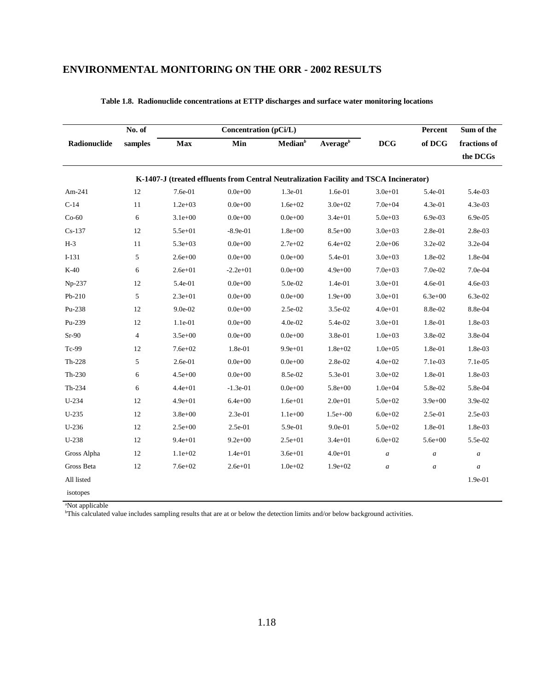|              | No. of         |             | Concentration (pCi/L)                                                                  |                     |                      |              | Percent          | Sum of the       |
|--------------|----------------|-------------|----------------------------------------------------------------------------------------|---------------------|----------------------|--------------|------------------|------------------|
| Radionuclide | samples        | Max         | Min                                                                                    | Median <sup>b</sup> | Average <sup>b</sup> | <b>DCG</b>   | of DCG           | fractions of     |
|              |                |             |                                                                                        |                     |                      |              |                  | the DCGs         |
|              |                |             | K-1407-J (treated effluents from Central Neutralization Facility and TSCA Incinerator) |                     |                      |              |                  |                  |
| Am-241       | 12             | 7.6e-01     | $0.0e + 00$                                                                            | 1.3e-01             | 1.6e-01              | $3.0e + 01$  | 5.4e-01          | 5.4e-03          |
| $C-14$       | 11             | $1.2e + 03$ | $0.0e + 00$                                                                            | $1.6e + 02$         | $3.0e + 02$          | $7.0e + 04$  | 4.3e-01          | 4.3e-03          |
| $Co-60$      | 6              | $3.1e + 00$ | $0.0e + 00$                                                                            | $0.0e + 00$         | $3.4e + 01$          | $5.0e + 03$  | 6.9e-03          | 6.9e-05          |
| $Cs-137$     | 12             | $5.5e + 01$ | $-8.9e-01$                                                                             | $1.8e + 00$         | $8.5e + 00$          | $3.0e + 03$  | 2.8e-01          | 2.8e-03          |
| $H-3$        | 11             | $5.3e + 03$ | $0.0e + 00$                                                                            | $2.7e+02$           | $6.4e + 02$          | $2.0e + 06$  | 3.2e-02          | 3.2e-04          |
| $I-131$      | 5              | $2.6e + 00$ | $0.0e + 00$                                                                            | $0.0e + 00$         | 5.4e-01              | $3.0e + 03$  | 1.8e-02          | 1.8e-04          |
| $K-40$       | 6              | $2.6e + 01$ | $-2.2e+01$                                                                             | $0.0e + 00$         | $4.9e + 00$          | $7.0e + 03$  | 7.0e-02          | 7.0e-04          |
| $Np-237$     | 12             | 5.4e-01     | $0.0e + 00$                                                                            | $5.0e-02$           | 1.4e-01              | $3.0e + 01$  | $4.6e-01$        | 4.6e-03          |
| Pb-210       | 5              | $2.3e + 01$ | $0.0e + 00$                                                                            | $0.0e + 00$         | $1.9e + 00$          | $3.0e + 01$  | $6.3e + 00$      | 6.3e-02          |
| Pu-238       | 12             | 9.0e-02     | $0.0e + 00$                                                                            | 2.5e-02             | 3.5e-02              | $4.0e + 01$  | 8.8e-02          | 8.8e-04          |
| Pu-239       | 12             | 1.1e-01     | $0.0e + 00$                                                                            | $4.0e-02$           | 5.4e-02              | $3.0e + 01$  | 1.8e-01          | 1.8e-03          |
| $Sr-90$      | $\overline{4}$ | $3.5e + 00$ | $0.0e + 00$                                                                            | $0.0e + 00$         | 3.8e-01              | $1.0e + 03$  | $3.8e-02$        | 3.8e-04          |
| Tc-99        | 12             | $7.6e + 02$ | 1.8e-01                                                                                | $9.9e + 01$         | $1.8e + 02$          | $1.0e + 0.5$ | 1.8e-01          | 1.8e-03          |
| $Th-228$     | 5              | 2.6e-01     | $0.0e + 00$                                                                            | $0.0e + 00$         | 2.8e-02              | $4.0e + 02$  | 7.1e-03          | 7.1e-05          |
| $Th-230$     | 6              | $4.5e + 00$ | $0.0e + 00$                                                                            | 8.5e-02             | 5.3e-01              | $3.0e + 02$  | 1.8e-01          | 1.8e-03          |
| Th-234       | 6              | $4.4e + 01$ | $-1.3e-01$                                                                             | $0.0e + 00$         | $5.8e + 00$          | $1.0e + 04$  | 5.8e-02          | 5.8e-04          |
| $U-234$      | 12             | $4.9e + 01$ | $6.4e + 00$                                                                            | $1.6e + 01$         | $2.0e + 01$          | $5.0e + 02$  | $3.9e + 00$      | 3.9e-02          |
| $U-235$      | 12             | $3.8e + 00$ | 2.3e-01                                                                                | $1.1e+00$           | $1.5e+ -00$          | $6.0e + 02$  | 2.5e-01          | 2.5e-03          |
| $U-236$      | 12             | $2.5e+00$   | 2.5e-01                                                                                | 5.9e-01             | 9.0e-01              | $5.0e + 02$  | 1.8e-01          | 1.8e-03          |
| U-238        | 12             | $9.4e + 01$ | $9.2e + 00$                                                                            | $2.5e + 01$         | $3.4e + 01$          | $6.0e + 02$  | $5.6e + 00$      | 5.5e-02          |
| Gross Alpha  | 12             | $1.1e+02$   | $1.4e + 01$                                                                            | $3.6e + 01$         | $4.0e + 01$          | a            | $\boldsymbol{a}$ | $\boldsymbol{a}$ |
| Gross Beta   | 12             | $7.6e + 02$ | $2.6e + 01$                                                                            | $1.0e + 02$         | $1.9e + 02$          | a            | $\boldsymbol{a}$ | $\boldsymbol{a}$ |
| All listed   |                |             |                                                                                        |                     |                      |              |                  | 1.9e-01          |
| isotopes     |                |             |                                                                                        |                     |                      |              |                  |                  |

#### **Table 1.8. Radionuclide concentrations at ETTP discharges and surface water monitoring locations**

a Not applicable

b This calculated value includes sampling results that are at or below the detection limits and/or below background activities.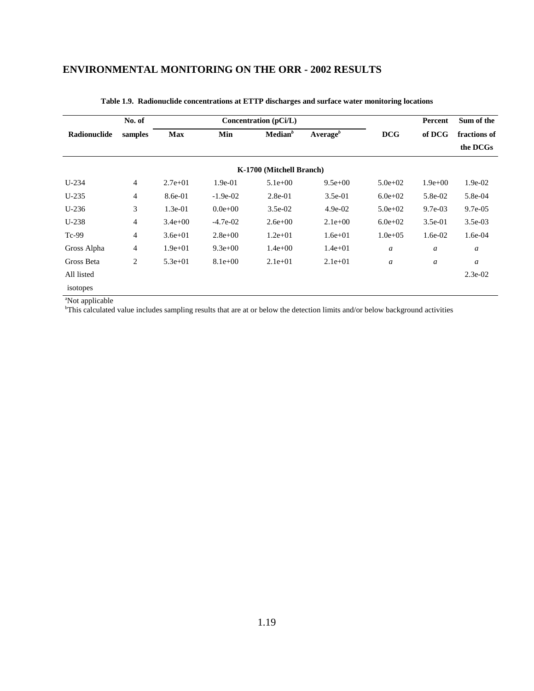|              | No. of  |             |                                                    | Concentration (pCi/L)    |             |                  | Percent                  | Sum of the |
|--------------|---------|-------------|----------------------------------------------------|--------------------------|-------------|------------------|--------------------------|------------|
| Radionuclide | samples | <b>Max</b>  | Median <sup>b</sup><br>Min<br>Average <sup>b</sup> |                          | <b>DCG</b>  | of DCG           | fractions of<br>the DCGs |            |
|              |         |             |                                                    | K-1700 (Mitchell Branch) |             |                  |                          |            |
| $U-234$      | 4       | $2.7e+01$   | $1.9e-01$                                          | $5.1e+00$                | $9.5e+00$   | $5.0e + 02$      | $1.9e + 00$              | $1.9e-02$  |
| $U-235$      | 4       | 8.6e-01     | $-1.9e-02$                                         | $2.8e-01$                | $3.5e-01$   | $6.0e + 02$      | 5.8e-02                  | 5.8e-04    |
| $U-236$      | 3       | $1.3e-01$   | $0.0e + 00$                                        | $3.5e-02$                | $4.9e-02$   | $5.0e + 02$      | $9.7e-03$                | $9.7e-0.5$ |
| $U-238$      | 4       | $3.4e + 00$ | $-4.7e-02$                                         | $2.6e + 00$              | $2.1e+00$   | $6.0e + 02$      | $3.5e-01$                | $3.5e-03$  |
| $Tc-99$      | 4       | $3.6e + 01$ | $2.8e+00$                                          | $1.2e + 01$              | $1.6e + 01$ | $1.0e + 0.5$     | $1.6e-02$                | $1.6e-04$  |
| Gross Alpha  | 4       | $1.9e + 01$ | $9.3e+00$                                          | $1.4e + 00$              | $1.4e + 01$ | $\boldsymbol{a}$ | $\boldsymbol{a}$         | a          |
| Gross Beta   | 2       | $5.3e + 01$ | $8.1e+00$                                          | $2.1e+01$                | $2.1e+01$   | $\boldsymbol{a}$ | $\boldsymbol{a}$         | a          |
| All listed   |         |             |                                                    |                          |             |                  |                          | $2.3e-02$  |
| isotopes     |         |             |                                                    |                          |             |                  |                          |            |

#### **Table 1.9. Radionuclide concentrations at ETTP discharges and surface water monitoring locations**

a Not applicable

b This calculated value includes sampling results that are at or below the detection limits and/or below background activities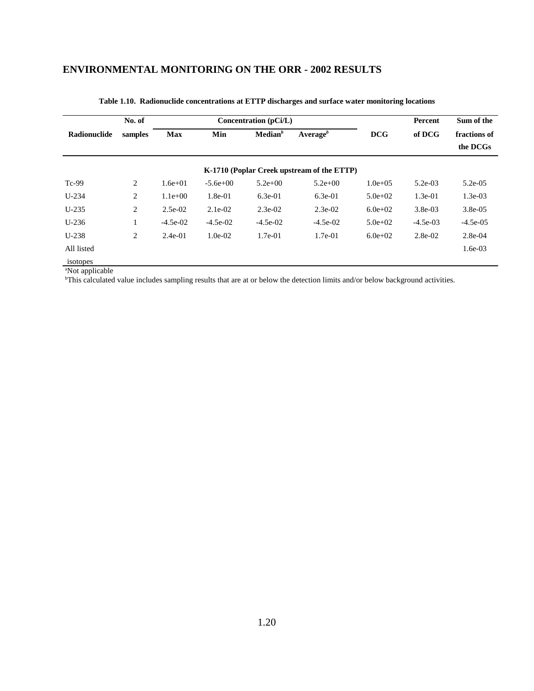|              | No. of  |             |            | Concentration (pCi/L) |                                            |              | Percent    | Sum of the   |
|--------------|---------|-------------|------------|-----------------------|--------------------------------------------|--------------|------------|--------------|
| Radionuclide | samples | <b>Max</b>  | Min        | Median <sup>b</sup>   | Average <sup>b</sup>                       | <b>DCG</b>   | of DCG     | fractions of |
|              |         |             |            |                       |                                            |              |            | the DCGs     |
|              |         |             |            |                       | K-1710 (Poplar Creek upstream of the ETTP) |              |            |              |
| $Tc-99$      | 2       | $1.6e + 01$ | $-5.6e+00$ | $5.2e + 00$           | $5.2e + 00$                                | $1.0e + 0.5$ | $5.2e-03$  | $5.2e-05$    |
| $U-234$      | 2       | $1.1e+00$   | $1.8e-01$  | $6.3e-01$             | $6.3e-01$                                  | $5.0e + 02$  | $1.3e-01$  | $1.3e-03$    |
| $U-235$      | 2       | $2.5e-02$   | $2.1e-02$  | $2.3e-02$             | $2.3e-02$                                  | $6.0e + 02$  | $3.8e-03$  | $3.8e-0.5$   |
| $U-236$      | л.      | $-4.5e-02$  | $-4.5e-02$ | $-4.5e-02$            | $-4.5e-02$                                 | $5.0e + 02$  | $-4.5e-03$ | $-4.5e-0.5$  |
| $U-238$      | 2       | $2.4e-01$   | $1.0e-02$  | $1.7e-01$             | $1.7e-01$                                  | $6.0e + 02$  | $2.8e-02$  | $2.8e-04$    |
| All listed   |         |             |            |                       |                                            |              |            | $1.6e-03$    |
| isotones     |         |             |            |                       |                                            |              |            |              |

**Table 1.10. Radionuclide concentrations at ETTP discharges and surface water monitoring locations**

isotopes a Not applicable

b This calculated value includes sampling results that are at or below the detection limits and/or below background activities.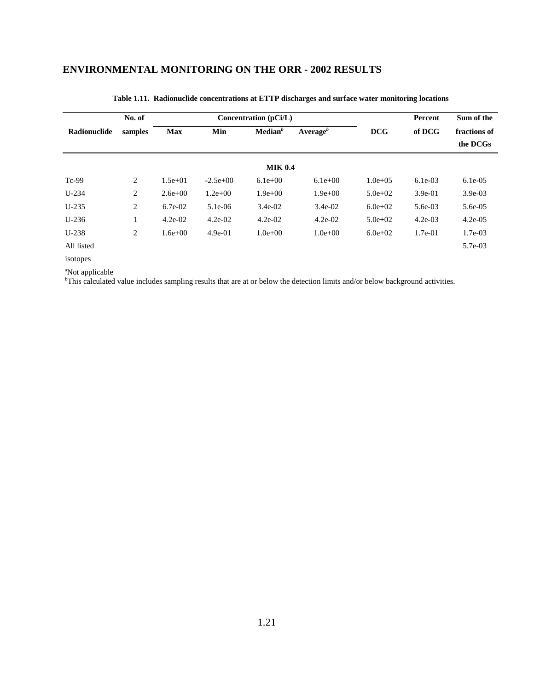|              | No. of         |             |            | Concentration (pCi/L) |                      |              | Percent   | Sum of the               |
|--------------|----------------|-------------|------------|-----------------------|----------------------|--------------|-----------|--------------------------|
| Radionuclide | samples        | <b>Max</b>  | Min        | Median <sup>b</sup>   | Average <sup>b</sup> | <b>DCG</b>   | of DCG    | fractions of<br>the DCGs |
|              |                |             |            | <b>MIK 0.4</b>        |                      |              |           |                          |
| $Tc-99$      | 2              | $1.5e+01$   | $-2.5e+00$ | $6.1e+00$             | $6.1e+00$            | $1.0e + 0.5$ | $6.1e-03$ | $6.1e-0.5$               |
| $U-234$      | 2              | $2.6e + 00$ | $1.2e+00$  | $1.9e + 00$           | $1.9e + 00$          | $5.0e + 02$  | $3.9e-01$ | $3.9e-03$                |
| $U-235$      | $\overline{c}$ | 6.7e-02     | $5.1e-06$  | $3.4e-02$             | $3.4e-02$            | $6.0e + 02$  | 5.6e-03   | 5.6e-05                  |
| $U-236$      | $\mathbf{1}$   | $4.2e-02$   | $4.2e-02$  | $4.2e-02$             | $4.2e-02$            | $5.0e + 02$  | $4.2e-03$ | $4.2e-05$                |
| $U-238$      | 2              | $1.6e + 00$ | $4.9e-01$  | $1.0e+00$             | $1.0e + 00$          | $6.0e + 02$  | $1.7e-01$ | $1.7e-03$                |
| All listed   |                |             |            |                       |                      |              |           | 5.7e-03                  |
| isotopes     |                |             |            |                       |                      |              |           |                          |

#### **Table 1.11. Radionuclide concentrations at ETTP discharges and surface water monitoring locations**

a Not applicable b This calculated value includes sampling results that are at or below the detection limits and/or below background activities.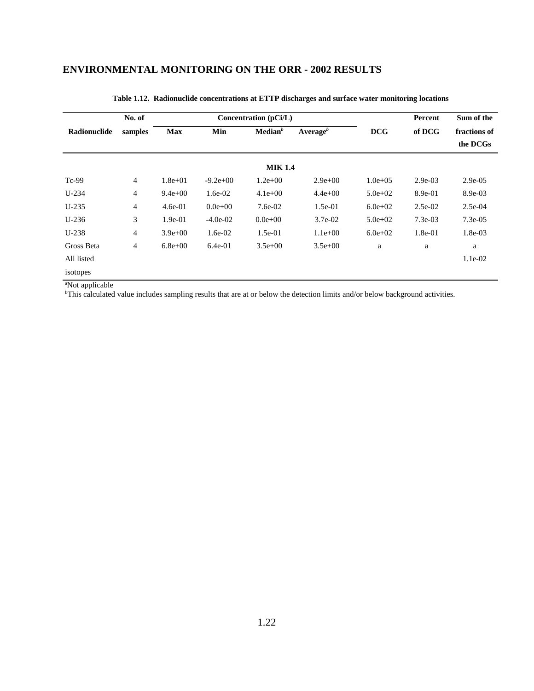|              | No. of         |             |             | Concentration (pCi/L) |              |              | Percent   | Sum of the               |
|--------------|----------------|-------------|-------------|-----------------------|--------------|--------------|-----------|--------------------------|
| Radionuclide | samples        | <b>Max</b>  | Min         | Median <sup>b</sup>   | Average $^b$ | <b>DCG</b>   | of DCG    | fractions of<br>the DCGs |
|              |                |             |             | <b>MIK 1.4</b>        |              |              |           |                          |
| $Tc-99$      | $\overline{4}$ | $1.8e + 01$ | $-9.2e+00$  | $1.2e+00$             | $2.9e+00$    | $1.0e + 0.5$ | $2.9e-03$ | $2.9e-0.5$               |
| $U-234$      | $\overline{4}$ | $9.4e + 00$ | 1.6e-02     | $4.1e+00$             | $4.4e + 00$  | $5.0e + 02$  | 8.9e-01   | 8.9e-03                  |
| $U-235$      | 4              | $4.6e-01$   | $0.0e + 00$ | $7.6e-02$             | $1.5e-01$    | $6.0e + 02$  | $2.5e-02$ | $2.5e-04$                |
| $U-236$      | 3              | $1.9e-01$   | $-4.0e-02$  | $0.0e + 00$           | $3.7e-02$    | $5.0e + 02$  | $7.3e-03$ | $7.3e-0.5$               |
| $U-238$      | 4              | $3.9e + 00$ | $1.6e-02$   | $1.5e-01$             | $1.1e+00$    | $6.0e + 02$  | 1.8e-01   | $1.8e-03$                |
| Gross Beta   | 4              | $6.8e + 00$ | $6.4e-01$   | $3.5e+00$             | $3.5e+00$    | a            | a         | a                        |
| All listed   |                |             |             |                       |              |              |           | $1.1e-02$                |
| isotopes     |                |             |             |                       |              |              |           |                          |

#### **Table 1.12. Radionuclide concentrations at ETTP discharges and surface water monitoring locations**

a Not applicable b This calculated value includes sampling results that are at or below the detection limits and/or below background activities.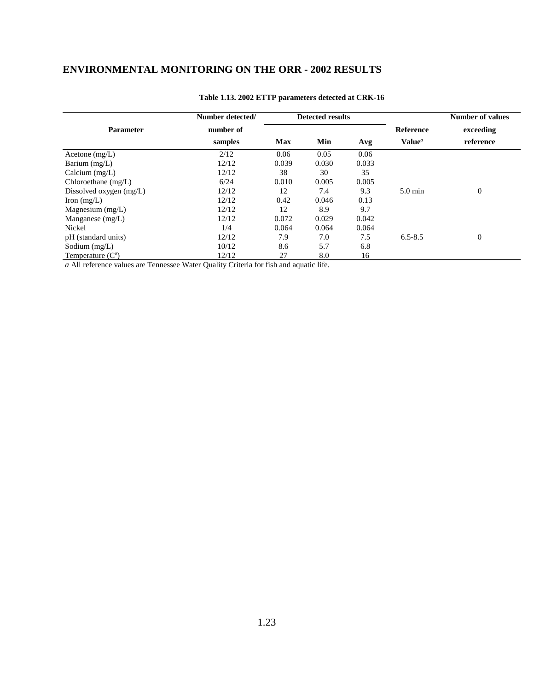|                         | Number detected/ |            | <b>Detected results</b> |       |                    | <b>Number of values</b> |
|-------------------------|------------------|------------|-------------------------|-------|--------------------|-------------------------|
| <b>Parameter</b>        | number of        |            |                         |       | Reference          | exceeding               |
|                         | samples          | <b>Max</b> | Min                     | Avg   | Value <sup>a</sup> | reference               |
| Acetone $(mg/L)$        | 2/12             | 0.06       | 0.05                    | 0.06  |                    |                         |
| Barium $(mg/L)$         | 12/12            | 0.039      | 0.030                   | 0.033 |                    |                         |
| Calcium $(mg/L)$        | 12/12            | 38         | 30                      | 35    |                    |                         |
| Chloroethane $(mg/L)$   | 6/24             | 0.010      | 0.005                   | 0.005 |                    |                         |
| Dissolved oxygen (mg/L) | 12/12            | 12         | 7.4                     | 9.3   | $5.0 \text{ min}$  | $\boldsymbol{0}$        |
| Iron $(mg/L)$           | 12/12            | 0.42       | 0.046                   | 0.13  |                    |                         |
| Magnesium $(mg/L)$      | 12/12            | 12         | 8.9                     | 9.7   |                    |                         |
| Manganese $(mg/L)$      | 12/12            | 0.072      | 0.029                   | 0.042 |                    |                         |
| Nickel                  | 1/4              | 0.064      | 0.064                   | 0.064 |                    |                         |
| pH (standard units)     | 12/12            | 7.9        | 7.0                     | 7.5   | $6.5 - 8.5$        | $\boldsymbol{0}$        |
| Sodium $(mg/L)$         | 10/12            | 8.6        | 5.7                     | 6.8   |                    |                         |
| Temperature $(Co)$      | 12/12            | 27         | 8.0                     | 16    |                    |                         |

#### **Table 1.13. 2002 ETTP parameters detected at CRK-16**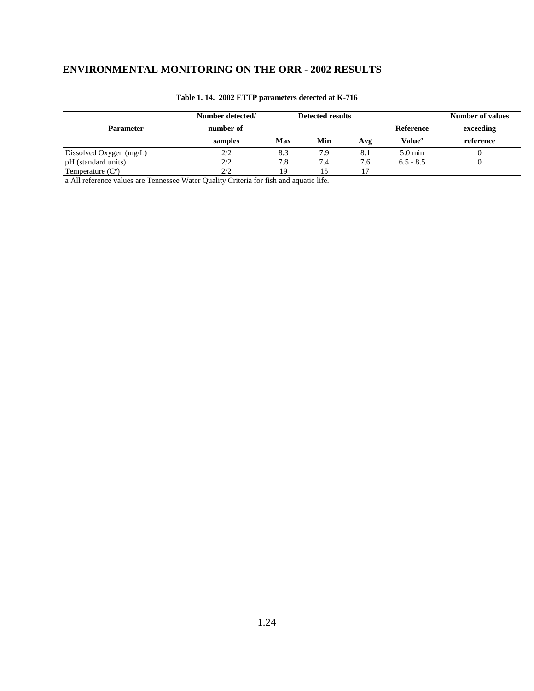|                         | Number detected/ |     | <b>Detected results</b> |     |                    | <b>Number of values</b> |
|-------------------------|------------------|-----|-------------------------|-----|--------------------|-------------------------|
| <b>Parameter</b>        | number of        |     |                         |     | <b>Reference</b>   | exceeding               |
|                         | samples          | Max | Min                     | Avg | Value <sup>a</sup> | reference               |
| Dissolved Oxygen (mg/L) | 2/2              | 8.3 | 7.9                     | 8.1 | $5.0 \text{ min}$  |                         |
| pH (standard units)     | 2/2              | 7.8 | 7.4                     | 7.6 | $6.5 - 8.5$        |                         |
| Temperature $(Co)$      | 2/2              | 19  |                         | 17  |                    |                         |

#### **Table 1. 14. 2002 ETTP parameters detected at K-716**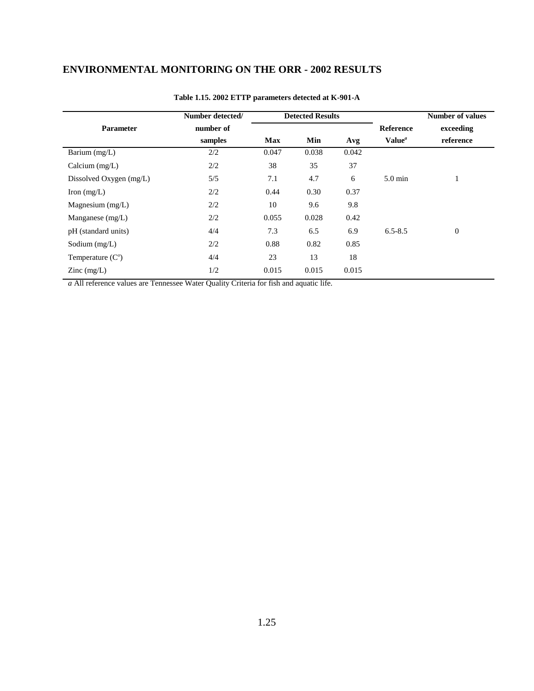|                         | Number detected/ |            | <b>Detected Results</b> |       |                           | <b>Number of values</b> |
|-------------------------|------------------|------------|-------------------------|-------|---------------------------|-------------------------|
| <b>Parameter</b>        | number of        |            |                         |       | Reference                 | exceeding               |
|                         | samples          | <b>Max</b> | Min                     | Avg   | Value <sup><i>a</i></sup> | reference               |
| Barium (mg/L)           | 2/2              | 0.047      | 0.038                   | 0.042 |                           |                         |
| Calcium $(mg/L)$        | 2/2              | 38         | 35                      | 37    |                           |                         |
| Dissolved Oxygen (mg/L) | 5/5              | 7.1        | 4.7                     | 6     | $5.0 \text{ min}$         | 1                       |
| Iron $(mg/L)$           | 2/2              | 0.44       | 0.30                    | 0.37  |                           |                         |
| Magnesium $(mg/L)$      | 2/2              | 10         | 9.6                     | 9.8   |                           |                         |
| Manganese $(mg/L)$      | 2/2              | 0.055      | 0.028                   | 0.42  |                           |                         |
| pH (standard units)     | 4/4              | 7.3        | 6.5                     | 6.9   | $6.5 - 8.5$               | $\boldsymbol{0}$        |
| Sodium $(mg/L)$         | 2/2              | 0.88       | 0.82                    | 0.85  |                           |                         |
| Temperature $(Co)$      | 4/4              | 23         | 13                      | 18    |                           |                         |
| $\text{Zinc}$ (mg/L)    | 1/2              | 0.015      | 0.015                   | 0.015 |                           |                         |

#### **Table 1.15. 2002 ETTP parameters detected at K-901-A**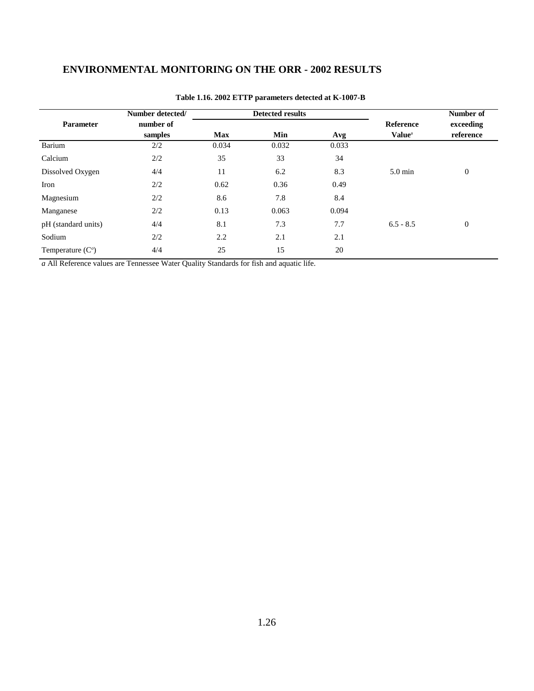|                     | Number detected/ |            | <b>Detected results</b> |       |                           | Number of        |
|---------------------|------------------|------------|-------------------------|-------|---------------------------|------------------|
| <b>Parameter</b>    | number of        |            |                         |       | <b>Reference</b>          | exceeding        |
|                     | samples          | <b>Max</b> | Min                     | Avg   | <b>Value</b> <sup>a</sup> | reference        |
| Barium              | 2/2              | 0.034      | 0.032                   | 0.033 |                           |                  |
| Calcium             | 2/2              | 35         | 33                      | 34    |                           |                  |
| Dissolved Oxygen    | 4/4              | 11         | 6.2                     | 8.3   | $5.0 \text{ min}$         | $\boldsymbol{0}$ |
| Iron                | 2/2              | 0.62       | 0.36                    | 0.49  |                           |                  |
| Magnesium           | 2/2              | 8.6        | 7.8                     | 8.4   |                           |                  |
| Manganese           | 2/2              | 0.13       | 0.063                   | 0.094 |                           |                  |
| pH (standard units) | 4/4              | 8.1        | 7.3                     | 7.7   | $6.5 - 8.5$               | $\boldsymbol{0}$ |
| Sodium              | 2/2              | 2.2        | 2.1                     | 2.1   |                           |                  |
| Temperature $(Co)$  | 4/4              | 25         | 15                      | 20    |                           |                  |

#### **Table 1.16. 2002 ETTP parameters detected at K-1007-B**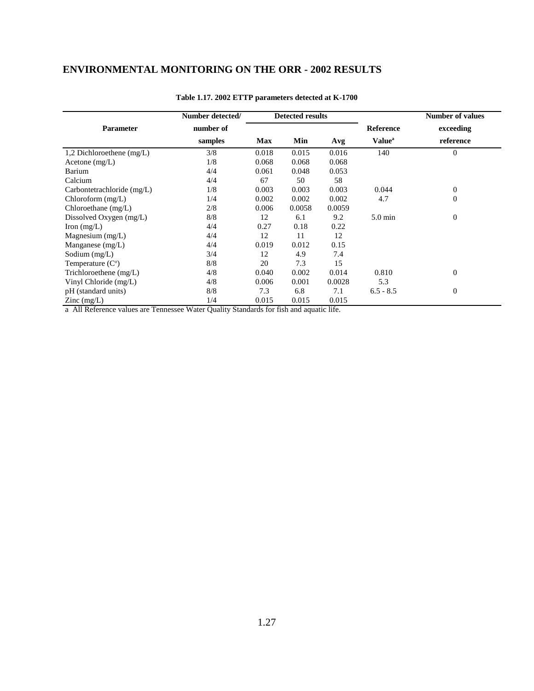|                             | Number detected/ |            | <b>Detected results</b> |        |                           | <b>Number of values</b> |
|-----------------------------|------------------|------------|-------------------------|--------|---------------------------|-------------------------|
| <b>Parameter</b>            | number of        |            |                         |        | <b>Reference</b>          | exceeding               |
|                             | samples          | <b>Max</b> | Min                     | Avg    | <b>Value</b> <sup>a</sup> | reference               |
| 1,2 Dichloroethene $(mg/L)$ | 3/8              | 0.018      | 0.015                   | 0.016  | 140                       | $\mathbf 0$             |
| Acetone $(mg/L)$            | 1/8              | 0.068      | 0.068                   | 0.068  |                           |                         |
| Barium                      | 4/4              | 0.061      | 0.048                   | 0.053  |                           |                         |
| Calcium                     | 4/4              | 67         | 50                      | 58     |                           |                         |
| Carbontetrachloride (mg/L)  | 1/8              | 0.003      | 0.003                   | 0.003  | 0.044                     | $\boldsymbol{0}$        |
| Chloroform $(mg/L)$         | 1/4              | 0.002      | 0.002                   | 0.002  | 4.7                       | $\overline{0}$          |
| Chloroethane (mg/L)         | 2/8              | 0.006      | 0.0058                  | 0.0059 |                           |                         |
| Dissolved Oxygen (mg/L)     | 8/8              | 12         | 6.1                     | 9.2    | $5.0 \text{ min}$         | $\boldsymbol{0}$        |
| Iron $(mg/L)$               | 4/4              | 0.27       | 0.18                    | 0.22   |                           |                         |
| Magnesium $(mg/L)$          | 4/4              | 12         | 11                      | 12     |                           |                         |
| Manganese $(mg/L)$          | 4/4              | 0.019      | 0.012                   | 0.15   |                           |                         |
| Sodium $(mg/L)$             | 3/4              | 12         | 4.9                     | 7.4    |                           |                         |
| Temperature $(Co)$          | 8/8              | 20         | 7.3                     | 15     |                           |                         |
| Trichloroethene $(mg/L)$    | 4/8              | 0.040      | 0.002                   | 0.014  | 0.810                     | $\Omega$                |
| Vinyl Chloride (mg/L)       | 4/8              | 0.006      | 0.001                   | 0.0028 | 5.3                       |                         |
| pH (standard units)         | 8/8              | 7.3        | 6.8                     | 7.1    | $6.5 - 8.5$               | $\theta$                |
| $\text{Zinc}$ (mg/L)        | 1/4              | 0.015      | 0.015                   | 0.015  |                           |                         |

#### **Table 1.17. 2002 ETTP parameters detected at K-1700**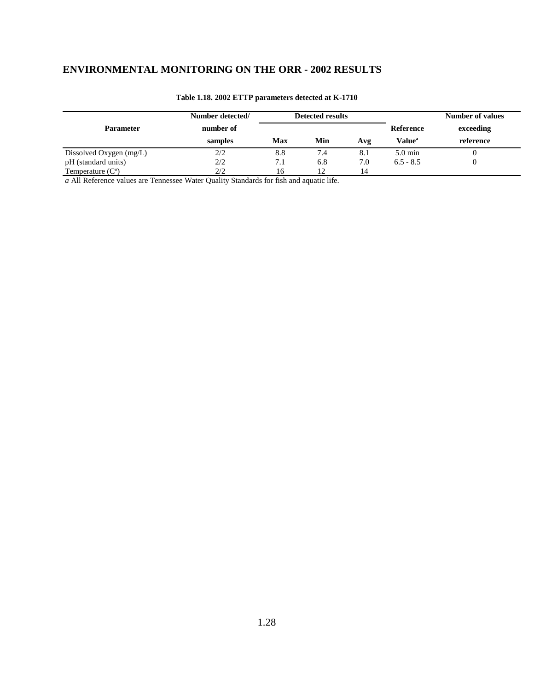|                         | Number detected/ | <b>Detected results</b> |     |     |                    | <b>Number of values</b> |
|-------------------------|------------------|-------------------------|-----|-----|--------------------|-------------------------|
| <b>Parameter</b>        | number of        |                         |     |     | Reference          | exceeding               |
|                         | samples          | Max                     | Min | Avg | Value <sup>a</sup> | reference               |
| Dissolved Oxygen (mg/L) | 2/2              | 8.8                     | 7.4 | 8.1 | $5.0 \text{ min}$  |                         |
| pH (standard units)     | 2/2              | 7.1                     | 6.8 | 7.0 | $6.5 - 8.5$        |                         |
| Temperature $(Co)$      | フ/フ              | 6                       | 12  |     |                    |                         |

#### **Table 1.18. 2002 ETTP parameters detected at K-1710**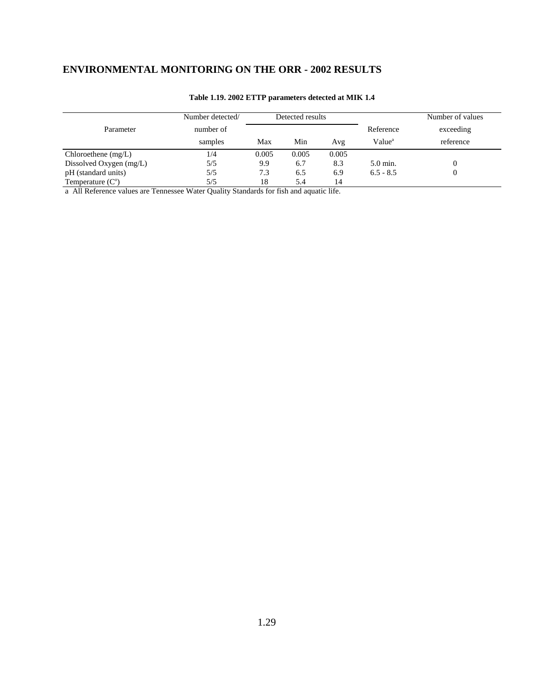|                         | Number detected/ |       | Detected results |       |                    | Number of values |
|-------------------------|------------------|-------|------------------|-------|--------------------|------------------|
| Parameter               | number of        |       |                  |       | Reference          | exceeding        |
|                         | samples          | Max   | Min              | Avg   | Value <sup>a</sup> | reference        |
| Chloroethene $(mg/L)$   | 1/4              | 0.005 | 0.005            | 0.005 |                    |                  |
| Dissolved Oxygen (mg/L) | 5/5              | 9.9   | 6.7              | 8.3   | $5.0$ min.         |                  |
| pH (standard units)     | 5/5              | 7.3   | 6.5              | 6.9   | $6.5 - 8.5$        |                  |
| Temperature $(Co)$      | 5/5              | 18    | 5.4              | 14    |                    |                  |

#### **Table 1.19. 2002 ETTP parameters detected at MIK 1.4**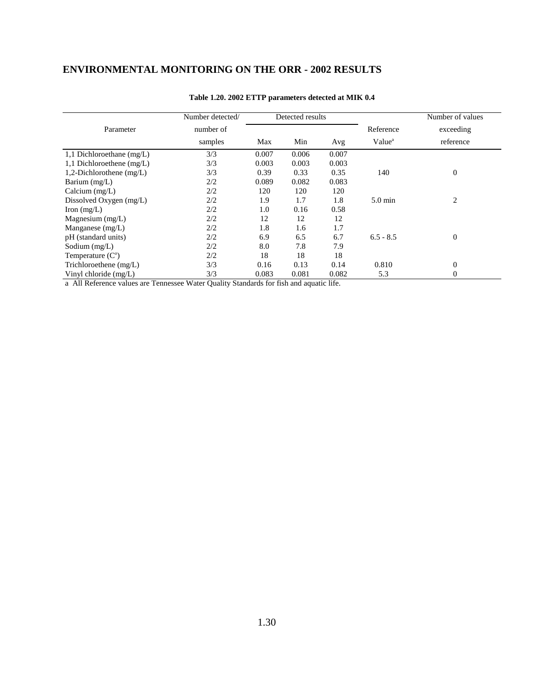|                             | Number detected/ | Detected results |       |       |                    | Number of values |
|-----------------------------|------------------|------------------|-------|-------|--------------------|------------------|
| Parameter                   | number of        |                  |       |       | Reference          | exceeding        |
|                             | samples          | Max              | Min   | Avg   | Value <sup>a</sup> | reference        |
| 1,1 Dichloroethane $(mg/L)$ | 3/3              | 0.007            | 0.006 | 0.007 |                    |                  |
| 1,1 Dichloroethene $(mg/L)$ | 3/3              | 0.003            | 0.003 | 0.003 |                    |                  |
| 1,2-Dichlorothene $(mg/L)$  | 3/3              | 0.39             | 0.33  | 0.35  | 140                | $\mathbf{0}$     |
| Barium (mg/L)               | 2/2              | 0.089            | 0.082 | 0.083 |                    |                  |
| Calcium $(mg/L)$            | 2/2              | 120              | 120   | 120   |                    |                  |
| Dissolved Oxygen (mg/L)     | 2/2              | 1.9              | 1.7   | 1.8   | $5.0 \text{ min}$  | 2                |
| Iron $(mg/L)$               | 2/2              | 1.0              | 0.16  | 0.58  |                    |                  |
| Magnesium $(mg/L)$          | 2/2              | 12               | 12    | 12    |                    |                  |
| Manganese $(mg/L)$          | 2/2              | 1.8              | 1.6   | 1.7   |                    |                  |
| pH (standard units)         | 2/2              | 6.9              | 6.5   | 6.7   | $6.5 - 8.5$        | $\overline{0}$   |
| Sodium $(mg/L)$             | 2/2              | 8.0              | 7.8   | 7.9   |                    |                  |
| Temperature $(Co)$          | 2/2              | 18               | 18    | 18    |                    |                  |
| Trichloroethene $(mg/L)$    | 3/3              | 0.16             | 0.13  | 0.14  | 0.810              | $\boldsymbol{0}$ |
| Vinyl chloride (mg/L)       | 3/3              | 0.083            | 0.081 | 0.082 | 5.3                | $\mathbf{0}$     |

#### **Table 1.20. 2002 ETTP parameters detected at MIK 0.4**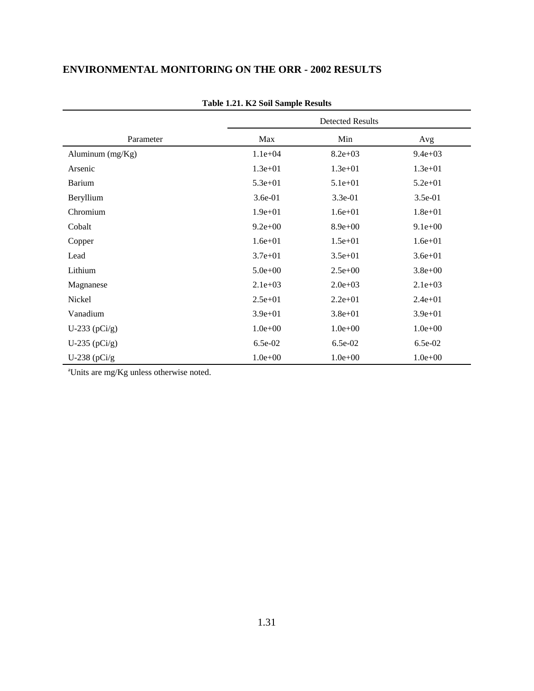|                   | <b>Detected Results</b> |             |             |  |  |
|-------------------|-------------------------|-------------|-------------|--|--|
| Parameter         | Max                     | Min         | Avg         |  |  |
| Aluminum (mg/Kg)  | $1.1e + 04$             | $8.2e + 03$ | $9.4e + 03$ |  |  |
| Arsenic           | $1.3e + 01$             | $1.3e + 01$ | $1.3e + 01$ |  |  |
| Barium            | $5.3e + 01$             | $5.1e + 01$ | $5.2e + 01$ |  |  |
| Beryllium         | 3.6e-01                 | 3.3e-01     | 3.5e-01     |  |  |
| Chromium          | $1.9e + 01$             | $1.6e + 01$ | $1.8e + 01$ |  |  |
| Cobalt            | $9.2e + 00$             | $8.9e + 00$ | $9.1e+00$   |  |  |
| Copper            | $1.6e + 01$             | $1.5e + 01$ | $1.6e + 01$ |  |  |
| Lead              | $3.7e + 01$             | $3.5e + 01$ | $3.6e + 01$ |  |  |
| Lithium           | $5.0e + 00$             | $2.5e+00$   | $3.8e + 00$ |  |  |
| Magnanese         | $2.1e+03$               | $2.0e + 03$ | $2.1e+03$   |  |  |
| Nickel            | $2.5e+01$               | $2.2e+01$   | $2.4e + 01$ |  |  |
| Vanadium          | $3.9e + 01$             | $3.8e + 01$ | $3.9e + 01$ |  |  |
| U-233 ( $pCi/g$ ) | $1.0e+00$               | $1.0e + 00$ | $1.0e + 00$ |  |  |
| U-235 $(pCi/g)$   | $6.5e-02$               | $6.5e-02$   | $6.5e-02$   |  |  |
| U-238 $(pCi/g)$   | $1.0e + 00$             | $1.0e + 00$ | $1.0e + 00$ |  |  |

#### **Table 1.21. K2 Soil Sample Results**

a Units are mg/Kg unless otherwise noted.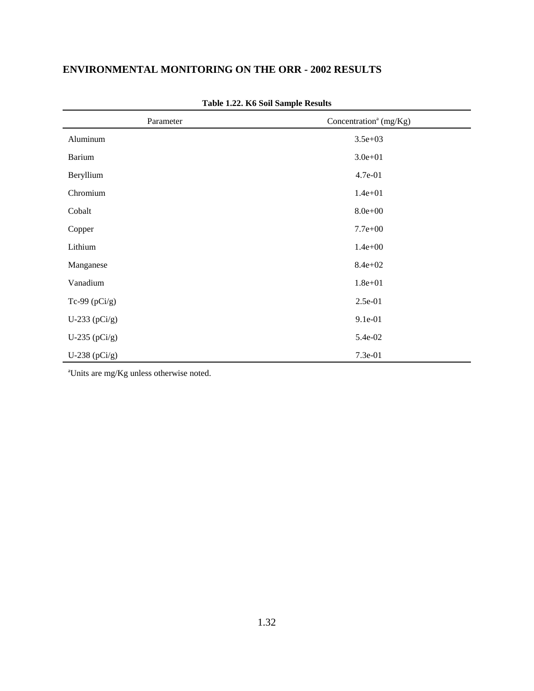| Parameter         | Concentration <sup>a</sup> (mg/Kg) |
|-------------------|------------------------------------|
| Aluminum          | $3.5e + 03$                        |
| <b>Barium</b>     | $3.0e + 01$                        |
| Beryllium         | 4.7e-01                            |
| Chromium          | $1.4e + 01$                        |
| Cobalt            | $8.0e + 00$                        |
| Copper            | $7.7e + 00$                        |
| Lithium           | $1.4e + 00$                        |
| Manganese         | $8.4e + 02$                        |
| Vanadium          | $1.8e + 01$                        |
| Tc-99 $(pCi/g)$   | 2.5e-01                            |
| U-233 ( $pCi/g$ ) | 9.1e-01                            |
| U-235 ( $pCi/g$ ) | 5.4e-02                            |
| U-238 ( $pCi/g$ ) | 7.3e-01                            |

**Table 1.22. K6 Soil Sample Results**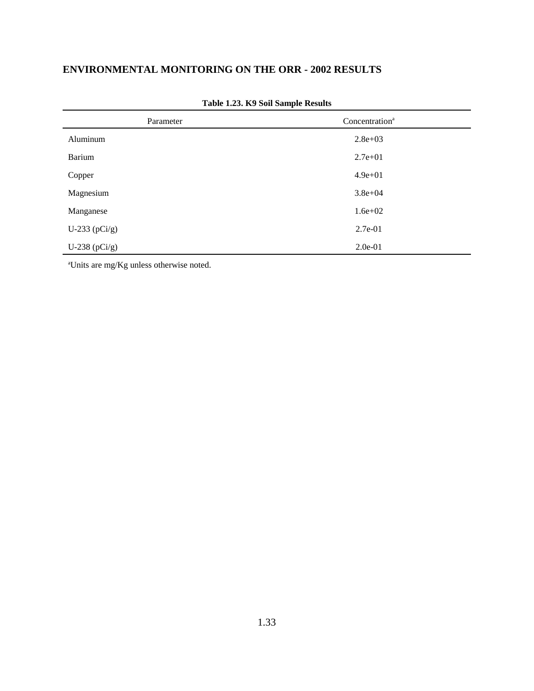| Parameter         | Concentration <sup>a</sup> |
|-------------------|----------------------------|
| Aluminum          | $2.8e + 03$                |
| <b>Barium</b>     | $2.7e+01$                  |
| Copper            | $4.9e + 01$                |
| Magnesium         | $3.8e + 04$                |
| Manganese         | $1.6e + 02$                |
| U-233 ( $pCi/g$ ) | 2.7e-01                    |
| U-238 ( $pCi/g$ ) | $2.0e-01$                  |

|  |  |  |  | Table 1.23. K9 Soil Sample Results |  |
|--|--|--|--|------------------------------------|--|
|--|--|--|--|------------------------------------|--|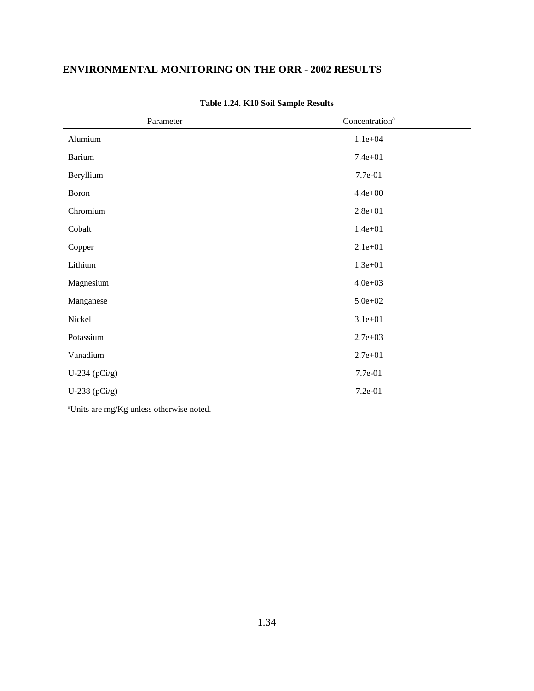| Parameter       | Concentration <sup>a</sup> |
|-----------------|----------------------------|
| Alumium         | $1.1e + 04$                |
| <b>Barium</b>   | $7.4e + 01$                |
| Beryllium       | 7.7e-01                    |
| Boron           | $4.4e + 00$                |
| Chromium        | $2.8e + 01$                |
| Cobalt          | $1.4e + 01$                |
| Copper          | $2.1e+01$                  |
| Lithium         | $1.3e + 01$                |
| Magnesium       | $4.0e + 03$                |
| Manganese       | $5.0e + 02$                |
| Nickel          | $3.1e + 01$                |
| Potassium       | $2.7e+03$                  |
| Vanadium        | $2.7e + 01$                |
| U-234 $(pCi/g)$ | 7.7e-01                    |
| U-238 $(pCi/g)$ | 7.2e-01                    |

**Table 1.24. K10 Soil Sample Results**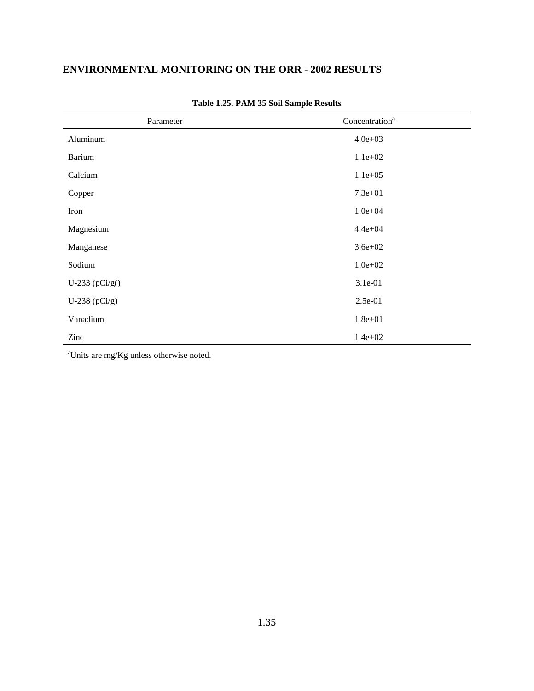| Parameter         | Concentration <sup>a</sup> |
|-------------------|----------------------------|
| Aluminum          | $4.0e + 03$                |
| Barium            | $1.1e+02$                  |
| Calcium           | $1.1e+05$                  |
| Copper            | $7.3e + 01$                |
| Iron              | $1.0e + 04$                |
| Magnesium         | $4.4e + 04$                |
| Manganese         | $3.6e + 02$                |
| Sodium            | $1.0e + 02$                |
| U-233 ( $pCi/g()$ | 3.1e-01                    |
| U-238 $(pCi/g)$   | 2.5e-01                    |
| Vanadium          | $1.8e + 01$                |
| Zinc              | $1.4e + 02$                |

**Table 1.25. PAM 35 Soil Sample Results**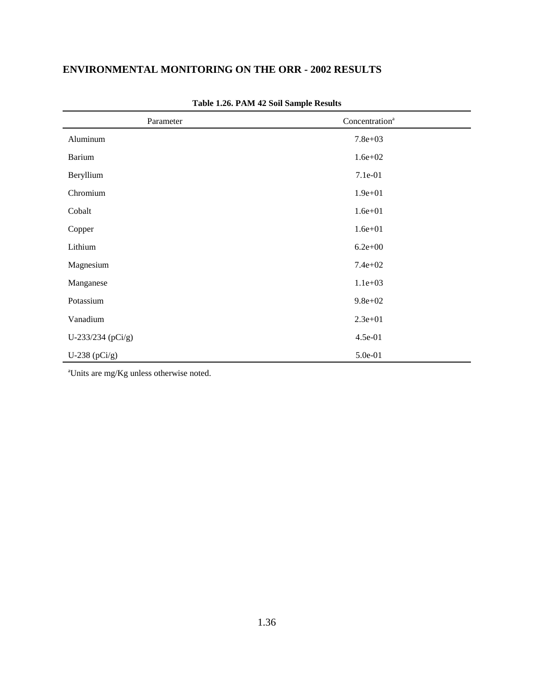| Parameter         | Concentration <sup>a</sup> |
|-------------------|----------------------------|
| Aluminum          | $7.8e + 03$                |
| Barium            | $1.6e + 02$                |
| Beryllium         | 7.1e-01                    |
| Chromium          | $1.9e + 01$                |
| Cobalt            | $1.6e + 01$                |
| Copper            | $1.6e + 01$                |
| Lithium           | $6.2e + 00$                |
| Magnesium         | $7.4e + 02$                |
| Manganese         | $1.1e+03$                  |
| Potassium         | $9.8e + 02$                |
| Vanadium          | $2.3e+01$                  |
| U-233/234 (pCi/g) | 4.5e-01                    |
| U-238 $(pCi/g)$   | 5.0e-01                    |

**Table 1.26. PAM 42 Soil Sample Results**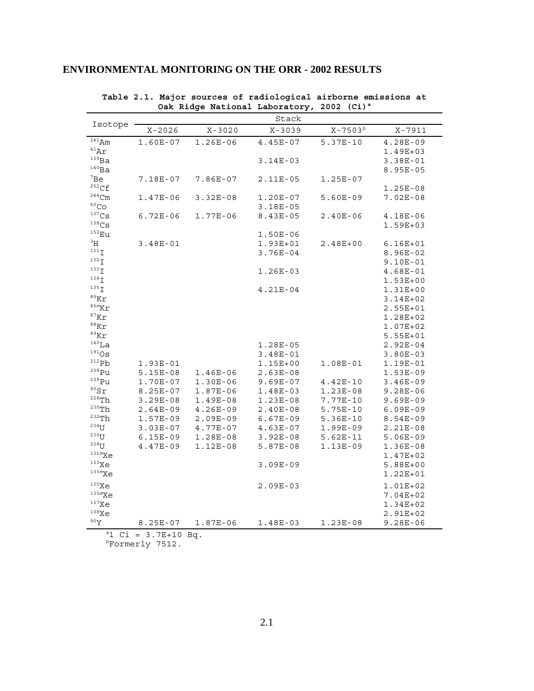|                              |                    | Oak Ridge National Laboratory, 2002 (Ci) <sup>a</sup> |              |              |              |
|------------------------------|--------------------|-------------------------------------------------------|--------------|--------------|--------------|
| Isotope                      |                    |                                                       | Stack        |              |              |
|                              | $X - 2026$         | $X - 3020$                                            | $X - 3039$   | $X - 7503^b$ | $X - 7911$   |
| $241$ Am                     | $1.60E-07$         | $1.26E-06$                                            | $4.45E-07$   | $5.37E-10$   | $4.28E-09$   |
| 41AT                         |                    |                                                       |              |              | $1.49E + 03$ |
| 139Ba                        |                    |                                                       | $3.14E-03$   |              | $3.38E-01$   |
| $140$ Ba                     |                    |                                                       |              |              | $8.95E - 05$ |
| 7Be                          | 7.18E-07           | 7.86E-07                                              | $2.11E-05$   | $1.25E-07$   |              |
| $^{252}\mathrm{Cf}$          |                    |                                                       |              |              | $1.25E-08$   |
| $^{244}\mathrm{Cm}$          | $1.47E-06$         | $3.32E-08$                                            | $1.20E-07$   | $5.60E-09$   | $7.02E - 08$ |
| 60 <sub>CO</sub>             |                    |                                                       | $3.18E-05$   |              |              |
| 137 <sub>Cs</sub>            | $6.72E-06$         | $1.77E-06$                                            | $8.43E - 05$ | $2.40E-06$   | 4.18E-06     |
| $^{138}Cs$                   |                    |                                                       |              |              | $1.59E + 03$ |
| $152$ Eu                     |                    |                                                       | $1.50E-06$   |              |              |
| $\rm{^{3}H}$                 | $3.48E-01$         |                                                       | $1.93E + 01$ | $2.48E + 00$ | $6.16E + 01$ |
| $131$ $\mathbf{I}$           |                    |                                                       | $3.76E-04$   |              | $8.96E-02$   |
| $132$ $\mathsf{I}$           |                    |                                                       |              |              | $9.10E-01$   |
| $133$ $\mathbf{I}$           |                    |                                                       | $1.26E-03$   |              | $4.68E-01$   |
| $134$ $\overline{1}$         |                    |                                                       |              |              | $1.53E + 00$ |
| $135$ $\mathsf{T}$           |                    |                                                       | $4.21E-04$   |              | $1.31E + 00$ |
| $85$ Kr                      |                    |                                                       |              |              | $3.14E + 02$ |
| $85m$ Kr                     |                    |                                                       |              |              | $2.55E + 01$ |
| $87$ Kr                      |                    |                                                       |              |              | 1.28E+02     |
| $88$ Kr                      |                    |                                                       |              |              | $1.07E + 02$ |
| $89$ Kr                      |                    |                                                       |              |              | $5.55E + 01$ |
| $140$ La                     |                    |                                                       | $1.28E-05$   |              | $2.92E-04$   |
| $191$ OS                     |                    |                                                       | $3.48E - 01$ |              | $3.80E-03$   |
| 212Pb                        | $1.93E-01$         |                                                       | $1.15E + 00$ | $1.08E-01$   | 1.19E-01     |
| <sup>238</sup> Pu            | $5.15E-08$         | $1.46E-06$                                            | $2.63E-08$   |              | $1.53E-09$   |
| $^{239}\mathrm{Pu}$          | $1.70E-07$         | $1.30E-06$                                            | $9.69E-07$   | $4.42E - 10$ | $3.46E-09$   |
| $\rm ^{90}Sr$                | $8.25E-07$         | $1.87E-06$                                            | $1.48E-03$   | $1.23E-08$   | $9.28E - 06$ |
| $^{\mathrm{228}}\mathrm{Th}$ | $3.29E-08$         | $1.49E-08$                                            | $1.23E-08$   | 7.77E-10     | $9.69E-09$   |
| $230$ Th                     | $2.64E-09$         | $4.26E-09$                                            | $2.40E-08$   | $5.75E-10$   | $6.09E-09$   |
| $\mathrm{^{232}Th}$          | $1.57E-09$         | $2.09E-09$                                            | $6.67E-09$   | $5.36E-10$   | $8.54E-09$   |
| $234$ U                      | $3.03E-07$         | 4.77E-07                                              | $4.63E-07$   | $1.99E-09$   | 2.21E-08     |
| $235$ U                      | $6.15E-09$         | $1.28E-08$                                            | $3.92E-08$   | $5.62E-11$   | $5.06E-09$   |
| $238$ U                      | $4.47E-09$         | $1.12E-08$                                            | $5.87E-08$   | $1.13E-09$   | $1.36E-08$   |
| $131m$ Xe                    |                    |                                                       |              |              | $1.47E + 02$ |
| $133$ Xe                     |                    |                                                       | $3.09E - 09$ |              | $5.88E+00$   |
| 133mXe                       |                    |                                                       |              |              | 1.22E+01     |
| 135Xe                        |                    |                                                       | $2.09E-03$   |              | $1.01E + 02$ |
| 135mXe                       |                    |                                                       |              |              | $7.04E + 02$ |
| 137Xe                        |                    |                                                       |              |              | $1.34E + 02$ |
| 138Xe                        |                    |                                                       |              |              | 2.91E+02     |
| 90Y                          | $8.25E-07$         | $1.87E-06$                                            | $1.48E-03$   | $1.23E-08$   | $9.28E - 06$ |
| $a_1$                        | $Ci = 3.7E+10 Bq.$ |                                                       |              |              |              |

**Table 2.1. Major sources of radiological airborne emissions at**

**ENVIRONMENTAL MONITORING ON THE ORR - 2002 RESULTS**

*b*Formerly 7512.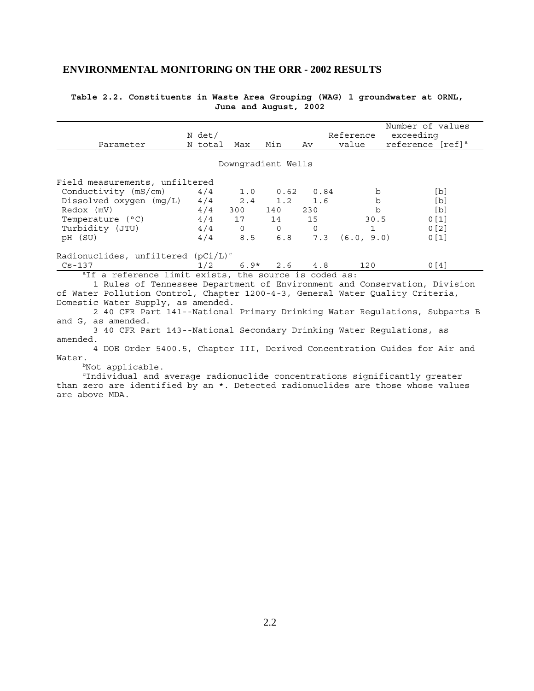| Table 2.2. Constituents in Waste Area Grouping (WAG) 1 groundwater at ORNL, |  |                       |  |  |  |
|-----------------------------------------------------------------------------|--|-----------------------|--|--|--|
|                                                                             |  | June and August, 2002 |  |  |  |

|                                                                               |                    |                                                    |                     |          |                    | Number of values                                                           |  |  |  |  |  |
|-------------------------------------------------------------------------------|--------------------|----------------------------------------------------|---------------------|----------|--------------------|----------------------------------------------------------------------------|--|--|--|--|--|
|                                                                               | N det/             |                                                    |                     |          | Reference          | exceeding                                                                  |  |  |  |  |  |
| Parameter                                                                     | N total Max        |                                                    | Min                 | Av       | value              | reference [ref] <sup>a</sup>                                               |  |  |  |  |  |
|                                                                               |                    |                                                    |                     |          |                    |                                                                            |  |  |  |  |  |
|                                                                               | Downgradient Wells |                                                    |                     |          |                    |                                                                            |  |  |  |  |  |
| Field measurements, unfiltered                                                |                    |                                                    |                     |          |                    |                                                                            |  |  |  |  |  |
| Conductivity (mS/cm)                                                          | 4/4                |                                                    | $1.0$ $0.62$ $0.84$ |          | b                  | [b]                                                                        |  |  |  |  |  |
| Dissolved oxygen $(mg/L)$ 4/4 2.4 1.2 1.6                                     |                    |                                                    |                     |          | b                  | [b]                                                                        |  |  |  |  |  |
| $4/4$ 300 140 230<br>Redox (mV)                                               |                    |                                                    |                     |          | $\mathbf b$        | [b]                                                                        |  |  |  |  |  |
| Temperature (°C)                                                              |                    |                                                    | $4/4$ 17 14 15      |          | 30.5               | 0[1]                                                                       |  |  |  |  |  |
| Turbidity (JTU)                                                               | 4/4                | $\begin{array}{ccc} & & & 0 & \quad & \end{array}$ |                     | $\Omega$ | $\mathbf{1}$       | 0 <sub>[2]</sub>                                                           |  |  |  |  |  |
| pH (SU)                                                                       | 4/4                |                                                    | 8.5 6.8             |          | $7.3$ $(6.0, 9.0)$ | 0 <sub>1</sub>                                                             |  |  |  |  |  |
| Radionuclides, unfiltered $(pCi/L)^c$                                         |                    |                                                    |                     |          |                    |                                                                            |  |  |  |  |  |
| $Cs - 137$                                                                    | 1/2                |                                                    | $6.9*$ 2.6 4.8      |          | 120                | 0 <sub>14</sub>                                                            |  |  |  |  |  |
| <sup>a</sup> If a reference limit exists, the source is coded as:             |                    |                                                    |                     |          |                    |                                                                            |  |  |  |  |  |
| 1 Rules of Tennessee Department of Environment and Conservation, Division     |                    |                                                    |                     |          |                    |                                                                            |  |  |  |  |  |
| of Water Pollution Control, Chapter 1200-4-3, General Water Quality Criteria, |                    |                                                    |                     |          |                    |                                                                            |  |  |  |  |  |
| Domestic Water Supply, as amended.                                            |                    |                                                    |                     |          |                    |                                                                            |  |  |  |  |  |
|                                                                               |                    |                                                    |                     |          |                    | 2 40 CFR Part 141--National Primary Drinking Water Regulations, Subparts B |  |  |  |  |  |
| and G, as amended.                                                            |                    |                                                    |                     |          |                    |                                                                            |  |  |  |  |  |
| 3 40 CFR Part 143--National Secondary Drinking Water Regulations, as          |                    |                                                    |                     |          |                    |                                                                            |  |  |  |  |  |
| amended.                                                                      |                    |                                                    |                     |          |                    |                                                                            |  |  |  |  |  |
| 4 DOE Order 5400.5, Chapter III, Derived Concentration Guides for Air and     |                    |                                                    |                     |          |                    |                                                                            |  |  |  |  |  |
| Water.                                                                        |                    |                                                    |                     |          |                    |                                                                            |  |  |  |  |  |
| $b$ Not applicable.                                                           |                    |                                                    |                     |          |                    |                                                                            |  |  |  |  |  |

 $\hbox{``Individual and average radion}$  radionuclide concentrations significantly greater than zero are identified by an \*. Detected radionuclides are those whose values are above MDA.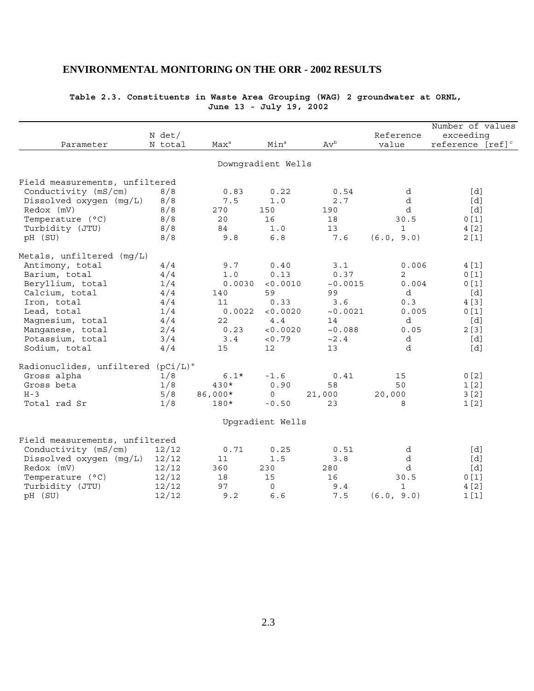| Parameter                                      | N det/<br>N total | Max <sup>a</sup> | Min <sup>a</sup>   | $Av^b$   | Reference<br>value | Number of values<br>exceeding<br>reference [ref] <sup>c</sup> |
|------------------------------------------------|-------------------|------------------|--------------------|----------|--------------------|---------------------------------------------------------------|
|                                                |                   |                  | Downgradient Wells |          |                    |                                                               |
|                                                |                   |                  |                    |          |                    |                                                               |
| Field measurements, unfiltered                 |                   |                  |                    |          |                    |                                                               |
| Conductivity (mS/cm)                           | 8/8               | 0.83             | 0.22               | 0.54     | d                  | [d]                                                           |
| Dissolved oxygen $(mq/L)$                      | 8/8               | 7.5              | 1.0                | 2.7      | d                  | [d]                                                           |
| Redox (mV)                                     | 8/8               | 270              | 150                | 190      | d                  | [d]                                                           |
| Temperature (°C)                               | 8/8               | 20               | 16                 | 18       | 30.5               | 0[1]                                                          |
| Turbidity (JTU)                                | 8/8               | 84               | 1.0                | 13       | $\mathbf{1}$       | 4 [2]                                                         |
| pH (SU)                                        | 8/8               | 9.8              | $6.8$              | 7.6      | (6.0, 9.0)         | 2[1]                                                          |
| Metals, unfiltered (mq/L)                      |                   |                  |                    |          |                    |                                                               |
| Antimony, total                                | 4/4               | 9.7              | 0.40               | 3.1      | 0.006              | 4 [1]                                                         |
| Barium, total                                  | 4/4               | 1.0              | 0.13               | 0.37     | 2                  | 0[1]                                                          |
| Beryllium, total                               | 1/4               | 0.0030           | < 0.0010           | ~0.0015  | 0.004              | 0[1]                                                          |
| Calcium, total                                 | 4/4               | 140              | 59                 | 99       | d                  | [d]                                                           |
| Iron, total                                    | 4/4               | 11               | 0.33               | 3.6      | 0.3                | 4 [3]                                                         |
| Lead, total                                    | 1/4               | 0.0022           | < 0.0020           | ~10.0021 | 0.005              | 0[1]                                                          |
| Magnesium, total                               | 4/4               | 22               | 4.4                | 14       | d                  | [d]                                                           |
| Manganese, total                               | 2/4               | 0.23             | < 0.0020           | ~10.088  | 0.05               | 2[3]                                                          |
| Potassium, total                               | 3/4               | 3.4              | < 0.79             | ~2.4     | d                  | [d]                                                           |
| Sodium, total                                  | 4/4               | 15               | 12                 | 13       | d                  | [d]                                                           |
| Radionuclides, unfiltered (pCi/L) <sup>e</sup> |                   |                  |                    |          |                    |                                                               |
| Gross alpha                                    | 1/8               | $6.1*$           | $-1.6$             | 0.41     | 15                 | 0[2]                                                          |
| Gross beta                                     | 1/8               | $430*$           | 0.90               | 58       | 50                 | 1 <sub>[2]</sub>                                              |
| $H - 3$                                        | 5/8               | 86,000*          | 0                  | 21,000   | 20,000             | 3[2]                                                          |
| Total rad Sr                                   | 1/8               | 180*             | $-0.50$            | 23       | 8                  | 1[2]                                                          |
|                                                |                   |                  |                    |          |                    |                                                               |
|                                                |                   |                  | Upgradient Wells   |          |                    |                                                               |
| Field measurements, unfiltered                 |                   |                  |                    |          |                    |                                                               |
| Conductivity (mS/cm)                           | 12/12             | 0.71             | 0.25               | 0.51     | d                  | [d]                                                           |
| Dissolved oxygen (mg/L)                        | 12/12             | 11               | $1.5$              | 3.8      | d                  | [d]                                                           |
| Redox (mV)                                     | 12/12             | 360              | 230                | 280      | d                  | [d]                                                           |
| Temperature (°C)                               | 12/12             | 18               | 15                 | 16       | 30.5               | 0[1]                                                          |
| Turbidity (JTU)                                | 12/12             | 97               | 0                  | 9.4      | 1                  | 4 [2]                                                         |
| pH (SU)                                        | 12/12             | 9.2              | 6.6                | 7.5      | (6.0, 9.0)         | 1[1]                                                          |

### **Table 2.3. Constituents in Waste Area Grouping (WAG) 2 groundwater at ORNL, June 13 - July 19, 2002**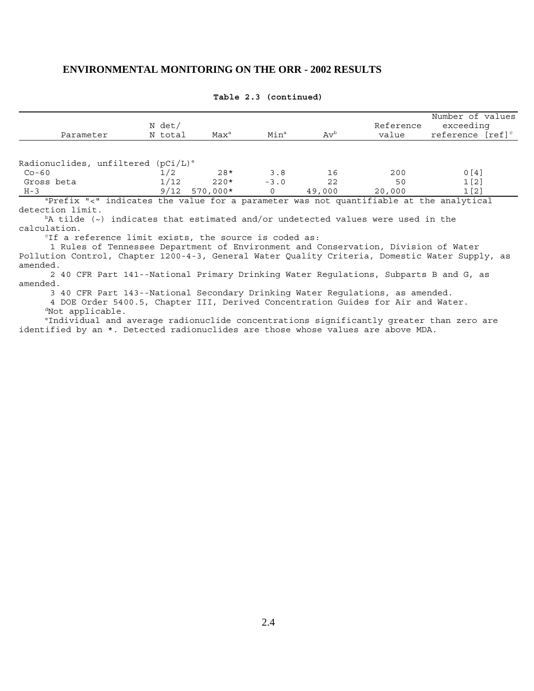| Parameter                                                                              | N det/<br>N total      | Max <sup>a</sup> | Min <sup>a</sup> | $Av^b$ | Reference<br>value | Number of values<br>exceeding<br>reference [ref] <sup>c</sup> |
|----------------------------------------------------------------------------------------|------------------------|------------------|------------------|--------|--------------------|---------------------------------------------------------------|
| Radionuclides, unfiltered                                                              | $(pCi/L)$ <sup>e</sup> |                  |                  |        |                    |                                                               |
| $Co-60$                                                                                | 1/2                    | $28*$            | 3.8              | 16     | 200                | 0[4]                                                          |
| Gross beta                                                                             | 1/12                   | $220*$           | $-3.0$           | 22     | 50                 | 1 <sub>[2]</sub>                                              |
| $H - 3$                                                                                | 9/12                   | $570.000*$       |                  | 49,000 | 20,000             | 1[2]                                                          |
| aprefix "<" indicates the value for a parameter was not quantifiable at the analytical |                        |                  |                  |        |                    |                                                               |

#### **Table 2.3 (continued)**

 aPrefix "<" indicates the value for a parameter was not quantifiable at the analytical detection limit.

 $b$ A tilde (~) indicates that estimated and/or undetected values were used in the calculation.

<sup>c</sup>If a reference limit exists, the source is coded as:

 1 Rules of Tennessee Department of Environment and Conservation, Division of Water Pollution Control, Chapter 1200-4-3, General Water Quality Criteria, Domestic Water Supply, as amended.

 2 40 CFR Part 141--National Primary Drinking Water Regulations, Subparts B and G, as amended.

3 40 CFR Part 143--National Secondary Drinking Water Regulations, as amended.

 4 DOE Order 5400.5, Chapter III, Derived Concentration Guides for Air and Water. dNot applicable.

eIndividual and average radionuclide concentrations significantly greater than zero are identified by an \*. Detected radionuclides are those whose values are above MDA.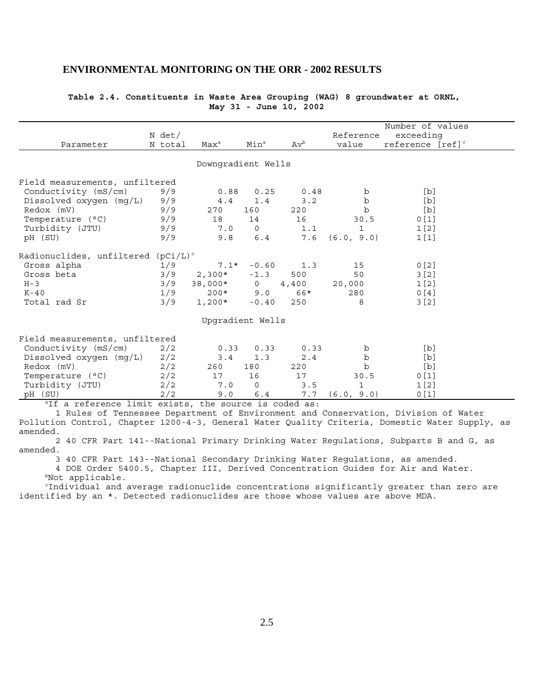| Table 2.4. Constituents in Waste Area Grouping (WAG) 8 groundwater at ORNL, |  |                        |  |  |  |
|-----------------------------------------------------------------------------|--|------------------------|--|--|--|
|                                                                             |  | May 31 - June 10, 2002 |  |  |  |

|                                                       |             |                    |                  |        |              | Number of values             |  |
|-------------------------------------------------------|-------------|--------------------|------------------|--------|--------------|------------------------------|--|
|                                                       | N det/      |                    |                  |        | Reference    | exceeding                    |  |
| Parameter                                             | N total     | $Max^a$            | Min <sup>a</sup> | $Av^b$ | value        | reference [ref] <sup>c</sup> |  |
|                                                       |             | Downgradient Wells |                  |        |              |                              |  |
| Field measurements, unfiltered                        |             |                    |                  |        |              |                              |  |
| Conductivity (mS/cm)                                  | 9/9         | 0.88               | 0.25             | 0.48   | b            | [b]                          |  |
| Dissolved oxygen (mg/L)                               | 9/9         | 4.4                | 1.4              | 3.2    | $\mathbf b$  | [b]                          |  |
| Redox (mV)                                            | 9/9         | 270                | 160              | 220    | b            | [b]                          |  |
| Temperature (°C)                                      | 9/9         | 18                 | 14               | 16     | 30.5         | 0[1]                         |  |
| Turbidity (JTU)                                       | 9/9         | 7.0                | $\Omega$         | 1.1    | 1            | 1 <sub>[2]</sub>             |  |
| pH (SU)                                               | 9/9         | 9.8                | 6.4              | 7.6    | (6.0, 9.0)   | 1[1]                         |  |
| Radionuclides, unfiltered                             | $(pCi/L)^c$ |                    |                  |        |              |                              |  |
| Gross alpha                                           | 1/9         | $7.1*$             | $-0.60$          | 1.3    | 15           | 0 <sub>2</sub>               |  |
| Gross beta                                            | 3/9         | $2,300*$           | $-1.3$           | 500    | 50           | 3 <sup>2</sup>               |  |
| $H - 3$                                               | 3/9         | 38,000*            | $\overline{0}$   | 4,400  | 20,000       | 1 <sub>[2]</sub>             |  |
| $K-40$                                                | 1/9         | $200*$             | 9.0              | 66*    | 280          | 0[4]                         |  |
| Total rad Sr                                          | 3/9         | $1,200*$           | $-0.40$          | 250    | 8            | 3[2]                         |  |
|                                                       |             | Upgradient Wells   |                  |        |              |                              |  |
| Field measurements, unfiltered                        |             |                    |                  |        |              |                              |  |
| Conductivity (mS/cm)                                  | 2/2         | 0.33               | 0.33             | 0.33   | b            | [b]                          |  |
| Dissolved oxygen (mg/L)                               | 2/2         | 3.4                | 1.3              | 2.4    | b            | [b]                          |  |
| Redox (mV)                                            | 2/2         | 260                | 180              | 220    | $\mathbf b$  | [b]                          |  |
| Temperature (°C)                                      | 2/2         | 17                 | 16               | 17     | 30.5         | 0[1]                         |  |
| Turbidity (JTU)                                       | 2/2         | 7.0                | $\mathbf 0$      | 3.5    | $\mathbf{1}$ | 1 <sub>[2]</sub>             |  |
| pH (SU)                                               | 2/2         | 9.0                | 6.4              | 7.7    | (6.0, 9.0)   | 0[1]                         |  |
| alf a reference limit exists, the source is coded as: |             |                    |                  |        |              |                              |  |

 1 Rules of Tennessee Department of Environment and Conservation, Division of Water Pollution Control, Chapter 1200-4-3, General Water Quality Criteria, Domestic Water Supply, as amended.

 2 40 CFR Part 141--National Primary Drinking Water Regulations, Subparts B and G, as amended.

 3 40 CFR Part 143--National Secondary Drinking Water Regulations, as amended. 4 DOE Order 5400.5, Chapter III, Derived Concentration Guides for Air and Water.

bNot applicable.

 cIndividual and average radionuclide concentrations significantly greater than zero are identified by an \*. Detected radionuclides are those whose values are above MDA.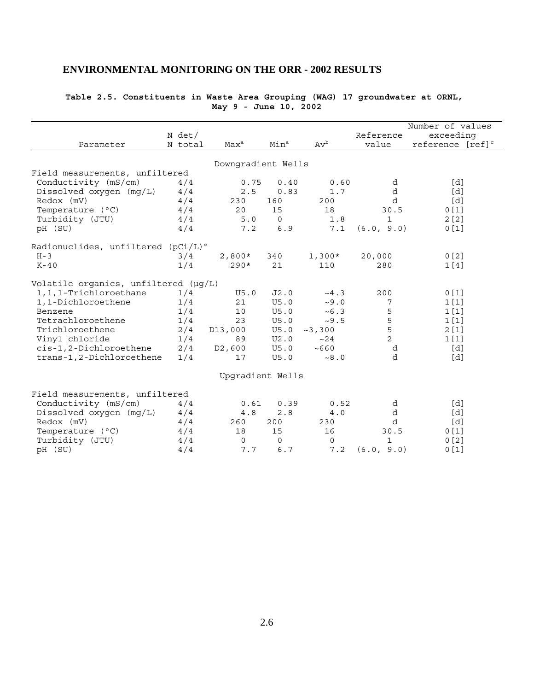| Parameter                                      | N det/<br>N total | Max <sup>a</sup>    | Min <sup>a</sup> | $Av^b$      | Reference<br>value | Number of values<br>exceeding<br>reference [ref] <sup>c</sup> |
|------------------------------------------------|-------------------|---------------------|------------------|-------------|--------------------|---------------------------------------------------------------|
|                                                |                   | Downgradient Wells  |                  |             |                    |                                                               |
| Field measurements, unfiltered                 |                   |                     |                  |             |                    |                                                               |
| Conductivity $(mS/cm)$                         | 4/4               | 0.75                | 0.40             | 0.60        | d                  | [d]                                                           |
| Dissolved oxygen (mg/L)                        | 4/4               | 2.5                 | 0.83             | 1.7         | d                  | [d]                                                           |
| Redox (mV)                                     | 4/4               | 230                 | 160              | 200         | d                  | [d]                                                           |
| Temperature (°C)                               | 4/4               | 20                  | 15               | 18          | 30.5               | 0[1]                                                          |
| Turbidity (JTU)                                | 4/4               | 5.0                 | $\mathbf 0$      | 1.8         | $\mathbf{1}$       | 2[2]                                                          |
| pH (SU)                                        | 4/4               | 7.2                 | 6.9              | 7.1         | (6.0, 9.0)         | 0[1]                                                          |
| Radionuclides, unfiltered (pCi/L) <sup>e</sup> |                   |                     |                  |             |                    |                                                               |
| $H - 3$                                        | 3/4               | $2,800*$            | 340              | $1,300*$    | 20,000             | 0 <sub>[2]</sub>                                              |
| $K-40$                                         | 1/4               | $290*$              | 21               | 110         | 280                | 1[4]                                                          |
| Volatile organics, unfiltered (µg/L)           |                   |                     |                  |             |                    |                                                               |
| 1, 1, 1-Trichloroethane                        | 1/4               | U5.0                | J2.0             | ~14.3       | 200                | 0[1]                                                          |
| 1,1-Dichloroethene                             | 1/4               | 21                  | U5.0             | ~10.0       | 7                  | 1[1]                                                          |
| Benzene                                        | 1/4               | 10                  | U5.0             | ~10.3       | 5                  | 1[1]                                                          |
| Tetrachloroethene                              | 1/4               | 23                  | U5.0             | ~10.5       | 5                  | 1[1]                                                          |
| Trichloroethene                                | 2/4               | D13,000             | U5.0             | ~2,300      | 5                  | 2[1]                                                          |
| Vinyl chloride                                 | 1/4               | 89                  | U2.0             | ~24         | $\overline{a}$     | 1[1]                                                          |
| cis-1,2-Dichloroethene                         | 2/4               | D <sub>2</sub> ,600 | U5.0             | ~100        | d                  | [d]                                                           |
| trans-1,2-Dichloroethene                       | 1/4               | 17                  | U5.0             | ~10.8       | d                  | [d]                                                           |
|                                                |                   | Upgradient Wells    |                  |             |                    |                                                               |
| Field measurements, unfiltered                 |                   |                     |                  |             |                    |                                                               |
| Conductivity $(mS/cm)$                         | 4/4               | 0.61                | 0.39             | 0.52        | d                  | [d]                                                           |
| Dissolved oxygen (mg/L)                        | 4/4               | 4.8                 | 2.8              | 4.0         | d                  | [d]                                                           |
| $Redox$ (mV)                                   | 4/4               | 260                 | 200              | 230         | d                  | [d]                                                           |
| Temperature (°C)                               | 4/4               | 18                  | 15               | 16          | 30.5               | 0[1]                                                          |
| Turbidity (JTU)                                | 4/4               | $\mathbf 0$         | $\mathsf{O}$     | $\mathbf 0$ | $\mathbf{1}$       | 0[2]                                                          |
| pH (SU)                                        | 4/4               | 7.7                 | 6.7              | 7.2         | (6.0, 9.0)         | 0[1]                                                          |

### **Table 2.5. Constituents in Waste Area Grouping (WAG) 17 groundwater at ORNL, May 9 - June 10, 2002**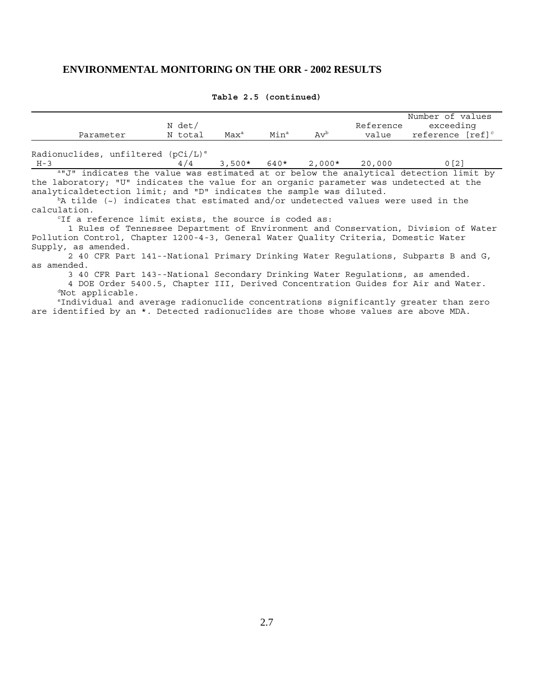| Parameter Mitotal Max <sup>a</sup> Min <sup>a</sup> Av <sup>b</sup>                    | N det/                               |  |  | Number of values<br>Reference exceeding<br>value reference [ref] <sup>c</sup>      |
|----------------------------------------------------------------------------------------|--------------------------------------|--|--|------------------------------------------------------------------------------------|
|                                                                                        |                                      |  |  |                                                                                    |
| Radionuclides, unfiltered (pCi/L) <sup>e</sup>                                         |                                      |  |  |                                                                                    |
| $H - 3$                                                                                | $4/4$ 3,500* 640* 2,000* 20,000 0[2] |  |  |                                                                                    |
| a"J" indicates the value was estimated at or below the analytical detection limit by   |                                      |  |  |                                                                                    |
| the laboratory; "U" indicates the value for an organic parameter was undetected at the |                                      |  |  |                                                                                    |
| analyticaldetection limit; and "D" indicates the sample was diluted.                   |                                      |  |  |                                                                                    |
| $bA$ tilde (~) indicates that estimated and/or undetected values were used in the      |                                      |  |  |                                                                                    |
| calculation.                                                                           |                                      |  |  |                                                                                    |
| "If a reference limit exists, the source is coded as:                                  |                                      |  |  |                                                                                    |
|                                                                                        |                                      |  |  |                                                                                    |
|                                                                                        |                                      |  |  | 1 Rules of Tennessee Department of Environment and Conservation, Division of Water |
| Pollution Control, Chapter 1200-4-3, General Water Quality Criteria, Domestic Water    |                                      |  |  |                                                                                    |
| Supply, as amended.                                                                    |                                      |  |  |                                                                                    |
|                                                                                        |                                      |  |  | 2 40 CFR Part 141--National Primary Drinking Water Regulations, Subparts B and G,  |
| as amended.                                                                            |                                      |  |  |                                                                                    |
| 3 40 CFR Part 143--National Secondary Drinking Water Requlations, as amended.          |                                      |  |  |                                                                                    |
| 4 DOE Order 5400.5, Chapter III, Derived Concentration Guides for Air and Water.       |                                      |  |  |                                                                                    |
| "Not applicable.                                                                       |                                      |  |  |                                                                                    |
| "Individual and average radionuclide concentrations significantly greater than zero    |                                      |  |  |                                                                                    |
| are identified by an *. Detected radionuclides are those whose values are above MDA.   |                                      |  |  |                                                                                    |
|                                                                                        |                                      |  |  |                                                                                    |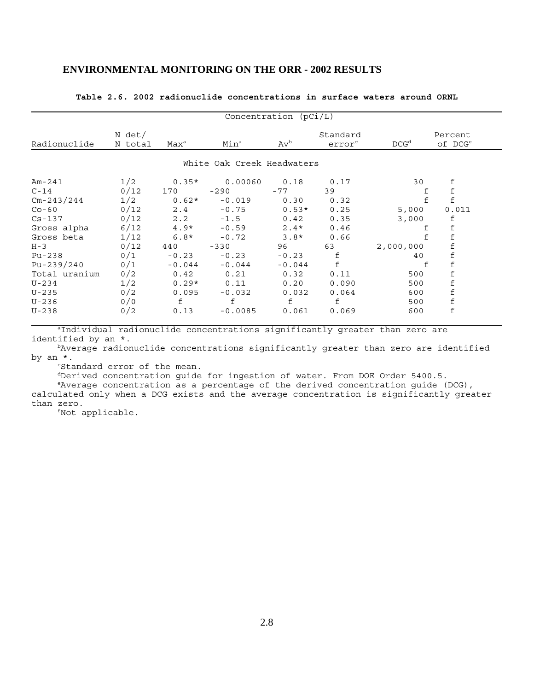|                          |                   |                  |                            | Concentration (pCi/L) |                                |                  |                                |
|--------------------------|-------------------|------------------|----------------------------|-----------------------|--------------------------------|------------------|--------------------------------|
| Radionuclide             | N det/<br>N total | Max <sup>a</sup> | Min <sup>a</sup>           | $Av^b$                | Standard<br>error <sup>c</sup> | DCG <sup>d</sup> | Percent<br>of DCG <sup>e</sup> |
|                          |                   |                  | White Oak Creek Headwaters |                       |                                |                  |                                |
| $Am-241$                 | 1/2               | $0.35*$          | 0.00060                    | 0.18                  | 0.17                           | 30               | $\frac{\text{f}}{\text{f}}$    |
| $C-14$<br>$Cm - 243/244$ | 0/12<br>1/2       | 170<br>$0.62*$   | $-290$<br>$-0.019$         | $-77$<br>0.30         | 39<br>0.32                     | f<br>$\mathbf f$ | $\mathbf f$                    |
| $Co-60$                  | 0/12              | 2.4              | $-0.75$                    | $0.53*$               | 0.25                           | 5,000            | 0.011                          |
| $Cs - 137$               | 0/12              |                  | $2.2 - 1.5$                | 0.42                  | 0.35                           | 3,000            | f                              |
| Gross alpha              | 6/12              |                  | $4.9* -0.59$               | $2.4*$                | 0.46                           | f                | $\mathbf f$                    |
| Gross beta               | 1/12              | $6.8*$           | $-0.72$                    | $3.8*$                | 0.66                           |                  | $\mathbf f$                    |
| $H - 3$                  | 0/12              | 440              | $-330$                     | 96                    | 63                             | 2,000,000        | $\frac{\text{f}}{\text{f}}$    |
| Pu-238                   | 0/1               | $-0.23$          | $-0.23$                    | $-0.23$               | $\mathbf f$                    | 40               |                                |
| $Pu - 239/240$           | 0/1               | $-0.044$         | $-0.044$                   | $-0.044$              | $\mathbf f$                    | f                | $\mathbf f$                    |
| Total uranium            | 0/2               | 0.42             | 0.21                       | 0.32                  | 0.11                           | 500              | $\mathbf f$                    |
| U-234                    | 1/2               | $0.29*$          | 0.11                       | 0.20                  | 0.090                          | 500              | $\mathbf f$                    |
| $U - 235$                | 0/2               | 0.095            | $-0.032$                   | 0.032                 | 0.064                          | 600              | $\mathbf f$                    |
| $U-236$                  | 0/0               | f                | f                          | f                     | f                              | 500              | $\mathbf f$                    |
| $U-238$                  | 0/2               | 0.13             | $-0.0085$                  | 0.061                 | 0.069                          | 600              | $\mathbf f$                    |

#### **Table 2.6. 2002 radionuclide concentrations in surface waters around ORNL**

aIndividual radionuclide concentrations significantly greater than zero are identified by an \*.

 bAverage radionuclide concentrations significantly greater than zero are identified by an \*.

<sup>c</sup>Standard error of the mean.

dDerived concentration guide for ingestion of water. From DOE Order 5400.5.

 eAverage concentration as a percentage of the derived concentration guide (DCG), calculated only when a DCG exists and the average concentration is significantly greater than zero.

fNot applicable.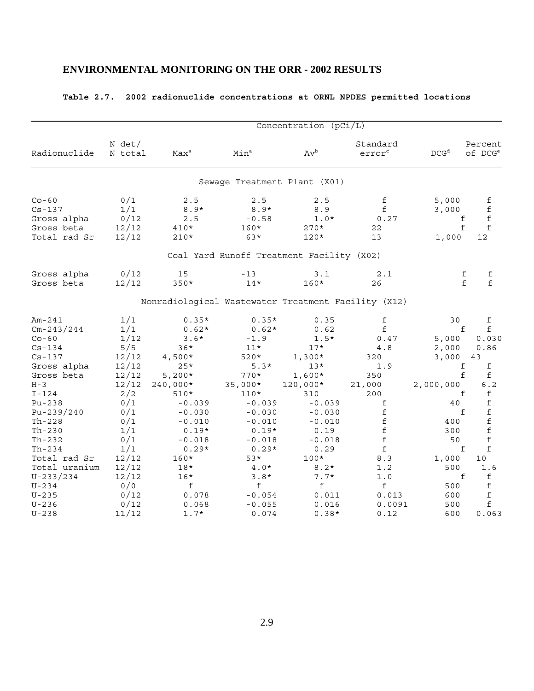# **Table 2.7. 2002 radionuclide concentrations at ORNL NPDES permitted locations**

|                                                                    |                                      | Concentration (pCi/L)                               |                                           |                                           |                                                                                                                                                                                                            |                                             |                                                                                                                                               |  |  |  |  |
|--------------------------------------------------------------------|--------------------------------------|-----------------------------------------------------|-------------------------------------------|-------------------------------------------|------------------------------------------------------------------------------------------------------------------------------------------------------------------------------------------------------------|---------------------------------------------|-----------------------------------------------------------------------------------------------------------------------------------------------|--|--|--|--|
| Radionuclide                                                       | N det/<br>N total                    | Max <sup>a</sup>                                    | Min <sup>a</sup>                          | $Av^b$                                    | Standard<br>error <sup>c</sup>                                                                                                                                                                             | DCG <sup>d</sup>                            | Percent<br>of DCG <sup>e</sup>                                                                                                                |  |  |  |  |
|                                                                    |                                      |                                                     |                                           | Sewage Treatment Plant (X01)              |                                                                                                                                                                                                            |                                             |                                                                                                                                               |  |  |  |  |
| $Co-60$<br>$Cs - 137$<br>Gross alpha<br>Gross beta<br>Total rad Sr | 0/1<br>1/1<br>0/12<br>12/12<br>12/12 | 2.5<br>$8.9*$<br>2.5<br>$410*$<br>$210*$            | 2.5<br>$8.9*$<br>$-0.58$<br>$160*$<br>63* | 2.5<br>8.9<br>$1.0*$<br>$270*$<br>$120*$  | $\mathbf f$<br>$\mathbf f$<br>0.27<br>22<br>13                                                                                                                                                             | 5,000<br>3,000<br>f<br>$\mathbf f$<br>1,000 | $\mathbf f$<br>$\mathbf f$<br>$\mathbf f$<br>$\mathbf f$<br>12                                                                                |  |  |  |  |
|                                                                    |                                      |                                                     |                                           | Coal Yard Runoff Treatment Facility (X02) |                                                                                                                                                                                                            |                                             |                                                                                                                                               |  |  |  |  |
| Gross alpha<br>Gross beta                                          | 0/12<br>12/12                        | 15<br>$350*$                                        | $-13$<br>$14*$                            | 3.1<br>160*                               | 2.1<br>26                                                                                                                                                                                                  | f<br>f                                      | f<br>$\mathbf f$                                                                                                                              |  |  |  |  |
|                                                                    |                                      | Nonradiological Wastewater Treatment Facility (X12) |                                           |                                           |                                                                                                                                                                                                            |                                             |                                                                                                                                               |  |  |  |  |
| $Am-241$<br>$Cm - 243/244$                                         | 1/1<br>1/1                           | $0.35*$<br>$0.62*$                                  | $0.35*$<br>$0.62*$                        | 0.35<br>0.62                              | f<br>$\mathbf f$                                                                                                                                                                                           | 30<br>f                                     | f<br>f                                                                                                                                        |  |  |  |  |
| $Co-60$<br>$Cs - 134$<br>$Cs - 137$                                | 1/12<br>5/5<br>12/12                 | $3.6*$<br>$36*$<br>$4,500*$                         | $-1.9$<br>$11*$<br>$520*$                 | $1.5*$<br>$17*$<br>$1,300*$               | 0.47<br>4.8<br>320                                                                                                                                                                                         | 5,000<br>2,000<br>3,000                     | 0.030<br>0.86<br>43                                                                                                                           |  |  |  |  |
| Gross alpha<br>Gross beta<br>$H - 3$                               | 12/12<br>12/12<br>12/12              | $25*$<br>$5,200*$<br>$240,000*$                     | $5.3*$<br>$770*$<br>$35,000*$             | $13*$<br>1,600*<br>120,000*               | 1.9<br>350<br>21,000                                                                                                                                                                                       | f<br>f<br>2,000,000                         | f<br>f<br>6.2                                                                                                                                 |  |  |  |  |
| $I - 124$<br>$Pu-238$<br>$Pu - 239/240$                            | 2/2<br>0/1<br>0/1                    | $510*$<br>$-0.039$<br>$-0.030$                      | $110*$<br>$-0.039$<br>$-0.030$            | 310<br>$-0.039$<br>$-0.030$               | 200<br>f<br>f                                                                                                                                                                                              | f<br>40<br>f                                | f<br>$\mathbf f$<br>f                                                                                                                         |  |  |  |  |
| $Th-228$<br>$Th-230$<br>Th-232                                     | 0/1<br>1/1<br>0/1                    | $-0.010$<br>$0.19*$                                 | $-0.010$<br>$0.19*$                       | $-0.010$<br>0.19                          | $\mathbf f$<br>$\mathsf{f}% _{0}\!\left( \mathcal{A}_{0}\right) ^{T\!\left( 1\right) }=\mathsf{f}_{0}\!\left( \mathcal{A}_{0}\right) ^{T\!\left( T\right) }$<br>$\mathsf{f}% _{0}\left( \mathsf{f}\right)$ | 400<br>300<br>50                            | $\mathbf f$<br>$\mathbf f$<br>f                                                                                                               |  |  |  |  |
| $Th-234$<br>Total rad Sr                                           | 1/1<br>12/12                         | $-0.018$<br>$0.29*$<br>$160*$                       | $-0.018$<br>$0.29*$<br>$53*$              | $-0.018$<br>0.29<br>100*                  | $\mathbf f$<br>8.3                                                                                                                                                                                         | f<br>1,000                                  | £<br>10                                                                                                                                       |  |  |  |  |
| Total uranium<br>$U - 233/234$<br>$U - 234$                        | 12/12<br>12/12<br>0/0                | $18*$<br>$16*$<br>f                                 | $4.0*$<br>$3.8*$<br>f                     | $8.2*$<br>$7.7*$<br>f                     | 1.2<br>1.0<br>f                                                                                                                                                                                            | 500<br>f<br>500                             | 1.6<br>$\mathsf{f}% _{0}\left( \mathsf{f}\right)$<br>$\mathsf{f}% _{0}\left( \mathsf{f}\right)$<br>$\mathsf{f}% _{0}\left( \mathsf{f}\right)$ |  |  |  |  |
| $U - 235$<br>$U - 236$<br>$U - 238$                                | 0/12<br>0/12<br>11/12                | 0.078<br>0.068<br>$1.7*$                            | $-0.054$<br>$-0.055$<br>0.074             | 0.011<br>0.016<br>$0.38*$                 | 0.013<br>0.0091<br>0.12                                                                                                                                                                                    | 600<br>500<br>600                           | f<br>0.063                                                                                                                                    |  |  |  |  |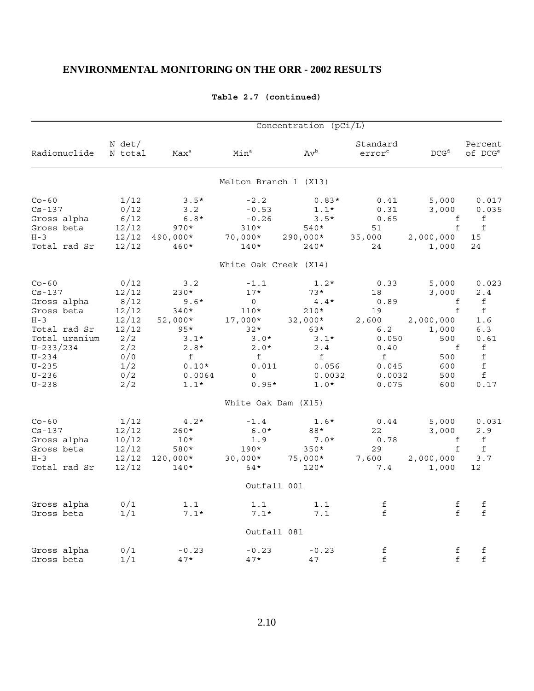|                 |                   |                  |                       | Concentration (pCi/L)    |                                |                  |                                |
|-----------------|-------------------|------------------|-----------------------|--------------------------|--------------------------------|------------------|--------------------------------|
| Radionuclide    | N det/<br>N total | Max <sup>a</sup> | Min <sup>a</sup>      | $\mathrm{Av}^\mathrm{b}$ | Standard<br>error <sup>c</sup> | DCG <sup>d</sup> | Percent<br>of DCG <sup>e</sup> |
|                 |                   |                  | Melton Branch 1 (X13) |                          |                                |                  |                                |
| $Co-60$         | 1/12              | $3.5*$           | $-2.2$                | $0.83*$                  | 0.41                           | 5,000            | 0.017                          |
| $Cs - 137$      | 0/12              | 3.2              | $-0.53$               | $1.1*$                   | 0.31                           | 3,000            | 0.035                          |
| Gross alpha     | 6/12              | $6.8*$           | $-0.26$               | $3.5*$                   | 0.65                           |                  | f                              |
| Gross beta      | 12/12             | $970*$           | $310*$                | 540*                     | 51                             | $$\frac{f}{f}$$  | f                              |
| $H - 3$         | 12/12             | 490,000*         | 70,000*               | 290,000*                 | 35,000                         | 2,000,000        | 15                             |
| Total rad Sr    | 12/12             | $460*$           | $140*$                | $240*$                   | 24                             | 1,000            | 24                             |
|                 |                   |                  | White Oak Creek (X14) |                          |                                |                  |                                |
| $Co-60$         | 0/12              | 3.2              | $-1.1$                | $1.2*$                   | 0.33                           | 5,000            | 0.023                          |
| $Cs - 137$      | 12/12             | 230*             | $17*$                 | $73*$                    | 18                             | 3,000            | 2.4                            |
| Gross alpha     | 8/12              | $9.6*$           | $\mathsf{O}$          | $4.4*$                   | 0.89                           | f                | f                              |
| Gross beta      | 12/12             | $340*$           | $110*$                | $210*$                   | 19                             | f                | f                              |
| $H - 3$         | 12/12             | $52,000*$        | 17,000*               | $32,000*$                | 2,600                          | 2,000,000        | 1.6                            |
| Total rad Sr    | 12/12             | $95*$            | $32*$                 | $63*$                    | 6.2                            | 1,000            | 6.3                            |
| Total uranium   | 2/2               | $3.1*$           | $3.0*$                | $3.1*$                   | 0.050                          | 500              | 0.61                           |
| $U - 233 / 234$ | 2/2               | $2.8*$           | $2.0*$                | 2.4                      | 0.40                           | f                | $\verb f $                     |
| $U - 234$       | 0/0               | f                | f                     | f                        | f                              | 500              | $\mathbf f$                    |
| $U - 235$       | 1/2               | $0.10*$          | 0.011                 | 0.056                    | 0.045                          | 600              | $\mathbf f$                    |
| $U - 236$       | 0/2               | 0.0064           | 0                     | 0.0032                   | 0.0032                         | 500              | f                              |
| $U - 238$       | 2/2               | $1.1*$           | $0.95*$               | $1.0*$                   | 0.075                          | 600              | 0.17                           |
|                 |                   |                  | White Oak Dam (X15)   |                          |                                |                  |                                |
| $Co-60$         | 1/12              | $4.2*$           | $-1.4$                | $1.6*$                   | 0.44                           | 5,000            | 0.031                          |
| $Cs - 137$      | 12/12             | $260*$           | $6.0*$                | 88*                      | 22                             | 3,000            | 2.9                            |
| Gross alpha     | 10/12             | $10*$            | 1.9                   | $7.0*$                   | 0.78                           | f                | f                              |
| Gross beta      | 12/12             | 580*             | $190*$                | $350*$                   | 29                             | f                | f                              |
| $H - 3$         | 12/12             | $120,000*$       | $30,000*$             | 75,000*                  | 7,600                          | 2,000,000        | 3.7                            |
| Total rad Sr    | 12/12             | $140*$           | 64*                   | $120*$                   | 7.4                            | 1,000            | 12 <sub>2</sub>                |
|                 |                   |                  | Outfall 001           |                          |                                |                  |                                |
| Gross alpha     | 0/1               | 1.1              | 1.1                   | 1.1                      | f                              | f                | f                              |
| Gross beta      | 1/1               | $7.1*$           | $7.1*$                | 7.1                      | f                              | f                | f                              |
|                 |                   |                  | Outfall 081           |                          |                                |                  |                                |
| Gross alpha     | 0/1               | $-0.23$          | $-0.23$               | $-0.23$                  | f                              | f                | f                              |
| Gross beta      | 1/1               | $47*$            | $47*$                 | 47                       | $\mathbf f$                    | f                | $\mathbf f$                    |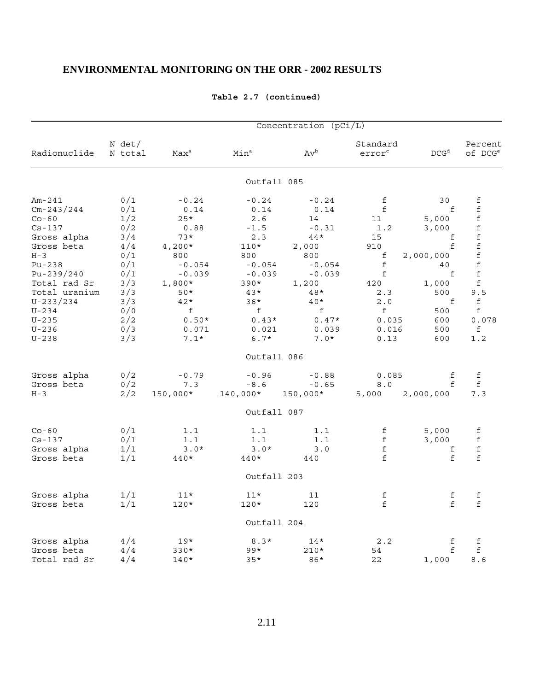|                |                   |                  |                  | Concentration (pCi/L)    |                                                                                          |                  |                                            |
|----------------|-------------------|------------------|------------------|--------------------------|------------------------------------------------------------------------------------------|------------------|--------------------------------------------|
| Radionuclide   | N det/<br>N total | Max <sup>a</sup> | Min <sup>a</sup> | $\mathrm{Av}^\mathrm{b}$ | Standard<br>error <sup>c</sup>                                                           | DCG <sup>d</sup> | Percent<br>of DCG <sup>e</sup>             |
|                |                   |                  | Outfall 085      |                          |                                                                                          |                  |                                            |
| $Am-241$       | 0/1               | $-0.24$          | $-0.24$          | $-0.24$                  | f                                                                                        | 30               | f                                          |
| $Cm - 243/244$ | 0/1               | 0.14             | 0.14             | 0.14                     | $\mathbf f$                                                                              | f                | f                                          |
| $Co-60$        | 1/2               | $25*$            | 2.6              | 14                       | 11                                                                                       | 5,000            | $\mathbf f$                                |
| $Cs - 137$     | 0/2               | 0.88             | $-1.5$           | $-0.31$                  | 1.2                                                                                      | 3,000            | f                                          |
| Gross alpha    | 3/4               | $73*$            | 2.3              | $44*$                    | 15                                                                                       | f                | $\mathbf f$                                |
| Gross beta     | 4/4               | $4,200*$         | $110*$           | 2,000                    | 910                                                                                      | f                | f                                          |
| $H - 3$        | 0/1               | 800              | 800              | 800                      | f                                                                                        | 2,000,000        | $\mathbf f$                                |
| $Pu-238$       | 0/1               | $-0.054$         | $-0.054$         | $-0.054$                 | $\mathbf f$                                                                              | 40               | f                                          |
| Pu-239/240     | 0/1               | $-0.039$         | $-0.039$         | $-0.039$                 | f                                                                                        | f                | $\mathbf f$                                |
| Total rad Sr   | 3/3               | $1,800*$         | $390*$           | 1,200                    | 420                                                                                      | 1,000            | $\mathsf{f}% _{0}\left( \mathsf{f}\right)$ |
|                |                   | $50*$            | $43*$            | 48*                      |                                                                                          | 500              | 9.5                                        |
| Total uranium  | 3/3               |                  |                  |                          | 2.3                                                                                      |                  |                                            |
| $U - 233/234$  | 3/3               | $42*$            | $36*$            | $40*$                    | 2.0                                                                                      | f                | f                                          |
| $U - 234$      | 0/0               | f                | f                | f                        | f                                                                                        | 500              | f                                          |
| $U - 235$      | 2/2               | $0.50*$          | $0.43*$          | $0.47*$                  | 0.035                                                                                    | 600              | 0.078                                      |
| $U - 236$      | 0/3               | 0.071            | 0.021            | 0.039                    | 0.016                                                                                    | 500              | f                                          |
| $U - 238$      | 3/3               | $7.1*$           | $6.7*$           | $7.0*$                   | 0.13                                                                                     | 600              | 1.2                                        |
|                |                   |                  | Outfall 086      |                          |                                                                                          |                  |                                            |
| Gross alpha    | 0/2               | $-0.79$          | $-0.96$          | $-0.88$                  | 0.085                                                                                    | f                | f                                          |
| Gross beta     | 0/2               | 7.3              | $-8.6$           | $-0.65$                  | 8.0                                                                                      | f                | $\mathbf f$                                |
| $H - 3$        | 2/2               | 150,000*         | 140,000*         | 150,000*                 | 5,000                                                                                    | 2,000,000        | 7.3                                        |
|                |                   |                  | Outfall 087      |                          |                                                                                          |                  |                                            |
| $Co-60$        | 0/1               | 1.1              | 1.1              | 1.1                      | f                                                                                        | 5,000            | f                                          |
| $Cs - 137$     | 0/1               | 1.1              | 1.1              | 1.1                      | f                                                                                        | 3,000            | $\mathbf f$                                |
| Gross alpha    | 1/1               | $3.0*$           | $3.0*$           | 3.0                      | $\mathbf f$                                                                              | f                | f                                          |
| Gross beta     | 1/1               | 440*             | 440*             | 440                      | f                                                                                        | f                | f                                          |
|                |                   |                  | Outfall 203      |                          |                                                                                          |                  |                                            |
|                |                   |                  |                  |                          |                                                                                          |                  |                                            |
| Gross alpha    | 1/1               | $11*$            | $11*$            | 11                       | $\mathsf{f}% _{0}\left( \mathsf{f}\right)$<br>$\mathsf{f}% _{0}\left( \mathsf{f}\right)$ | f<br>f           | f                                          |
| Gross beta     | 1/1               | $120*$           | $120*$           | 120                      |                                                                                          |                  | $\mathbf f$                                |
|                |                   |                  | Outfall 204      |                          |                                                                                          |                  |                                            |
| Gross alpha    | 4/4               | $19*$            | $8.3*$           | $14*$                    | 2.2                                                                                      | f                | f                                          |
| Gross beta     | 4/4               | $330*$           | $99*$            | $210*$                   | 54                                                                                       | f                | f                                          |
| Total rad Sr   | 4/4               | $140*$           | $35*$            | 86*                      | 22                                                                                       | 1,000            | 8.6                                        |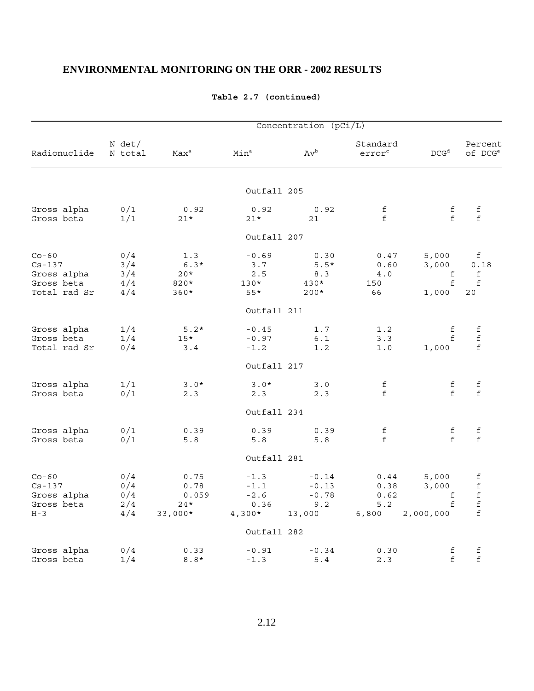|              | Concentration (pCi/L) |                  |                  |         |                                |                  |                                |  |  |  |
|--------------|-----------------------|------------------|------------------|---------|--------------------------------|------------------|--------------------------------|--|--|--|
| Radionuclide | N det/<br>N total     | Max <sup>a</sup> | Min <sup>a</sup> | $Av^b$  | Standard<br>error <sup>c</sup> | DCG <sup>d</sup> | Percent<br>of DCG <sup>e</sup> |  |  |  |
|              |                       |                  | Outfall 205      |         |                                |                  |                                |  |  |  |
| Gross alpha  | 0/1                   | 0.92             | 0.92             | 0.92    | f                              | f                | f                              |  |  |  |
| Gross beta   | 1/1                   | $21*$            | $21*$            | 21      | f                              | f                | f                              |  |  |  |
|              |                       |                  | Outfall 207      |         |                                |                  |                                |  |  |  |
| $Co-60$      | 0/4                   | 1.3              | $-0.69$          | 0.30    | 0.47                           | 5,000            | f                              |  |  |  |
| $Cs - 137$   | 3/4                   | $6.3*$           | 3.7              | $5.5*$  | 0.60                           | 3,000            | 0.18                           |  |  |  |
| Gross alpha  | 3/4                   | $20*$            | 2.5              | 8.3     | 4.0                            | f                | f                              |  |  |  |
| Gross beta   | 4/4                   | 820*             | $130*$           | $430*$  | 150                            | f                | $\mathbf f$                    |  |  |  |
| Total rad Sr | 4/4                   | $360*$           | $55*$            | $200*$  | 66                             | 1,000            | 20                             |  |  |  |
|              |                       |                  | Outfall 211      |         |                                |                  |                                |  |  |  |
| Gross alpha  | 1/4                   | $5.2*$           | $-0.45$          | 1.7     | 1.2                            | f                | f                              |  |  |  |
| Gross beta   | 1/4                   | $15*$            | $-0.97$          | 6.1     | 3.3                            | f                | $\mathbf f$                    |  |  |  |
| Total rad Sr | 0/4                   | 3.4              | $-1.2$           | 1.2     | 1.0                            | 1,000            | f                              |  |  |  |
|              |                       |                  | Outfall 217      |         |                                |                  |                                |  |  |  |
| Gross alpha  | 1/1                   | $3.0*$           | $3.0*$           | 3.0     | f                              | f                | f                              |  |  |  |
| Gross beta   | 0/1                   | 2.3              | 2.3              | 2.3     | $\mathbf f$                    | f                | $\mathbf f$                    |  |  |  |
|              |                       |                  | Outfall 234      |         |                                |                  |                                |  |  |  |
| Gross alpha  | 0/1                   | 0.39             | 0.39             | 0.39    | f                              | f                | f                              |  |  |  |
| Gross beta   | 0/1                   | $5.8$            | 5.8              | 5.8     | f                              | f                | f                              |  |  |  |
|              |                       |                  | Outfall 281      |         |                                |                  |                                |  |  |  |
| $Co-60$      | 0/4                   | 0.75             | $-1.3$           | $-0.14$ | 0.44                           | 5,000            | f                              |  |  |  |
| $Cs - 137$   | 0/4                   | 0.78             | $-1.1$           | $-0.13$ | 0.38                           | 3,000            | $\mathbf f$                    |  |  |  |
| Gross alpha  | 0/4                   | 0.059            | $-2.6$           | $-0.78$ | 0.62                           | f                | $\mathbf f$                    |  |  |  |
| Gross beta   | 2/4                   | $24*$            | 0.36             | 9.2     | 5.2                            | f                | $\mathbf f$                    |  |  |  |
| $H - 3$      | 4/4                   | $33,000*$        | $4,300*$         | 13,000  | 6,800                          | 2,000,000        | $\mathbf f$                    |  |  |  |
|              |                       |                  | Outfall 282      |         |                                |                  |                                |  |  |  |
| Gross alpha  | 0/4                   | 0.33             | $-0.91$          | $-0.34$ | 0.30                           | f                | f                              |  |  |  |
| Gross beta   | 1/4                   | $8.8*$           | $-1.3$           | 5.4     | 2.3                            | $\mathbf f$      | $\mathbf f$                    |  |  |  |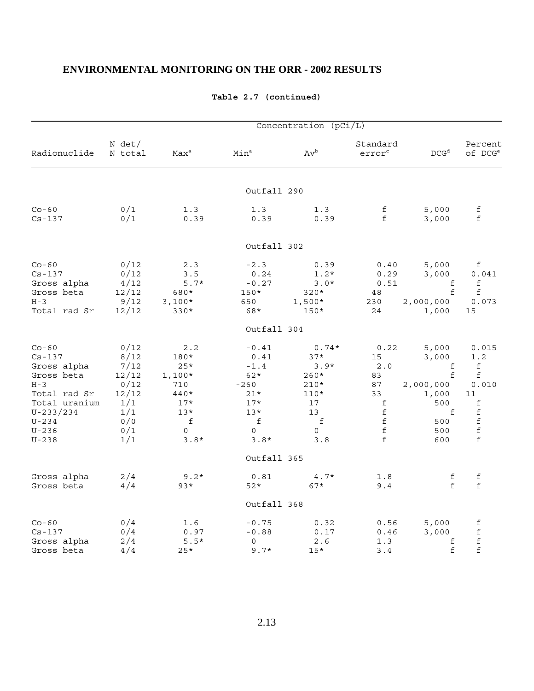|                                                                                                                                                          | Concentration (pCi/L)                                                             |                                                                                       |                                                                                             |                                                                                       |                                                                                                      |                                                                                 |                                                                                                       |  |  |  |
|----------------------------------------------------------------------------------------------------------------------------------------------------------|-----------------------------------------------------------------------------------|---------------------------------------------------------------------------------------|---------------------------------------------------------------------------------------------|---------------------------------------------------------------------------------------|------------------------------------------------------------------------------------------------------|---------------------------------------------------------------------------------|-------------------------------------------------------------------------------------------------------|--|--|--|
| Radionuclide                                                                                                                                             | N det/<br>N total                                                                 | $Max^a$                                                                               | Min <sup>a</sup>                                                                            | $Av^b$                                                                                | Standard<br>error <sup>c</sup>                                                                       | DCG <sup>d</sup>                                                                | Percent<br>of DCG <sup>e</sup>                                                                        |  |  |  |
|                                                                                                                                                          |                                                                                   |                                                                                       | Outfall 290                                                                                 |                                                                                       |                                                                                                      |                                                                                 |                                                                                                       |  |  |  |
| $Co-60$<br>$Cs - 137$                                                                                                                                    | 0/1<br>0/1                                                                        | 1.3<br>0.39                                                                           | 1.3<br>0.39                                                                                 | 1.3<br>0.39                                                                           | f<br>f                                                                                               | 5,000<br>3,000                                                                  | $\mathbf f$<br>f                                                                                      |  |  |  |
|                                                                                                                                                          |                                                                                   |                                                                                       | Outfall 302                                                                                 |                                                                                       |                                                                                                      |                                                                                 |                                                                                                       |  |  |  |
| $Co-60$<br>$Cs - 137$<br>Gross alpha<br>Gross beta<br>$H - 3$<br>Total rad Sr                                                                            | 0/12<br>0/12<br>4/12<br>12/12<br>9/12<br>12/12                                    | 2.3<br>3.5<br>$5.7*$<br>680*<br>$3,100*$<br>$330*$                                    | $-2.3$<br>0.24<br>$-0.27$<br>$150*$<br>650<br>68*                                           | 0.39<br>$1.2*$<br>$3.0*$<br>$320*$<br>$1,500*$<br>$150*$                              | 0.40<br>0.29<br>0.51<br>48<br>230<br>24                                                              | 5,000<br>3,000<br>f<br>f<br>2,000,000<br>1,000                                  | f<br>0.041<br>f<br>f<br>0.073<br>15                                                                   |  |  |  |
|                                                                                                                                                          |                                                                                   |                                                                                       | Outfall 304                                                                                 |                                                                                       |                                                                                                      |                                                                                 |                                                                                                       |  |  |  |
| $Co-60$<br>$Cs - 137$<br>Gross alpha<br>Gross beta<br>$H - 3$<br>Total rad Sr<br>Total uranium<br>$U - 233 / 234$<br>$U - 234$<br>$U - 236$<br>$U - 238$ | 0/12<br>8/12<br>7/12<br>12/12<br>0/12<br>12/12<br>1/1<br>1/1<br>0/0<br>0/1<br>1/1 | 2.2<br>180*<br>$25*$<br>$1,100*$<br>710<br>440*<br>$17*$<br>$13*$<br>f<br>0<br>$3.8*$ | $-0.41$<br>0.41<br>$-1.4$<br>$62*$<br>$-260$<br>$21*$<br>$17*$<br>$13*$<br>f<br>0<br>$3.8*$ | $0.74*$<br>$37*$<br>$3.9*$<br>$260*$<br>$210*$<br>$110*$<br>17<br>13<br>f<br>0<br>3.8 | 0.22<br>15<br>2.0<br>83<br>87<br>33<br>$\mathbf f$<br>$\mathbf f$<br>$\mathbf f$<br>$\mathbf f$<br>f | 5,000<br>3,000<br>f<br>f<br>2,000,000<br>1,000<br>500<br>f<br>500<br>500<br>600 | 0.015<br>1.2<br>$\verb f $<br>f<br>0.010<br>11<br>$\mathbf f$<br>$\mathbf f$<br>$\mathbf f$<br>f<br>f |  |  |  |
|                                                                                                                                                          |                                                                                   |                                                                                       | Outfall 365                                                                                 |                                                                                       |                                                                                                      |                                                                                 |                                                                                                       |  |  |  |
| Gross alpha<br>Gross beta                                                                                                                                | 2/4<br>4/4                                                                        | $9.2*$<br>$93*$                                                                       | 0.81<br>$52*$                                                                               | $4.7*$<br>$67*$                                                                       | 1.8<br>9.4                                                                                           | f<br>$\mathsf{f}$                                                               | f<br>f                                                                                                |  |  |  |
|                                                                                                                                                          |                                                                                   |                                                                                       | Outfall 368                                                                                 |                                                                                       |                                                                                                      |                                                                                 |                                                                                                       |  |  |  |
| $Co-60$<br>$Cs - 137$<br>Gross alpha<br>Gross beta                                                                                                       | 0/4<br>0/4<br>2/4<br>4/4                                                          | 1.6<br>0.97<br>$5.5*$<br>$25*$                                                        | $-0.75$<br>$-0.88$<br>0<br>$9.7*$                                                           | 0.32<br>0.17<br>2.6<br>$15*$                                                          | 0.56<br>0.46<br>1.3<br>3.4                                                                           | 5,000<br>3,000<br>f<br>$\mathsf{f}% _{0}\left( \mathsf{f}\right)$               | $\verb f $<br>$\mathbf f$<br>$\mathbf f$<br>$\mathbf f$                                               |  |  |  |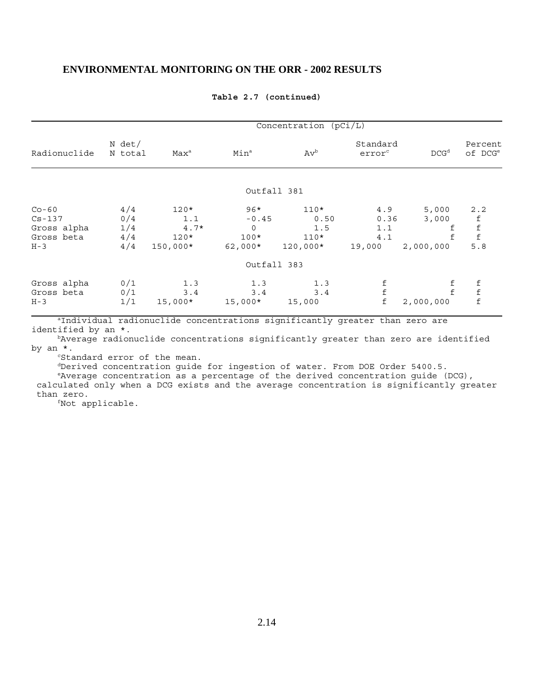|                                      | Concentration (pCi/L) |                                |                                  |                             |                                |                                 |                                |  |  |  |
|--------------------------------------|-----------------------|--------------------------------|----------------------------------|-----------------------------|--------------------------------|---------------------------------|--------------------------------|--|--|--|
| Radionuclide                         | $N$ det/<br>N total   | Max <sup>a</sup>               | Min <sup>a</sup>                 | $Av^b$                      | Standard<br>error <sup>c</sup> | DCG <sup>d</sup>                | Percent<br>of DCG <sup>e</sup> |  |  |  |
|                                      |                       |                                | Outfall 381                      |                             |                                |                                 |                                |  |  |  |
| $Co-60$<br>$Cs - 137$                | 4/4<br>0/4            | $120*$<br>1.1                  | $96*$<br>$-0.45$                 | $110*$<br>0.50              | 4.9<br>0.36                    | 5,000<br>3,000                  | 2.2<br>$^{\rm f}$              |  |  |  |
| Gross alpha<br>Gross beta<br>$H - 3$ | 1/4<br>4/4<br>4/4     | $4.7*$<br>$120*$<br>$150,000*$ | $\mathbf 0$<br>$100*$<br>62,000* | 1.5<br>$110*$<br>$120,000*$ | 1.1<br>4.1<br>19,000           | f<br>2,000,000                  | $\mathbf f$<br>5.8             |  |  |  |
|                                      |                       |                                | Outfall 383                      |                             |                                |                                 |                                |  |  |  |
| Gross alpha<br>Gross beta<br>$H - 3$ | 0/1<br>0/1<br>1/1     | 1.3<br>3.4<br>$15,000*$        | 1.3<br>3.4<br>$15,000*$          | 1.3<br>3.4<br>15,000        | $^{\rm f}$<br>$\mathbf f$      | $^{\rm f}_{\rm f}$<br>2,000,000 | f f<br>$\mathbf f$             |  |  |  |

#### **Table 2.7 (continued)**

aIndividual radionuclide concentrations significantly greater than zero are identified by an \*.

bAverage radionuclide concentrations significantly greater than zero are identified by an \*.

<sup>c</sup>Standard error of the mean.

dDerived concentration guide for ingestion of water. From DOE Order 5400.5.

 eAverage concentration as a percentage of the derived concentration guide (DCG), calculated only when a DCG exists and the average concentration is significantly greater than zero.

fNot applicable.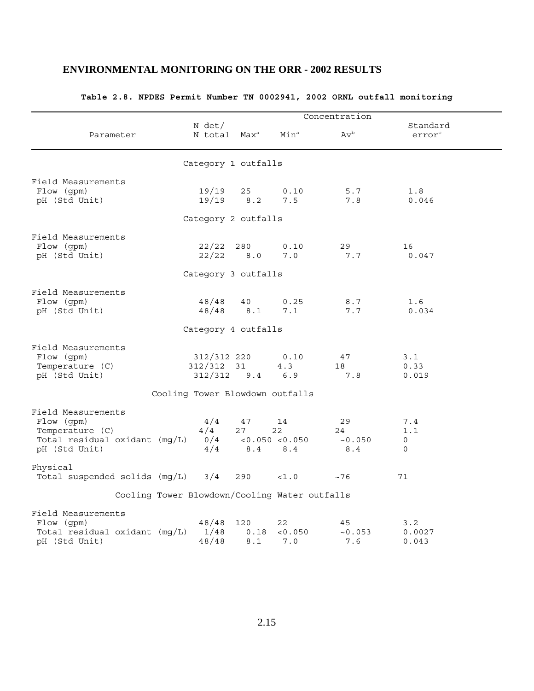|                                                                                                       |                                               |                    |                                    | Concentration              |                                 |  |
|-------------------------------------------------------------------------------------------------------|-----------------------------------------------|--------------------|------------------------------------|----------------------------|---------------------------------|--|
| Parameter                                                                                             | N det/<br>N total Max <sup>a</sup>            |                    | Min <sup>a</sup>                   | $Av^b$                     | Standard<br>error <sup>c</sup>  |  |
|                                                                                                       | Category 1 outfalls                           |                    |                                    |                            |                                 |  |
| Field Measurements<br>Flow (gpm)<br>pH (Std Unit)                                                     | 19/19<br>19/19                                | 25<br>8.2          | 0.10<br>7.5                        | 5.7<br>7.8                 | 1.8<br>0.046                    |  |
|                                                                                                       | Category 2 outfalls                           |                    |                                    |                            |                                 |  |
| Field Measurements<br>Flow (gpm)<br>pH (Std Unit)                                                     | 22/22<br>22/22                                | 280<br>8.0         | 0.10<br>7.0                        | 29<br>7.7                  | 16<br>0.047                     |  |
|                                                                                                       | Category 3 outfalls                           |                    |                                    |                            |                                 |  |
| Field Measurements<br>Flow (gpm)<br>pH (Std Unit)                                                     | 48/48<br>48/48                                | 40<br>$8.1\,$      | 0.25<br>7.1                        | 8.7<br>7.7                 | 1.6<br>0.034                    |  |
|                                                                                                       | Category 4 outfalls                           |                    |                                    |                            |                                 |  |
| Field Measurements<br>Flow (gpm)<br>Temperature (C)<br>pH (Std Unit)                                  | 312/312 220<br>312/312<br>312/312             | 31<br>$9.4$        | 0.10<br>4.3<br>6.9                 | 47<br>18<br>7.8            | 3.1<br>0.33<br>0.019            |  |
|                                                                                                       | Cooling Tower Blowdown outfalls               |                    |                                    |                            |                                 |  |
| Field Measurements<br>Flow (gpm)<br>Temperature (C)<br>Total residual oxidant (mg/L)<br>pH (Std Unit) | 4/4<br>4/4<br>0/4<br>4/4                      | 47<br>27<br>8.4    | 14<br>22<br>< 0.050 < 0.050<br>8.4 | 29<br>24<br>~10.050<br>8.4 | 7.4<br>1.1<br>0<br>$\mathsf{O}$ |  |
| Physical<br>Total suspended solids (mg/L)                                                             | 3/4                                           | 290                | <1.0                               | ~176                       | 71                              |  |
|                                                                                                       | Cooling Tower Blowdown/Cooling Water outfalls |                    |                                    |                            |                                 |  |
|                                                                                                       |                                               |                    |                                    |                            |                                 |  |
| Field Measurements<br>Flow (gpm)<br>Total residual oxidant (mg/L)<br>pH (Std Unit)                    | 48/48<br>1/48<br>48/48                        | 120<br>0.18<br>8.1 | 22<br>< 0.050<br>7.0               | 45<br>~10.053<br>7.6       | 3.2<br>0.0027<br>0.043          |  |

### **Table 2.8. NPDES Permit Number TN 0002941, 2002 ORNL outfall monitoring**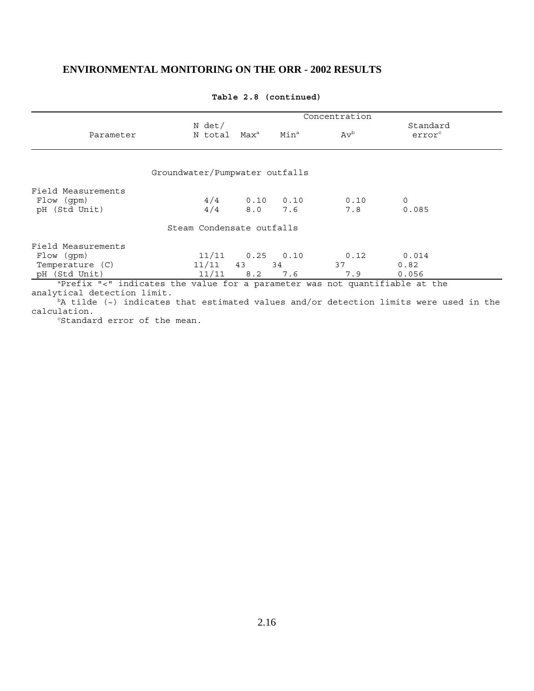|                                                                                                            | Concentration                  |  |                                           |                          |                                |  |  |
|------------------------------------------------------------------------------------------------------------|--------------------------------|--|-------------------------------------------|--------------------------|--------------------------------|--|--|
| Parameter                                                                                                  | N det/                         |  | N total Max <sup>a</sup> Min <sup>a</sup> | $\mathrm{Av}^\mathrm{b}$ | Standard<br>error <sup>c</sup> |  |  |
|                                                                                                            |                                |  |                                           |                          |                                |  |  |
|                                                                                                            | Groundwater/Pumpwater outfalls |  |                                           |                          |                                |  |  |
| Field Measurements                                                                                         |                                |  |                                           |                          |                                |  |  |
| Flow (qpm)                                                                                                 |                                |  |                                           | $4/4$ 0.10 0.10 0.10     | $\Omega$                       |  |  |
| pH (Std Unit)                                                                                              | 4/4                            |  | 8.0 7.6                                   | 7.8                      | 0.085                          |  |  |
|                                                                                                            | Steam Condensate outfalls      |  |                                           |                          |                                |  |  |
| Field Measurements                                                                                         |                                |  |                                           |                          |                                |  |  |
| Flow (qpm)                                                                                                 |                                |  | 11/11   0.25   0.10                       | $0.12$ $0.014$           |                                |  |  |
| Temperature (C)                                                                                            | $11/11$ 43 34                  |  |                                           | 37                       | 0.82                           |  |  |
| pH (Std Unit)                                                                                              |                                |  | $11/11$ 8.2 7.6                           | 7.9                      | 0.056                          |  |  |
| aPrefix "<" indicates the value for a parameter was not quantifiable at the<br>analytical detection limit. |                                |  |                                           |                          |                                |  |  |
| $^{\text{b}}$ A tilde (~) indicates that estimated values and/or detection limits were used in the         |                                |  |                                           |                          |                                |  |  |
| calculation.                                                                                               |                                |  |                                           |                          |                                |  |  |

#### **Table 2.8 (continued)**

<sup>c</sup>Standard error of the mean.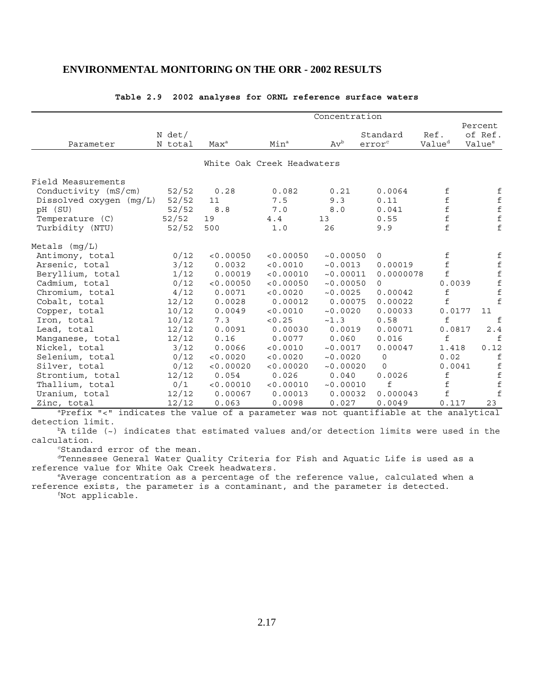|                           |                   |           |                            | Concentration |                                |                            |                              |
|---------------------------|-------------------|-----------|----------------------------|---------------|--------------------------------|----------------------------|------------------------------|
| Parameter                 | N det/<br>N total | $Max^a$   | Min <sup>a</sup>           | $Av^b$        | Standard<br>error <sup>c</sup> | Ref.<br>Value <sup>d</sup> | Percent<br>of Ref.<br>Value® |
|                           |                   |           | White Oak Creek Headwaters |               |                                |                            |                              |
| Field Measurements        |                   |           |                            |               |                                |                            |                              |
| Conductivity (mS/cm)      | 52/52             | 0.28      | 0.082                      | 0.21          | 0.0064                         | f                          | f                            |
| Dissolved oxygen $(mq/L)$ | 52/52             | 11        | 7.5                        | 9.3           | 0.11                           | $\mathbf f$                | $\pmb{\mathsf{f}}$           |
| pH (SU)                   | 52/52             | 8.8       | 7.0                        | 8.0           | 0.041                          | $\mathbf f$                | $\mathbf f$                  |
| Temperature (C)           | 52/52             | 19        | 4.4                        | 13            | 0.55                           | $\mathbf f$                | $\dot{f}$                    |
| Turbidity (NTU)           | 52/52             | 500       | 1.0                        | 26            | 9.9                            | $\mathbf f$                | f                            |
| Metals $(mg/L)$           |                   |           |                            |               |                                |                            |                              |
| Antimony, total           | 0/12              | < 0.00050 | < 0.00050                  | ~10.00050     | $\Omega$                       | f                          | f                            |
| Arsenic, total            | 3/12              | 0.0032    | < 0.0010                   | ~10.0013      | 0.00019                        | $\mathbf f$                | $\pmb{\mathrm{f}}$           |
| Beryllium, total          | 1/12              | 0.00019   | < 0.00010                  | ~10.00011     | 0.0000078                      | f                          |                              |
| Cadmium, total            | 0/12              | < 0.00050 | < 0.00050                  | ~10.00050     | $\Omega$                       | 0.0039                     | $f_f$                        |
| Chromium, total           | 4/12              | 0.0071    | < 0.0020                   | ~10.0025      | 0.00042                        | f                          | $\mathbf f$                  |
| Cobalt, total             | 12/12             | 0.0028    | 0.00012                    | 0.00075       | 0.00022                        | $\mathbf f$                | f                            |
| Copper, total             | 10/12             | 0.0049    | < 0.0010                   | ~10.0020      | 0.00033                        | 0.0177                     | 11                           |
| Iron, total               | 10/12             | 7.3       | < 0.25                     | ~1.3          | 0.58                           | f                          | f                            |
| Lead, total               | 12/12             | 0.0091    | 0.00030                    | 0.0019        | 0.00071                        | 0.0817                     | 2.4                          |
| Manganese, total          | 12/12             | 0.16      | 0.0077                     | 0.060         | 0.016                          | f                          | f                            |
| Nickel, total             | 3/12              | 0.0066    | < 0.0010                   | ~10.0017      | 0.00047                        | 1.418                      | 0.12                         |
| Selenium, total           | 0/12              | < 0.0020  | < 0.0020                   | ~10.0020      | $\mathbf 0$                    | 0.02                       | f                            |
| Silver, total             | 0/12              | < 0.00020 | < 0.00020                  | ~10.00020     | 0                              | 0.0041                     | f                            |
| Strontium, total          | 12/12             | 0.054     | 0.026                      | 0.040         | 0.0026                         | $\mathbf f$                | $\mathbf f$                  |
| Thallium, total           | 0/1               | < 0.00010 | < 0.00010                  | ~0.00010      | f                              | $\mathbf f$                | $\mathbf f$                  |
| Uranium, total            | 12/12             | 0.00067   | 0.00013                    | 0.00032       | 0.000043                       | f                          | $\mathbf f$                  |
| Zinc, total               | 12/12             | 0.063     | 0.0098                     | 0.027         | 0.0049                         | 0.117                      | 23                           |

#### **Table 2.9 2002 analyses for ORNL reference surface waters**

aPrefix "<" indicates the value of a parameter was not quantifiable at the analytical detection limit.

 $b$ A tilde (~) indicates that estimated values and/or detection limits were used in the calculation.

cStandard error of the mean.

dTennessee General Water Quality Criteria for Fish and Aquatic Life is used as a reference value for White Oak Creek headwaters.

 eAverage concentration as a percentage of the reference value, calculated when a reference exists, the parameter is a contaminant, and the parameter is detected.

fNot applicable.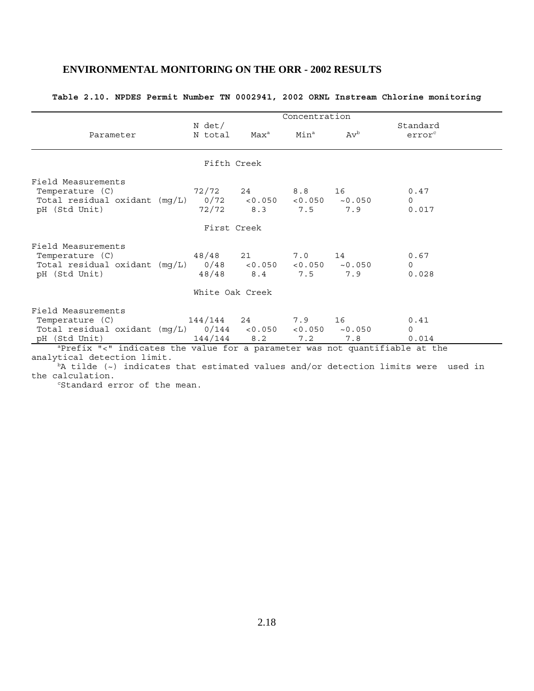### **Table 2.10. NPDES Permit Number TN 0002941, 2002 ORNL Instream Chlorine monitoring**

|                                                                                                                                        |        |                                                           | Concentration |                                             |                                |  |
|----------------------------------------------------------------------------------------------------------------------------------------|--------|-----------------------------------------------------------|---------------|---------------------------------------------|--------------------------------|--|
| Parameter                                                                                                                              | N det/ | N total Max <sup>a</sup> Min <sup>a</sup> Av <sup>b</sup> |               |                                             | Standard<br>error <sup>c</sup> |  |
|                                                                                                                                        |        | Fifth Creek                                               |               |                                             |                                |  |
| Field Measurements<br>Temperature (C)<br>Total residual oxidant $(mg/L)$ 0/72 <0.050 <0.050 ~0.050<br>pH (Std Unit)                    |        |                                                           |               | $72/72$ 24 8.8 16 0.47<br>72/72 8.3 7.5 7.9 | $\Omega$<br>0.017              |  |
|                                                                                                                                        |        | First Creek                                               |               |                                             |                                |  |
| Field Measurements<br>Temperature (C) 48/48 21 7.0 14<br>Total residual oxidant $(mg/L)$ 0/48 <0.050 <0.050 ~0.050<br>pH (Std Unit)    |        |                                                           |               | 48/48 8.4 7.5 7.9                           | 0.67<br>$\Omega$<br>0.028      |  |
|                                                                                                                                        |        | White Oak Creek                                           |               |                                             |                                |  |
| Field Measurements<br>Temperature (C) 144/144 24 7.9 16<br>Total residual oxidant (mg/L) $0/144$ <0.050 <0.050 ~0.050<br>pH (Std Unit) |        | $144/144$ 8.2                                             | 7.2           | 7.8                                         | 0.41<br>$\Omega$<br>0.014      |  |
| aPrefix "<" indicates the value for a parameter was not quantifiable at the<br>analytical detection limit.                             |        |                                                           |               |                                             |                                |  |

bA tilde (~) indicates that estimated values and/or detection limits were used in the calculation.

<sup>c</sup>Standard error of the mean.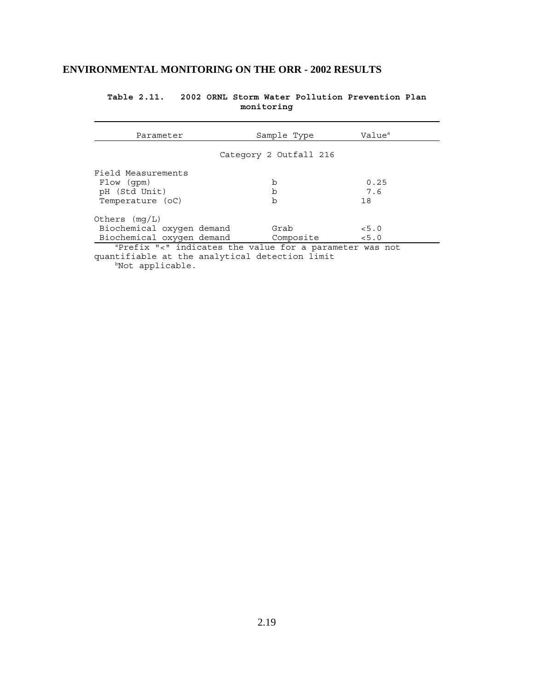| Parameter                                                                                                    | Sample Type            | Value <sup>a</sup> |  |  |  |  |  |
|--------------------------------------------------------------------------------------------------------------|------------------------|--------------------|--|--|--|--|--|
|                                                                                                              | Category 2 Outfall 216 |                    |  |  |  |  |  |
| Field Measurements<br>b<br>0.25<br>Flow (qpm)<br>pH (Std Unit)<br>7.6<br>b<br>Temperature (oC)<br>b<br>18    |                        |                    |  |  |  |  |  |
| Others $(mq/L)$<br>Biochemical oxygen demand<br>Grab<br>< 5.0<br>Biochemical oxygen demand<br>Composite <5.0 |                        |                    |  |  |  |  |  |
| aPrefix "<" indicates the value for a parameter was not<br>quantifiable at the analytical detection limit    |                        |                    |  |  |  |  |  |

**Table 2.11. 2002 ORNL Storm Water Pollution Prevention Plan monitoring**

bNot applicable.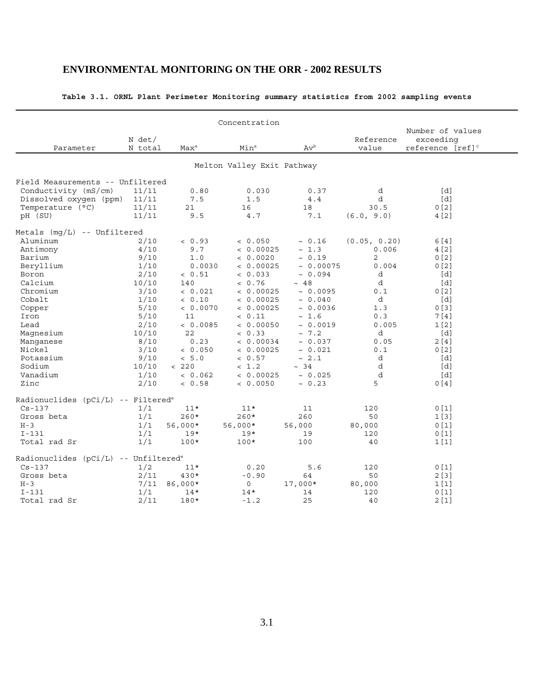|                                                  |                    |                  | Concentration              |                |                    |                                                               |
|--------------------------------------------------|--------------------|------------------|----------------------------|----------------|--------------------|---------------------------------------------------------------|
| Parameter                                        | N det /<br>N total | Max <sup>a</sup> | Min <sup>a</sup>           | $Av^b$         | Reference<br>value | Number of values<br>exceeding<br>reference [ref] <sup>c</sup> |
|                                                  |                    |                  |                            |                |                    |                                                               |
|                                                  |                    |                  | Melton Valley Exit Pathway |                |                    |                                                               |
| Field Measurements -- Unfiltered                 |                    |                  |                            |                |                    |                                                               |
| Conductivity (mS/cm)                             | 11/11              | 0.80             | 0.030                      | 0.37           | d                  | [d]                                                           |
| Dissolved oxygen (ppm)                           | 11/11              | 7.5              | 1.5                        | 4.4            | d                  | [d]                                                           |
| Temperature (°C)                                 | 11/11              | 21               | 16                         | 18             | 30.5               | 0[2]                                                          |
| pH (SU)                                          | 11/11              | 9.5              | 4.7                        | 7.1            | (6.0, 9.0)         | 4[2]                                                          |
| Metals (mq/L) -- Unfiltered                      |                    |                  |                            |                |                    |                                                               |
| Aluminum                                         | 2/10               | < 0.93           | < 0.050                    | ~0.16          | (0.05, 0.20)       | 6[4]                                                          |
| Antimony                                         | 4/10               | 9.7              | < 0.00025                  | ~1.3           | 0.006              | 4 [2]                                                         |
| Barium                                           | 9/10               | 1.0              | < 0.0020                   | ~0.19          | 2                  | 0[2]                                                          |
| Beryllium                                        | 1/10               | 0.0030           | < 0.00025                  | $\sim 0.00075$ | 0.004              | 0[2]                                                          |
| Boron                                            | 2/10               | < 0.51           | < 0.033                    | ~10.094        | d                  | $\lceil d \rceil$                                             |
| Calcium                                          | 10/10              | 140              | < 0.76                     | ~18            | d                  | $\lceil d \rceil$                                             |
| Chromium                                         | 3/10               | < 0.021          | < 0.00025                  | ~10.0095       | 0.1                | 0[2]                                                          |
| Cobalt                                           | 1/10               | < 0.10           | < 0.00025                  | ~0.040         | d                  | [d]                                                           |
| Copper                                           | 5/10               | < 0.0070         | < 0.00025                  | ~10.0036       | 1.3                | 0 <sub>131</sub>                                              |
| Iron                                             | 5/10               | 11               | < 0.11                     | ~1.6           | 0.3                | 7[4]                                                          |
| Lead                                             | 2/10               | < 0.0085         | < 0.00050                  | ~10.0019       | 0.005              | 1 <sub>[2]</sub>                                              |
| Magnesium                                        | 10/10              | 22               | & 0.33                     | ~1.2           | d                  | [d]                                                           |
| Manqanese                                        | 8/10               | 0.23             | < 0.00034                  | ~10.037        | 0.05               | 2[4]                                                          |
| Nickel                                           | 3/10               | < 0.050          | < 0.00025                  | ~0.021         | 0.1                | 0 <sub>12</sub>                                               |
| Potassium                                        | 9/10               | < 5.0            | < 0.57                     | ~2.1           | d                  | [d]                                                           |
| Sodium                                           | 10/10              | < 220            | < 1.2                      | ~24            | d                  | [d]                                                           |
| Vanadium                                         | 1/10               | < 0.062          | < 0.00025                  | ~0.025         | d                  | [d]                                                           |
| Zinc                                             | 2/10               | < 0.58           | < 0.0050                   | ~ 0.23         | 5                  | 0[4]                                                          |
| Radionuclides (pCi/L) -- Filtered <sup>e</sup>   |                    |                  |                            |                |                    |                                                               |
| $Cs - 137$                                       | 1/1                | $11*$            | $11*$                      | 11             | 120                | 0 <sub>[1]</sub>                                              |
| Gross beta                                       | 1/1                | $260*$           | $260*$                     | 260            | 50                 | 1[3]                                                          |
| $H-3$                                            | 1/1                | 56,000*          | $56,000*$                  | 56,000         | 80,000             | 0[1]                                                          |
| $I-131$                                          | 1/1                | $19*$            | $19*$                      | 19             | 120                | 0[1]                                                          |
| Total rad Sr                                     | 1/1                | $100*$           | $100*$                     | 100            | 40                 | 1[1]                                                          |
|                                                  |                    |                  |                            |                |                    |                                                               |
| Radionuclides (pCi/L) -- Unfiltered <sup>e</sup> |                    |                  |                            |                |                    |                                                               |
| $Cs - 137$                                       | 1/2                | $11*$            | 0.20                       | 5.6            | 120                | 0[1]                                                          |
| Gross beta                                       | 2/11               | 430*             | $-0.90$                    | 64             | 50                 | 2[3]                                                          |
| $H - 3$                                          | 7/11               | 86,000*          | 0                          | 17,000*        | 80,000             | 1[1]                                                          |
| $I-131$                                          | 1/1                | $14*$            | $14*$                      | 14             | 120                | 0 <sub>[1]</sub>                                              |
| Total rad Sr                                     | 2/11               | 180*             | $-1.2$                     | 25             | 40                 | 2[1]                                                          |

### **Table 3.1. ORNL Plant Perimeter Monitoring summary statistics from 2002 sampling events**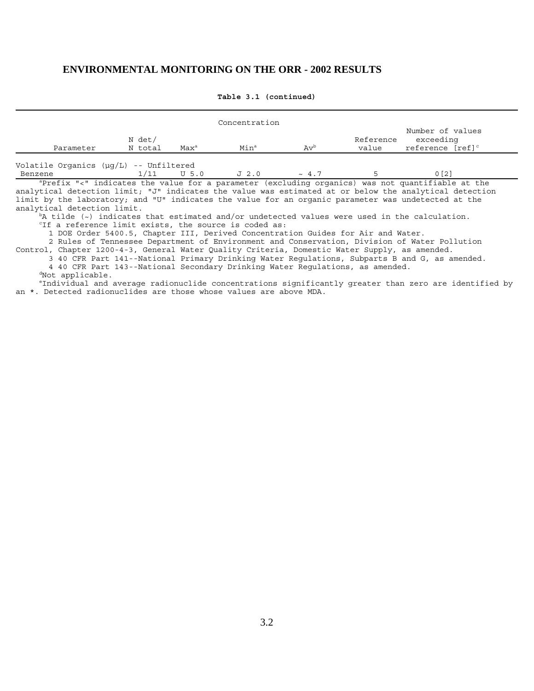|                                          |                   |                  | Concentration    |            |                    |                                                                                                                                                                                                            |
|------------------------------------------|-------------------|------------------|------------------|------------|--------------------|------------------------------------------------------------------------------------------------------------------------------------------------------------------------------------------------------------|
| Parameter                                | N det/<br>N total | Max <sup>a</sup> | Min <sup>a</sup> | $Av^b$     | Reference<br>value | Number of values<br>exceeding<br>reference [ref] <sup>c</sup>                                                                                                                                              |
| Volatile Organics $(uq/L)$ -- Unfiltered |                   |                  |                  |            |                    |                                                                                                                                                                                                            |
| Benzene                                  | 1/11              | $U$ 5.0          | J2.0             | $\sim 4.7$ |                    | 0 <sub>121</sub>                                                                                                                                                                                           |
|                                          |                   |                  |                  |            |                    | aprefix "<" indicates the value for a parameter (excluding organics) was not quantifiable at the<br>analytical detection limit: "J" indicates the value was estimated at or below the analytical detection |

**Table 3.1 (continued)**

analytical detection limit; "J" indicates the value was estimated at or below the analytical detection limit by the laboratory; and "U" indicates the value for an organic parameter was undetected at the analytical detection limit.

 $b_A$  tilde ( $\sim$ ) indicates that estimated and/or undetected values were used in the calculation.

<sup>c</sup>If a reference limit exists, the source is coded as:

1 DOE Order 5400.5, Chapter III, Derived Concentration Guides for Air and Water.

2 Rules of Tennessee Department of Environment and Conservation, Division of Water Pollution

Control, Chapter 1200-4-3, General Water Quality Criteria, Domestic Water Supply, as amended.

 3 40 CFR Part 141--National Primary Drinking Water Regulations, Subparts B and G, as amended. 4 40 CFR Part 143--National Secondary Drinking Water Regulations, as amended.

dNot applicable.

 eIndividual and average radionuclide concentrations significantly greater than zero are identified by an \*. Detected radionuclides are those whose values are above MDA.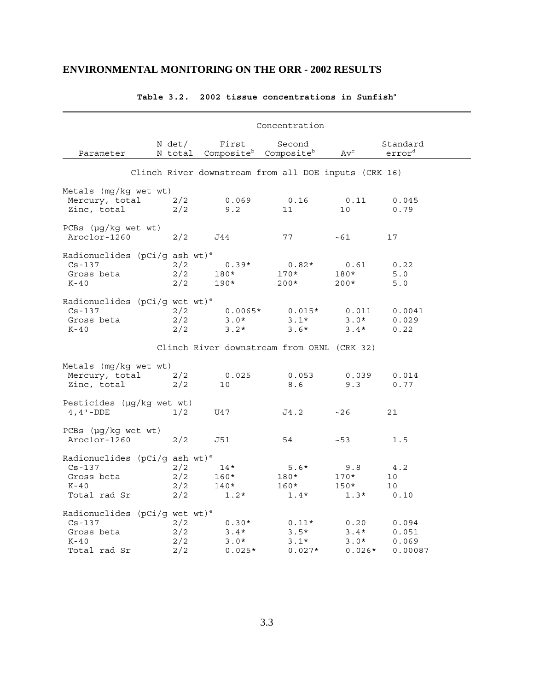|                                                                                                    |                          |                                         | Concentration                                                   |                                      |                                    |
|----------------------------------------------------------------------------------------------------|--------------------------|-----------------------------------------|-----------------------------------------------------------------|--------------------------------------|------------------------------------|
| Parameter                                                                                          | N det/                   | First                                   | Second<br>N total Composite <sup>b</sup> Composite <sup>b</sup> | $\operatorname{Av}^{\text{\rm c}}$   | Standard<br>error <sup>d</sup>     |
|                                                                                                    |                          |                                         | Clinch River downstream from all DOE inputs (CRK 16)            |                                      |                                    |
| Metals (mg/kg wet wt)<br>Mercury, total<br>Zinc, total                                             | 2/2<br>2/2               | 0.069<br>9.2                            | 0.16<br>11                                                      | 0.11<br>10                           | 0.045<br>0.79                      |
| PCBs $(\mu g/kg$ wet wt)<br>Aroclor-1260                                                           | 2/2                      | J44                                     | 77                                                              | ~1                                   | 17                                 |
| Radionuclides (pCi/g ash wt) <sup>e</sup><br>$Cs - 137$<br>Gross beta<br>$K-40$                    | 2/2<br>2/2<br>2/2        | $0.39*$<br>180*<br>190*                 | $0.82*$<br>$170*$<br>$200*$                                     | 0.61<br>180*<br>$200*$               | 0.22<br>5.0<br>5.0                 |
| Radionuclides ( $pCi/g$ wet wt) <sup>e</sup><br>$Cs - 137$<br>Gross beta<br>$K-40$                 | 2/2<br>2/2<br>2/2        | $0.0065*$<br>$3.0*$<br>$3.2*$           | $0.015*$<br>$3 \cdot 1*$<br>$3.6*$                              | 0.011<br>$3.0*$<br>$3.4*$            | 0.0041<br>0.029<br>0.22            |
|                                                                                                    |                          |                                         | Clinch River downstream from ORNL (CRK 32)                      |                                      |                                    |
| Metals $(mq/kg$ wet wt)<br>Mercury, total<br>Zinc, total                                           | 2/2<br>2/2               | 0.025<br>10                             | 0.053<br>8.6                                                    | 0.039<br>9.3                         | 0.014<br>0.77                      |
| Pesticides (µg/kg wet wt)<br>$4, 4 - DDE$                                                          | 1/2                      | U47                                     | J4.2                                                            | ~26                                  | 21                                 |
| $PCBs$ ( $\mu$ g/kg wet wt)<br>Aroclor-1260                                                        | 2/2                      | J51                                     | 54                                                              | $~1 - 53$                            | 1.5                                |
| Radionuclides (pCi/g ash wt) <sup>e</sup><br>$Cs - 137$<br>Gross beta<br>$K-40$<br>Total rad Sr    | 2/2<br>2/2<br>2/2<br>2/2 | $14*$<br>$160*$<br>140*<br>$1.2*$       | $5.6*$<br>180*<br>$160*$<br>$1.4*$                              | 9.8<br>$170*$<br>$150*$<br>$1.3*$    | 4.2<br>10<br>10<br>0.10            |
| Radionuclides ( $pCi/g$ wet wt) <sup>e</sup><br>$Cs - 137$<br>Gross beta<br>$K-40$<br>Total rad Sr | 2/2<br>2/2<br>2/2<br>2/2 | $0.30*$<br>$3.4*$<br>$3.0*$<br>$0.025*$ | $0.11*$<br>$3.5*$<br>$3.1*$<br>$0.027*$                         | 0.20<br>$3.4*$<br>$3.0*$<br>$0.026*$ | 0.094<br>0.051<br>0.069<br>0.00087 |

## **Table 3.2. 2002 tissue concentrations in Sunfisha**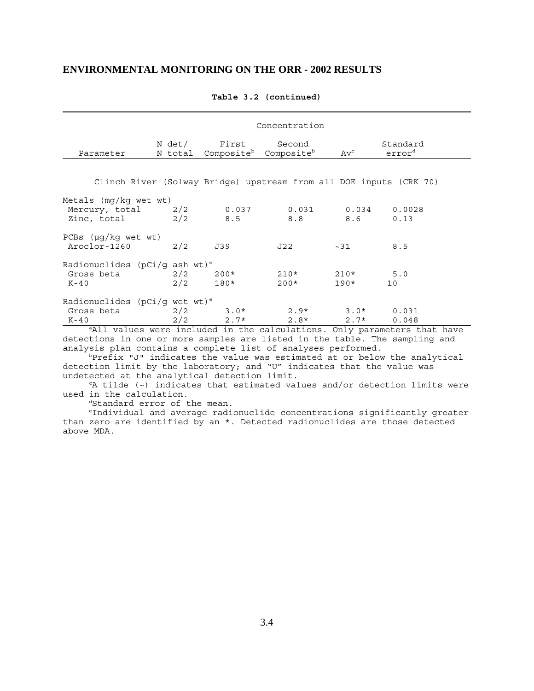|                                                                    |            |                  | Concentration                                                      |                              |                                |
|--------------------------------------------------------------------|------------|------------------|--------------------------------------------------------------------|------------------------------|--------------------------------|
| Parameter                                                          | N total    | N det/ First     | Second<br>Composite <sup>b</sup> Composite <sup>b</sup>            | $\operatorname{Av}^\text{c}$ | Standard<br>error <sup>d</sup> |
|                                                                    |            |                  | Clinch River (Solway Bridge) upstream from all DOE inputs (CRK 70) |                              |                                |
| Metals $(mq/kg$ wet wt)<br>Mercury, total 2/2<br>Zinc, total       | 2/2        | 0.037<br>8.5     | 0.031<br>8.8                                                       | 0.034<br>8.6                 | 0.0028<br>0.13                 |
| PCBs $(\mu q / kq$ wet wt)<br>Aroclor-1260                         | 2/2        | J39              | J22                                                                | ~1                           | 8.5                            |
| Radionuclides (pCi/q ash wt) <sup>e</sup><br>Gross beta<br>K-40    | 2/2<br>2/2 | $200*$<br>$180*$ | $210*$<br>$200*$                                                   | $210*$<br>$190*$             | 5.0<br>10                      |
| Radionuclides ( $pCi/g$ wet wt) <sup>e</sup><br>Gross beta<br>K-40 | 2/2<br>2/2 | $3.0*$<br>$2.7*$ | $2.9*$<br>$2.8*$                                                   | $3.0*$<br>$2.7*$             | 0.031<br>0.048                 |

#### **Table 3.2 (continued)**

<sup>a</sup>All values were included in the calculations. Only parameters that have detections in one or more samples are listed in the table. The sampling and analysis plan contains a complete list of analyses performed.

 $b$ Prefix "J" indicates the value was estimated at or below the analytical detection limit by the laboratory; and "U" indicates that the value was undetected at the analytical detection limit.

 $c_A$  tilde ( $\sim$ ) indicates that estimated values and/or detection limits were used in the calculation.

<sup>d</sup>Standard error of the mean.

 eIndividual and average radionuclide concentrations significantly greater than zero are identified by an \*. Detected radionuclides are those detected above MDA.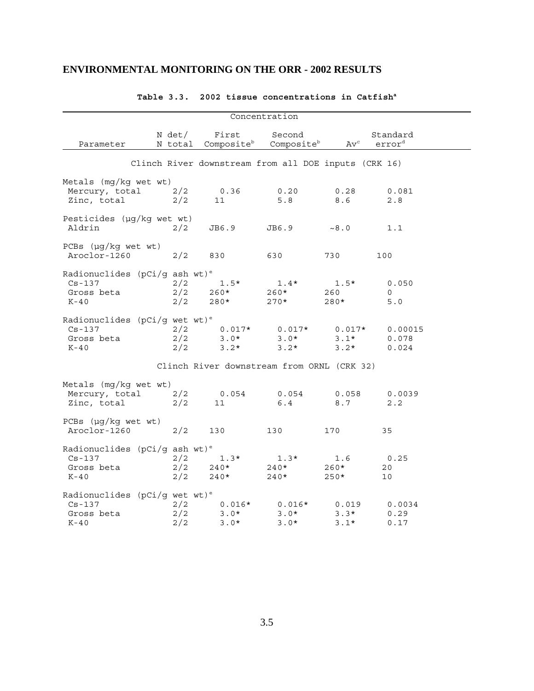|                                                                                    |                                       |                              | Concentration                                                   |                              |                                |  |
|------------------------------------------------------------------------------------|---------------------------------------|------------------------------|-----------------------------------------------------------------|------------------------------|--------------------------------|--|
| Parameter                                                                          | N det/                                | First                        | Second<br>N total Composite <sup>b</sup> Composite <sup>b</sup> | $\operatorname{Av}^\circ$    | Standard<br>error <sup>d</sup> |  |
|                                                                                    |                                       |                              | Clinch River downstream from all DOE inputs (CRK 16)            |                              |                                |  |
| Metals (mg/kg wet wt)<br>Mercury, total                                            | 2/2                                   | 0.36                         | 0.20                                                            | 0.28                         | 0.081                          |  |
| Zinc, total<br>Pesticides (µg/kg wet wt)                                           | 2/2                                   | 11                           | 5.8                                                             | 8.6                          | 2.8                            |  |
| Aldrin                                                                             | 2/2                                   | JB6.9                        | JB6.9                                                           | $\sim$ 8.0                   | 1.1                            |  |
| PCBs $(\mu g/kg$ wet wt)<br>Aroclor-1260                                           | 2/2                                   | 830                          | 630                                                             | 730                          | 100                            |  |
| Radionuclides (pCi/g ash wt) <sup>e</sup><br>$Cs - 137$<br>Gross beta<br>$K-40$    | 2/2<br>$\frac{2}{2}$<br>$\frac{2}{2}$ | $1.5*$<br>$260*$<br>280*     | $1.4*$<br>$260*$<br>$270*$                                      | $1.5*$<br>260<br>280*        | 0.050<br>$\circ$<br>5.0        |  |
| Radionuclides ( $pCi/g$ wet wt) <sup>e</sup><br>$Cs - 137$<br>Gross beta<br>$K-40$ | 2/2<br>2/2                            | $3.0*$<br>$3.2*$             | $2/2$ 0.017* 0.017*<br>$3.0*$<br>$3.2*$                         | $0.017*$<br>$3.1*$<br>$3.2*$ | 0.00015<br>0.078<br>0.024      |  |
|                                                                                    |                                       |                              | Clinch River downstream from ORNL (CRK 32)                      |                              |                                |  |
| Metals (mg/kg wet wt)<br>Mercury, total<br>Zinc, total                             | 2/2<br>2/2                            | 0.054<br>11                  | 0.054<br>6.4                                                    | 0.058<br>8.7                 | 0.0039<br>2.2                  |  |
| $PCBs$ ( $\mu g/kg$ wet wt)<br>Aroclor-1260                                        | 2/2                                   | 130                          | 130                                                             | 170                          | 35                             |  |
| Radionuclides (pCi/g ash wt) <sup>e</sup><br>$Cs - 137$<br>Gross beta<br>K-40      | 2/2<br>2/2<br>2/2                     | $1.3*$<br>$240*$<br>$240*$   | $1.3*$<br>$240*$<br>$240*$                                      | 1.6<br>260*<br>$250*$        | 0.25<br>20<br>10               |  |
| Radionuclides ( $pCi/g$ wet wt) <sup>e</sup><br>$Cs - 137$<br>Gross beta<br>$K-40$ | 2/2<br>2/2<br>2/2                     | $0.016*$<br>$3.0*$<br>$3.0*$ | $0.016*$<br>$3.0*$<br>$3.0*$                                    | 0.019<br>$3.3*$<br>$3.1*$    | 0.0034<br>0.29<br>0.17         |  |

### Table 3.3. 2002 tissue concentrations in Catfish<sup>a</sup>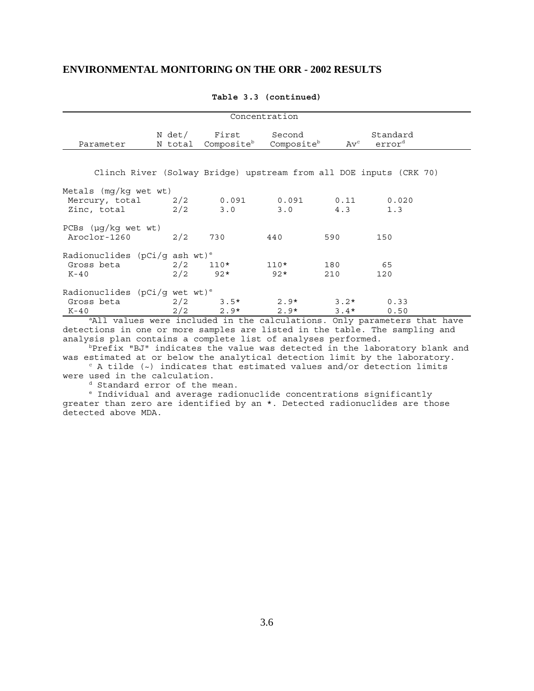|                                              |                   |                                 | Concentration                    |                                        |                                                                    |
|----------------------------------------------|-------------------|---------------------------------|----------------------------------|----------------------------------------|--------------------------------------------------------------------|
| Parameter                                    | N det/<br>N total | First<br>Composite <sup>b</sup> | Second<br>Composite <sup>b</sup> | $\operatorname{Av}^{\operatorname{c}}$ | Standard<br>error <sup>d</sup>                                     |
|                                              |                   |                                 |                                  |                                        |                                                                    |
|                                              |                   |                                 |                                  |                                        | Clinch River (Solway Bridge) upstream from all DOE inputs (CRK 70) |
| Metals $(mq/kg$ wet wt)                      |                   |                                 |                                  |                                        |                                                                    |
| Mercury, total 2/2                           |                   | 0.091                           | 0.091                            | 0.11                                   | 0.020                                                              |
| Zinc, total                                  | 2/2               | 3.0                             | 3.0                              | 4.3                                    | 1.3                                                                |
| PCBs $(\mu g/kg$ wet wt)                     |                   |                                 |                                  |                                        |                                                                    |
| Aroclor-1260                                 | 2/2               | 730                             | 440                              | 590                                    | 150                                                                |
| Radionuclides (pCi/q ash wt) <sup>e</sup>    |                   |                                 |                                  |                                        |                                                                    |
| Gross beta                                   | 2/2               | $110*$                          | $110*$                           | 180                                    | 65                                                                 |
| K-40                                         | 2/2               | $92*$                           | $92*$                            | 210                                    | 120                                                                |
| Radionuclides ( $pCi/g$ wet wt) <sup>e</sup> |                   |                                 |                                  |                                        |                                                                    |
| Gross beta                                   | 2/2               | $3.5*$                          | $2.9*$                           | $3.2*$                                 | 0.33                                                               |
| K-40                                         | 2/2               | $2.9*$                          | $2.9*$                           | $3.4*$                                 | 0.50                                                               |

**Table 3.3 (continued)**

<sup>a</sup>All values were included in the calculations. Only parameters that have detections in one or more samples are listed in the table. The sampling and analysis plan contains a complete list of analyses performed.

 $b$ Prefix "BJ" indicates the value was detected in the laboratory blank and was estimated at or below the analytical detection limit by the laboratory.

 $c$  A tilde ( $\sim$ ) indicates that estimated values and/or detection limits were used in the calculation.

d Standard error of the mean.

 e Individual and average radionuclide concentrations significantly greater than zero are identified by an \*. Detected radionuclides are those detected above MDA.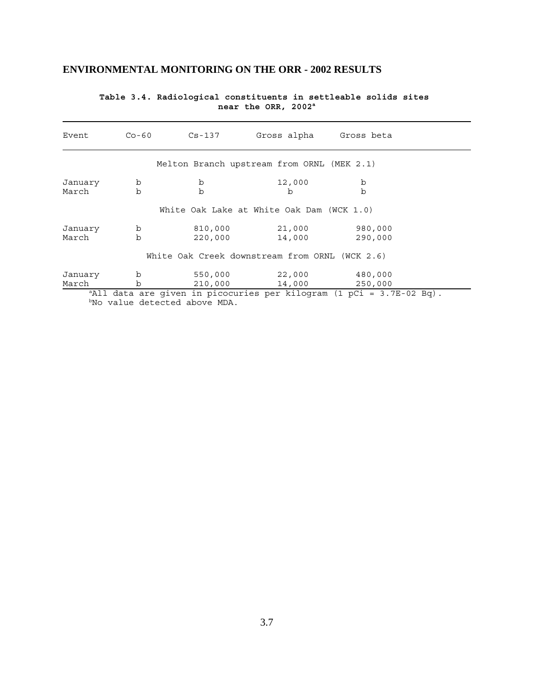| Event            | $Co-60$          | Cs-137                                    | Gross alpha                                                                      | Gross beta         |  |
|------------------|------------------|-------------------------------------------|----------------------------------------------------------------------------------|--------------------|--|
|                  |                  |                                           | Melton Branch upstream from ORNL (MEK 2.1)                                       |                    |  |
| January<br>March | b<br>h           | b<br>$\mathbf b$                          | 12,000<br>b                                                                      | b<br>b             |  |
|                  |                  |                                           | White Oak Lake at White Oak Dam (WCK 1.0)                                        |                    |  |
| January<br>March | b<br>$\mathbf b$ | 810,000<br>220,000                        | 21,000<br>14,000                                                                 | 980,000<br>290,000 |  |
|                  |                  |                                           | White Oak Creek downstream from ORNL (WCK 2.6)                                   |                    |  |
| January<br>March | b<br>b           | 550,000<br>210,000                        | 22,000<br>14,000                                                                 | 480,000<br>250,000 |  |
|                  |                  | <sup>b</sup> No value detected above MDA. | <sup>a</sup> All data are given in picocuries per kilogram (1 pCi = 3.7E-02 Bq). |                    |  |

#### **Table 3.4. Radiological constituents in settleable solids sites near the ORR, 2002a**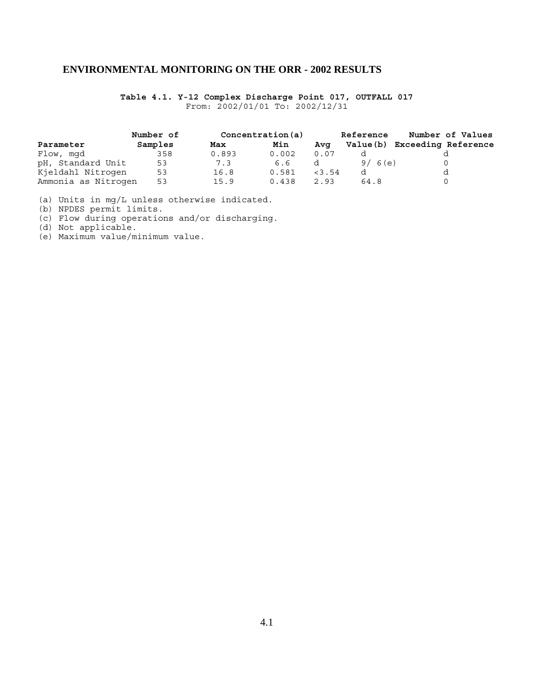**Table 4.1. Y-12 Complex Discharge Point 017, OUTFALL 017** From: 2002/01/01 To: 2002/12/31

|                     | Number of |       | Concentration(a) |          | <b>Reference</b> | Number of Values             |
|---------------------|-----------|-------|------------------|----------|------------------|------------------------------|
| Parameter           | Samples   | Max   | Min              | Ava      |                  | Value(b) Exceeding Reference |
| Flow, mgd           | 358       | 0.893 | 0.002            | 0.07     |                  |                              |
| pH, Standard Unit   | 53        | 7.3   | 6.6              |          | 9/6(e)           |                              |
| Kjeldahl Nitrogen   | 53        | 16.8  | 0.581            | $<$ 3.54 |                  |                              |
| Ammonia as Nitrogen | 53        | 15.9  | 0.438            | 2.93     | 64.8             |                              |

(a) Units in mg/L unless otherwise indicated.

(b) NPDES permit limits.

(c) Flow during operations and/or discharging.

(d) Not applicable.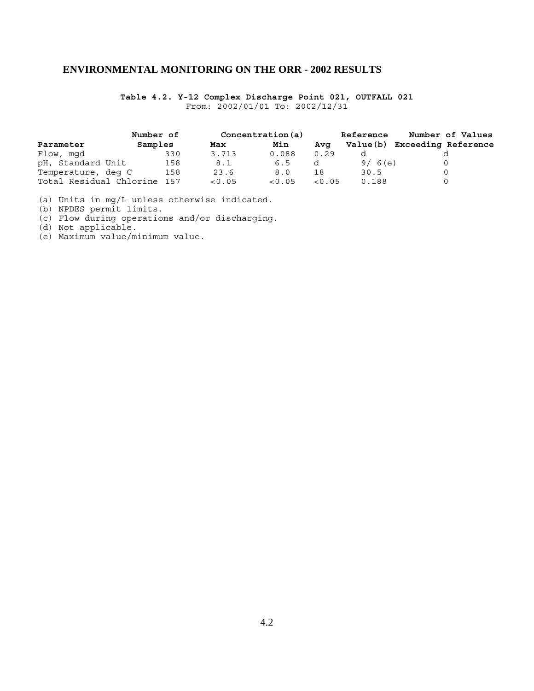**Table 4.2. Y-12 Complex Discharge Point 021, OUTFALL 021** From: 2002/01/01 To: 2002/12/31

|                             | Number of |        | Concentration(a) |        | <b>Reference</b> | Number of Values           |
|-----------------------------|-----------|--------|------------------|--------|------------------|----------------------------|
| Parameter                   | Samples   | Max    | Min              | Ava    | Value(b)         | <b>Exceeding Reference</b> |
| Flow, mgd                   | 330       | 3.713  | 0.088            | 0.29   |                  |                            |
| pH, Standard Unit           | 158       | 8.1    | 6.5              |        | 9/6(e)           |                            |
| Temperature, deg C          | 158       | 23.6   | 8.0              | 18     | 30.5             |                            |
| Total Residual Chlorine 157 |           | < 0.05 | < 0.05           | < 0.05 | 0.188            |                            |

(a) Units in mg/L unless otherwise indicated.

(b) NPDES permit limits.

(c) Flow during operations and/or discharging.

(d) Not applicable.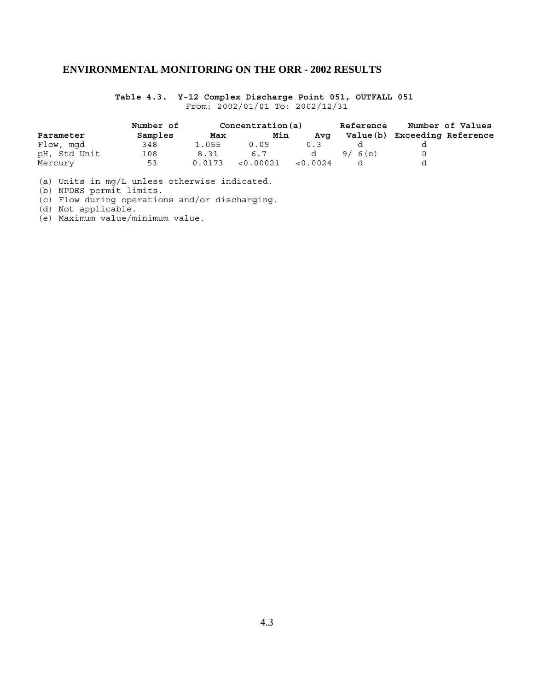**Table 4.3. Y-12 Complex Discharge Point 051, OUTFALL 051**  From: 2002/01/01 To: 2002/12/31

|              | Number of | Concentration(a) |           |          | <b>Reference</b> | Number of Values           |  |
|--------------|-----------|------------------|-----------|----------|------------------|----------------------------|--|
| Parameter    | Samples   | Max              | Min       | Ava      | Value (b)        | <b>Exceeding Reference</b> |  |
| Flow, mgd    | 348       | 1.055            | 0.09      | 0.3      |                  |                            |  |
| pH, Std Unit | 108       | 8.31             | 6.7       | d        | 9/6(e)           |                            |  |
| Mercury      | 53        | 0.0173           | < 0.00021 | < 0.0024 |                  |                            |  |

(a) Units in mg/L unless otherwise indicated.

(b) NPDES permit limits.

(c) Flow during operations and/or discharging.

(d) Not applicable.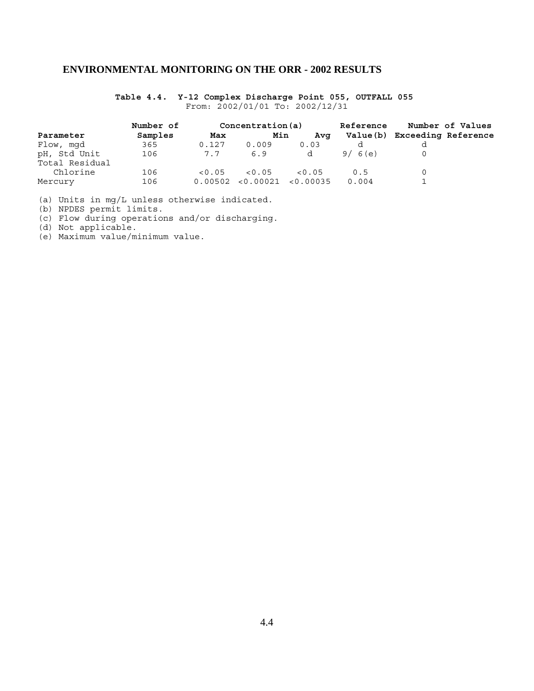### **Table 4.4. Y-12 Complex Discharge Point 055, OUTFALL 055**  From: 2002/01/01 To: 2002/12/31

| Parameter      | Number of |         | Concentration (a) |                     | <b>Reference</b> | Number of Values             |  |
|----------------|-----------|---------|-------------------|---------------------|------------------|------------------------------|--|
|                | Samples   | Max     | Min               | Ava                 |                  | Value(b) Exceeding Reference |  |
| Flow, mgd      | 365       | 0.127   | 0.009             | 0.03                |                  |                              |  |
| pH, Std Unit   | 106       | 7.7     | 6.9               | d                   | 9/6(e)           |                              |  |
| Total Residual |           |         |                   |                     |                  |                              |  |
| Chlorine       | 106       | < 0.05  | < 0.05            | < 0.05              | 0.5              |                              |  |
| Mercury        | 106       | 0.00502 |                   | < 0.00021 < 0.00035 | 0.004            |                              |  |

(a) Units in mg/L unless otherwise indicated.

(b) NPDES permit limits.

(c) Flow during operations and/or discharging.

(d) Not applicable.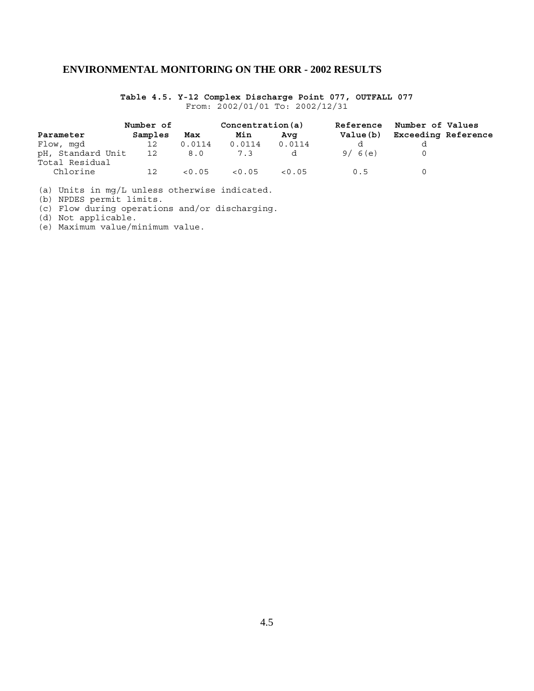**Table 4.5. Y-12 Complex Discharge Point 077, OUTFALL 077** From: 2002/01/01 To: 2002/12/31

|                                     | Number of |        | Concentration(a) |        | Reference | Number of Values           |  |
|-------------------------------------|-----------|--------|------------------|--------|-----------|----------------------------|--|
| Parameter                           | Samples   | Max    | Min              | Avq    | Value(b)  | <b>Exceeding Reference</b> |  |
| Flow, mgd                           | 12        | 0.0114 | 0.0114           | 0.0114 |           |                            |  |
| pH, Standard Unit<br>Total Residual | 12        | 8.0    | 7.3              | d      | 9/6(e)    |                            |  |
| Chlorine                            | 12        | < 0.05 | < 0.05           | < 0.05 | 0.5       |                            |  |

(a) Units in mg/L unless otherwise indicated.

(b) NPDES permit limits.

(c) Flow during operations and/or discharging.

(d) Not applicable.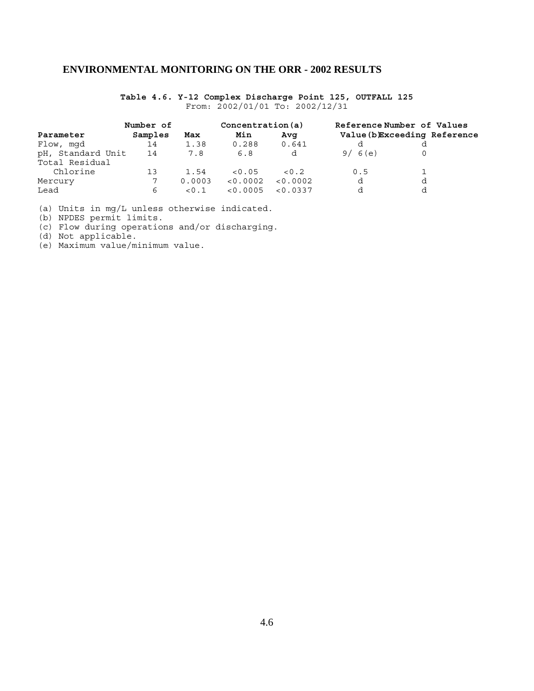**Table 4.6. Y-12 Complex Discharge Point 125, OUTFALL 125** From: 2002/01/01 To: 2002/12/31

|                   | Number of |        | Concentration(a) |          |                              | Reference Number of Values |  |
|-------------------|-----------|--------|------------------|----------|------------------------------|----------------------------|--|
| Parameter         | Samples   | Max    | Min              | Avq      | Value (b)Exceeding Reference |                            |  |
| Flow, mgd         | 14        | 1.38   | 0.288            | 0.641    |                              |                            |  |
| pH, Standard Unit | 14        | 7.8    | 6.8              | d        | 9/6(e)                       |                            |  |
| Total Residual    |           |        |                  |          |                              |                            |  |
| Chlorine          | 13        | 1.54   | < 0.05           | < 0.2    | 0.5                          |                            |  |
| Mercury           |           | 0.0003 | < 0.0002         | < 0.0002 | d                            | d                          |  |
| Lead              | 6         | < 0.1  | < 0.0005         | < 0.0337 |                              | d                          |  |

(a) Units in mg/L unless otherwise indicated.

(b) NPDES permit limits.

(c) Flow during operations and/or discharging.

(d) Not applicable.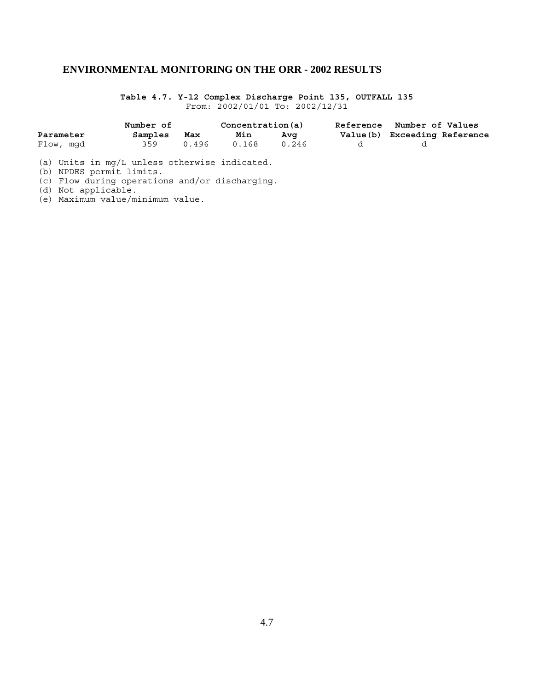**Table 4.7. Y-12 Complex Discharge Point 135, OUTFALL 135** From: 2002/01/01 To: 2002/12/31

|           | Number of |       | Concentration(a) |       | Reference Number of Values   |  |
|-----------|-----------|-------|------------------|-------|------------------------------|--|
| Parameter | Samples   | Max   | Min              | Ava   | Value(b) Exceeding Reference |  |
| Flow, mqd | 359       | 0.496 | 0.168            | 0.246 |                              |  |

(a) Units in mg/L unless otherwise indicated.

(b) NPDES permit limits.

(c) Flow during operations and/or discharging.

(d) Not applicable.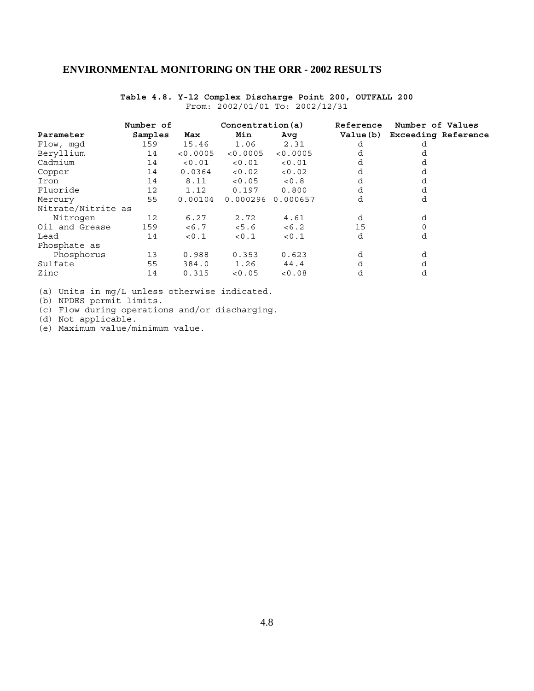|                    | Number of |          | Concentration(a) |          | <b>Reference</b> | Number of Values             |  |  |
|--------------------|-----------|----------|------------------|----------|------------------|------------------------------|--|--|
| Parameter          | Samples   | Max      | Min              | Avq      |                  | Value(b) Exceeding Reference |  |  |
| Flow, mqd          | 159       | 15.46    | 1.06             | 2.31     | d                | d                            |  |  |
| Beryllium          | 14        | < 0.0005 | < 0.0005         | < 0.0005 | d                |                              |  |  |
| Cadmium            | 14        | < 0.01   | < 0.01           | < 0.01   | d                | d                            |  |  |
| Copper             | 14        | 0.0364   | < 0.02           | < 0.02   | d                | d                            |  |  |
| Iron               | 14        | 8.11     | < 0.05           | < 0.8    | d                | d                            |  |  |
| Fluoride           | 12        | 1.12     | 0.197            | 0.800    | d                | d                            |  |  |
| Mercury            | 55        | 0.00104  | 0.000296         | 0.000657 | d                | d                            |  |  |
| Nitrate/Nitrite as |           |          |                  |          |                  |                              |  |  |
| Nitrogen           | 12        | 6.27     | 2.72             | 4.61     | d                | d                            |  |  |
| Oil and Grease     | 159       | < 6.7    | < 5.6            | < 6.2    | 15               |                              |  |  |
| Lead               | 14        | < 0.1    | < 0.1            | < 0.1    | d                | d                            |  |  |
| Phosphate as       |           |          |                  |          |                  |                              |  |  |
| Phosphorus         | 13        | 0.988    | 0.353            | 0.623    | d                | d                            |  |  |
| Sulfate            | 55        | 384.0    | 1.26             | 44.4     | d                | d                            |  |  |
| Zinc               | 14        | 0.315    | < 0.05           | < 0.08   | d                | d                            |  |  |
|                    |           |          |                  |          |                  |                              |  |  |

### **Table 4.8. Y-12 Complex Discharge Point 200, OUTFALL 200** From: 2002/01/01 To: 2002/12/31

(a) Units in mg/L unless otherwise indicated.

(b) NPDES permit limits.

(c) Flow during operations and/or discharging.

(d) Not applicable.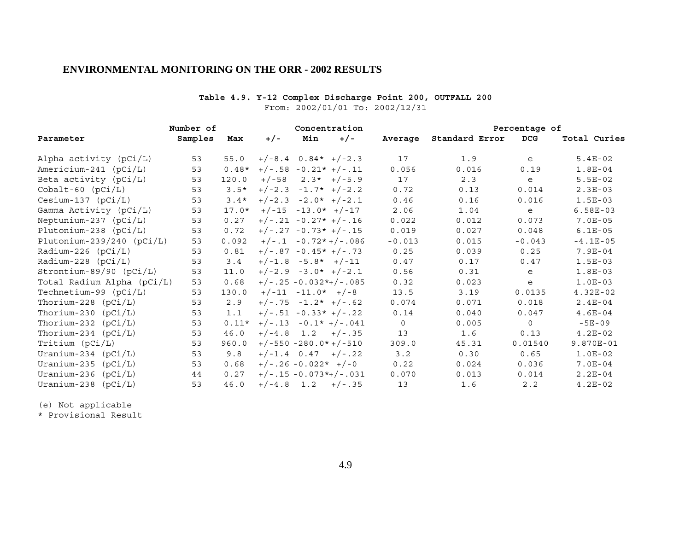### **Table 4.9. Y-12 Complex Discharge Point 200, OUTFALL 200**

From: 2002/01/01 To: 2002/12/31

|                             | Number of |         | Concentration |                         |               |          | Percentage of  |            |              |  |
|-----------------------------|-----------|---------|---------------|-------------------------|---------------|----------|----------------|------------|--------------|--|
| Parameter                   | Samples   | Max     | $+/-$         | Min                     | $+/-$         | Average  | Standard Error | <b>DCG</b> | Total Curies |  |
| Alpha activity (pCi/L)      | 53        | 55.0    |               | $+/-8.4$ 0.84* $+/-2.3$ |               | 17       | 1.9            | e          | $5.4E-02$    |  |
| Americium-241 (pCi/L)       | 53        | $0.48*$ |               | $+/-.58 - 0.21* +/-.11$ |               | 0.056    | 0.016          | 0.19       | $1.8E-04$    |  |
| Beta activity $(pCi/L)$     | 53        | 120.0   | $+/-58$       |                         | $2.3*$ +/-5.9 | 17       | 2.3            | e          | $5.5E-02$    |  |
| $Cobalt-60$ $(pCi/L)$       | 53        | $3.5*$  |               | $+/-2.3 -1.7* +/-2.2$   |               | 0.72     | 0.13           | 0.014      | $2.3E-03$    |  |
| $Cesium-137$ ( $pCi/L$ )    | 53        | $3.4*$  |               | $+/-2.3 -2.0* +/-2.1$   |               | 0.46     | 0.16           | 0.016      | $1.5E-03$    |  |
| Gamma Activity (pCi/L)      | 53        | $17.0*$ |               | $+/-15 -13.0* +/-17$    |               | 2.06     | 1.04           | e          | $6.58E-03$   |  |
| Neptunium-237 $(pCi/L)$     | 53        | 0.27    |               | $+/-.21 -0.27* +/-.16$  |               | 0.022    | 0.012          | 0.073      | $7.0E-05$    |  |
| Plutonium-238 $(pCi/L)$     | 53        | 0.72    |               | $+/-.27 -0.73* +/-.15$  |               | 0.019    | 0.027          | 0.048      | $6.1E-05$    |  |
| Plutonium-239/240 $(pCi/L)$ | 53        | 0.092   |               | $+/-.1 -0.72*+/-.086$   |               | $-0.013$ | 0.015          | $-0.043$   | $-4.1E-05$   |  |
| Radium-226 (pCi/L)          | 53        | 0.81    |               | $+/-.87 -0.45* +/-.73$  |               | 0.25     | 0.039          | 0.25       | $7.9E-04$    |  |
| Radium-228 $(pCi/L)$        | 53        | 3.4     |               | $+/-1.8 -5.8* +/-11$    |               | 0.47     | 0.17           | 0.47       | $1.5E-03$    |  |
| Strontium-89/90 $(pCi/L)$   | 53        | 11.0    |               | $+/-2.9 -3.0* +/-2.1$   |               | 0.56     | 0.31           | e          | $1.8E-03$    |  |
| Total Radium Alpha (pCi/L)  | 53        | 0.68    |               | $+/-.25 -0.032*+/-.085$ |               | 0.32     | 0.023          | e          | $1.0E-03$    |  |
| Technetium-99 $(pCi/L)$     | 53        | 130.0   |               | $+/-11$ $-11.0*$ $+/-8$ |               | 13.5     | 3.19           | 0.0135     | $4.32E-02$   |  |
| Thorium-228 $(pCi/L)$       | 53        | 2.9     |               | $+/-.75 -1.2* +/-.62$   |               | 0.074    | 0.071          | 0.018      | $2.4E-04$    |  |
| Thorium-230 $(pCi/L)$       | 53        | 1.1     |               | $+/-.51 -0.33* +/-.22$  |               | 0.14     | 0.040          | 0.047      | $4.6E-04$    |  |
| Thorium-232 $(pCi/L)$       | 53        | $0.11*$ |               | $+/-.13 -0.1* +/-.041$  |               | $\Omega$ | 0.005          | $\Omega$   | $-5E-09$     |  |
| Thorium-234 $(pCi/L)$       | 53        | 46.0    |               | $+/-4.8$ 1.2 $+/-35$    |               | 13       | 1.6            | 0.13       | $4.2E-02$    |  |
| Tritium (pCi/L)             | 53        | 960.0   |               | $+/-550 -280.0*+/-510$  |               | 309.0    | 45.31          | 0.01540    | 9.870E-01    |  |
| Uranium-234 $(pCi/L)$       | 53        | 9.8     |               | $+/-1.4$ 0.47 $+/-.22$  |               | 3.2      | 0.30           | 0.65       | $1.0E-02$    |  |
| Uranium-235 $(pCi/L)$       | 53        | 0.68    |               | $+/-.26 -0.022* +/-0$   |               | 0.22     | 0.024          | 0.036      | $7.0E-04$    |  |
| Uranium-236 $(pCi/L)$       | 44        | 0.27    |               | $+/-.15 -0.073*+/-.031$ |               | 0.070    | 0.013          | 0.014      | $2.2E-04$    |  |
| Uranium-238 $(pCi/L)$       | 53        | 46.0    |               | $+/-4.8$ 1.2 $+/-35$    |               | 13       | 1.6            | 2.2        | $4.2E-02$    |  |

(e) Not applicable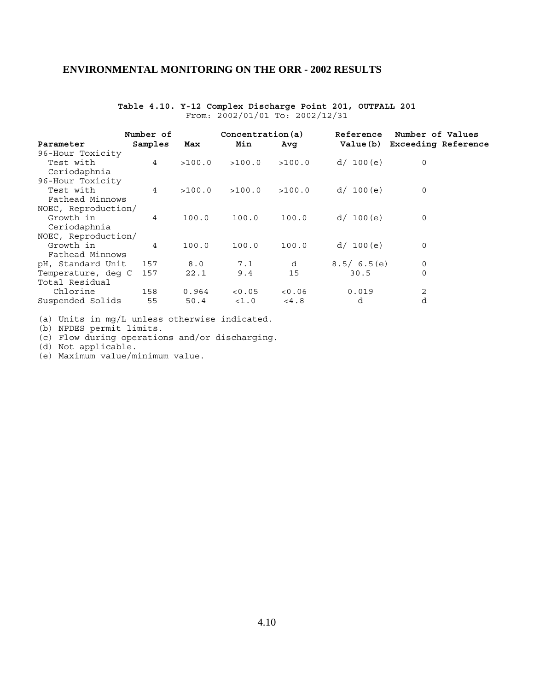### **Table 4.10. Y-12 Complex Discharge Point 201, OUTFALL 201** From: 2002/01/01 To: 2002/12/31

|                     | Number of      |        | Concentration(a) |        | Reference  | Number of Values           |  |
|---------------------|----------------|--------|------------------|--------|------------|----------------------------|--|
| Parameter           | Samples        | Max    | Min              | Avq    | Value(b)   | <b>Exceeding Reference</b> |  |
| 96-Hour Toxicity    |                |        |                  |        |            |                            |  |
| Test with           | $\overline{4}$ | >100.0 | >100.0           | >100.0 | d / 100(e) | 0                          |  |
| Ceriodaphnia        |                |        |                  |        |            |                            |  |
| 96-Hour Toxicity    |                |        |                  |        |            |                            |  |
| Test with           | $\overline{4}$ | >100.0 | >100.0           | >100.0 | d / 100(e) | 0                          |  |
| Fathead Minnows     |                |        |                  |        |            |                            |  |
| NOEC, Reproduction/ |                |        |                  |        |            |                            |  |
| Growth in           | $\overline{4}$ | 100.0  | 100.0            | 100.0  | d / 100(e) | 0                          |  |
| Ceriodaphnia        |                |        |                  |        |            |                            |  |
| NOEC, Reproduction/ |                |        |                  |        |            |                            |  |
| Growth in           | $\overline{4}$ | 100.0  | 100.0            | 100.0  | d / 100(e) | 0                          |  |
| Fathead Minnows     |                |        |                  |        |            |                            |  |
| pH, Standard Unit   | 157            | 8.0    | 7.1              | d      | 8.5/6.5(e) | 0                          |  |
| Temperature, deg C  | 157            | 22.1   | 9.4              | 15     | 30.5       | 0                          |  |
| Total Residual      |                |        |                  |        |            |                            |  |
| Chlorine            | 158            | 0.964  | < 0.05           | < 0.06 | 0.019      | 2                          |  |
| Suspended Solids    | 55             | 50.4   | <1.0             | < 4.8  | d          | d                          |  |

(a) Units in mg/L unless otherwise indicated.

(b) NPDES permit limits.

(c) Flow during operations and/or discharging.

(d) Not applicable.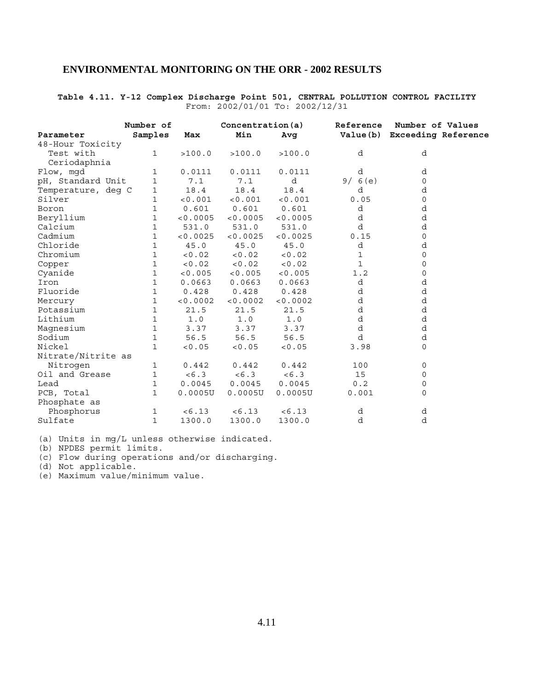### **Table 4.11. Y-12 Complex Discharge Point 501, CENTRAL POLLUTION CONTROL FACILITY** From: 2002/01/01 To: 2002/12/31

|                    | Number of    |          | Concentration(a) |          |              | Reference Number of Values   |  |  |
|--------------------|--------------|----------|------------------|----------|--------------|------------------------------|--|--|
| Parameter          | Samples      | Max      | Min              | Avg      |              | Value(b) Exceeding Reference |  |  |
| 48-Hour Toxicity   |              |          |                  |          |              |                              |  |  |
| Test with          | $\mathbf{1}$ | >100.0   | >100.0           | >100.0   | d            | d                            |  |  |
| Ceriodaphnia       |              |          |                  |          |              |                              |  |  |
| Flow, mgd          | $\mathbf 1$  | 0.0111   | 0.0111           | 0.0111   | d            | d                            |  |  |
| pH, Standard Unit  | $\mathbf{1}$ | 7.1      | 7.1              | d        | 9/6(e)       | 0                            |  |  |
| Temperature, deg C | 1            | 18.4     | 18.4             | 18.4     | d            | d                            |  |  |
| Silver             | 1            | < 0.001  | < 0.001          | < 0.001  | 0.05         | 0                            |  |  |
| Boron              | 1            | 0.601    | 0.601            | 0.601    | d            | d                            |  |  |
| Beryllium          | $\mathbf 1$  | < 0.0005 | < 0.0005         | < 0.0005 | d            | d                            |  |  |
| Calcium            | 1            | 531.0    | 531.0            | 531.0    | d            | d                            |  |  |
| Cadmium            | 1            | < 0.0025 | < 0.0025         | < 0.0025 | 0.15         | 0                            |  |  |
| Chloride           | $\mathbf{1}$ | 45.0     | 45.0             | 45.0     | d            | d                            |  |  |
| Chromium           | $\mathbf{1}$ | < 0.02   | < 0.02           | < 0.02   | 1            | 0                            |  |  |
| Copper             | 1            | < 0.02   | < 0.02           | < 0.02   | $\mathbf{1}$ | 0                            |  |  |
| Cyanide            | $\mathbf 1$  | < 0.005  | < 0.005          | < 0.005  | 1.2          | 0                            |  |  |
| Iron               | $\mathbf{1}$ | 0.0663   | 0.0663           | 0.0663   | d            | d                            |  |  |
| Fluoride           | $\mathbf{1}$ | 0.428    | 0.428            | 0.428    | d            | d                            |  |  |
| Mercury            | 1            | < 0.0002 | < 0.0002         | < 0.0002 | d            | d                            |  |  |
| Potassium          | 1            | 21.5     | 21.5             | 21.5     | d            | d                            |  |  |
| Lithium            | $\mathbf 1$  | 1.0      | 1.0              | 1.0      | d            | d                            |  |  |
| Magnesium          | $\mathbf{1}$ | 3.37     | 3.37             | 3.37     | d            | d                            |  |  |
| Sodium             | $\mathbf{1}$ | 56.5     | 56.5             | 56.5     | d            | d                            |  |  |
| Nickel             | $\mathbf{1}$ | < 0.05   | < 0.05           | < 0.05   | 3.98         | 0                            |  |  |
| Nitrate/Nitrite as |              |          |                  |          |              |                              |  |  |
| Nitrogen           | $\mathbf 1$  | 0.442    | 0.442            | 0.442    | 100          | 0                            |  |  |
| Oil and Grease     | 1            | < 6.3    | < 6.3            | < 6.3    | 15           | 0                            |  |  |
| Lead               | $\mathbf{1}$ | 0.0045   | 0.0045           | 0.0045   | 0.2          | 0                            |  |  |
| PCB, Total         | $\mathbf{1}$ | 0.0005U  | 0.0005U          | 0.0005U  | 0.001        | 0                            |  |  |
| Phosphate as       |              |          |                  |          |              |                              |  |  |
| Phosphorus         | 1            | < 6.13   | < 6.13           | < 6.13   | d            | d                            |  |  |
| Sulfate            | $\mathbf{1}$ | 1300.0   | 1300.0           | 1300.0   | d            | d                            |  |  |

(a) Units in mg/L unless otherwise indicated.

(b) NPDES permit limits.

(c) Flow during operations and/or discharging.

(d) Not applicable.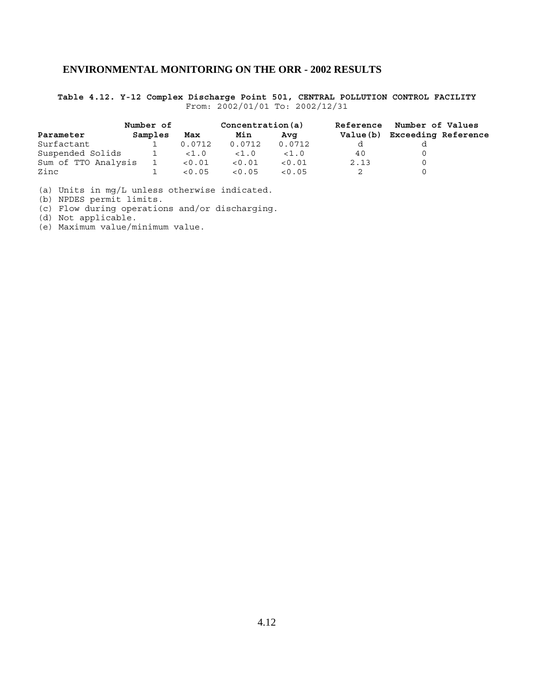**Table 4.12. Y-12 Complex Discharge Point 501, CENTRAL POLLUTION CONTROL FACILITY** From: 2002/01/01 To: 2002/12/31

|                     | Number of |        | Concentration(a) |        | Reference | Number of Values           |  |
|---------------------|-----------|--------|------------------|--------|-----------|----------------------------|--|
| Parameter           | Samples   | Max    | Min              | Ava    | Value (b) | <b>Exceeding Reference</b> |  |
| Surfactant          |           | 0.0712 | 0.0712           | 0.0712 |           |                            |  |
| Suspended Solids    |           | < 1.0  | < 1.0            | < 1.0  | 40        |                            |  |
| Sum of TTO Analysis |           | < 0.01 | < 0.01           | < 0.01 | 2.13      |                            |  |
| Zinc                |           | < 0.05 | < 0.05           | < 0.05 |           |                            |  |

(a) Units in mg/L unless otherwise indicated.

(b) NPDES permit limits.

(c) Flow during operations and/or discharging.

(d) Not applicable.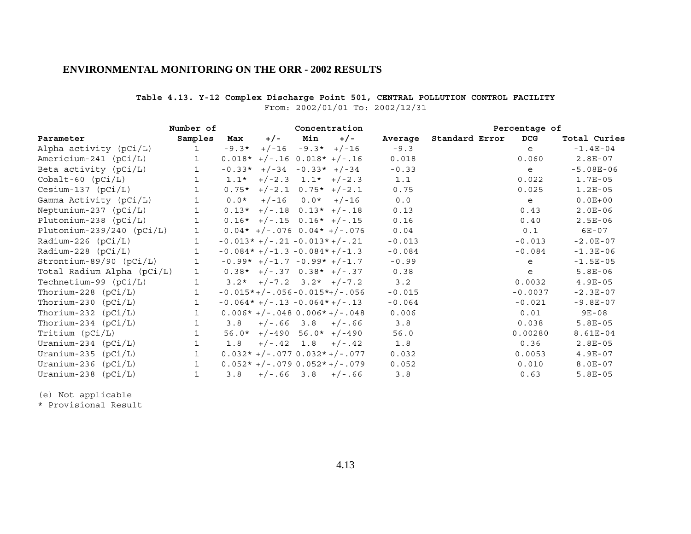### **Table 4.13. Y-12 Complex Discharge Point 501, CENTRAL POLLUTION CONTROL FACILITY** From: 2002/01/01 To: 2002/12/31

|                             | Number of    |         |                               |                         | Concentration                  |          |                | Percentage of |            |              |
|-----------------------------|--------------|---------|-------------------------------|-------------------------|--------------------------------|----------|----------------|---------------|------------|--------------|
| Parameter                   | Samples      | Max     | $+/-$                         | Min                     | $+/-$                          | Average  | Standard Error |               | <b>DCG</b> | Total Curies |
| Alpha activity (pCi/L)      | $\mathbf{1}$ | $-9.3*$ |                               | $+/-16$ $-9.3*$ $+/-16$ |                                | $-9.3$   |                |               | e          | $-1.4E-04$   |
| Americium-241 (pCi/L)       | $\mathbf{1}$ |         | $0.018*$ +/-.16 0.018* +/-.16 |                         |                                | 0.018    |                |               | 0.060      | $2.8E-07$    |
| Beta activity $(pCi/L)$     | $\mathbf{1}$ |         | $-0.33*$ +/-34 -0.33* +/-34   |                         |                                | $-0.33$  |                |               | e          | $-5.08E-06$  |
| $Cobalt-60$ $(pCi/L)$       | $\mathbf{1}$ |         | $1.1*$ +/-2.3 $1.1*$ +/-2.3   |                         |                                | 1.1      |                |               | 0.022      | $1.7E-05$    |
| $Cesium-137$ ( $pCi/L$ )    | 1            |         | $0.75*$ +/-2.1 0.75* +/-2.1   |                         |                                | 0.75     |                |               | 0.025      | $1.2E-05$    |
| Gamma Activity (pCi/L)      |              | $0.0*$  |                               | $+/-16$ 0.0* $+/-16$    |                                | 0.0      |                |               | e          | $0.0E + 00$  |
| Neptunium-237 $(pCi/L)$     |              |         | $0.13*$ +/-.18 $0.13*$ +/-.18 |                         |                                | 0.13     |                |               | 0.43       | $2.0E-06$    |
| Plutonium-238 (pCi/L)       | $\mathbf{1}$ |         | $0.16*$ +/-.15 $0.16*$ +/-.15 |                         |                                | 0.16     |                |               | 0.40       | $2.5E-06$    |
| Plutonium-239/240 $(pCi/L)$ | $\mathbf{1}$ |         |                               |                         | $0.04*$ +/-.076 0.04* +/-.076  | 0.04     |                |               | 0.1        | $6E-07$      |
| Radium-226 $(pCi/L)$        | $\mathbf{1}$ |         | $-0.013*+/-.21-0.013*+/-.21$  |                         |                                | $-0.013$ |                |               | $-0.013$   | $-2.0E-07$   |
| Radium-228 $(pCi/L)$        | 1            |         | $-0.084*+/-1.3-0.084*+/-1.3$  |                         |                                | $-0.084$ |                |               | $-0.084$   | $-1.3E-06$   |
| Strontium-89/90 (pCi/L)     | $\mathbf{1}$ |         | $-0.99*$ +/-1.7 -0.99* +/-1.7 |                         |                                | $-0.99$  |                |               | e          | $-1.5E-05$   |
| Total Radium Alpha (pCi/L)  | $\mathbf{1}$ |         | $0.38*$ +/-.37 0.38* +/-.37   |                         |                                | 0.38     |                |               | e          | $5.8E-06$    |
| Technetium-99 $(pCi/L)$     | $\mathbf{1}$ |         | $3.2*$ +/-7.2 $3.2*$ +/-7.2   |                         |                                | 3.2      |                |               | 0.0032     | $4.9E-05$    |
| Thorium-228 $(pCi/L)$       | $\mathbf{1}$ |         |                               |                         | $-0.015*+/-.056-0.015*+/-.056$ | $-0.015$ |                |               | $-0.0037$  | $-2.3E-07$   |
| Thorium-230 $(pCi/L)$       | $\mathbf{1}$ |         | $-0.064*+/-.13-0.064*+/-.13$  |                         |                                | $-0.064$ |                |               | $-0.021$   | $-9.8E-07$   |
| Thorium-232 $(pCi/L)$       | $\mathbf{1}$ |         |                               |                         | $0.006*+/-.0480.006*+/-.048$   | 0.006    |                |               | 0.01       | $9E - 08$    |
| Thorium-234 $(pCi/L)$       | 1            | 3.8     |                               |                         | $+/-.66$ 3.8 $+/-.66$          | 3.8      |                |               | 0.038      | $5.8E-05$    |
| Tritium (pCi/L)             | $\mathbf{1}$ |         | $56.0*$ +/-490 $56.0*$ +/-490 |                         |                                | 56.0     |                |               | 0.00280    | 8.61E-04     |
| Uranium-234 $(pCi/L)$       | $\mathbf{1}$ | 1.8     |                               |                         | $+/-.42$ 1.8 $+/-.42$          | 1.8      |                |               | 0.36       | $2.8E-05$    |
| Uranium-235 $(pCi/L)$       | $\mathbf{1}$ |         |                               |                         | $0.032*+/-.077 0.032*+/-.077$  | 0.032    |                |               | 0.0053     | $4.9E-07$    |
| Uranium-236 $(pCi/L)$       | $\mathbf{1}$ |         |                               |                         | $0.052*+/-.0790.052*+/-.079$   | 0.052    |                |               | 0.010      | $8.0E-07$    |
| Uranium-238 $(pCi/L)$       | 1            | 3.8     |                               |                         | $+/-.66$ 3.8 $+/-.66$          | 3.8      |                |               | 0.63       | $5.8E-05$    |

(e) Not applicable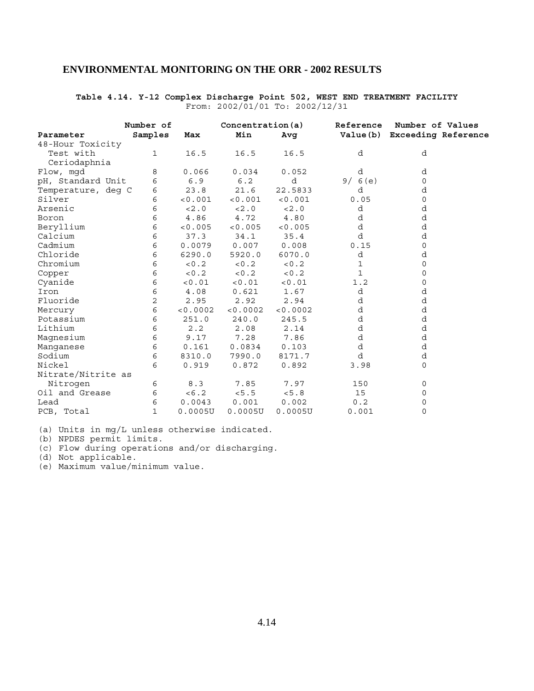### **Table 4.14. Y-12 Complex Discharge Point 502, WEST END TREATMENT FACILITY** From: 2002/01/01 To: 2002/12/31

|                    | Number of    |          | Concentration(a) |          |        | Reference Number of Values    |  |  |
|--------------------|--------------|----------|------------------|----------|--------|-------------------------------|--|--|
| Parameter          | Samples      | Max      | Min              | Avg      |        | Value (b) Exceeding Reference |  |  |
| 48-Hour Toxicity   |              |          |                  |          |        |                               |  |  |
| Test with          | $\mathbf{1}$ | 16.5     | 16.5             | 16.5     | d      | d                             |  |  |
| Ceriodaphnia       |              |          |                  |          |        |                               |  |  |
| Flow, mgd          | 8            | 0.066    | 0.034            | 0.052    | d      | d                             |  |  |
| pH, Standard Unit  | 6            | 6.9      | 6.2              | d        | 9/6(e) | 0                             |  |  |
| Temperature, deg C | 6            | 23.8     | 21.6             | 22.5833  | d      | d                             |  |  |
| Silver             | 6            | < 0.001  | < 0.001          | < 0.001  | 0.05   | 0                             |  |  |
| Arsenic            | 6            | < 2.0    | < 2.0            | < 2.0    | d      | d                             |  |  |
| Boron              | 6            | 4.86     | 4.72             | 4.80     | d      | d                             |  |  |
| Beryllium          | 6            | < 0.005  | < 0.005          | < 0.005  | d      | d                             |  |  |
| Calcium            | 6            | 37.3     | 34.1             | 35.4     | d      | d                             |  |  |
| Cadmium            | 6            | 0.0079   | 0.007            | 0.008    | 0.15   | 0                             |  |  |
| Chloride           | 6            | 6290.0   | 5920.0           | 6070.0   | d      | d                             |  |  |
| Chromium           | 6            | < 0.2    | < 0.2            | < 0.2    | 1      | 0                             |  |  |
| Copper             | 6            | < 0.2    | < 0.2            | < 0.2    | 1      | 0                             |  |  |
| Cyanide            | 6            | < 0.01   | < 0.01           | < 0.01   | 1.2    | 0                             |  |  |
| Iron               | 6            | 4.08     | 0.621            | 1.67     | d      | d                             |  |  |
| Fluoride           | 2            | 2.95     | 2.92             | 2.94     | d      | d                             |  |  |
| Mercury            | 6            | < 0.0002 | < 0.0002         | < 0.0002 | d      | d                             |  |  |
| Potassium          | 6            | 251.0    | 240.0            | 245.5    | d      | d                             |  |  |
| Lithium            | 6            | 2.2      | 2.08             | 2.14     | d      | d                             |  |  |
| Magnesium          | 6            | 9.17     | 7.28             | 7.86     | d      | d                             |  |  |
| Manganese          | 6            | 0.161    | 0.0834           | 0.103    | d      | d                             |  |  |
| Sodium             | 6            | 8310.0   | 7990.0           | 8171.7   | d      | d                             |  |  |
| Nickel             | 6            | 0.919    | 0.872            | 0.892    | 3.98   | 0                             |  |  |
| Nitrate/Nitrite as |              |          |                  |          |        |                               |  |  |
| Nitrogen           | 6            | 8.3      | 7.85             | 7.97     | 150    | 0                             |  |  |
| Oil and Grease     | 6            | < 6.2    | < 5.5            | < 5.8    | 15     | 0                             |  |  |
| Lead               | 6            | 0.0043   | 0.001            | 0.002    | 0.2    | 0                             |  |  |
| PCB, Total         | $\mathbf{1}$ | 0.0005U  | 0.0005U          | 0.0005U  | 0.001  | 0                             |  |  |

(a) Units in mg/L unless otherwise indicated.

(b) NPDES permit limits.

(c) Flow during operations and/or discharging.

(d) Not applicable.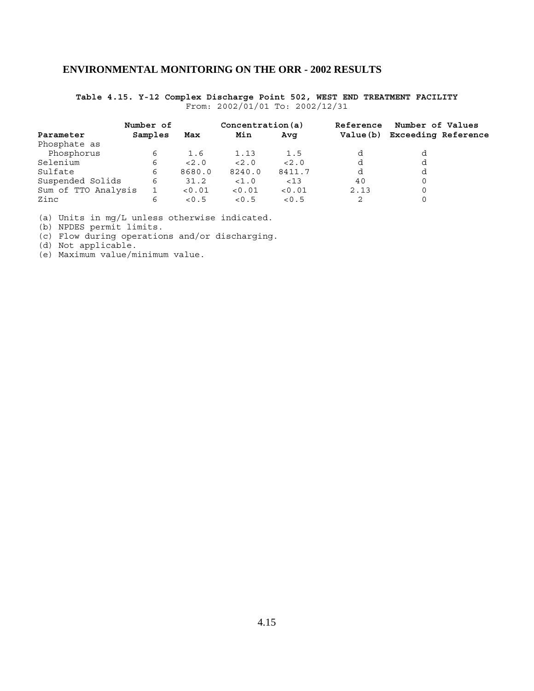**Table 4.15. Y-12 Complex Discharge Point 502, WEST END TREATMENT FACILITY** From: 2002/01/01 To: 2002/12/31

|                     | Number of |        | Concentration(a) |        | Reference | Number of Values           |  |
|---------------------|-----------|--------|------------------|--------|-----------|----------------------------|--|
| Parameter           | Samples   | Max    | Min              | Ava    | Value (b) | <b>Exceeding Reference</b> |  |
| Phosphate as        |           |        |                  |        |           |                            |  |
| Phosphorus          | 6         | 1.6    | 1.13             | 1.5    |           |                            |  |
| Selenium            | 6         | < 2.0  | < 2.0            | < 2.0  |           | d                          |  |
| Sulfate             | 6         | 8680.0 | 8240.0           | 8411.7 | d         | d                          |  |
| Suspended Solids    | 6         | 31.2   | <1.0             | < 13   | 40        | 0                          |  |
| Sum of TTO Analysis |           | < 0.01 | < 0.01           | < 0.01 | 2.13      | 0                          |  |
| Zinc                | 6         | < 0.5  | < 0.5            | < 0.5  |           |                            |  |

(a) Units in mg/L unless otherwise indicated.

(b) NPDES permit limits.

(c) Flow during operations and/or discharging.

(d) Not applicable.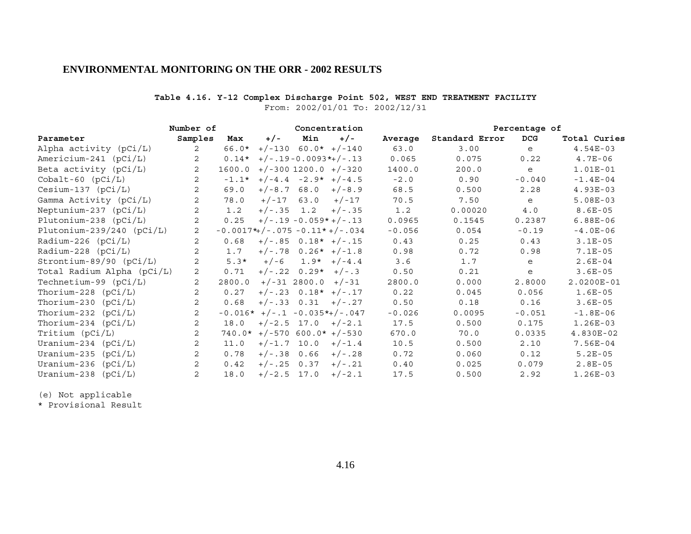### **Table 4.16. Y-12 Complex Discharge Point 502, WEST END TREATMENT FACILITY**

From: 2002/01/01 To: 2002/12/31

|                             | Number of      |         |               |                        | Concentration                       |          | Percentage of  |            |              |
|-----------------------------|----------------|---------|---------------|------------------------|-------------------------------------|----------|----------------|------------|--------------|
| Parameter                   | Samples        | Max     | $+/-$         | Min                    | $+/-$                               | Average  | Standard Error | <b>DCG</b> | Total Curies |
| Alpha activity (pCi/L)      | 2              | 66.0*   |               |                        | $+/-130$ 60.0* $+/-140$             | 63.0     | 3.00           | e          | $4.54E-03$   |
| Americium-241 $(pCi/L)$     | 2              | $0.14*$ |               |                        | $+/-.19 - 0.0093$ *+/-.13           | 0.065    | 0.075          | 0.22       | $4.7E-06$    |
| Beta activity $(pCi/L)$     | 2              | 1600.0  |               |                        | $+/-300$ 1200.0 $+/-320$            | 1400.0   | 200.0          | e          | 1.01E-01     |
| $Cobalt-60$ $(pCi/L)$       | 2              | $-1.1*$ |               |                        | $+/-4.4 -2.9* +/-4.5$               | $-2.0$   | 0.90           | $-0.040$   | $-1.4E-04$   |
| $Cesium-137$ ( $pCi/L$ )    | 2              | 69.0    |               | $+/-8.7$ 68.0          | $+/-8.9$                            | 68.5     | 0.500          | 2.28       | $4.93E-03$   |
| Gamma Activity (pCi/L)      | 2              | 78.0    | $+/-17$       | 63.0                   | $+/-17$                             | 70.5     | 7.50           | e          | $5.08E-03$   |
| Neptunium-237 $(pCi/L)$     | 2              | 1.2     |               |                        | $+/-.35$ 1.2 $+/-.35$               | 1.2      | 0.00020        | 4.0        | $8.6E-05$    |
| Plutonium-238 $(pCi/L)$     | 2              | 0.25    |               |                        | $+/-.19 - 0.059* +/-.13$            | 0.0965   | 0.1545         | 0.2387     | $6.88E-06$   |
| Plutonium-239/240 $(pCi/L)$ | 2              |         |               |                        | $-0.0017$ *+/-.075 $-0.11*$ +/-.034 | $-0.056$ | 0.054          | $-0.19$    | $-4.0E-06$   |
| Radium-226 $(pCi/L)$        | 2              | 0.68    |               |                        | $+/-.85$ 0.18* $+/-.15$             | 0.43     | 0.25           | 0.43       | $3.1E-05$    |
| $Radium-228 (pCi/L)$        | 2              | 1.7     |               |                        | $+/-.78$ 0.26* $+/-1.8$             | 0.98     | 0.72           | 0.98       | $7.1E-05$    |
| Strontium-89/90 (pCi/L)     | 2              | $5.3*$  | $+/-6$        |                        | $1.9* + (-4.4)$                     | 3.6      | 1.7            | e          | $2.6E-04$    |
| Total Radium Alpha (pCi/L)  | 2              | 0.71    |               | $+/-.22 \t0.29* +/-.3$ |                                     | 0.50     | 0.21           | e          | $3.6E-05$    |
| Technetium-99 $(pCi/L)$     | 2              | 2800.0  |               | $+/-31$ 2800.0 $+/-31$ |                                     | 2800.0   | 0.000          | 2.8000     | 2.0200E-01   |
| Thorium-228 $(pCi/L)$       | 2              | 0.27    |               |                        | $+/-.23$ 0.18* $+/-.17$             | 0.22     | 0.045          | 0.056      | $1.6E-05$    |
| Thorium-230 $(pCi/L)$       | 2              | 0.68    |               |                        | $+/-.33$ 0.31 $+/-.27$              | 0.50     | 0.18           | 0.16       | $3.6E-05$    |
| Thorium-232 $(pCi/L)$       | 2              |         |               |                        | $-0.016*$ +/-.1 -0.035*+/-.047      | $-0.026$ | 0.0095         | $-0.051$   | $-1.8E-06$   |
| Thorium-234 $(pCi/L)$       | 2              | 18.0    |               |                        | $+/-2.5$ 17.0 $+/-2.1$              | 17.5     | 0.500          | 0.175      | $1.26E-03$   |
| Tritium (pCi/L)             | 2              |         |               |                        | $740.0*$ +/-570 600.0* +/-530       | 670.0    | 70.0           | 0.0335     | 4.830E-02    |
| Uranium-234 $(pCi/L)$       | 2              | 11.0    |               | $+/-1.7$ 10.0          | $+/-1.4$                            | 10.5     | 0.500          | 2.10       | 7.56E-04     |
| Uranium-235 $(pCi/L)$       | 2              | 0.78    |               | $+/-.38$ 0.66          | $+/-.28$                            | 0.72     | 0.060          | 0.12       | $5.2E-05$    |
| Uranium-236 $(pCi/L)$       | 2              | 0.42    | $+/-.25$ 0.37 |                        | $+/- .21$                           | 0.40     | 0.025          | 0.079      | $2.8E-05$    |
| Uranium-238 $(pCi/L)$       | $\overline{2}$ | 18.0    | $+/-2.5$ 17.0 |                        | $+/-2.1$                            | 17.5     | 0.500          | 2.92       | $1.26E-03$   |

(e) Not applicable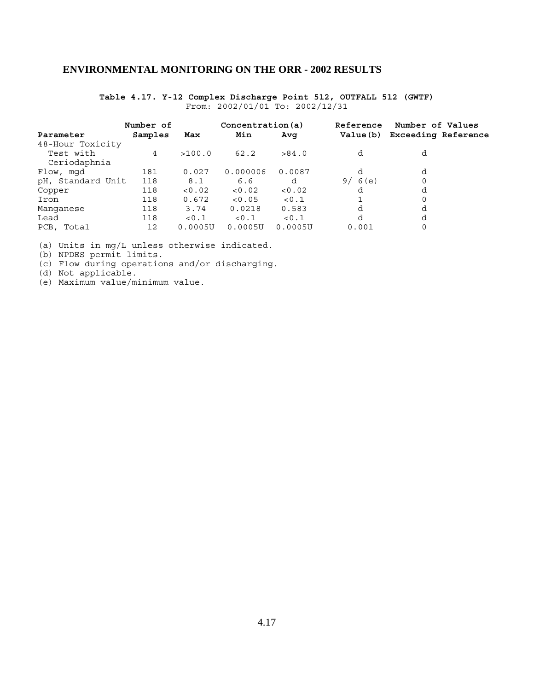### **Table 4.17. Y-12 Complex Discharge Point 512, OUTFALL 512 (GWTF)** From: 2002/01/01 To: 2002/12/31

|                   | Number of |         | Concentration(a) |         | Reference  | Number of Values           |  |
|-------------------|-----------|---------|------------------|---------|------------|----------------------------|--|
| Parameter         | Samples   | Max     | Min              | Avq     | Value(b)   | <b>Exceeding Reference</b> |  |
| 48-Hour Toxicity  |           |         |                  |         |            |                            |  |
| Test with         | 4         | >100.0  | 62.2             | >84.0   | d          | d                          |  |
| Ceriodaphnia      |           |         |                  |         |            |                            |  |
| Flow, mgd         | 181       | 0.027   | 0.000006         | 0.0087  | d          | d                          |  |
| pH, Standard Unit | 118       | 8.1     | 6.6              | d       | 6(e)<br>9/ |                            |  |
| Copper            | 118       | < 0.02  | < 0.02           | < 0.02  | d          | d                          |  |
| Iron              | 118       | 0.672   | < 0.05           | < 0.1   |            |                            |  |
| Manganese         | 118       | 3.74    | 0.0218           | 0.583   | d          | d                          |  |
| Lead              | 118       | < 0.1   | < 0.1            | 0.1     | d          | d                          |  |
| PCB, Total        | 12        | 0.0005U | 0.0005U          | 0.0005U | 0.001      | $\Omega$                   |  |

(a) Units in mg/L unless otherwise indicated.

(b) NPDES permit limits.

(c) Flow during operations and/or discharging.

(d) Not applicable.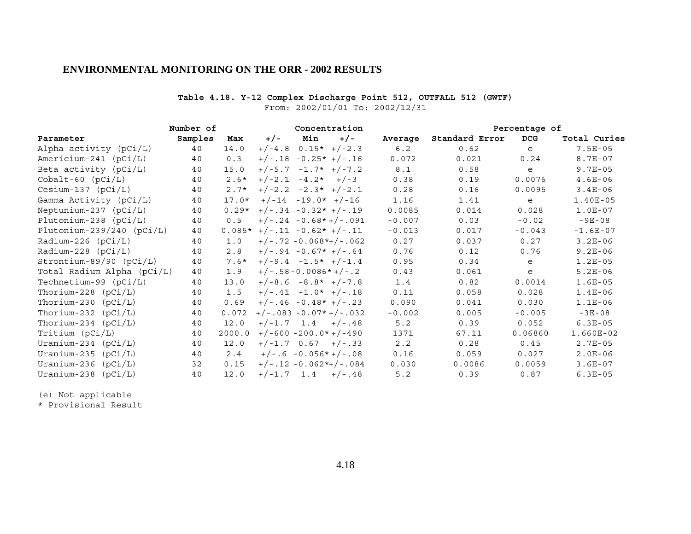### **Table 4.18. Y-12 Complex Discharge Point 512, OUTFALL 512 (GWTF)**

From: 2002/01/01 To: 2002/12/31

|                             | Number of |         |                               | Concentration           |       |          |                | Percentage of |              |
|-----------------------------|-----------|---------|-------------------------------|-------------------------|-------|----------|----------------|---------------|--------------|
| Parameter                   | Samples   | Max     | $+/-$                         | Min                     | $+/-$ | Average  | Standard Error | <b>DCG</b>    | Total Curies |
| Alpha activity (pCi/L)      | 40        | 14.0    |                               | $+/-4.8$ 0.15* $+/-2.3$ |       | 6.2      | 0.62           | e             | $7.5E-05$    |
| Americium-241 $(pCi/L)$     | 40        | 0.3     | $+/-.18 -0.25* +/-.16$        |                         |       | 0.072    | 0.021          | 0.24          | $8.7E - 07$  |
| Beta activity $(pCi/L)$     | 40        | 15.0    | $+/-5.7 -1.7* +/-7.2$         |                         |       | 8.1      | 0.58           | e             | $9.7E - 05$  |
| $Cobalt-60$ $(pCi/L)$       | 40        | $2.6*$  | $+/-2.1 -4.2* +/-3$           |                         |       | 0.38     | 0.19           | 0.0076        | $4.6E-06$    |
| $Cesium-137 (pCi/L)$        | 40        | $2.7*$  | $+/-2.2 -2.3* +/-2.1$         |                         |       | 0.28     | 0.16           | 0.0095        | $3.4E-06$    |
| Gamma Activity (pCi/L)      | 40        | $17.0*$ |                               | $+/-14 -19.0* +/-16$    |       | 1.16     | 1.41           | e             | $1.40E-05$   |
| Neptunium-237 $(pCi/L)$     | 40        | $0.29*$ | $+/-.34 -0.32* +/-.19$        |                         |       | 0.0085   | 0.014          | 0.028         | $1.0E-07$    |
| Plutonium-238 $(pCi/L)$     | 40        | 0.5     |                               | $+/-.24 -0.68*+/-.091$  |       | $-0.007$ | 0.03           | $-0.02$       | $-9E-08$     |
| Plutonium-239/240 $(pCi/L)$ | 40        |         | $0.085*$ +/-.11 -0.62* +/-.11 |                         |       | $-0.013$ | 0.017          | $-0.043$      | $-1.6E-07$   |
| Radium-226 $(pCi/L)$        | 40        | 1.0     | $+/-.72 -0.068*+/-.062$       |                         |       | 0.27     | 0.037          | 0.27          | $3.2E-06$    |
| $Radium-228 (pCi/L)$        | 40        | 2.8     | $+/-.94 -0.67* +/-.64$        |                         |       | 0.76     | 0.12           | 0.76          | $9.2E-06$    |
| Strontium-89/90 $(pCi/L)$   | 40        | $7.6*$  | $+/-9.4 -1.5* +/-1.4$         |                         |       | 0.95     | 0.34           | e             | $1.2E-05$    |
| Total Radium Alpha (pCi/L)  | 40        | 1.9     | $+/-.58 - 0.0086* +/-.2$      |                         |       | 0.43     | 0.061          | e             | $5.2E-06$    |
| Technetium-99 $(pCi/L)$     | 40        | 13.0    | $+/-8.6 -8.8* +/-7.8$         |                         |       | 1.4      | 0.82           | 0.0014        | $1.6E-05$    |
| Thorium-228 $(pCi/L)$       | 40        | 1.5     | $+/-.41 -1.0* +/-.18$         |                         |       | 0.11     | 0.058          | 0.028         | $1.4E-06$    |
| Thorium-230 $(pCi/L)$       | 40        | 0.69    | $+/-.46 -0.48* +/-.23$        |                         |       | 0.090    | 0.041          | 0.030         | $1.1E-06$    |
| Thorium-232 $(pCi/L)$       | 40        | 0.072   | $+/-.083 -0.07*+/-.032$       |                         |       | $-0.002$ | 0.005          | $-0.005$      | $-3E-08$     |
| Thorium-234 $(pCi/L)$       | 40        | 12.0    | $+/-1.7$ 1.4 $+/-.48$         |                         |       | 5.2      | 0.39           | 0.052         | $6.3E-05$    |
| Tritium (pCi/L)             | 40        | 2000.0  | $+/-600 -200.0*+/-490$        |                         |       | 1371     | 67.11          | 0.06860       | 1.660E-02    |
| Uranium-234 $(pCi/L)$       | 40        | 12.0    | $+/-1.7$ 0.67 $+/-.33$        |                         |       | 2.2      | 0.28           | 0.45          | $2.7E-05$    |
| Uranium-235 $(pCi/L)$       | 40        | 2.4     |                               | $+/-.6 -0.056*+/-.08$   |       | 0.16     | 0.059          | 0.027         | $2.0E-06$    |
| Uranium-236 $(pCi/L)$       | 32        | 0.15    |                               | $+/-.12 -0.062*+/-.084$ |       | 0.030    | 0.0086         | 0.0059        | $3.6E-07$    |
| Uranium-238 $(pCi/L)$       | 40        | 12.0    |                               | $+/-1.7$ 1.4 $+/-.48$   |       | 5.2      | 0.39           | 0.87          | $6.3E-05$    |

(e) Not applicable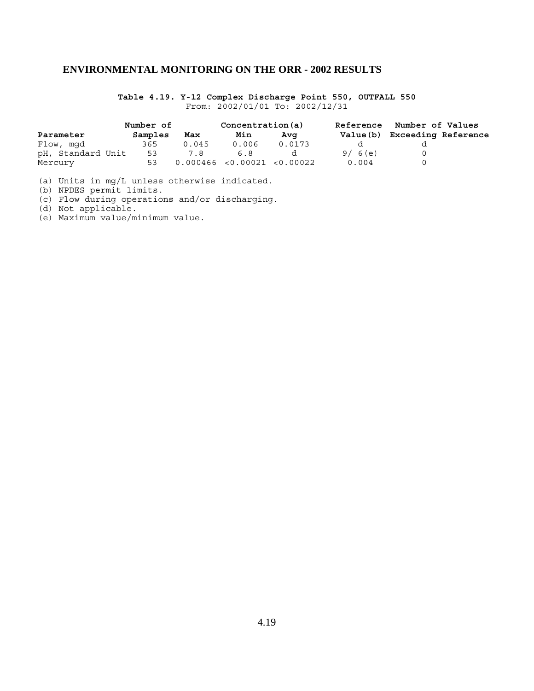**Table 4.19. Y-12 Complex Discharge Point 550, OUTFALL 550** From: 2002/01/01 To: 2002/12/31

|                   | Number of |       | Concentration(a)             |        |        | Reference Number of Values   |  |
|-------------------|-----------|-------|------------------------------|--------|--------|------------------------------|--|
| Parameter         | Samples   | Max   | Min                          | Ava    |        | Value(b) Exceeding Reference |  |
| Flow, mgd         | 365       | 0.045 | 0.006                        | 0.0173 |        |                              |  |
| pH, Standard Unit | 53        | 7.8   | 6.8                          |        | 9/6(e) |                              |  |
| Mercury           | 53        |       | 0.000466 < 0.00021 < 0.00022 |        | 0.004  |                              |  |

(a) Units in mg/L unless otherwise indicated.

(b) NPDES permit limits.

(c) Flow during operations and/or discharging.

(d) Not applicable.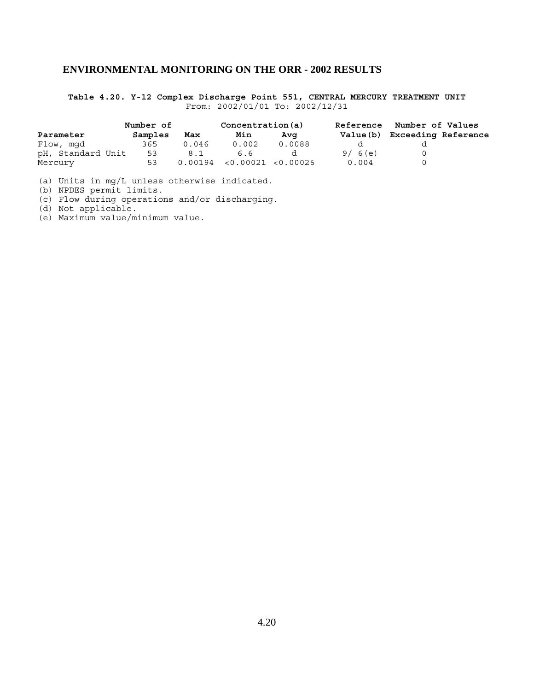**Table 4.20. Y-12 Complex Discharge Point 551, CENTRAL MERCURY TREATMENT UNIT** From: 2002/01/01 To: 2002/12/31

|                   | Number of |       | Concentration(a)            |        | <b>Reference</b> | Number of Values           |  |
|-------------------|-----------|-------|-----------------------------|--------|------------------|----------------------------|--|
| Parameter         | Samples   | Max   | Min                         | Ava    | Value (b)        | <b>Exceeding Reference</b> |  |
| Flow, mgd         | 365       | 0.046 | 0.002                       | 0.0088 |                  |                            |  |
| pH, Standard Unit | 53        | 8.1   | 6.6                         |        | 9/6(e)           |                            |  |
| Mercury           | 53        |       | 0.00194 < 0.00021 < 0.00026 |        | 0.004            |                            |  |

(a) Units in mg/L unless otherwise indicated.

(b) NPDES permit limits.

(c) Flow during operations and/or discharging.

(d) Not applicable.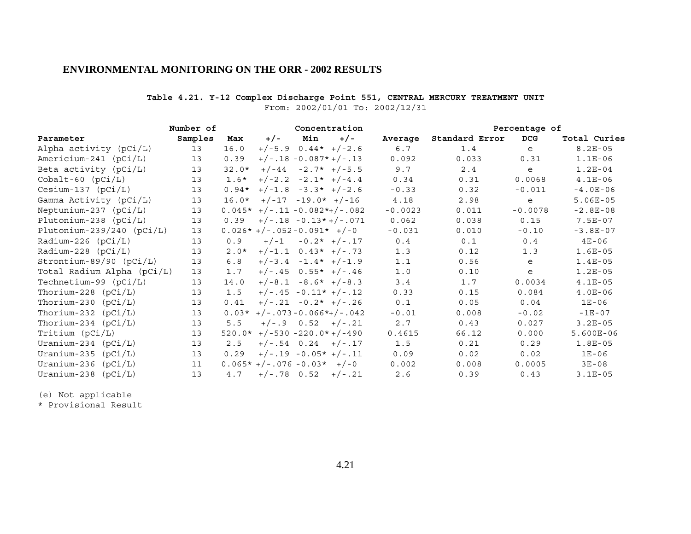### **Table 4.21. Y-12 Complex Discharge Point 551, CENTRAL MERCURY TREATMENT UNIT**

From: 2002/01/01 To: 2002/12/31

| Number of<br>Concentration  |         |         |                                | Percentage of        |                          |           |                |            |              |
|-----------------------------|---------|---------|--------------------------------|----------------------|--------------------------|-----------|----------------|------------|--------------|
| Parameter                   | Samples | Max     | $+/-$                          | Min                  | $+/-$                    | Average   | Standard Error | <b>DCG</b> | Total Curies |
| Alpha activity (pCi/L)      | 13      | 16.0    |                                |                      | $+/-5.9$ 0.44* $+/-2.6$  | 6.7       | 1.4            | e          | $8.2E - 05$  |
| Americium-241 (pCi/L)       | 13      | 0.39    |                                |                      | $+/-.18 - 0.087* +/-.13$ | 0.092     | 0.033          | 0.31       | $1.1E-06$    |
| Beta activity $(pCi/L)$     | 13      | $32.0*$ |                                |                      | $+/-44$ $-2.7*$ $+/-5.5$ | 9.7       | 2.4            | e          | $1.2E-04$    |
| $Cobalt-60$ $(pCi/L)$       | 13      | $1.6*$  |                                |                      | $+/-2.2 -2.1* +/-4.4$    | 0.34      | 0.31           | 0.0068     | $4.1E-06$    |
| $Cesium-137$ ( $pCi/L$ )    | 13      | $0.94*$ |                                |                      | $+/-1.8 -3.3* +/-2.6$    | $-0.33$   | 0.32           | $-0.011$   | $-4.0E-06$   |
| Gamma Activity (pCi/L)      | 13      | $16.0*$ |                                | $+/-17 -19.0* +/-16$ |                          | 4.18      | 2.98           | e          | $5.06E-05$   |
| Neptunium-237 $(pCi/L)$     | 13      |         | $0.045*$ +/-.11 -0.082*+/-.082 |                      |                          | $-0.0023$ | 0.011          | $-0.0078$  | $-2.8E-08$   |
| Plutonium-238 $(pCi/L)$     | 13      | 0.39    |                                |                      | $+/-.18 -0.13*+/-.071$   | 0.062     | 0.038          | 0.15       | $7.5E-07$    |
| Plutonium-239/240 $(pCi/L)$ | 13      |         | $0.026*+/-.052-0.091*+/-0$     |                      |                          | $-0.031$  | 0.010          | $-0.10$    | $-3.8E-07$   |
| Radium-226 $(pCi/L)$        | 13      | 0.9     | $+/-1$                         |                      | $-0.2*$ +/-.17           | 0.4       | 0.1            | 0.4        | $4E - 06$    |
| $Radium-228 (pCi/L)$        | 13      | $2.0*$  |                                |                      | $+/-1.1$ 0.43* $+/-.73$  | 1.3       | 0.12           | 1.3        | $1.6E-05$    |
| $Strontium-89/90 (pCi/L)$   | 13      | 6.8     |                                |                      | $+/-3.4 -1.4* +/-1.9$    | 1.1       | 0.56           | e          | $1.4E-05$    |
| Total Radium Alpha (pCi/L)  | 13      | 1.7     |                                |                      | $+/-.45$ 0.55* $+/-.46$  | 1.0       | 0.10           | e          | $1.2E-05$    |
| Technetium-99 $(pCi/L)$     | 13      | 14.0    |                                |                      | $+/-8.1 -8.6* +/-8.3$    | 3.4       | 1.7            | 0.0034     | $4.1E-05$    |
| Thorium-228 $(pCi/L)$       | 13      | 1.5     |                                |                      | $+/-.45 -0.11* +/-.12$   | 0.33      | 0.15           | 0.084      | $4.0E-06$    |
| Thorium-230 $(pCi/L)$       | 13      | 0.41    |                                |                      | $+/-.21 -0.2* +/-.26$    | 0.1       | 0.05           | 0.04       | $1E-06$      |
| Thorium-232 $(pCi/L)$       | 13      | $0.03*$ | $+/-.073 - 0.066*+/-.042$      |                      |                          | $-0.01$   | 0.008          | $-0.02$    | $-1E-07$     |
| Thorium-234 $(pCi/L)$       | 13      | 5.5     |                                |                      | $+/-.9$ 0.52 $+/-.21$    | 2.7       | 0.43           | 0.027      | $3.2E - 05$  |
| Tritium (pCi/L)             | 13      |         | $520.0*$ +/-530 -220.0*+/-490  |                      |                          | 0.4615    | 66.12          | 0.000      | $5.600E-06$  |
| Uranium-234 $(pCi/L)$       | 13      | 2.5     |                                |                      | $+/-.54$ 0.24 $+/-.17$   | 1.5       | 0.21           | 0.29       | $1.8E-05$    |
| Uranium-235 $(pCi/L)$       | 13      | 0.29    |                                |                      | $+/-.19 - 0.05* +/-.11$  | 0.09      | 0.02           | 0.02       | $1E-06$      |
| Uranium-236 (pCi/L)         | 11      |         | $0.065*+/-.076-0.03*+/-0$      |                      |                          | 0.002     | 0.008          | 0.0005     | $3E-08$      |
| Uranium-238<br>(pCi/L)      | 13      | 4.7     |                                |                      | $+/-.78$ 0.52 $+/-.21$   | 2.6       | 0.39           | 0.43       | $3.1E-05$    |

(e) Not applicable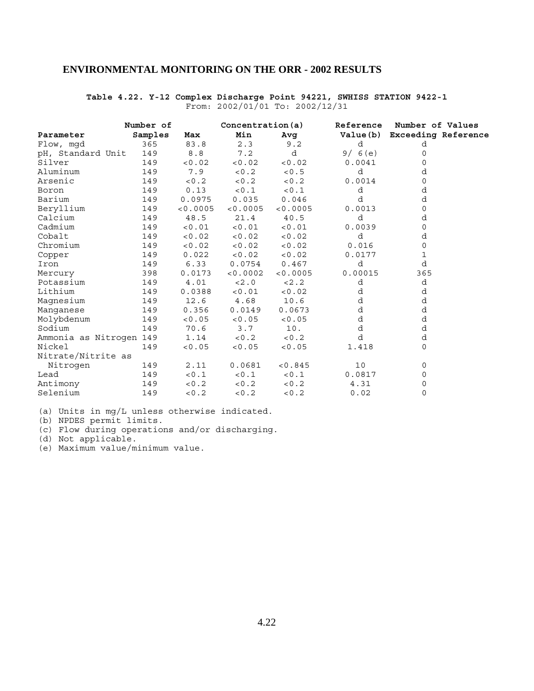### **Table 4.22. Y-12 Complex Discharge Point 94221, SWHISS STATION 9422-1** From: 2002/01/01 To: 2002/12/31

|                         | Number of |          | Concentration(a) |          | Reference | Number of Values             |
|-------------------------|-----------|----------|------------------|----------|-----------|------------------------------|
| Parameter               | Samples   | Max      | Min              | Avg      |           | Value(b) Exceeding Reference |
| Flow, mqd               | 365       | 83.8     | 2.3              | 9.2      | d         | d                            |
| pH, Standard Unit       | 149       | 8.8      | 7.2              | d        | 9/6(e)    | 0                            |
| Silver                  | 149       | < 0.02   | < 0.02           | < 0.02   | 0.0041    | 0                            |
| Aluminum                | 149       | 7.9      | < 0.2            | < 0.5    | d         | d                            |
| Arsenic                 | 149       | < 0.2    | < 0.2            | < 0.2    | 0.0014    | 0                            |
| Boron                   | 149       | 0.13     | 0.1              | < 0.1    | d         | d                            |
| Barium                  | 149       | 0.0975   | 0.035            | 0.046    | d         | d                            |
| Beryllium               | 149       | < 0.0005 | < 0.0005         | < 0.0005 | 0.0013    | 0                            |
| Calcium                 | 149       | 48.5     | 21.4             | 40.5     | d         | d                            |
| Cadmium                 | 149       | < 0.01   | < 0.01           | < 0.01   | 0.0039    | 0                            |
| Cobalt                  | 149       | < 0.02   | < 0.02           | < 0.02   | d         | d                            |
| Chromium                | 149       | < 0.02   | < 0.02           | < 0.02   | 0.016     | 0                            |
| Copper                  | 149       | 0.022    | < 0.02           | < 0.02   | 0.0177    | 1                            |
| Iron                    | 149       | 6.33     | 0.0754           | 0.467    | d         | d                            |
| Mercury                 | 398       | 0.0173   | < 0.0002         | < 0.0005 | 0.00015   | 365                          |
| Potassium               | 149       | 4.01     | < 2.0            | 2.2      | d         | d                            |
| Lithium                 | 149       | 0.0388   | < 0.01           | < 0.02   | d         | d                            |
| Magnesium               | 149       | 12.6     | 4.68             | 10.6     | d         | d                            |
| Manqanese               | 149       | 0.356    | 0.0149           | 0.0673   | d         | d                            |
| Molybdenum              | 149       | < 0.05   | < 0.05           | < 0.05   | d         | d                            |
| Sodium                  | 149       | 70.6     | 3.7              | 10.      | d         | d                            |
| Ammonia as Nitrogen 149 |           | 1.14     | 0.2              | < 0.2    | d         | d                            |
| Nickel                  | 149       | < 0.05   | < 0.05           | < 0.05   | 1.418     | 0                            |
| Nitrate/Nitrite as      |           |          |                  |          |           |                              |
| Nitrogen                | 149       | 2.11     | 0.0681           | < 0.845  | 10        | 0                            |
| Lead                    | 149       | < 0.1    | < 0.1            | < 0.1    | 0.0817    | 0                            |
| Antimony                | 149       | < 0.2    | < 0.2            | < 0.2    | 4.31      | 0                            |
| Selenium                | 149       | < 0.2    | 0.2              | 0.2      | 0.02      | 0                            |

(a) Units in mg/L unless otherwise indicated.

(b) NPDES permit limits.

(c) Flow during operations and/or discharging.

(d) Not applicable.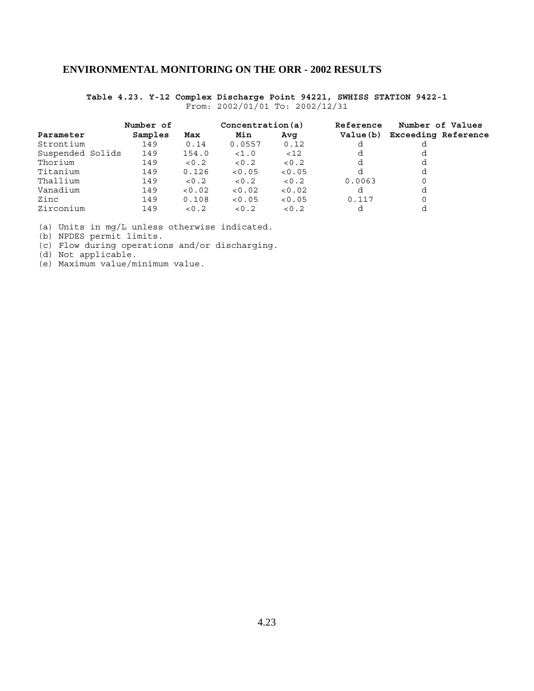**Table 4.23. Y-12 Complex Discharge Point 94221, SWHISS STATION 9422-1** From: 2002/01/01 To: 2002/12/31

|                  | Number of |        | Concentration(a) |        | Reference | Number of Values           |
|------------------|-----------|--------|------------------|--------|-----------|----------------------------|
| Parameter        | Samples   | Max    | Min              | Avq    | Value (b) | <b>Exceeding Reference</b> |
| Strontium        | 149       | 0.14   | 0.0557           | 0.12   |           |                            |
| Suspended Solids | 149       | 154.0  | <1.0             | < 12   |           |                            |
| Thorium          | 149       | 0.2    | 0.2              | < 0.2  |           | d                          |
| Titanium         | 149       | 0.126  | < 0.05           | < 0.05 |           | d                          |
| Thallium         | 149       | < 0.2  | 0.2              | < 0.2  | 0.0063    | 0                          |
| Vanadium         | 149       | < 0.02 | < 0.02           | < 0.02 | d         | d                          |
| Zinc             | 149       | 0.108  | < 0.05           | < 0.05 | 0.117     |                            |
| Zirconium        | 149       | < 0.2  | 0.2              | < 0.2  |           |                            |

(a) Units in mg/L unless otherwise indicated.

(b) NPDES permit limits.

(c) Flow during operations and/or discharging.

(d) Not applicable.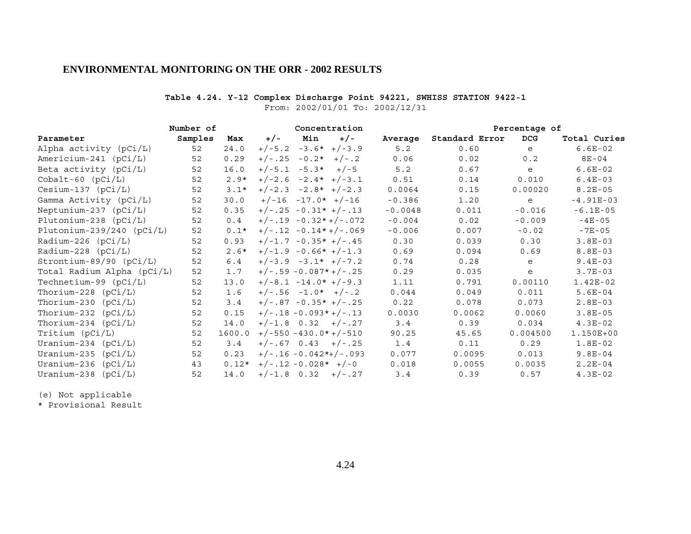### **Table 4.24. Y-12 Complex Discharge Point 94221, SWHISS STATION 9422-1**

From: 2002/01/01 To: 2002/12/31

| Number of<br>Concentration  |         |         |                          |               | Percentage of |                |            |              |
|-----------------------------|---------|---------|--------------------------|---------------|---------------|----------------|------------|--------------|
| Parameter                   | Samples | Max     | Min<br>$+/-$             | $+/-$         | Average       | Standard Error | <b>DCG</b> | Total Curies |
| Alpha activity (pCi/L)      | 52      | 24.0    | $+/-5.2$                 | $-3.6*+/-3.9$ | 5.2           | 0.60           | e          | $6.6E-02$    |
| Americium-241 $(pCi/L)$     | 52      | 0.29    | $+/-.25 -0.2* +/-.2$     |               | 0.06          | 0.02           | 0.2        | $8E - 04$    |
| Beta activity $(pCi/L)$     | 52      | 16.0    | $+/-5.1 -5.3*$           | $+/-5$        | 5.2           | 0.67           | e          | $6.6E-02$    |
| $Cobalt-60$ $(pCi/L)$       | 52      | $2.9*$  | $+/-2.6 -2.4* +/-3.1$    |               | 0.51          | 0.14           | 0.010      | $6.4E-03$    |
| $Cesium-137$ ( $pCi/L$ )    | 52      | $3.1*$  | $+/-2.3 -2.8* +/-2.3$    |               | 0.0064        | 0.15           | 0.00020    | $8.2E - 05$  |
| Gamma Activity (pCi/L)      | 52      | 30.0    | $+/-16 -17.0* +/-16$     |               | $-0.386$      | 1.20           | e          | $-4.91E-03$  |
| Neptunium-237 $(pCi/L)$     | 52      | 0.35    | $+/-.25 -0.31* +/-.13$   |               | $-0.0048$     | 0.011          | $-0.016$   | $-6.1E-05$   |
| Plutonium-238 (pCi/L)       | 52      | 0.4     | $+/-.19 - 0.32* +/-.072$ |               | $-0.004$      | 0.02           | $-0.009$   | $-4E-05$     |
| Plutonium-239/240 $(pCi/L)$ | 52      | $0.1*$  | $+/-.12 - 0.14*+/-.069$  |               | $-0.006$      | 0.007          | $-0.02$    | $-7E-05$     |
| Radium-226 $(pCi/L)$        | 52      | 0.93    | $+/-1.7 -0.35* +/-.45$   |               | 0.30          | 0.039          | 0.30       | $3.8E-03$    |
| Radium-228 $(pCi/L)$        | 52      | $2.6*$  | $+/-1.9 -0.66* +/-1.3$   |               | 0.69          | 0.094          | 0.69       | $8.8E-03$    |
| $Strontium-89/90 (pCi/L)$   | 52      | 6.4     | $+/-3.9 -3.1* +/-7.2$    |               | 0.74          | 0.28           | e          | $9.4E-03$    |
| Total Radium Alpha (pCi/L)  | 52      | 1.7     | $+/-.59 -0.087*+/-.25$   |               | 0.29          | 0.035          | e          | $3.7E-03$    |
| Technetium-99 $(pCi/L)$     | 52      | 13.0    | $+/-8.1 -14.0* +/-9.3$   |               | 1.11          | 0.791          | 0.00110    | $1.42E-02$   |
| Thorium-228 $(pCi/L)$       | 52      | 1.6     | $+/-.56 -1.0* +/-.2$     |               | 0.044         | 0.049          | 0.011      | $5.6E-04$    |
| Thorium-230 $(pCi/L)$       | 52      | 3.4     | $+/-.87 -0.35* +/-.25$   |               | 0.22          | 0.078          | 0.073      | $2.8E-03$    |
| Thorium-232 $(pCi/L)$       | 52      | 0.15    | $+/-.18 - 0.093* +/-.13$ |               | 0.0030        | 0.0062         | 0.0060     | $3.8E-05$    |
| Thorium-234 $(pCi/L)$       | 52      | 14.0    | $+/-1.8$ 0.32 $+/-.27$   |               | 3.4           | 0.39           | 0.034      | $4.3E-02$    |
| Tritium (pCi/L)             | 52      | 1600.0  | $+/-550 -430.0* +/-510$  |               | 90.25         | 45.65          | 0.004500   | 1.150E+00    |
| Uranium-234 $(pCi/L)$       | 52      | 3.4     | $+/-.67$ 0.43 $+/-.25$   |               | 1.4           | 0.11           | 0.29       | $1.8E-02$    |
| Uranium-235 $(pCi/L)$       | 52      | 0.23    | $+/-.16 -0.042*+/-.093$  |               | 0.077         | 0.0095         | 0.013      | $9.8E-04$    |
| Uranium-236<br>(pCi/L)      | 43      | $0.12*$ | $+/-.12 -0.028* +/-0$    |               | 0.018         | 0.0055         | 0.0035     | $2.2E-04$    |
| Uranium-238<br>(pCi/L)      | 52      | 14.0    | $+/-1.8$ 0.32 $+/-.27$   |               | 3.4           | 0.39           | 0.57       | $4.3E-02$    |

(e) Not applicable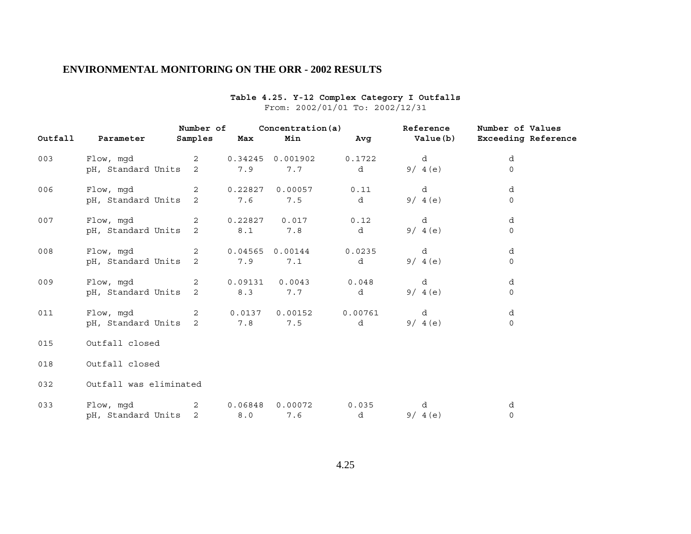| Outfall | Parameter              | Number of<br>Samples | Max     | Concentration(a)<br>Min | Avg     | <b>Reference</b><br>Value(b) | Number of Values<br><b>Exceeding Reference</b> |
|---------|------------------------|----------------------|---------|-------------------------|---------|------------------------------|------------------------------------------------|
| 003     | Flow, mgd              | 2                    | 0.34245 | 0.001902                | 0.1722  | d                            | d                                              |
|         | pH, Standard Units     | 2                    | 7.9     | 7.7                     | d       | 9/4(e)                       | $\mathsf{O}$                                   |
| 006     | Flow, mgd              | 2                    | 0.22827 | 0.00057                 | 0.11    | d                            | d                                              |
|         | pH, Standard Units     | 2                    | 7.6     | 7.5                     | d       | 9/4(e)                       | $\mathbf 0$                                    |
| 007     | Flow, mgd              | 2                    | 0.22827 | 0.017                   | 0.12    | d                            | d                                              |
|         | pH, Standard Units     | 2                    | 8.1     | 7.8                     | d       | 9/4(e)                       | 0                                              |
| 008     | Flow, mgd              | 2                    | 0.04565 | 0.00144                 | 0.0235  | d                            | d                                              |
|         | pH, Standard Units     | 2                    | 7.9     | 7.1                     | d       | 9/4(e)                       | $\mathbf 0$                                    |
| 009     | Flow, mgd              | 2                    | 0.09131 | 0.0043                  | 0.048   | d                            | d                                              |
|         | pH, Standard Units     | 2                    | 8.3     | 7.7                     | d       | 9/ 4 (e)                     | $\mathbf 0$                                    |
| 011     | Flow, mgd              | 2                    | 0.0137  | 0.00152                 | 0.00761 | d                            | d                                              |
|         | pH, Standard Units     | 2                    | 7.8     | 7.5                     | d       | 9/4(e)                       | 0                                              |
| 015     | Outfall closed         |                      |         |                         |         |                              |                                                |
| 018     | Outfall closed         |                      |         |                         |         |                              |                                                |
| 032     | Outfall was eliminated |                      |         |                         |         |                              |                                                |
| 033     | Flow, mgd              | 2                    | 0.06848 | 0.00072                 | 0.035   | d                            | d                                              |
|         | pH, Standard Units     | 2                    | 8.0     | 7.6                     | d       | 9/4(e)                       | $\mathbf 0$                                    |

### **Table 4.25. Y-12 Complex Category I Outfalls** From: 2002/01/01 To: 2002/12/31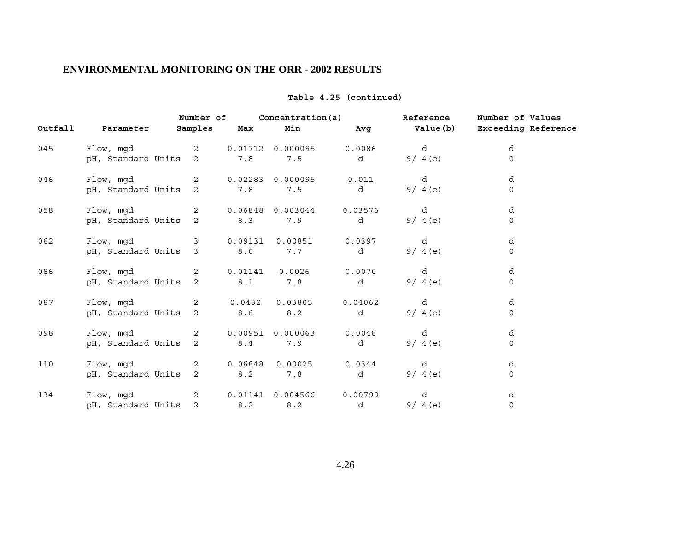|         |                    | Number of      |         | Concentration (a) |         | Reference | Number of Values           |
|---------|--------------------|----------------|---------|-------------------|---------|-----------|----------------------------|
| Outfall | Parameter          | Samples        | Max     | Min               | Avg     | Value(b)  | <b>Exceeding Reference</b> |
| 045     | Flow, mgd          | $\overline{2}$ | 0.01712 | 0.000095          | 0.0086  | d         | d                          |
|         | pH, Standard Units | $\overline{2}$ | 7.8     | 7.5               | d       | 9/4(e)    | $\Omega$                   |
| 046     | Flow, mgd          | 2              | 0.02283 | 0.000095          | 0.011   | d         | d                          |
|         | pH, Standard Units | 2              | 7.8     | 7.5               | d       | 9/4(e)    | $\mathsf{O}$               |
| 058     | Flow, mgd          | 2              | 0.06848 | 0.003044          | 0.03576 | d         | d                          |
|         | pH, Standard Units | 2              | 8.3     | 7.9               | d       | 9/4(e)    | $\mathsf{O}$               |
| 062     | Flow, mgd          | 3              | 0.09131 | 0.00851           | 0.0397  | d         | d                          |
|         | pH, Standard Units | 3              | 8.0     | 7.7               | d       | 9/4(e)    | $\Omega$                   |
| 086     | Flow, mgd          | $\overline{2}$ | 0.01141 | 0.0026            | 0.0070  | d         | d                          |
|         | pH, Standard Units | $\overline{2}$ | 8.1     | 7.8               | d       | 9/4(e)    | $\mathsf{O}$               |
| 087     | Flow, mgd          | $\overline{2}$ | 0.0432  | 0.03805           | 0.04062 | d         | d                          |
|         | pH, Standard Units | $\overline{2}$ | 8.6     | 8.2               | d       | 9/4(e)    | $\Omega$                   |
| 098     | Flow, mgd          | 2              | 0.00951 | 0.000063          | 0.0048  | d         | d                          |
|         | pH, Standard Units | $\overline{2}$ | 8.4     | 7.9               | d       | 9/4(e)    | $\mathsf{O}$               |
| 110     | Flow, mgd          | 2              |         | 0.06848 0.00025   | 0.0344  | d         | d                          |
|         | pH, Standard Units | 2              | 8.2     | 7.8               | d       | 9/4(e)    | 0                          |
| 134     | Flow, mgd          | 2              | 0.01141 | 0.004566          | 0.00799 | d         | d                          |
|         | pH, Standard Units | $\overline{2}$ | 8.2     | 8.2               | d       | 9/4(e)    | $\mathbf 0$                |

### **Table 4.25 (continued)**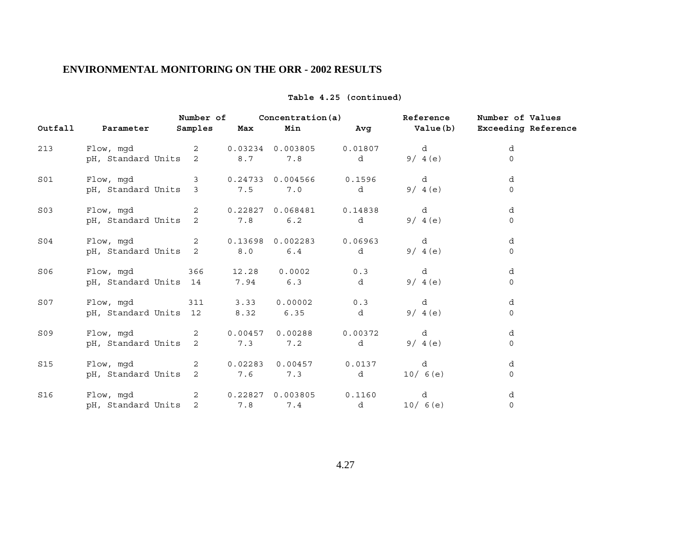|                 |                       | Number of      |         | Concentration(a)  |         | Reference        | Number of Values           |
|-----------------|-----------------------|----------------|---------|-------------------|---------|------------------|----------------------------|
| Outfall         | Parameter             | Samples        | Max     | Min               | Avg     | <b>Value (b)</b> | <b>Exceeding Reference</b> |
| 213             | Flow, mgd             | $\overline{2}$ |         | 0.03234 0.003805  | 0.01807 | d                | d                          |
|                 | pH, Standard Units    | $\overline{2}$ | 8.7     | 7.8               | d       | 9/4(e)           | $\Omega$                   |
| S01             | Flow, mgd             | 3              | 0.24733 | 0.004566          | 0.1596  | d                | d                          |
|                 | pH, Standard Units 3  |                | 7.5     | 7.0               | d       | 9/4(e)           | $\Omega$                   |
| S <sub>03</sub> | Flow, mgd             | $\overline{2}$ | 0.22827 | 0.068481          | 0.14838 | d                | d                          |
|                 | pH, Standard Units    | 2              | 7.8     | 6.2               | d       | 9/4(e)           | $\mathsf{O}$               |
| S04             | Flow, mgd             | 2              |         | 0.13698 0.002283  | 0.06963 | d                | d                          |
|                 | pH, Standard Units    | 2              | 8.0     | 6.4               | d       | 9/4(e)           | $\Omega$                   |
| S06             | Flow, mgd             | 366            | 12.28   | 0.0002            | 0.3     | d                | d                          |
|                 | pH, Standard Units 14 |                | 7.94    | 6.3               | d       | 9/4(e)           | $\mathsf{O}$               |
| S07             | Flow, mgd             | 311            | 3.33    | 0.00002           | 0.3     | d                | d                          |
|                 | pH, Standard Units 12 |                | 8.32    | 6.35              | d       | 9/4(e)           | $\Omega$                   |
| S09             | Flow, mqd             | $\overline{2}$ | 0.00457 | 0.00288           | 0.00372 | d                | d                          |
|                 | pH, Standard Units    | 2              | 7.3     | 7.2               | d       | 9/4(e)           | $\mathsf{O}$               |
| S15             | Flow, mgd             | 2              |         | $0.02283$ 0.00457 | 0.0137  | d                | d                          |
|                 | pH, Standard Units    | 2              | 7.6     | 7.3               | d       | 10/6(e)          | 0                          |
| S16             | Flow, mqd             | 2              |         | 0.22827 0.003805  | 0.1160  | d                | d                          |
|                 | pH, Standard Units    | $\overline{2}$ | 7.8     | 7.4               | d       | 10/6(e)          | $\mathbf 0$                |

### **Table 4.25 (continued)**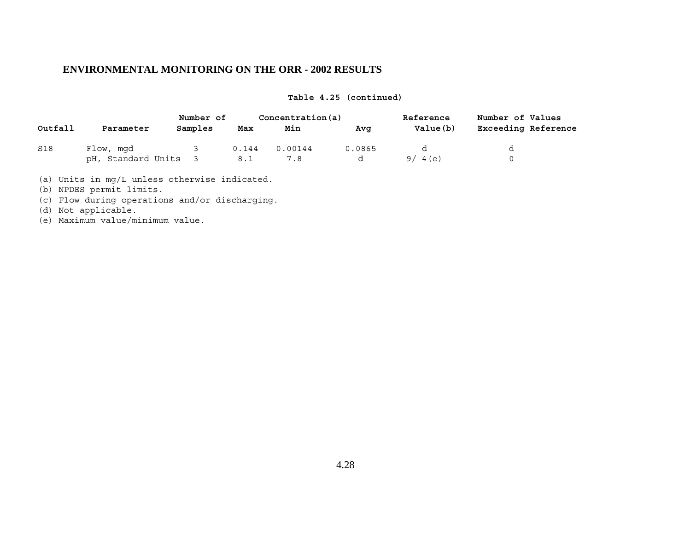|  |  | Table 4.25 (continued) |  |
|--|--|------------------------|--|
|--|--|------------------------|--|

|         |                    | Number of | Concentration(a) |         |        | Reference | Number of Values    |  |
|---------|--------------------|-----------|------------------|---------|--------|-----------|---------------------|--|
| Outfall | Parameter          | Samples   | Max              | Min     | Avq    | Value(b)  | Exceeding Reference |  |
| S18     | Flow, mqd          |           | 0.144            | 0.00144 | 0.0865 |           |                     |  |
|         | pH, Standard Units |           | 8.1              | 7.8     |        | 9/4(e)    |                     |  |

(a) Units in mg/L unless otherwise indicated.

(b) NPDES permit limits.

(c) Flow during operations and/or discharging.

(d) Not applicable.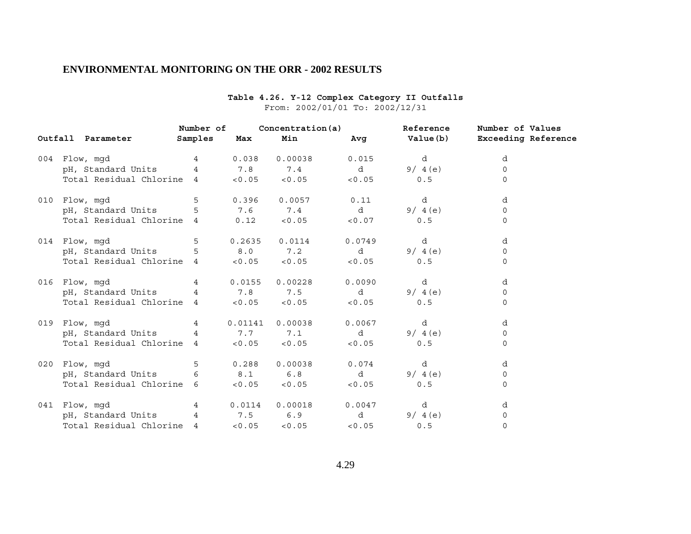| Outfall Parameter     Samples  Max                                                          |  | Min                       | Number of Concentration (a) Reference | Number of Values |  |  |
|---------------------------------------------------------------------------------------------|--|---------------------------|---------------------------------------|------------------|--|--|
|                                                                                             |  |                           |                                       |                  |  |  |
| 004 Flow, mgd                       4         0.038     0.00038         0.015             d |  |                           |                                       | d                |  |  |
| pH, Standard Units $4$ 7.8 7.4 d $9/4(e)$                                                   |  |                           |                                       | $\circ$          |  |  |
| Total Residual Chlorine 4 < 0.05 < 0.05 < 0.05 0.5                                          |  |                           |                                       | $\Omega$         |  |  |
| 010 Flow, mqd                                                                               |  | 5 0.396 0.0057 0.11 d     |                                       | d                |  |  |
| pH, Standard Units 5 5 7.6 7.4 d 9/4(e)<br>Total Residual Chlorine 4 0.12 <0.05 <0.07 0.5   |  |                           |                                       | $\Omega$         |  |  |
|                                                                                             |  |                           |                                       | $\Omega$         |  |  |
|                                                                                             |  |                           |                                       | d                |  |  |
| pH, Standard Units 5 8.0 7.2 d 9/4(e)                                                       |  |                           |                                       | $\Omega$         |  |  |
| Total Residual Chlorine $4 \leq 0.05 \leq 0.05 \leq 0.05$ (0.05 $\leq 0.5$                  |  |                           |                                       | $\mathbf 0$      |  |  |
| 016    Flow,mgd         4    0.0155  0.00228     0.0090      d                              |  |                           |                                       | d                |  |  |
| pH, Standard Units 4 7.8 7.5 d 9/4(e)                                                       |  |                           |                                       | $\mathbf 0$      |  |  |
| Total Residual Chlorine 4 < 0.05 < 0.05 < 0.05 0.5                                          |  |                           |                                       | $\Omega$         |  |  |
| 019 Flow, mgd                     4         0.01141   0.00038         0.0067             d  |  |                           |                                       | d                |  |  |
| pH, Standard Units 4 7.7 7.1 d 9/4(e)                                                       |  |                           |                                       | $\Omega$         |  |  |
| Total Residual Chlorine 4 < 0.05 < 0.05 < 0.05 0.5                                          |  |                           |                                       | $\Omega$         |  |  |
|                                                                                             |  |                           |                                       | d                |  |  |
| pH, Standard Units 6 8.1 6.8 d 9/4(e)                                                       |  |                           |                                       | $\circ$          |  |  |
|                                                                                             |  |                           |                                       | $\Omega$         |  |  |
| 041 Flow, mgd                                                                               |  | 4 0.0114 0.00018 0.0047 d |                                       | d                |  |  |
| pH, Standard Units 4 7.5 6.9 d 9/4(e)                                                       |  |                           |                                       | $\overline{0}$   |  |  |
| Total Residual Chlorine 4 <0.05                                                             |  | $< 0.05$ $< 0.05$         | 0.5                                   | $\Omega$         |  |  |

#### **Table 4.26. Y-12 Complex Category II Outfalls** From: 2002/01/01 To: 2002/12/31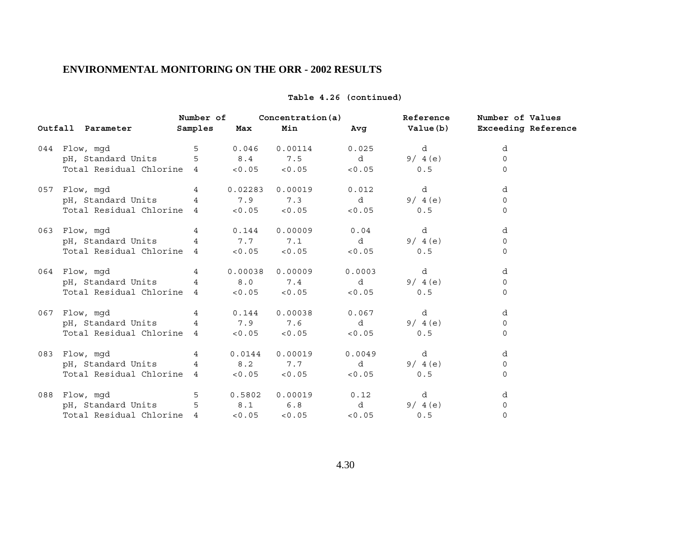|                                                                 | Number of  |          | Concentration(a)  |                 | Reference | Number of Values             |
|-----------------------------------------------------------------|------------|----------|-------------------|-----------------|-----------|------------------------------|
| Outfall Parameter                                               | Samples    | Max      | Min               | Avg             |           | Value(b) Exceeding Reference |
| 044 Flow, mqd                                                   |            | 5 0.046  | 0.00114           | 0.025           | d         | d                            |
| pH, Standard Units 5 8.4 7.5 d                                  |            |          |                   |                 | 9/4(e)    | $\Omega$                     |
| Total Residual Chlorine $4 \times 0.05 \times 0.05 \times 0.05$ |            |          |                   |                 | 0.5       | $\Omega$                     |
| 057 Flow, mqd                                                   | $4\degree$ | 0.02283  | 0.00019           | 0.012           | d         | d                            |
| pH, Standard Units $4$ 7.9 7.3 d                                |            |          |                   |                 | 9/4(e)    | $\Omega$                     |
| Total Residual Chlorine $4$ <0.05 <0.05 <0.05                   |            |          |                   |                 | 0.5       | $\Omega$                     |
| 063 Flow, mgd                                                   |            | 4 0.144  | 0.00009           | 0.04            | d         | d                            |
| pH, Standard Units 4 7.7 7.1 d                                  |            |          |                   |                 | 9/4(e)    | 0                            |
| Total Residual Chlorine $4 \times 0.05 \times 0.05 \times 0.05$ |            |          |                   |                 | 0.5       | $\mathbf 0$                  |
| 064 Flow, mgd                                                   | $4\degree$ |          | $0.00038$ 0.00009 | 0.0003          | d         | d                            |
| pH, Standard Units 4 8.0 7.4 d                                  |            |          |                   |                 | 9/4(e)    | $\Omega$                     |
| Total Residual Chlorine $4 \times 0.05 \times 0.05 \times 0.05$ |            |          |                   |                 | 0.5       | $\mathbf 0$                  |
| 067 Flow, mqd                                                   |            | 4 0.144  |                   | $0.00038$ 0.067 | d         | d                            |
| pH, Standard Units 4 2.9 7.6 d                                  |            |          |                   |                 | 9/4(e)    | 0                            |
| Total Residual Chlorine 4 <0.05                                 |            |          | $< 0.05$ $< 0.05$ |                 | 0.5       | $\mathbf 0$                  |
| 083 Flow, mqd                                                   | $4\degree$ | 0.0144   | 0.00019           | 0.0049          | d         | d                            |
| pH, Standard Units 4 8.2 7.7 d                                  |            |          |                   |                 | 9/4(e)    | 0                            |
| Total Residual Chlorine 4 <0.05                                 |            |          | $< 0.05$ $< 0.05$ |                 | 0.5       | $\mathbf 0$                  |
| 088 Flow, mgd                                                   |            | 5 0.5802 |                   | $0.00019$ 0.12  | d         | d                            |
| pH, Standard Units 5 8.1 6.8 d                                  |            |          |                   |                 | 9/ $4(e)$ | 0                            |
| Total Residual Chlorine 4                                       |            | < 0.05   | < 0.05            | < 0.05          | 0.5       | $\Omega$                     |

### **Table 4.26 (continued)**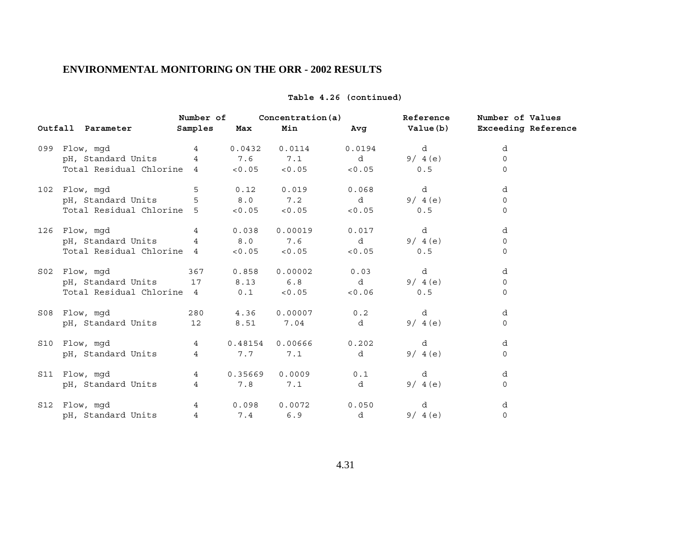|                                                                 | Number of       |         | Concentration (a)    |             | Reference  | Number of Values |
|-----------------------------------------------------------------|-----------------|---------|----------------------|-------------|------------|------------------|
| Outfall Parameter                                               | Samples         | Max     | Min                  |             |            |                  |
| 099 Flow, mgd 14                                                |                 | 0.0432  | 0.0114               |             | $0.0194$ d | d                |
| pH, Standard Units $4$ 7.6 7.1 d $9/4(e)$                       |                 |         |                      |             |            | $\mathbf 0$      |
| Total Residual Chlorine $4 \times 0.05 \times 0.05 \times 0.05$ |                 |         |                      |             | 0.5        | $\mathbf 0$      |
| 102 Flow, mgd                                                   | 5               |         | $0.12$ $0.019$       | 0.068       | d          | d                |
| pH, Standard Units 5 8.0 7.2 d 9/4(e)                           |                 |         |                      |             |            | $\mathbf 0$      |
| Total Residual Chlorine $5$ < 0.05 < 0.05 < 0.05 < 0.05         |                 |         |                      |             | 0.5        | $\mathbf 0$      |
| 126 Flow, mqd                                                   |                 | 4 0.038 | 0.00019              | 0.017       | d          | d                |
| pH, Standard Units 4 8.0 7.6 d                                  |                 |         |                      |             | 9/4(e)     | $\mathbf 0$      |
| Total Residual Chlorine $4 \times 0.05 \times 0.05 \times 0.05$ |                 |         |                      |             | 0.5        | $\mathbf 0$      |
| S02 Flow, mgd 367                                               |                 | 0.858   | 0.00002              | 0.03        | d          | d                |
| pH, Standard Units 17 8.13 6.8 d 9/4(e)                         |                 |         |                      |             |            | $\mathbf 0$      |
| Total Residual Chlorine 4 0.1 < 0.05 < 0.06                     |                 |         |                      |             | 0.5        | $\mathbf 0$      |
|                                                                 |                 |         |                      | 0.2         | d          | d                |
| pH, Standard Units 12                                           |                 | 8.51    | 7.04                 | $\mathbf d$ | 9/4(e)     | $\mathbf 0$      |
| $\overline{4}$<br>S10 Flow, mgd                                 |                 |         | $0.48154$ 0.00666    | 0.202       | d          | d                |
| pH, Standard Units                                              | $4\overline{ }$ | 7.7     | 7.1                  | $\mathbf d$ | 9/4(e)     | $\mathbf 0$      |
| S11 Flow, mgd                                                   |                 |         | 4 0.35669 0.0009     | 0.1         | d          | d                |
| pH, Standard Units 4                                            |                 | 7.8     | 7.1                  | d i         | 9/4(e)     | $\mathbf 0$      |
| S12 Flow, mgd                                                   |                 |         | 4 0.098 0.0072 0.050 |             | d          | d                |
| pH, Standard Units 4 7.4 6.9                                    |                 |         |                      | d           | 9/4(e)     | $\mathbf 0$      |

### **Table 4.26 (continued)**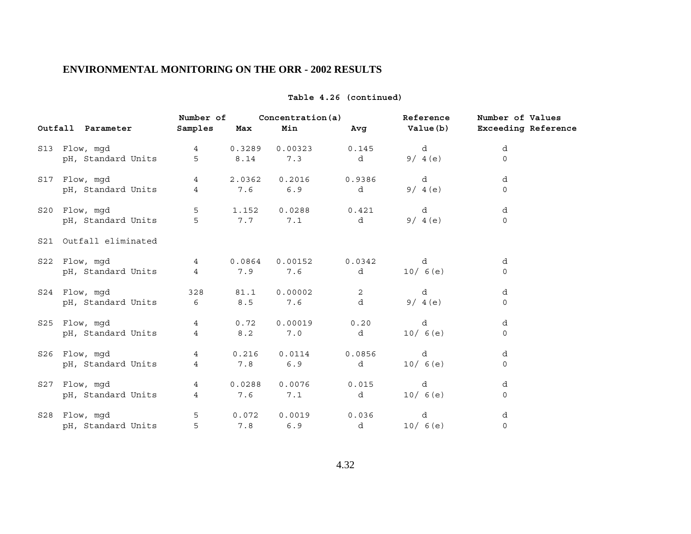|     |                        | Number of       |          | Concentration(a) |        | Reference | Number of Values           |
|-----|------------------------|-----------------|----------|------------------|--------|-----------|----------------------------|
|     | Outfall Parameter      | Samples         | Max      | Min              | Avg    | Value (b) | <b>Exceeding Reference</b> |
|     | S13 Flow, mgd          | $4\overline{ }$ | 0.3289   | 0.00323          | 0.145  | d         | d                          |
|     | pH, Standard Units     | 5               | $8.14\,$ | 7.3              | d      | 9/4(e)    | $\Omega$                   |
|     | S17 Flow, mgd          | $\overline{4}$  | 2.0362   | 0.2016           | 0.9386 | d         | d                          |
|     | pH, Standard Units     | $\overline{4}$  | 7.6      | 6.9              | d      | 9/4(e)    | 0                          |
|     | S20 Flow, mgd          | 5               | 1.152    | 0.0288           | 0.421  | d         | d                          |
|     | pH, Standard Units     | 5               | 7.7      | 7.1              | d      | 9/4(e)    | $\Omega$                   |
|     | S21 Outfall eliminated |                 |          |                  |        |           |                            |
|     | S22 Flow, mgd          | $4\overline{ }$ | 0.0864   | 0.00152          | 0.0342 | d         | d                          |
|     | pH, Standard Units     | $\overline{4}$  | 7.9      | 7.6              | d      | 10/6(e)   | $\mathbf 0$                |
|     | S24 Flow, mqd          | 328             | 81.1     | 0.00002          | 2      | d         | d                          |
|     | pH, Standard Units     | 6               | $8.5\,$  | 7.6              | d      | 9/4(e)    | $\mathbf 0$                |
|     | S25 Flow, mgd          | $4\overline{ }$ | 0.72     | 0.00019          | 0.20   | d         | d                          |
|     | pH, Standard Units     | $\overline{4}$  | 8.2      | 7.0              | d      | 10/6(e)   | 0                          |
|     | S26 Flow, mgd          | $4\overline{ }$ | 0.216    | 0.0114           | 0.0856 | d         | d                          |
|     | pH, Standard Units     | $\overline{4}$  | 7.8      | 6.9              | d      | 10/6(e)   | $\mathbf 0$                |
|     | S27 Flow, mgd          | $\overline{4}$  | 0.0288   | 0.0076           | 0.015  | d         | d                          |
|     | pH, Standard Units     | $\overline{4}$  | 7.6      | 7.1              | d      | 10/6(e)   | $\Omega$                   |
| S28 | Flow, mgd              | 5               | 0.072    | 0.0019           | 0.036  | d         | d                          |
|     | pH, Standard Units     | 5               | 7.8      | 6.9              | d      | 10/6(e)   | $\mathsf{O}\xspace$        |

### **Table 4.26 (continued)**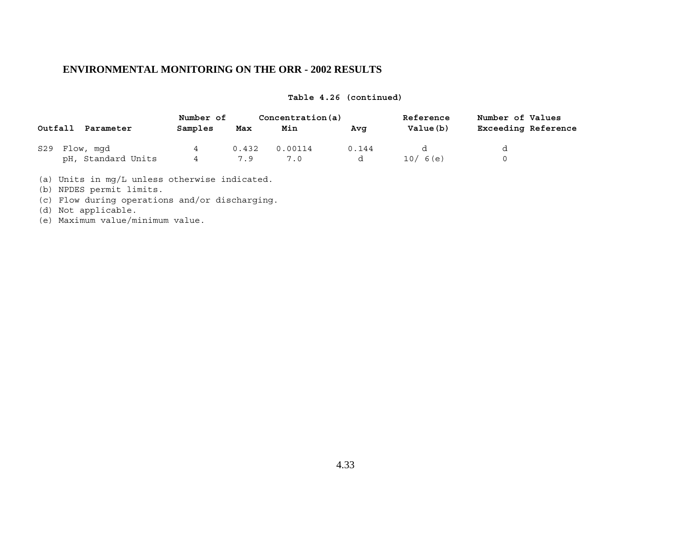### **Table 4.26 (continued)**

|         |                    | Number of |       | Concentration(a) |       | Reference | Number of Values           |
|---------|--------------------|-----------|-------|------------------|-------|-----------|----------------------------|
| Outfall | Parameter          | Samples   | Max   | Min              | Ava   | Value(b)  | <b>Exceeding Reference</b> |
| S29     | Flow, mqd          | 4         | 0.432 | 0.00114          | 0.144 |           |                            |
|         | pH, Standard Units |           | 79    |                  |       | 10/6(e)   |                            |

(a) Units in mg/L unless otherwise indicated.

(b) NPDES permit limits.

(c) Flow during operations and/or discharging.

(d) Not applicable.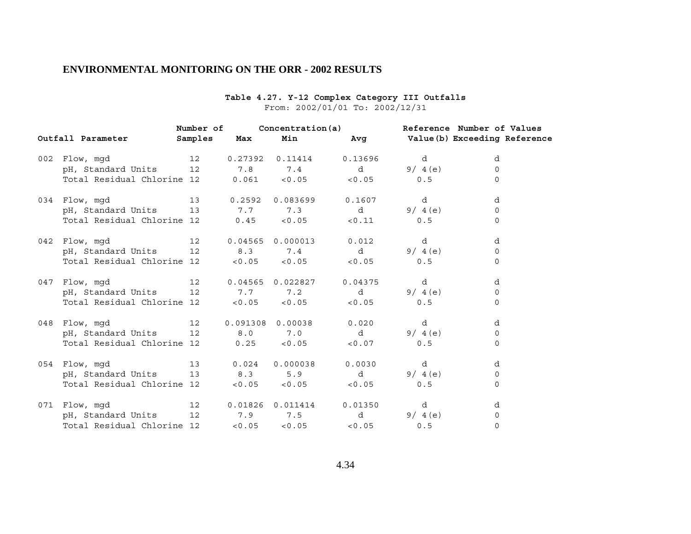# **Table 4.27. Y-12 Complex Category III Outfalls**

# From: 2002/01/01 To: 2002/12/31

|     |                                  | Number of |        | Concentration (a)              |                   | Reference Number of Values |                              |
|-----|----------------------------------|-----------|--------|--------------------------------|-------------------|----------------------------|------------------------------|
|     | Outfall Parameter                | Samples   | Max    | Min                            | Avg               |                            | Value(b) Exceeding Reference |
| 002 | Flow, mgd                        | 12        |        | $0.27392$ $0.11414$            | 0.13696           | d                          | d                            |
|     | pH, Standard Units 12 1.8 7.4    |           |        |                                | d i               | 9/4(e)                     | $\Omega$                     |
|     | Total Residual Chlorine 12       |           |        | $0.061$ < $0.05$               | < 0.05            | 0.5                        | $\Omega$                     |
|     | 034 Flow, mgd                    | 13        | 0.2592 | 0.083699                       | 0.1607            | d                          | d                            |
|     | pH, Standard Units 13 7.7        |           |        | 7.3                            | d i               | 9/4(e)                     | $\Omega$                     |
|     | Total Residual Chlorine 12 0.45  |           |        | < 0.05                         | < 0.11            | 0.5                        | $\Omega$                     |
| 042 | Flow, mqd                        | 12        |        | 0.04565 0.000013               | 0.012             | d                          | d                            |
|     | pH, Standard Units 12 8.3        |           |        | 7.4                            | $\mathbf d$       | 9/4(e)                     | $\Omega$                     |
|     | Total Residual Chlorine 12 <0.05 |           |        | < 0.05                         | < 0.05            | 0.5                        | $\Omega$                     |
| 047 | Flow, mgd                        | 12        |        | 0.04565 0.022827               | 0.04375           | d                          | d                            |
|     | pH, Standard Units 12 1.7 7.2    |           |        |                                | d i               | 9/4(e)                     | $\Omega$                     |
|     | Total Residual Chlorine 12 <0.05 |           |        | < 0.05                         | < 0.05            | 0.5                        | $\mathbf 0$                  |
| 048 | Flow, mgd                        | 12        |        | 0.091308 0.00038               | 0.020             | d                          | d                            |
|     | pH, Standard Units 12 8.0 7.0    |           |        |                                | $\mathbf d$       | 9/4(e)                     | $\Omega$                     |
|     | Total Residual Chlorine 12       |           | 0.25   | < 0.05                         | < 0.07            | 0.5                        | $\Omega$                     |
|     | 054 Flow, mgd                    | 13        | 0.024  | 0.000038                       | 0.0030            | d                          | d                            |
|     | pH, Standard Units               |           | 13 8.3 | 5.9                            | d                 | 9/4(e)                     | $\Omega$                     |
|     | Total Residual Chlorine 12 <0.05 |           |        | < 0.05                         | < 0.05            | 0.5                        | $\Omega$                     |
|     | 071 Flow, mgd                    | 12        |        | $0.01826$ $0.011414$ $0.01350$ |                   | d                          | d                            |
|     | pH, Standard Units               | 12        |        | 7.9 7.5 d                      |                   | 9/4(e)                     | $\mathbf 0$                  |
|     | Total Residual Chlorine 12       |           | < 0.05 |                                | $< 0.05$ $< 0.05$ | 0.5                        | $\Omega$                     |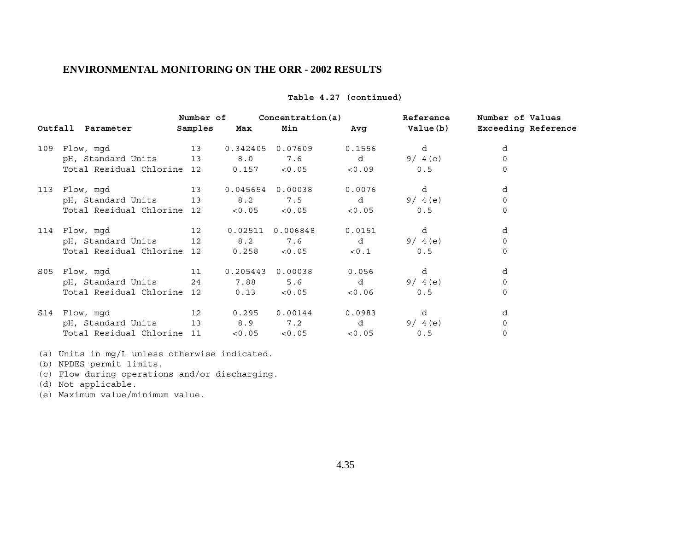|     |                                      | Number of   |                 | Concentration (a)         |                            | Reference  | Number of Values |
|-----|--------------------------------------|-------------|-----------------|---------------------------|----------------------------|------------|------------------|
|     | Outfall Parameter                    | Samples Max |                 | Min                       |                            |            |                  |
|     | 13<br>109 Flow, mgd                  |             |                 | 0.342405 0.07609          | 0.1556                     | d          | d                |
|     | pH, Standard Units 13                |             | 8.0             | 7.6                       |                            | d $9/4(e)$ | $\Omega$         |
|     | Total Residual Chlorine 12           |             |                 | $0.157$ < $0.05$ < $0.09$ |                            | 0.5        | $\Omega$         |
| 113 | Flow, mgd                            |             |                 | 13 0.045654 0.00038       | 0.0076                     | d          | d                |
|     | pH, Standard Units 13                |             |                 | 8.2 7.5                   |                            | d $9/4(e)$ | $\mathsf{O}$     |
|     | Total Residual Chlorine 12           |             | < 0.05          | < 0.05                    | < 0.05                     | 0.5        | $\mathbf 0$      |
|     | 114 Flow, mgd<br>12 0.02511 0.006848 |             |                 |                           | 0.0151                     | d          | d                |
|     | pH, Standard Units 12                |             | 8.2             | 7.6                       | $\mathbf d$                | 9/4(e)     | $\mathbf 0$      |
|     | Total Residual Chlorine 12 0.258     |             |                 | < 0.05                    | < 0.1                      | 0.5        | $\mathbf 0$      |
|     | S05 Flow, mqd                        | 11          | 0.205443        | 0.00038                   | 0.056                      | d          | d                |
|     |                                      |             |                 |                           | $\mathbf d$                | 9/4(e)     | 0                |
|     | Total Residual Chlorine 12           |             | $0.13$ $< 0.05$ |                           | < 0.06                     | 0.5        | $\mathbf 0$      |
|     | S14 Flow, mqd                        |             | 12 0.295        | 0.00144                   | 0.0983                     | d          | d                |
|     | pH, Standard Units 13                |             |                 | 8.9 7.2                   | $\mathbf d$                | 9/4(e)     | $\mathsf{O}$     |
|     | Total Residual Chlorine 11           |             |                 |                           | $< 0.05$ $< 0.05$ $< 0.05$ | 0.5        | $\mathbf 0$      |
|     |                                      |             |                 |                           |                            |            |                  |

### **Table 4.27 (continued)**

(a) Units in mg/L unless otherwise indicated.

- (b) NPDES permit limits.
- (c) Flow during operations and/or discharging.
- (d) Not applicable.
- (e) Maximum value/minimum value.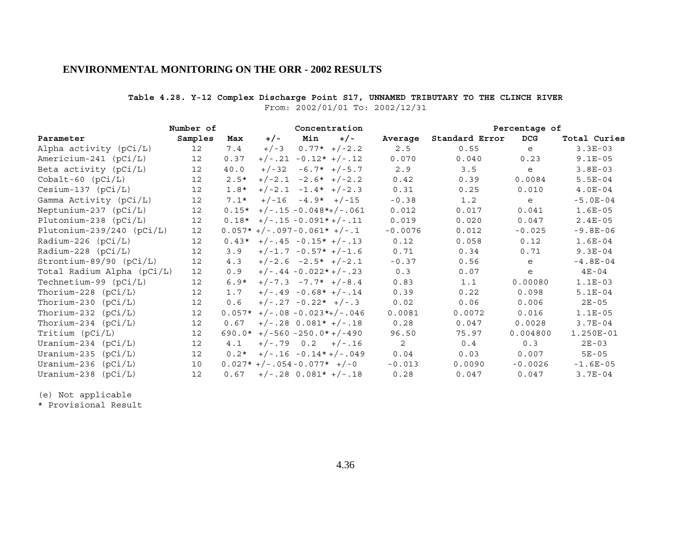### **Table 4.28. Y-12 Complex Discharge Point S17, UNNAMED TRIBUTARY TO THE CLINCH RIVER** From: 2002/01/01 To: 2002/12/31

|                             | Number of         |         | Concentration                 |                          |                                |           | Percentage of  |            |              |
|-----------------------------|-------------------|---------|-------------------------------|--------------------------|--------------------------------|-----------|----------------|------------|--------------|
| Parameter                   | Samples           | Max     | $+/-$                         | Min                      | $+/-$                          | Average   | Standard Error | <b>DCG</b> | Total Curies |
| Alpha activity (pCi/L)      | 12                | 7.4     | $+/-3$                        |                          | $0.77* + (-2.2$                | 2.5       | 0.55           | e          | $3.3E-03$    |
| Americium-241 (pCi/L)       | 12                | 0.37    |                               |                          | $+/-.21 -0.12* +/-.12$         | 0.070     | 0.040          | 0.23       | $9.1E-05$    |
| Beta activity (pCi/L)       | 12                | 40.0    | $+/-32$                       |                          | $-6.7*$ +/-5.7                 | 2.9       | 3.5            | e          | $3.8E-03$    |
| $Cobalt-60$ $(pCi/L)$       | 12                | $2.5*$  |                               |                          | $+/-2.1 -2.6* +/-2.2$          | 0.42      | 0.39           | 0.0084     | $5.5E-04$    |
| $Cesium-137$ ( $pCi/L$ )    | $12 \overline{ }$ | $1.8*$  |                               |                          | $+/-2.1 -1.4* +/-2.3$          | 0.31      | 0.25           | 0.010      | $4.0E-04$    |
| Gamma Activity (pCi/L)      | 12                | $7.1*$  |                               | $+/-16 -4.9* +/-15$      |                                | $-0.38$   | 1.2            | e          | $-5.0E-04$   |
| Neptunium-237 $(pCi/L)$     | $12 \overline{ }$ | $0.15*$ | $+/-.15 -0.048*+/-.061$       |                          |                                | 0.012     | 0.017          | 0.041      | $1.6E-05$    |
| Plutonium-238 $(pCi/L)$     | 12                |         | $0.18*$ +/-.15 -0.091*+/-.11  |                          |                                | 0.019     | 0.020          | 0.047      | $2.4E-05$    |
| Plutonium-239/240 $(pCi/L)$ | 12                |         | $0.057*+/-.097-0.061*+/-.1$   |                          |                                | $-0.0076$ | 0.012          | $-0.025$   | $-9.8E-06$   |
| Radium-226 $(pCi/L)$        | $12 \overline{ }$ |         | $0.43*$ +/-.45 -0.15* +/-.13  |                          |                                | 0.12      | 0.058          | 0.12       | $1.6E-04$    |
| $Radium-228 (pCi/L)$        | 12                | 3.9     |                               |                          | $+/-1.7 -0.57* +/-1.6$         | 0.71      | 0.34           | 0.71       | $9.3E-04$    |
| $Strontium-89/90 (pCi/L)$   | $12 \overline{ }$ | 4.3     |                               |                          | $+/-2.6 -2.5* +/-2.1$          | $-0.37$   | 0.56           | e          | $-4.8E-04$   |
| Total Radium Alpha (pCi/L)  | 12 <sup>°</sup>   | 0.9     |                               |                          | $+/-.44 - 0.022*+/-.23$        | 0.3       | 0.07           | e          | $4E - 04$    |
| Technetium-99 $(pCi/L)$     | 12                | $6.9*$  |                               |                          | $+/-7.3 -7.7* +/-8.4$          | 0.83      | 1.1            | 0.00080    | $1.1E-03$    |
| Thorium-228 $(pCi/L)$       | $12 \overline{ }$ | 1.7     |                               |                          | $+/-.49 -0.68* +/-.14$         | 0.39      | 0.22           | 0.098      | $5.1E-04$    |
| Thorium-230 $(pCi/L)$       | 12                | 0.6     |                               | $+/-.27 -0.22* +/-.3$    |                                | 0.02      | 0.06           | 0.006      | $2E - 05$    |
| Thorium-232 $(pCi/L)$       | $12 \overline{ }$ |         |                               |                          | $0.057*$ +/-.08 -0.023*+/-.046 | 0.0081    | 0.0072         | 0.016      | $1.1E-05$    |
| Thorium-234 $(pCi/L)$       | 12                | 0.67    |                               |                          | $+/-.28$ 0.081* $+/-.18$       | 0.28      | 0.047          | 0.0028     | $3.7E-04$    |
| Tritium (pCi/L)             | 12                |         | $690.0*$ +/-560 -250.0*+/-490 |                          |                                | 96.50     | 75.97          | 0.004800   | 1.250E-01    |
| Uranium-234 $(pCi/L)$       | $12 \overline{ }$ | 4.1     |                               |                          | $+/-.79$ 0.2 $+/-.16$          | 2         | 0.4            | 0.3        | $2E - 03$    |
| Uranium-235 $(pCi/L)$       | 12                | $0.2*$  |                               |                          | $+/-.16 - 0.14*+/-.049$        | 0.04      | 0.03           | 0.007      | $5E-05$      |
| Uranium-236 (pCi/L)         | 10                |         | $0.027*+/-.054-0.077*+/-0$    |                          |                                | $-0.013$  | 0.0090         | $-0.0026$  | $-1.6E-05$   |
| Uranium-238<br>(pCi/L)      | 12                | 0.67    |                               | $+/-.28$ 0.081* $+/-.18$ |                                | 0.28      | 0.047          | 0.047      | $3.7E-04$    |

(e) Not applicable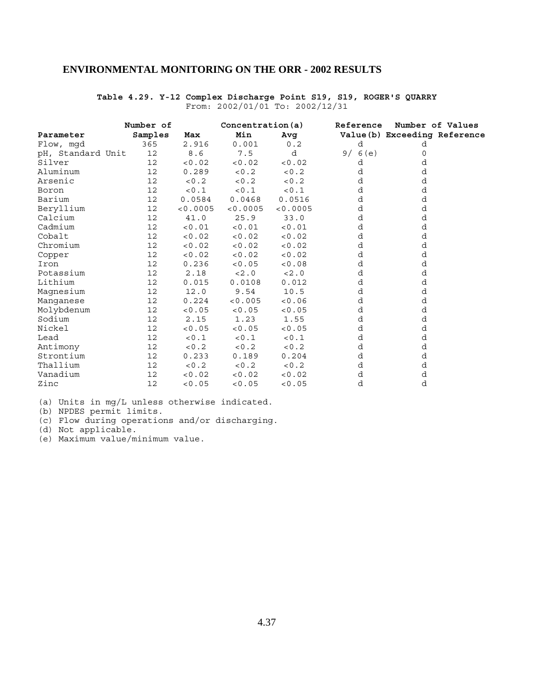#### **Number of Concentration(a) Reference Number of Values Parameter Samples Max Min Avg Value(b) Exceeding Reference**<br>Flow, mgd 365 2.916 0.001 0.2 d d Flow, mgd 365 2.916 0.001 0.2 d d<br>pH, Standard Unit 12 8.6 7.5 d 9/6(e) 0 pH, Standard Unit 12 8.6 7.5 d 9/6(e) 0<br>Silver 12 < 0.02 < 0.02 < 0.02 d d Silver 12 <0.02 <0.02 <0.02 d d Aluminum 12 0.289 <0.2 <0.2 d d Arsenic 12 < 0.2 < 0.2 < 0.2 d d Boron 12 <0.1 <0.1 <0.1 d d Barium 12 0.0584 0.0468 0.0516 d d<br>Beryllium 12 <0.0005 <0.0005 <0.0005 d d Beryllium 12 <0.0005 <0.0005 <0.0005 d d Calcium 12 41.0 25.9 33.0 d d Calcium 12 41.0 25.9 33.0 d d d<br>
Cadmium 12 <0.01 <0.01 d d d<br>
Cobalt 12 <0.02 <0.02 <0.02 d d<br>
Corper 12 <0.02 <0.02 <0.02 d d<br>
Corper 12 <0.02 <0.02 <0.02 d d<br>
Corper 12 <0.02 <0.02 <0.02 d d<br>
d d d d d d d d d d d d d d Cobalt 12 <0.02 <0.02 <0.02 d d Chromium 12 < 0.02 < 0.02 < 0.02 d d<br>
Copper 12 < 0.02 < 0.02 < 0.02 d d Copper 12 <0.02 <0.02 <0.02 d d<br>12 0.236 <0.05 <0.08 d d Iron 12 0.236 <0.05 <0.08 d d Potassium 12 2.18 <2.0 <2.0 d d Lithium 12 0.015 0.0108 0.012 d d<br>
Magnesium 12 12.0 9.54 10.5 d d<br>
Magnesium 12 12.0 9.54 10.5 d d Magnesium 12 12.0 9.54 10.5 d<br>
Manganese 12 0.224 <0.005 <0.06 d<br>
Molybdenum 12 <0.05 <0.05 <0.05 d<br>
d Manganese 12 0.224 <0.005 <0.06 d d Molybdenum 12 <0.05 <0.05 <0.05 d d Sodium 12 2.15 1.23 1.55 d d Nickel 12 <0.05 <0.05 <0.05 d d 12 <0.1 <0.1 <0.1 d d<br>Antimony 12 <0.2 <0.2 <0.2 d d<br>Strontium 12 0.233 0.189 0.204 d d<br>d Antimony 12 < 0.2 < 0.2 < 0.2 d d<br>Strontium 12 0.233 0.189 0.204 d d Strontium 12 0.233 0.189 0.204 d d<br>Thallium 12 <0.2 <0.2 <0.2 d d Thallium 12 < 0.2 < 0.2 < 0.2 d d<br>
Vanadium 12 < 0.02 < 0.02 < 0.02 d d Vanadium 12 <0.02 <0.02 <0.02 d d Zinc 12 <0.05 <0.05 <0.05 d d

**Table 4.29. Y-12 Complex Discharge Point S19, S19, ROGER'S QUARRY** From: 2002/01/01 To: 2002/12/31

(a) Units in mg/L unless otherwise indicated.

(b) NPDES permit limits.

(c) Flow during operations and/or discharging.

(d) Not applicable.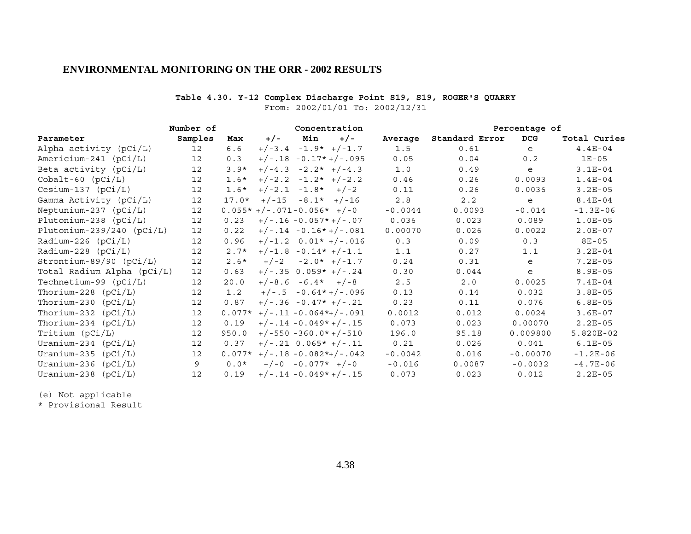### **Table 4.30. Y-12 Complex Discharge Point S19, S19, ROGER'S QUARRY**

From: 2002/01/01 To: 2002/12/31

|                             | Number of         |          | Concentration |                                |       |           |                | Percentage of |              |  |
|-----------------------------|-------------------|----------|---------------|--------------------------------|-------|-----------|----------------|---------------|--------------|--|
| Parameter                   | Samples           | Max      | $+/-$         | Min                            | $+/-$ | Average   | Standard Error | <b>DCG</b>    | Total Curies |  |
| Alpha activity (pCi/L)      | 12 <sup>°</sup>   | 6.6      | $+/-3.4$      | $-1.9*$ +/-1.7                 |       | 1.5       | 0.61           | e             | $4.4E-04$    |  |
| Americium-241 $(pCi/L)$     | $12 \overline{ }$ | 0.3      |               | $+/-.18 - 0.17* +/-.095$       |       | 0.05      | 0.04           | 0.2           | $1E-05$      |  |
| Beta activity $(pCi/L)$     | $12 \overline{ }$ | $3.9*$   |               | $+/-4.3 -2.2* +/-4.3$          |       | 1.0       | 0.49           | e             | $3.1E-04$    |  |
| $Cobalt-60$ $(pCi/L)$       | $12 \overline{ }$ | $1.6*$   |               | $+/-2.2 -1.2* +/-2.2$          |       | 0.46      | 0.26           | 0.0093        | $1.4E-04$    |  |
| $Cesium-137$ ( $pCi/L$ )    | 12                | $1.6*$   |               | $+/-2.1 -1.8* +/-2$            |       | 0.11      | 0.26           | 0.0036        | $3.2E-05$    |  |
| Gamma Activity (pCi/L)      | $12 \overline{ }$ | $17.0*$  |               | $+/-15 -8.1* +/-16$            |       | $2.8$     | 2.2            | e             | $8.4E-04$    |  |
| Neptunium-237 $(pCi/L)$     | 12                |          |               | $0.055*+/-.071-0.056*+/-0$     |       | $-0.0044$ | 0.0093         | $-0.014$      | $-1.3E-06$   |  |
| Plutonium-238 (pCi/L)       | 12                | 0.23     |               | $+/-.16 - 0.057* +/-.07$       |       | 0.036     | 0.023          | 0.089         | $1.0E-05$    |  |
| Plutonium-239/240 $(pCi/L)$ | $12 \overline{ }$ | 0.22     |               | $+/-.14 - 0.16* +/-.081$       |       | 0.00070   | 0.026          | 0.0022        | $2.0E-07$    |  |
| Radium-226 $(pCi/L)$        | 12                | 0.96     |               | $+/-1.2$ 0.01* $+/-.016$       |       | 0.3       | 0.09           | 0.3           | $8E - 05$    |  |
| Radium-228 $(pCi/L)$        | 12                | $2.7*$   |               | $+/-1.8 -0.14* +/-1.1$         |       | 1.1       | 0.27           | 1.1           | $3.2E-04$    |  |
| Strontium-89/90 $(pCi/L)$   | 12                | $2.6*$   | $+/-2$        | $-2.0*$ +/-1.7                 |       | 0.24      | 0.31           | e             | $7.2E-05$    |  |
| Total Radium Alpha (pCi/L)  | 12 <sup>°</sup>   | 0.63     |               | $+/-.35$ 0.059* $+/-.24$       |       | 0.30      | 0.044          | e             | $8.9E - 05$  |  |
| Technetium-99 (pCi/L)       | 12                | 20.0     |               | $+/-8.6 -6.4* +/-8$            |       | 2.5       | 2.0            | 0.0025        | $7.4E-04$    |  |
| Thorium-228 $(pCi/L)$       | $12 \overline{ }$ | 1.2      |               | $+/-.5 -0.64*+/-.096$          |       | 0.13      | 0.14           | 0.032         | $3.8E - 05$  |  |
| Thorium-230 $(pCi/L)$       | 12                | 0.87     |               | $+/-.36 -0.47* +/-.21$         |       | 0.23      | 0.11           | 0.076         | $6.8E-05$    |  |
| Thorium-232 $(pCi/L)$       | $12 \overline{ }$ |          |               | $0.077*$ +/-.11 -0.064*+/-.091 |       | 0.0012    | 0.012          | 0.0024        | $3.6E-07$    |  |
| Thorium-234 $(pCi/L)$       | 12                | 0.19     |               | $+/-.14 - 0.049* +/-.15$       |       | 0.073     | 0.023          | 0.00070       | $2.2E-05$    |  |
| Tritium (pCi/L)             | $12 \overline{ }$ | 950.0    |               | $+/-550 -360.0* +/-510$        |       | 196.0     | 95.18          | 0.009800      | $5.820E-02$  |  |
| Uranium-234 $(pCi/L)$       | 12                | 0.37     |               | $+/-.21$ 0.065* $+/-.11$       |       | 0.21      | 0.026          | 0.041         | $6.1E-05$    |  |
| Uranium-235 $(pCi/L)$       | $12 \overline{ }$ | $0.077*$ |               | $+/-.18 - 0.082*+/-.042$       |       | $-0.0042$ | 0.016          | $-0.00070$    | $-1.2E-06$   |  |
| Uranium-236<br>(pCi/L)      | 9                 | $0.0*$   |               | $+/-0$ -0.077* $+/-0$          |       | $-0.016$  | 0.0087         | $-0.0032$     | $-4.7E-06$   |  |
| Uranium-238 $(pCi/L)$       | 12                | 0.19     |               | $+/-.14 - 0.049* +/-.15$       |       | 0.073     | 0.023          | 0.012         | $2.2E-05$    |  |

(e) Not applicable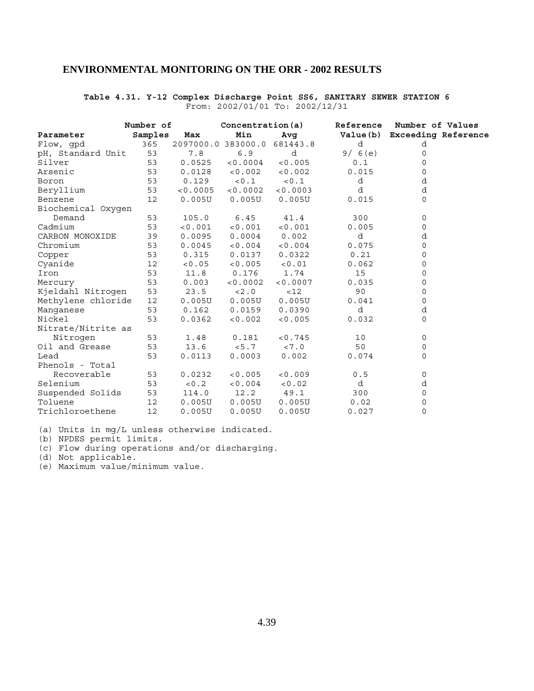### **Table 4.31. Y-12 Complex Discharge Point SS6, SANITARY SEWER STATION 6** From: 2002/01/01 To: 2002/12/31

|                    | Number of |          | Concentration(a)   |          | Reference | Number of Values             |
|--------------------|-----------|----------|--------------------|----------|-----------|------------------------------|
| Parameter          | Samples   | Max      | Min                | Avg      |           | Value(b) Exceeding Reference |
| Flow, gpd          | 365       |          | 2097000.0 383000.0 | 681443.8 | d         | d                            |
| pH, Standard Unit  | 53        | 7.8      | 6.9                | d        | 9/6(e)    | 0                            |
| Silver             | 53        | 0.0525   | < 0.0004           | < 0.005  | $0.1$     | 0                            |
| Arsenic            | 53        | 0.0128   | < 0.002            | < 0.002  | 0.015     | 0                            |
| Boron              | 53        | 0.129    | < 0.1              | < 0.1    | d         | d                            |
| Beryllium          | 53        | < 0.0005 | < 0.0002           | < 0.0003 | d         | d                            |
| Benzene            | 12        | 0.005U   | 0.005U             | 0.005U   | 0.015     | $\mathbf 0$                  |
| Biochemical Oxygen |           |          |                    |          |           |                              |
| Demand             | 53        | 105.0    | 6.45               | 41.4     | 300       | 0                            |
| Cadmium            | 53        | < 0.001  | < 0.001            | < 0.001  | 0.005     | 0                            |
| CARBON MONOXIDE    | 39        | 0.0095   | 0.0004             | 0.002    | d         | d                            |
| Chromium           | 53        | 0.0045   | < 0.004            | < 0.004  | 0.075     | $\mathbf 0$                  |
| Copper             | 53        | 0.315    | 0.0137             | 0.0322   | 0.21      | $\mathbf 0$                  |
| Cyanide            | 12        | < 0.05   | < 0.005            | < 0.01   | 0.062     | $\mathbf 0$                  |
| Iron               | 53        | 11.8     | 0.176              | 1.74     | 15        | $\mathbf 0$                  |
| Mercury            | 53        | 0.003    | < 0.0002           | < 0.0007 | 0.035     | 0                            |
| Kjeldahl Nitrogen  | 53        | 23.5     | < 2.0              | < 12     | 90        | 0                            |
| Methylene chloride | 12        | 0.005U   | 0.005U             | 0.005U   | 0.041     | $\mathbf 0$                  |
| Manganese          | 53        | 0.162    | 0.0159             | 0.0390   | d         | d                            |
| Nickel             | 53        | 0.0362   | < 0.002            | < 0.005  | 0.032     | $\Omega$                     |
| Nitrate/Nitrite as |           |          |                    |          |           |                              |
| Nitrogen           | 53        | 1.48     | 0.181              | < 0.745  | 10        | 0                            |
| Oil and Grease     | 53        | 13.6     | < 5.7              | < 7.0    | 50        | 0                            |
| Lead               | 53        | 0.0113   | 0.0003             | 0.002    | 0.074     | 0                            |
| Phenols - Total    |           |          |                    |          |           |                              |
| Recoverable        | 53        | 0.0232   | < 0.005            | < 0.009  | 0.5       | 0                            |
| Selenium           | 53        | < 0.2    | < 0.004            | < 0.02   | d         | d                            |
| Suspended Solids   | 53        | 114.0    | 12.2               | 49.1     | 300       | 0                            |
| Toluene            | 12        | 0.005U   | 0.005U             | 0.005U   | 0.02      | 0                            |
| Trichloroethene    | 12        | 0.005U   | 0.005U             | 0.005U   | 0.027     | 0                            |

(a) Units in mg/L unless otherwise indicated.

(b) NPDES permit limits.

(c) Flow during operations and/or discharging.

(d) Not applicable.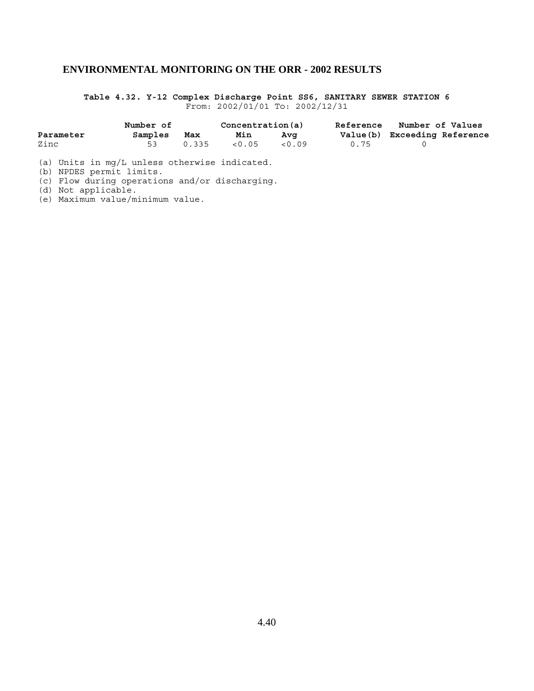**Table 4.32. Y-12 Complex Discharge Point SS6, SANITARY SEWER STATION 6** From: 2002/01/01 To: 2002/12/31

|           | Number of |       | Concentration(a) |      | <b>Reference</b> | Number of Values             |  |
|-----------|-----------|-------|------------------|------|------------------|------------------------------|--|
| Parameter | Samples   | Max   | Min              | Ava  |                  | Value(b) Exceeding Reference |  |
| Zinc      |           | 0.335 | < 0.05           | 0.09 | 0.75             |                              |  |

(a) Units in mg/L unless otherwise indicated.

(b) NPDES permit limits.

(c) Flow during operations and/or discharging.

(d) Not applicable.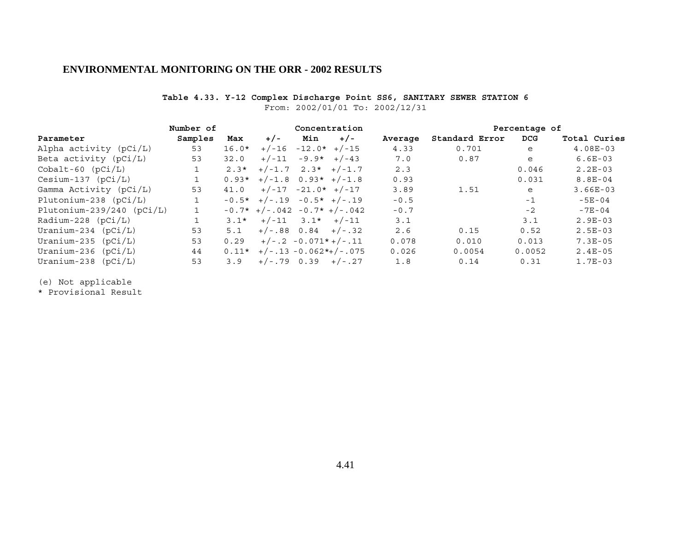### **Table 4.33. Y-12 Complex Discharge Point SS6, SANITARY SEWER STATION 6**

From: 2002/01/01 To: 2002/12/31

|                             | Number of |         | Concentration                 |                      |                         |         | Percentage of  |        |              |
|-----------------------------|-----------|---------|-------------------------------|----------------------|-------------------------|---------|----------------|--------|--------------|
| Parameter                   | Samples   | Max     | $+/-$                         | Min                  | $+/-$                   | Average | Standard Error | DCG    | Total Curies |
| Alpha activity (pCi/L)      | 53        | $16.0*$ | $+/-16$                       | $-12.0*$ +/-15       |                         | 4.33    | 0.701          | e      | $4.08E-03$   |
| Beta activity (pCi/L)       | 53        | 32.0    | $+/-11$                       |                      | $-9.9*$ +/-43           | 7.0     | 0.87           | e      | $6.6E-03$    |
| $Cobalt-60$ $(pCi/L)$       |           | $2.3*$  |                               |                      | $+/-1.7$ 2.3* $+/-1.7$  | 2.3     |                | 0.046  | $2.2E-03$    |
| $Cesium-137 (pCi/L)$        |           |         | $0.93*$ +/-1.8 $0.93*$ +/-1.8 |                      |                         | 0.93    |                | 0.031  | $8.8E-04$    |
| Gamma Activity (pCi/L)      | 53        | 41.0    |                               | $+/-17 -21.0* +/-17$ |                         | 3.89    | 1.51           | e      | $3.66E-03$   |
| Plutonium-238 $(pCi/L)$     |           |         | $-0.5*$ +/-.19 -0.5* +/-.19   |                      |                         | $-0.5$  |                | $-1$   | $-5E-04$     |
| Plutonium-239/240 $(pCi/L)$ |           |         | $-0.7*$ +/-.042 -0.7* +/-.042 |                      |                         | $-0.7$  |                | $-2$   | $-7E-04$     |
| Radium-228 $(pCi/L)$        |           | $3.1*$  |                               | $+/-11$ 3.1* $+/-11$ |                         | 3.1     |                | 3.1    | $2.9E-03$    |
| Uranium-234 $(pCi/L)$       | 53        | 5.1     |                               |                      | $+/-.88$ 0.84 $+/-.32$  | 2.6     | 0.15           | 0.52   | $2.5E-03$    |
| Uranium-235 $(pCi/L)$       | 53        | 0.29    |                               |                      | $+/-.2 -0.071*+/-.11$   | 0.078   | 0.010          | 0.013  | $7.3E - 05$  |
| Uranium-236 $(pCi/L)$       | 44        | $0.11*$ |                               |                      | $+/-.13 -0.062*+/-.075$ | 0.026   | 0.0054         | 0.0052 | $2.4E-05$    |
| Uranium-238 $(pCi/L)$       | 53        | 3.9     |                               |                      | $+/-.79$ 0.39 $+/-.27$  | 1.8     | 0.14           | 0.31   | $1.7E-03$    |

(e) Not applicable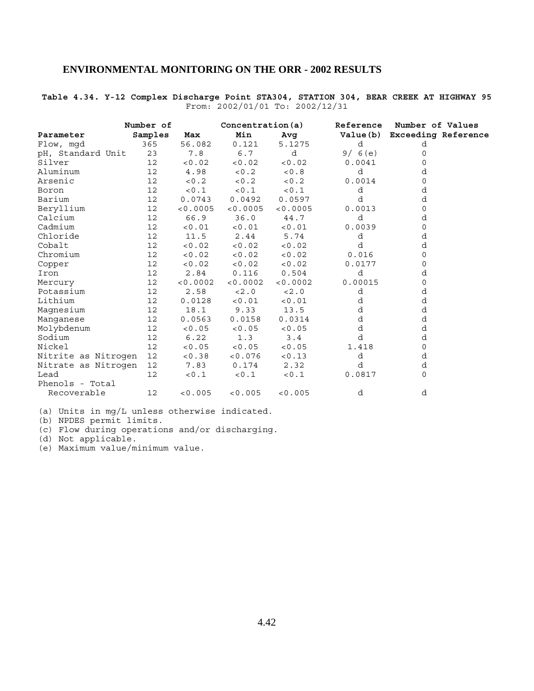# **Table 4.34. Y-12 Complex Discharge Point STA304, STATION 304, BEAR CREEK AT HIGHWAY 95** From: 2002/01/01 To: 2002/12/31

|                     | Number of         |          | Concentration(a) |          |         | Reference Number of Values   |
|---------------------|-------------------|----------|------------------|----------|---------|------------------------------|
| Parameter           | Samples           | Max      | Min              | Avg      |         | Value(b) Exceeding Reference |
| Flow, mqd           | 365               | 56.082   | 0.121            | 5.1275   | d       | d                            |
| pH, Standard Unit   | 23                | 7.8      | 6.7              | d        | 9/6(e)  | 0                            |
| Silver              | 12                | < 0.02   | < 0.02           | < 0.02   | 0.0041  | O                            |
| Aluminum            | 12                | 4.98     | < 0.2            | < 0.8    | d       | d                            |
| Arsenic             | 12                | < 0.2    | < 0.2            | < 0.2    | 0.0014  | 0                            |
| Boron               | 12                | < 0.1    | 10.1             | < 0.1    | d       | d                            |
| Barium              | $12 \overline{ }$ | 0.0743   | 0.0492           | 0.0597   | d       | d                            |
| Beryllium           | 12                | < 0.0005 | < 0.0005         | < 0.0005 | 0.0013  | 0                            |
| Calcium             | 12                | 66.9     | 36.0             | 44.7     | d       | d                            |
| Cadmium             | 12                | < 0.01   | < 0.01           | < 0.01   | 0.0039  | 0                            |
| Chloride            | 12                | 11.5     | 2.44             | 5.74     | d       | d                            |
| Cobalt              | 12                | < 0.02   | < 0.02           | < 0.02   | d       | d                            |
| Chromium            | 12                | < 0.02   | < 0.02           | < 0.02   | 0.016   | 0                            |
| Copper              | 12                | < 0.02   | < 0.02           | < 0.02   | 0.0177  | 0                            |
| Iron                | 12                | 2.84     | 0.116            | 0.504    | d       | d                            |
| Mercury             | 12                | < 0.0002 | < 0.0002         | < 0.0002 | 0.00015 | 0                            |
| Potassium           | 12                | 2.58     | < 2.0            | < 2.0    | d       | d                            |
| Lithium             | 12                | 0.0128   | < 0.01           | < 0.01   | d       | d                            |
| Magnesium           | 12                | 18.1     | 9.33             | 13.5     | d       | d                            |
| Manganese           | 12                | 0.0563   | 0.0158           | 0.0314   | d       | d                            |
| Molybdenum          | 12                | < 0.05   | < 0.05           | < 0.05   | d       | d                            |
| Sodium              | 12                | 6.22     | 1.3              | 3.4      | d       | d                            |
| Nickel              | 12                | < 0.05   | < 0.05           | < 0.05   | 1.418   | 0                            |
| Nitrite as Nitrogen | 12                | < 0.38   | < 0.076          | < 0.13   | d       | d                            |
| Nitrate as Nitrogen | 12                | 7.83     | 0.174            | 2.32     | d       | d                            |
| Lead                | 12                | < 0.1    | < 0.1            | 0.1      | 0.0817  | 0                            |
| Phenols - Total     |                   |          |                  |          |         |                              |
| Recoverable         | 12                | < 0.005  | < 0.005          | < 0.005  | d       | d                            |

(a) Units in mg/L unless otherwise indicated.

(b) NPDES permit limits.

(c) Flow during operations and/or discharging.

(d) Not applicable.

(e) Maximum value/minimum value.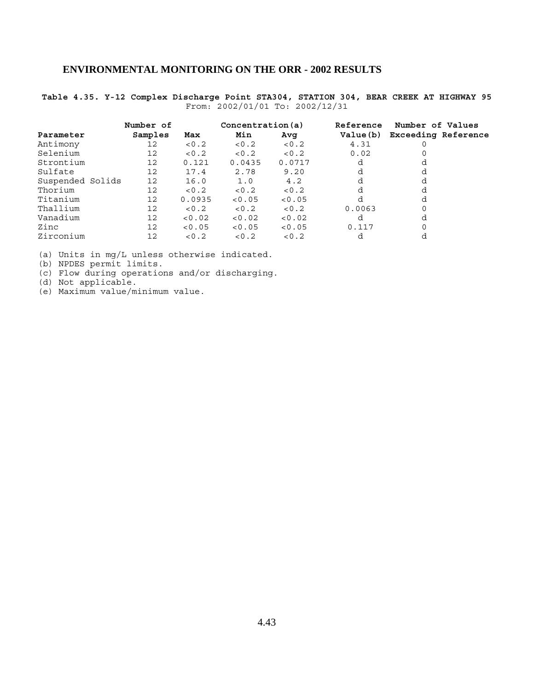# **Table 4.35. Y-12 Complex Discharge Point STA304, STATION 304, BEAR CREEK AT HIGHWAY 95** From: 2002/01/01 To: 2002/12/31

|                  | Number of |        | Concentration(a) |        | Reference | Number of Values           |  |  |
|------------------|-----------|--------|------------------|--------|-----------|----------------------------|--|--|
| Parameter        | Samples   | Max    | Min              | Avq    | Value (b) | <b>Exceeding Reference</b> |  |  |
| Antimony         | 12        | 0.2    | < 0.2            | 0.2    | 4.31      |                            |  |  |
| Selenium         | 12        | < 0.2  | 0.2              | 0.2    | 0.02      |                            |  |  |
| Strontium        | 12        | 0.121  | 0.0435           | 0.0717 | d         |                            |  |  |
| Sulfate          | 12        | 17.4   | 2.78             | 9.20   | d         | d                          |  |  |
| Suspended Solids | 12        | 16.0   | 1.0              | 4.2    | d         | d                          |  |  |
| Thorium          | 12        | 0.2    | 0.2              | < 0.2  | d         | d                          |  |  |
| Titanium         | 12        | 0.0935 | < 0.05           | < 0.05 | d         | d                          |  |  |
| Thallium         | 12        | 0.2    | < 0.2            | 0.2    | 0.0063    |                            |  |  |
| Vanadium         | 12        | < 0.02 | < 0.02           | < 0.02 | d         | d                          |  |  |
| Zinc             | 12        | < 0.05 | < 0.05           | < 0.05 | 0.117     |                            |  |  |
| Zirconium        | 12        | 0.2    | < 0.2            | < 0.2  | d         |                            |  |  |

(a) Units in mg/L unless otherwise indicated.

(b) NPDES permit limits.

(c) Flow during operations and/or discharging.

(d) Not applicable.

(e) Maximum value/minimum value.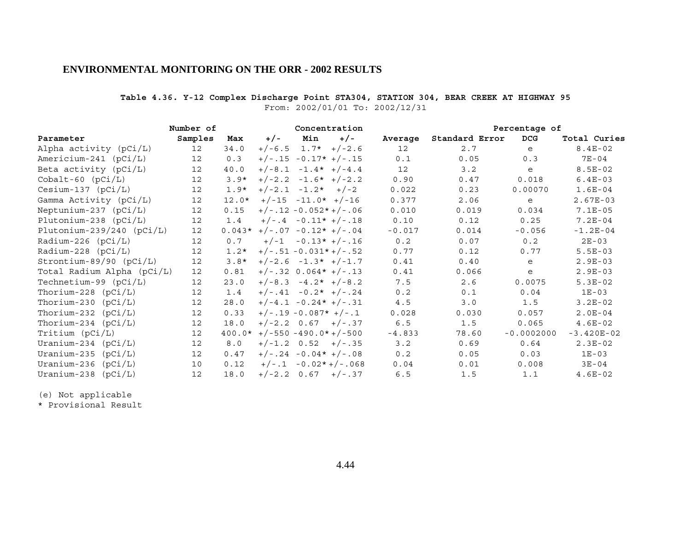# **Table 4.36. Y-12 Complex Discharge Point STA304, STATION 304, BEAR CREEK AT HIGHWAY 95** From: 2002/01/01 To: 2002/12/31

|                             | Number of         |          |                               |                          | Concentration            |          |                | Percentage of |              |
|-----------------------------|-------------------|----------|-------------------------------|--------------------------|--------------------------|----------|----------------|---------------|--------------|
| Parameter                   | Samples           | Max      | $+/-$                         | Min                      | $+/-$                    | Average  | Standard Error | <b>DCG</b>    | Total Curies |
| Alpha activity (pCi/L)      | 12 <sup>°</sup>   | 34.0     | $+/-6.5$                      |                          | $1.7* + (-2.6)$          | 12       | 2.7            | e             | $8.4E-02$    |
| Americium-241 $(pCi/L)$     | $12 \overline{ }$ | 0.3      |                               |                          | $+/-.15 -0.17* +/-.15$   | 0.1      | 0.05           | 0.3           | $7E - 04$    |
| Beta activity $(pCi/L)$     | $12 \overline{ }$ | 40.0     |                               | $+/-8.1 -1.4* +/-4.4$    |                          | 12       | 3.2            | e             | $8.5E-02$    |
| $Cobalt-60$ $(pCi/L)$       | $12 \overline{ }$ | $3.9*$   |                               | $+/-2.2 -1.6* +/-2.2$    |                          | 0.90     | 0.47           | 0.018         | $6.4E-03$    |
| $Cesium-137$ ( $pCi/L$ )    | 12                | $1.9*$   |                               | $+/-2.1 -1.2* +/-2$      |                          | 0.022    | 0.23           | 0.00070       | $1.6E-04$    |
| Gamma Activity (pCi/L)      | $12 \overline{ }$ | $12.0*$  |                               | $+/-15 -11.0* +/-16$     |                          | 0.377    | 2.06           | e             | $2.67E-03$   |
| Neptunium-237 $(pCi/L)$     | $12 \overline{ }$ | 0.15     |                               |                          | $+/-.12 - 0.052* +/-.06$ | 0.010    | 0.019          | 0.034         | $7.1E-05$    |
| Plutonium-238 $(pCi/L)$     | 12                | 1.4      |                               | $+/-.4 -0.11* +/-.18$    |                          | 0.10     | 0.12           | 0.25          | $7.2E-04$    |
| Plutonium-239/240 $(pCi/L)$ | $12 \overline{ }$ |          | $0.043*$ +/-.07 -0.12* +/-.04 |                          |                          | $-0.017$ | 0.014          | $-0.056$      | $-1.2E-04$   |
| Radium-226 $(pCi/L)$        | 12                | 0.7      |                               |                          | $+/-1$ -0.13* $+/-16$    | 0.2      | 0.07           | 0.2           | $2E - 03$    |
| Radium-228 $(pCi/L)$        | 12                | $1.2*$   |                               |                          | $+/-.51 - 0.031* +/-.52$ | 0.77     | 0.12           | 0.77          | $5.5E-03$    |
| Strontium-89/90 (pCi/L)     | 12                | $3.8*$   |                               | $+/-2.6 -1.3* +/-1.7$    |                          | 0.41     | 0.40           | e             | $2.9E-03$    |
| Total Radium Alpha (pCi/L)  | 12                | 0.81     |                               | $+/-.32$ 0.064* $+/-.13$ |                          | 0.41     | 0.066          | e             | $2.9E-03$    |
| Technetium-99 $(pCi/L)$     | 12                | 23.0     |                               | $+/-8.3 -4.2* +/-8.2$    |                          | 7.5      | 2.6            | 0.0075        | $5.3E-02$    |
| Thorium-228 $(pCi/L)$       | 12                | 1.4      |                               |                          | $+/-.41 -0.2* +/-.24$    | 0.2      | 0.1            | 0.04          | $1E-03$      |
| Thorium-230 $(pCi/L)$       | 12                | 28.0     |                               | $+/-4.1 -0.24* +/-.31$   |                          | $4.5$    | 3.0            | 1.5           | $3.2E-02$    |
| Thorium-232 $(pCi/L)$       | $12 \overline{ }$ | 0.33     |                               | $+/-.19 -0.087* +/-.1$   |                          | 0.028    | 0.030          | 0.057         | $2.0E-04$    |
| Thorium-234 $(pCi/L)$       | 12                | 18.0     |                               |                          | $+/-2.2$ 0.67 $+/-37$    | 6.5      | 1.5            | 0.065         | $4.6E-02$    |
| Tritium (pCi/L)             | $12 \overline{ }$ | $400.0*$ |                               |                          | $+/-550 -490.0* +/-500$  | $-4.833$ | 78.60          | $-0.0002000$  | $-3.420E-02$ |
| Uranium-234 $(pCi/L)$       | 12                | 8.0      |                               | $+/-1.2$ 0.52 $+/-35$    |                          | 3.2      | 0.69           | 0.64          | $2.3E-02$    |
| Uranium-235 $(pCi/L)$       | 12                | 0.47     |                               |                          | $+/-.24 -0.04* +/-.08$   | 0.2      | 0.05           | 0.03          | $1E-03$      |
| Uranium-236 (pCi/L)         | 10                | 0.12     |                               |                          | $+/-.1 - 0.02*+/-.068$   | 0.04     | 0.01           | 0.008         | $3E - 04$    |
| Uranium-238<br>(pCi/L)      | 12                | 18.0     |                               | $+/-2.2$ 0.67 $+/-.37$   |                          | 6.5      | 1.5            | 1.1           | $4.6E-02$    |

(e) Not applicable

\* Provisional Result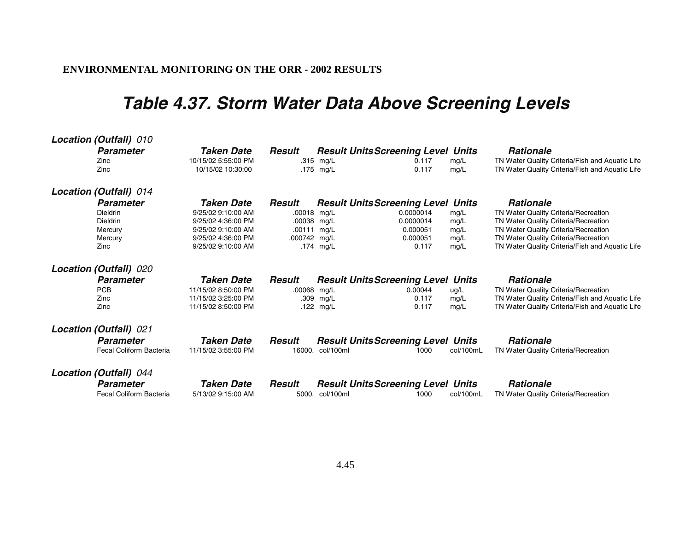# **Table 4.37. Storm Water Data Above Screening Levels**

| Location (Outfall) 010  |                     |              |                                           |           |                                                 |
|-------------------------|---------------------|--------------|-------------------------------------------|-----------|-------------------------------------------------|
| <b>Parameter</b>        | Taken Date          | Result       | <b>Result Units Screening Level Units</b> |           | <b>Rationale</b>                                |
| Zinc                    | 10/15/02 5:55:00 PM |              | .315 mg/L<br>0.117                        | mg/L      | TN Water Quality Criteria/Fish and Aquatic Life |
| Zinc                    | 10/15/02 10:30:00   |              | 0.117<br>.175 mg/L                        | mg/L      | TN Water Quality Criteria/Fish and Aquatic Life |
| Location (Outfall) 014  |                     |              |                                           |           |                                                 |
| <b>Parameter</b>        | <b>Taken Date</b>   | Result       | <b>Result Units Screening Level Units</b> |           | <b>Rationale</b>                                |
| Dieldrin                | 9/25/02 9:10:00 AM  | .00018 mg/L  | 0.0000014                                 | mg/L      | TN Water Quality Criteria/Recreation            |
| Dieldrin                | 9/25/02 4:36:00 PM  | .00038 mg/L  | 0.0000014                                 | mg/L      | TN Water Quality Criteria/Recreation            |
| Mercury                 | 9/25/02 9:10:00 AM  | .00111 mg/L  | 0.000051                                  | mg/L      | TN Water Quality Criteria/Recreation            |
| Mercury                 | 9/25/02 4:36:00 PM  | .000742 mg/L | 0.000051                                  | mg/L      | TN Water Quality Criteria/Recreation            |
| Zinc                    | 9/25/02 9:10:00 AM  |              | .174 mg/L<br>0.117                        | mg/L      | TN Water Quality Criteria/Fish and Aquatic Life |
| Location (Outfall) 020  |                     |              |                                           |           |                                                 |
| <b>Parameter</b>        | Taken Date          | Result       | <b>Result Units Screening Level Units</b> |           | <b>Rationale</b>                                |
| <b>PCB</b>              | 11/15/02 8:50:00 PM | .00068 mg/L  | 0.00044                                   | ug/L      | TN Water Quality Criteria/Recreation            |
| Zinc                    | 11/15/02 3:25:00 PM |              | 0.117<br>.309 mg/L                        | mg/L      | TN Water Quality Criteria/Fish and Aquatic Life |
| Zinc                    | 11/15/02 8:50:00 PM |              | 0.117<br>.122 $mg/L$                      | mg/L      | TN Water Quality Criteria/Fish and Aquatic Life |
| Location (Outfall) 021  |                     |              |                                           |           |                                                 |
| <b>Parameter</b>        | <b>Taken Date</b>   |              |                                           |           |                                                 |
|                         |                     | Result       | <b>Result Units Screening Level Units</b> |           | <b>Rationale</b>                                |
| Fecal Coliform Bacteria | 11/15/02 3:55:00 PM | 16000.       | col/100ml<br>1000                         | col/100mL | TN Water Quality Criteria/Recreation            |
| Location (Outfall) 044  |                     |              |                                           |           |                                                 |
| <b>Parameter</b>        | <b>Taken Date</b>   | Result       | <b>Result Units Screening Level Units</b> |           | <b>Rationale</b>                                |
| Fecal Coliform Bacteria | 5/13/02 9:15:00 AM  |              | 5000. col/100ml<br>1000                   | col/100mL | TN Water Quality Criteria/Recreation            |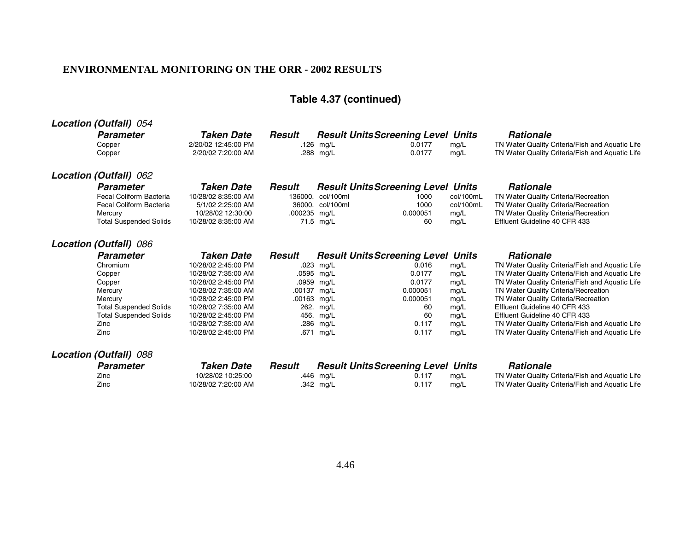# **Table 4.37 (continued)**

| Location (Outfall) 054 |                               |                     |              |                                           |          |           |                                                 |
|------------------------|-------------------------------|---------------------|--------------|-------------------------------------------|----------|-----------|-------------------------------------------------|
| <b>Parameter</b>       |                               | <b>Taken Date</b>   | Result       | <b>Result Units Screening Level Units</b> |          |           | <b>Rationale</b>                                |
| Copper                 |                               | 2/20/02 12:45:00 PM |              | .126 $mg/L$                               | 0.0177   | mg/L      | TN Water Quality Criteria/Fish and Aquatic Life |
| Copper                 |                               | 2/20/02 7:20:00 AM  |              | .288 mg/L                                 | 0.0177   | mg/L      | TN Water Quality Criteria/Fish and Aquatic Life |
| Location (Outfall) 062 |                               |                     |              |                                           |          |           |                                                 |
| <b>Parameter</b>       |                               | <b>Taken Date</b>   | Result       | <b>Result Units Screening Level Units</b> |          |           | <b>Rationale</b>                                |
|                        | Fecal Coliform Bacteria       | 10/28/02 8:35:00 AM | 136000.      | col/100ml                                 | 1000     | col/100mL | TN Water Quality Criteria/Recreation            |
|                        | Fecal Coliform Bacteria       | 5/1/02 2:25:00 AM   | 36000.       | col/100ml                                 | 1000     | col/100mL | TN Water Quality Criteria/Recreation            |
| Mercury                |                               | 10/28/02 12:30:00   | .000235 mg/L |                                           | 0.000051 | mg/L      | TN Water Quality Criteria/Recreation            |
|                        | <b>Total Suspended Solids</b> | 10/28/02 8:35:00 AM |              | 71.5 mg/L                                 | 60       | mg/L      | Effluent Guideline 40 CFR 433                   |
| Location (Outfall) 086 |                               |                     |              |                                           |          |           |                                                 |
| <b>Parameter</b>       |                               | <b>Taken Date</b>   | Result       | <b>Result Units Screening Level Units</b> |          |           | <b>Rationale</b>                                |
| Chromium               |                               | 10/28/02 2:45:00 PM | .023         | mg/L                                      | 0.016    | mg/L      | TN Water Quality Criteria/Fish and Aquatic Life |
| Copper                 |                               | 10/28/02 7:35:00 AM | .0595 mg/L   |                                           | 0.0177   | mg/L      | TN Water Quality Criteria/Fish and Aquatic Life |
| Copper                 |                               | 10/28/02 2:45:00 PM | .0959 mg/L   |                                           | 0.0177   | mg/L      | TN Water Quality Criteria/Fish and Aquatic Life |
| Mercury                |                               | 10/28/02 7:35:00 AM | .00137 mg/L  |                                           | 0.000051 | mg/L      | TN Water Quality Criteria/Recreation            |
| Mercury                |                               | 10/28/02 2:45:00 PM | .00163 mg/L  |                                           | 0.000051 | mg/L      | TN Water Quality Criteria/Recreation            |
|                        | <b>Total Suspended Solids</b> | 10/28/02 7:35:00 AM | 262.         | mg/L                                      | 60       | mg/L      | Effluent Guideline 40 CFR 433                   |
|                        | <b>Total Suspended Solids</b> | 10/28/02 2:45:00 PM |              | 456. mg/L                                 | 60       | mg/L      | Effluent Guideline 40 CFR 433                   |
| Zinc                   |                               | 10/28/02 7:35:00 AM |              | .286 mg/L                                 | 0.117    | mg/L      | TN Water Quality Criteria/Fish and Aquatic Life |
| Zinc                   |                               | 10/28/02 2:45:00 PM |              | .671 mg/L                                 | 0.117    | mg/L      | TN Water Quality Criteria/Fish and Aquatic Life |
| Location (Outfall) 088 |                               |                     |              |                                           |          |           |                                                 |
| <b>Parameter</b>       |                               | <b>Taken Date</b>   | Result       | <b>Result Units Screening Level Units</b> |          |           | <b>Rationale</b>                                |
| Zinc                   |                               | 10/28/02 10:25:00   |              | .446 mg/L                                 | 0.117    | mg/L      | TN Water Quality Criteria/Fish and Aquatic Life |
| Zinc                   |                               | 10/28/02 7:20:00 AM |              | .342 mg/L                                 | 0.117    | mq/L      | TN Water Quality Criteria/Fish and Aquatic Life |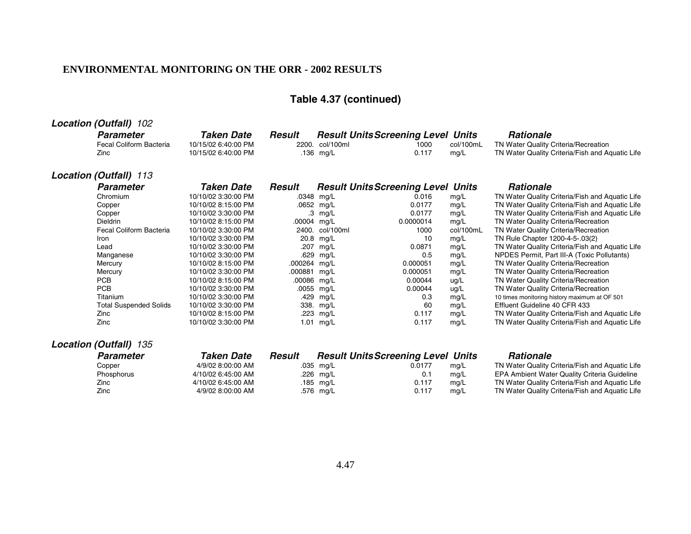# **Table 4.37 (continued)**

| <b>Location (Outfall) 102</b>                       |                                                          |             |                                                                           |               |                   |                                                                                                             |
|-----------------------------------------------------|----------------------------------------------------------|-------------|---------------------------------------------------------------------------|---------------|-------------------|-------------------------------------------------------------------------------------------------------------|
| <b>Parameter</b><br>Fecal Coliform Bacteria<br>Zinc | Taken Date<br>10/15/02 6:40:00 PM<br>10/15/02 6:40:00 PM | Result      | <b>Result Units Screening Level Units</b><br>2200. col/100ml<br>.136 mg/L | 1000<br>0.117 | col/100mL<br>mq/L | <b>Rationale</b><br>TN Water Quality Criteria/Recreation<br>TN Water Quality Criteria/Fish and Aquatic Life |
| <b>Location (Outfall) 113</b>                       |                                                          |             |                                                                           |               |                   |                                                                                                             |
| <b>Parameter</b>                                    | Taken Date                                               | Result      | <b>Result Units Screening Level Units</b>                                 |               |                   | <b>Rationale</b>                                                                                            |
| Chromium                                            | 10/10/02 3:30:00 PM                                      |             | .0348 mg/L                                                                | 0.016         | mq/L              | TN Water Quality Criteria/Fish and Aquatic Life                                                             |
| Copper                                              | 10/10/02 8:15:00 PM                                      |             | .0652 mg/L                                                                | 0.0177        | mg/L              | TN Water Quality Criteria/Fish and Aquatic Life                                                             |
| Copper                                              | 10/10/02 3:30:00 PM                                      |             | $.3 \text{ mg/L}$                                                         | 0.0177        | mg/L              | TN Water Quality Criteria/Fish and Aquatic Life                                                             |
| <b>Dieldrin</b>                                     | 10/10/02 8:15:00 PM                                      | .00004 mg/L |                                                                           | 0.0000014     | mg/L              | TN Water Quality Criteria/Recreation                                                                        |
| Fecal Coliform Bacteria                             | 10/10/02 3:30:00 PM                                      |             | 2400. col/100ml                                                           | 1000          | col/100mL         | TN Water Quality Criteria/Recreation                                                                        |
| <b>Iron</b>                                         | 10/10/02 3:30:00 PM                                      |             | 20.8 mg/L                                                                 | 10            | mg/L              | TN Rule Chapter 1200-4-5-.03(2)                                                                             |
| Lead                                                | 10/10/02 3:30:00 PM                                      |             | .207 mg/L                                                                 | 0.0871        | ma/L              | TN Water Quality Criteria/Fish and Aquatic Life                                                             |

Manganese 10/10/02 3:30:00 PM .629 mg/L .629 0.5 mg/L NPDES Permit, Part III-A (Toxic Pollutants)<br>Mercury 10/10/02 8:15:00 PM .000264 mg/L .0000051 mg/L TN Water Quality Criteria/Recreation Mercury 10/10/02 8:15:00 PM .000264 mg/L 0.000051 mg/L TN Water Quality Criteria/Recreation<br>10/10/02 3:30:00 PM .000881 mg/L 0.000051 mg/L TN Water Quality Criteria/Recreation Mercury 10/10/02 3:30:00 PM .000881 mg/L 0.000051 mg/L TN Water Quality Criteria/Recreation<br>PCB 10/10/02 8:15:00 PM .00086 mg/L 0.00044 uq/L TN Water Quality Criteria/Recreation PCB 10/10/02 8:15:00 PM .00086 mg/L 0.00044 ug/L TN Water Quality Criteria/Recreation<br>PCB 10/10/02 3:30:00 PM .0055 mg/L 0.00044 ug/L TN Water Quality Criteria/Recreation

Titanium 10/10/02 3:30:00 PM .429 mg/L . 0.3 mg/L 10 times monitoring history maximum at OF 501<br>10 Total Suspended Solids 10/10/02 3:30:00 PM 338. mg/L 60 mg/L Effluent Guideline 40 CFR 433

Zinc 10/10/02 8:15:00 PM .223 mg/L 0.117 mg/L TN Water Quality Criteria/Fish and Aquatic Life Zinc 10/10/02 3:30:00 PM 1.01 mg/L 0.117 mg/L TN Water Quality Criteria/Fish and Aquatic Life

10/10/02 3:30:00 PM .207 mg/L 0.0871 mg/L TN Water Quality Criteria/Fish and Aquatic Life<br>10/10/02 3:30:00 PM .629 mg/L 0.5 mg/L NPDES Permit, Part III-A (Toxic Pollutants)

PCB 10/10/02 3:30:00 PM .0055 mg/L 0.00044 ug/L TN Water Quality Criteria/Recreation

10/10/02 3:30:00 PM 338. mg/L 60 mg/L Effluent Guideline 40 CFR 433

## **Location (Outfall)** 135

| TN Water Quality Criteria/Fish and Aquatic Life |
|-------------------------------------------------|
| EPA Ambient Water Quality Criteria Guideline    |
| TN Water Quality Criteria/Fish and Aquatic Life |
| TN Water Quality Criteria/Fish and Aquatic Life |
|                                                 |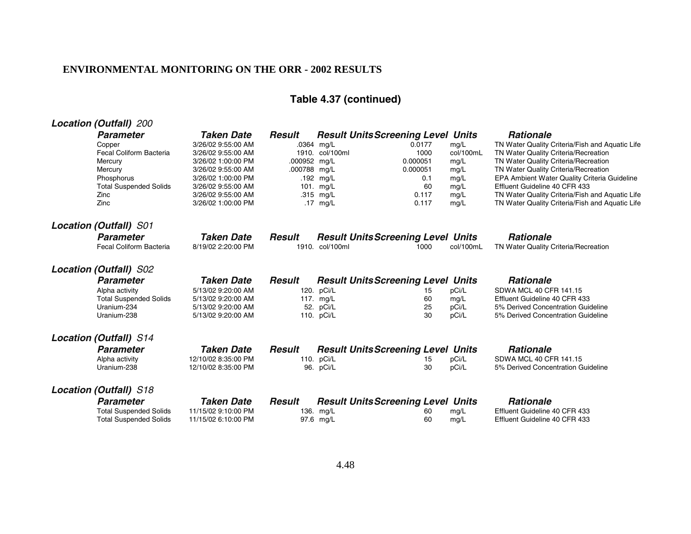# **Table 4.37 (continued)**

| <b>Location (Outfall) 200</b>               |                                          |               |                          |                                           |           |              |                                                                               |
|---------------------------------------------|------------------------------------------|---------------|--------------------------|-------------------------------------------|-----------|--------------|-------------------------------------------------------------------------------|
| <b>Parameter</b>                            | Taken Date                               | Result        |                          | <b>Result Units Screening Level Units</b> |           |              | <b>Rationale</b>                                                              |
| Copper                                      | 3/26/02 9:55:00 AM                       |               | .0364 mg/L               | 0.0177                                    |           | mq/L         | TN Water Quality Criteria/Fish and Aquatic Life                               |
| Fecal Coliform Bacteria                     | 3/26/02 9:55:00 AM                       |               | 1910. col/100ml          | 1000                                      |           | col/100mL    | TN Water Quality Criteria/Recreation                                          |
| Mercury                                     | 3/26/02 1:00:00 PM                       | .000952 mg/L  |                          | 0.000051                                  |           | mg/L         | TN Water Quality Criteria/Recreation                                          |
| Mercury                                     | 3/26/02 9:55:00 AM                       | .000788 mg/L  |                          | 0.000051                                  |           | mg/L         | TN Water Quality Criteria/Recreation                                          |
| Phosphorus<br><b>Total Suspended Solids</b> | 3/26/02 1:00:00 PM<br>3/26/02 9:55:00 AM |               | .192 mg/L<br>101. $mg/L$ |                                           | 0.1<br>60 | mg/L<br>mg/L | EPA Ambient Water Quality Criteria Guideline<br>Effluent Guideline 40 CFR 433 |
| Zinc                                        | 3/26/02 9:55:00 AM                       |               | .315 mg/L                | 0.117                                     |           | mg/L         | TN Water Quality Criteria/Fish and Aquatic Life                               |
| Zinc                                        | 3/26/02 1:00:00 PM                       |               | .17 $mg/L$               | 0.117                                     |           | mg/L         | TN Water Quality Criteria/Fish and Aquatic Life                               |
| <b>Location (Outfall) S01</b>               |                                          |               |                          |                                           |           |              |                                                                               |
| <b>Parameter</b>                            | <b>Taken Date</b>                        | Result        |                          | <b>Result Units Screening Level Units</b> |           |              | <b>Rationale</b>                                                              |
| Fecal Coliform Bacteria                     | 8/19/02 2:20:00 PM                       |               | 1910. col/100ml          | 1000                                      |           | col/100mL    | TN Water Quality Criteria/Recreation                                          |
| <b>Location (Outfall) S02</b>               |                                          |               |                          |                                           |           |              |                                                                               |
| <b>Parameter</b>                            | <b>Taken Date</b>                        | <b>Result</b> |                          | <b>Result Units Screening Level Units</b> |           |              | <b>Rationale</b>                                                              |
| Alpha activity                              | 5/13/02 9:20:00 AM                       |               | 120. pCi/L               |                                           | 15        | pCi/L        | SDWA MCL 40 CFR 141.15                                                        |
| <b>Total Suspended Solids</b>               | 5/13/02 9:20:00 AM                       |               | 117. mg/L                |                                           | 60        | mg/L         | Effluent Guideline 40 CFR 433                                                 |
| Uranium-234                                 | 5/13/02 9:20:00 AM                       |               | 52. pCi/L                |                                           | 25        | pCi/L        | 5% Derived Concentration Guideline                                            |
| Uranium-238                                 | 5/13/02 9:20:00 AM                       |               | 110. pCi/L               |                                           | 30        | pCi/L        | 5% Derived Concentration Guideline                                            |
| <b>Location (Outfall) S14</b>               |                                          |               |                          |                                           |           |              |                                                                               |
| <b>Parameter</b>                            | <b>Taken Date</b>                        | Result        |                          | <b>Result Units Screening Level Units</b> |           |              | <b>Rationale</b>                                                              |
| Alpha activity                              | 12/10/02 8:35:00 PM                      |               | 110. pCi/L               |                                           | 15        | pCi/L        | SDWA MCL 40 CFR 141.15                                                        |
| Uranium-238                                 | 12/10/02 8:35:00 PM                      |               | 96. pCi/L                |                                           | 30        | pCi/L        | 5% Derived Concentration Guideline                                            |
| <b>Location (Outfall)</b> S18               |                                          |               |                          |                                           |           |              |                                                                               |
| <b>Parameter</b>                            | <b>Taken Date</b>                        | <b>Result</b> |                          | <b>Result Units Screening Level Units</b> |           |              | <b>Rationale</b>                                                              |
| <b>Total Suspended Solids</b>               | 11/15/02 9:10:00 PM                      |               | 136. mg/L                |                                           | 60        | mg/L         | Effluent Guideline 40 CFR 433                                                 |
| <b>Total Suspended Solids</b>               | 11/15/02 6:10:00 PM                      |               | 97.6 mg/L                |                                           | 60        | mg/L         | Effluent Guideline 40 CFR 433                                                 |
|                                             |                                          |               |                          |                                           |           |              |                                                                               |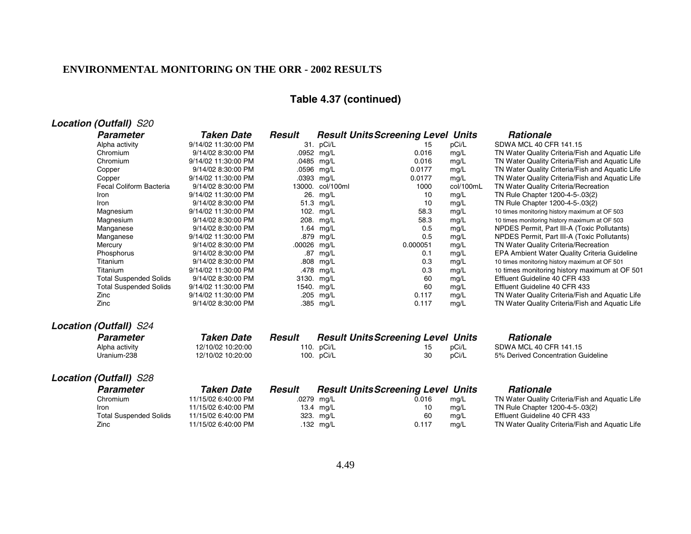# **Table 4.37 (continued)**

| <b>Location (Outfall)</b> S20<br><b>Taken Date</b><br><b>Result Units Screening Level</b><br><b>Rationale</b><br><b>Parameter</b><br><b>Result</b><br><b>Units</b><br>SDWA MCL 40 CFR 141.15<br>9/14/02 11:30:00 PM<br>31. pCi/L<br>pCi/L<br>Alpha activity<br>15<br>9/14/02 8:30:00 PM<br>.0952 mg/L<br>0.016<br>mg/L<br>TN Water Quality Criteria/Fish and Aquatic Life<br>Chromium<br>Chromium<br>9/14/02 11:30:00 PM<br>.0485 mg/L<br>0.016<br>mg/L<br>TN Water Quality Criteria/Fish and Aquatic Life<br>.0596 mg/L<br>TN Water Quality Criteria/Fish and Aquatic Life<br>9/14/02 8:30:00 PM<br>0.0177<br>mg/L<br>Copper<br>.0393 mg/L<br>0.0177<br>mg/L<br>9/14/02 11:30:00 PM<br>TN Water Quality Criteria/Fish and Aquatic Life<br>Copper<br>Fecal Coliform Bacteria<br>col/100mL<br>9/14/02 8:30:00 PM<br>13000. col/100ml<br>1000<br>TN Water Quality Criteria/Recreation<br>9/14/02 11:30:00 PM<br>26. mg/L<br>TN Rule Chapter 1200-4-5-.03(2)<br>10<br>mg/L<br>Iron<br>9/14/02 8:30:00 PM<br>51.3 mg/L<br>10<br>mg/L<br>TN Rule Chapter 1200-4-5-.03(2)<br>Iron |  |
|-----------------------------------------------------------------------------------------------------------------------------------------------------------------------------------------------------------------------------------------------------------------------------------------------------------------------------------------------------------------------------------------------------------------------------------------------------------------------------------------------------------------------------------------------------------------------------------------------------------------------------------------------------------------------------------------------------------------------------------------------------------------------------------------------------------------------------------------------------------------------------------------------------------------------------------------------------------------------------------------------------------------------------------------------------------------------------|--|
|                                                                                                                                                                                                                                                                                                                                                                                                                                                                                                                                                                                                                                                                                                                                                                                                                                                                                                                                                                                                                                                                             |  |
|                                                                                                                                                                                                                                                                                                                                                                                                                                                                                                                                                                                                                                                                                                                                                                                                                                                                                                                                                                                                                                                                             |  |
|                                                                                                                                                                                                                                                                                                                                                                                                                                                                                                                                                                                                                                                                                                                                                                                                                                                                                                                                                                                                                                                                             |  |
|                                                                                                                                                                                                                                                                                                                                                                                                                                                                                                                                                                                                                                                                                                                                                                                                                                                                                                                                                                                                                                                                             |  |
|                                                                                                                                                                                                                                                                                                                                                                                                                                                                                                                                                                                                                                                                                                                                                                                                                                                                                                                                                                                                                                                                             |  |
|                                                                                                                                                                                                                                                                                                                                                                                                                                                                                                                                                                                                                                                                                                                                                                                                                                                                                                                                                                                                                                                                             |  |
|                                                                                                                                                                                                                                                                                                                                                                                                                                                                                                                                                                                                                                                                                                                                                                                                                                                                                                                                                                                                                                                                             |  |
|                                                                                                                                                                                                                                                                                                                                                                                                                                                                                                                                                                                                                                                                                                                                                                                                                                                                                                                                                                                                                                                                             |  |
|                                                                                                                                                                                                                                                                                                                                                                                                                                                                                                                                                                                                                                                                                                                                                                                                                                                                                                                                                                                                                                                                             |  |
| Magnesium<br>9/14/02 11:30:00 PM<br>102. mg/L<br>58.3<br>mg/L<br>10 times monitoring history maximum at OF 503                                                                                                                                                                                                                                                                                                                                                                                                                                                                                                                                                                                                                                                                                                                                                                                                                                                                                                                                                              |  |
| 58.3<br>mg/L<br>Magnesium<br>9/14/02 8:30:00 PM<br>208. mg/L<br>10 times monitoring history maximum at OF 503                                                                                                                                                                                                                                                                                                                                                                                                                                                                                                                                                                                                                                                                                                                                                                                                                                                                                                                                                               |  |
| 0.5<br>1.64 mg/L<br>mg/L<br>Manganese<br>9/14/02 8:30:00 PM<br>NPDES Permit, Part III-A (Toxic Pollutants)                                                                                                                                                                                                                                                                                                                                                                                                                                                                                                                                                                                                                                                                                                                                                                                                                                                                                                                                                                  |  |
| 0.5<br>.879 mg/L<br>mg/L<br>Manganese<br>9/14/02 11:30:00 PM<br>NPDES Permit, Part III-A (Toxic Pollutants)                                                                                                                                                                                                                                                                                                                                                                                                                                                                                                                                                                                                                                                                                                                                                                                                                                                                                                                                                                 |  |
| .00026 mg/L<br>0.000051<br>mg/L<br>TN Water Quality Criteria/Recreation<br>9/14/02 8:30:00 PM<br>Mercury                                                                                                                                                                                                                                                                                                                                                                                                                                                                                                                                                                                                                                                                                                                                                                                                                                                                                                                                                                    |  |
| .87<br>mg/L<br>EPA Ambient Water Quality Criteria Guideline<br>Phosphorus<br>9/14/02 8:30:00 PM<br>mg/L<br>0.1                                                                                                                                                                                                                                                                                                                                                                                                                                                                                                                                                                                                                                                                                                                                                                                                                                                                                                                                                              |  |
| Titanium<br>0.3<br>mg/L<br>9/14/02 8:30:00 PM<br>.808 mg/L<br>10 times monitoring history maximum at OF 501                                                                                                                                                                                                                                                                                                                                                                                                                                                                                                                                                                                                                                                                                                                                                                                                                                                                                                                                                                 |  |
| .478 mg/L<br>Titanium<br>9/14/02 11:30:00 PM<br>0.3<br>mg/L<br>10 times monitoring history maximum at OF 501                                                                                                                                                                                                                                                                                                                                                                                                                                                                                                                                                                                                                                                                                                                                                                                                                                                                                                                                                                |  |
| <b>Total Suspended Solids</b><br>60<br>Effluent Guideline 40 CFR 433<br>9/14/02 8:30:00 PM<br>3130. mg/L<br>mg/L                                                                                                                                                                                                                                                                                                                                                                                                                                                                                                                                                                                                                                                                                                                                                                                                                                                                                                                                                            |  |
| <b>Total Suspended Solids</b><br>60<br>9/14/02 11:30:00 PM<br>1540. mg/L<br>mg/L<br>Effluent Guideline 40 CFR 433                                                                                                                                                                                                                                                                                                                                                                                                                                                                                                                                                                                                                                                                                                                                                                                                                                                                                                                                                           |  |
| 0.117<br>mg/L<br>TN Water Quality Criteria/Fish and Aquatic Life<br>Zinc<br>9/14/02 11:30:00 PM<br>.205<br>mg/L                                                                                                                                                                                                                                                                                                                                                                                                                                                                                                                                                                                                                                                                                                                                                                                                                                                                                                                                                             |  |
| 0.117<br>Zinc<br>.385 mg/L<br>TN Water Quality Criteria/Fish and Aquatic Life<br>9/14/02 8:30:00 PM<br>mg/L                                                                                                                                                                                                                                                                                                                                                                                                                                                                                                                                                                                                                                                                                                                                                                                                                                                                                                                                                                 |  |
| <b>Location (Outfall) S24</b>                                                                                                                                                                                                                                                                                                                                                                                                                                                                                                                                                                                                                                                                                                                                                                                                                                                                                                                                                                                                                                               |  |
| <b>Rationale</b><br><b>Taken Date</b><br><b>Result</b><br><b>Result Units Screening Level Units</b><br>Parameter                                                                                                                                                                                                                                                                                                                                                                                                                                                                                                                                                                                                                                                                                                                                                                                                                                                                                                                                                            |  |
| 110. pCi/L<br>pCi/L<br>SDWA MCL 40 CFR 141.15<br>12/10/02 10:20:00<br>Alpha activity<br>15                                                                                                                                                                                                                                                                                                                                                                                                                                                                                                                                                                                                                                                                                                                                                                                                                                                                                                                                                                                  |  |
| 30<br>pCi/L<br>Uranium-238<br>12/10/02 10:20:00<br>100. pCi/L<br>5% Derived Concentration Guideline                                                                                                                                                                                                                                                                                                                                                                                                                                                                                                                                                                                                                                                                                                                                                                                                                                                                                                                                                                         |  |
| <b>Location (Outfall) S28</b>                                                                                                                                                                                                                                                                                                                                                                                                                                                                                                                                                                                                                                                                                                                                                                                                                                                                                                                                                                                                                                               |  |
| <b>Taken Date</b><br><b>Result</b><br><b>Result Units Screening Level Units</b><br><b>Rationale</b><br><b>Parameter</b>                                                                                                                                                                                                                                                                                                                                                                                                                                                                                                                                                                                                                                                                                                                                                                                                                                                                                                                                                     |  |
| Chromium<br>11/15/02 6:40:00 PM<br>TN Water Quality Criteria/Fish and Aquatic Life<br>.0279<br>0.016<br>mg/L<br>mg/L                                                                                                                                                                                                                                                                                                                                                                                                                                                                                                                                                                                                                                                                                                                                                                                                                                                                                                                                                        |  |
| 11/15/02 6:40:00 PM<br>13.4 mg/L<br>10<br>mg/L<br>TN Rule Chapter 1200-4-5-.03(2)<br><b>Iron</b>                                                                                                                                                                                                                                                                                                                                                                                                                                                                                                                                                                                                                                                                                                                                                                                                                                                                                                                                                                            |  |
| 11/15/02 6:40:00 PM<br>60<br>Effluent Guideline 40 CFR 433<br><b>Total Suspended Solids</b><br>323. mg/L<br>mg/L                                                                                                                                                                                                                                                                                                                                                                                                                                                                                                                                                                                                                                                                                                                                                                                                                                                                                                                                                            |  |
| 11/15/02 6:40:00 PM<br>0.117<br>TN Water Quality Criteria/Fish and Aquatic Life<br>Zinc<br>.132 mg/L<br>mg/L                                                                                                                                                                                                                                                                                                                                                                                                                                                                                                                                                                                                                                                                                                                                                                                                                                                                                                                                                                |  |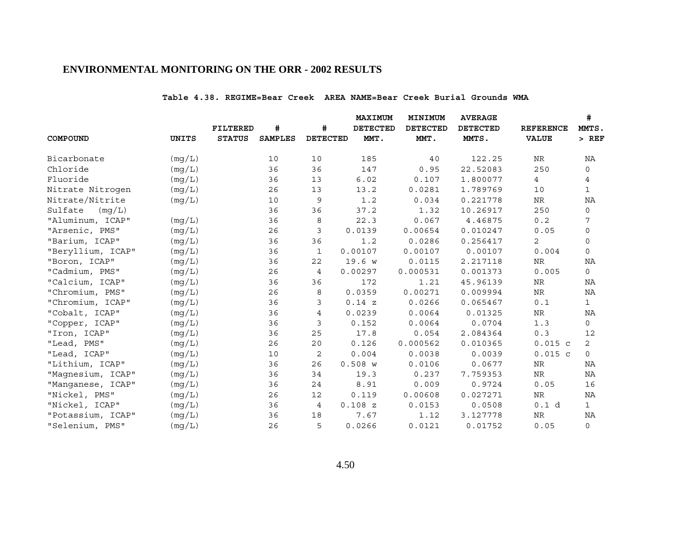#### **Table 4.38. REGIME=Bear Creek AREA NAME=Bear Creek Burial Grounds WMA**

|                   |              |               |                |                 | MAXIMUM         | MINIMUM         | <b>AVERAGE</b>  |                  | #              |
|-------------------|--------------|---------------|----------------|-----------------|-----------------|-----------------|-----------------|------------------|----------------|
|                   |              | FILTERED      | #              | #               | <b>DETECTED</b> | <b>DETECTED</b> | <b>DETECTED</b> | <b>REFERENCE</b> | MMTS.          |
| COMPOUND          | <b>UNITS</b> | <b>STATUS</b> | <b>SAMPLES</b> | <b>DETECTED</b> | MMT.            | MMT.            | MMTS.           | <b>VALUE</b>     | $>$ REF        |
| Bicarbonate       | (mg/L)       |               | 10             | 10              | 185             | 40              | 122.25          | <b>NR</b>        | NA             |
| Chloride          | (mg/L)       |               | 36             | 36              | 147             | 0.95            | 22.52083        | 250              | $\Omega$       |
| Fluoride          | (mq/L)       |               | 36             | 13              | 6.02            | 0.107           | 1.800077        | $\overline{4}$   | 4              |
| Nitrate Nitrogen  | (mg/L)       |               | 26             | 13              | 13.2            | 0.0281          | 1.789769        | 10               | $\mathbf{1}$   |
| Nitrate/Nitrite   | (mg/L)       |               | 10             | 9               | 1.2             | 0.034           | 0.221778        | NR               | NA             |
| Sulfate<br>(mq/L) |              |               | 36             | 36              | 37.2            | 1.32            | 10.26917        | 250              | 0              |
| "Aluminum, ICAP"  | (mq/L)       |               | 36             | 8               | 22.3            | 0.067           | 4.46875         | 0.2              | 7              |
| "Arsenic, PMS"    | (mg/L)       |               | 26             | 3               | 0.0139          | 0.00654         | 0.010247        | 0.05             | 0              |
| "Barium, ICAP"    | (mq/L)       |               | 36             | 36              | 1.2             | 0.0286          | 0.256417        | $\overline{2}$   | $\Omega$       |
| "Beryllium, ICAP" | (mg/L)       |               | 36             | $\mathbf{1}$    | 0.00107         | 0.00107         | 0.00107         | 0.004            | $\Omega$       |
| "Boron, ICAP"     | (mg/L)       |               | 36             | 22              | 19.6 w          | 0.0115          | 2.217118        | NR               | ΝA             |
| "Cadmium, PMS"    | (mq/L)       |               | 26             | $\overline{4}$  | 0.00297         | 0.000531        | 0.001373        | 0.005            | $\mathbf 0$    |
| "Calcium, ICAP"   | (mg/L)       |               | 36             | 36              | 172             | 1.21            | 45.96139        | <b>NR</b>        | ΝA             |
| "Chromium, PMS"   | (mq/L)       |               | 26             | 8               | 0.0359          | 0.00271         | 0.009994        | $\rm NR$         | NA             |
| "Chromium, ICAP"  | (mg/L)       |               | 36             | 3               | 0.14 z          | 0.0266          | 0.065467        | 0.1              | $\mathbf{1}$   |
| "Cobalt, ICAP"    | (mg/L)       |               | 36             | 4               | 0.0239          | 0.0064          | 0.01325         | NR               | NA             |
| "Copper, ICAP"    | (mg/L)       |               | 36             | 3               | 0.152           | 0.0064          | 0.0704          | 1.3              | 0              |
| "Iron, ICAP"      | (mg/L)       |               | 36             | 25              | 17.8            | 0.054           | 2.084364        | 0.3              | 12             |
| "Lead, PMS"       | (mg/L)       |               | 26             | 20              | 0.126           | 0.000562        | 0.010365        | $0.015$ c        | $\overline{2}$ |
| "Lead, ICAP"      | (mg/L)       |               | 10             | 2               | 0.004           | 0.0038          | 0.0039          | $0.015$ c        | $\Omega$       |
| "Lithium, ICAP"   | (mg/L)       |               | 36             | 26              | $0.508$ W       | 0.0106          | 0.0677          | NR               | NA             |
| "Magnesium, ICAP" | (mq/L)       |               | 36             | 34              | 19.3            | 0.237           | 7.759353        | $\rm NR$         | NA             |
| "Manganese, ICAP" | (mg/L)       |               | 36             | 24              | 8.91            | 0.009           | 0.9724          | 0.05             | 16             |
| "Nickel, PMS"     | (mg/L)       |               | 26             | 12              | 0.119           | 0.00608         | 0.027271        | NR               | NA             |
| "Nickel, ICAP"    | (mg/L)       |               | 36             | 4               | 0.108Z          | 0.0153          | 0.0508          | 0.1 d            | $\mathbf{1}$   |
| "Potassium, ICAP" | (mq/L)       |               | 36             | 18              | 7.67            | 1.12            | 3.127778        | <b>NR</b>        | NA             |
| "Selenium, PMS"   | (mg/L)       |               | 26             | 5               | 0.0266          | 0.0121          | 0.01752         | 0.05             | $\Omega$       |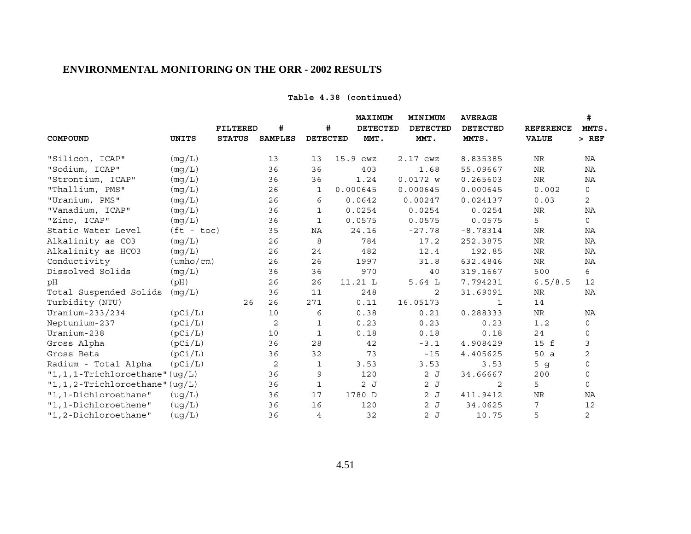## **Table 4.38 (continued)**

|                                      |                           |                 |                |                 | <b>MAXIMUM</b>  | MINIMUM         | <b>AVERAGE</b>  |                  | #              |
|--------------------------------------|---------------------------|-----------------|----------------|-----------------|-----------------|-----------------|-----------------|------------------|----------------|
|                                      |                           | <b>FILTERED</b> | #              | #               | <b>DETECTED</b> | <b>DETECTED</b> | <b>DETECTED</b> | <b>REFERENCE</b> | MMTS.          |
| COMPOUND                             | UNITS                     | <b>STATUS</b>   | <b>SAMPLES</b> | <b>DETECTED</b> | MMT.            | MMT.            | MMTS.           | <b>VALUE</b>     | $>$ REF        |
| "Silicon, ICAP"                      | (mg/L)                    |                 | 13             | 13              | 15.9 ewz        | 2.17 ewz        | 8.835385        | NR               | ΝA             |
| "Sodium, ICAP"                       | (mq/L)                    |                 | 36             | 36              | 403             | 1.68            | 55.09667        | $\rm{NR}$        | NA             |
| "Strontium, ICAP"                    | (mq/L)                    |                 | 36             | 36              | 1.24            | 0.0172 w        | 0.265603        | <b>NR</b>        | NA             |
| "Thallium, PMS"                      | (mg/L)                    |                 | 26             | 1               | 0.000645        | 0.000645        | 0.000645        | 0.002            | 0              |
| "Uranium, PMS"                       | (mg/L)                    |                 | 26             | 6               | 0.0642          | 0.00247         | 0.024137        | 0.03             | $\overline{2}$ |
| "Vanadium, ICAP"                     | (mq/L)                    |                 | 36             | $\mathbf 1$     | 0.0254          | 0.0254          | 0.0254          | <b>NR</b>        | NA             |
| "Zinc, ICAP"                         | (mq/L)                    |                 | 36             | 1               | 0.0575          | 0.0575          | 0.0575          | 5                | $\mathbf 0$    |
| Static Water Level                   | $(ft - toc)$              |                 | 35             | ΝA              | 24.16           | $-27.78$        | $-8.78314$      | <b>NR</b>        | ΝA             |
| Alkalinity as CO3                    | (mq/L)                    |                 | 26             | 8               | 784             | 17.2            | 252.3875        | NR               | NA             |
| Alkalinity as HCO3                   | (mg/L)                    |                 | 26             | 24              | 482             | 12.4            | 192.85          | <b>NR</b>        | NA             |
| Conductivity                         | $(\text{umbo}/\text{cm})$ |                 | 26             | 26              | 1997            | 31.8            | 632.4846        | NR               | NA             |
| Dissolved Solids                     | (mg/L)                    |                 | 36             | 36              | 970             | 40              | 319.1667        | 500              | 6              |
| pH                                   | (pH)                      |                 | 26             | 26              | 11.21 L         | 5.64L           | 7.794231        | 6.5/8.5          | 12             |
| Total Suspended Solids               | (mq/L)                    |                 | 36             | 11              | 248             | 2               | 31.69091        | NR               | ΝA             |
| Turbidity (NTU)                      |                           | 26              | 26             | 271             | 0.11            | 16.05173        | 1               | 14               |                |
| Uranium-233/234                      | (pCi/L)                   |                 | 10             | 6               | 0.38            | 0.21            | 0.288333        | ${\hbox{NR}}$    | NA             |
| Neptunium-237                        | (pCi/L)                   |                 | $\mathbf{2}$   | 1               | 0.23            | 0.23            | 0.23            | 1.2              | $\mathbf 0$    |
| Uranium-238                          | (pCi/L)                   |                 | 10             | $\mathbf{1}$    | 0.18            | 0.18            | 0.18            | 24               | 0              |
| Gross Alpha                          | (pCi/L)                   |                 | 36             | 28              | 42              | $-3.1$          | 4.908429        | 15 f             | 3              |
| Gross Beta                           | (pCi/L)                   |                 | 36             | 32              | 73              | $-15$           | 4.405625        | 50 a             | 2              |
| Radium - Total Alpha                 | (pCi/L)                   |                 | 2              | 1               | 3.53            | 3.53            | 3.53            | 5g               | 0              |
| " $1, 1, 1$ -Trichloroethane" (uq/L) |                           |                 | 36             | 9               | 120             | 2J              | 34.66667        | 200              | 0              |
| " $1, 1, 2$ -Trichloroethane" (uq/L) |                           |                 | 36             | $\mathbf{1}$    | 2J              | 2J              | 2               | 5                | $\mathsf{O}$   |
| "1,1-Dichloroethane"                 | (ug/L)                    |                 | 36             | 17              | 1780 D          | 2J              | 411.9412        | <b>NR</b>        | NA             |
| "1,1-Dichloroethene"                 | ( uq/L)                   |                 | 36             | 16              | 120             | 2J              | 34.0625         | 7                | 12             |
| "1,2-Dichloroethane"                 | (ug/L)                    |                 | 36             | 4               | 32              | 2J              | 10.75           | 5                | $\overline{2}$ |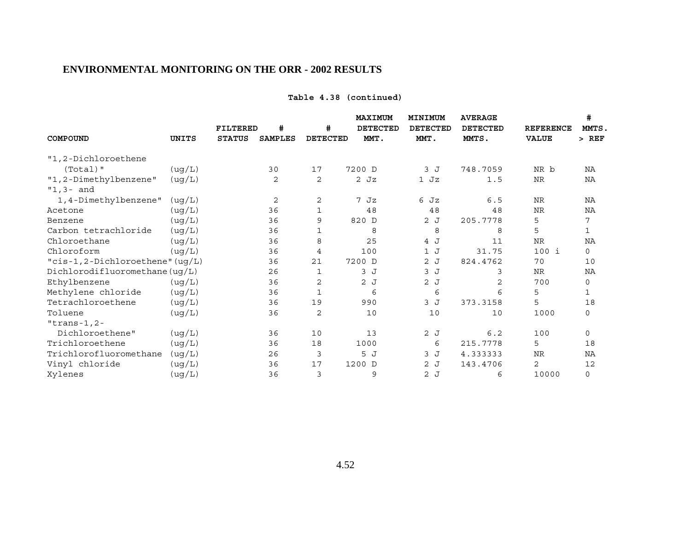## **Table 4.38 (continued)**

| COMPOUND                             | UNITS  | <b>FILTERED</b><br><b>STATUS</b> | #<br><b>SAMPLES</b> | #<br><b>DETECTED</b> | <b>MAXIMUM</b><br><b>DETECTED</b><br>MMT. | MINIMUM<br><b>DETECTED</b><br>MMT. | <b>AVERAGE</b><br><b>DETECTED</b><br>MMTS. | <b>REFERENCE</b><br><b>VALUE</b> | #<br>MMTS.<br>$>$ REF |
|--------------------------------------|--------|----------------------------------|---------------------|----------------------|-------------------------------------------|------------------------------------|--------------------------------------------|----------------------------------|-----------------------|
| "1,2-Dichloroethene                  |        |                                  |                     |                      |                                           |                                    |                                            |                                  |                       |
| $(Total)$ "                          | (ug/L) |                                  | 30                  | 17                   | 7200 D                                    | 3 J                                | 748.7059                                   | NR b                             | NA                    |
| "1,2-Dimethylbenzene"<br>$"1,3-$ and | (ug/L) |                                  | 2                   | 2                    | $2$ Jz                                    | $1$ Jz                             | 1.5                                        | <b>NR</b>                        | NA                    |
| 1,4-Dimethylbenzene"                 | (ug/L) |                                  | 2                   | 2                    | 7 Jz                                      | 6 Jz                               | 6.5                                        | <b>NR</b>                        | NA                    |
| Acetone                              | (ug/L) |                                  | 36                  | 1                    | 48                                        | 48                                 | 48                                         | <b>NR</b>                        | ΝA                    |
| Benzene                              | (ug/L) |                                  | 36                  | 9                    | 820 D                                     | 2 J                                | 205.7778                                   | 5                                | 7                     |
| Carbon tetrachloride                 | (ug/L) |                                  | 36                  | $\mathbf 1$          | 8                                         | 8                                  | 8                                          | 5                                | 1                     |
| Chloroethane                         | (ug/L) |                                  | 36                  | 8                    | 25                                        | 4 J                                | 11                                         | <b>NR</b>                        | NA                    |
| Chloroform                           | (ug/L) |                                  | 36                  | 4                    | 100                                       | 1J                                 | 31.75                                      | 100 i                            | $\mathbf 0$           |
| "cis-1,2-Dichloroethene" (ug/L)      |        |                                  | 36                  | 21                   | 7200 D                                    | 2J                                 | 824.4762                                   | 70                               | 10                    |
| Dichlorodifluoromethane( uq/L)       |        |                                  | 26                  | 1                    | 3J                                        | 3J                                 | 3                                          | NR                               | NA                    |
| Ethylbenzene                         | (ug/L) |                                  | 36                  | 2                    | 2J                                        | 2J                                 | 2                                          | 700                              | 0                     |
| Methylene chloride                   | (ug/L) |                                  | 36                  | $\mathbf{1}$         | 6                                         | 6                                  | 6                                          | 5                                | $\mathbf{1}$          |
| Tetrachloroethene                    | (ug/L) |                                  | 36                  | 19                   | 990                                       | 3 J                                | 373.3158                                   | 5                                | 18                    |
| Toluene                              | (ug/L) |                                  | 36                  | 2                    | 10                                        | 10                                 | 10                                         | 1000                             | $\mathbf 0$           |
| $"trans-1,2-$                        |        |                                  |                     |                      |                                           |                                    |                                            |                                  |                       |
| Dichloroethene"                      | (ug/L) |                                  | 36                  | 10                   | 13                                        | 2J                                 | 6.2                                        | 100                              | $\mathbf 0$           |
| Trichloroethene                      | (ug/L) |                                  | 36                  | 18                   | 1000                                      | 6                                  | 215.7778                                   | 5                                | 18                    |
| Trichlorofluoromethane               | (ug/L) |                                  | 26                  | 3                    | 5 J                                       | 3J                                 | 4.333333                                   | <b>NR</b>                        | NA                    |
| Vinyl chloride                       | (ug/L) |                                  | 36                  | 17                   | 1200 D                                    | 2J                                 | 143.4706                                   | 2                                | 12                    |
| Xylenes                              | (ug/L) |                                  | 36                  | 3                    | 9                                         | 2J                                 | 6                                          | 10000                            | $\mathbf 0$           |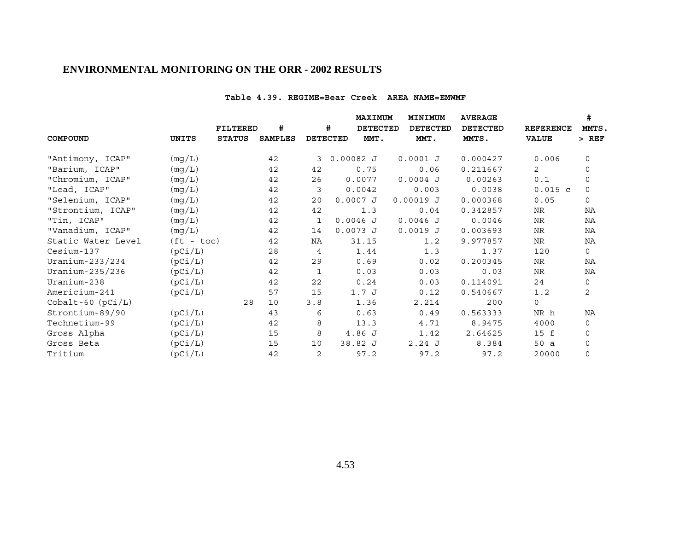#### **Table 4.39. REGIME=Bear Creek AREA NAME=EMWMF**

|                       |              | FILTERED      | #              |              | MAXIMUM<br>#<br><b>DETECTED</b> |        | MINIMUM<br><b>DETECTED</b> | <b>AVERAGE</b><br><b>DETECTED</b> | <b>REFERENCE</b> | #<br>MMTS.   |
|-----------------------|--------------|---------------|----------------|--------------|---------------------------------|--------|----------------------------|-----------------------------------|------------------|--------------|
| COMPOUND              | UNITS        | <b>STATUS</b> | <b>SAMPLES</b> |              | <b>DETECTED</b>                 | MMT.   | MMT.                       | MMTS.                             | <b>VALUE</b>     | $>$ REF      |
| "Antimony, ICAP"      | (mg/L)       |               | 42             | 3            | $0.00082$ J                     |        | $0.0001$ J                 | 0.000427                          | 0.006            | $\mathbf 0$  |
| "Barium, ICAP"        | (mg/L)       |               | 42             | 42           |                                 | 0.75   | 0.06                       | 0.211667                          | $\overline{2}$   | $\mathbf 0$  |
| "Chromium, ICAP"      | (mg/L)       |               | 42             | 26           |                                 | 0.0077 | $0.0004$ J                 | 0.00263                           | 0.1              | $\mathbf 0$  |
| "Lead, ICAP"          | (mg/L)       |               | 42             | 3            |                                 | 0.0042 | 0.003                      | 0.0038                            | $0.015$ c        | $\mathbf 0$  |
| "Selenium, ICAP"      | (mg/L)       |               | 42             | 20           | $0.0007$ J                      |        | $0.00019$ J                | 0.000368                          | 0.05             | $\mathbf 0$  |
| "Strontium, ICAP"     | (mg/L)       |               | 42             | 42           |                                 | 1.3    | 0.04                       | 0.342857                          | NR               | ΝA           |
| "Tin, ICAP"           | (mg/L)       |               | 42             | 1            | $0.0046$ J                      |        | $0.0046$ J                 | 0.0046                            | NR               | ΝA           |
| "Vanadium, ICAP"      | (mg/L)       |               | 42             | 14           | $0.0073$ J                      |        | $0.0019$ J                 | 0.003693                          | NR               | NA           |
| Static Water Level    | $(ft - toc)$ |               | 42             | ΝA           |                                 | 31.15  | 1.2                        | 9.977857                          | NR               | NA           |
| Cesium-137            | (pCi/L)      |               | 28             | 4            |                                 | 1.44   | 1.3                        | 1.37                              | 120              | $\mathbf 0$  |
| Uranium-233/234       | (pCi/L)      |               | 42             | 29           |                                 | 0.69   | 0.02                       | 0.200345                          | NR.              | NA           |
| Uranium-235/236       | (pCi/L)      |               | 42             | $\mathbf{1}$ |                                 | 0.03   | 0.03                       | 0.03                              | NR               | NA           |
| Uranium-238           | (pCi/L)      |               | 42             | 22           |                                 | 0.24   | 0.03                       | 0.114091                          | 24               | $\mathbf 0$  |
| Americium-241         | (pCi/L)      |               | 57             | 15           |                                 | 1.7J   | 0.12                       | 0.540667                          | 1.2              | 2            |
| $Cobalt-60$ $(pCi/L)$ |              | 28            | 10             | 3.8          |                                 | 1.36   | 2.214                      | 200                               | $\mathbf 0$      |              |
| Strontium-89/90       | (pCi/L)      |               | 43             | 6            |                                 | 0.63   | 0.49                       | 0.563333                          | NR h             | ΝA           |
| Technetium-99         | (pCi/L)      |               | 42             | 8            |                                 | 13.3   | 4.71                       | 8.9475                            | 4000             | 0            |
| Gross Alpha           | (pCi/L)      |               | 15             | 8            | 4.86 J                          |        | 1.42                       | 2.64625                           | 15 f             | $\mathbf 0$  |
| Gross Beta            | (pCi/L)      |               | 15             | 10           | 38.82 J                         |        | 2.24J                      | 8.384                             | 50 a             | $\mathsf{O}$ |
| Tritium               | (pCi/L)      |               | 42             | $\mathbf{2}$ |                                 | 97.2   | 97.2                       | 97.2                              | 20000            | $\mathsf{O}$ |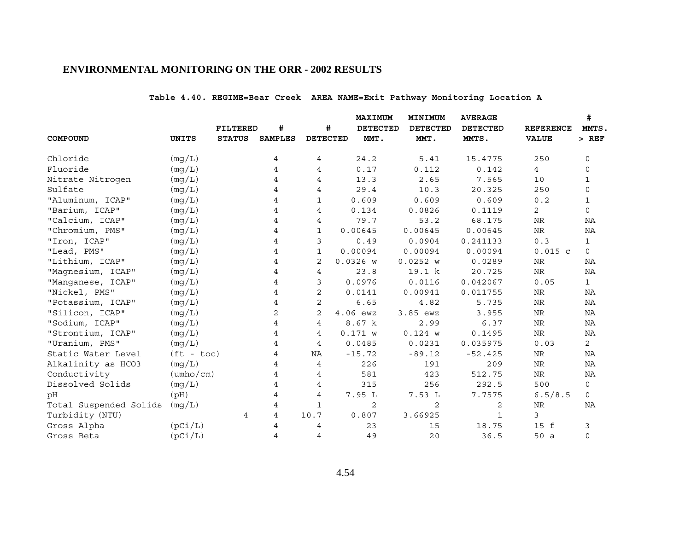# **Table 4.40. REGIME=Bear Creek AREA NAME=Exit Pathway Monitoring Location A**

|                        |                           |                 |                |                 | MAXIMUM         | MINIMUM         | <b>AVERAGE</b>  |                  | #              |
|------------------------|---------------------------|-----------------|----------------|-----------------|-----------------|-----------------|-----------------|------------------|----------------|
|                        |                           | <b>FILTERED</b> | #              | #               | <b>DETECTED</b> | <b>DETECTED</b> | <b>DETECTED</b> | <b>REFERENCE</b> | MMTS.          |
| COMPOUND               | <b>UNITS</b>              | <b>STATUS</b>   | <b>SAMPLES</b> | <b>DETECTED</b> | MMT.            | MMT.            | MMTS.           | <b>VALUE</b>     | $>$ REF        |
| Chloride               | (mg/L)                    |                 | 4              | 4               | 24.2            | 5.41            | 15.4775         | 250              | 0              |
| Fluoride               | (mg/L)                    |                 | 4              | 4               | 0.17            | 0.112           | 0.142           | $\overline{4}$   | $\mathbf 0$    |
| Nitrate Nitrogen       | (mg/L)                    |                 | 4              | 4               | 13.3            | 2.65            | 7.565           | 10               | 1              |
| Sulfate                | (mg/L)                    |                 | 4              | 4               | 29.4            | 10.3            | 20.325          | 250              | $\mathbf 0$    |
| "Aluminum, ICAP"       | (mg/L)                    |                 | 4              | $\mathbf{1}$    | 0.609           | 0.609           | 0.609           | 0.2              | $\mathbf{1}$   |
| "Barium, ICAP"         | (mq/L)                    |                 | 4              | 4               | 0.134           | 0.0826          | 0.1119          | 2                | $\mathbf 0$    |
| "Calcium, ICAP"        | (mg/L)                    |                 | 4              | 4               | 79.7            | 53.2            | 68.175          | ${\hbox{NR}}$    | NA             |
| "Chromium, PMS"        | (mg/L)                    |                 | 4              | $\mathbf{1}$    | 0.00645         | 0.00645         | 0.00645         | ${\hbox{NR}}$    | NA             |
| "Iron, ICAP"           | (mq/L)                    |                 | 4              | 3               | 0.49            | 0.0904          | 0.241133        | 0.3              | $\mathbf{1}$   |
| "Lead, PMS"            | (mg/L)                    |                 | 4              | 1               | 0.00094         | 0.00094         | 0.00094         | $0.015$ c        | 0              |
| "Lithium, ICAP"        | (mg/L)                    |                 | 4              | 2               | $0.0326$ W      | 0.0252 w        | 0.0289          | NR               | ΝA             |
| "Magnesium, ICAP"      | (mg/L)                    |                 | 4              | 4               | 23.8            | 19.1 k          | 20.725          | ${\hbox{NR}}$    | ΝA             |
| "Manganese, ICAP"      | (mg/L)                    |                 | 4              | 3               | 0.0976          | 0.0116          | 0.042067        | 0.05             | $\mathbf{1}$   |
| "Nickel, PMS"          | (mg/L)                    |                 | 4              | 2               | 0.0141          | 0.00941         | 0.011755        | ${\hbox{NR}}$    | ΝA             |
| "Potassium, ICAP"      | (mg/L)                    |                 | 4              | $\overline{2}$  | 6.65            | 4.82            | 5.735           | <b>NR</b>        | NA             |
| "Silicon, ICAP"        | (mg/L)                    |                 | 2              | $\mathbf{2}$    | 4.06 ewz        | 3.85 ewz        | 3.955           | ${\hbox{NR}}$    | ΝA             |
| "Sodium, ICAP"         | (mq/L)                    |                 | 4              | 4               | 8.67 k          | 2.99            | 6.37            | NR               | NA             |
| "Strontium, ICAP"      | (mq/L)                    |                 | 4              | 4               | 0.171 w         | 0.124 w         | 0.1495          | ${\hbox{NR}}$    | NA             |
| "Uranium, PMS"         | (mg/L)                    |                 | 4              | 4               | 0.0485          | 0.0231          | 0.035975        | 0.03             | $\overline{2}$ |
| Static Water Level     | $(ft - toc)$              |                 | 4              | ΝA              | $-15.72$        | $-89.12$        | $-52.425$       | NR               | ΝA             |
| Alkalinity as HCO3     | (mg/L)                    |                 | 4              | $\overline{4}$  | 226             | 191             | 209             | NR               | NA             |
| Conductivity           | $(\text{umbo}/\text{cm})$ |                 | 4              | 4               | 581             | 423             | 512.75          | ${\rm NR}$       | NA             |
| Dissolved Solids       | (mg/L)                    |                 | 4              | 4               | 315             | 256             | 292.5           | 500              | 0              |
| pH                     | (pH)                      |                 | 4              | 4               | 7.95 L          | 7.53L           | 7.7575          | 6.5/8.5          | 0              |
| Total Suspended Solids | (mg/L)                    |                 | 4              | $\mathbf{1}$    | 2               | $\overline{2}$  | 2               | NR               | NA             |
| Turbidity (NTU)        |                           | 4               | 4              | 10.7            | 0.807           | 3.66925         | $\mathbf{1}$    | 3                |                |
| Gross Alpha            | (pCi/L)                   |                 | 4              | 4               | 23              | 15              | 18.75           | 15 f             | 3              |
| Gross Beta             | (pCi/L)                   |                 | 4              | $\overline{4}$  | 49              | 20              | 36.5            | 50a              | $\mathbf 0$    |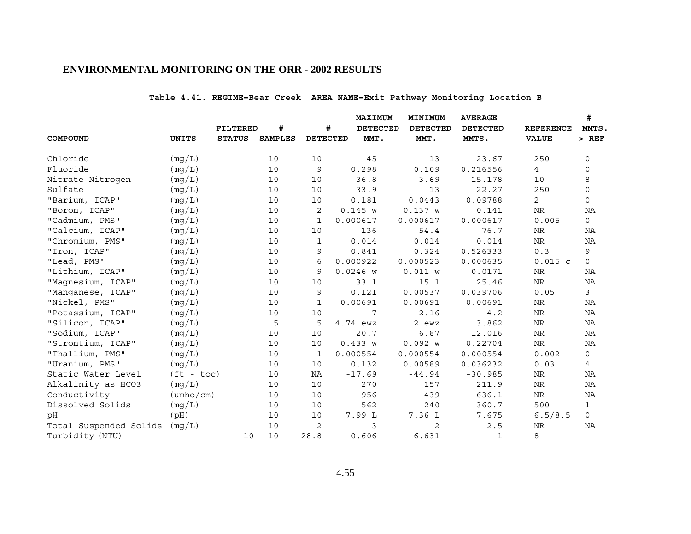# **Table 4.41. REGIME=Bear Creek AREA NAME=Exit Pathway Monitoring Location B**

|                        |                           |                 |                |                 | <b>MAXIMUM</b>  | MINIMUM         | <b>AVERAGE</b>  |                  | #              |
|------------------------|---------------------------|-----------------|----------------|-----------------|-----------------|-----------------|-----------------|------------------|----------------|
|                        |                           | <b>FILTERED</b> | #              | #               | <b>DETECTED</b> | <b>DETECTED</b> | <b>DETECTED</b> | <b>REFERENCE</b> | MMTS.          |
| COMPOUND               | UNITS                     | <b>STATUS</b>   | <b>SAMPLES</b> | <b>DETECTED</b> | MMT.            | MMT.            | MMTS.           | <b>VALUE</b>     | $>$ REF        |
| Chloride               | (mg/L)                    |                 | 10             | 10              | 45              | 13              | 23.67           | 250              | 0              |
| Fluoride               | (mg/L)                    |                 | 10             | 9               | 0.298           | 0.109           | 0.216556        | $4\overline{ }$  | 0              |
| Nitrate Nitrogen       | (mg/L)                    |                 | 10             | 10              | 36.8            | 3.69            | 15.178          | 10               | 8              |
| Sulfate                | (mg/L)                    |                 | 10             | 10              | 33.9            | 13              | 22.27           | 250              | $\mathbf 0$    |
| "Barium, ICAP"         | (mg/L)                    |                 | 10             | 10              | 0.181           | 0.0443          | 0.09788         | $\overline{2}$   | $\mathsf{O}$   |
| "Boron, ICAP"          | (mq/L)                    |                 | 10             | 2               | 0.145 w         | 0.137 w         | 0.141           | NR               | ΝA             |
| "Cadmium, PMS"         | (mg/L)                    |                 | 10             | $\mathbf{1}$    | 0.000617        | 0.000617        | 0.000617        | 0.005            | $\mathbf 0$    |
| "Calcium, ICAP"        | (mg/L)                    |                 | 10             | 10              | 136             | 54.4            | 76.7            | NR               | ΝA             |
| "Chromium, PMS"        | (mg/L)                    |                 | 10             | $\mathbf{1}$    | 0.014           | 0.014           | 0.014           | <b>NR</b>        | NA             |
| "Iron, ICAP"           | (mg/L)                    |                 | 10             | 9               | 0.841           | 0.324           | 0.526333        | 0.3              | 9              |
| "Lead, PMS"            | (mg/L)                    |                 | 10             | 6               | 0.000922        | 0.000523        | 0.000635        | $0.015$ c        | $\mathbf 0$    |
| "Lithium, ICAP"        | (mq/L)                    |                 | 10             | 9               | $0.0246$ W      | 0.011 w         | 0.0171          | NR               | ΝA             |
| "Magnesium, ICAP"      | (mg/L)                    |                 | 10             | 10              | 33.1            | 15.1            | 25.46           | ${\hbox{NR}}$    | NA             |
| "Manganese, ICAP"      | (mg/L)                    |                 | 10             | 9               | 0.121           | 0.00537         | 0.039706        | 0.05             | 3              |
| "Nickel, PMS"          | (mg/L)                    |                 | 10             | 1               | 0.00691         | 0.00691         | 0.00691         | NR               | <b>NA</b>      |
| "Potassium, ICAP"      | (mg/L)                    |                 | 10             | 10              | 7               | 2.16            | 4.2             | ${\hbox{NR}}$    | ΝA             |
| "Silicon, ICAP"        | (mg/L)                    |                 | 5              | 5               | 4.74 ewz        | 2 ewz           | 3.862           | NR               | <b>NA</b>      |
| "Sodium, ICAP"         | (mg/L)                    |                 | 10             | 10              | 20.7            | 6.87            | 12.016          | NR               | ΝA             |
| "Strontium, ICAP"      | (mg/L)                    |                 | 10             | 10              | 0.433 w         | 0.092 w         | 0.22704         | ${\hbox{NR}}$    | ΝA             |
| "Thallium, PMS"        | (mq/L)                    |                 | 10             | 1               | 0.000554        | 0.000554        | 0.000554        | 0.002            | 0              |
| "Uranium, PMS"         | (mg/L)                    |                 | 10             | 10              | 0.132           | 0.00589         | 0.036232        | 0.03             | $\overline{4}$ |
| Static Water Level     | $(ft - toc)$              |                 | 10             | NA              | $-17.69$        | $-44.94$        | $-30.985$       | NR               | ΝA             |
| Alkalinity as HCO3     | (mg/L)                    |                 | 10             | 10              | 270             | 157             | 211.9           | <b>NR</b>        | <b>NA</b>      |
| Conductivity           | $(\text{umbo}/\text{cm})$ |                 | 10             | 10              | 956             | 439             | 636.1           | NR               | ΝA             |
| Dissolved Solids       | (mg/L)                    |                 | 10             | 10              | 562             | 240             | 360.7           | 500              | $\mathbf{1}$   |
| рH                     | (pH)                      |                 | 10             | 10              | 7.99 L          | 7.36 L          | 7.675           | 6.5/8.5          | 0              |
| Total Suspended Solids | (mg/L)                    |                 | 10             | 2               | 3               | 2               | 2.5             | NR               | NA             |
| Turbidity (NTU)        |                           | 10              | 10             | 28.8            | 0.606           | 6.631           | $\mathbf{1}$    | 8                |                |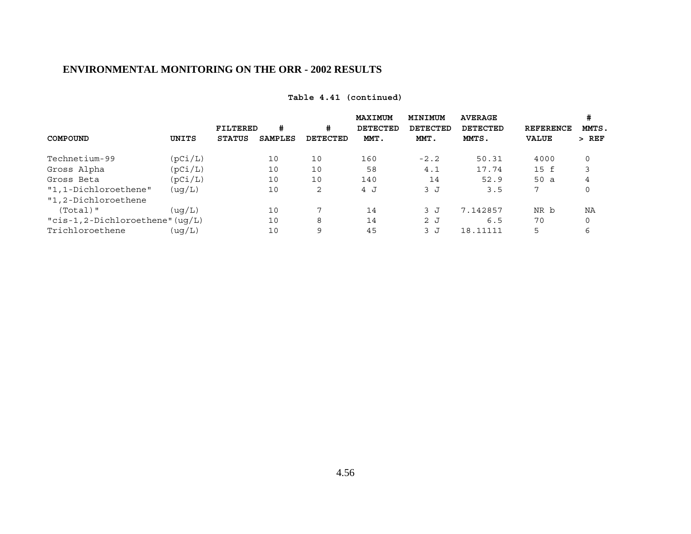|                                     |         | <b>FILTERED</b> | #              | #        | <b>MAXIMUM</b><br><b>DETECTED</b> | MINIMUM<br><b>DETECTED</b> | <b>AVERAGE</b><br><b>DETECTED</b> | <b>REFERENCE</b> | #<br>MMTS, |
|-------------------------------------|---------|-----------------|----------------|----------|-----------------------------------|----------------------------|-----------------------------------|------------------|------------|
| COMPOUND                            | UNITS   | <b>STATUS</b>   | <b>SAMPLES</b> | DETECTED | MMT.                              | MMT.                       | MMTS.                             | <b>VALUE</b>     | $>$ REF    |
| Technetium-99                       | (pCi/L) |                 | 10             | 10       | 160                               | $-2.2$                     | 50.31                             | 4000             | 0          |
| Gross Alpha                         | (pCi/L) |                 | 10             | 10       | 58                                | 4.1                        | 17.74                             | 15 f             |            |
| Gross Beta                          | (pCi/L) |                 | 10             | 10       | 140                               | 14                         | 52.9                              | 50 a             | 4          |
| "1,1-Dichloroethene"                | ( uq/L) |                 | 10             | 2        | 4 J                               | 3 J                        | 3.5                               | 7                | 0          |
| "1,2-Dichloroethene                 |         |                 |                |          |                                   |                            |                                   |                  |            |
| $(Total)$ "                         | ( uq/L) |                 | 10             | 7        | 14                                | 3 J                        | 7.142857                          | NR b             | ΝA         |
| " $cis-1, 2-Dichloroethene" (uq/L)$ |         |                 | 10             | 8        | 14                                | 2J                         | 6.5                               | 70               | 0          |
| Trichloroethene                     | (uq/L)  |                 | 10             | 9        | 45                                | 3 J                        | 18.11111                          | 5                | 6          |

# **Table 4.41 (continued)**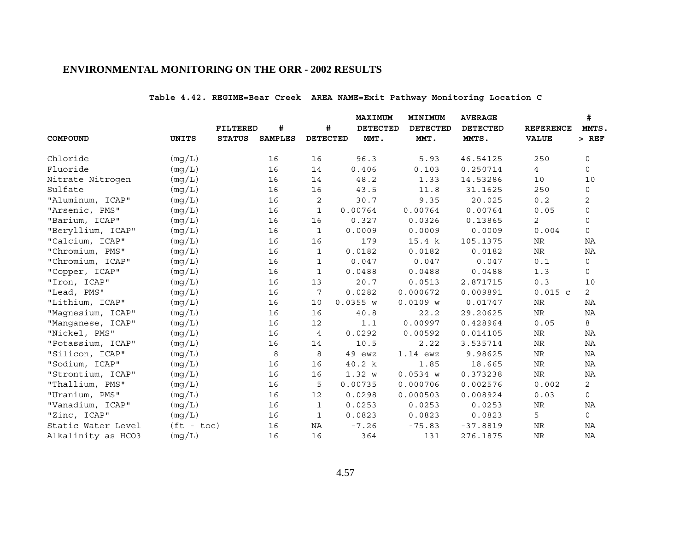# **Table 4.42. REGIME=Bear Creek AREA NAME=Exit Pathway Monitoring Location C**

|                    |              |                 |                |                 | <b>MAXIMUM</b>  | MINIMUM         | <b>AVERAGE</b>  |                  | #              |
|--------------------|--------------|-----------------|----------------|-----------------|-----------------|-----------------|-----------------|------------------|----------------|
|                    |              | <b>FILTERED</b> | #              | #               | <b>DETECTED</b> | <b>DETECTED</b> | <b>DETECTED</b> | <b>REFERENCE</b> | MMTS.          |
| COMPOUND           | UNITS        | <b>STATUS</b>   | <b>SAMPLES</b> | <b>DETECTED</b> | MMT.            | MMT.            | MMTS.           | <b>VALUE</b>     | $>$ REF        |
| Chloride           | (mg/L)       |                 | 16             | 16              | 96.3            | 5.93            | 46.54125        | 250              | 0              |
| Fluoride           | (mg/L)       |                 | 16             | 14              | 0.406           | 0.103           | 0.250714        | $4\overline{ }$  | 0              |
| Nitrate Nitrogen   | (mq/L)       |                 | 16             | 14              | 48.2            | 1.33            | 14.53286        | 10               | 10             |
| Sulfate            | (mg/L)       |                 | 16             | 16              | 43.5            | 11.8            | 31.1625         | 250              | 0              |
| "Aluminum, ICAP"   | (mg/L)       |                 | 16             | 2               | 30.7            | 9.35            | 20.025          | 0.2              | 2              |
| "Arsenic, PMS"     | (mq/L)       |                 | 16             | $\mathbf{1}$    | 0.00764         | 0.00764         | 0.00764         | 0.05             | $\mathsf{O}$   |
| "Barium, ICAP"     | (mg/L)       |                 | 16             | 16              | 0.327           | 0.0326          | 0.13865         | $\overline{2}$   | 0              |
| "Beryllium, ICAP"  | (mg/L)       |                 | 16             | $\mathbf 1$     | 0.0009          | 0.0009          | 0.0009          | 0.004            | 0              |
| "Calcium, ICAP"    | (mg/L)       |                 | 16             | 16              | 179             | 15.4 k          | 105.1375        | NR               | ΝA             |
| "Chromium, PMS"    | (mg/L)       |                 | 16             | $\mathbf{1}$    | 0.0182          | 0.0182          | 0.0182          | NR               | NA             |
| "Chromium, ICAP"   | (mg/L)       |                 | 16             | $\mathbf 1$     | 0.047           | 0.047           | 0.047           | 0.1              | 0              |
| "Copper, ICAP"     | (mq/L)       |                 | 16             | 1               | 0.0488          | 0.0488          | 0.0488          | 1.3              | 0              |
| "Iron, ICAP"       | (mg/L)       |                 | 16             | 13              | 20.7            | 0.0513          | 2.871715        | 0.3              | 10             |
| "Lead, PMS"        | (mg/L)       |                 | 16             | 7               | 0.0282          | 0.000672        | 0.009891        | $0.015$ c        | $\overline{a}$ |
| "Lithium, ICAP"    | (mq/L)       |                 | 16             | 10              | 0.0355 w        | $0.0109$ W      | 0.01747         | NR               | NA             |
| "Magnesium, ICAP"  | (mg/L)       |                 | 16             | 16              | 40.8            | 22.2            | 29.20625        | $\rm NR$         | ΝA             |
| "Manganese, ICAP"  | (mg/L)       |                 | 16             | 12              | 1.1             | 0.00997         | 0.428964        | 0.05             | 8              |
| "Nickel, PMS"      | (mg/L)       |                 | 16             | 4               | 0.0292          | 0.00592         | 0.014105        | NR               | ΝA             |
| "Potassium, ICAP"  | (mg/L)       |                 | 16             | 14              | 10.5            | 2.22            | 3.535714        | $\rm{NR}$        | ΝA             |
| "Silicon, ICAP"    | (mg/L)       |                 | 8              | 8               | 49 ewz          | 1.14 ewz        | 9.98625         | NR               | ΝA             |
| "Sodium, ICAP"     | (mg/L)       |                 | 16             | 16              | 40.2 k          | 1.85            | 18.665          | NR               | NA             |
| "Strontium, ICAP"  | (mg/L)       |                 | 16             | 16              | 1.32 w          | $0.0534$ W      | 0.373238        | NR               | NA             |
| "Thallium, PMS"    | (mg/L)       |                 | 16             | 5               | 0.00735         | 0.000706        | 0.002576        | 0.002            | $\overline{2}$ |
| "Uranium, PMS"     | (mg/L)       |                 | 16             | 12              | 0.0298          | 0.000503        | 0.008924        | 0.03             | 0              |
| "Vanadium, ICAP"   | (mg/L)       |                 | 16             | $\mathbf{1}$    | 0.0253          | 0.0253          | 0.0253          | $\rm{NR}$        | ΝA             |
| "Zinc, ICAP"       | (mq/L)       |                 | 16             | $\mathbf 1$     | 0.0823          | 0.0823          | 0.0823          | 5                | 0              |
| Static Water Level | $(ft - toc)$ |                 | 16             | NA              | $-7.26$         | $-75.83$        | $-37.8819$      | <b>NR</b>        | NA             |
| Alkalinity as HCO3 | (mg/L)       |                 | 16             | 16              | 364             | 131             | 276.1875        | <b>NR</b>        | NA             |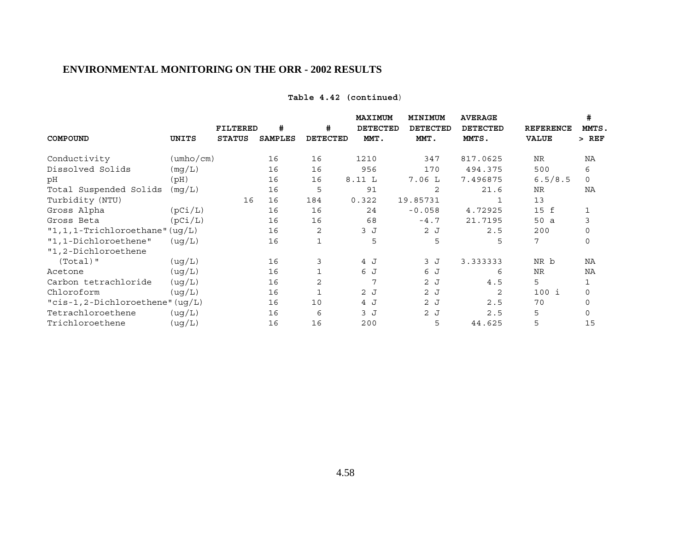| Table 4.42 (continued) |  |
|------------------------|--|
|------------------------|--|

|                                     |                           |                                  |                     |                      | MAXIMUM                 | MINIMUM                 | <b>AVERAGE</b>           |                                  | #                |
|-------------------------------------|---------------------------|----------------------------------|---------------------|----------------------|-------------------------|-------------------------|--------------------------|----------------------------------|------------------|
| COMPOUND                            | UNITS                     | <b>FILTERED</b><br><b>STATUS</b> | #<br><b>SAMPLES</b> | #<br><b>DETECTED</b> | <b>DETECTED</b><br>MMT. | <b>DETECTED</b><br>MMT. | <b>DETECTED</b><br>MMTS. | <b>REFERENCE</b><br><b>VALUE</b> | MMTS.<br>$>$ REF |
|                                     |                           |                                  |                     |                      |                         |                         |                          |                                  |                  |
| Conductivity                        | $(\text{umbo}/\text{cm})$ |                                  | 16                  | 16                   | 1210                    | 347                     | 817.0625                 | <b>NR</b>                        | NA               |
| Dissolved Solids                    | (mq/L)                    |                                  | 16                  | 16                   | 956                     | 170                     | 494.375                  | 500                              | 6                |
| рH                                  | (Hq)                      |                                  | 16                  | 16                   | 8.11 L                  | 7.06L                   | 7.496875                 | 6.5/8.5                          | $\Omega$         |
| Total Suspended Solids              | (mq/L)                    |                                  | 16                  | 5                    | 91                      | 2                       | 21.6                     | NR                               | NA               |
| Turbidity (NTU)                     |                           | 16                               | 16                  | 184                  | 0.322                   | 19.85731                |                          | 13                               |                  |
| Gross Alpha                         | (pCi/L)                   |                                  | 16                  | 16                   | 24                      | $-0.058$                | 4.72925                  | 15 f                             |                  |
| Gross Beta                          | (pCi/L)                   |                                  | 16                  | 16                   | 68                      | $-4.7$                  | 21.7195                  | 50 a                             | 3                |
| $"1, 1, 1$ -Trichloroethane" (uq/L) |                           |                                  | 16                  | 2                    | 3J                      | 2J                      | 2.5                      | 200                              | $\Omega$         |
| "1,1-Dichloroethene"                | ( uq/L)                   |                                  | 16                  | $\mathbf{1}$         | 5                       | 5                       | 5                        | 7                                | $\Omega$         |
| "1,2-Dichloroethene                 |                           |                                  |                     |                      |                         |                         |                          |                                  |                  |
| $(Total)$ "                         | ( uq/L)                   |                                  | 16                  | 3                    | 4 J                     | 3 J                     | 3.333333                 | NR b                             | <b>NA</b>        |
| Acetone                             | ( uq/L)                   |                                  | 16                  | 1                    | 6 J                     | 6 J                     | 6                        | NR                               | NA               |
| Carbon tetrachloride                | (ug/L)                    |                                  | 16                  | 2                    | 7                       | 2J                      | 4.5                      | 5                                |                  |
| Chloroform                          | ( uq/L)                   |                                  | 16                  |                      | 2J                      | 2J                      | 2                        | $100$ i                          | $\mathbf 0$      |
| "cis-1,2-Dichloroethene" (uq/L)     |                           |                                  | 16                  | 10                   | 4 J                     | 2J                      | 2.5                      | 70                               | $\mathbf 0$      |
| Tetrachloroethene                   | ( uq/L)                   |                                  | 16                  | 6                    | 3 J                     | 2J                      | 2.5                      | 5                                | $\mathbf 0$      |
| Trichloroethene                     | (ug/L)                    |                                  | 16                  | 16                   | 200                     | 5                       | 44.625                   | 5                                | 15               |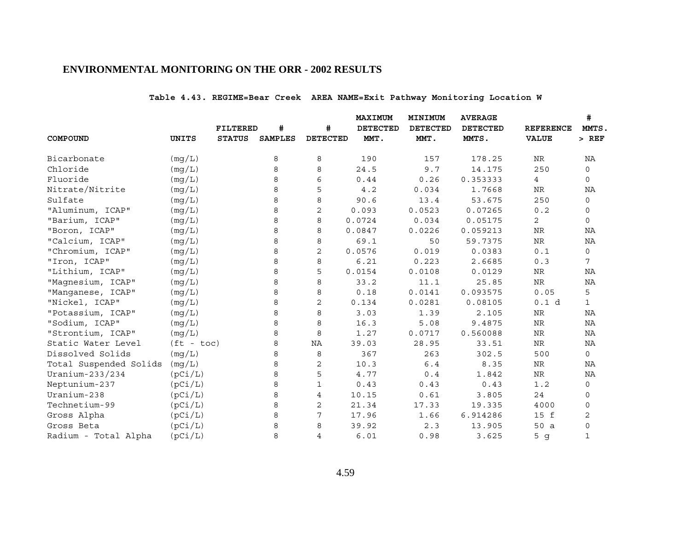# **Table 4.43. REGIME=Bear Creek AREA NAME=Exit Pathway Monitoring Location W**

|                        |              |                 |                |                 | <b>MAXIMUM</b>  | MINIMUM         | <b>AVERAGE</b>  |                   | #            |
|------------------------|--------------|-----------------|----------------|-----------------|-----------------|-----------------|-----------------|-------------------|--------------|
|                        |              | <b>FILTERED</b> | #              | #               | <b>DETECTED</b> | <b>DETECTED</b> | <b>DETECTED</b> | <b>REFERENCE</b>  | MMTS.        |
| COMPOUND               | <b>UNITS</b> | <b>STATUS</b>   | <b>SAMPLES</b> | <b>DETECTED</b> | MMT.            | MMT.            | MMTS.           | <b>VALUE</b>      | $>$ REF      |
| Bicarbonate            | (mg/L)       |                 | 8              | 8               | 190             | 157             | 178.25          | ${\hbox{NR}}$     | ΝA           |
| Chloride               | (mg/L)       |                 | 8              | 8               | 24.5            | 9.7             | 14.175          | 250               | $\mathbf 0$  |
| Fluoride               | (mq/L)       |                 | 8              | 6               | 0.44            | 0.26            | 0.353333        | 4                 | $\mathbf 0$  |
| Nitrate/Nitrite        | (mg/L)       |                 | 8              | 5               | 4.2             | 0.034           | 1.7668          | NR                | ΝA           |
| Sulfate                | (mg/L)       |                 | 8              | 8               | 90.6            | 13.4            | 53.675          | 250               | $\mathsf{O}$ |
| "Aluminum, ICAP"       | (mq/L)       |                 | 8              | 2               | 0.093           | 0.0523          | 0.07265         | 0.2               | 0            |
| "Barium, ICAP"         | (mg/L)       |                 | 8              | 8               | 0.0724          | 0.034           | 0.05175         | $\overline{c}$    | $\mathbf 0$  |
| "Boron, ICAP"          | (mg/L)       |                 | 8              | 8               | 0.0847          | 0.0226          | 0.059213        | NR                | NA           |
| "Calcium, ICAP"        | (mg/L)       |                 | 8              | 8               | 69.1            | 50              | 59.7375         | <b>NR</b>         | NA           |
| "Chromium, ICAP"       | (mg/L)       |                 | 8              | 2               | 0.0576          | 0.019           | 0.0383          | 0.1               | $\mathbf 0$  |
| "Iron, ICAP"           | (mg/L)       |                 | 8              | 8               | 6.21            | 0.223           | 2.6685          | 0.3               | 7            |
| "Lithium, ICAP"        | (mq/L)       |                 | 8              | 5               | 0.0154          | 0.0108          | 0.0129          | NR                | NA           |
| "Magnesium, ICAP"      | (mg/L)       |                 | 8              | 8               | 33.2            | 11.1            | 25.85           | ${\hbox{NR}}$     | NA           |
| "Manganese, ICAP"      | (mg/L)       |                 | 8              | 8               | 0.18            | 0.0141          | 0.093575        | 0.05              | 5            |
| "Nickel, ICAP"         | (mg/L)       |                 | 8              | 2               | 0.134           | 0.0281          | 0.08105         | 0.1 d             | $\mathbf{1}$ |
| "Potassium, ICAP"      | (mg/L)       |                 | 8              | 8               | 3.03            | 1.39            | 2.105           | ${\hbox{NR}}$     | ΝA           |
| "Sodium, ICAP"         | (mg/L)       |                 | 8              | 8               | 16.3            | 5.08            | 9.4875          | ${\hbox{NR}}$     | NA           |
| "Strontium, ICAP"      | (mg/L)       |                 | 8              | 8               | 1.27            | 0.0717          | 0.560088        | NR                | NA           |
| Static Water Level     | $(ft - toc)$ |                 | 8              | NA              | 39.03           | 28.95           | 33.51           | ${\hbox{NR}}$     | NA           |
| Dissolved Solids       | (mq/L)       |                 | 8              | 8               | 367             | 263             | 302.5           | 500               | 0            |
| Total Suspended Solids | (mg/L)       |                 | 8              | 2               | 10.3            | 6.4             | 8.35            | <b>NR</b>         | NA           |
| Uranium-233/234        | (pCi/L)      |                 | 8              | 5               | 4.77            | $0.4$           | 1.842           | ${\hbox{NR}}$     | ΝA           |
| Neptunium-237          | (pCi/L)      |                 | 8              | $\mathbf 1$     | 0.43            | 0.43            | 0.43            | 1.2               | 0            |
| Uranium-238            | (pCi/L)      |                 | 8              | 4               | 10.15           | 0.61            | 3.805           | 24                | 0            |
| Technetium-99          | (pCi/L)      |                 | 8              | $\mathbf{2}$    | 21.34           | 17.33           | 19.335          | 4000              | $\mathbf 0$  |
| Gross Alpha            | (pCi/L)      |                 | 8              | 7               | 17.96           | 1.66            | 6.914286        | 15 f              | 2            |
| Gross Beta             | (pCi/L)      |                 | 8              | 8               | 39.92           | 2.3             | 13.905          | 50a               | $\mathbf 0$  |
| Radium - Total Alpha   | (pCi/L)      |                 | 8              | 4               | 6.01            | 0.98            | 3.625           | 5<br>$\mathsf{q}$ | $\mathbf{1}$ |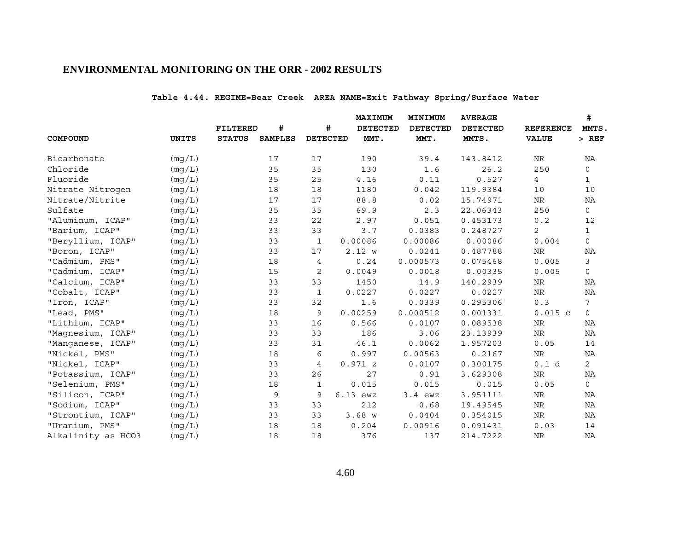# **Table 4.44. REGIME=Bear Creek AREA NAME=Exit Pathway Spring/Surface Water**

|                    |              |                 |                |                 | <b>MAXIMUM</b>  | MINIMUM         | <b>AVERAGE</b>  |                  | #              |
|--------------------|--------------|-----------------|----------------|-----------------|-----------------|-----------------|-----------------|------------------|----------------|
|                    |              | <b>FILTERED</b> | #              | #               | <b>DETECTED</b> | <b>DETECTED</b> | <b>DETECTED</b> | <b>REFERENCE</b> | MMTS.          |
| COMPOUND           | <b>UNITS</b> | <b>STATUS</b>   | <b>SAMPLES</b> | <b>DETECTED</b> | MMT.            | MMT.            | MMTS.           | <b>VALUE</b>     | $>$ REF        |
| Bicarbonate        | (mq/L)       |                 | 17             | 17              | 190             | 39.4            | 143.8412        | NR               | ΝA             |
| Chloride           | (mg/L)       |                 | 35             | 35              | 130             | 1.6             | 26.2            | 250              | 0              |
| Fluoride           | (mq/L)       |                 | 35             | 25              | 4.16            | 0.11            | 0.527           | 4                | $\mathbf{1}$   |
| Nitrate Nitrogen   | (mg/L)       |                 | 18             | 18              | 1180            | 0.042           | 119.9384        | 10               | 10             |
| Nitrate/Nitrite    | (mg/L)       |                 | 17             | 17              | 88.8            | 0.02            | 15.74971        | NR               | ΝA             |
| Sulfate            | (mg/L)       |                 | 35             | 35              | 69.9            | 2.3             | 22.06343        | 250              | 0              |
| "Aluminum, ICAP"   | (mg/L)       |                 | 33             | 22              | 2.97            | 0.051           | 0.453173        | 0.2              | 12             |
| "Barium, ICAP"     | (mg/L)       |                 | 33             | 33              | 3.7             | 0.0383          | 0.248727        | 2                | $\mathbf{1}$   |
| "Beryllium, ICAP"  | (mq/L)       |                 | 33             | $\mathbf{1}$    | 0.00086         | 0.00086         | 0.00086         | 0.004            | 0              |
| "Boron, ICAP"      | (mg/L)       |                 | 33             | 17              | 2.12 w          | 0.0241          | 0.487788        | <b>NR</b>        | NA             |
| "Cadmium, PMS"     | (mg/L)       |                 | 18             | 4               | 0.24            | 0.000573        | 0.075468        | 0.005            | 3              |
| "Cadmium, ICAP"    | (mg/L)       |                 | 15             | $\mathbf{2}$    | 0.0049          | 0.0018          | 0.00335         | 0.005            | 0              |
| "Calcium, ICAP"    | (mg/L)       |                 | 33             | 33              | 1450            | 14.9            | 140.2939        | NR               | ΝA             |
| "Cobalt, ICAP"     | (mg/L)       |                 | 33             | $\mathbf{1}$    | 0.0227          | 0.0227          | 0.0227          | $\rm NR$         | NA             |
| "Iron, ICAP"       | (mg/L)       |                 | 33             | 32              | 1.6             | 0.0339          | 0.295306        | 0.3              | 7              |
| "Lead, PMS"        | (mq/L)       |                 | 18             | 9               | 0.00259         | 0.000512        | 0.001331        | $0.015$ c        | $\mathsf{O}$   |
| "Lithium, ICAP"    | (mg/L)       |                 | 33             | 16              | 0.566           | 0.0107          | 0.089538        | NR               | ΝA             |
| "Magnesium, ICAP"  | (mg/L)       |                 | 33             | 33              | 186             | 3.06            | 23.13939        | NR               | ΝA             |
| "Manganese, ICAP"  | (mq/L)       |                 | 33             | 31              | 46.1            | 0.0062          | 1.957203        | 0.05             | 14             |
| "Nickel, PMS"      | (mg/L)       |                 | 18             | 6               | 0.997           | 0.00563         | 0.2167          | $\rm{NR}$        | ΝA             |
| "Nickel, ICAP"     | (mg/L)       |                 | 33             | 4               | 0.971 z         | 0.0107          | 0.300175        | 0.1 d            | $\overline{2}$ |
| "Potassium, ICAP"  | (mg/L)       |                 | 33             | 26              | 27              | 0.91            | 3.629308        | $\rm NR$         | NA             |
| "Selenium, PMS"    | (mg/L)       |                 | 18             | 1               | 0.015           | 0.015           | 0.015           | 0.05             | 0              |
| "Silicon, ICAP"    | (mg/L)       |                 | 9              | 9               | $6.13$ ewz      | $3.4$ ewz       | 3.951111        | NR               | ΝA             |
| "Sodium, ICAP"     | (mg/L)       |                 | 33             | 33              | 212             | 0.68            | 19.49545        | $\rm NR$         | ΝA             |
| "Strontium, ICAP"  | (mg/L)       |                 | 33             | 33              | 3.68 W          | 0.0404          | 0.354015        | NR               | ΝA             |
| "Uranium, PMS"     | (mq/L)       |                 | 18             | 18              | 0.204           | 0.00916         | 0.091431        | 0.03             | 14             |
| Alkalinity as HCO3 | (mg/L)       |                 | 18             | 18              | 376             | 137             | 214.7222        | <b>NR</b>        | NA             |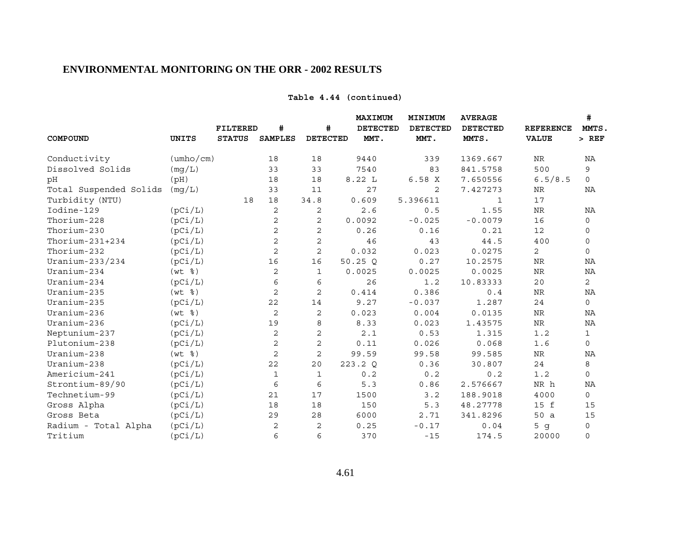# **Table 4.44 (continued)**

|                        |                           | #<br><b>FILTERED</b> |                | #               | MAXIMUM<br><b>DETECTED</b> | MINIMUM<br><b>DETECTED</b> | <b>AVERAGE</b><br><b>DETECTED</b> | <b>REFERENCE</b> | #<br>MMTS.   |
|------------------------|---------------------------|----------------------|----------------|-----------------|----------------------------|----------------------------|-----------------------------------|------------------|--------------|
| COMPOUND               | <b>UNITS</b>              | <b>STATUS</b>        | <b>SAMPLES</b> | <b>DETECTED</b> | MMT.                       | MMT.                       | MMTS.                             | <b>VALUE</b>     | $>$ REF      |
| Conductivity           | $(\text{umbo}/\text{cm})$ |                      | 18             | 18              | 9440                       | 339                        | 1369.667                          | NR               | ΝA           |
| Dissolved Solids       | (mq/L)                    |                      | 33             | 33              | 7540                       | 83                         | 841.5758                          | 500              | 9            |
| pH                     | (pH)                      |                      | 18             | 18              | 8.22 L                     | 6.58X                      | 7.650556                          | 6.5/8.5          | $\Omega$     |
| Total Suspended Solids | (mq/L)                    |                      | 33             | 11              | 27                         | 2                          | 7.427273                          | NR               | NA           |
| Turbidity (NTU)        |                           | 18                   | 18             | 34.8            | 0.609                      | 5.396611                   | 1                                 | 17               |              |
| Iodine-129             | (pCi/L)                   |                      | 2              | 2               | 2.6                        | 0.5                        | 1.55                              | NR               | NA           |
| Thorium-228            | (pCi/L)                   |                      | 2              | 2               | 0.0092                     | $-0.025$                   | $-0.0079$                         | 16               | $\mathbf 0$  |
| Thorium-230            | (pCi/L)                   |                      | $\sqrt{2}$     | $\mathbf 2$     | 0.26                       | 0.16                       | 0.21                              | 12               | $\mathbf 0$  |
| Thorium- $231+234$     | (pCi/L)                   |                      | $\overline{c}$ | $\overline{a}$  | 46                         | 43                         | 44.5                              | 400              | $\mathbf 0$  |
| Thorium-232            | (pCi/L)                   |                      | 2              | $\mathbf{2}$    | 0.032                      | 0.023                      | 0.0275                            | 2                | $\mathsf{O}$ |
| Uranium-233/234        | (pCi/L)                   |                      | 16             | 16              | 50.25Q                     | 0.27                       | 10.2575                           | $\rm NR$         | NA           |
| Uranium-234            | $(wt \; 8)$               |                      | 2              | 1               | 0.0025                     | 0.0025                     | 0.0025                            | $\rm NR$         | NA           |
| Uranium-234            | (pCi/L)                   |                      | 6              | 6               | 26                         | 1.2                        | 10.83333                          | 20               | 2            |
| Uranium-235            | $(wt \$                   |                      | $\overline{c}$ | $\overline{c}$  | 0.414                      | 0.386                      | 0.4                               | NR               | NA           |
| Uranium-235            | (pCi/L)                   |                      | 22             | 14              | 9.27                       | $-0.037$                   | 1.287                             | 24               | $\mathsf{O}$ |
| Uranium-236            | $(wt \; 8)$               |                      | 2              | 2               | 0.023                      | 0.004                      | 0.0135                            | $\rm NR$         | NA           |
| Uranium-236            | (pCi/L)                   |                      | 19             | 8               | 8.33                       | 0.023                      | 1.43575                           | $\rm{NR}$        | NA           |
| Neptunium-237          | (pCi/L)                   |                      | 2              | $\mathbf{2}$    | 2.1                        | 0.53                       | 1.315                             | 1.2              | $\mathbf{1}$ |
| Plutonium-238          | (pCi/L)                   |                      | 2              | $\sqrt{2}$      | 0.11                       | 0.026                      | 0.068                             | 1.6              | $\mathbf 0$  |
| Uranium-238            | $(wt \$                   |                      | $\overline{c}$ | $\overline{c}$  | 99.59                      | 99.58                      | 99.585                            | NR               | NA           |
| Uranium-238            | (pCi/L)                   |                      | 22             | 20              | 223.2 Q                    | 0.36                       | 30.807                            | 24               | 8            |
| Americium-241          | (pCi/L)                   |                      | $\mathbf{1}$   | 1               | 0.2                        | 0.2                        | 0.2                               | 1.2              | $\mathsf{O}$ |
| Strontium-89/90        | (pCi/L)                   |                      | 6              | 6               | 5.3                        | 0.86                       | 2.576667                          | NR h             | NA           |
| Technetium-99          | (pCi/L)                   |                      | 21             | 17              | 1500                       | 3.2                        | 188.9018                          | 4000             | 0            |
| Gross Alpha            | (pCi/L)                   |                      | 18             | 18              | 150                        | 5.3                        | 48.27778                          | 15 f             | 15           |
| Gross Beta             | (pCi/L)                   |                      | 29             | 28              | 6000                       | 2.71                       | 341.8296                          | 50a              | 15           |
| Radium - Total Alpha   | (pCi/L)                   |                      | 2              | 2               | 0.25                       | $-0.17$                    | 0.04                              | 5g               | 0            |
| Tritium                | (pCi/L)                   |                      | 6              | 6               | 370                        | $-15$                      | 174.5                             | 20000            | $\mathbf 0$  |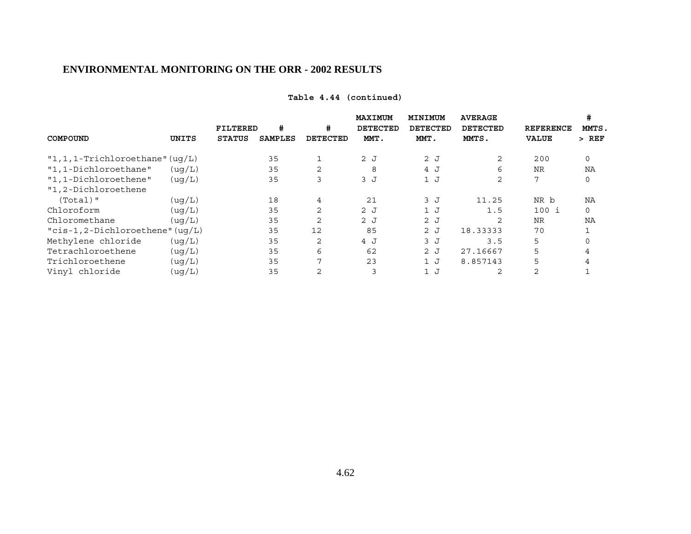## **Table 4.44 (continued)**

|                                     |         |               |                |                | MAXIMUM         | MINIMUM  | <b>AVERAGE</b> |                  | #             |
|-------------------------------------|---------|---------------|----------------|----------------|-----------------|----------|----------------|------------------|---------------|
|                                     |         | FILTERED      | #              | #              | <b>DETECTED</b> | DETECTED | DETECTED       | <b>REFERENCE</b> | MMTS.         |
| COMPOUND                            | UNITS   | <b>STATUS</b> | <b>SAMPLES</b> | DETECTED       | MMT.            | MMT.     | MMTS.          | <b>VALUE</b>     | REF<br>$\geq$ |
| $"1, 1, 1$ -Trichloroethane" (uq/L) |         |               | 35             | 1              | 2J              | 2J       | 2              | 200              | 0             |
| "1,1-Dichloroethane"                | ( uq/L) |               | 35             | 2              | 8               | 4 J      | 6              | <b>NR</b>        | NA            |
| "1,1-Dichloroethene"                | ( uq/L) |               | 35             | 3              | 3J              | 1J       | 2              | 7                | 0             |
| "1,2-Dichloroethene                 |         |               |                |                |                 |          |                |                  |               |
| $(Total)$ "                         | ( uq/L) |               | 18             | $\overline{4}$ | 21              | 3J       | 11.25          | NR b             | ΝA            |
| Chloroform                          | (uq/L)  |               | 35             | 2              | 2J              | 1J       | 1.5            | 100 i            | $\mathbf 0$   |
| Chloromethane                       | (uq/L)  |               | 35             | 2              | 2J              | 2J       | $\overline{c}$ | <b>NR</b>        | NA            |
| " $cis-1, 2-Dichloroethene" (uq/L)$ |         |               | 35             | 12             | 85              | 2J       | 18.33333       | 70               |               |
| Methylene chloride                  | ( uq/L) |               | 35             | 2              | 4 J             | 3J       | 3.5            | 5                |               |
| Tetrachloroethene                   | ( uq/L) |               | 35             | 6              | 62              | 2J       | 27.16667       | 5                |               |
| Trichloroethene                     | ( uq/L) |               | 35             | 7              | 23              | 1J       | 8.857143       | 5                |               |
| Vinyl chloride                      | (ug/L)  |               | 35             | 2              | 3               | 1J       | 2              | 2                |               |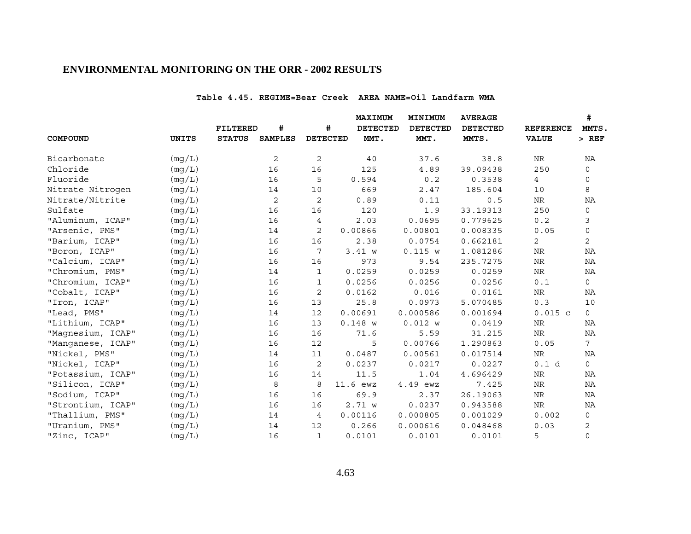#### **Table 4.45. REGIME=Bear Creek AREA NAME=Oil Landfarm WMA**

|                   |              |                 |                |                 | MAXIMUM         | MINIMUM         | <b>AVERAGE</b>  |                  | #<br>MMTS,      |
|-------------------|--------------|-----------------|----------------|-----------------|-----------------|-----------------|-----------------|------------------|-----------------|
|                   |              | <b>FILTERED</b> | $\pmb{\ast}$   | #               | <b>DETECTED</b> | <b>DETECTED</b> | <b>DETECTED</b> | <b>REFERENCE</b> |                 |
| COMPOUND          | <b>UNITS</b> | <b>STATUS</b>   | <b>SAMPLES</b> | <b>DETECTED</b> | MMT.            | MMT.            | MMTS.           | <b>VALUE</b>     | $>$ REF         |
| Bicarbonate       | (mg/L)       |                 | 2              | 2               | 40              | 37.6            | 38.8            | NR               | ΝA              |
| Chloride          | (mg/L)       |                 | 16             | 16              | 125             | 4.89            | 39.09438        | 250              | $\mathsf{O}$    |
| Fluoride          | (mg/L)       |                 | 16             | 5               | 0.594           | 0.2             | 0.3538          | $\overline{4}$   | 0               |
| Nitrate Nitrogen  | (mg/L)       |                 | 14             | 10              | 669             | 2.47            | 185.604         | 10               | 8               |
| Nitrate/Nitrite   | (mg/L)       |                 | $\mathbf{2}$   | 2               | 0.89            | 0.11            | 0.5             | NR               | NA              |
| Sulfate           | (mq/L)       |                 | 16             | 16              | 120             | 1.9             | 33.19313        | 250              | 0               |
| "Aluminum, ICAP"  | (mg/L)       |                 | 16             | 4               | 2.03            | 0.0695          | 0.779625        | 0.2              | 3               |
| "Arsenic, PMS"    | (mg/L)       |                 | 14             | 2               | 0.00866         | 0.00801         | 0.008335        | 0.05             | 0               |
| "Barium, ICAP"    | (mq/L)       |                 | 16             | 16              | 2.38            | 0.0754          | 0.662181        | $\mathbf{2}$     | $\overline{a}$  |
| "Boron, ICAP"     | (mg/L)       |                 | 16             | 7               | 3.41 w          | 0.115 w         | 1.081286        | NR               | ΝA              |
| "Calcium, ICAP"   | (mg/L)       |                 | 16             | 16              | 973             | 9.54            | 235.7275        | <b>NR</b>        | NA              |
| "Chromium, PMS"   | (mg/L)       |                 | 14             | $\mathbf{1}$    | 0.0259          | 0.0259          | 0.0259          | NR               | ΝA              |
| "Chromium, ICAP"  | (mg/L)       |                 | 16             | $\mathbf{1}$    | 0.0256          | 0.0256          | 0.0256          | 0.1              | 0               |
| "Cobalt, ICAP"    | (mg/L)       |                 | 16             | 2               | 0.0162          | 0.016           | 0.0161          | ${\hbox{NR}}$    | ΝA              |
| "Iron, ICAP"      | (mg/L)       |                 | 16             | 13              | 25.8            | 0.0973          | 5.070485        | 0.3              | 10              |
| "Lead, PMS"       | (mg/L)       |                 | 14             | 12              | 0.00691         | 0.000586        | 0.001694        | $0.015$ c        | $\circ$         |
| "Lithium, ICAP"   | (mq/L)       |                 | 16             | 13              | $0.148$ W       | 0.012 w         | 0.0419          | $\rm{NR}$        | ΝA              |
| "Magnesium, ICAP" | (mq/L)       |                 | 16             | 16              | 71.6            | 5.59            | 31.215          | $\rm NR$         | NA              |
| "Manganese, ICAP" | (mg/L)       |                 | 16             | 12              | 5               | 0.00766         | 1.290863        | 0.05             | $7\overline{ }$ |
| "Nickel, PMS"     | (mg/L)       |                 | 14             | 11              | 0.0487          | 0.00561         | 0.017514        | NR               | NA              |
| "Nickel, ICAP"    | (mg/L)       |                 | 16             | 2               | 0.0237          | 0.0217          | 0.0227          | 0.1 d            | $\mathsf{O}$    |
| "Potassium, ICAP" | (mq/L)       |                 | 16             | 14              | 11.5            | 1.04            | 4.696429        | $\rm NR$         | NA              |
| "Silicon, ICAP"   | (mq/L)       |                 | 8              | 8               | 11.6 ewz        | 4.49 ewz        | 7.425           | <b>NR</b>        | NA              |
| "Sodium, ICAP"    | (mg/L)       |                 | 16             | 16              | 69.9            | 2.37            | 26.19063        | NR               | ΝA              |
| "Strontium, ICAP" | (mg/L)       |                 | 16             | 16              | 2.71 w          | 0.0237          | 0.943588        | <b>NR</b>        | NA              |
| "Thallium, PMS"   | (mg/L)       |                 | 14             | 4               | 0.00116         | 0.000805        | 0.001029        | 0.002            | 0               |
| "Uranium, PMS"    | (mg/L)       |                 | 14             | 12              | 0.266           | 0.000616        | 0.048468        | 0.03             | 2               |
| "Zinc, ICAP"      | (mq/L)       |                 | 16             | $\mathbf{1}$    | 0.0101          | 0.0101          | 0.0101          | 5                | $\mathsf{O}$    |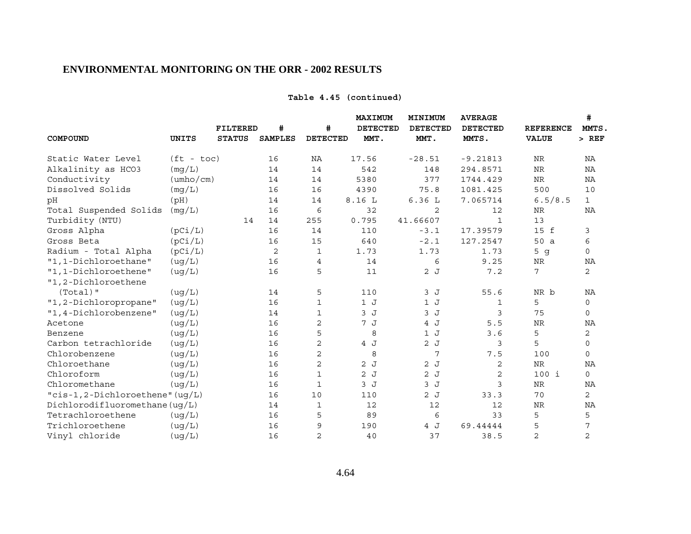## **Table 4.45 (continued)**

|                                 |                           |                 |                |                 | MAXIMUM         | MINIMUM         | <b>AVERAGE</b>  |                  | #              |
|---------------------------------|---------------------------|-----------------|----------------|-----------------|-----------------|-----------------|-----------------|------------------|----------------|
|                                 |                           | <b>FILTERED</b> | #              | #               | <b>DETECTED</b> | <b>DETECTED</b> | <b>DETECTED</b> | <b>REFERENCE</b> | MMTS.          |
| COMPOUND                        | <b>UNITS</b>              | <b>STATUS</b>   | <b>SAMPLES</b> | <b>DETECTED</b> | MMT.            | MMT.            | MMTS.           | <b>VALUE</b>     | $>$ REF        |
| Static Water Level              | $(ft - toc)$              |                 | 16             | NA              | 17.56           | $-28.51$        | $-9.21813$      | NR               | NA             |
| Alkalinity as HCO3              | (mq/L)                    |                 | 14             | 14              | 542             | 148             | 294.8571        | NR               | NA             |
| Conductivity                    | $(\text{umbo}/\text{cm})$ |                 | 14             | 14              | 5380            | 377             | 1744.429        | $\rm NR$         | NA             |
| Dissolved Solids                | (mq/L)                    |                 | 16             | 16              | 4390            | 75.8            | 1081.425        | 500              | 10             |
| рH                              | (pH)                      |                 | 14             | 14              | 8.16L           | 6.36L           | 7.065714        | 6.5/8.5          | $\mathbf{1}$   |
| Total Suspended Solids          | (mg/L)                    |                 | 16             | 6               | 32              | 2               | 12              | NR               | NA             |
| Turbidity (NTU)                 |                           | 14              | 14             | 255             | 0.795           | 41.66607        | $\mathbf{1}$    | 13               |                |
| Gross Alpha                     | (pCi/L)                   |                 | 16             | 14              | 110             | $-3.1$          | 17.39579        | 15 f             | 3              |
| Gross Beta                      | (pCi/L)                   |                 | 16             | 15              | 640             | $-2.1$          | 127.2547        | 50 a             | 6              |
| Radium - Total Alpha            | (pCi/L)                   |                 | 2              | 1               | 1.73            | 1.73            | 1.73            | 5 <sub>g</sub>   | $\Omega$       |
| "1,1-Dichloroethane"            | ( uq/L)                   |                 | 16             | $\overline{4}$  | 14              | 6               | 9.25            | <b>NR</b>        | NA             |
| "1,1-Dichloroethene"            | (ug/L)                    |                 | 16             | 5               | 11              | 2J              | 7.2             | 7                | 2              |
| "1,2-Dichloroethene             |                           |                 |                |                 |                 |                 |                 |                  |                |
| $(Total)$ "                     | (ug/L)                    |                 | 14             | 5               | 110             | 3J              | 55.6            | NR b             | NA             |
| "1,2-Dichloropropane"           | (ug/L)                    |                 | 16             | 1               | 1J              | 1J              | 1               | 5                | 0              |
| "1,4-Dichlorobenzene"           | ( uq/L)                   |                 | 14             | 1               | 3J              | 3J              | 3               | 75               | $\mathbf 0$    |
| Acetone                         | (ug/L)                    |                 | 16             | $\mathbf 2$     | 7 J             | 4 J             | 5.5             | <b>NR</b>        | NA             |
| Benzene                         | (ug/L)                    |                 | 16             | 5               | 8               | 1J              | 3.6             | 5                | 2              |
| Carbon tetrachloride            | ( uq/L)                   |                 | 16             | 2               | 4 J             | 2J              | 3               | 5                | $\mathbf 0$    |
| Chlorobenzene                   | (ug/L)                    |                 | 16             | 2               | 8               | 7               | 7.5             | 100              | $\Omega$       |
| Chloroethane                    | (ug/L)                    |                 | 16             | $\mathbf{2}$    | 2J              | 2J              | 2               | <b>NR</b>        | ΝA             |
| Chloroform                      | (ug/L)                    |                 | 16             | $\mathbf{1}$    | 2J              | 2J              | 2               | $100$ i          | $\mathsf{O}$   |
| Chloromethane                   | (ug/L)                    |                 | 16             | 1               | 3J              | 3J              | 3               | NR               | NA             |
| "cis-1,2-Dichloroethene" (ug/L) |                           |                 | 16             | 10              | 110             | 2J              | 33.3            | 70               | 2              |
| Dichlorodifluoromethane(uq/L)   |                           |                 | 14             | 1               | 12              | 12              | 12              | $\rm NR$         | NA             |
| Tetrachloroethene               | (ug/L)                    |                 | 16             | 5               | 89              | 6               | 33              | 5                | 5              |
| Trichloroethene                 | ( uq/L)                   |                 | 16             | 9               | 190             | 4 J             | 69.44444        | 5                | 7              |
| Vinyl chloride                  | (ug/L)                    |                 | 16             | 2               | 40              | 37              | 38.5            | $\overline{c}$   | $\overline{c}$ |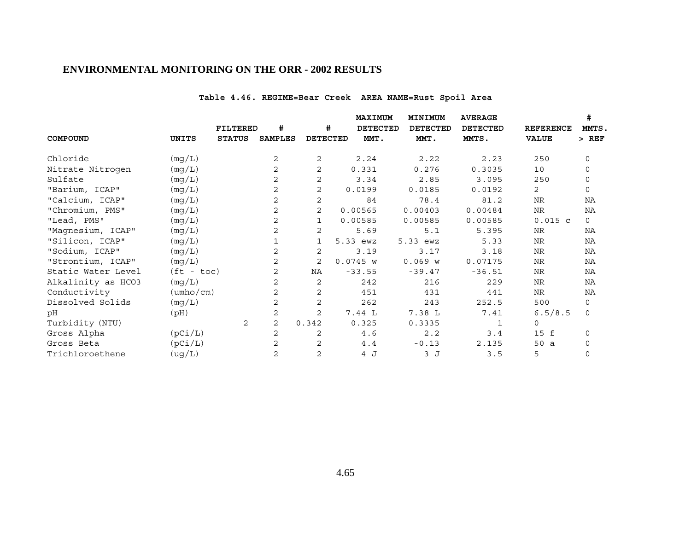# **Table 4.46. REGIME=Bear Creek AREA NAME=Rust Spoil Area**

|                    |                           | FILTERED      | #              | #               | MAXIMUM<br><b>DETECTED</b> | MINIMUM<br><b>DETECTED</b> | <b>AVERAGE</b><br><b>DETECTED</b> | <b>REFERENCE</b> | #<br>MMTS.   |
|--------------------|---------------------------|---------------|----------------|-----------------|----------------------------|----------------------------|-----------------------------------|------------------|--------------|
| COMPOUND           | UNITS                     | <b>STATUS</b> | <b>SAMPLES</b> | <b>DETECTED</b> | MMT.                       | MMT.                       | MMTS.                             | <b>VALUE</b>     | $>$ REF      |
| Chloride           | (mg/L)                    |               | 2              | 2               | 2.24                       | 2.22                       | 2.23                              | 250              | $\mathbf 0$  |
| Nitrate Nitrogen   | (mg/L)                    |               | 2              | 2               | 0.331                      | 0.276                      | 0.3035                            | 10               | $\mathbf 0$  |
| Sulfate            | (mg/L)                    |               | 2              | $\overline{2}$  | 3.34                       | 2.85                       | 3.095                             | 250              | $\mathbf 0$  |
| "Barium, ICAP"     | (mg/L)                    |               | 2              | $\overline{2}$  | 0.0199                     | 0.0185                     | 0.0192                            | $\overline{2}$   | $\mathbf 0$  |
| "Calcium, ICAP"    | (mg/L)                    |               | 2              | $\overline{2}$  | 84                         | 78.4                       | 81.2                              | NR               | NA           |
| "Chromium, PMS"    | (mg/L)                    |               | 2              | $\overline{2}$  | 0.00565                    | 0.00403                    | 0.00484                           | <b>NR</b>        | NA           |
| "Lead, PMS"        | (mg/L)                    |               | 2              | 1               | 0.00585                    | 0.00585                    | 0.00585                           | $0.015$ c        | $\circ$      |
| "Magnesium, ICAP"  | (mg/L)                    |               | 2              | 2               | 5.69                       | 5.1                        | 5.395                             | NR               | NA           |
| "Silicon, ICAP"    | (mg/L)                    |               |                | 1               | 5.33 ewz                   | 5.33<br>ewz                | 5.33                              | NR               | NA           |
| "Sodium, ICAP"     | (mg/L)                    |               | 2              | 2               | 3.19                       | 3.17                       | 3.18                              | <b>NR</b>        | NA           |
| "Strontium, ICAP"  | (mg/L)                    |               | 2              | $\overline{2}$  | $0.0745$ W                 | $0.069$ W                  | 0.07175                           | NR               | ΝA           |
| Static Water Level | $(ft - toc)$              |               | 2              | NA              | $-33.55$                   | $-39.47$                   | $-36.51$                          | NR               | NA           |
| Alkalinity as HCO3 | (mg/L)                    |               | 2              | 2               | 242                        | 216                        | 229                               | NR               | ΝA           |
| Conductivity       | $(\text{umbo}/\text{cm})$ |               | 2              | 2               | 451                        | 431                        | 441                               | NR               | NA           |
| Dissolved Solids   | (mg/L)                    |               | 2              | 2               | 262                        | 243                        | 252.5                             | 500              | $\mathbf 0$  |
| рH                 | (pH)                      |               | 2              | 2               | 7.44L                      | 7.38 L                     | 7.41                              | 6.5/8.5          | $\Omega$     |
| Turbidity (NTU)    |                           | 2             | 2              | 0.342           | 0.325                      | 0.3335                     | 1                                 | 0                |              |
| Gross Alpha        | (pCi/L)                   |               | 2              | 2               | 4.6                        | 2.2                        | 3.4                               | 15 f             | $\mathbf 0$  |
| Gross Beta         | (pCi/L)                   |               | 2              | 2               | 4.4                        | $-0.13$                    | 2.135                             | 50 a             | $\mathsf{O}$ |
| Trichloroethene    | (ug/L)                    |               | $\overline{2}$ | 2               | 4 J                        | 3J                         | 3.5                               | 5                | $\mathbf 0$  |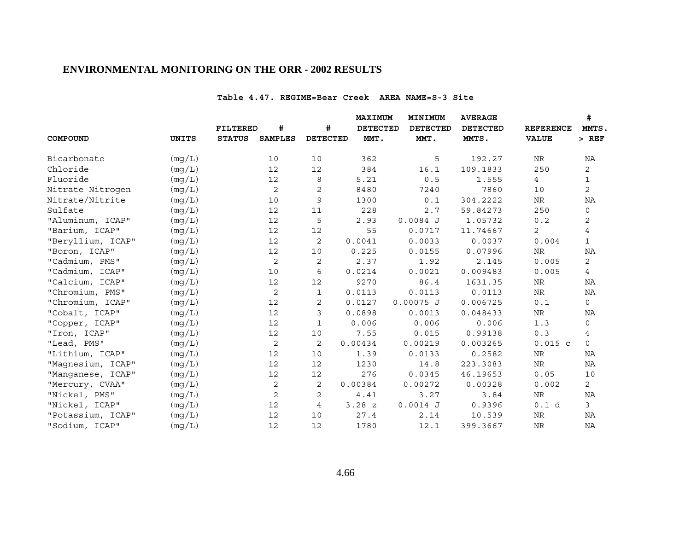#### **Table 4.47. REGIME=Bear Creek AREA NAME=S-3 Site**

|                   |              |                 |                |                 | <b>MAXIMUM</b>  | MINIMUM         | <b>AVERAGE</b>  |                  | #              |
|-------------------|--------------|-----------------|----------------|-----------------|-----------------|-----------------|-----------------|------------------|----------------|
|                   |              | <b>FILTERED</b> | #              | #               | <b>DETECTED</b> | <b>DETECTED</b> | <b>DETECTED</b> | <b>REFERENCE</b> | MMTS.          |
| COMPOUND          | <b>UNITS</b> | <b>STATUS</b>   | <b>SAMPLES</b> | <b>DETECTED</b> | MMT.            | MMT.            | MMTS.           | <b>VALUE</b>     | $>$ REF        |
| Bicarbonate       | (mg/L)       |                 | 10             | 10              | 362             | 5               | 192.27          | NR               | NA             |
| Chloride          | (mq/L)       |                 | 12             | 12              | 384             | 16.1            | 109.1833        | 250              | $\overline{2}$ |
| Fluoride          | (mq/L)       |                 | 12             | 8               | 5.21            | 0.5             | 1.555           | $\overline{4}$   | $\mathbf{1}$   |
| Nitrate Nitrogen  | (mg/L)       |                 | 2              | 2               | 8480            | 7240            | 7860            | 10               | $\overline{2}$ |
| Nitrate/Nitrite   | (mg/L)       |                 | 10             | 9               | 1300            | 0.1             | 304.2222        | ${\hbox{NR}}$    | ΝA             |
| Sulfate           | (mg/L)       |                 | 12             | 11              | 228             | 2.7             | 59.84273        | 250              | $\mathsf{O}$   |
| "Aluminum, ICAP"  | (mg/L)       |                 | 12             | 5               | 2.93            | $0.0084$ J      | 1.05732         | 0.2              | 2              |
| "Barium, ICAP"    | (mg/L)       |                 | 12             | 12              | 55              | 0.0717          | 11.74667        | 2                | 4              |
| "Beryllium, ICAP" | (mg/L)       |                 | 12             | 2               | 0.0041          | 0.0033          | 0.0037          | 0.004            | $\mathbf{1}$   |
| "Boron, ICAP"     | (mg/L)       |                 | 12             | 10              | 0.225           | 0.0155          | 0.07996         | NR               | ΝA             |
| "Cadmium, PMS"    | (mg/L)       |                 | 2              | 2               | 2.37            | 1.92            | 2.145           | 0.005            | $\overline{2}$ |
| "Cadmium, ICAP"   | (mg/L)       |                 | 10             | 6               | 0.0214          | 0.0021          | 0.009483        | 0.005            | 4              |
| "Calcium, ICAP"   | (mg/L)       |                 | $12\,$         | 12              | 9270            | 86.4            | 1631.35         | NR               | ΝA             |
| "Chromium, PMS"   | (mq/L)       |                 | 2              | 1               | 0.0113          | 0.0113          | 0.0113          | ${\hbox{NR}}$    | NA             |
| "Chromium, ICAP"  | (mg/L)       |                 | 12             | 2               | 0.0127          | $0.00075$ J     | 0.006725        | 0.1              | 0              |
| "Cobalt, ICAP"    | (mq/L)       |                 | $12\,$         | 3               | 0.0898          | 0.0013          | 0.048433        | ${\hbox{NR}}$    | ΝA             |
| "Copper, ICAP"    | (mg/L)       |                 | 12             | 1               | 0.006           | 0.006           | 0.006           | 1.3              | 0              |
| "Iron, ICAP"      | (mg/L)       |                 | 12             | 10              | 7.55            | 0.015           | 0.99138         | 0.3              | 4              |
| "Lead, PMS"       | (mg/L)       |                 | 2              | 2               | 0.00434         | 0.00219         | 0.003265        | $0.015$ c        | $\Omega$       |
| "Lithium, ICAP"   | (mg/L)       |                 | $12\,$         | 10              | 1.39            | 0.0133          | 0.2582          | $\rm NR$         | ΝA             |
| "Magnesium, ICAP" | (mg/L)       |                 | 12             | 12              | 1230            | 14.8            | 223.3083        | NR               | ΝA             |
| "Manganese, ICAP" | (mg/L)       |                 | 12             | 12              | 276             | 0.0345          | 46.19653        | 0.05             | 10             |
| "Mercury, CVAA"   | (mg/L)       |                 | 2              | 2               | 0.00384         | 0.00272         | 0.00328         | 0.002            | $\overline{2}$ |
| "Nickel, PMS"     | (mg/L)       |                 | 2              | 2               | 4.41            | 3.27            | 3.84            | NR               | ΝA             |
| "Nickel, ICAP"    | (mg/L)       |                 | 12             | 4               | 3.28Z           | $0.0014$ J      | 0.9396          | 0.1 d            | $\mathfrak{Z}$ |
| "Potassium, ICAP" | (mg/L)       |                 | 12             | 10              | 27.4            | 2.14            | 10.539          | NR               | NA             |
| "Sodium, ICAP"    | (mg/L)       |                 | 12             | 12              | 1780            | 12.1            | 399.3667        | $\rm NR$         | $\rm NA$       |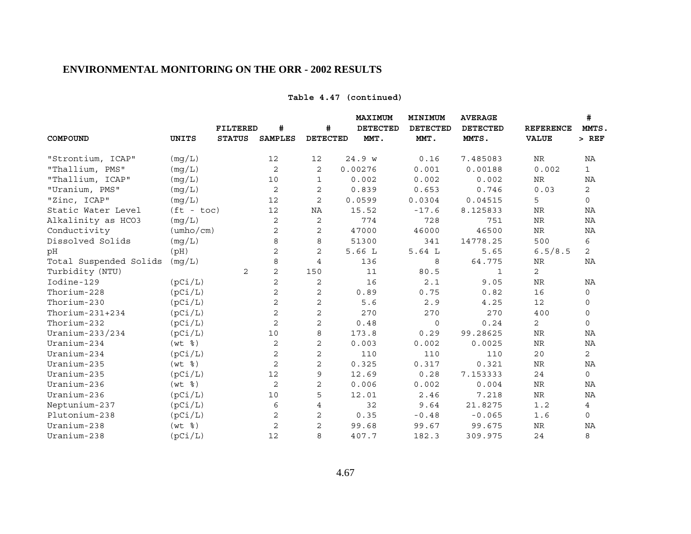## **Table 4.47 (continued)**

|                        |                                 | <b>FILTERED</b> | #              | #               | <b>MAXIMUM</b><br><b>DETECTED</b> | MINIMUM<br><b>DETECTED</b> | <b>AVERAGE</b><br><b>DETECTED</b> | <b>REFERENCE</b> | #<br>MMTS.<br>$>$ REF |
|------------------------|---------------------------------|-----------------|----------------|-----------------|-----------------------------------|----------------------------|-----------------------------------|------------------|-----------------------|
| COMPOUND               | <b>UNITS</b>                    | <b>STATUS</b>   | <b>SAMPLES</b> | <b>DETECTED</b> | MMT.                              | MMT.                       | MMTS.                             | <b>VALUE</b>     |                       |
| "Strontium, ICAP"      | (mg/L)                          |                 | 12             | 12              | 24.9 w                            | 0.16                       | 7.485083                          | NR               | ΝA                    |
| "Thallium, PMS"        | (mq/L)                          |                 | 2              | 2               | 0.00276                           | 0.001                      | 0.00188                           | 0.002            | $\mathbf{1}$          |
| "Thallium, ICAP"       | (mg/L)                          |                 | 10             | $\mathbf{1}$    | 0.002                             | 0.002                      | 0.002                             | NR               | ΝA                    |
| "Uranium, PMS"         | (mq/L)                          |                 | $\mathbf{2}$   | 2               | 0.839                             | 0.653                      | 0.746                             | 0.03             | $\mathbf{2}$          |
| "Zinc, ICAP"           | (mg/L)                          |                 | 12             | $\mathbf{2}$    | 0.0599                            | 0.0304                     | 0.04515                           | 5                | $\mathbf 0$           |
| Static Water Level     | $(ft - toc)$                    |                 | 12             | NA              | 15.52                             | $-17.6$                    | 8.125833                          | <b>NR</b>        | ΝA                    |
| Alkalinity as HCO3     | (mq/L)                          |                 | 2              | 2               | 774                               | 728                        | 751                               | NR               | NA                    |
| Conductivity           | $(\text{umbo}/\text{cm})$       |                 | 2              | $\mathbf{2}$    | 47000                             | 46000                      | 46500                             | $\rm NR$         | NA                    |
| Dissolved Solids       | (mg/L)                          |                 | 8              | 8               | 51300                             | 341                        | 14778.25                          | 500              | 6                     |
| pH                     | (pH)                            |                 | 2              | 2               | 5.66L                             | 5.64L                      | 5.65                              | 6.5/8.5          | $\overline{2}$        |
| Total Suspended Solids | (mg/L)                          |                 | 8              | $\overline{4}$  | 136                               | 8                          | 64.775                            | NR               | NA                    |
| Turbidity (NTU)        |                                 | 2               | $\mathbf{2}$   | 150             | 11                                | 80.5                       | 1                                 | 2                |                       |
| Iodine-129             | (pCi/L)                         |                 | 2              | 2               | 16                                | 2.1                        | 9.05                              | $\rm NR$         | ΝA                    |
| Thorium-228            | (pCi/L)                         |                 | 2              | $\mathbf{2}$    | 0.89                              | 0.75                       | 0.82                              | 16               | 0                     |
| Thorium-230            | (pCi/L)                         |                 | $\overline{c}$ | $\overline{c}$  | 5.6                               | 2.9                        | 4.25                              | 12               | 0                     |
| Thorium- $231+234$     | (pCi/L)                         |                 | 2              | 2               | 270                               | 270                        | 270                               | 400              | 0                     |
| Thorium-232            | (pCi/L)                         |                 | 2              | 2               | 0.48                              | $\mathsf{O}$               | 0.24                              | 2                | $\mathsf{O}$          |
| Uranium-233/234        | (pCi/L)                         |                 | 10             | 8               | 173.8                             | 0.29                       | 99.28625                          | <b>NR</b>        | NA                    |
| Uranium-234            | $(wt \$                         |                 | 2              | $\mathbf 2$     | 0.003                             | 0.002                      | 0.0025                            | $\rm NR$         | ΝA                    |
| Uranium-234            | (pCi/L)                         |                 | 2              | $\overline{c}$  | 110                               | 110                        | 110                               | 20               | $\overline{2}$        |
| Uranium-235            | $(wt \; \; \text{\textdegree})$ |                 | 2              | $\mathbf{2}$    | 0.325                             | 0.317                      | 0.321                             | NR               | ΝA                    |
| Uranium-235            | (pCi/L)                         |                 | 12             | 9               | 12.69                             | 0.28                       | 7.153333                          | 24               | $\mathsf{O}$          |
| Uranium-236            | $(wt \; s)$                     |                 | 2              | $\mathbf{2}$    | 0.006                             | 0.002                      | 0.004                             | NR               | NA                    |
| Uranium-236            | (pCi/L)                         |                 | 10             | 5               | 12.01                             | 2.46                       | 7.218                             | $\rm NR$         | NA                    |
| Neptunium-237          | (pCi/L)                         |                 | 6              | 4               | 32                                | 9.64                       | 21.8275                           | 1.2              | 4                     |
| Plutonium-238          | (pCi/L)                         |                 | 2              | $\mathbf{2}$    | 0.35                              | $-0.48$                    | $-0.065$                          | 1.6              | 0                     |
| Uranium-238            | $(wt \; 8)$                     |                 | $\overline{c}$ | 2               | 99.68                             | 99.67                      | 99.675                            | $\rm NR$         | ΝA                    |
| Uranium-238            | (pCi/L)                         |                 | 12             | 8               | 407.7                             | 182.3                      | 309.975                           | 24               | 8                     |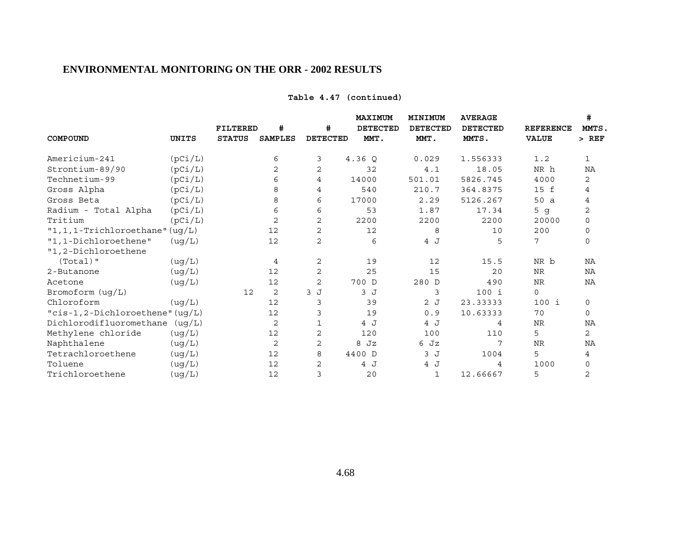|                                     |         | <b>FILTERED</b> | #              | #               | MAXIMUM<br><b>DETECTED</b> | MINIMUM<br><b>DETECTED</b> | <b>AVERAGE</b><br><b>DETECTED</b> | <b>REFERENCE</b> | #<br>MMTS.     |
|-------------------------------------|---------|-----------------|----------------|-----------------|----------------------------|----------------------------|-----------------------------------|------------------|----------------|
| COMPOUND                            | UNITS   | <b>STATUS</b>   | <b>SAMPLES</b> | <b>DETECTED</b> | MMT.                       | MMT.                       | MMTS.                             | <b>VALUE</b>     | $>$ REF        |
| Americium-241                       | (pCi/L) |                 | 6              | 3               | 4.36Q                      | 0.029                      | 1.556333                          | 1.2              | $\mathbf 1$    |
| Strontium-89/90                     | (pCi/L) |                 | 2              | 2               | 32                         | 4.1                        | 18.05                             | NR h             | NA             |
| Technetium-99                       | (pCi/L) |                 | 6              | 4               | 14000                      | 501.01                     | 5826.745                          | 4000             | 2              |
| Gross Alpha                         | (pCi/L) |                 | 8              | 4               | 540                        | 210.7                      | 364.8375                          | 15 f             | 4              |
| Gross Beta                          | (pCi/L) |                 | 8              | 6               | 17000                      | 2.29                       | 5126.267                          | 50a              | 4              |
| Radium - Total Alpha                | (pCi/L) |                 | 6              | 6               | 53                         | 1.87                       | 17.34                             | 5 <sub>g</sub>   | $\overline{c}$ |
| Tritium                             | (pCi/L) |                 | $\overline{2}$ | 2               | 2200                       | 2200                       | 2200                              | 20000            | $\mathbf 0$    |
| "1, 1, 1-Trichloroethane" $( uq/L)$ |         |                 | 12             | $\overline{2}$  | 12                         | 8                          | 10                                | 200              | $\mathbf 0$    |
| "1,1-Dichloroethene"                | (ug/L)  |                 | 12             | $\overline{c}$  | 6                          | 4 J                        | 5                                 | 7                | $\mathbf 0$    |
| "1,2-Dichloroethene                 |         |                 |                |                 |                            |                            |                                   |                  |                |
| $(Total)$ "                         | (ug/L)  |                 | 4              | 2               | 19                         | 12                         | 15.5                              | NR b             | NA             |
| 2-Butanone                          | (ug/L)  |                 | 12             | $\overline{2}$  | 25                         | 15                         | 20                                | <b>NR</b>        | NA             |
| Acetone                             | (ug/L)  |                 | 12             | $\overline{2}$  | 700 D                      | 280 D                      | 490                               | NR               | ΝA             |
| Bromoform $( uq/L)$                 |         | 12              | 2              | 3J              | 3J                         | 3                          | $100$ i                           | $\mathbf 0$      |                |
| Chloroform                          | (ug/L)  |                 | 12             | 3               | 39                         | 2J                         | 23.33333                          | 100 i            | 0              |
| "cis-1,2-Dichloroethene" (uq/L)     |         |                 | 12             | 3               | 19                         | 0.9                        | 10.63333                          | 70               | $\mathbf 0$    |
| Dichlorodifluoromethane (ug/L)      |         |                 | 2              | 1               | 4 J                        | 4 J                        | 4                                 | <b>NR</b>        | NA             |
| Methylene chloride                  | (ug/L)  |                 | 12             | $\overline{2}$  | 120                        | 100                        | 110                               | 5                | $\overline{c}$ |
| Naphthalene                         | (ug/L)  |                 | 2              | $\mathbf{2}$    | Jz<br>8                    | 6 Jz                       | 7                                 | <b>NR</b>        | NA             |
| Tetrachloroethene                   | (ug/L)  |                 | 12             | 8               | 4400 D                     | 3 J                        | 1004                              | 5                | 4              |
| Toluene                             | (ug/L)  |                 | 12             | 2               | 4 J                        | 4 J                        | 4                                 | 1000             | 0              |
| Trichloroethene                     | (ug/L)  |                 | 12             | 3               | 20                         | 1                          | 12.66667                          | 5                | $\overline{2}$ |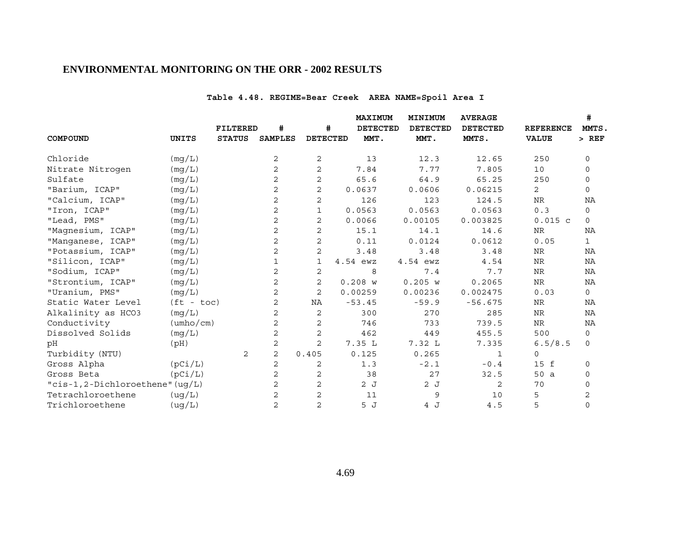# **Table 4.48. REGIME=Bear Creek AREA NAME=Spoil Area I**

|                                 |                           |                 |                |                 | MAXIMUM  | MINIMUM         | <b>AVERAGE</b>  |                  | #            |
|---------------------------------|---------------------------|-----------------|----------------|-----------------|----------|-----------------|-----------------|------------------|--------------|
|                                 |                           | <b>FILTERED</b> | #              | #               | DETECTED | <b>DETECTED</b> | <b>DETECTED</b> | <b>REFERENCE</b> | MMTS.        |
| COMPOUND                        | UNITS                     | <b>STATUS</b>   | <b>SAMPLES</b> | <b>DETECTED</b> | MMT.     | MMT.            | MMTS.           | <b>VALUE</b>     | $>$ REF      |
| Chloride                        | (mg/L)                    |                 | 2              | 2               | 13       | 12.3            | 12.65           | 250              | 0            |
| Nitrate Nitrogen                | (mq/L)                    |                 | 2              | 2               | 7.84     | 7.77            | 7.805           | 10               | 0            |
| Sulfate                         | (mg/L)                    |                 | 2              | 2               | 65.6     | 64.9            | 65.25           | 250              | 0            |
| "Barium, ICAP"                  | (mg/L)                    |                 | 2              | $\overline{2}$  | 0.0637   | 0.0606          | 0.06215         | $\overline{2}$   | $\mathbf 0$  |
| "Calcium, ICAP"                 | (mg/L)                    |                 | 2              | 2               | 126      | 123             | 124.5           | <b>NR</b>        | NA           |
| "Iron, ICAP"                    | (mg/L)                    |                 | 2              | 1               | 0.0563   | 0.0563          | 0.0563          | 0.3              | $\mathbf 0$  |
| "Lead, PMS"                     | (mg/L)                    |                 | 2              | $\overline{2}$  | 0.0066   | 0.00105         | 0.003825        | $0.015$ c        | $\mathsf{O}$ |
| "Magnesium, ICAP"               | (mg/L)                    |                 | 2              | 2               | 15.1     | 14.1            | 14.6            | <b>NR</b>        | NA           |
| "Manganese, ICAP"               | (mg/L)                    |                 | 2              | $\overline{2}$  | 0.11     | 0.0124          | 0.0612          | 0.05             | $\mathbf{1}$ |
| "Potassium, ICAP"               | (mg/L)                    |                 | 2              | 2               | 3.48     | 3.48            | 3.48            | NR               | NA           |
| "Silicon, ICAP"                 | (mg/L)                    |                 | 1              | 1               | 4.54 ewz | 4.54 ewz        | 4.54            | <b>NR</b>        | NA           |
| "Sodium, ICAP"                  | (mg/L)                    |                 | 2              | 2               | 8        | 7.4             | 7.7             | <b>NR</b>        | NA           |
| "Strontium, ICAP"               | (mg/L)                    |                 | 2              | 2               | 0.208 w  | 0.205 w         | 0.2065          | NR               | NA           |
| "Uranium, PMS"                  | (mq/L)                    |                 | 2              | $\overline{2}$  | 0.00259  | 0.00236         | 0.002475        | 0.03             | $\mathbf 0$  |
| Static Water Level              | $(ft - toc)$              |                 | 2              | NA              | $-53.45$ | $-59.9$         | $-56.675$       | <b>NR</b>        | NA           |
| Alkalinity as HCO3              | (mg/L)                    |                 | 2              | 2               | 300      | 270             | 285             | <b>NR</b>        | NA           |
| Conductivity                    | $(\text{umbo}/\text{cm})$ |                 | 2              | 2               | 746      | 733             | 739.5           | NR               | NA           |
| Dissolved Solids                | (mg/L)                    |                 | 2              | 2               | 462      | 449             | 455.5           | 500              | 0            |
| рH                              | (Hq)                      |                 | 2              | 2               | 7.35 L   | 7.32L           | 7.335           | 6.5/8.5          | $\mathsf{O}$ |
| Turbidity (NTU)                 |                           | 2               | 2              | 0.405           | 0.125    | 0.265           | 1               | $\mathbf 0$      |              |
| Gross Alpha                     | (pCi/L)                   |                 | 2              | 2               | 1.3      | $-2.1$          | $-0.4$          | 15 f             | 0            |
| Gross Beta                      | (pCi/L)                   |                 | 2              | $\sqrt{2}$      | 38       | 27              | 32.5            | 50 a             | 0            |
| "cis-1,2-Dichloroethene" (ug/L) |                           |                 | 2              | $\overline{2}$  | 2J       | 2J              | 2               | 70               | $\mathbf 0$  |
| Tetrachloroethene               | (ug/L)                    |                 | 2              | 2               | 11       | 9               | 10              | 5                | 2            |
| Trichloroethene                 | (ug/L)                    |                 | 2              | $\overline{2}$  | 5J       | 4 J             | 4.5             | 5                | $\mathbf 0$  |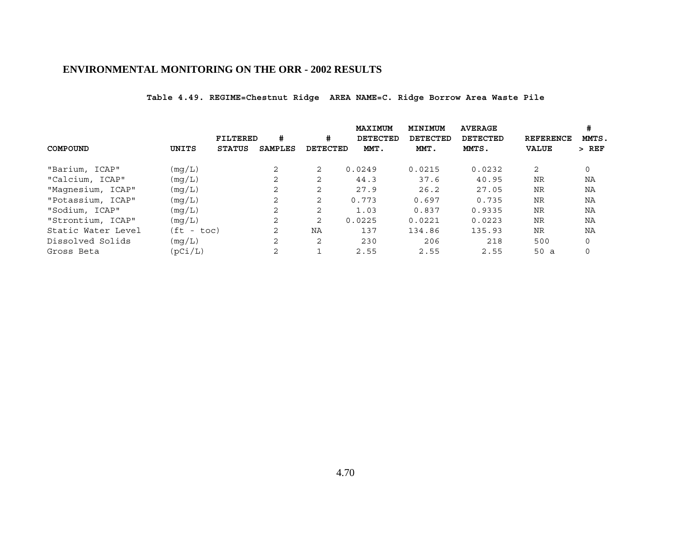**Table 4.49. REGIME=Chestnut Ridge AREA NAME=C. Ridge Borrow Area Waste Pile**

|                    |              |               |                |                 | MAXIMUM  | MINIMUM  | <b>AVERAGE</b>  |                  | #<br>MMTS. |  |
|--------------------|--------------|---------------|----------------|-----------------|----------|----------|-----------------|------------------|------------|--|
|                    |              | FILTERED      | #              | #               | DETECTED | DETECTED | <b>DETECTED</b> | <b>REFERENCE</b> |            |  |
| COMPOUND           | UNITS        | <b>STATUS</b> | SAMPLES        | <b>DETECTED</b> | MMT.     | MMT.     | MMTS.           | VALUE            | $>$ REF    |  |
| "Barium, ICAP"     | (mq/L)       |               | 2              | $\overline{2}$  | 0.0249   | 0.0215   | 0.0232          | 2                | 0          |  |
| "Calcium, ICAP"    | (mq/L)       |               | 2              | $\overline{2}$  | 44.3     | 37.6     | 40.95           | <b>NR</b>        | NA         |  |
| "Magnesium, ICAP"  | (mq/L)       |               | 2              | $\overline{2}$  | 27.9     | 26.2     | 27.05           | <b>NR</b>        | NA         |  |
| "Potassium, ICAP"  | (mq/L)       |               | $\overline{2}$ | $\overline{2}$  | 0.773    | 0.697    | 0.735           | <b>NR</b>        | ΝA         |  |
| "Sodium, ICAP"     | (mq/L)       |               | 2              | $\overline{2}$  | 1.03     | 0.837    | 0.9335          | <b>NR</b>        | NA         |  |
| "Strontium, ICAP"  | (mq/L)       |               | 2              | $\overline{2}$  | 0.0225   | 0.0221   | 0.0223          | <b>NR</b>        | NA         |  |
| Static Water Level | $(ft - toc)$ |               | 2              | NA              | 137      | 134.86   | 135.93          | <b>NR</b>        | NA         |  |
| Dissolved Solids   | (mq/L)       |               | 2              | $\overline{2}$  | 230      | 206      | 218             | 500              | 0          |  |
| Gross Beta         | (pCi/L)      |               | 2              |                 | 2.55     | 2.55     | 2.55            | 50a              |            |  |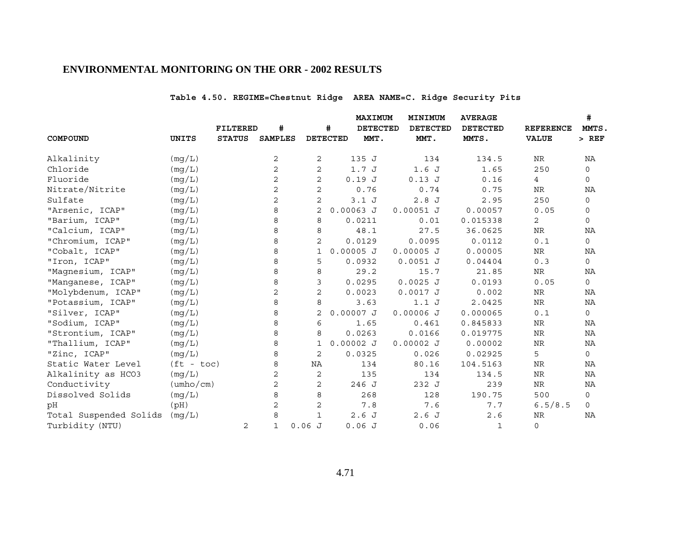# **Table 4.50. REGIME=Chestnut Ridge AREA NAME=C. Ridge Security Pits**

|                        |                           |                 |                |                |                 | MAXIMUM         | MINIMUM | <b>AVERAGE</b>  |                 |              | #                |              |
|------------------------|---------------------------|-----------------|----------------|----------------|-----------------|-----------------|---------|-----------------|-----------------|--------------|------------------|--------------|
|                        |                           | <b>FILTERED</b> | #              |                | #               | <b>DETECTED</b> |         | <b>DETECTED</b> | <b>DETECTED</b> |              | <b>REFERENCE</b> | MMTS.        |
| COMPOUND               | UNITS                     | <b>STATUS</b>   | <b>SAMPLES</b> |                | <b>DETECTED</b> | MMT.            |         | MMT.            | MMTS.           |              | <b>VALUE</b>     | $>$ REF      |
| Alkalinity             | (mg/L)                    |                 | 2              | 2              |                 | 135 J           |         | 134             |                 | 134.5        | NR               | NA           |
| Chloride               | (mq/L)                    |                 | 2              | 2              |                 | 1.7J            |         | 1.6J            |                 | 1.65         | 250              | 0            |
| Fluoride               | (mg/L)                    |                 | 2              | 2              |                 | 0.19J           |         | 0.13J           |                 | 0.16         | $\overline{4}$   | $\mathbf 0$  |
| Nitrate/Nitrite        | (mg/L)                    |                 | $\overline{a}$ | $\overline{a}$ |                 | 0.76            |         | 0.74            |                 | 0.75         | ${\hbox{NR}}$    | ΝA           |
| Sulfate                | (mg/L)                    |                 | 2              | 2              |                 | 3.1J            |         | 2.8J            |                 | 2.95         | 250              | 0            |
| "Arsenic, ICAP"        | (mg/L)                    |                 | 8              | 2              | $0.00063$ J     |                 |         | $0.00051$ J     | 0.00057         |              | 0.05             | 0            |
| "Barium, ICAP"         | (mg/L)                    |                 | 8              | 8              |                 | 0.0211          |         | 0.01            | 0.015338        |              | 2                | $\mathbf 0$  |
| "Calcium, ICAP"        | (mg/L)                    |                 | 8              | 8              |                 | 48.1            |         | 27.5            | 36.0625         |              | <b>NR</b>        | NA           |
| "Chromium, ICAP"       | (mg/L)                    |                 | 8              | $\overline{2}$ |                 | 0.0129          |         | 0.0095          |                 | 0.0112       | 0.1              | $\mathsf{O}$ |
| "Cobalt, ICAP"         | (mg/L)                    |                 | 8              | 1              | $0.00005$ J     |                 |         | $0.00005$ J     | 0.00005         |              | ${\rm NR}$       | ΝA           |
| "Iron, ICAP"           | (mg/L)                    |                 | 8              | 5              |                 | 0.0932          |         | $0.0051$ J      | 0.04404         |              | 0.3              | $\mathsf{O}$ |
| "Magnesium, ICAP"      | (mg/L)                    |                 | 8              | 8              |                 | 29.2            |         | 15.7            |                 | 21.85        | <b>NR</b>        | ΝA           |
| "Manganese, ICAP"      | (mg/L)                    |                 | 8              | 3              |                 | 0.0295          |         | $0.0025$ J      |                 | 0.0193       | 0.05             | $\circ$      |
| "Molybdenum, ICAP"     | (mg/L)                    |                 | 2              | $\overline{2}$ |                 | 0.0023          |         | $0.0017$ J      |                 | 0.002        | NR               | NA           |
| "Potassium, ICAP"      | (mg/L)                    |                 | 8              | 8              |                 | 3.63            |         | 1.1J            |                 | 2.0425       | NR               | NA           |
| "Silver, ICAP"         | (mq/L)                    |                 | 8              | 2              | $0.00007$ J     |                 |         | $0.00006$ J     | 0.000065        |              | 0.1              | $\mathsf{O}$ |
| "Sodium, ICAP"         | (mg/L)                    |                 | 8              | 6              |                 | 1.65            |         | 0.461           | 0.845833        |              | NR               | NA           |
| "Strontium, ICAP"      | (mg/L)                    |                 | 8              | 8              |                 | 0.0263          |         | 0.0166          | 0.019775        |              | NR               | ΝA           |
| "Thallium, ICAP"       | (mg/L)                    |                 | 8              | 1              | $0.00002$ J     |                 |         | $0.00002$ J     | 0.00002         |              | NR               | ΝA           |
| "Zinc, ICAP"           | (mg/L)                    |                 | 8              | 2              |                 | 0.0325          |         | 0.026           | 0.02925         |              | 5                | $\mathsf{O}$ |
| Static Water Level     | $(ft - toc)$              |                 | 8              | NA             |                 | 134             |         | 80.16           | 104.5163        |              | NR               | NA           |
| Alkalinity as HCO3     | (mg/L)                    |                 | 2              | 2              |                 | 135             |         | 134             |                 | 134.5        | ${\hbox{NR}}$    | ΝA           |
| Conductivity           | $(\text{umbo}/\text{cm})$ |                 | 2              | 2              |                 | 246 J           |         | 232 J           |                 | 239          | NR               | NA           |
| Dissolved Solids       | (mg/L)                    |                 | 8              | 8              |                 | 268             |         | 128             | 190.75          |              | 500              | 0            |
| pH                     | (pH)                      |                 | 2              | 2              |                 | 7.8             |         | 7.6             |                 | 7.7          | 6.5/8.5          | $\mathsf{O}$ |
| Total Suspended Solids | (mg/L)                    |                 | 8              | $\mathbf{1}$   |                 | 2.6J            |         | 2.6J            |                 | 2.6          | NR               | NA           |
| Turbidity (NTU)        |                           | 2               | $\mathbf{1}$   | 0.06J          |                 | 0.06J           |         | 0.06            |                 | $\mathbf{1}$ | $\mathbf 0$      |              |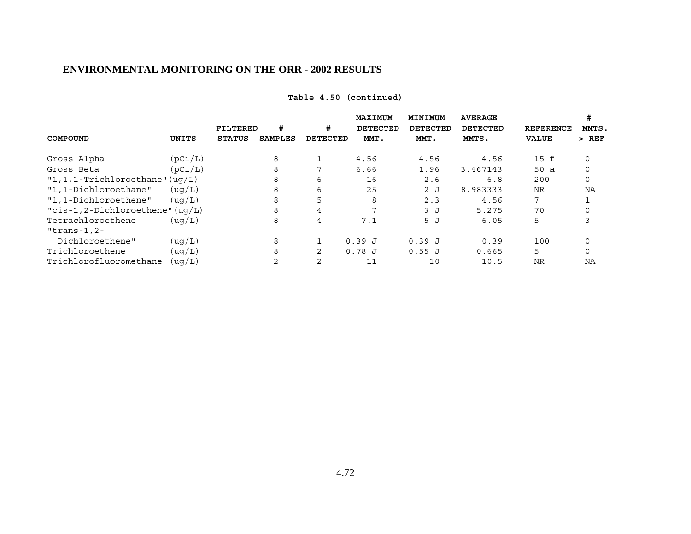|                                     |         |                 |                |                | MAXIMUM  | MINIMUM  | <b>AVERAGE</b> |                  | #           |  |
|-------------------------------------|---------|-----------------|----------------|----------------|----------|----------|----------------|------------------|-------------|--|
|                                     |         | <b>FILTERED</b> | #              | #              | DETECTED | DETECTED | DETECTED       | <b>REFERENCE</b> | MMTS.       |  |
| COMPOUND                            | UNITS   | <b>STATUS</b>   | <b>SAMPLES</b> | DETECTED       | MMT.     | MMT.     | MMTS.          | <b>VALUE</b>     | $>$ REF     |  |
| Gross Alpha                         | (pCi/L) |                 | 8              | 1              | 4.56     | 4.56     | 4.56           | 15 f             | 0           |  |
| Gross Beta                          | (pCi/L) |                 | 8              | 7              | 6.66     | 1.96     | 3.467143       | 50a              | $\Omega$    |  |
| $"1,1,1$ -Trichloroethane" (uq/L)   |         |                 | 8              | 6              | 16       | 2.6      | 6.8            | 200              | $\mathbf 0$ |  |
| "1,1-Dichloroethane"                | (uq/L)  |                 | 8              | 6              | 25       | 2J       | 8.983333       | <b>NR</b>        | NA          |  |
| "1,1-Dichloroethene"                | (uq/L)  |                 | 8              | 5              | 8        | 2.3      | 4.56           | 7                |             |  |
| " $cis-1, 2-Dichloroethene" (uq/L)$ |         |                 | 8              | 4              |          | 3J       | 5.275          | 70               | $\Omega$    |  |
| Tetrachloroethene                   | ( uq/L) |                 | 8              | 4              | 7.1      | 5 J      | 6.05           | 5                |             |  |
| "trans-1,2-                         |         |                 |                |                |          |          |                |                  |             |  |
| Dichloroethene"                     | ( uq/L) |                 | 8              | 1              | 0.39J    | 0.39J    | 0.39           | 100              | 0           |  |
| Trichloroethene                     | ( uq/L) |                 | 8              | $\overline{2}$ | $0.78$ J | 0.55J    | 0.665          | 5                | $\Omega$    |  |
| Trichlorofluoromethane              | ( uq/L) |                 | 2              | 2              |          | 10       | 10.5           | <b>NR</b>        | NA          |  |

**Table 4.50 (continued)**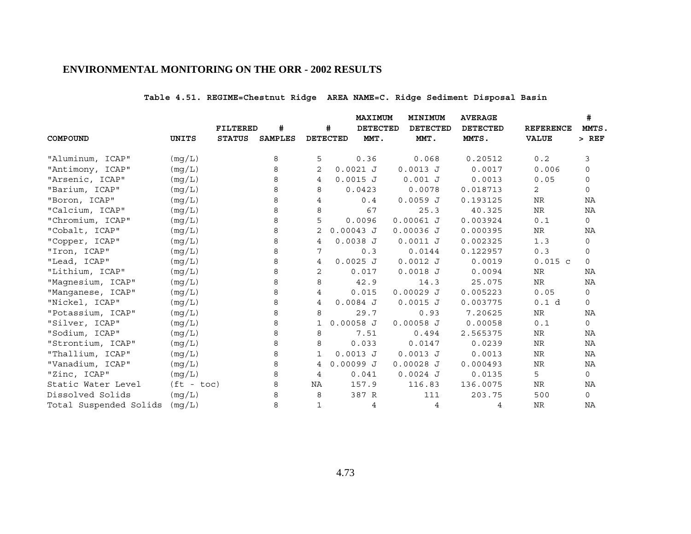# **Table 4.51. REGIME=Chestnut Ridge AREA NAME=C. Ridge Sediment Disposal Basin**

|                        |              |                 |                |    |                 | MAXIMUM         |             | MINIMUM         | <b>AVERAGE</b> |                 |                  | #            |
|------------------------|--------------|-----------------|----------------|----|-----------------|-----------------|-------------|-----------------|----------------|-----------------|------------------|--------------|
|                        |              | <b>FILTERED</b> | #              |    | #               | <b>DETECTED</b> |             | <b>DETECTED</b> |                | <b>DETECTED</b> | <b>REFERENCE</b> | MMTS.        |
| COMPOUND               | UNITS        | <b>STATUS</b>   | <b>SAMPLES</b> |    | <b>DETECTED</b> | MMT.            |             | MMT.            | MMTS.          |                 | <b>VALUE</b>     | $>$ REF      |
|                        |              |                 |                |    |                 |                 |             |                 |                |                 |                  |              |
| "Aluminum, ICAP"       | (mg/L)       |                 | 8              | 5  |                 | 0.36            |             | 0.068           |                | 0.20512         | 0.2              | 3            |
| "Antimony, ICAP"       | (mq/L)       |                 | 8              | 2  | $0.0021$ J      |                 | $0.0013$ J  |                 |                | 0.0017          | 0.006            | 0            |
| "Arsenic, ICAP"        | (mq/L)       |                 | 8              | 4  | $0.0015$ J      |                 |             | $0.001$ J       |                | 0.0013          | 0.05             | 0            |
| "Barium, ICAP"         | (mg/L)       |                 | 8              | 8  |                 | 0.0423          |             | 0.0078          | 0.018713       |                 | $\overline{2}$   | $\Omega$     |
| "Boron, ICAP"          | (mq/L)       |                 | 8              | 4  |                 | 0.4             | $0.0059$ J  |                 | 0.193125       |                 | NR               | ΝA           |
| "Calcium, ICAP"        | (mg/L)       |                 | 8              | 8  |                 | 67              |             | 25.3            |                | 40.325          | <b>NR</b>        | NA           |
| "Chromium, ICAP"       | (mg/L)       |                 | 8              | 5  |                 | 0.0096          | $0.00061$ J |                 | 0.003924       |                 | 0.1              | $\mathsf{O}$ |
| "Cobalt, ICAP"         | (mg/L)       |                 | 8              | 2  | $0.00043$ J     |                 | $0.00036$ J |                 | 0.000395       |                 | NR               | ΝA           |
| "Copper, ICAP"         | (mg/L)       |                 | 8              | 4  | $0.0038$ J      |                 | $0.0011$ J  |                 | 0.002325       |                 | 1.3              | 0            |
| "Iron, ICAP"           | (mg/L)       |                 | 8              | 7  |                 | 0.3             |             | 0.0144          | 0.122957       |                 | 0.3              | 0            |
| "Lead, ICAP"           | (mg/L)       |                 | 8              | 4  | $0.0025$ J      |                 | $0.0012$ J  |                 |                | 0.0019          | $0.015$ c        | $\Omega$     |
| "Lithium, ICAP"        | (mg/L)       |                 | 8              | 2  |                 | 0.017           | $0.0018$ J  |                 |                | 0.0094          | NR               | ΝA           |
| "Magnesium, ICAP"      | (mg/L)       |                 | 8              | 8  |                 | 42.9            |             | 14.3            |                | 25.075          | NR               | NA           |
| "Manganese, ICAP"      | (mq/L)       |                 | 8              | 4  |                 | 0.015           | $0.00029$ J |                 | 0.005223       |                 | 0.05             | $\mathbf 0$  |
| "Nickel, ICAP"         | (mg/L)       |                 | 8              | 4  | $0.0084$ J      |                 | $0.0015$ J  |                 | 0.003775       |                 | 0.1 d            | 0            |
| "Potassium, ICAP"      | (mq/L)       |                 | 8              | 8  |                 | 29.7            |             | 0.93            |                | 7.20625         | <b>NR</b>        | NA           |
| "Silver, ICAP"         | (mg/L)       |                 | 8              | 1  | $0.00058$ J     |                 | $0.00058$ J |                 |                | 0.00058         | 0.1              | $\mathbf 0$  |
| "Sodium, ICAP"         | (mg/L)       |                 | 8              | 8  |                 | 7.51            |             | 0.494           | 2.565375       |                 | NR               | ΝA           |
| "Strontium, ICAP"      | (mg/L)       |                 | 8              | 8  |                 | 0.033           |             | 0.0147          |                | 0.0239          | NR               | NA           |
| "Thallium, ICAP"       | (mg/L)       |                 | 8              | 1  | $0.0013$ J      |                 | $0.0013$ J  |                 |                | 0.0013          | NR               | ΝA           |
| "Vanadium, ICAP"       | (mg/L)       |                 | 8              | 4  | 0.00099J        |                 | $0.00028$ J |                 | 0.000493       |                 | NR               | ΝA           |
| "Zinc, ICAP"           | (mg/L)       |                 | 8              | 4  |                 | 0.041           | $0.0024$ J  |                 |                | 0.0135          | 5                | $\mathsf{O}$ |
| Static Water Level     | $(ft - toc)$ |                 | 8              | ΝA |                 | 157.9           |             | 116.83          | 136.0075       |                 | NR               | ΝA           |
| Dissolved Solids       | (mg/L)       |                 | 8              | 8  |                 | 387 R           |             | 111             |                | 203.75          | 500              | $\mathbf 0$  |
| Total Suspended Solids | (mg/L)       |                 | 8              | 1  |                 | 4               |             | 4               |                | 4               | NR               | ΝA           |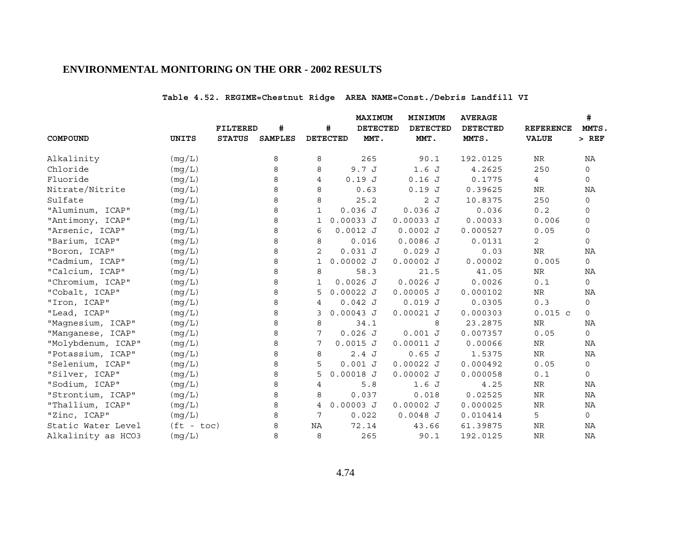# **Table 4.52. REGIME=Chestnut Ridge AREA NAME=Const./Debris Landfill VI**

|                    |              |               |                |              |                 | MAXIMUM         | MINIMUM         | <b>AVERAGE</b>  |                  | #            |
|--------------------|--------------|---------------|----------------|--------------|-----------------|-----------------|-----------------|-----------------|------------------|--------------|
|                    |              | FILTERED      | #              |              | #               | <b>DETECTED</b> | <b>DETECTED</b> | <b>DETECTED</b> | <b>REFERENCE</b> | MMTS.        |
| COMPOUND           | <b>UNITS</b> | <b>STATUS</b> | <b>SAMPLES</b> |              | <b>DETECTED</b> | MMT.            | MMT.            | MMTS.           | <b>VALUE</b>     | $>$ REF      |
| Alkalinity         | (mg/L)       |               | 8              | 8            |                 | 265             | 90.1            | 192.0125        | NR               | NA           |
| Chloride           | (mg/L)       |               | 8              | 8            | 9.7 J           |                 | 1.6J            | 4.2625          | 250              | $\mathbf 0$  |
| Fluoride           | (mg/L)       |               | 8              | 4            | 0.19J           |                 | 0.16J           | 0.1775          | 4                | 0            |
| Nitrate/Nitrite    | (mg/L)       |               | 8              | 8            |                 | 0.63            | 0.19J           | 0.39625         | NR               | ΝA           |
| Sulfate            | (mg/L)       |               | 8              | 8            |                 | 25.2            | 2J              | 10.8375         | 250              | 0            |
| "Aluminum, ICAP"   | (mq/L)       |               | 8              | 1            | $0.036$ J       |                 | 0.036J          | 0.036           | 0.2              | 0            |
| "Antimony, ICAP"   | (mg/L)       |               | 8              | 1            | $0.00033$ J     |                 | $0.00033$ J     | 0.00033         | 0.006            | 0            |
| "Arsenic, ICAP"    | (mg/L)       |               | 8              | 6            | $0.0012$ J      |                 | $0.0002$ J      | 0.000527        | 0.05             | 0            |
| "Barium, ICAP"     | (mq/L)       |               | 8              | 8            | 0.016           |                 | $0.0086$ J      | 0.0131          | $\overline{2}$   | $\mathbf 0$  |
| "Boron, ICAP"      | (mg/L)       |               | 8              | 2            | 0.031 J         |                 | 0.029J          | 0.03            | NR               | ΝA           |
| "Cadmium, ICAP"    | (mg/L)       |               | 8              | $\mathbf{1}$ | $0.00002$ J     |                 | $0.00002$ J     | 0.00002         | 0.005            | $\circ$      |
| "Calcium, ICAP"    | (mg/L)       |               | 8              | 8            |                 | 58.3            | 21.5            | 41.05           | NR               | ΝA           |
| "Chromium, ICAP"   | (mg/L)       |               | 8              | 1            | $0.0026$ J      |                 | $0.0026$ J      | 0.0026          | 0.1              | $\mathbf 0$  |
| "Cobalt, ICAP"     | (mg/L)       |               | 8              | 5            | $0.00022$ J     |                 | $0.00005$ J     | 0.000102        | ${\rm NR}$       | ΝA           |
| "Iron, ICAP"       | (mg/L)       |               | 8              | 4            | 0.042 J         |                 | 0.019J          | 0.0305          | 0.3              | 0            |
| "Lead, ICAP"       | (mg/L)       |               | 8              | 3            | $0.00043$ J     |                 | $0.00021$ J     | 0.000303        | $0.015$ c        | $\mathbf 0$  |
| "Magnesium, ICAP"  | (mq/L)       |               | 8              | 8            |                 | 34.1            | 8               | 23.2875         | NR               | ΝA           |
| "Manganese, ICAP"  | (mq/L)       |               | 8              | 7            | 0.026J          |                 | 0.001 J         | 0.007357        | 0.05             | $\mathbf 0$  |
| "Molybdenum, ICAP" | (mg/L)       |               | 8              | 7            | $0.0015$ J      |                 | $0.00011$ J     | 0.00066         | ${\hbox{NR}}$    | NA           |
| "Potassium, ICAP"  | (mg/L)       |               | 8              | 8            | 2.4J            |                 | 0.65J           | 1.5375          | NR               | ΝA           |
| "Selenium, ICAP"   | (mg/L)       |               | 8              | 5            | $0.001$ J       |                 | $0.00022$ J     | 0.000492        | 0.05             | 0            |
| "Silver, ICAP"     | (mq/L)       |               | 8              | 5            | $0.00018$ J     |                 | $0.00002$ J     | 0.000058        | 0.1              | 0            |
| "Sodium, ICAP"     | (mq/L)       |               | 8              | 4            |                 | 5.8             | 1.6J            | 4.25            | NR               | NA           |
| "Strontium, ICAP"  | (mg/L)       |               | 8              | 8            | 0.037           |                 | 0.018           | 0.02525         | NR               | NA           |
| "Thallium, ICAP"   | (mg/L)       |               | 8              | 4            | $0.00003$ J     |                 | $0.00002$ J     | 0.000025        | NR               | NA           |
| "Zinc, ICAP"       | (mq/L)       |               | 8              | 7            | 0.022           |                 | $0.0048$ J      | 0.010414        | 5                | $\mathsf{O}$ |
| Static Water Level | $(ft - toc)$ |               | 8              | NA           | 72.14           |                 | 43.66           | 61.39875        | <b>NR</b>        | NA           |
| Alkalinity as HCO3 | (mq/L)       |               | 8              | 8            |                 | 265             | 90.1            | 192.0125        | <b>NR</b>        | NA           |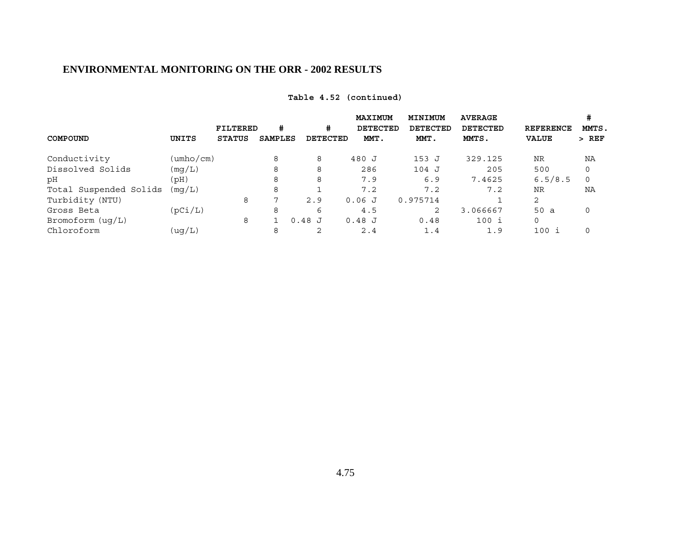| COMPOUND               | UNITS     | <b>FILTERED</b><br><b>STATUS</b> | #<br><b>SAMPLES</b> | #<br><b>DETECTED</b> | <b>MAXIMUM</b><br><b>DETECTED</b><br>MMT. | <b>MINIMUM</b><br><b>DETECTED</b><br>MMT. | <b>AVERAGE</b><br><b>DETECTED</b><br>MMTS. | <b>REFERENCE</b><br><b>VALUE</b> | #<br>MMTS.<br>$>$ REF |
|------------------------|-----------|----------------------------------|---------------------|----------------------|-------------------------------------------|-------------------------------------------|--------------------------------------------|----------------------------------|-----------------------|
| Conductivity           | (umho/cm) |                                  | 8                   | 8                    | 480 J                                     | 153 J                                     | 329.125                                    | <b>NR</b>                        | ΝA                    |
| Dissolved Solids       | (mq/L)    |                                  | 8                   | 8                    | 286                                       | 104 J                                     | 205                                        | 500                              |                       |
| рH                     | (Hq)      |                                  | 8                   | 8                    | 7.9                                       | 6.9                                       | 7.4625                                     | 6.5/8.5                          | $\Omega$              |
| Total Suspended Solids | (mq/L)    |                                  | 8                   |                      | 7.2                                       | 7.2                                       | 7.2                                        | <b>NR</b>                        | ΝA                    |
| Turbidity (NTU)        |           | 8                                | ⇁                   | 2.9                  | 0.06J                                     | 0.975714                                  |                                            | 2                                |                       |
| Gross Beta             | (pCi/L)   |                                  | 8                   | 6                    | 4.5                                       | 2                                         | 3.066667                                   | 50a                              | $\Omega$              |
| Bromoform (uq/L)       |           | 8                                |                     | $0.48$ J             | $0.48$ J                                  | 0.48                                      | $100$ i                                    | $\Omega$                         |                       |
| Chloroform             | (uq/L)    |                                  | 8                   | 2                    | 2.4                                       | 1.4                                       | 1.9                                        | 100i                             |                       |

## **Table 4.52 (continued)**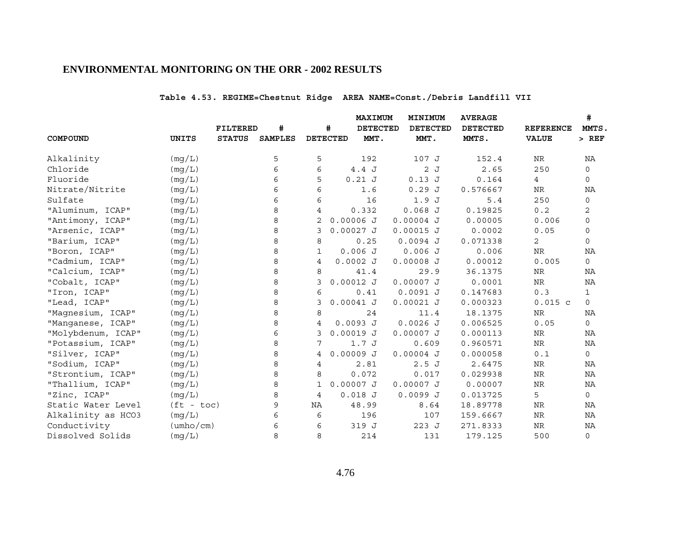# **Table 4.53. REGIME=Chestnut Ridge AREA NAME=Const./Debris Landfill VII**

|                    |                           |               |                |                |                 | <b>MAXIMUM</b>  | MINIMUM         | <b>AVERAGE</b>  |                  | #                   |
|--------------------|---------------------------|---------------|----------------|----------------|-----------------|-----------------|-----------------|-----------------|------------------|---------------------|
|                    |                           | FILTERED      | #              |                | #               | <b>DETECTED</b> | <b>DETECTED</b> | <b>DETECTED</b> | <b>REFERENCE</b> | MMTS.               |
| COMPOUND           | <b>UNITS</b>              | <b>STATUS</b> | <b>SAMPLES</b> |                | <b>DETECTED</b> | MMT.            | MMT.            | MMTS.           | <b>VALUE</b>     | $>$ REF             |
| Alkalinity         | (mq/L)                    |               | 5              | 5              |                 | 192             | 107 J           | 152.4           | NR               | NA                  |
| Chloride           | (mq/L)                    |               | 6              | 6              | 4.4J            |                 | 2J              | 2.65            | 250              | $\mathsf{O}$        |
| Fluoride           | (mg/L)                    |               | 6              | 5              | $0.21$ J        |                 | 0.13J           | 0.164           | 4                | 0                   |
| Nitrate/Nitrite    | (mg/L)                    |               | 6              | 6              |                 | 1.6             | 0.29J           | 0.576667        | NR               | ΝA                  |
| Sulfate            | (mq/L)                    |               | 6              | 6              |                 | 16              | 1.9J            | 5.4             | 250              | $\mathsf{O}\xspace$ |
| "Aluminum, ICAP"   | (mq/L)                    |               | 8              | 4              | 0.332           |                 | $0.068$ J       | 0.19825         | 0.2              | 2                   |
| "Antimony, ICAP"   | (mg/L)                    |               | 8              | 2              | $0.00006$ J     |                 | $0.00004$ J     | 0.00005         | 0.006            | 0                   |
| "Arsenic, ICAP"    | (mg/L)                    |               | 8              | 3              | $0.00027$ J     |                 | $0.00015$ J     | 0.0002          | 0.05             | 0                   |
| "Barium, ICAP"     | (mg/L)                    |               | 8              | 8              |                 | 0.25            | $0.0094$ J      | 0.071338        | $\overline{2}$   | $\mathbf 0$         |
| "Boron, ICAP"      | (mg/L)                    |               | 8              | $\mathbf{1}$   | 0.006J          |                 | $0.006$ J       | 0.006           | NR               | ΝA                  |
| "Cadmium, ICAP"    | (mg/L)                    |               | 8              | 4              | $0.0002$ J      |                 | $0.00008$ J     | 0.00012         | 0.005            | $\mathsf{O}$        |
| "Calcium, ICAP"    | (mg/L)                    |               | 8              | 8              |                 | 41.4            | 29.9            | 36.1375         | NR               | NA                  |
| "Cobalt, ICAP"     | (mg/L)                    |               | 8              | 3              | $0.00012$ J     |                 | $0.00007$ J     | 0.0001          | <b>NR</b>        | ΝA                  |
| "Iron, ICAP"       | (mg/L)                    |               | 8              | 6              |                 | 0.41            | $0.0091$ J      | 0.147683        | 0.3              | $\mathbf{1}$        |
| "Lead, ICAP"       | (mg/L)                    |               | 8              | 3              | $0.00041$ J     |                 | $0.00021$ J     | 0.000323        | $0.015$ c        | 0                   |
| "Magnesium, ICAP"  | (mg/L)                    |               | 8              | 8              |                 | 24              | 11.4            | 18.1375         | <b>NR</b>        | NA                  |
| "Manganese, ICAP"  | (mg/L)                    |               | 8              | $\overline{4}$ | $0.0093$ J      |                 | $0.0026$ J      | 0.006525        | 0.05             | 0                   |
| "Molybdenum, ICAP" | (mg/L)                    |               | 6              | 3              | $0.00019$ J     |                 | $0.00007$ J     | 0.000113        | ${\hbox{NR}}$    | NA                  |
| "Potassium, ICAP"  | (mg/L)                    |               | 8              | 7              | 1.7J            |                 | 0.609           | 0.960571        | ${\rm NR}$       | NA                  |
| "Silver, ICAP"     | (mg/L)                    |               | 8              | 4              | $0.00009$ J     |                 | $0.00004$ J     | 0.000058        | $0.1$            | $\mathsf{O}$        |
| "Sodium, ICAP"     | (mg/L)                    |               | 8              | 4              |                 | 2.81            | 2.5J            | 2.6475          | NR               | ΝA                  |
| "Strontium, ICAP"  | (mq/L)                    |               | 8              | 8              | 0.072           |                 | 0.017           | 0.029938        | NR               | NA                  |
| "Thallium, ICAP"   | (mq/L)                    |               | 8              | 1              | $0.00007$ J     |                 | $0.00007$ J     | 0.00007         | NR               | ΝA                  |
| "Zinc, ICAP"       | (mg/L)                    |               | 8              | 4              | $0.018$ J       |                 | 0.0099J         | 0.013725        | 5                | $\mathbf 0$         |
| Static Water Level | $(tt - toc)$              |               | 9              | NA             | 48.99           |                 | 8.64            | 18.89778        | NR               | ΝA                  |
| Alkalinity as HCO3 | (mg/L)                    |               | 6              | 6              |                 | 196             | 107             | 159.6667        | NR               | ΝA                  |
| Conductivity       | $(\text{umbo}/\text{cm})$ |               | 6              | 6              | 319 J           |                 | 223 J           | 271.8333        | ${\hbox{NR}}$    | ΝA                  |
| Dissolved Solids   | (mg/L)                    |               | 8              | 8              |                 | 214             | 131             | 179.125         | 500              | $\mathbf 0$         |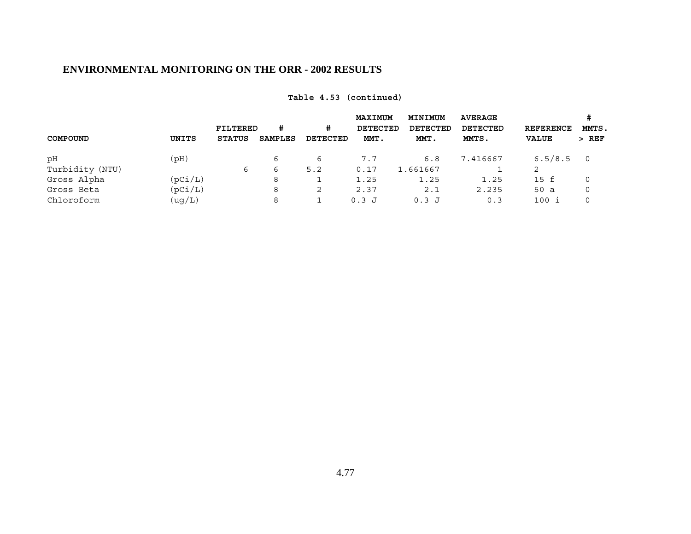|                   |               | <b>FILTERED</b><br># |          | <b>MAXIMUM</b><br>DETECTED | MINIMUM<br>DETECTED | <b>AVERAGE</b><br>DETECTED | <b>REFERENCE</b> | MMTS.          |
|-------------------|---------------|----------------------|----------|----------------------------|---------------------|----------------------------|------------------|----------------|
| COMPOUND<br>UNITS | <b>STATUS</b> | SAMPLES              | DETECTED | MMT.                       | MMT.                | MMTS.                      | <b>VALUE</b>     | $>$ REF        |
| (pH)<br>рH        |               | 6                    | 6        | 7.7                        | 6.8                 | 7.416667                   | 6.5/8.5          | $\overline{0}$ |
| Turbidity (NTU)   | 6             | 6                    | 5.2      | 0.17                       | 1.661667            |                            | 2                |                |
| Gross Alpha       | (pCi/L)       | 8                    |          | 1.25                       | 1.25                | 1.25                       | 15 f             | 0              |
| Gross Beta        | (pCi/L)       | 8                    | 2        | 2.37                       | 2.1                 | 2.235                      | 50 a             | 0              |
| Chloroform        | (ug/L)        | 8                    |          | $0.3$ J                    | $0.3$ J             | 0.3                        | $100$ i          | 0              |

# **Table 4.53 (continued)**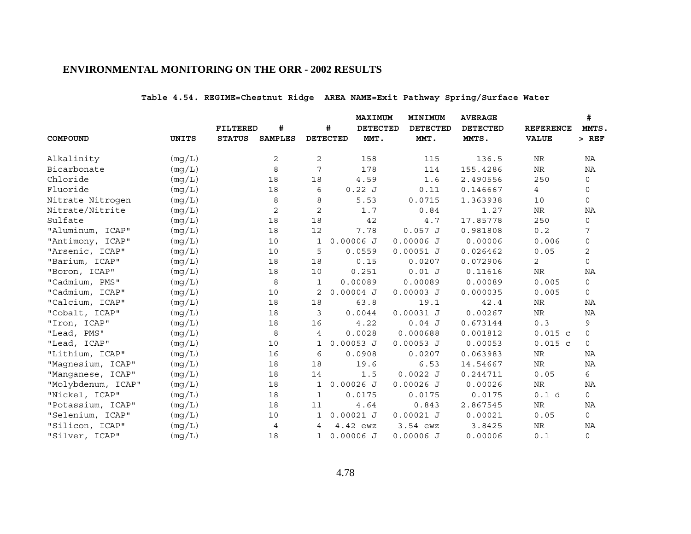# **Table 4.54. REGIME=Chestnut Ridge AREA NAME=Exit Pathway Spring/Surface Water**

|                    |              |                 |                |              |                 | <b>MAXIMUM</b>  | MINIMUM         | <b>AVERAGE</b>  |                  | #              |
|--------------------|--------------|-----------------|----------------|--------------|-----------------|-----------------|-----------------|-----------------|------------------|----------------|
|                    |              | <b>FILTERED</b> | #              |              | #               | <b>DETECTED</b> | <b>DETECTED</b> | <b>DETECTED</b> | <b>REFERENCE</b> | MMTS.          |
| COMPOUND           | <b>UNITS</b> | <b>STATUS</b>   | <b>SAMPLES</b> |              | <b>DETECTED</b> | MMT.            | MMT.            | MMTS.           | <b>VALUE</b>     | $>$ REF        |
| Alkalinity         | (mg/L)       |                 | 2              | 2            |                 | 158             | 115             | 136.5           | NR               | ΝA             |
| Bicarbonate        | (mg/L)       |                 | 8              | 7            |                 | 178             | 114             | 155.4286        | ${\hbox{NR}}$    | NA             |
| Chloride           | (mq/L)       |                 | 18             | 18           |                 | 4.59            | 1.6             | 2.490556        | 250              | 0              |
| Fluoride           | (mg/L)       |                 | 18             | 6            | 0.22J           |                 | 0.11            | 0.146667        | 4                | 0              |
| Nitrate Nitrogen   | (mg/L)       |                 | 8              | 8            |                 | 5.53            | 0.0715          | 1.363938        | 10               | $\mathsf{O}$   |
| Nitrate/Nitrite    | (mq/L)       |                 | 2              | $\mathbf{2}$ |                 | 1.7             | 0.84            | 1.27            | NR               | NA             |
| Sulfate            | (mg/L)       |                 | 18             | 18           |                 | 42              | 4.7             | 17.85778        | 250              | 0              |
| "Aluminum, ICAP"   | (mg/L)       |                 | 18             | 12           |                 | 7.78            | 0.057 J         | 0.981808        | 0.2              | 7              |
| "Antimony, ICAP"   | (mg/L)       |                 | 10             | 1            | $0.00006$ J     |                 | $0.00006$ J     | 0.00006         | 0.006            | $\mathsf{O}$   |
| "Arsenic, ICAP"    | (mg/L)       |                 | 10             | 5            | 0.0559          |                 | $0.00051$ J     | 0.026462        | 0.05             | 2              |
| "Barium, ICAP"     | (mg/L)       |                 | 18             | 18           | 0.15            |                 | 0.0207          | 0.072906        | $\overline{2}$   | $\mathsf{O}$   |
| "Boron, ICAP"      | (mq/L)       |                 | 18             | 10           | 0.251           |                 | 0.01 J          | 0.11616         | NR               | NA             |
| "Cadmium, PMS"     | (mg/L)       |                 | 8              | $\mathbf{1}$ | 0.00089         |                 | 0.00089         | 0.00089         | 0.005            | $\mathsf{O}$   |
| "Cadmium, ICAP"    | (mg/L)       |                 | 10             | 2            | $0.00004$ J     |                 | $0.00003$ J     | 0.000035        | 0.005            | 0              |
| "Calcium, ICAP"    | (mg/L)       |                 | 18             | 18           |                 | 63.8            | 19.1            | 42.4            | <b>NR</b>        | NA             |
| "Cobalt, ICAP"     | (mg/L)       |                 | 18             | 3            | 0.0044          |                 | $0.00031$ J     | 0.00267         | ${\hbox{NR}}$    | ΝA             |
| "Iron, ICAP"       | (mg/L)       |                 | 18             | 16           |                 | 4.22            | 0.04J           | 0.673144        | 0.3              | 9              |
| "Lead, PMS"        | (mg/L)       |                 | 8              | 4            | 0.0028          |                 | 0.000688        | 0.001812        | $0.015$ c        | $\mathsf{O}$   |
| "Lead, ICAP"       | (mg/L)       |                 | 10             | 1            | $0.00053$ J     |                 | $0.00053$ J     | 0.00053         | $0.015$ c        | $\circ$        |
| "Lithium, ICAP"    | (mg/L)       |                 | 16             | 6            | 0.0908          |                 | 0.0207          | 0.063983        | NR               | ΝA             |
| "Magnesium, ICAP"  | (mg/L)       |                 | 18             | 18           | 19.6            |                 | 6.53            | 14.54667        | <b>NR</b>        | ΝA             |
| "Manganese, ICAP"  | (mg/L)       |                 | 18             | 14           |                 | 1.5             | $0.0022$ J      | 0.244711        | 0.05             | 6              |
| "Molybdenum, ICAP" | (mg/L)       |                 | 18             | $\mathbf{1}$ | $0.00026$ J     |                 | $0.00026$ J     | 0.00026         | <b>NR</b>        | NA             |
| "Nickel, ICAP"     | (mg/L)       |                 | 18             | $\mathbf{1}$ | 0.0175          |                 | 0.0175          | 0.0175          | 0.1 d            | $\mathsf{O}$   |
| "Potassium, ICAP"  | (mg/L)       |                 | 18             | 11           |                 | 4.64            | 0.843           | 2.867545        | <b>NR</b>        | NA             |
| "Selenium, ICAP"   | (mg/L)       |                 | 10             | 1            | $0.00021$ J     |                 | $0.00021$ J     | 0.00021         | 0.05             | 0              |
| "Silicon, ICAP"    | (mg/L)       |                 | 4              | 4            | 4.42 ewz        |                 | 3.54 ewz        | 3.8425          | <b>NR</b>        | NA             |
| "Silver, ICAP"     | (mg/L)       |                 | 18             | $\mathbf{1}$ | $0.00006$ J     |                 | $0.00006$ J     | 0.00006         | 0.1              | $\overline{0}$ |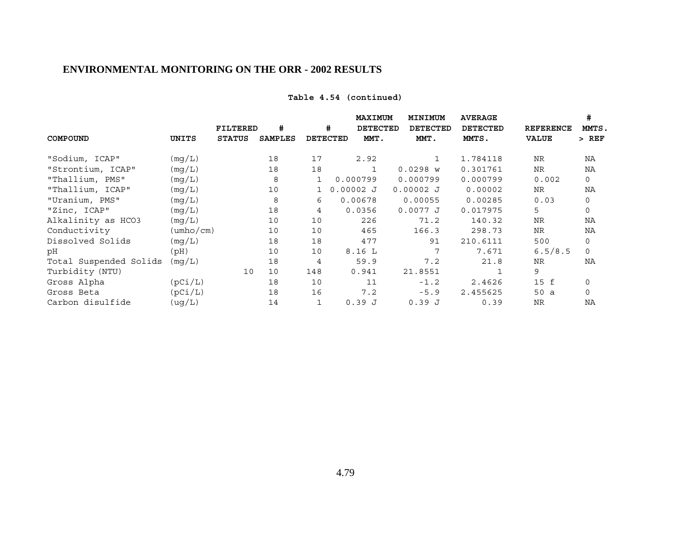## **Table 4.54 (continued)**

|                        |                           |                 |                |     |             | MAXIMUM         | MINIMUM         | <b>AVERAGE</b>  |                  | #           |
|------------------------|---------------------------|-----------------|----------------|-----|-------------|-----------------|-----------------|-----------------|------------------|-------------|
|                        |                           | <b>FILTERED</b> | #              |     | #           | <b>DETECTED</b> | <b>DETECTED</b> | <b>DETECTED</b> | <b>REFERENCE</b> | MMTS.       |
| COMPOUND               | UNITS                     | <b>STATUS</b>   | <b>SAMPLES</b> |     | DETECTED    | MMT.            | MMT.            | MMTS.           | <b>VALUE</b>     | > REF       |
| "Sodium, ICAP"         | (mq/L)                    |                 | 18             | 17  |             | 2.92            | $\mathbf{1}$    | 1.784118        | NR               | NA          |
| "Strontium, ICAP"      | (mq/L)                    |                 | 18             | 18  |             |                 | $0.0298$ W      | 0.301761        | NR               | NA          |
| "Thallium, PMS"        | (mq/L)                    |                 | 8              | 1   |             | 0.000799        | 0.000799        | 0.000799        | 0.002            | 0           |
| "Thallium, ICAP"       | (mg/L)                    |                 | 10             |     | $0.00002$ J |                 | $0.00002$ J     | 0.00002         | <b>NR</b>        | NA          |
| "Uranium, PMS"         | (mg/L)                    |                 | 8              | 6   |             | 0.00678         | 0.00055         | 0.00285         | 0.03             | $\mathbf 0$ |
| "Zinc, ICAP"           | (mq/L)                    |                 | 18             | 4   |             | 0.0356          | 0.0077J         | 0.017975        | 5                | $\mathbf 0$ |
| Alkalinity as HCO3     | (mq/L)                    |                 | 10             | 10  |             | 226             | 71.2            | 140.32          | <b>NR</b>        | NA          |
| Conductivity           | $(\text{umbo}/\text{cm})$ |                 | 10             | 10  |             | 465             | 166.3           | 298.73          | <b>NR</b>        | NA          |
| Dissolved Solids       | (mg/L)                    |                 | 18             | 18  |             | 477             | 91              | 210.6111        | 500              | 0           |
| рH                     | (Hq)                      |                 | 10             | 10  |             | 8.16L           | 7               | 7.671           | 6.5/8.5          | $\Omega$    |
| Total Suspended Solids | (mq/L)                    |                 | 18             | 4   |             | 59.9            | 7.2             | 21.8            | <b>NR</b>        | NA          |
| Turbidity (NTU)        |                           | 10              | 10             | 148 |             | 0.941           | 21.8551         |                 | 9                |             |
| Gross Alpha            | (pCi/L)                   |                 | 18             | 10  |             | 11              | $-1.2$          | 2.4626          | 15 f             | 0           |
| Gross Beta             | (pCi/L)                   |                 | 18             | 16  |             | 7.2             | $-5.9$          | 2.455625        | 50a              | $\mathbf 0$ |
| Carbon disulfide       | (ug/L)                    |                 | 14             | 1   |             | 0.39J           | 0.39J           | 0.39            | <b>NR</b>        | NA          |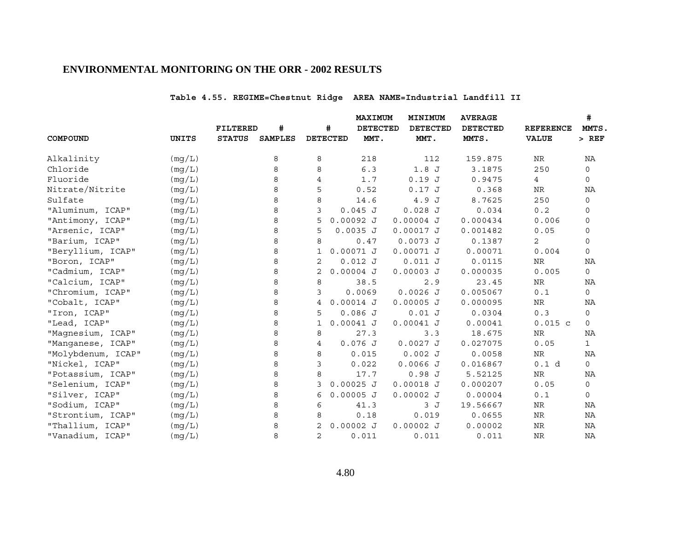# **Table 4.55. REGIME=Chestnut Ridge AREA NAME=Industrial Landfill II**

|                    |              |               |                |                 | MAXIMUM         | MINIMUM         | <b>AVERAGE</b>  |                  | #            |
|--------------------|--------------|---------------|----------------|-----------------|-----------------|-----------------|-----------------|------------------|--------------|
|                    |              | FILTERED      | #              | #               | <b>DETECTED</b> | <b>DETECTED</b> | <b>DETECTED</b> | <b>REFERENCE</b> | MMTS.        |
| COMPOUND           | <b>UNITS</b> | <b>STATUS</b> | <b>SAMPLES</b> | <b>DETECTED</b> | MMT.            | MMT.            | MMTS.           | <b>VALUE</b>     | $>$ REF      |
| Alkalinity         | (mg/L)       |               | 8              | 8               | 218             | 112             | 159.875         | NR               | ΝA           |
| Chloride           | (mg/L)       |               | 8              | 8               | 6.3             | 1.8J            | 3.1875          | 250              | $\mathbf 0$  |
| Fluoride           | (mg/L)       |               | 8              | 4               | 1.7             | 0.19J           | 0.9475          | 4                | 0            |
| Nitrate/Nitrite    | (mg/L)       |               | 8              | 5               | 0.52            | 0.17J           | 0.368           | NR               | ΝA           |
| Sulfate            | (mg/L)       |               | 8              | 8               | 14.6            | 4.9 J           | 8.7625          | 250              | 0            |
| "Aluminum, ICAP"   | (mg/L)       |               | 8              | 3               | $0.045$ J       | $0.028$ J       | 0.034           | 0.2              | 0            |
| "Antimony, ICAP"   | (mg/L)       |               | 8              | 5               | $0.00092$ J     | $0.00004$ J     | 0.000434        | 0.006            | 0            |
| "Arsenic, ICAP"    | (mg/L)       |               | 8              | 5               | $0.0035$ J      | $0.00017$ J     | 0.001482        | 0.05             | 0            |
| "Barium, ICAP"     | (mg/L)       |               | 8              | 8               | 0.47            | $0.0073$ J      | 0.1387          | 2                | 0            |
| "Beryllium, ICAP"  | (mg/L)       |               | 8              | 1               | $0.00071$ J     | $0.00071$ J     | 0.00071         | 0.004            | $\mathbf 0$  |
| "Boron, ICAP"      | (mg/L)       |               | 8              | 2               | $0.012$ J       | 0.011 J         | 0.0115          | NR               | ΝA           |
| "Cadmium, ICAP"    | (mq/L)       |               | 8              | $\overline{2}$  | $0.00004$ J     | $0.00003$ J     | 0.000035        | 0.005            | 0            |
| "Calcium, ICAP"    | (mg/L)       |               | 8              | 8               | 38.5            | 2.9             | 23.45           | NR               | ΝA           |
| "Chromium, ICAP"   | (mg/L)       |               | 8              | 3               | 0.0069          | $0.0026$ J      | 0.005067        | 0.1              | $\mathbf 0$  |
| "Cobalt, ICAP"     | (mg/L)       |               | 8              | 4               | $0.00014$ J     | $0.00005$ J     | 0.000095        | NR               | ΝA           |
| "Iron, ICAP"       | (mg/L)       |               | 8              | 5               | 0.086J          | 0.01 J          | 0.0304          | 0.3              | 0            |
| "Lead, ICAP"       | (mg/L)       |               | 8              | 1               | $0.00041$ J     | $0.00041$ J     | 0.00041         | $0.015$ c        | $\mathbf 0$  |
| "Magnesium, ICAP"  | (mg/L)       |               | 8              | 8               | 27.3            | 3.3             | 18.675          | NR               | ΝA           |
| "Manganese, ICAP"  | (mg/L)       |               | 8              | 4               | $0.076$ J       | $0.0027$ J      | 0.027075        | 0.05             | $\mathbf{1}$ |
| "Molybdenum, ICAP" | (mg/L)       |               | 8              | 8               | 0.015           | 0.002J          | 0.0058          | NR               | ΝA           |
| "Nickel, ICAP"     | (mg/L)       |               | 8              | 3               | 0.022           | $0.0066$ J      | 0.016867        | 0.1 d            | 0            |
| "Potassium, ICAP"  | (mg/L)       |               | 8              | 8               | 17.7            | 0.98J           | 5.52125         | NR               | ΝA           |
| "Selenium, ICAP"   | (mq/L)       |               | 8              | 3               | $0.00025$ J     | $0.00018$ J     | 0.000207        | 0.05             | 0            |
| "Silver, ICAP"     | (mg/L)       |               | 8              | 6               | $0.00005$ J     | $0.00002$ J     | 0.00004         | 0.1              | 0            |
| "Sodium, ICAP"     | (mg/L)       |               | 8              | 6               | 41.3            | 3J              | 19.56667        | NR               | ΝA           |
| "Strontium, ICAP"  | (mg/L)       |               | 8              | 8               | 0.18            | 0.019           | 0.0655          | NR               | ΝA           |
| "Thallium, ICAP"   | (mg/L)       |               | 8              | 2               | $0.00002$ J     | $0.00002$ J     | 0.00002         | NR               | ΝA           |
| "Vanadium, ICAP"   | (mq/L)       |               | 8              | 2               | 0.011           | 0.011           | 0.011           | <b>NR</b>        | NA           |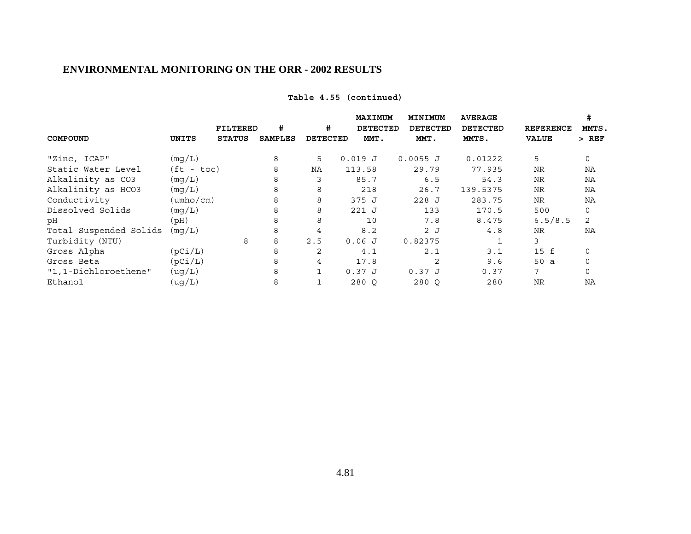# **Table 4.55 (continued)**

|                        |                           |               |         |                 | <b>MAXIMUM</b>  | MINIMUM    | <b>AVERAGE</b>  |                  | #        |
|------------------------|---------------------------|---------------|---------|-----------------|-----------------|------------|-----------------|------------------|----------|
|                        |                           | FILTERED      | #       | #               | <b>DETECTED</b> | DETECTED   | <b>DETECTED</b> | <b>REFERENCE</b> | MMTS.    |
| COMPOUND               | UNITS                     | <b>STATUS</b> | SAMPLES | <b>DETECTED</b> | MMT.            | MMT.       | MMTS.           | <b>VALUE</b>     | $>$ REF  |
| "Zinc, ICAP"           | (mq/L)                    |               | 8       | 5               | 0.019J          | $0.0055$ J | 0.01222         | 5                | 0        |
| Static Water Level     | $(ft - toc)$              |               | 8       | NA              | 113.58          | 29.79      | 77.935          | <b>NR</b>        | NA       |
| Alkalinity as CO3      | (mq/L)                    |               | 8       | 3               | 85.7            | 6.5        | 54.3            | <b>NR</b>        | ΝA       |
| Alkalinity as HCO3     | (mq/L)                    |               | 8       | 8               | 218             | 26.7       | 139.5375        | <b>NR</b>        | NA       |
| Conductivity           | $(\text{umbo}/\text{cm})$ |               | 8       | 8               | 375 J           | $228$ J    | 283.75          | <b>NR</b>        | NA       |
| Dissolved Solids       | (mq/L)                    |               | 8       | 8               | $221$ J         | 133        | 170.5           | 500              | 0        |
| рH                     | (Hq)                      |               | 8       | 8               | 10              | 7.8        | 8.475           | 6.5/8.5          | 2        |
| Total Suspended Solids | (mq/L)                    |               | 8       | 4               | 8.2             | 2J         | 4.8             | <b>NR</b>        | NA       |
| Turbidity (NTU)        |                           | 8             | 8       | 2.5             | 0.06J           | 0.82375    |                 | 3                |          |
| Gross Alpha            | (pCi/L)                   |               | 8       | 2               | 4.1             | 2.1        | 3.1             | 15 f             | 0        |
| Gross Beta             | (pCi/L)                   |               | 8       | 4               | 17.8            | 2          | 9.6             | 50a              | 0        |
| "1,1-Dichloroethene"   | (ug/L)                    |               | 8       | $\mathbf{1}$    | 0.37J           | 0.37J      | 0.37            | 7                | $\Omega$ |
| Ethanol                | (ug/L)                    |               | 8       |                 | 280 O           | 280 O      | 280             | <b>NR</b>        | NA       |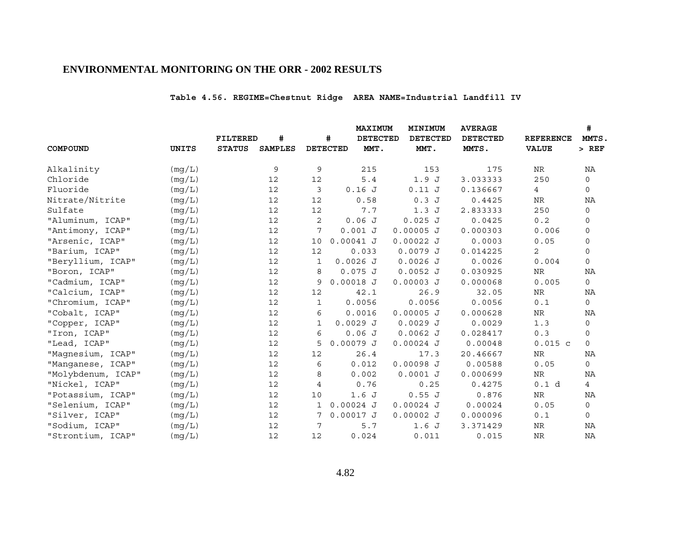# **Table 4.56. REGIME=Chestnut Ridge AREA NAME=Industrial Landfill IV**

|                    |              |                 |                |             |                 | <b>MAXIMUM</b>  | MINIMUM         | <b>AVERAGE</b>  |                  | #            |
|--------------------|--------------|-----------------|----------------|-------------|-----------------|-----------------|-----------------|-----------------|------------------|--------------|
|                    |              | <b>FILTERED</b> | #              |             | #               | <b>DETECTED</b> | <b>DETECTED</b> | <b>DETECTED</b> | <b>REFERENCE</b> | MMTS,        |
| COMPOUND           | <b>UNITS</b> | <b>STATUS</b>   | <b>SAMPLES</b> |             | <b>DETECTED</b> | MMT.            | MMT.            | MMTS.           | <b>VALUE</b>     | $>$ REF      |
| Alkalinity         | (mq/L)       |                 | 9              | 9           |                 | 215             | 153             | 175             | ${\hbox{NR}}$    | ΝA           |
| Chloride           | (mq/L)       |                 | 12             | 12          |                 | 5.4             | 1.9J            | 3.033333        | 250              | 0            |
| Fluoride           | (mg/L)       |                 | 12             | 3           | 0.16J           |                 | 0.11J           | 0.136667        | $\overline{4}$   | 0            |
| Nitrate/Nitrite    | (mq/L)       |                 | 12             | 12          |                 | 0.58            | 0.3J            | 0.4425          | NR               | ΝA           |
| Sulfate            | (mq/L)       |                 | 12             | 12          |                 | 7.7             | 1.3J            | 2.833333        | 250              | $\mathbf 0$  |
| "Aluminum, ICAP"   | (mg/L)       |                 | 12             | 2           | 0.06J           |                 | 0.025J          | 0.0425          | 0.2              | 0            |
| "Antimony, ICAP"   | (mg/L)       |                 | 12             | 7           | 0.001 J         |                 | $0.00005$ J     | 0.000303        | 0.006            | $\mathbf 0$  |
| "Arsenic, ICAP"    | (mg/L)       |                 | 12             | 10          | $0.00041$ J     |                 | 0.00022J        | 0.0003          | 0.05             | 0            |
| "Barium, ICAP"     | (mq/L)       |                 | 12             | 12          | 0.033           |                 | 0.0079J         | 0.014225        | 2                | 0            |
| "Beryllium, ICAP"  | (mg/L)       |                 | 12             | 1           | $0.0026$ J      |                 | $0.0026$ J      | 0.0026          | 0.004            | $\mathsf{O}$ |
| "Boron, ICAP"      | (mg/L)       |                 | 12             | 8           | $0.075$ J       |                 | $0.0052$ J      | 0.030925        | NR               | ΝA           |
| "Cadmium, ICAP"    | (mg/L)       |                 | 12             | 9           | $0.00018$ J     |                 | $0.00003$ J     | 0.000068        | 0.005            | 0            |
| "Calcium, ICAP"    | (mq/L)       |                 | 12             | 12          |                 | 42.1            | 26.9            | 32.05           | NR               | NA           |
| "Chromium, ICAP"   | (mq/L)       |                 | 12             | $\mathbf 1$ | 0.0056          |                 | 0.0056          | 0.0056          | 0.1              | 0            |
| "Cobalt, ICAP"     | (mq/L)       |                 | 12             | 6           | 0.0016          |                 | $0.00005$ J     | 0.000628        | NR               | NA           |
| "Copper, ICAP"     | (mg/L)       |                 | 12             | 1           | $0.0029$ J      |                 | $0.0029$ J      | 0.0029          | 1.3              | 0            |
| "Iron, ICAP"       | (mg/L)       |                 | 12             | 6           | 0.06J           |                 | $0.0062$ J      | 0.028417        | 0.3              | 0            |
| "Lead, ICAP"       | (mq/L)       |                 | 12             | 5           | $0.00079$ J     |                 | $0.00024$ J     | 0.00048         | $0.015$ c        | $\mathbf 0$  |
| "Magnesium, ICAP"  | (mq/L)       |                 | 12             | 12          |                 | 26.4            | 17.3            | 20.46667        | NR               | NA           |
| "Manganese, ICAP"  | (mg/L)       |                 | 12             | 6           | 0.012           |                 | $0.00098$ J     | 0.00588         | 0.05             | $\mathsf{O}$ |
| "Molybdenum, ICAP" | (mq/L)       |                 | 12             | 8           | 0.002           |                 | $0.0001$ J      | 0.000699        | NR               | ΝA           |
| "Nickel, ICAP"     | (mq/L)       |                 | 12             | 4           |                 | 0.76            | 0.25            | 0.4275          | 0.1 d            | 4            |
| "Potassium, ICAP"  | (mg/L)       |                 | 12             | 10          | 1.6J            |                 | 0.55J           | 0.876           | NR               | ΝA           |
| "Selenium, ICAP"   | (mg/L)       |                 | 12             | 1           | $0.00024$ J     |                 | $0.00024$ J     | 0.00024         | 0.05             | 0            |
| "Silver, ICAP"     | (mg/L)       |                 | 12             | 7           | $0.00017$ J     |                 | $0.00002$ J     | 0.000096        | 0.1              | 0            |
| "Sodium, ICAP"     | (mq/L)       |                 | 12             | 7           |                 | 5.7             | 1.6J            | 3.371429        | NR               | ΝA           |
| "Strontium, ICAP"  | (mg/L)       |                 | 12             | 12          | 0.024           |                 | 0.011           | 0.015           | <b>NR</b>        | NA           |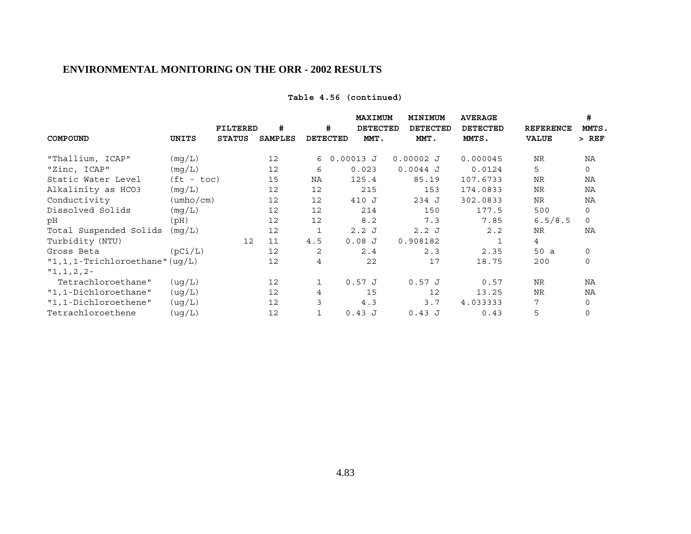# **Table 4.56 (continued)**

|                                   |                           |               |                |                 | MAXIMUM         | MINIMUM     | <b>AVERAGE</b>  |                  | #            |
|-----------------------------------|---------------------------|---------------|----------------|-----------------|-----------------|-------------|-----------------|------------------|--------------|
|                                   |                           | FILTERED      | #              | #               | <b>DETECTED</b> | DETECTED    | <b>DETECTED</b> | <b>REFERENCE</b> | MMTS.        |
| COMPOUND                          | UNITS                     | <b>STATUS</b> | <b>SAMPLES</b> | <b>DETECTED</b> | MMT.            | MMT.        | MMTS.           | <b>VALUE</b>     | $>$ REF      |
| "Thallium, ICAP"                  | (mq/L)                    |               | 12             | 6               | $0.00013$ J     | $0.00002$ J | 0.000045        | <b>NR</b>        | NA           |
| "Zinc, ICAP"                      | (mq/L)                    |               | 12             | 6               | 0.023           | $0.0044$ J  | 0.0124          | 5                | $\mathsf{O}$ |
| Static Water Level                | $(ft - toc)$              |               | 15             | NA              | 125.4           | 85.19       | 107.6733        | <b>NR</b>        | NA           |
| Alkalinity as HCO3                | (mq/L)                    |               | 12             | 12              | 215             | 153         | 174.0833        | <b>NR</b>        | NA           |
| Conductivity                      | $(\text{umbo}/\text{cm})$ |               | 12             | 12              | 410 J           | 234 J       | 302.0833        | <b>NR</b>        | NA           |
| Dissolved Solids                  | (mg/L)                    |               | 12             | 12              | 214             | 150         | 177.5           | 500              | $\mathbf 0$  |
| рH                                | (Hq)                      |               | 12             | 12              | 8.2             | 7.3         | 7.85            | 6.5/8.5          | $\Omega$     |
| Total Suspended Solids            | (mq/L)                    |               | 12             | 1               | 2.2J            | 2.2J        | 2.2             | <b>NR</b>        | NA           |
| Turbidity (NTU)                   |                           | 12            | 11             | 4.5             | 0.08J           | 0.908182    |                 | $\overline{4}$   |              |
| Gross Beta                        | (pCi/L)                   |               | 12             | 2               | 2.4             | 2.3         | 2.35            | 50 a             | $\mathbf 0$  |
| $"1,1,1$ -Trichloroethane" (uq/L) |                           |               | 12             | 4               | 22              | 17          | 18.75           | 200              | $\mathbf 0$  |
| $"1,1,2,2-$                       |                           |               |                |                 |                 |             |                 |                  |              |
| Tetrachloroethane"                | (ug/L)                    |               | 12             | 1               | 0.57J           | 0.57J       | 0.57            | <b>NR</b>        | NA           |
| "1,1-Dichloroethane"              | ( uq/L)                   |               | 12             | $\overline{4}$  | 15              | 12          | 13.25           | <b>NR</b>        | NA           |
| "1,1-Dichloroethene"              | (ug/L)                    |               | 12             | 3               | 4.3             | 3.7         | 4.033333        | 7                | $\mathbf 0$  |
| Tetrachloroethene                 | (ug/L)                    |               | 12             | 1               | 0.43J           | 0.43J       | 0.43            | 5                | 0            |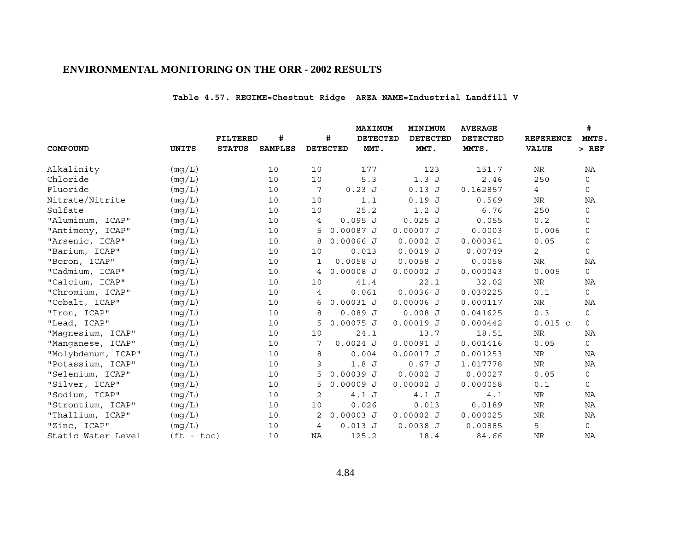# **Table 4.57. REGIME=Chestnut Ridge AREA NAME=Industrial Landfill V**

|                    |              |                 |                |    |                 | <b>MAXIMUM</b>  | MINIMUM         | <b>AVERAGE</b>  |                  | #            |
|--------------------|--------------|-----------------|----------------|----|-----------------|-----------------|-----------------|-----------------|------------------|--------------|
|                    |              | <b>FILTERED</b> | #              |    | #               | <b>DETECTED</b> | <b>DETECTED</b> | <b>DETECTED</b> | <b>REFERENCE</b> | MMTS,        |
| COMPOUND           | <b>UNITS</b> | <b>STATUS</b>   | <b>SAMPLES</b> |    | <b>DETECTED</b> | MMT.            | MMT.            | MMTS.           | <b>VALUE</b>     | $>$ REF      |
| Alkalinity         | (mq/L)       |                 | 10             | 10 |                 | 177             | 123             | 151.7           | ${\hbox{NR}}$    | NA           |
| Chloride           | (mq/L)       |                 | 10             | 10 |                 | 5.3             | 1.3J            | 2.46            | 250              | 0            |
| Fluoride           | (mg/L)       |                 | 10             | 7  |                 | $0.23$ J        | $0.13$ J        | 0.162857        | $\overline{4}$   | 0            |
| Nitrate/Nitrite    | (mq/L)       |                 | 10             | 10 |                 | 1.1             | 0.19J           | 0.569           | NR               | ΝA           |
| Sulfate            | (mq/L)       |                 | 10             | 10 |                 | 25.2            | 1.2J            | 6.76            | 250              | $\mathbf 0$  |
| "Aluminum, ICAP"   | (mg/L)       |                 | 10             | 4  | 0.095J          |                 | $0.025$ J       | 0.055           | 0.2              | 0            |
| "Antimony, ICAP"   | (mq/L)       |                 | 10             | 5  | $0.00087$ J     |                 | $0.00007$ J     | 0.0003          | 0.006            | $\mathsf{O}$ |
| "Arsenic, ICAP"    | (mg/L)       |                 | 10             | 8  | $0.00066$ J     |                 | $0.0002$ J      | 0.000361        | 0.05             | 0            |
| "Barium, ICAP"     | (mq/L)       |                 | 10             | 10 |                 | 0.013           | $0.0019$ J      | 0.00749         | 2                | 0            |
| "Boron, ICAP"      | (mg/L)       |                 | 10             | 1  | $0.0058$ J      |                 | $0.0058$ J      | 0.0058          | <b>NR</b>        | NA           |
| "Cadmium, ICAP"    | (mg/L)       |                 | 10             | 4  | $0.00008$ J     |                 | $0.00002$ J     | 0.000043        | 0.005            | $\mathsf{O}$ |
| "Calcium, ICAP"    | (mg/L)       |                 | 10             | 10 |                 | 41.4            | 22.1            | 32.02           | <b>NR</b>        | NA           |
| "Chromium, ICAP"   | (mq/L)       |                 | 10             | 4  |                 | 0.061           | $0.0036$ J      | 0.030225        | 0.1              | $\mathsf{O}$ |
| "Cobalt, ICAP"     | (mq/L)       |                 | 10             | 6  | $0.00031$ J     |                 | $0.00006$ J     | 0.000117        | NR               | NA           |
| "Iron, ICAP"       | (mq/L)       |                 | 10             | 8  | 0.089J          |                 | $0.008$ J       | 0.041625        | $0.3$            | 0            |
| "Lead, ICAP"       | (mg/L)       |                 | 10             | 5  | $0.00075$ J     |                 | $0.00019$ J     | 0.000442        | $0.015$ c        | $\mathbf{0}$ |
| "Magnesium, ICAP"  | (mg/L)       |                 | 10             | 10 |                 | 24.1            | 13.7            | 18.51           | NR               | NA           |
| "Manganese, ICAP"  | (mq/L)       |                 | 10             | 7  | $0.0024$ J      |                 | $0.00091$ J     | 0.001416        | 0.05             | 0            |
| "Molybdenum, ICAP" | (mq/L)       |                 | 10             | 8  |                 | 0.004           | $0.00017$ J     | 0.001253        | NR               | NA           |
| "Potassium, ICAP"  | (mg/L)       |                 | 10             | 9  |                 | 1.8J            | 0.67 J          | 1.017778        | ${\hbox{NR}}$    | NA           |
| "Selenium, ICAP"   | (mq/L)       |                 | 10             | 5  | $0.00039$ J     |                 | $0.0002$ J      | 0.00027         | 0.05             | 0            |
| "Silver, ICAP"     | (mq/L)       |                 | 10             | 5  | $0.00009$ J     |                 | $0.00002$ J     | 0.000058        | 0.1              | 0            |
| "Sodium, ICAP"     | (mg/L)       |                 | 10             | 2  |                 | 4.1J            | 4.1J            | 4.1             | NR               | ΝA           |
| "Strontium, ICAP"  | (mg/L)       |                 | 10             | 10 |                 | 0.026           | 0.013           | 0.0189          | $\rm NR$         | NA           |
| "Thallium, ICAP"   | (mg/L)       |                 | 10             | 2  | $0.00003$ J     |                 | $0.00002$ J     | 0.000025        | NR               | ΝA           |
| "Zinc, ICAP"       | (mq/L)       |                 | 10             | 4  | 0.013 J         |                 | 0.0038J         | 0.00885         | 5                | $\mathsf{O}$ |
| Static Water Level | $(ft - toc)$ |                 | 10             | ΝA |                 | 125.2           | 18.4            | 84.66           | <b>NR</b>        | ΝA           |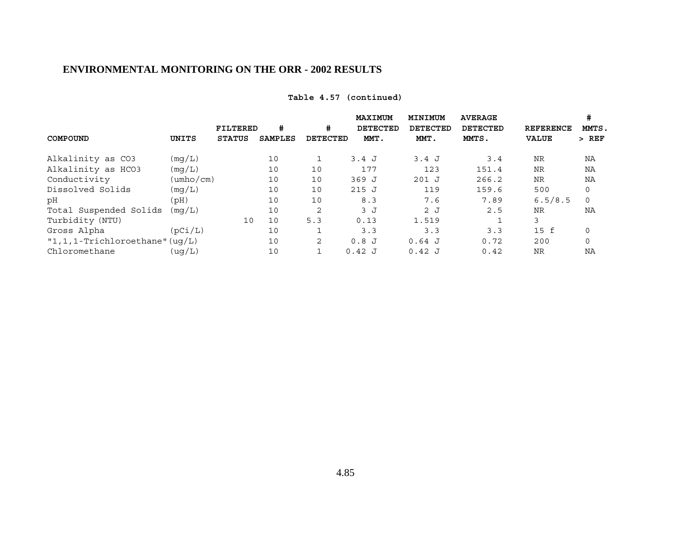| Table 4.57 (continued) |
|------------------------|
|------------------------|

|                                     |           |                 |                |                 | MAXIMUM         | MINIMUM         | <b>AVERAGE</b>  |                  | #       |
|-------------------------------------|-----------|-----------------|----------------|-----------------|-----------------|-----------------|-----------------|------------------|---------|
|                                     |           | <b>FILTERED</b> | #              | #               | <b>DETECTED</b> | <b>DETECTED</b> | <b>DETECTED</b> | <b>REFERENCE</b> | MMTS.   |
| COMPOUND                            | UNITS     | <b>STATUS</b>   | <b>SAMPLES</b> | <b>DETECTED</b> | MMT.            | MMT.            | MMTS.           | <b>VALUE</b>     | $>$ REF |
| Alkalinity as CO3                   | (mq/L)    |                 | 10             |                 | 3.4J            | 3.4 J           | 3.4             | <b>NR</b>        | ΝA      |
| Alkalinity as HCO3                  | (mq/L)    |                 | 10             | 10              | 177             | 123             | 151.4           | <b>NR</b>        | NA      |
| Conductivity                        | (umho/cm) |                 | 10             | 10              | 369 J           | $201$ J         | 266.2           | <b>NR</b>        | ΝA      |
| Dissolved Solids                    | (mq/L)    |                 | 10             | 10              | 215J            | 119             | 159.6           | 500              | 0       |
| рH                                  | (Hq)      |                 | 10             | 10              | 8.3             | 7.6             | 7.89            | 6.5/8.5          | 0       |
| Total Suspended Solids              | (mq/L)    |                 | 10             | $\overline{2}$  | 3J              | 2J              | 2.5             | <b>NR</b>        | NA      |
| Turbidity (NTU)                     |           | 10              | 10             | 5.3             | 0.13            | 1.519           |                 | 3                |         |
| Gross Alpha                         | (pCi/L)   |                 | 10             |                 | 3.3             | 3.3             | 3.3             | $15$ f           | 0       |
| $"1, 1, 1$ -Trichloroethane" (uq/L) |           |                 | 10             | 2               | 0.8J            | $0.64$ J        | 0.72            | 200              | 0       |
| Chloromethane                       | ( uq/L)   |                 | 10             |                 | 0.42J           | $0.42$ J        | 0.42            | <b>NR</b>        | NA      |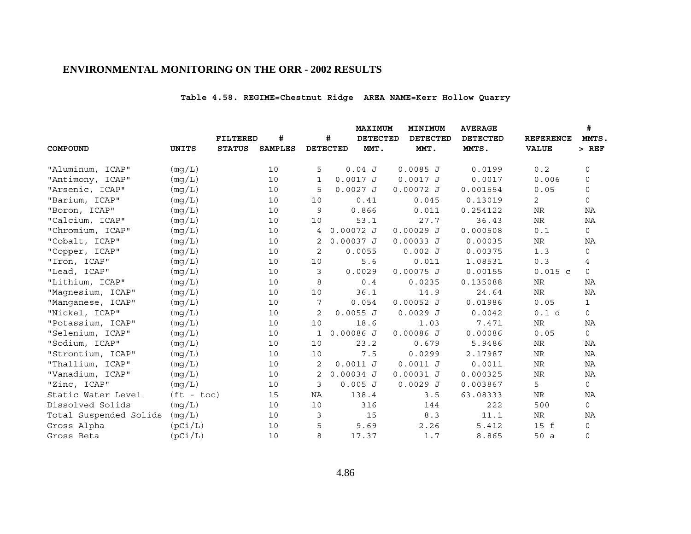# **Table 4.58. REGIME=Chestnut Ridge AREA NAME=Kerr Hollow Quarry**

|                        |              |                 |                |    |                 | MAXIMUM         | MINIMUM         | <b>AVERAGE</b>  |                  | #            |
|------------------------|--------------|-----------------|----------------|----|-----------------|-----------------|-----------------|-----------------|------------------|--------------|
|                        |              | <b>FILTERED</b> | #              |    | #               | <b>DETECTED</b> | <b>DETECTED</b> | <b>DETECTED</b> | <b>REFERENCE</b> | MMTS,        |
| COMPOUND               | <b>UNITS</b> | <b>STATUS</b>   | <b>SAMPLES</b> |    | <b>DETECTED</b> | MMT.            | MMT.            | MMTS.           | <b>VALUE</b>     | $>$ REF      |
| "Aluminum, ICAP"       | (mg/L)       |                 | 10             | 5  |                 | 0.04J           | $0.0085$ J      | 0.0199          | 0.2              | 0            |
| "Antimony, ICAP"       | (mq/L)       |                 | 10             | 1  |                 | $0.0017$ J      | $0.0017$ J      | 0.0017          | 0.006            | 0            |
| "Arsenic, ICAP"        | (mg/L)       |                 | 10             | 5  |                 | $0.0027$ J      | $0.00072$ J     | 0.001554        | 0.05             | 0            |
| "Barium, ICAP"         | (mq/L)       |                 | 10             | 10 |                 | 0.41            | 0.045           | 0.13019         | 2                | 0            |
| "Boron, ICAP"          | (mq/L)       |                 | 10             | 9  |                 | 0.866           | 0.011           | 0.254122        | NR               | NA           |
| "Calcium, ICAP"        | (mg/L)       |                 | 10             | 10 |                 | 53.1            | 27.7            | 36.43           | $\rm NR$         | ΝA           |
| "Chromium, ICAP"       | (mg/L)       |                 | 10             | 4  | $0.00072$ J     |                 | $0.00029$ J     | 0.000508        | 0.1              | $\mathsf{O}$ |
| "Cobalt, ICAP"         | (mq/L)       |                 | 10             | 2  | $0.00037$ J     |                 | 0.00033 J       | 0.00035         | NR               | ΝA           |
| "Copper, ICAP"         | (mg/L)       |                 | 10             | 2  |                 | 0.0055          | 0.002J          | 0.00375         | 1.3              | $\mathsf{O}$ |
| "Iron, ICAP"           | (mq/L)       |                 | 10             | 10 |                 | 5.6             | 0.011           | 1.08531         | 0.3              | 4            |
| "Lead, ICAP"           | (mg/L)       |                 | 10             | 3  |                 | 0.0029          | $0.00075$ J     | 0.00155         | $0.015$ c        | $\mathbf 0$  |
| "Lithium, ICAP"        | (mq/L)       |                 | 10             | 8  |                 | 0.4             | 0.0235          | 0.135088        | NR               | ΝA           |
| "Magnesium, ICAP"      | (mg/L)       |                 | 10             | 10 |                 | 36.1            | 14.9            | 24.64           | ${\hbox{NR}}$    | NA           |
| "Manganese, ICAP"      | (mq/L)       |                 | 10             | 7  |                 | 0.054           | $0.00052$ J     | 0.01986         | 0.05             | $\mathbf{1}$ |
| "Nickel, ICAP"         | (mg/L)       |                 | 10             | 2  |                 | 0.0055 J        | $0.0029$ J      | 0.0042          | 0.1 d            | $\mathbf 0$  |
| "Potassium, ICAP"      | (mq/L)       |                 | 10             | 10 |                 | 18.6            | 1.03            | 7.471           | NR               | NA           |
| "Selenium, ICAP"       | (mg/L)       |                 | 10             | 1  | $0.00086$ J     |                 | $0.00086$ J     | 0.00086         | 0.05             | $\mathsf{O}$ |
| "Sodium, ICAP"         | (mq/L)       |                 | 10             | 10 |                 | 23.2            | 0.679           | 5.9486          | <b>NR</b>        | ΝA           |
| "Strontium, ICAP"      | (mq/L)       |                 | 10             | 10 |                 | 7.5             | 0.0299          | 2.17987         | NR               | ΝA           |
| "Thallium, ICAP"       | (mg/L)       |                 | 10             | 2  |                 | $0.0011$ J      | $0.0011$ J      | 0.0011          | <b>NR</b>        | <b>NA</b>    |
| "Vanadium, ICAP"       | (mq/L)       |                 | 10             | 2  | $0.00034$ J     |                 | $0.00031$ J     | 0.000325        | NR               | ΝA           |
| "Zinc, ICAP"           | (mg/L)       |                 | 10             | 3  |                 | $0.005$ J       | $0.0029$ J      | 0.003867        | 5                | $\circ$      |
| Static Water Level     | $(ft - toc)$ |                 | 15             | ΝA |                 | 138.4           | 3.5             | 63.08333        | NR               | ΝA           |
| Dissolved Solids       | (mg/L)       |                 | 10             | 10 |                 | 316             | 144             | 222             | 500              | $\mathsf{O}$ |
| Total Suspended Solids | (mg/L)       |                 | 10             | 3  |                 | 15              | 8.3             | 11.1            | <b>NR</b>        | ΝA           |
| Gross Alpha            | (pCi/L)      |                 | 10             | 5  |                 | 9.69            | 2.26            | 5.412           | 15 f             | 0            |
| Gross Beta             | (pCi/L)      |                 | 10             | 8  |                 | 17.37           | 1.7             | 8.865           | 50 a             | $\mathbf 0$  |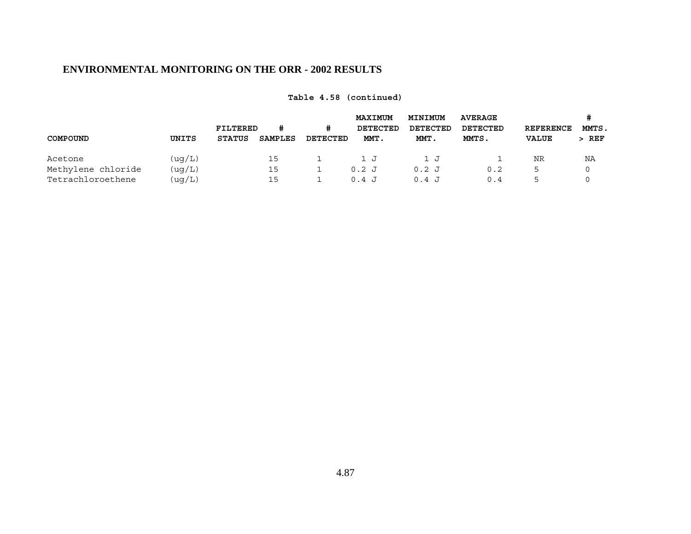|                    |         | FILTERED      | #       | #        | <b>MAXIMUM</b><br>DETECTED | MINIMUM<br>DETECTED | <b>AVERAGE</b><br>DETECTED | <b>REFERENCE</b> | MMTS.   |
|--------------------|---------|---------------|---------|----------|----------------------------|---------------------|----------------------------|------------------|---------|
| COMPOUND           | UNITS   | <b>STATUS</b> | SAMPLES | DETECTED | MMT.                       | MMT.                | MMTS.                      | <b>VALUE</b>     | $>$ REF |
| Acetone            | ( uq/L) |               | 15      |          | 1 J                        | 1 J                 |                            | NR               | ΝA      |
| Methylene chloride | (uq/L)  |               | 15      |          | 0.2J                       | $0.2$ J             | 0.2                        |                  |         |
| Tetrachloroethene  | (uq/L)  |               | 15      |          | 0.4 J                      | 0.4 J               | 0.4                        |                  |         |

**Table 4.58 (continued)**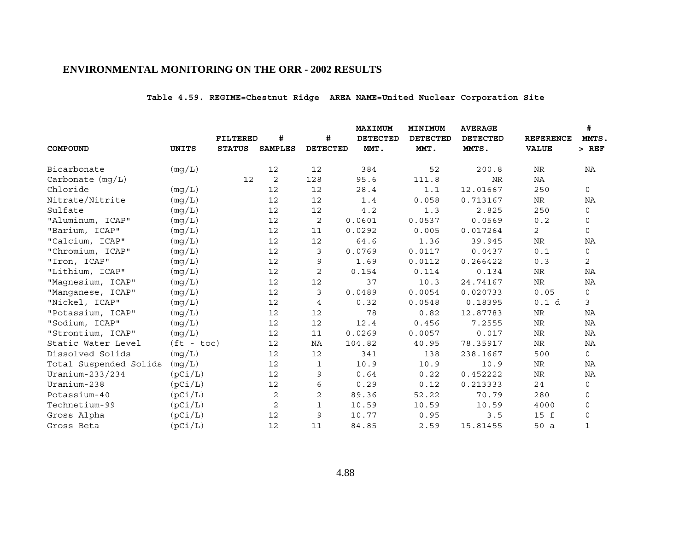# **Table 4.59. REGIME=Chestnut Ridge AREA NAME=United Nuclear Corporation Site**

|                        |              |                 |                |                 | MAXIMUM         | MINIMUM         | <b>AVERAGE</b>  | #                |                |  |
|------------------------|--------------|-----------------|----------------|-----------------|-----------------|-----------------|-----------------|------------------|----------------|--|
|                        |              | <b>FILTERED</b> | #              | #               | <b>DETECTED</b> | <b>DETECTED</b> | <b>DETECTED</b> | <b>REFERENCE</b> | MMTS,          |  |
| COMPOUND               | <b>UNITS</b> | <b>STATUS</b>   | <b>SAMPLES</b> | <b>DETECTED</b> | MMT.            | MMT.            | MMTS.           | <b>VALUE</b>     | $>$ REF        |  |
| Bicarbonate            | (mg/L)       |                 | 12             | 12              | 384             | 52              | 200.8           | NR               | ΝA             |  |
| Carbonate $(mq/L)$     |              | 12              | 2              | 128             | 95.6            | 111.8           | <b>NR</b>       | NA               |                |  |
| Chloride               | (mq/L)       |                 | 12             | 12              | 28.4            | 1.1             | 12.01667        | 250              | 0              |  |
| Nitrate/Nitrite        | (mq/L)       |                 | 12             | 12              | 1.4             | 0.058           | 0.713167        | NR               | ΝA             |  |
| Sulfate                | (mg/L)       |                 | 12             | 12              | 4.2             | 1.3             | 2.825           | 250              | $\mathsf{O}$   |  |
| "Aluminum, ICAP"       | (mg/L)       |                 | 12             | 2               | 0.0601          | 0.0537          | 0.0569          | 0.2              | 0              |  |
| "Barium, ICAP"         | (mq/L)       |                 | 12             | 11              | 0.0292          | 0.005           | 0.017264        | $\mathbf{2}$     | 0              |  |
| "Calcium, ICAP"        | (mg/L)       |                 | 12             | 12              | 64.6            | 1.36            | 39.945          | ${\hbox{NR}}$    | NA             |  |
| "Chromium, ICAP"       | (mg/L)       |                 | 12             | 3               | 0.0769          | 0.0117          | 0.0437          | 0.1              | 0              |  |
| "Iron, ICAP"           | (mq/L)       |                 | 12             | 9               | 1.69            | 0.0112          | 0.266422        | 0.3              | $\overline{2}$ |  |
| "Lithium, ICAP"        | (mq/L)       |                 | 12             | 2               | 0.154           | 0.114           | 0.134           | NR               | NA             |  |
| "Magnesium, ICAP"      | (mg/L)       |                 | 12             | 12              | 37              | 10.3            | 24.74167        | ${\hbox{NR}}$    | ΝA             |  |
| "Manganese, ICAP"      | (mq/L)       |                 | 12             | 3               | 0.0489          | 0.0054          | 0.020733        | 0.05             | 0              |  |
| "Nickel, ICAP"         | (mg/L)       |                 | 12             | 4               | 0.32            | 0.0548          | 0.18395         | 0.1 d            | 3              |  |
| "Potassium, ICAP"      | (mq/L)       |                 | 12             | 12              | 78              | 0.82            | 12.87783        | NR               | NA             |  |
| "Sodium, ICAP"         | (mg/L)       |                 | 12             | 12              | 12.4            | 0.456           | 7.2555          | $\rm NR$         | NA             |  |
| "Strontium, ICAP"      | (mg/L)       |                 | 12             | 11              | 0.0269          | 0.0057          | 0.017           | NR               | NA             |  |
| Static Water Level     | $(ft - toc)$ |                 | 12             | ΝA              | 104.82          | 40.95           | 78.35917        | ${\hbox{NR}}$    | NA             |  |
| Dissolved Solids       | (mq/L)       |                 | 12             | 12              | 341             | 138             | 238.1667        | 500              | 0              |  |
| Total Suspended Solids | (mg/L)       |                 | 12             | 1               | 10.9            | 10.9            | 10.9            | NR               | NA             |  |
| Uranium-233/234        | (pCi/L)      |                 | 12             | 9               | 0.64            | 0.22            | 0.452222        | NR               | NA             |  |
| Uranium-238            | (pCi/L)      |                 | 12             | 6               | 0.29            | 0.12            | 0.213333        | 24               | 0              |  |
| Potassium-40           | (pCi/L)      |                 | 2              | $\mathbf 2$     | 89.36           | 52.22           | 70.79           | 280              | 0              |  |
| Technetium-99          | (pCi/L)      |                 | 2              | $\mathbf{1}$    | 10.59           | 10.59           | 10.59           | 4000             | $\mathbf 0$    |  |
| Gross Alpha            | (pCi/L)      |                 | 12             | 9               | 10.77           | 0.95            | 3.5             | 15 f             | 0              |  |
| Gross Beta             | (pCi/L)      |                 | 12             | 11              | 84.85           | 2.59            | 15.81455        | 50 a             | $\mathbf{1}$   |  |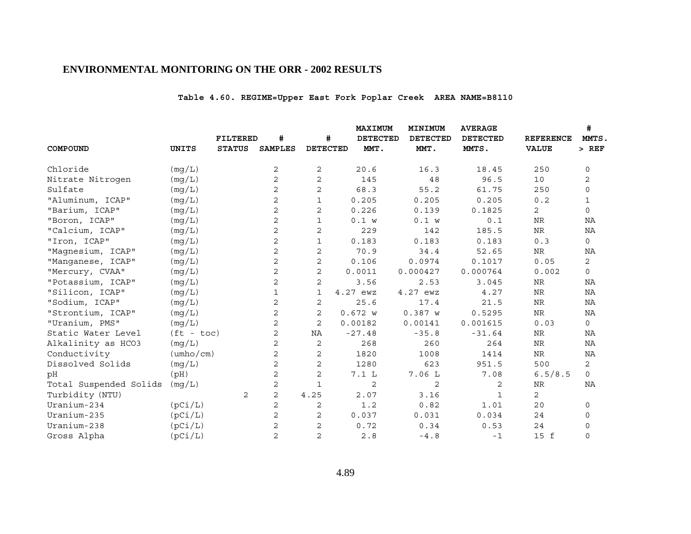# **Table 4.60. REGIME=Upper East Fork Poplar Creek AREA NAME=B8110**

|                        |                           |                 |                |                 | MAXIMUM         | MINIMUM         | <b>AVERAGE</b>  |                  | #              |
|------------------------|---------------------------|-----------------|----------------|-----------------|-----------------|-----------------|-----------------|------------------|----------------|
|                        |                           | <b>FILTERED</b> | #              | #               | <b>DETECTED</b> | <b>DETECTED</b> | <b>DETECTED</b> | <b>REFERENCE</b> | MMTS,          |
| COMPOUND               | UNITS                     | <b>STATUS</b>   | <b>SAMPLES</b> | <b>DETECTED</b> | MMT.            | MMT.            | MMTS.           | <b>VALUE</b>     | $>$ REF        |
| Chloride               | (mg/L)                    |                 | 2              | 2               | 20.6            | 16.3            | 18.45           | 250              | $\mathbf 0$    |
| Nitrate Nitrogen       | (mq/L)                    |                 | 2              | $\mathbf{2}$    | 145             | 48              | 96.5            | 10               | 2              |
| Sulfate                | (mg/L)                    |                 | 2              | 2               | 68.3            | 55.2            | 61.75           | 250              | 0              |
| "Aluminum, ICAP"       | (mq/L)                    |                 | 2              | 1               | 0.205           | 0.205           | 0.205           | 0.2              | 1              |
| "Barium, ICAP"         | (mg/L)                    |                 | 2              | 2               | 0.226           | 0.139           | 0.1825          | 2                | $\mathsf{O}$   |
| "Boron, ICAP"          | (mg/L)                    |                 | 2              | $\mathbf{1}$    | 0.1 w           | 0.1 w           | 0.1             | NR               | NA             |
| "Calcium, ICAP"        | (mq/L)                    |                 | $\overline{2}$ | 2               | 229             | 142             | 185.5           | $\rm NR$         | NA             |
| "Iron, ICAP"           | (mg/L)                    |                 | 2              | $\mathbf{1}$    | 0.183           | 0.183           | 0.183           | 0.3              | $\mathsf{O}$   |
| "Magnesium, ICAP"      | (mq/L)                    |                 | $\overline{c}$ | $\mathbf{2}$    | 70.9            | 34.4            | 52.65           | NR               | ΝA             |
| "Manganese, ICAP"      | (mg/L)                    |                 | 2              | 2               | 0.106           | 0.0974          | 0.1017          | 0.05             | $\overline{2}$ |
| "Mercury, CVAA"        | (mg/L)                    |                 | 2              | $\mathbf{2}$    | 0.0011          | 0.000427        | 0.000764        | 0.002            | $\mathbf 0$    |
| "Potassium, ICAP"      | (mg/L)                    |                 | 2              | 2               | 3.56            | 2.53            | 3.045           | $\rm{NR}$        | ΝA             |
| "Silicon, ICAP"        | (mg/L)                    |                 | $\mathbf{1}$   | 1               | 4.27 ewz        | 4.27 ewz        | 4.27            | <b>NR</b>        | <b>NA</b>      |
| "Sodium, ICAP"         | (mq/L)                    |                 | 2              | 2               | 25.6            | 17.4            | 21.5            | $\rm NR$         | NA             |
| "Strontium, ICAP"      | (mg/L)                    |                 | 2              | 2               | 0.672 w         | 0.387 w         | 0.5295          | ${\hbox{NR}}$    | NA             |
| "Uranium, PMS"         | (mg/L)                    |                 | 2              | 2               | 0.00182         | 0.00141         | 0.001615        | 0.03             | 0              |
| Static Water Level     | $(ft - toc)$              |                 | 2              | ΝA              | $-27.48$        | $-35.8$         | $-31.64$        | NR               | ΝA             |
| Alkalinity as HCO3     | (mg/L)                    |                 | 2              | $\sqrt{2}$      | 268             | 260             | 264             | <b>NR</b>        | NA             |
| Conductivity           | $(\text{umbo}/\text{cm})$ |                 | 2              | 2               | 1820            | 1008            | 1414            | ${\hbox{NR}}$    | ΝA             |
| Dissolved Solids       | (mg/L)                    |                 | 2              | $\mathbf{2}$    | 1280            | 623             | 951.5           | 500              | $\mathbf{2}$   |
| рH                     | (pH)                      |                 | 2              | $\overline{c}$  | 7.1 L           | 7.06 L          | 7.08            | 6.5/8.5          | $\Omega$       |
| Total Suspended Solids | (mq/L)                    |                 | 2              | $\mathbf{1}$    | 2               | 2               | 2               | NR               | NA             |
| Turbidity (NTU)        |                           | 2               | $\overline{c}$ | 4.25            | 2.07            | 3.16            | 1               | $\overline{2}$   |                |
| Uranium-234            | (pCi/L)                   |                 | 2              | 2               | 1.2             | 0.82            | 1.01            | 20               | 0              |
| Uranium-235            | (pCi/L)                   |                 | 2              | 2               | 0.037           | 0.031           | 0.034           | 24               | 0              |
| Uranium-238            | (pCi/L)                   |                 | 2              | 2               | 0.72            | 0.34            | 0.53            | 24               | 0              |
| Gross Alpha            | (pCi/L)                   |                 | 2              | $\overline{c}$  | 2.8             | $-4.8$          | $-1$            | 15 f             | $\mathbf 0$    |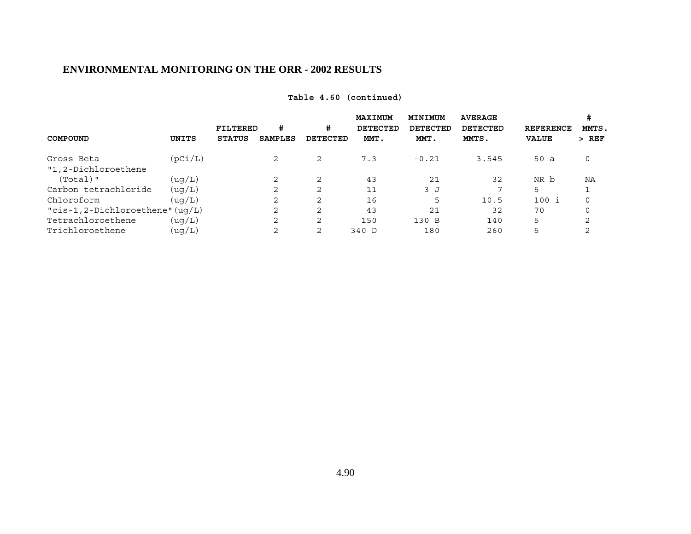|                                     |         |               |                |          | MAXIMUM         | MINIMUM         | <b>AVERAGE</b><br><b>DETECTED</b> |                  | #<br>MMTS. |
|-------------------------------------|---------|---------------|----------------|----------|-----------------|-----------------|-----------------------------------|------------------|------------|
|                                     |         | FILTERED      | #              | #        | <b>DETECTED</b> | <b>DETECTED</b> |                                   | <b>REFERENCE</b> |            |
| COMPOUND                            | UNITS   | <b>STATUS</b> | <b>SAMPLES</b> | DETECTED | MMT.            | MMT.            | MMTS.                             | <b>VALUE</b>     | $>$ REF    |
| Gross Beta                          | (pCi/L) |               | 2              | 2        | 7.3             | $-0.21$         | 3.545                             | 50a              | 0          |
| "1,2-Dichloroethene                 |         |               |                |          |                 |                 |                                   |                  |            |
| $(Total)$ "                         | (uq/L)  |               | 2              | 2        | 43              | 21              | 32                                | NR b             | ΝA         |
| Carbon tetrachloride                | (uq/L)  |               | 2              | 2        | 11              | 3J              | 7                                 | 5                |            |
| Chloroform                          | (uq/L)  |               | 2              | 2        | 16              |                 | 10.5                              | 100 i            | $\Omega$   |
| " $cis-1, 2-Dichloroethene" (uq/L)$ |         |               | $\overline{2}$ | 2        | 43              | 21              | 32                                | 70               | $\Omega$   |
| Tetrachloroethene                   | (uq/L)  |               | 2              | 2        | 150             | 130 B           | 140                               | 5                | ⌒          |
| Trichloroethene                     | (uq/L)  |               | 2              | 2        | 340 D           | 180             | 260                               | 5                |            |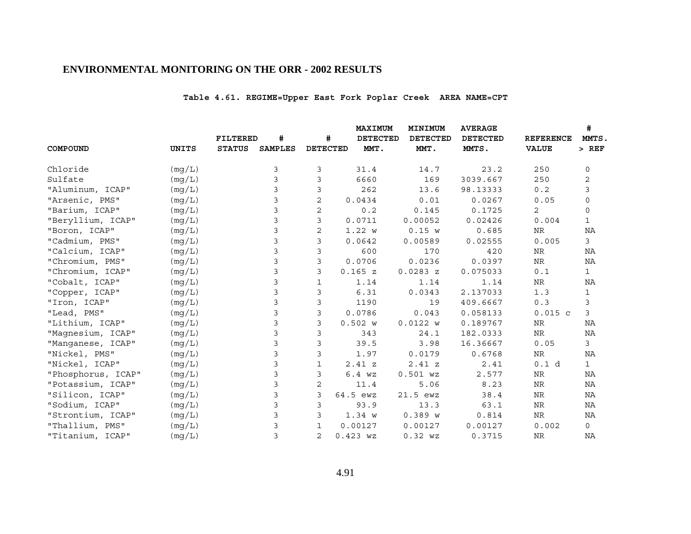# **Table 4.61. REGIME=Upper East Fork Poplar Creek AREA NAME=CPT**

|                    |        |               |                |                 | <b>MAXIMUM</b>  | MINIMUM         | <b>AVERAGE</b>  |                  | #            |
|--------------------|--------|---------------|----------------|-----------------|-----------------|-----------------|-----------------|------------------|--------------|
|                    |        | FILTERED      | #              | #               | <b>DETECTED</b> | <b>DETECTED</b> | <b>DETECTED</b> | <b>REFERENCE</b> | MMTS,        |
| COMPOUND           | UNITS  | <b>STATUS</b> | <b>SAMPLES</b> | <b>DETECTED</b> | MMT.            | MMT.            | MMTS.           | <b>VALUE</b>     | $>$ REF      |
| Chloride           | (mg/L) |               | 3              | 3               | 31.4            | 14.7            | 23.2            | 250              | 0            |
| Sulfate            | (mq/L) |               | 3              | 3               | 6660            | 169             | 3039.667        | 250              | 2            |
| "Aluminum, ICAP"   | (mq/L) |               | 3              | 3               | 262             | 13.6            | 98.13333        | 0.2              | 3            |
| "Arsenic, PMS"     | (mg/L) |               | 3              | 2               | 0.0434          | 0.01            | 0.0267          | 0.05             | 0            |
| "Barium, ICAP"     | (mq/L) |               | 3              | 2               | 0.2             | 0.145           | 0.1725          | 2                | 0            |
| "Beryllium, ICAP"  | (mg/L) |               | 3              | 3               | 0.0711          | 0.00052         | 0.02426         | 0.004            | $\mathbf{1}$ |
| "Boron, ICAP"      | (mq/L) |               | 3              | $\overline{c}$  | 1.22 w          | 0.15 w          | 0.685           | NR               | NA           |
| "Cadmium, PMS"     | (mg/L) |               | 3              | 3               | 0.0642          | 0.00589         | 0.02555         | 0.005            | $\mathsf{3}$ |
| "Calcium, ICAP"    | (mg/L) |               | 3              | 3               | 600             | 170             | 420             | NR               | ΝA           |
| "Chromium, PMS"    | (mg/L) |               | 3              | 3               | 0.0706          | 0.0236          | 0.0397          | NR               | NA           |
| "Chromium, ICAP"   | (mg/L) |               | 3              | 3               | 0.165 z         | 0.0283 z        | 0.075033        | 0.1              | $\mathbf{1}$ |
| "Cobalt, ICAP"     | (mg/L) |               | 3              | 1               | 1.14            | 1.14            | 1.14            | NR               | ΝA           |
| "Copper, ICAP"     | (mg/L) |               | 3              | 3               | 6.31            | 0.0343          | 2.137033        | 1.3              | $\mathbf{1}$ |
| "Iron, ICAP"       | (mq/L) |               | 3              | 3               | 1190            | 19              | 409.6667        | 0.3              | 3            |
| "Lead, PMS"        | (mg/L) |               | 3              | 3               | 0.0786          | 0.043           | 0.058133        | $0.015$ c        | 3            |
| "Lithium, ICAP"    | (mg/L) |               | 3              | 3               | 0.502 w         | 0.0122 w        | 0.189767        | NR               | ΝA           |
| "Magnesium, ICAP"  | (mg/L) |               | 3              | 3               | 343             | 24.1            | 182.0333        | NR               | NA           |
| "Manganese, ICAP"  | (mq/L) |               | 3              | 3               | 39.5            | 3.98            | 16.36667        | 0.05             | 3            |
| "Nickel, PMS"      | (mg/L) |               | 3              | 3               | 1.97            | 0.0179          | 0.6768          | NR               | NA           |
| "Nickel, ICAP"     | (mg/L) |               | 3              | $\mathbf{1}$    | 2.41 z          | 2.41 z          | 2.41            | 0.1 d            | $\mathbf{1}$ |
| "Phosphorus, ICAP" | (mg/L) |               | 3              | 3               | 6.4 wz          | $0.501$ $WZ$    | 2.577           | <b>NR</b>        | NA           |
| "Potassium, ICAP"  | (mq/L) |               | 3              | 2               | 11.4            | 5.06            | 8.23            | ${\hbox{NR}}$    | ΝA           |
| "Silicon, ICAP"    | (mg/L) |               | 3              | 3               | 64.5 ewz        | 21.5 ewz        | 38.4            | NR               | NA           |
| "Sodium, ICAP"     | (mg/L) |               | 3              | 3               | 93.9            | 13.3            | 63.1            | ${\hbox{NR}}$    | NA           |
| "Strontium, ICAP"  | (mg/L) |               | 3              | 3               | 1.34 w          | 0.389 w         | 0.814           | NR               | ΝA           |
| "Thallium, PMS"    | (mq/L) |               | 3              | $\mathbf{1}$    | 0.00127         | 0.00127         | 0.00127         | 0.002            | $\mathsf{O}$ |
| "Titanium, ICAP"   | (mq/L) |               | 3              | $\overline{2}$  | $0.423$ $WZ$    | $0.32$ $WZ$     | 0.3715          | <b>NR</b>        | NA           |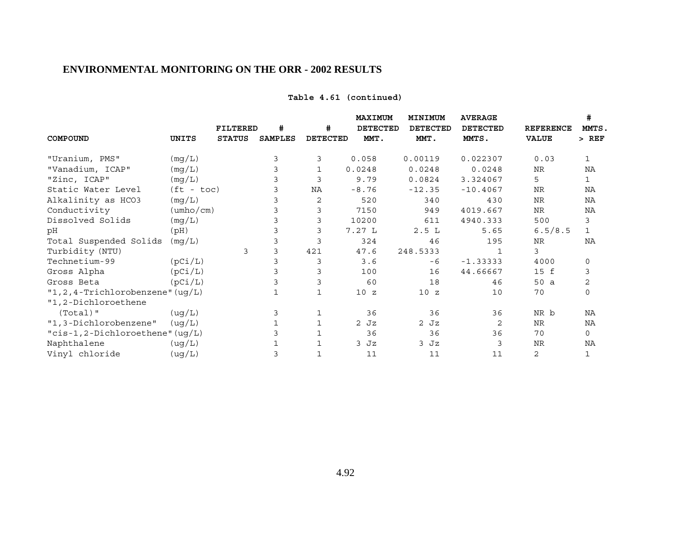| Table 4.61 (continued) |
|------------------------|
|------------------------|

|                                      |                           |                 |                |                 | MAXIMUM         | MINIMUM         | <b>AVERAGE</b>  |                  | #              |
|--------------------------------------|---------------------------|-----------------|----------------|-----------------|-----------------|-----------------|-----------------|------------------|----------------|
|                                      |                           | <b>FILTERED</b> | #              | #               | <b>DETECTED</b> | <b>DETECTED</b> | <b>DETECTED</b> | <b>REFERENCE</b> | MMTS,          |
| COMPOUND                             | UNITS                     | <b>STATUS</b>   | <b>SAMPLES</b> | <b>DETECTED</b> | MMT.            | MMT.            | MMTS.           | <b>VALUE</b>     | $>$ REF        |
| "Uranium, PMS"                       | (mg/L)                    |                 | 3              | 3               | 0.058           | 0.00119         | 0.022307        | 0.03             | $\mathbf{1}$   |
| "Vanadium, ICAP"                     | (mq/L)                    |                 |                | $\mathbf{1}$    | 0.0248          | 0.0248          | 0.0248          | NR               | NA             |
| "Zinc, ICAP"                         | (mg/L)                    |                 | 3              | 3               | 9.79            | 0.0824          | 3.324067        | 5                | $\mathbf 1$    |
| Static Water Level                   | $(ft - toc)$              |                 | 3              | ΝA              | $-8.76$         | $-12.35$        | $-10.4067$      | <b>NR</b>        | ΝA             |
| Alkalinity as HCO3                   | (mg/L)                    |                 |                | 2               | 520             | 340             | 430             | NR               | NA             |
| Conductivity                         | $(\text{umbo}/\text{cm})$ |                 |                | 3               | 7150            | 949             | 4019.667        | NR               | ΝA             |
| Dissolved Solids                     | (mg/L)                    |                 |                | 3               | 10200           | 611             | 4940.333        | 500              | 3              |
| pН                                   | (pH)                      |                 |                | 3               | 7.27L           | 2.5L            | 5.65            | 6.5/8.5          | $\mathbf{1}$   |
| Total Suspended Solids               | (mg/L)                    |                 |                |                 | 324             | 46              | 195             | NR               | NA             |
| Turbidity (NTU)                      |                           | 3               | 3              | 421             | 47.6            | 248.5333        | 1               | 3                |                |
| Technetium-99                        | (pCi/L)                   |                 |                | 3               | 3.6             | -6              | $-1.33333$      | 4000             | 0              |
| Gross Alpha                          | (pCi/L)                   |                 |                | 3               | 100             | 16              | 44.66667        | 15 f             | 3              |
| Gross Beta                           | (pCi/L)                   |                 |                | 3               | 60              | 18              | 46              | 50 a             | $\overline{c}$ |
| "1, 2, 4-Trichlorobenzene" $( uq/L)$ |                           |                 |                | $\mathbf{1}$    | 10Z             | 10Z             | 10              | 70               | $\mathbf 0$    |
| "1,2-Dichloroethene                  |                           |                 |                |                 |                 |                 |                 |                  |                |
| $(Total)$ "                          | ( uq/L)                   |                 | 3              | 1               | 36              | 36              | 36              | NR b             | NA             |
| "1,3-Dichlorobenzene"                | ( uq/L)                   |                 |                | $\mathbf{1}$    | $2$ Jz          | $2$ Jz          | 2               | NR               | NA             |
| "cis-1,2-Dichloroethene" (ug/L)      |                           |                 |                | 1               | 36              | 36              | 36              | 70               | $\mathsf{O}$   |
| Naphthalene                          | (ug/L)                    |                 |                |                 | $3$ Jz          | 3 Jz            | 3               | <b>NR</b>        | ΝA             |
| Vinyl chloride                       | ( uq/L)                   |                 | 3              | 1               | 11              | 11              | 11              | 2                | 1              |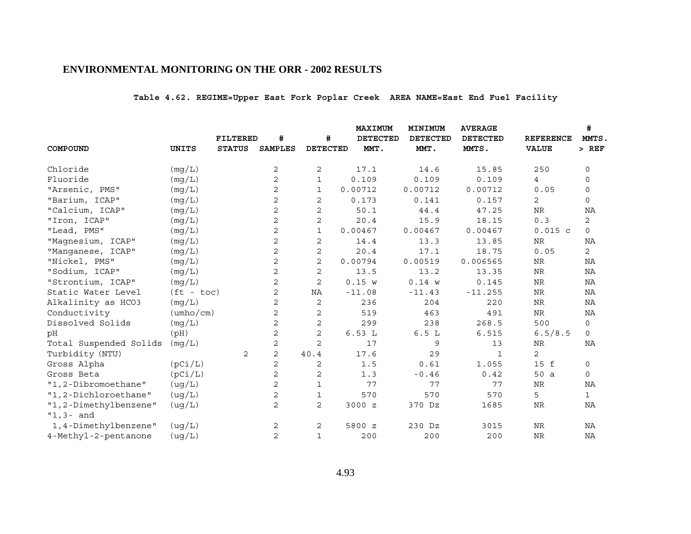# **Table 4.62. REGIME=Upper East Fork Poplar Creek AREA NAME=East End Fuel Facility**

|                        |                           |                 |                |                 | <b>MAXIMUM</b>  | MINIMUM         | <b>AVERAGE</b>  |                  | #            |
|------------------------|---------------------------|-----------------|----------------|-----------------|-----------------|-----------------|-----------------|------------------|--------------|
|                        |                           | <b>FILTERED</b> | #              | #               | <b>DETECTED</b> | <b>DETECTED</b> | <b>DETECTED</b> | <b>REFERENCE</b> | MMTS.        |
| COMPOUND               | <b>UNITS</b>              | <b>STATUS</b>   | <b>SAMPLES</b> | <b>DETECTED</b> | MMT.            | MMT.            | MMTS.           | <b>VALUE</b>     | $>$ REF      |
| Chloride               | (mg/L)                    |                 | 2              | 2               | 17.1            | 14.6            | 15.85           | 250              | 0            |
| Fluoride               | (mg/L)                    |                 | $\overline{2}$ | $\mathbf{1}$    | 0.109           | 0.109           | 0.109           | $\overline{4}$   | $\mathbf 0$  |
| "Arsenic, PMS"         | (mg/L)                    |                 | $\mathbf{2}$   | $\mathbf{1}$    | 0.00712         | 0.00712         | 0.00712         | 0.05             | $\mathbf 0$  |
| "Barium, ICAP"         | (mq/L)                    |                 | 2              | 2               | 0.173           | 0.141           | 0.157           | 2                | $\mathbf 0$  |
| "Calcium, ICAP"        | (mg/L)                    |                 | 2              | $\mathbf{2}$    | 50.1            | 44.4            | 47.25           | <b>NR</b>        | NA           |
| "Iron, ICAP"           | (mg/L)                    |                 | 2              | $\mathbf 2$     | 20.4            | 15.9            | 18.15           | 0.3              | 2            |
| "Lead, PMS"            | (mg/L)                    |                 | 2              | $\mathbf{1}$    | 0.00467         | 0.00467         | 0.00467         | $0.015$ c        | $\mathbf 0$  |
| "Magnesium, ICAP"      | (mg/L)                    |                 | $\mathbf{2}$   | $\mathbf{2}$    | 14.4            | 13.3            | 13.85           | $\rm NR$         | NA           |
| "Manganese, ICAP"      | (mq/L)                    |                 | 2              | 2               | 20.4            | 17.1            | 18.75           | 0.05             | 2            |
| "Nickel, PMS"          | (mg/L)                    |                 | 2              | $\mathbf{2}$    | 0.00794         | 0.00519         | 0.006565        | NR               | NA           |
| "Sodium, ICAP"         | (mq/L)                    |                 | $\overline{c}$ | $\overline{c}$  | 13.5            | 13.2            | 13.35           | NR               | ΝA           |
| "Strontium, ICAP"      | (mg/L)                    |                 | 2              | $\mathbf{2}$    | 0.15 w          | 0.14 w          | 0.145           | NR               | ΝA           |
| Static Water Level     | $(ft - toc)$              |                 | $\sqrt{2}$     | NA              | $-11.08$        | $-11.43$        | $-11.255$       | $\rm{NR}$        | ΝA           |
| Alkalinity as HCO3     | (mq/L)                    |                 | 2              | $\overline{2}$  | 236             | 204             | 220             | $\rm NR$         | NA           |
| Conductivity           | $(\text{umbo}/\text{cm})$ |                 | 2              | 2               | 519             | 463             | 491             | NR               | NA           |
| Dissolved Solids       | (mq/L)                    |                 | 2              | $\mathbf 2$     | 299             | 238             | 268.5           | 500              | 0            |
| рH                     | (pH)                      |                 | 2              | 2               | 6.53L           | 6.5L            | 6.515           | 6.5/8.5          | 0            |
| Total Suspended Solids | (mq/L)                    |                 | $\sqrt{2}$     | $\overline{c}$  | 17              | 9               | 13              | NR               | NA           |
| Turbidity (NTU)        |                           | 2               | 2              | 40.4            | 17.6            | 29              | $\mathbf{1}$    | 2                |              |
| Gross Alpha            | (pCi/L)                   |                 | 2              | 2               | 1.5             | 0.61            | 1.055           | 15 f             | 0            |
| Gross Beta             | (pCi/L)                   |                 | $\overline{2}$ | $\mathbf{2}$    | 1.3             | $-0.46$         | 0.42            | 50 a             | 0            |
| "1,2-Dibromoethane"    | (ug/L)                    |                 | 2              | $\mathbf{1}$    | 77              | 77              | 77              | <b>NR</b>        | NA           |
| "1,2-Dichloroethane"   | (ug/L)                    |                 | 2              | 1               | 570             | 570             | 570             | 5                | $\mathbf{1}$ |
| "1,2-Dimethylbenzene"  | (ug/L)                    |                 | 2              | 2               | 3000 z          | 370 Dz          | 1685            | NR               | ΝA           |
| $"1,3-$ and            |                           |                 |                |                 |                 |                 |                 |                  |              |
| 1,4-Dimethylbenzene"   | ( uq/L)                   |                 | 2              | 2               | 5800 z          | 230 Dz          | 3015            | <b>NR</b>        | ΝA           |
| 4-Methyl-2-pentanone   | ( uq/L)                   |                 | $\overline{c}$ | $\mathbf{1}$    | 200             | 200             | 200             | <b>NR</b>        | NA           |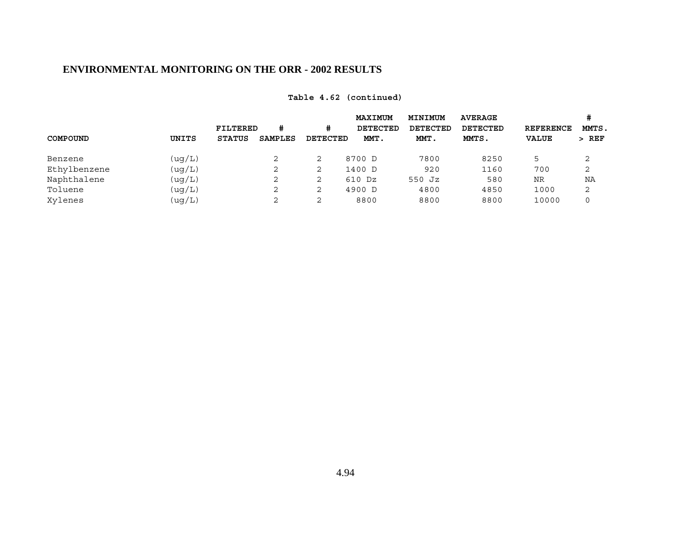|        |               | #              | #               | <b>MAXIMUM</b><br>DETECTED | MINIMUM<br>DETECTED                                     | <b>AVERAGE</b><br>DETECTED | <b>REFERENCE</b> | #<br>MMTS. |
|--------|---------------|----------------|-----------------|----------------------------|---------------------------------------------------------|----------------------------|------------------|------------|
| UNITS  | <b>STATUS</b> | <b>SAMPLES</b> |                 | MMT.                       | MMT.                                                    | MMTS.                      | <b>VALUE</b>     | $>$ REF    |
| (uq/L) |               | 2              | 2               |                            | 7800                                                    | 8250                       | 5                | 2          |
| (uq/L) |               | 2              | 2               |                            | 920                                                     | 1160                       | 700              | 2          |
| (uq/L) |               | 2              | 2               |                            | 550 Jz                                                  | 580                        | <b>NR</b>        | ΝA         |
| (uq/L) |               | 2              | 2               |                            | 4800                                                    | 4850                       | 1000             | ⌒          |
| (uq/L) |               | 2              | 2               | 8800                       | 8800                                                    | 8800                       | 10000            |            |
|        |               |                | <b>FILTERED</b> |                            | <b>DETECTED</b><br>8700 D<br>1400 D<br>610 Dz<br>4900 D |                            |                  |            |

## **Table 4.62 (continued)**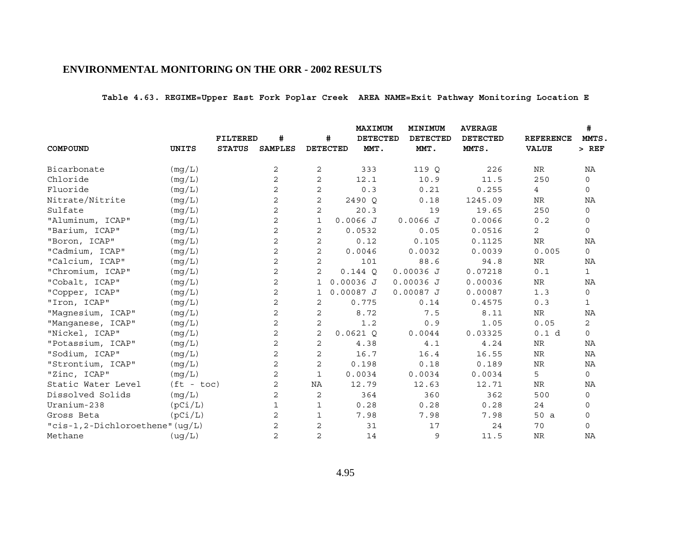**Table 4.63. REGIME=Upper East Fork Poplar Creek AREA NAME=Exit Pathway Monitoring Location E**

|                                 |              |                 |                |                |                 | <b>MAXIMUM</b>  | MINIMUM         | <b>AVERAGE</b>  |                  | #            |
|---------------------------------|--------------|-----------------|----------------|----------------|-----------------|-----------------|-----------------|-----------------|------------------|--------------|
|                                 |              | <b>FILTERED</b> | #              |                | #               | <b>DETECTED</b> | <b>DETECTED</b> | <b>DETECTED</b> | <b>REFERENCE</b> | MMTS.        |
| COMPOUND                        | UNITS        | <b>STATUS</b>   | <b>SAMPLES</b> |                | <b>DETECTED</b> | MMT.            | MMT.            | MMTS.           | <b>VALUE</b>     | $>$ REF      |
| Bicarbonate                     | (mg/L)       |                 | 2              | 2              | 333             |                 | 119 Q           | 226             | NR               | ΝA           |
| Chloride                        | (mq/L)       |                 | $\overline{a}$ | 2              | 12.1            |                 | 10.9            | 11.5            | 250              | $\mathbf 0$  |
| Fluoride                        | (mg/L)       |                 | 2              | 2              | 0.3             |                 | 0.21            | 0.255           | $\overline{4}$   | $\mathbf 0$  |
| Nitrate/Nitrite                 | (mq/L)       |                 | 2              | 2              | 2490 Q          |                 | 0.18            | 1245.09         | <b>NR</b>        | NA           |
| Sulfate                         | (mg/L)       |                 | 2              | 2              | 20.3            |                 | 19              | 19.65           | 250              | $\mathbf 0$  |
| "Aluminum, ICAP"                | (mg/L)       |                 | 2              | $\mathbf{1}$   | 0.0066J         |                 | 0.0066J         | 0.0066          | 0.2              | 0            |
| "Barium, ICAP"                  | (mg/L)       |                 | 2              | 2              | 0.0532          |                 | 0.05            | 0.0516          | $\overline{2}$   | $\mathbf 0$  |
| "Boron, ICAP"                   | (mg/L)       |                 | $\mathbf 2$    | 2              | 0.12            |                 | 0.105           | 0.1125          | ${\hbox{NR}}$    | NA           |
| "Cadmium, ICAP"                 | (mq/L)       |                 | $\overline{a}$ | 2              | 0.0046          |                 | 0.0032          | 0.0039          | 0.005            | $\mathsf{O}$ |
| "Calcium, ICAP"                 | (mg/L)       |                 | 2              | 2              |                 | 101             | 88.6            | 94.8            | <b>NR</b>        | NA           |
| "Chromium, ICAP"                | (mq/L)       |                 | $\overline{a}$ | 2              | 0.144O          |                 | $0.00036$ J     | 0.07218         | $0.1$            | $\mathbf{1}$ |
| "Cobalt, ICAP"                  | (mg/L)       |                 | 2              | 1              | $0.00036$ J     |                 | $0.00036$ J     | 0.00036         | NR               | ΝA           |
| "Copper, ICAP"                  | (mg/L)       |                 | $\overline{c}$ | 1              | $0.00087$ J     |                 | $0.00087$ J     | 0.00087         | 1.3              | 0            |
| "Iron, ICAP"                    | (mq/L)       |                 | 2              | 2              | 0.775           |                 | 0.14            | 0.4575          | 0.3              | $\mathbf{1}$ |
| "Magnesium, ICAP"               | (mg/L)       |                 | 2              | 2              | 8.72            |                 | 7.5             | 8.11            | $\rm{NR}$        | NA           |
| "Manganese, ICAP"               | (mq/L)       |                 | 2              | 2              |                 | 1.2             | 0.9             | 1.05            | 0.05             | 2            |
| "Nickel, ICAP"                  | (mg/L)       |                 | 2              | 2              | 0.0621Q         |                 | 0.0044          | 0.03325         | 0.1 d            | $\mathbf 0$  |
| "Potassium, ICAP"               | (mq/L)       |                 | $\overline{2}$ | 2              | 4.38            |                 | 4.1             | 4.24            | NR               | NA           |
| "Sodium, ICAP"                  | (mg/L)       |                 | 2              | 2              | 16.7            |                 | 16.4            | 16.55           | ${\hbox{NR}}$    | NA           |
| "Strontium, ICAP"               | (mg/L)       |                 | 2              | 2              | 0.198           |                 | 0.18            | 0.189           | NR               | NA           |
| "Zinc, ICAP"                    | (mq/L)       |                 | $\overline{a}$ | $\mathbf{1}$   | 0.0034          |                 | 0.0034          | 0.0034          | 5                | $\mathbf 0$  |
| Static Water Level              | $(ft - toc)$ |                 | 2              | NA             | 12.79           |                 | 12.63           | 12.71           | <b>NR</b>        | NA           |
| Dissolved Solids                | (mg/L)       |                 | 2              | 2              |                 | 364             | 360             | 362             | 500              | $\mathbf 0$  |
| Uranium-238                     | (pCi/L)      |                 | $\mathbf{1}$   | 1              | 0.28            |                 | 0.28            | 0.28            | 24               | 0            |
| Gross Beta                      | (pCi/L)      |                 | 2              | 1              | 7.98            |                 | 7.98            | 7.98            | 50 a             | $\mathbf 0$  |
| "cis-1,2-Dichloroethene" (uq/L) |              |                 | 2              | 2              |                 | 31              | 17              | 24              | 70               | $\mathbf 0$  |
| Methane                         | (ug/L)       |                 | $\overline{2}$ | $\overline{2}$ |                 | 14              | 9               | 11.5            | <b>NR</b>        | NA           |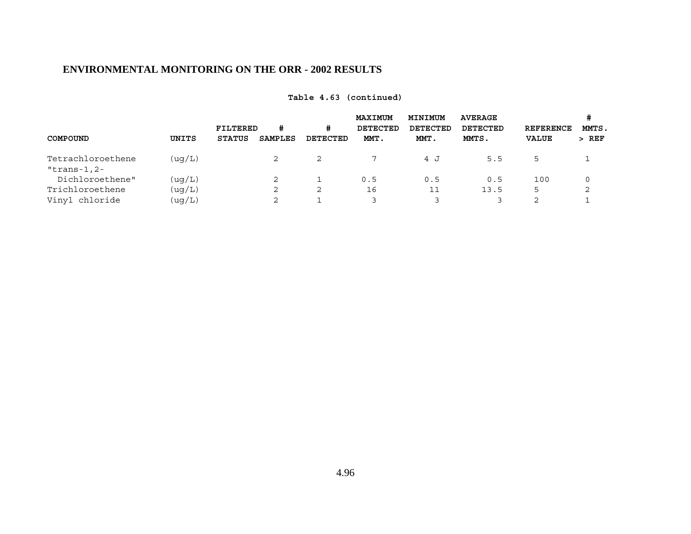|                        | #              | #        | MAXIMUM<br>DETECTED | MINIMUM<br>DETECTED | <b>AVERAGE</b><br>DETECTED | <b>REFERENCE</b> | #<br>MMTS. |
|------------------------|----------------|----------|---------------------|---------------------|----------------------------|------------------|------------|
| UNITS<br><b>STATUS</b> | <b>SAMPLES</b> | DETECTED | MMT.                | MMT.                | MMTS.                      | <b>VALUE</b>     | $>$ REF    |
| ( uq/L)                | 2              | 2        |                     | 4 J                 | 5.5                        | 5                |            |
| ( uq/L)                | 2              |          | 0.5                 | 0.5                 | 0.5                        | 100              | 0          |
| (uq/L)                 | 2              | 2        | 16                  |                     | 13.5                       | 5                | 2          |
| (ug/L)                 | 2              |          |                     |                     |                            | 2                |            |
|                        |                | FILTERED |                     |                     |                            |                  |            |

# **Table 4.63 (continued)**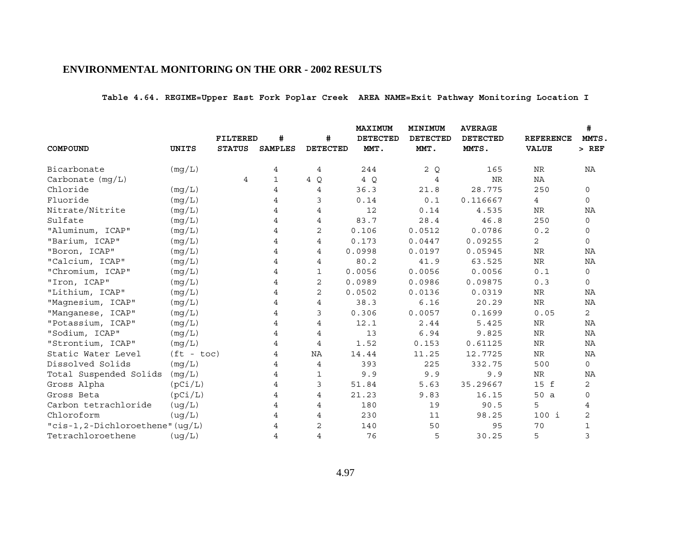**Table 4.64. REGIME=Upper East Fork Poplar Creek AREA NAME=Exit Pathway Monitoring Location I**

|                                 |              |                                  |                     |                      | <b>MAXIMUM</b>          | MINIMUM                 | <b>AVERAGE</b>           |                                  | #<br>MMTS.     |
|---------------------------------|--------------|----------------------------------|---------------------|----------------------|-------------------------|-------------------------|--------------------------|----------------------------------|----------------|
| COMPOUND                        | UNITS        | <b>FILTERED</b><br><b>STATUS</b> | #<br><b>SAMPLES</b> | #<br><b>DETECTED</b> | <b>DETECTED</b><br>MMT. | <b>DETECTED</b><br>MMT. | <b>DETECTED</b><br>MMTS. | <b>REFERENCE</b><br><b>VALUE</b> | $>$ REF        |
|                                 |              |                                  |                     |                      |                         |                         |                          |                                  |                |
| Bicarbonate                     | (mg/L)       |                                  | 4                   | 4                    | 244                     | 2Q                      | 165                      | NR                               | ΝA             |
| Carbonate $(mq/L)$              |              | 4                                | $\mathbf{1}$        | 4 Q                  | 4 Q                     | 4                       | <b>NR</b>                | NA                               |                |
| Chloride                        | (mg/L)       |                                  | 4                   | 4                    | 36.3                    | 21.8                    | 28.775                   | 250                              | 0              |
| Fluoride                        | (mq/L)       |                                  | 4                   | 3                    | 0.14                    | 0.1                     | 0.116667                 | $\overline{4}$                   | $\mathbf 0$    |
| Nitrate/Nitrite                 | (mg/L)       |                                  | 4                   | 4                    | 12                      | 0.14                    | 4.535                    | <b>NR</b>                        | NA             |
| Sulfate                         | (mg/L)       |                                  |                     | 4                    | 83.7                    | 28.4                    | 46.8                     | 250                              | 0              |
| "Aluminum, ICAP"                | (mg/L)       |                                  |                     | 2                    | 0.106                   | 0.0512                  | 0.0786                   | 0.2                              | 0              |
| "Barium, ICAP"                  | (mg/L)       |                                  | 4                   | 4                    | 0.173                   | 0.0447                  | 0.09255                  | $\overline{2}$                   | $\mathbf 0$    |
| "Boron, ICAP"                   | (mq/L)       |                                  | 4                   | 4                    | 0.0998                  | 0.0197                  | 0.05945                  | ${\hbox{NR}}$                    | NA             |
| "Calcium, ICAP"                 | (mg/L)       |                                  |                     | 4                    | 80.2                    | 41.9                    | 63.525                   | <b>NR</b>                        | NA             |
| "Chromium, ICAP"                | (mg/L)       |                                  | 4                   | 1                    | 0.0056                  | 0.0056                  | 0.0056                   | 0.1                              | 0              |
| "Iron, ICAP"                    | (mg/L)       |                                  | 4                   | 2                    | 0.0989                  | 0.0986                  | 0.09875                  | 0.3                              | 0              |
| "Lithium, ICAP"                 | (mg/L)       |                                  | 4                   | $\mathbf{2}$         | 0.0502                  | 0.0136                  | 0.0319                   | ${\hbox{NR}}$                    | NA             |
| "Magnesium, ICAP"               | (mg/L)       |                                  | 4                   | 4                    | 38.3                    | 6.16                    | 20.29                    | ${\hbox{NR}}$                    | ΝA             |
| "Manganese, ICAP"               | (mg/L)       |                                  | 4                   | 3                    | 0.306                   | 0.0057                  | 0.1699                   | 0.05                             | $\overline{2}$ |
| "Potassium, ICAP"               | (mq/L)       |                                  | 4                   | 4                    | 12.1                    | 2.44                    | 5.425                    | NR                               | NA             |
| "Sodium, ICAP"                  | (mg/L)       |                                  | 4                   | 4                    | 13                      | 6.94                    | 9.825                    | <b>NR</b>                        | NA             |
| "Strontium, ICAP"               | (mq/L)       |                                  | 4                   | 4                    | 1.52                    | 0.153                   | 0.61125                  | NR                               | ΝA             |
| Static Water Level              | $(ft - toc)$ |                                  | 4                   | NA                   | 14.44                   | 11.25                   | 12.7725                  | ${\hbox{NR}}$                    | ΝA             |
| Dissolved Solids                | (mg/L)       |                                  | 4                   | $\overline{4}$       | 393                     | 225                     | 332.75                   | 500                              | $\mathbf 0$    |
| Total Suspended Solids          | (mq/L)       |                                  | 4                   | 1                    | 9.9                     | 9.9                     | 9.9                      | ${\hbox{NR}}$                    | ΝA             |
| Gross Alpha                     | (pCi/L)      |                                  | 4                   | 3                    | 51.84                   | 5.63                    | 35.29667                 | 15 f                             | 2              |
| Gross Beta                      | (pCi/L)      |                                  | 4                   | 4                    | 21.23                   | 9.83                    | 16.15                    | 50 a                             | $\mathbf 0$    |
| Carbon tetrachloride            | (ug/L)       |                                  | 4                   | 4                    | 180                     | 19                      | 90.5                     | 5                                | 4              |
| Chloroform                      | (ug/L)       |                                  | 4                   | 4                    | 230                     | 11                      | 98.25                    | $100$ i                          | $\mathbf{2}$   |
| "cis-1,2-Dichloroethene" (uq/L) |              |                                  |                     | 2                    | 140                     | 50                      | 95                       | 70                               | $\mathbf{1}$   |
| Tetrachloroethene               | (ug/L)       |                                  | $\overline{4}$      | $\overline{4}$       | 76                      | 5                       | 30.25                    | 5                                | 3              |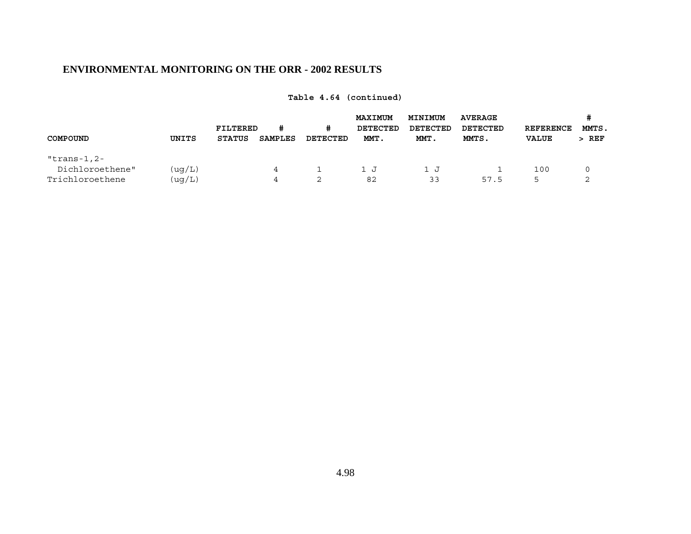| COMPOUND                       | UNITS  | FILTERED<br><b>STATUS</b> | #<br><b>SAMPLES</b> | #<br>DETECTED | <b>MAXIMUM</b><br><b>DETECTED</b><br>MMT. | MINIMUM<br>DETECTED<br>MMT. | <b>AVERAGE</b><br>DETECTED<br>MMTS. | <b>REFERENCE</b><br><b>VALUE</b> | MMTS.<br>$>$ REF |
|--------------------------------|--------|---------------------------|---------------------|---------------|-------------------------------------------|-----------------------------|-------------------------------------|----------------------------------|------------------|
| "trans-1,2-<br>Dichloroethene" |        |                           |                     |               |                                           |                             |                                     |                                  |                  |
|                                | (ug/L) |                           | 4                   |               | 1 J                                       | LJ                          |                                     | 100                              |                  |
| Trichloroethene                | (ug/L) |                           | 4                   | 2             | 82                                        | 33                          | 57.5                                | 5                                |                  |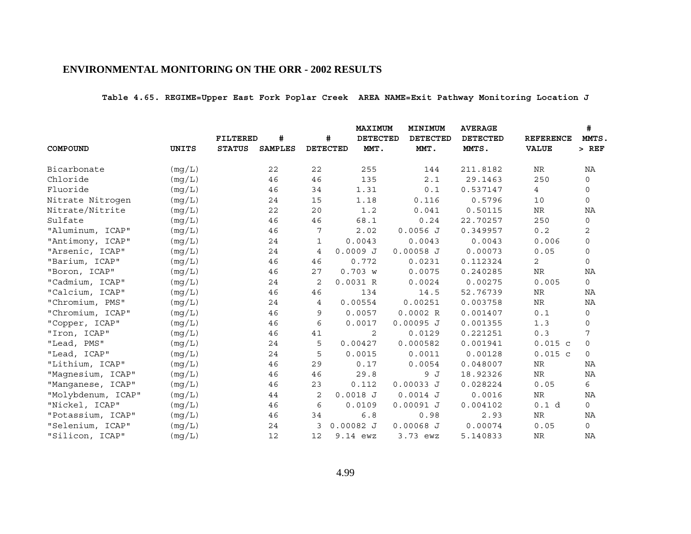**Table 4.65. REGIME=Upper East Fork Poplar Creek AREA NAME=Exit Pathway Monitoring Location J**

|                    |              |               |                |                 | <b>MAXIMUM</b>  | MINIMUM         | <b>AVERAGE</b>  |                  | #            |
|--------------------|--------------|---------------|----------------|-----------------|-----------------|-----------------|-----------------|------------------|--------------|
|                    |              | FILTERED      | #              | #               | <b>DETECTED</b> | <b>DETECTED</b> | <b>DETECTED</b> | <b>REFERENCE</b> | MMTS.        |
| COMPOUND           | <b>UNITS</b> | <b>STATUS</b> | <b>SAMPLES</b> | <b>DETECTED</b> | MMT.            | MMT.            | MMTS.           | <b>VALUE</b>     | $>$ REF      |
| Bicarbonate        | (mg/L)       |               | 22             | 22              | 255             | 144             | 211.8182        | ${\rm NR}$       | NA           |
| Chloride           | (mq/L)       |               | 46             | 46              | 135             | 2.1             | 29.1463         | 250              | $\mathbf 0$  |
| Fluoride           | (mq/L)       |               | 46             | 34              | 1.31            | 0.1             | 0.537147        | $\overline{4}$   | 0            |
| Nitrate Nitrogen   | (mq/L)       |               | 24             | 15              | 1.18            | 0.116           | 0.5796          | 10               | $\mathbf 0$  |
| Nitrate/Nitrite    | (mq/L)       |               | 22             | 20              | 1.2             | 0.041           | 0.50115         | ${\hbox{NR}}$    | ΝA           |
| Sulfate            | (mg/L)       |               | 46             | 46              | 68.1            | 0.24            | 22.70257        | 250              | 0            |
| "Aluminum, ICAP"   | (mq/L)       |               | 46             | 7               | 2.02            | $0.0056$ J      | 0.349957        | 0.2              | 2            |
| "Antimony, ICAP"   | (mg/L)       |               | 24             | 1               | 0.0043          | 0.0043          | 0.0043          | 0.006            | 0            |
| "Arsenic, ICAP"    | (mg/L)       |               | 24             | 4               | $0.0009$ J      | $0.00058$ J     | 0.00073         | 0.05             | $\mathbf 0$  |
| "Barium, ICAP"     | (mq/L)       |               | 46             | 46              | 0.772           | 0.0231          | 0.112324        | $\overline{2}$   | $\mathbf 0$  |
| "Boron, ICAP"      | (mg/L)       |               | 46             | 27              | 0.703 w         | 0.0075          | 0.240285        | NR               | NA           |
| "Cadmium, ICAP"    | (mg/L)       |               | 24             | 2               | 0.0031 R        | 0.0024          | 0.00275         | 0.005            | $\mathsf{O}$ |
| "Calcium, ICAP"    | (mg/L)       |               | 46             | 46              | 134             | 14.5            | 52.76739        | NR               | NA           |
| "Chromium, PMS"    | (mq/L)       |               | 24             | 4               | 0.00554         | 0.00251         | 0.003758        | ${\rm NR}$       | NA           |
| "Chromium, ICAP"   | (mg/L)       |               | 46             | 9               | 0.0057          | 0.0002R         | 0.001407        | 0.1              | $\mathsf{O}$ |
| "Copper, ICAP"     | (mq/L)       |               | 46             | 6               | 0.0017          | $0.00095$ J     | 0.001355        | 1.3              | 0            |
| "Iron, ICAP"       | (mg/L)       |               | 46             | 41              | 2               | 0.0129          | 0.221251        | 0.3              | 7            |
| "Lead, PMS"        | (mq/L)       |               | 24             | 5               | 0.00427         | 0.000582        | 0.001941        | $0.015$ c        | $\mathbf 0$  |
| "Lead, ICAP"       | (mg/L)       |               | 24             | 5               | 0.0015          | 0.0011          | 0.00128         | $0.015$ c        | $\mathsf{O}$ |
| "Lithium, ICAP"    | (mg/L)       |               | 46             | 29              | 0.17            | 0.0054          | 0.048007        | ${\hbox{NR}}$    | NA           |
| "Magnesium, ICAP"  | (mq/L)       |               | 46             | 46              | 29.8            | 9 J             | 18.92326        | NR               | ΝA           |
| "Manganese, ICAP"  | (mq/L)       |               | 46             | 23              | 0.112           | $0.00033$ J     | 0.028224        | 0.05             | 6            |
| "Molybdenum, ICAP" | (mg/L)       |               | 44             | 2               | $0.0018$ J      | $0.0014$ J      | 0.0016          | NR               | NA           |
| "Nickel, ICAP"     | (mg/L)       |               | 46             | 6               | 0.0109          | $0.00091$ J     | 0.004102        | 0.1 d            | $\circ$      |
| "Potassium, ICAP"  | (mg/L)       |               | 46             | 34              | 6.8             | 0.98            | 2.93            | NR               | ΝA           |
| "Selenium, ICAP"   | (mq/L)       |               | 24             | 3               | $0.00082$ J     | $0.00068$ J     | 0.00074         | 0.05             | $\mathsf{O}$ |
| "Silicon, ICAP"    | (mq/L)       |               | 12             | 12              | $9.14$ ewz      | 3.73 ewz        | 5.140833        | <b>NR</b>        | NA           |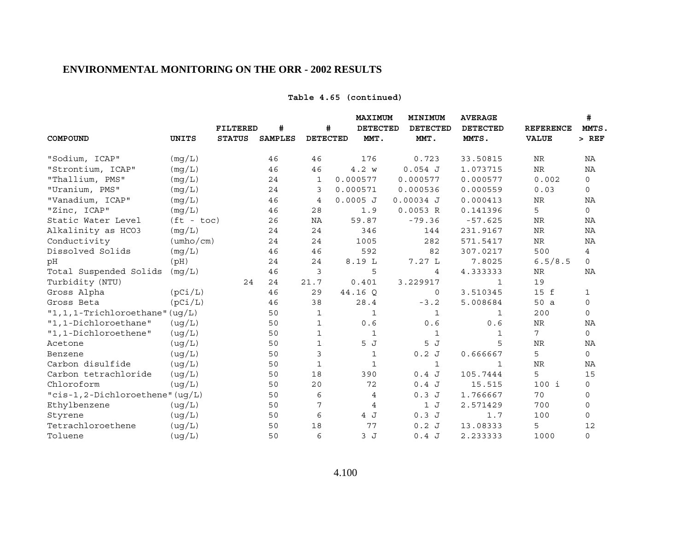## **Table 4.65 (continued)**

|                                   |                           |                 |                |             |                 | MAXIMUM      | MINIMUM      | <b>AVERAGE</b>  |                  | #              |
|-----------------------------------|---------------------------|-----------------|----------------|-------------|-----------------|--------------|--------------|-----------------|------------------|----------------|
|                                   |                           | <b>FILTERED</b> | #              |             | #               | DETECTED     | DETECTED     | <b>DETECTED</b> | <b>REFERENCE</b> | MMTS.          |
| COMPOUND                          | <b>UNITS</b>              | <b>STATUS</b>   | <b>SAMPLES</b> |             | <b>DETECTED</b> | MMT.         | MMT.         | MMTS.           | <b>VALUE</b>     | $>$ REF        |
| "Sodium, ICAP"                    | (mq/L)                    |                 | 46             | 46          |                 | 176          | 0.723        | 33.50815        | NR               | ΝA             |
| "Strontium, ICAP"                 | (mq/L)                    |                 | 46             | 46          |                 | 4.2 w        | $0.054$ J    | 1.073715        | $\rm{NR}$        | NA             |
| "Thallium, PMS"                   | (mg/L)                    |                 | 24             | 1           | 0.000577        |              | 0.000577     | 0.000577        | 0.002            | 0              |
| "Uranium, PMS"                    | (mq/L)                    |                 | 24             | 3           | 0.000571        |              | 0.000536     | 0.000559        | 0.03             | $\mathbf 0$    |
| "Vanadium, ICAP"                  | (mq/L)                    |                 | 46             | 4           | $0.0005$ J      |              | $0.00034$ J  | 0.000413        | <b>NR</b>        | NA             |
| "Zinc, ICAP"                      | (mq/L)                    |                 | 46             | 28          |                 | 1.9          | 0.0053 R     | 0.141396        | 5                | $\mathbf 0$    |
| Static Water Level                | $(ft - toc)$              |                 | 26             | ΝA          |                 | 59.87        | $-79.36$     | $-57.625$       | <b>NR</b>        | NA             |
| Alkalinity as HCO3                | (mg/L)                    |                 | 24             | 24          |                 | 346          | 144          | 231.9167        | $\rm NR$         | NA             |
| Conductivity                      | $(\text{umbo}/\text{cm})$ |                 | 24             | 24          |                 | 1005         | 282          | 571.5417        | $\rm NR$         | NA             |
| Dissolved Solids                  | (mg/L)                    |                 | 46             | 46          |                 | 592          | 82           | 307.0217        | 500              | $\overline{4}$ |
| pH                                | (pH)                      |                 | 24             | 24          |                 | 8.19 L       | 7.27 L       | 7.8025          | 6.5/8.5          | $\mathbf 0$    |
| Total Suspended Solids            | (mq/L)                    |                 | 46             | 3           |                 | 5            | 4            | 4.333333        | NR               | NA             |
| Turbidity (NTU)                   |                           | 24              | 24             | 21.7        |                 | 0.401        | 3.229917     | 1               | 19               |                |
| Gross Alpha                       | (pCi/L)                   |                 | 46             | 29          | 44.16 Q         |              | 0            | 3.510345        | 15 f             | $\mathbf{1}$   |
| Gross Beta                        | (pCi/L)                   |                 | 46             | 38          |                 | 28.4         | $-3.2$       | 5.008684        | 50 a             | $\mathbf 0$    |
| $"1,1,1$ -Trichloroethane" (ug/L) |                           |                 | 50             | $\mathbf 1$ |                 | $\mathbf{1}$ | $\mathbf{1}$ | $\mathbf{1}$    | 200              | $\mathbf 0$    |
| "1,1-Dichloroethane"              | (ug/L)                    |                 | 50             | 1           |                 | 0.6          | 0.6          | 0.6             | $\rm{NR}$        | NA             |
| "1,1-Dichloroethene"              | (ug/L)                    |                 | 50             | 1           |                 | $\mathbf{1}$ | $\mathbf{1}$ | 1               | 7                | $\mathbf 0$    |
| Acetone                           | (ug/L)                    |                 | 50             | $\mathbf 1$ |                 | 5 J          | 5J           | 5               | <b>NR</b>        | ΝA             |
| Benzene                           | ( uq/L)                   |                 | 50             | 3           |                 | $\mathbf{1}$ | 0.2J         | 0.666667        | 5                | $\mathsf{O}$   |
| Carbon disulfide                  | (ug/L)                    |                 | 50             | 1           |                 | $\mathbf{1}$ | 1            | 1               | <b>NR</b>        | ΝA             |
| Carbon tetrachloride              | (ug/L)                    |                 | 50             | 18          |                 | 390          | 0.4J         | 105.7444        | 5                | 15             |
| Chloroform                        | ( uq/L)                   |                 | 50             | 20          |                 | 72           | 0.4J         | 15.515          | $100$ i          | 0              |
| "cis-1,2-Dichloroethene" (uq/L)   |                           |                 | 50             | 6           |                 | 4            | 0.3J         | 1.766667        | 70               | 0              |
| Ethylbenzene                      | (ug/L)                    |                 | 50             | 7           |                 | 4            | 1J           | 2.571429        | 700              | $\mathbf 0$    |
| Styrene                           | (ug/L)                    |                 | 50             | 6           |                 | 4 J          | 0.3J         | 1.7             | 100              | $\mathbf 0$    |
| Tetrachloroethene                 | (ug/L)                    |                 | 50             | 18          |                 | 77           | 0.2J         | 13.08333        | 5                | 12             |
| Toluene                           | ( uq/L)                   |                 | 50             | 6           |                 | 3J           | 0.4J         | 2.233333        | 1000             | $\mathsf{O}$   |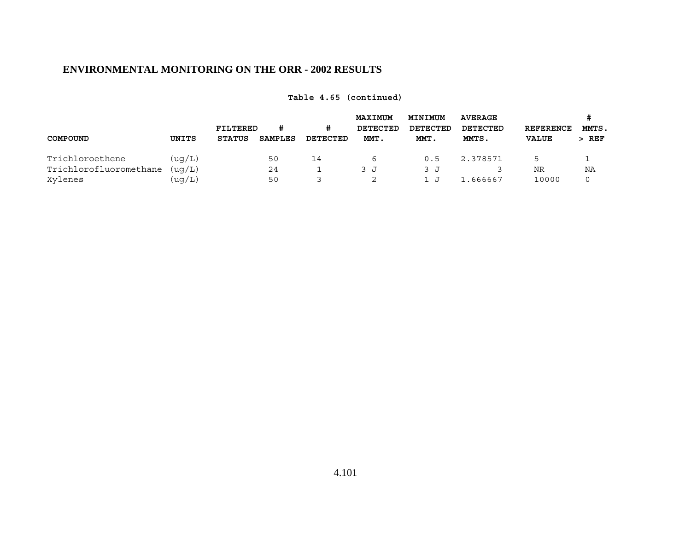|                        |         |                           |         |               | <b>MAXIMUM</b>   | <b>MINIMUM</b>   | <b>AVERAGE</b>    |                                  | #                |  |
|------------------------|---------|---------------------------|---------|---------------|------------------|------------------|-------------------|----------------------------------|------------------|--|
| COMPOUND               | UNITS   | FILTERED<br><b>STATUS</b> | SAMPLES | #<br>DETECTED | DETECTED<br>MMT. | DETECTED<br>MMT. | DETECTED<br>MMTS. | <b>REFERENCE</b><br><b>VALUE</b> | MMTS.<br>$>$ REF |  |
| Trichloroethene        | ( uq/L) |                           | 50      | 14            | ь                | 0.5              | 2.378571          | 5                                |                  |  |
| Trichlorofluoromethane | (ua/L)  |                           | 24      |               | 3 J              | 3 J              |                   | NR                               | ΝA               |  |
| Xylenes                | (uq/L)  |                           | 50      |               |                  | ل .              | 1.666667          | 10000                            |                  |  |

**Table 4.65 (continued)**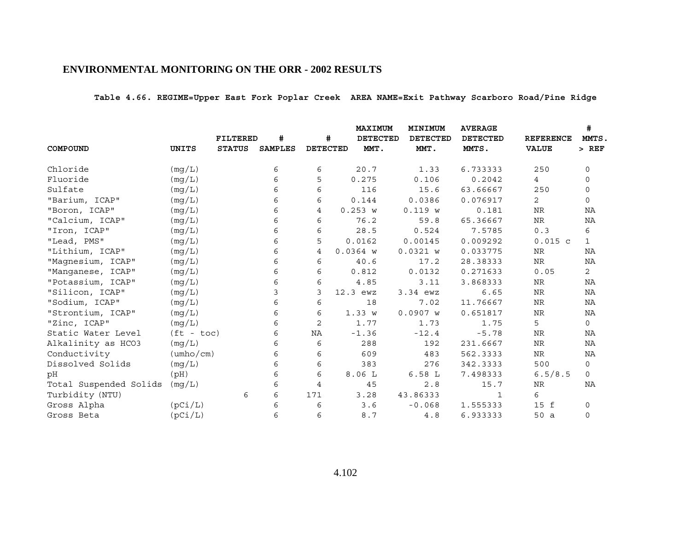**Table 4.66. REGIME=Upper East Fork Poplar Creek AREA NAME=Exit Pathway Scarboro Road/Pine Ridge**

|                        |                           |                 |                |                 | <b>MAXIMUM</b>  | MINIMUM         | <b>AVERAGE</b>  |                  | #            |
|------------------------|---------------------------|-----------------|----------------|-----------------|-----------------|-----------------|-----------------|------------------|--------------|
|                        |                           | <b>FILTERED</b> | #              | #               | <b>DETECTED</b> | <b>DETECTED</b> | <b>DETECTED</b> | <b>REFERENCE</b> | MMTS.        |
| COMPOUND               | <b>UNITS</b>              | <b>STATUS</b>   | <b>SAMPLES</b> | <b>DETECTED</b> | MMT.            | MMT.            | MMTS.           | <b>VALUE</b>     | $>$ REF      |
| Chloride               | (mg/L)                    |                 | 6              | 6               | 20.7            | 1.33            | 6.733333        | 250              | $\mathbf 0$  |
| Fluoride               | (mq/L)                    |                 | 6              | 5               | 0.275           | 0.106           | 0.2042          | $4\overline{ }$  | 0            |
| Sulfate                | (mg/L)                    |                 | 6              | 6               | 116             | 15.6            | 63.66667        | 250              | $\mathbf 0$  |
| "Barium, ICAP"         | (mg/L)                    |                 | 6              | 6               | 0.144           | 0.0386          | 0.076917        | $\overline{2}$   | $\mathsf{O}$ |
| "Boron, ICAP"          | (mg/L)                    |                 | 6              | $\overline{4}$  | 0.253 w         | 0.119 w         | 0.181           | NR               | NA           |
| "Calcium, ICAP"        | (mg/L)                    |                 | 6              | 6               | 76.2            | 59.8            | 65.36667        | NR               | ΝA           |
| "Iron, ICAP"           | (mg/L)                    |                 | 6              | 6               | 28.5            | 0.524           | 7.5785          | 0.3              | 6            |
| "Lead, PMS"            | (mg/L)                    |                 | 6              | 5               | 0.0162          | 0.00145         | 0.009292        | $0.015$ c        | 1            |
| "Lithium, ICAP"        | (mg/L)                    |                 | 6              | 4               | $0.0364$ W      | $0.0321$ W      | 0.033775        | NR               | ΝA           |
| "Magnesium, ICAP"      | (mg/L)                    |                 | 6              | 6               | 40.6            | 17.2            | 28.38333        | $\rm NR$         | NA           |
| "Manganese, ICAP"      | (mg/L)                    |                 | 6              | 6               | 0.812           | 0.0132          | 0.271633        | 0.05             | $\mathbf{2}$ |
| "Potassium, ICAP"      | (mg/L)                    |                 | 6              | 6               | 4.85            | 3.11            | 3.868333        | NR               | NA           |
| "Silicon, ICAP"        | (mg/L)                    |                 | 3              | 3               | $12.3$ ewz      | 3.34 ewz        | 6.65            | NR               | ΝA           |
| "Sodium, ICAP"         | (mg/L)                    |                 | 6              | 6               | 18              | 7.02            | 11.76667        | NR               | ΝA           |
| "Strontium, ICAP"      | (mg/L)                    |                 | 6              | 6               | 1.33 w          | 0.0907 w        | 0.651817        | NR               | ΝA           |
| "Zinc, ICAP"           | (mg/L)                    |                 | 6              | 2               | 1.77            | 1.73            | 1.75            | 5                | 0            |
| Static Water Level     | $(ft - toc)$              |                 | 6              | NA              | $-1.36$         | $-12.4$         | $-5.78$         | NR               | NA           |
| Alkalinity as HCO3     | (mq/L)                    |                 | 6              | 6               | 288             | 192             | 231.6667        | ${\hbox{NR}}$    | ΝA           |
| Conductivity           | $(\text{umbo}/\text{cm})$ |                 | 6              | 6               | 609             | 483             | 562.3333        | NR               | ΝA           |
| Dissolved Solids       | (mg/L)                    |                 | 6              | 6               | 383             | 276             | 342.3333        | 500              | 0            |
| pН                     | (pH)                      |                 | 6              | 6               | 8.06L           | 6.58L           | 7.498333        | 6.5/8.5          | $\mathbf 0$  |
| Total Suspended Solids | (mg/L)                    |                 | 6              | $\overline{4}$  | 45              | 2.8             | 15.7            | NR               | NA           |
| Turbidity (NTU)        |                           | 6               | 6              | 171             | 3.28            | 43.86333        | 1               | 6                |              |
| Gross Alpha            | (pCi/L)                   |                 | 6              | 6               | 3.6             | $-0.068$        | 1.555333        | 15 f             | 0            |
| Gross Beta             | (pCi/L)                   |                 | 6              | 6               | 8.7             | 4.8             | 6.933333        | 50 a             | 0            |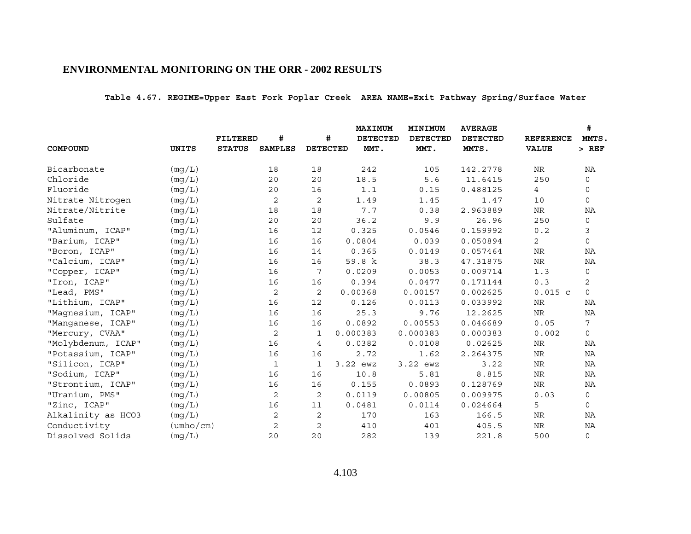**Table 4.67. REGIME=Upper East Fork Poplar Creek AREA NAME=Exit Pathway Spring/Surface Water**

|                    |                           |                 |                |                 | MAXIMUM         | MINIMUM         | <b>AVERAGE</b>  |                  | #            |
|--------------------|---------------------------|-----------------|----------------|-----------------|-----------------|-----------------|-----------------|------------------|--------------|
|                    |                           | <b>FILTERED</b> | #              | #               | <b>DETECTED</b> | <b>DETECTED</b> | <b>DETECTED</b> | <b>REFERENCE</b> | MMTS.        |
| COMPOUND           | UNITS                     | <b>STATUS</b>   | <b>SAMPLES</b> | <b>DETECTED</b> | MMT.            | MMT.            | MMTS.           | <b>VALUE</b>     | $>$ REF      |
| Bicarbonate        | (mg/L)                    |                 | 18             | 18              | 242             | 105             | 142.2778        | NR               | NA           |
| Chloride           | (mq/L)                    |                 | 20             | 20              | 18.5            | 5.6             | 11.6415         | 250              | $\mathbf 0$  |
| Fluoride           | (mg/L)                    |                 | 20             | 16              | 1.1             | 0.15            | 0.488125        | 4                | 0            |
| Nitrate Nitrogen   | (mq/L)                    |                 | 2              | 2               | 1.49            | 1.45            | 1.47            | 10               | $\mathbf 0$  |
| Nitrate/Nitrite    | (mg/L)                    |                 | 18             | 18              | 7.7             | 0.38            | 2.963889        | <b>NR</b>        | ΝA           |
| Sulfate            | (mg/L)                    |                 | 20             | 20              | 36.2            | 9.9             | 26.96           | 250              | 0            |
| "Aluminum, ICAP"   | (mq/L)                    |                 | 16             | 12              | 0.325           | 0.0546          | 0.159992        | 0.2              | 3            |
| "Barium, ICAP"     | (mg/L)                    |                 | 16             | 16              | 0.0804          | 0.039           | 0.050894        | $\overline{a}$   | $\mathsf{O}$ |
| "Boron, ICAP"      | (mq/L)                    |                 | 16             | 14              | 0.365           | 0.0149          | 0.057464        | $\rm NR$         | NA           |
| "Calcium, ICAP"    | (mg/L)                    |                 | 16             | 16              | 59.8 k          | 38.3            | 47.31875        | <b>NR</b>        | NA           |
| "Copper, ICAP"     | (mq/L)                    |                 | 16             | 7               | 0.0209          | 0.0053          | 0.009714        | 1.3              | $\mathbf 0$  |
| "Iron, ICAP"       | (mg/L)                    |                 | 16             | 16              | 0.394           | 0.0477          | 0.171144        | 0.3              | 2            |
| "Lead, PMS"        | (mg/L)                    |                 | $\sqrt{2}$     | $\sqrt{2}$      | 0.00368         | 0.00157         | 0.002625        | 0.015c           | $\circ$      |
| "Lithium, ICAP"    | (mq/L)                    |                 | 16             | 12              | 0.126           | 0.0113          | 0.033992        | NR               | NA           |
| "Magnesium, ICAP"  | (mg/L)                    |                 | 16             | 16              | 25.3            | 9.76            | 12.2625         | $\rm NR$         | NA           |
| "Manganese, ICAP"  | (mq/L)                    |                 | 16             | 16              | 0.0892          | 0.00553         | 0.046689        | 0.05             | 7            |
| "Mercury, CVAA"    | (mg/L)                    |                 | 2              | 1               | 0.000383        | 0.000383        | 0.000383        | 0.002            | 0            |
| "Molybdenum, ICAP" | (mq/L)                    |                 | 16             | 4               | 0.0382          | 0.0108          | 0.02625         | $\rm NR$         | NA           |
| "Potassium, ICAP"  | (mg/L)                    |                 | 16             | 16              | 2.72            | 1.62            | 2.264375        | $\rm NR$         | NA           |
| "Silicon, ICAP"    | (mg/L)                    |                 | $\mathbf{1}$   | $\mathbf{1}$    | 3.22 ewz        | 3.22 ewz        | 3.22            | <b>NR</b>        | NA           |
| "Sodium, ICAP"     | (mq/L)                    |                 | 16             | 16              | 10.8            | 5.81            | 8.815           | $\rm NR$         | ΝA           |
| "Strontium, ICAP"  | (mq/L)                    |                 | 16             | 16              | 0.155           | 0.0893          | 0.128769        | <b>NR</b>        | NA           |
| "Uranium, PMS"     | (mg/L)                    |                 | 2              | 2               | 0.0119          | 0.00805         | 0.009975        | 0.03             | $\mathbf 0$  |
| "Zinc, ICAP"       | (mg/L)                    |                 | 16             | 11              | 0.0481          | 0.0114          | 0.024664        | 5                | 0            |
| Alkalinity as HCO3 | (mg/L)                    |                 | 2              | 2               | 170             | 163             | 166.5           | $\rm NR$         | ΝA           |
| Conductivity       | $(\text{umbo}/\text{cm})$ |                 | 2              | 2               | 410             | 401             | 405.5           | ${\hbox{NR}}$    | NA           |
| Dissolved Solids   | (mg/L)                    |                 | 20             | 20              | 282             | 139             | 221.8           | 500              | $\mathsf{O}$ |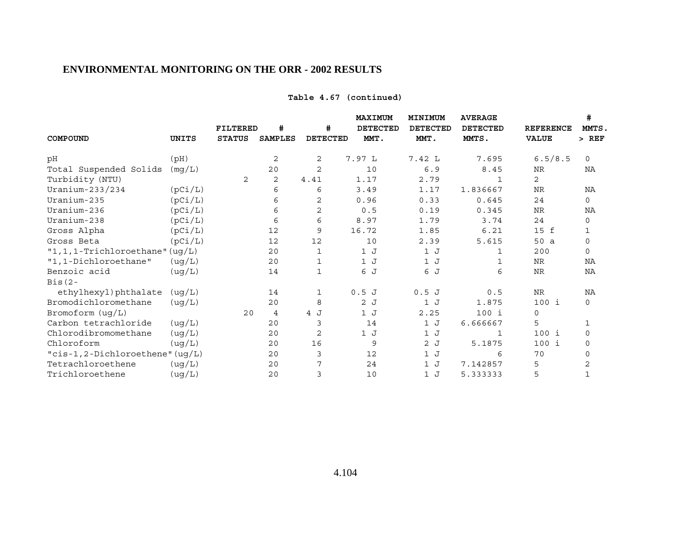## **Table 4.67 (continued)**

|                                     |         | <b>FILTERED</b> | #              | #               | MAXIMUM<br><b>DETECTED</b> | MINIMUM<br><b>DETECTED</b> | <b>AVERAGE</b><br><b>DETECTED</b> | <b>REFERENCE</b> | #<br>MMTS,   |
|-------------------------------------|---------|-----------------|----------------|-----------------|----------------------------|----------------------------|-----------------------------------|------------------|--------------|
| COMPOUND                            | UNITS   | <b>STATUS</b>   | <b>SAMPLES</b> | <b>DETECTED</b> | MMT.                       | MMT.                       | MMTS.                             | <b>VALUE</b>     | $>$ REF      |
| рH                                  | (pH)    |                 | 2              | 2               | 7.97 L                     | 7.42 L                     | 7.695                             | 6.5/8.5          | $\Omega$     |
| Total Suspended Solids              | (mg/L)  |                 | 20             | 2               | 10                         | 6.9                        | 8.45                              | <b>NR</b>        | NA           |
| Turbidity (NTU)                     |         | 2               | 2              | 4.41            | 1.17                       | 2.79                       | 1                                 | 2                |              |
| Uranium-233/234                     | (pCi/L) |                 | 6              | 6               | 3.49                       | 1.17                       | 1.836667                          | <b>NR</b>        | NA           |
| Uranium-235                         | (pCi/L) |                 | 6              | 2               | 0.96                       | 0.33                       | 0.645                             | 24               | $\mathsf{O}$ |
| Uranium-236                         | (pCi/L) |                 | 6              | 2               | 0.5                        | 0.19                       | 0.345                             | <b>NR</b>        | ΝA           |
| Uranium-238                         | (pCi/L) |                 | 6              | 6               | 8.97                       | 1.79                       | 3.74                              | 24               | 0            |
| Gross Alpha                         | (pCi/L) |                 | 12             | 9               | 16.72                      | 1.85                       | 6.21                              | 15 f             | 1            |
| Gross Beta                          | (pCi/L) |                 | 12             | 12              | 10                         | 2.39                       | 5.615                             | 50 a             | $\mathbf 0$  |
| $"1, 1, 1$ -Trichloroethane" (ug/L) |         |                 | 20             | 1               | 1J                         | 1J                         | $\mathbf{1}$                      | 200              | $\mathbf 0$  |
| "1,1-Dichloroethane"                | (ug/L)  |                 | 20             | 1               | 1J                         | 1J                         | 1                                 | <b>NR</b>        | NA           |
| Benzoic acid                        | (ug/L)  |                 | 14             | $\mathbf{1}$    | 6 J                        | 6 J                        | 6                                 | <b>NR</b>        | NA           |
| $Bis(2 -$                           |         |                 |                |                 |                            |                            |                                   |                  |              |
| ethylhexyl)phthalate                | (ug/L)  |                 | 14             | 1               | 0.5J                       | 0.5J                       | 0.5                               | <b>NR</b>        | NA           |
| Bromodichloromethane                | (ug/L)  |                 | 20             | 8               | 2 J                        | 1J                         | 1.875                             | $100$ i          | $\mathsf{O}$ |
| Bromoform (ug/L)                    |         | 20              | 4              | 4 J             | 1J                         | 2.25                       | $100$ i                           | $\mathbf 0$      |              |
| Carbon tetrachloride                | (ug/L)  |                 | 20             | 3               | 14                         | 1J                         | 6.666667                          | 5                | 1            |
| Chlorodibromomethane                | (ug/L)  |                 | 20             | $\mathbf{2}$    | 1 J                        | 1J                         | 1                                 | $100$ i          | $\mathbf 0$  |
| Chloroform                          | (ug/L)  |                 | 20             | 16              | 9                          | 2J                         | 5.1875                            | $100$ i          | $\mathbf 0$  |
| "cis-1,2-Dichloroethene" (ug/L)     |         |                 | 20             | 3               | 12                         | 1J                         | 6                                 | 70               | 0            |
| Tetrachloroethene                   | (ug/L)  |                 | 20             | 7               | 24                         | 1J                         | 7.142857                          | 5                | 2            |
| Trichloroethene                     | (ug/L)  |                 | 20             | 3               | 10                         | 1J                         | 5.333333                          | 5                | 1            |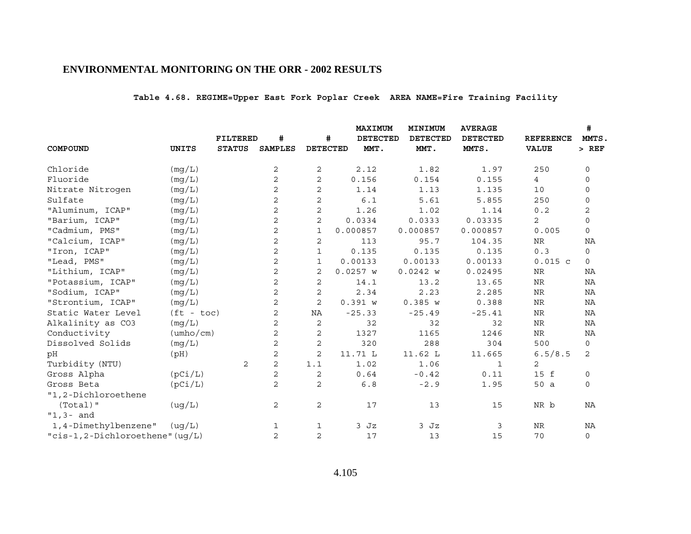# **Table 4.68. REGIME=Upper East Fork Poplar Creek AREA NAME=Fire Training Facility**

|                                     |                           |                 |                |                 | <b>MAXIMUM</b>  | MINIMUM         | <b>AVERAGE</b>  |                  | #              |
|-------------------------------------|---------------------------|-----------------|----------------|-----------------|-----------------|-----------------|-----------------|------------------|----------------|
|                                     |                           | <b>FILTERED</b> | #              | #               | <b>DETECTED</b> | <b>DETECTED</b> | <b>DETECTED</b> | <b>REFERENCE</b> | MMTS.          |
| COMPOUND                            | <b>UNITS</b>              | <b>STATUS</b>   | <b>SAMPLES</b> | <b>DETECTED</b> | MMT.            | MMT.            | MMTS.           | <b>VALUE</b>     | $>$ REF        |
| Chloride                            | (mg/L)                    |                 | 2              | 2               | 2.12            | 1.82            | 1.97            | 250              | $\mathbf 0$    |
| Fluoride                            | (mq/L)                    |                 | $\overline{a}$ | $\overline{c}$  | 0.156           | 0.154           | 0.155           | $\overline{4}$   | $\mathbf 0$    |
| Nitrate Nitrogen                    | (mg/L)                    |                 | 2              | $\mathbf{2}$    | 1.14            | 1.13            | 1.135           | 10               | 0              |
| Sulfate                             | (mq/L)                    |                 | 2              | $\mathbf{2}$    | 6.1             | 5.61            | 5.855           | 250              | $\mathbf 0$    |
| "Aluminum, ICAP"                    | (mg/L)                    |                 | 2              | $\mathbf{2}$    | 1.26            | 1.02            | 1.14            | 0.2              | 2              |
| "Barium, ICAP"                      | (mg/L)                    |                 | $\overline{c}$ | $\overline{c}$  | 0.0334          | 0.0333          | 0.03335         | 2                | $\mathsf{O}$   |
| "Cadmium, PMS"                      | (mq/L)                    |                 | 2              | $\mathbf{1}$    | 0.000857        | 0.000857        | 0.000857        | 0.005            | $\mathsf{O}$   |
| "Calcium, ICAP"                     | (mg/L)                    |                 | $\mathbf{2}$   | $\mathbf{2}$    | 113             | 95.7            | 104.35          | <b>NR</b>        | NA             |
| "Iron, ICAP"                        | (mq/L)                    |                 | $\mathbf{2}$   | 1               | 0.135           | 0.135           | 0.135           | 0.3              | 0              |
| "Lead, PMS"                         | (mg/L)                    |                 | 2              | $\mathbf{1}$    | 0.00133         | 0.00133         | 0.00133         | $0.015$ c        | $\mathbf 0$    |
| "Lithium, ICAP"                     | (mq/L)                    |                 | $\overline{c}$ | $\mathbf{2}$    | $0.0257$ W      | 0.0242 w        | 0.02495         | $\rm NR$         | NA             |
| "Potassium, ICAP"                   | (mg/L)                    |                 | 2              | 2               | 14.1            | 13.2            | 13.65           | $\rm NR$         | NA             |
| "Sodium, ICAP"                      | (mg/L)                    |                 | $\sqrt{2}$     | $\mathbf 2$     | 2.34            | 2.23            | 2.285           | $\rm{NR}$        | NA             |
| "Strontium, ICAP"                   | (mq/L)                    |                 | $\overline{c}$ | $\overline{a}$  | 0.391 w         | 0.385 w         | 0.388           | $\rm NR$         | NA             |
| Static Water Level                  | $(ft - toc)$              |                 | 2              | NA              | $-25.33$        | $-25.49$        | $-25.41$        | <b>NR</b>        | NA             |
| Alkalinity as CO3                   | (mq/L)                    |                 | 2              | $\overline{2}$  | 32              | 32              | 32              | $\rm NR$         | NA             |
| Conductivity                        | $(\text{umbo}/\text{cm})$ |                 | 2              | 2               | 1327            | 1165            | 1246            | <b>NR</b>        | NA             |
| Dissolved Solids                    | (mq/L)                    |                 | $\overline{c}$ | $\mathbf 2$     | 320             | 288             | 304             | 500              | 0              |
| pH                                  | (pH)                      |                 | 2              | 2               | 11.71 L         | 11.62 L         | 11.665          | 6.5/8.5          | $\overline{2}$ |
| Turbidity (NTU)                     |                           | 2               | 2              | 1.1             | 1.02            | 1.06            | $\mathbf{1}$    | 2                |                |
| Gross Alpha                         | (pCi/L)                   |                 | 2              | 2               | 0.64            | $-0.42$         | 0.11            | 15 f             | 0              |
| Gross Beta                          | (pCi/L)                   |                 | 2              | 2               | $6.8$           | $-2.9$          | 1.95            | 50 a             | $\mathsf{O}$   |
| "1,2-Dichloroethene                 |                           |                 |                |                 |                 |                 |                 |                  |                |
| $(Total)$ "                         | (ug/L)                    |                 | 2              | 2               | 17              | 13              | 15              | NR b             | NA             |
| $"1,3-$ and                         |                           |                 |                |                 |                 |                 |                 |                  |                |
| 1,4-Dimethylbenzene"                | ( uq/L)                   |                 | 1              | 1               | $3$ $Jz$        | $3$ $Jz$        | 3               | NR               | NA             |
| " $cis-1, 2-Dichloroethene" (uq/L)$ |                           |                 | 2              | $\overline{2}$  | 17              | 13              | 15              | 70               | $\mathsf{O}$   |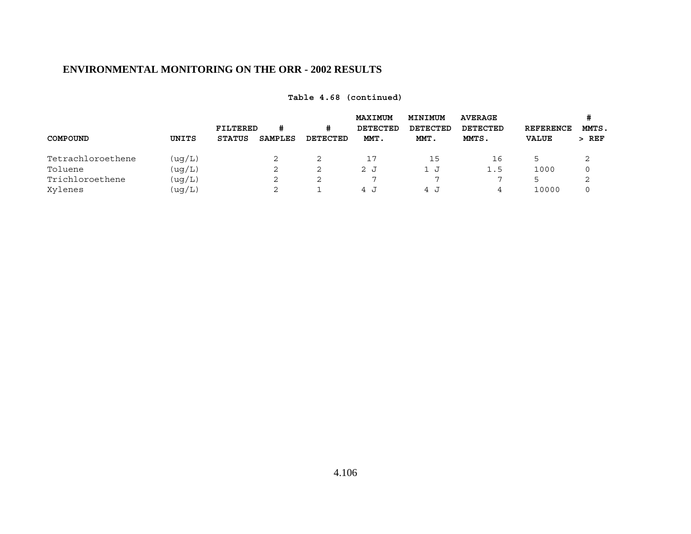|                   |         |                                  |                     |               | <b>MAXIMUM</b>   | MINIMUM<br><b>DETECTED</b> | <b>AVERAGE</b>    |                                  | MMTS.   |
|-------------------|---------|----------------------------------|---------------------|---------------|------------------|----------------------------|-------------------|----------------------------------|---------|
| COMPOUND          | UNITS   | <b>FILTERED</b><br><b>STATUS</b> | #<br><b>SAMPLES</b> | #<br>DETECTED | DETECTED<br>MMT. | MMT.                       | DETECTED<br>MMTS. | <b>REFERENCE</b><br><b>VALUE</b> | $>$ REF |
| Tetrachloroethene | (ug/L)  |                                  | 2                   |               |                  | 15                         | 16                |                                  |         |
| Toluene           | (uq/L)  |                                  | 2                   | 2             | 2 J              | ⊔ ⊥                        | 1.5               | 1000                             |         |
| Trichloroethene   | (uq/L)  |                                  | 2                   |               |                  |                            |                   |                                  |         |
| Xylenes           | ( uq/L) |                                  | 2                   |               | 1 ב              | 4 J                        | 4                 | 10000                            |         |

**Table 4.68 (continued)**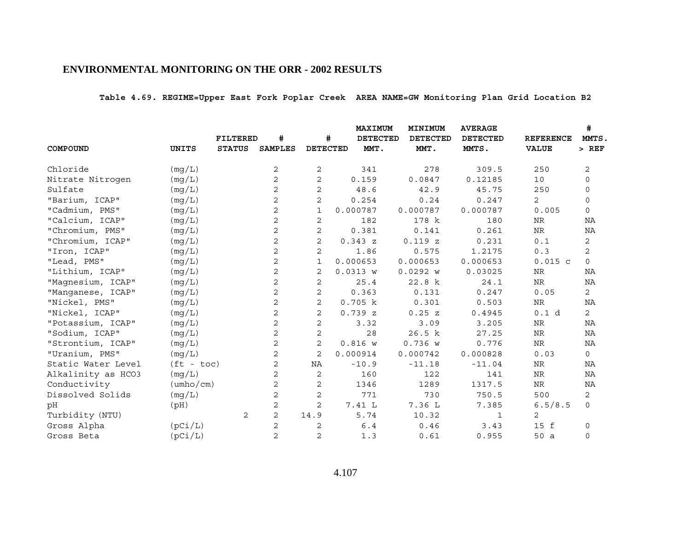**Table 4.69. REGIME=Upper East Fork Poplar Creek AREA NAME=GW Monitoring Plan Grid Location B2**

|                    |                           |                 |                |                 | <b>MAXIMUM</b>  | MINIMUM         | <b>AVERAGE</b>  |                  | #              |
|--------------------|---------------------------|-----------------|----------------|-----------------|-----------------|-----------------|-----------------|------------------|----------------|
|                    |                           | <b>FILTERED</b> | #              | #               | <b>DETECTED</b> | <b>DETECTED</b> | <b>DETECTED</b> | <b>REFERENCE</b> | MMTS.          |
| COMPOUND           | UNITS                     | <b>STATUS</b>   | <b>SAMPLES</b> | <b>DETECTED</b> | MMT.            | MMT.            | MMTS.           | <b>VALUE</b>     | $>$ REF        |
| Chloride           | (mg/L)                    |                 | 2              | 2               | 341             | 278             | 309.5           | 250              | 2              |
| Nitrate Nitrogen   | (mg/L)                    |                 | $\overline{a}$ | $\overline{2}$  | 0.159           | 0.0847          | 0.12185         | 10               | $\mathbf 0$    |
| Sulfate            | (mg/L)                    |                 | 2              | 2               | 48.6            | 42.9            | 45.75           | 250              | $\mathbf 0$    |
| "Barium, ICAP"     | (mq/L)                    |                 | 2              | 2               | 0.254           | 0.24            | 0.247           | 2                | $\mathbf 0$    |
| "Cadmium, PMS"     | (mg/L)                    |                 | 2              | $\mathbf{1}$    | 0.000787        | 0.000787        | 0.000787        | 0.005            | $\mathsf{O}$   |
| "Calcium, ICAP"    | (mg/L)                    |                 | 2              | 2               | 182             | 178 k           | 180             | NR               | NA             |
| "Chromium, PMS"    | (mg/L)                    |                 | 2              | $\overline{2}$  | 0.381           | 0.141           | 0.261           | <b>NR</b>        | NA             |
| "Chromium, ICAP"   | (mg/L)                    |                 | $\overline{c}$ | $\overline{2}$  | 0.343z          | 0.119Z          | 0.231           | 0.1              | $\mathbf{2}$   |
| "Iron, ICAP"       | (mq/L)                    |                 | 2              | 2               | 1.86            | 0.575           | 1.2175          | 0.3              | $\overline{a}$ |
| "Lead, PMS"        | (mg/L)                    |                 | 2              | $\mathbf{1}$    | 0.000653        | 0.000653        | 0.000653        | $0.015$ c        | $\mathbf 0$    |
| "Lithium, ICAP"    | (mq/L)                    |                 | $\overline{c}$ | 2               | 0.0313 w        | 0.0292 w        | 0.03025         | NR               | ΝA             |
| "Magnesium, ICAP"  | (mg/L)                    |                 | 2              | 2               | 25.4            | 22.8 k          | 24.1            | $\rm NR$         | ΝA             |
| "Manganese, ICAP"  | (mg/L)                    |                 | $\overline{c}$ | 2               | 0.363           | 0.131           | 0.247           | 0.05             | $\overline{c}$ |
| "Nickel, PMS"      | (mg/L)                    |                 | $\overline{a}$ | $\overline{2}$  | 0.705 k         | 0.301           | 0.503           | NR               | NA             |
| "Nickel, ICAP"     | (mg/L)                    |                 | 2              | $\overline{2}$  | 0.739Z          | 0.25 z          | 0.4945          | 0.1 d            | $\overline{2}$ |
| "Potassium, ICAP"  | (mq/L)                    |                 | $\overline{c}$ | 2               | 3.32            | 3.09            | 3.205           | NR               | NA             |
| "Sodium, ICAP"     | (mg/L)                    |                 | 2              | $\overline{2}$  | 28              | 26.5 k          | 27.25           | <b>NR</b>        | NA             |
| "Strontium, ICAP"  | (mq/L)                    |                 | $\overline{c}$ | $\overline{2}$  | 0.816 w         | 0.736 w         | 0.776           | $\rm NR$         | NA             |
| "Uranium, PMS"     | (mg/L)                    |                 | 2              | 2               | 0.000914        | 0.000742        | 0.000828        | 0.03             | $\mathsf{O}$   |
| Static Water Level | $(ft - toc)$              |                 | 2              | NA              | $-10.9$         | $-11.18$        | $-11.04$        | NR               | NA             |
| Alkalinity as HCO3 | (mq/L)                    |                 | 2              | 2               | 160             | 122             | 141             | ${\hbox{NR}}$    | NA             |
| Conductivity       | $(\text{umbo}/\text{cm})$ |                 | 2              | 2               | 1346            | 1289            | 1317.5          | ${\hbox{NR}}$    | NA             |
| Dissolved Solids   | (mg/L)                    |                 | 2              | 2               | 771             | 730             | 750.5           | 500              | 2              |
| pH                 | (Hq)                      |                 | 2              | 2               | 7.41 L          | 7.36 L          | 7.385           | 6.5/8.5          | $\mathbf{0}$   |
| Turbidity (NTU)    |                           | 2               | $\overline{c}$ | 14.9            | 5.74            | 10.32           | 1               | 2                |                |
| Gross Alpha        | (pCi/L)                   |                 | 2              | 2               | 6.4             | 0.46            | 3.43            | 15 f             | 0              |
| Gross Beta         | (pCi/L)                   |                 | $\overline{a}$ | $\overline{2}$  | 1.3             | 0.61            | 0.955           | 50a              | $\mathbf 0$    |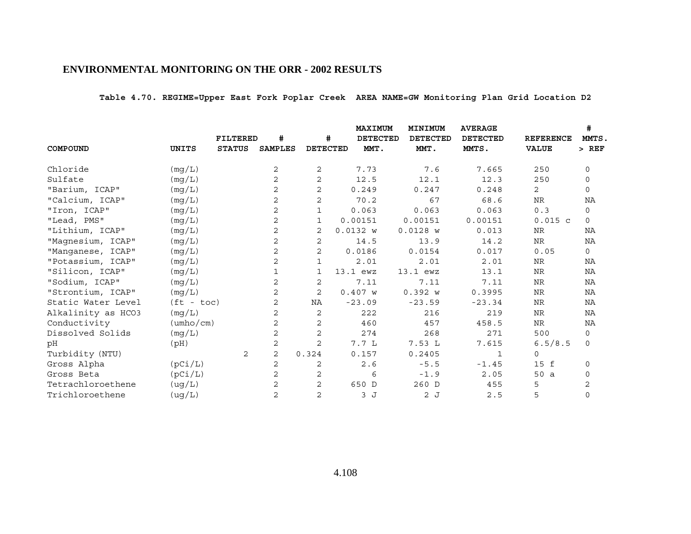**Table 4.70. REGIME=Upper East Fork Poplar Creek AREA NAME=GW Monitoring Plan Grid Location D2**

|                    |                           |                 |                |                 | MAXIMUM         | MINIMUM         | <b>AVERAGE</b>  |                  | #            |
|--------------------|---------------------------|-----------------|----------------|-----------------|-----------------|-----------------|-----------------|------------------|--------------|
|                    |                           | <b>FILTERED</b> | #              | #               | <b>DETECTED</b> | <b>DETECTED</b> | <b>DETECTED</b> | <b>REFERENCE</b> | MMTS.        |
| COMPOUND           | UNITS                     | <b>STATUS</b>   | <b>SAMPLES</b> | <b>DETECTED</b> | MMT.            | MMT.            | MMTS.           | <b>VALUE</b>     | $>$ REF      |
| Chloride           | (mg/L)                    |                 | 2              | 2               | 7.73            | 7.6             | 7.665           | 250              | $\mathbf 0$  |
| Sulfate            | (mg/L)                    |                 | 2              | $\overline{2}$  | 12.5            | 12.1            | 12.3            | 250              | $\mathbf 0$  |
| "Barium, ICAP"     | (mg/L)                    |                 | 2              | $\overline{a}$  | 0.249           | 0.247           | 0.248           | $\overline{2}$   | $\mathbf 0$  |
| "Calcium, ICAP"    | (mg/L)                    |                 | 2              | 2               | 70.2            | 67              | 68.6            | $\rm NR$         | NA           |
| "Iron, ICAP"       | (mg/L)                    |                 | 2              | $\mathbf{1}$    | 0.063           | 0.063           | 0.063           | 0.3              | $\mathsf{O}$ |
| "Lead, PMS"        | (mg/L)                    |                 | 2              | 1               | 0.00151         | 0.00151         | 0.00151         | $0.015$ c        | $\mathbf 0$  |
| "Lithium, ICAP"    | (mg/L)                    |                 | 2              | 2               | 0.0132 w        | $0.0128$ W      | 0.013           | <b>NR</b>        | NA           |
| "Magnesium, ICAP"  | (mg/L)                    |                 | 2              | 2               | 14.5            | 13.9            | 14.2            | NR               | NA           |
| "Manganese, ICAP"  | (mg/L)                    |                 | 2              | 2               | 0.0186          | 0.0154          | 0.017           | 0.05             | $\mathbf 0$  |
| "Potassium, ICAP"  | (mg/L)                    |                 | 2              | 1               | 2.01            | 2.01            | 2.01            | <b>NR</b>        | ΝA           |
| "Silicon, ICAP"    | (mg/L)                    |                 | $\mathbf{1}$   | 1               | 13.1 ewz        | 13.1 ewz        | 13.1            | NR               | NA           |
| "Sodium, ICAP"     | (mg/L)                    |                 | 2              | 2               | 7.11            | 7.11            | 7.11            | NR               | NA           |
| "Strontium, ICAP"  | (mg/L)                    |                 | 2              | $\overline{2}$  | 0.407 w         | 0.392 w         | 0.3995          | <b>NR</b>        | NA           |
| Static Water Level | $(ft - toc)$              |                 | 2              | NA              | $-23.09$        | $-23.59$        | $-23.34$        | NR               | NA           |
| Alkalinity as HCO3 | (mg/L)                    |                 | 2              | 2               | 222             | 216             | 219             | <b>NR</b>        | NA           |
| Conductivity       | $(\text{umbo}/\text{cm})$ |                 | 2              | $\overline{2}$  | 460             | 457             | 458.5           | NR               | NA           |
| Dissolved Solids   | (mg/L)                    |                 | 2              | 2               | 274             | 268             | 271             | 500              | $\mathbf 0$  |
| pН                 | (pH)                      |                 | 2              | $\overline{2}$  | 7.7L            | 7.53L           | 7.615           | 6.5/8.5          | $\mathsf{O}$ |
| Turbidity (NTU)    |                           | 2               | 2              | 0.324           | 0.157           | 0.2405          | 1               | $\mathbf 0$      |              |
| Gross Alpha        | (pCi/L)                   |                 | 2              | 2               | 2.6             | $-5.5$          | $-1.45$         | 15 f             | $\mathsf{O}$ |
| Gross Beta         | (pCi/L)                   |                 | 2              | 2               | 6               | $-1.9$          | 2.05            | 50a              | 0            |
| Tetrachloroethene  | (ug/L)                    |                 | 2              | 2               | 650 D           | 260 D           | 455             | 5                | 2            |
| Trichloroethene    | (ug/L)                    |                 | 2              | $\overline{2}$  | 3 J             | 2 J             | 2.5             | 5                | $\mathbf 0$  |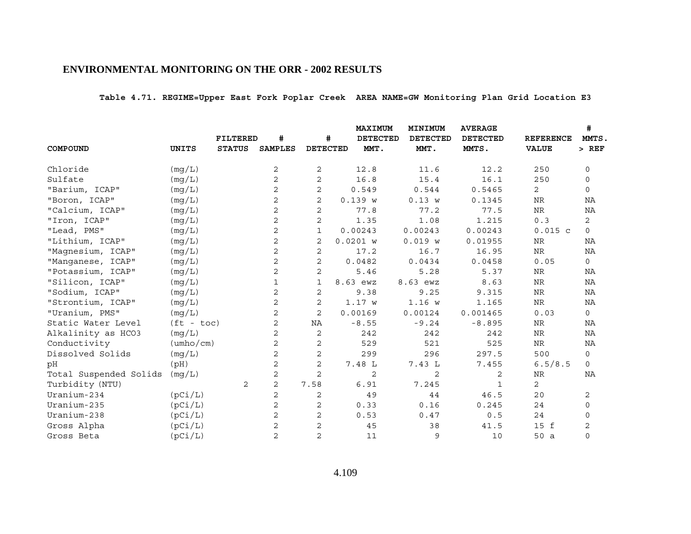**Table 4.71. REGIME=Upper East Fork Poplar Creek AREA NAME=GW Monitoring Plan Grid Location E3**

|                        |                           |                 |                |                 | <b>MAXIMUM</b>  | MINIMUM         | <b>AVERAGE</b>  |                  | #              |
|------------------------|---------------------------|-----------------|----------------|-----------------|-----------------|-----------------|-----------------|------------------|----------------|
|                        |                           | <b>FILTERED</b> | #              | #               | <b>DETECTED</b> | <b>DETECTED</b> | <b>DETECTED</b> | <b>REFERENCE</b> | MMTS.          |
| COMPOUND               | <b>UNITS</b>              | <b>STATUS</b>   | <b>SAMPLES</b> | <b>DETECTED</b> | MMT.            | MMT.            | MMTS.           | <b>VALUE</b>     | $>$ REF        |
| Chloride               | (mg/L)                    |                 | 2              | 2               | 12.8            | 11.6            | 12.2            | 250              | $\mathbf 0$    |
| Sulfate                | (mg/L)                    |                 | 2              | 2               | 16.8            | 15.4            | 16.1            | 250              | $\mathbf 0$    |
| "Barium, ICAP"         | (mg/L)                    |                 | 2              | 2               | 0.549           | 0.544           | 0.5465          | 2                | $\mathsf{O}$   |
| "Boron, ICAP"          | (mg/L)                    |                 | 2              | 2               | 0.139 w         | 0.13 w          | 0.1345          | NR               | NA             |
| "Calcium, ICAP"        | (mg/L)                    |                 | 2              | 2               | 77.8            | 77.2            | 77.5            | <b>NR</b>        | NA             |
| "Iron, ICAP"           | (mg/L)                    |                 | 2              | 2               | 1.35            | 1.08            | 1.215           | 0.3              | $\overline{2}$ |
| "Lead, PMS"            | (mg/L)                    |                 | 2              | 1               | 0.00243         | 0.00243         | 0.00243         | $0.015$ c        | 0              |
| "Lithium, ICAP"        | (mg/L)                    |                 | 2              | 2               | $0.0201$ W      | 0.019 w         | 0.01955         | <b>NR</b>        | NA             |
| "Magnesium, ICAP"      | (mg/L)                    |                 | 2              | 2               | 17.2            | 16.7            | 16.95           | ${\hbox{NR}}$    | NA             |
| "Manganese, ICAP"      | (mg/L)                    |                 | 2              | 2               | 0.0482          | 0.0434          | 0.0458          | 0.05             | $\mathsf{O}$   |
| "Potassium, ICAP"      | (mg/L)                    |                 | 2              | 2               | 5.46            | 5.28            | 5.37            | NR               | ΝA             |
| "Silicon, ICAP"        | (mg/L)                    |                 | 1              | 1               | 8.63 ewz        | 8.63 ewz        | 8.63            | <b>NR</b>        | NA             |
| "Sodium, ICAP"         | (mq/L)                    |                 | 2              | 2               | 9.38            | 9.25            | 9.315           | NR               | ΝA             |
| "Strontium, ICAP"      | (mg/L)                    |                 | 2              | 2               | 1.17 w          | 1.16 w          | 1.165           | ${\hbox{NR}}$    | ΝA             |
| "Uranium, PMS"         | (mg/L)                    |                 | 2              | 2               | 0.00169         | 0.00124         | 0.001465        | 0.03             | $\mathsf{O}$   |
| Static Water Level     | $(ft - toc)$              |                 | 2              | NA              | $-8.55$         | $-9.24$         | $-8.895$        | NR               | ΝA             |
| Alkalinity as HCO3     | (mg/L)                    |                 | 2              | 2               | 242             | 242             | 242             | ${\hbox{NR}}$    | ΝA             |
| Conductivity           | $(\text{umbo}/\text{cm})$ |                 | 2              | 2               | 529             | 521             | 525             | NR               | NA             |
| Dissolved Solids       | (mg/L)                    |                 | 2              | $\mathbf{2}$    | 299             | 296             | 297.5           | 500              | $\mathbf 0$    |
| pH                     | (pH)                      |                 | 2              | $\mathbf{2}$    | 7.48 L          | 7.43 L          | 7.455           | 6.5/8.5          | $\mathbf 0$    |
| Total Suspended Solids | (mg/L)                    |                 | 2              | 2               | 2               | $\overline{2}$  | 2               | <b>NR</b>        | NA             |
| Turbidity (NTU)        |                           | 2               | $\overline{c}$ | 7.58            | 6.91            | 7.245           | $\mathbf{1}$    | $\overline{2}$   |                |
| Uranium-234            | (pCi/L)                   |                 | $\overline{c}$ | 2               | 49              | 44              | 46.5            | 20               | 2              |
| Uranium-235            | (pCi/L)                   |                 | 2              | 2               | 0.33            | 0.16            | 0.245           | 24               | $\mathbf 0$    |
| Uranium-238            | (pCi/L)                   |                 | 2              | $\mathbf{2}$    | 0.53            | 0.47            | 0.5             | 24               | 0              |
| Gross Alpha            | (pCi/L)                   |                 | 2              | 2               | 45              | 38              | 41.5            | 15 f             | 2              |
| Gross Beta             | (pCi/L)                   |                 | $\overline{2}$ | $\overline{2}$  | 11              | 9               | 10              | 50a              | $\mathbf 0$    |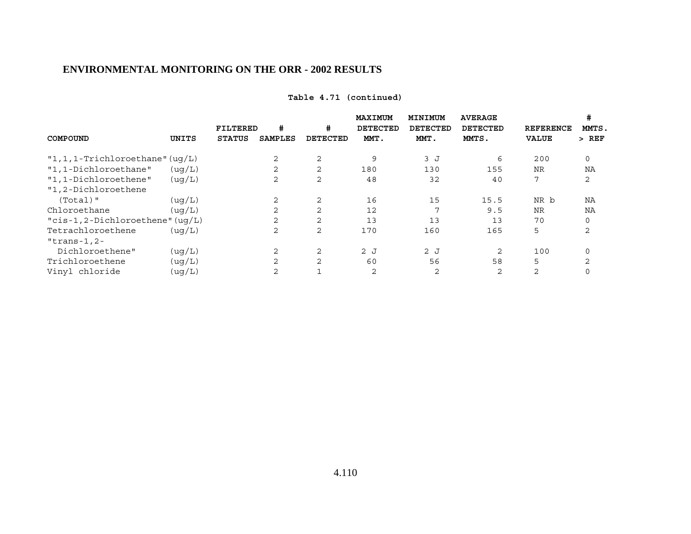| Table 4.71 (continued) |  |
|------------------------|--|
|------------------------|--|

|                                     |         |               |                |          | MAXIMUM  | MINIMUM         | <b>AVERAGE</b> |              | #              |
|-------------------------------------|---------|---------------|----------------|----------|----------|-----------------|----------------|--------------|----------------|
|                                     |         | FILTERED      | #              | #        | DETECTED | <b>DETECTED</b> | DETECTED       | REFERENCE    | MMTS.          |
| <b>COMPOUND</b>                     | UNITS   | <b>STATUS</b> | <b>SAMPLES</b> | DETECTED | MMT.     | MMT.            | MMTS.          | <b>VALUE</b> | $>$ REF        |
| $"1, 1, 1$ -Trichloroethane" (uq/L) |         |               | 2              | 2        | 9        | 3J              | 6              | 200          | $\Omega$       |
| "1,1-Dichloroethane"                | ( uq/L) |               | 2              | 2        | 180      | 130             | 155            | <b>NR</b>    | NA             |
| "1,1-Dichloroethene"                | (uq/L)  |               | 2              | 2        | 48       | 32              | 40             | 7            | 2              |
| "1,2-Dichloroethene                 |         |               |                |          |          |                 |                |              |                |
| $(Total)$ "                         | ( uq/L) |               | 2              | 2        | 16       | 15              | 15.5           | NR b         | NA             |
| Chloroethane                        | ( uq/L) |               | 2              | 2        | 12       | 7               | 9.5            | <b>NR</b>    | NA             |
| " $cis-1, 2-Dichloroethene" (uq/L)$ |         |               | 2              | 2        | 13       | 13              | 13             | 70           | $\Omega$       |
| Tetrachloroethene                   | ( uq/L) |               | 2              | 2        | 170      | 160             | 165            | 5            | 2              |
| "trans-1, $2-$                      |         |               |                |          |          |                 |                |              |                |
| Dichloroethene"                     | ( uq/L) |               | 2              | 2        | 2J       | 2J              | 2              | 100          | 0              |
| Trichloroethene                     | ( uq/L) |               | 2              | 2        | 60       | 56              | 58             | 5            | $\mathfrak{D}$ |
| Vinyl chloride                      | ( uq/L) |               | 2              |          | 2        | 2               | $\overline{2}$ | 2            |                |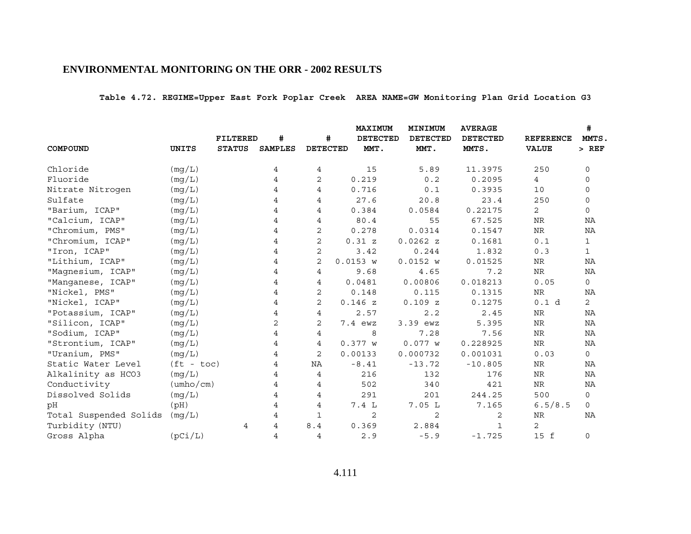**Table 4.72. REGIME=Upper East Fork Poplar Creek AREA NAME=GW Monitoring Plan Grid Location G3**

|                        |                           |                 |                |                 | <b>MAXIMUM</b>  | MINIMUM         | <b>AVERAGE</b>  |                  | #              |
|------------------------|---------------------------|-----------------|----------------|-----------------|-----------------|-----------------|-----------------|------------------|----------------|
|                        |                           | <b>FILTERED</b> | #              | #               | <b>DETECTED</b> | <b>DETECTED</b> | <b>DETECTED</b> | <b>REFERENCE</b> | MMTS.          |
| COMPOUND               | <b>UNITS</b>              | <b>STATUS</b>   | <b>SAMPLES</b> | <b>DETECTED</b> | MMT.            | MMT.            | MMTS.           | <b>VALUE</b>     | $>$ REF        |
| Chloride               | (mg/L)                    |                 | 4              | 4               | 15              | 5.89            | 11.3975         | 250              | 0              |
| Fluoride               | (mq/L)                    |                 | 4              | 2               | 0.219           | 0.2             | 0.2095          | $4\overline{ }$  | 0              |
| Nitrate Nitrogen       | (mg/L)                    |                 | 4              | 4               | 0.716           | 0.1             | 0.3935          | 10               | 0              |
| Sulfate                | (mq/L)                    |                 | 4              | 4               | 27.6            | 20.8            | 23.4            | 250              | $\mathbf 0$    |
| "Barium, ICAP"         | (mg/L)                    |                 | 4              | 4               | 0.384           | 0.0584          | 0.22175         | $\overline{2}$   | $\mathbf 0$    |
| "Calcium, ICAP"        | (mg/L)                    |                 | 4              | $\overline{4}$  | 80.4            | 55              | 67.525          | <b>NR</b>        | NA             |
| "Chromium, PMS"        | (mg/L)                    |                 | 4              | 2               | 0.278           | 0.0314          | 0.1547          | ${\hbox{NR}}$    | ΝA             |
| "Chromium, ICAP"       | (mg/L)                    |                 | 4              | $\overline{2}$  | 0.31 z          | 0.0262 z        | 0.1681          | 0.1              | $\mathbf 1$    |
| "Iron, ICAP"           | (mg/L)                    |                 | 4              | 2               | 3.42            | 0.244           | 1.832           | 0.3              | $\mathbf{1}$   |
| "Lithium, ICAP"        | (mg/L)                    |                 | 4              | $\overline{2}$  | 0.0153 w        | 0.0152 w        | 0.01525         | ${\hbox{NR}}$    | ΝA             |
| "Magnesium, ICAP"      | (mg/L)                    |                 | 4              | 4               | 9.68            | 4.65            | 7.2             | $\rm{NR}$        | ΝA             |
| "Manganese, ICAP"      | (mg/L)                    |                 | 4              | 4               | 0.0481          | 0.00806         | 0.018213        | 0.05             | 0              |
| "Nickel, PMS"          | (mg/L)                    |                 | 4              | $\overline{2}$  | 0.148           | 0.115           | 0.1315          | <b>NR</b>        | <b>NA</b>      |
| "Nickel, ICAP"         | (mg/L)                    |                 | 4              | $\overline{2}$  | 0.146z          | 0.109Z          | 0.1275          | 0.1 d            | $\overline{2}$ |
| "Potassium, ICAP"      | (mg/L)                    |                 | 4              | 4               | 2.57            | 2.2             | 2.45            | <b>NR</b>        | <b>NA</b>      |
| "Silicon, ICAP"        | (mg/L)                    |                 | 2              | $\overline{2}$  | 7.4 ewz         | 3.39 ewz        | 5.395           | <b>NR</b>        | ΝA             |
| "Sodium, ICAP"         | (mg/L)                    |                 | 4              | 4               | 8               | 7.28            | 7.56            | ${\hbox{NR}}$    | NA             |
| "Strontium, ICAP"      | (mq/L)                    |                 | 4              | 4               | 0.377 w         | 0.077 w         | 0.228925        | ${\hbox{NR}}$    | ΝA             |
| "Uranium, PMS"         | (mq/L)                    |                 | 4              | $\overline{2}$  | 0.00133         | 0.000732        | 0.001031        | 0.03             | $\mathsf{O}$   |
| Static Water Level     | $(ft - toc)$              |                 | 4              | NA              | $-8.41$         | $-13.72$        | $-10.805$       | NR               | ΝA             |
| Alkalinity as HCO3     | (mq/L)                    |                 | 4              | $\overline{4}$  | 216             | 132             | 176             | <b>NR</b>        | <b>NA</b>      |
| Conductivity           | $(\text{umbo}/\text{cm})$ |                 | 4              | 4               | 502             | 340             | 421             | NR               | NA             |
| Dissolved Solids       | (mg/L)                    |                 | 4              | 4               | 291             | 201             | 244.25          | 500              | $\circ$        |
| pH                     | (pH)                      |                 | 4              | 4               | 7.4L            | 7.05L           | 7.165           | 6.5/8.5          | $\mathsf{O}$   |
| Total Suspended Solids | (mg/L)                    |                 | 4              | 1               | 2               | 2               | 2               | NR               | <b>NA</b>      |
| Turbidity (NTU)        |                           | 4               | $\overline{4}$ | 8.4             | 0.369           | 2.884           | 1               | 2                |                |
| Gross Alpha            | (pCi/L)                   |                 | 4              | 4               | 2.9             | $-5.9$          | $-1.725$        | 15 f             | 0              |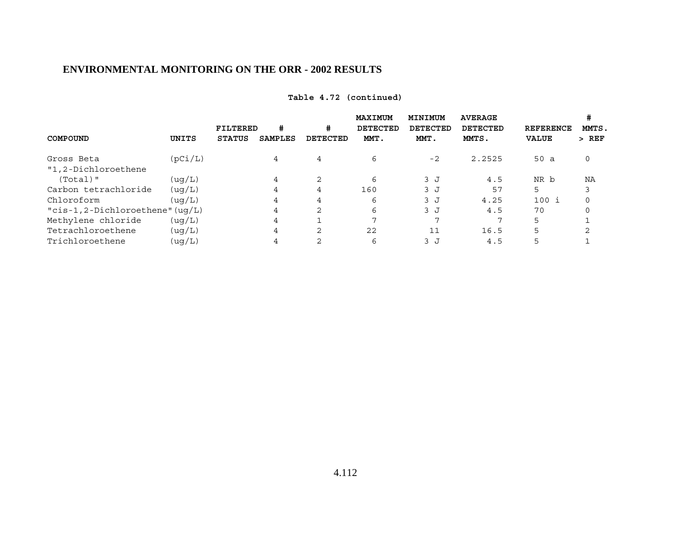| Table 4.72 (continued) |  |
|------------------------|--|
|------------------------|--|

|                                      |         | FILTERED      | #       | #               | MAXIMUM<br><b>DETECTED</b> | MINIMUM<br><b>DETECTED</b> | <b>AVERAGE</b><br><b>DETECTED</b> | <b>REFERENCE</b> | MMTS.   |
|--------------------------------------|---------|---------------|---------|-----------------|----------------------------|----------------------------|-----------------------------------|------------------|---------|
| COMPOUND                             | UNITS   | <b>STATUS</b> | SAMPLES | <b>DETECTED</b> | MMT.                       | MMT.                       | MMTS.                             | <b>VALUE</b>     | $>$ REF |
| Gross Beta                           | (pCi/L) |               | 4       | $\overline{4}$  | 6                          | $-2$                       | 2.2525                            | 50a              | 0       |
| "1,2-Dichloroethene                  |         |               |         |                 |                            |                            |                                   |                  |         |
| $(Total)$ "                          | ( uq/L) |               | 4       | 2               | 6                          | 3J                         | 4.5                               | NR b             | NA      |
| Carbon tetrachloride                 | ( uq/L) |               | 4       | 4               | 160                        | 3J                         | 57                                | 5                |         |
| Chloroform                           | ( uq/L) |               | 4       | 4               | 6                          | 3J                         | 4.25                              | 100 i            | 0       |
| " $cis-1$ , 2-Dichloroethene" (uq/L) |         |               | 4       | 2               | 6                          | 3J                         | 4.5                               | 70               | 0       |
| Methylene chloride                   | ( uq/L) |               | 4       |                 | 7                          | ⇁                          |                                   | 5                |         |
| Tetrachloroethene                    | ( uq/L) |               | 4       | 2               | 22                         |                            | 16.5                              | 5                |         |
| Trichloroethene                      | (uq/L)  |               | 4       |                 | 6                          | 3 J                        | 4.5                               | 5                |         |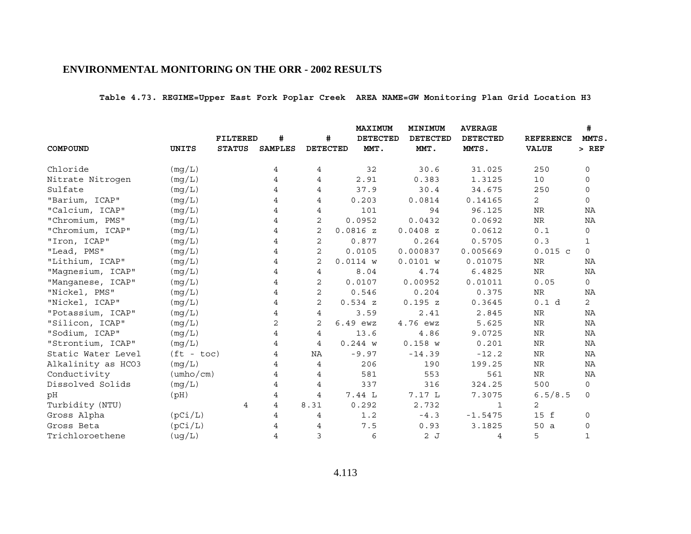**Table 4.73. REGIME=Upper East Fork Poplar Creek AREA NAME=GW Monitoring Plan Grid Location H3**

|                    |                           |                 |                |                 | <b>MAXIMUM</b>  | MINIMUM         | <b>AVERAGE</b>           |                                  | #                |  |
|--------------------|---------------------------|-----------------|----------------|-----------------|-----------------|-----------------|--------------------------|----------------------------------|------------------|--|
|                    |                           | <b>FILTERED</b> | #              | #               | <b>DETECTED</b> | <b>DETECTED</b> | <b>DETECTED</b><br>MMTS. | <b>REFERENCE</b><br><b>VALUE</b> | MMTS.<br>$>$ REF |  |
| COMPOUND           | UNITS                     | <b>STATUS</b>   | <b>SAMPLES</b> | <b>DETECTED</b> | MMT.            | MMT.            |                          |                                  |                  |  |
| Chloride           | (mg/L)                    |                 | 4              | 4               | 32              | 30.6            | 31.025                   | 250                              | $\mathbf 0$      |  |
| Nitrate Nitrogen   | (mq/L)                    |                 | 4              | 4               | 2.91            | 0.383           | 1.3125                   | 10                               | 0                |  |
| Sulfate            | (mg/L)                    |                 | 4              | 4               | 37.9            | 30.4            | 34.675                   | 250                              | $\mathbf 0$      |  |
| "Barium, ICAP"     | (mq/L)                    |                 | 4              | 4               | 0.203           | 0.0814          | 0.14165                  | $\overline{2}$                   | $\mathbf 0$      |  |
| "Calcium, ICAP"    | (mg/L)                    |                 | 4              | 4               | 101             | 94              | 96.125                   | <b>NR</b>                        | NA               |  |
| "Chromium, PMS"    | (mg/L)                    |                 | 4              | 2               | 0.0952          | 0.0432          | 0.0692                   | NR                               | ΝA               |  |
| "Chromium, ICAP"   | (mg/L)                    |                 | 4              | 2               | 0.0816 z        | $0.0408$ z      | 0.0612                   | 0.1                              | 0                |  |
| "Iron, ICAP"       | (mg/L)                    |                 | 4              | 2               | 0.877           | 0.264           | 0.5705                   | 0.3                              | $\mathbf{1}$     |  |
| "Lead, PMS"        | (mg/L)                    |                 | 4              | 2               | 0.0105          | 0.000837        | 0.005669                 | $0.015$ c                        | $\mathbf 0$      |  |
| "Lithium, ICAP"    | (mg/L)                    |                 | 4              | 2               | $0.0114$ W      | 0.0101 w        | 0.01075                  | NR                               | NA               |  |
| "Magnesium, ICAP"  | (mq/L)                    |                 | 4              | 4               | 8.04            | 4.74            | 6.4825                   | NR                               | ΝA               |  |
| "Manganese, ICAP"  | (mg/L)                    |                 | 4              | 2               | 0.0107          | 0.00952         | 0.01011                  | 0.05                             | $\mathsf{O}$     |  |
| "Nickel, PMS"      | (mg/L)                    |                 | 4              | 2               | 0.546           | 0.204           | 0.375                    | NR                               | ΝA               |  |
| "Nickel, ICAP"     | (mg/L)                    |                 | 4              | $\overline{2}$  | 0.534 z         | 0.195 z         | 0.3645                   | 0.1 d                            | $\overline{2}$   |  |
| "Potassium, ICAP"  | (mg/L)                    |                 | 4              | 4               | 3.59            | 2.41            | 2.845                    | NR                               | NA               |  |
| "Silicon, ICAP"    | (mq/L)                    |                 | $\overline{2}$ | 2               | 6.49 ewz        | 4.76 ewz        | 5.625                    | NR                               | NA               |  |
| "Sodium, ICAP"     | (mg/L)                    |                 | 4              | 4               | 13.6            | 4.86            | 9.0725                   | <b>NR</b>                        | NA               |  |
| "Strontium, ICAP"  | (mq/L)                    |                 | 4              | $\overline{4}$  | 0.244 w         | 0.158 w         | 0.201                    | NR                               | NA               |  |
| Static Water Level | $(ft - toc)$              |                 | 4              | ΝA              | $-9.97$         | $-14.39$        | $-12.2$                  | $\rm NR$                         | NA               |  |
| Alkalinity as HCO3 | (mg/L)                    |                 | 4              | $\overline{4}$  | 206             | 190             | 199.25                   | NR                               | NA               |  |
| Conductivity       | $(\text{umbo}/\text{cm})$ |                 | 4              | 4               | 581             | 553             | 561                      | $\rm NR$                         | NA               |  |
| Dissolved Solids   | (mg/L)                    |                 | 4              | 4               | 337             | 316             | 324.25                   | 500                              | $\mathsf{O}$     |  |
| pH                 | (pH)                      |                 | 4              | 4               | 7.44 L          | 7.17 L          | 7.3075                   | 6.5/8.5                          | $\mathsf{O}$     |  |
| Turbidity (NTU)    |                           | 4               | 4              | 8.31            | 0.292           | 2.732           | 1                        | $\overline{2}$                   |                  |  |
| Gross Alpha        | (pCi/L)                   |                 | 4              | 4               | 1.2             | $-4.3$          | $-1.5475$                | 15 f                             | 0                |  |
| Gross Beta         | (pCi/L)                   |                 |                | 4               | 7.5             | 0.93            | 3.1825                   | 50 a                             | 0                |  |
| Trichloroethene    | (ug/L)                    |                 | 4              | 3               | 6               | 2J              | 4                        | 5                                | $\mathbf{1}$     |  |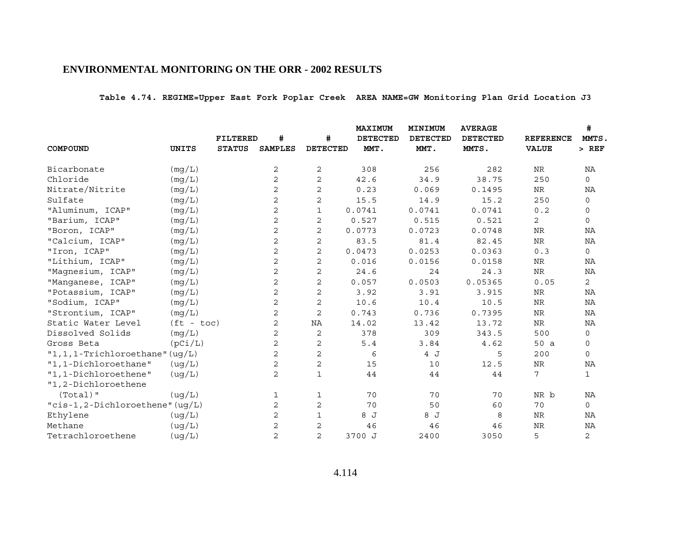**Table 4.74. REGIME=Upper East Fork Poplar Creek AREA NAME=GW Monitoring Plan Grid Location J3**

|                                  |              |                 |                |                 | <b>MAXIMUM</b><br>MINIMUM |                 | <b>AVERAGE</b>  |                  | #              |  |
|----------------------------------|--------------|-----------------|----------------|-----------------|---------------------------|-----------------|-----------------|------------------|----------------|--|
|                                  |              | <b>FILTERED</b> | #              | #               | <b>DETECTED</b>           | <b>DETECTED</b> | <b>DETECTED</b> | <b>REFERENCE</b> | MMTS.          |  |
| COMPOUND                         | <b>UNITS</b> | <b>STATUS</b>   | <b>SAMPLES</b> | <b>DETECTED</b> | MMT.                      | MMT.            | MMTS.           | <b>VALUE</b>     | $>$ REF        |  |
| Bicarbonate                      | (mg/L)       |                 | 2              | 2               | 308                       | 256             | 282             | NR               | ΝA             |  |
| Chloride                         | (mg/L)       |                 | $\overline{2}$ | 2               | 42.6                      | 34.9            | 38.75           | 250              | $\mathbf 0$    |  |
| Nitrate/Nitrite                  | (mg/L)       |                 | 2              | 2               | 0.23                      | 0.069           | 0.1495          | NR               | ΝA             |  |
| Sulfate                          | (mq/L)       |                 | 2              | $\mathbf{2}$    | 15.5                      | 14.9            | 15.2            | 250              | $\mathbf 0$    |  |
| "Aluminum, ICAP"                 | (mg/L)       |                 | 2              | $\mathbf{1}$    | 0.0741                    | 0.0741          | 0.0741          | 0.2              | $\mathbf 0$    |  |
| "Barium, ICAP"                   | (mg/L)       |                 | 2              | $\mathbf{2}$    | 0.527                     | 0.515           | 0.521           | $\overline{2}$   | $\mathbf 0$    |  |
| "Boron, ICAP"                    | (mg/L)       |                 | 2              | 2               | 0.0773                    | 0.0723          | 0.0748          | NR               | ΝA             |  |
| "Calcium, ICAP"                  | (mg/L)       |                 | 2              | $\overline{c}$  | 83.5                      | 81.4            | 82.45           | ${\hbox{NR}}$    | NA             |  |
| "Iron, ICAP"                     | (mq/L)       |                 | 2              | $\mathbf{2}$    | 0.0473                    | 0.0253          | 0.0363          | 0.3              | 0              |  |
| "Lithium, ICAP"                  | (mg/L)       |                 | 2              | $\mathbf{2}$    | 0.016                     | 0.0156          | 0.0158          | ${\hbox{NR}}$    | NA             |  |
| "Magnesium, ICAP"                | (mq/L)       |                 | 2              | $\overline{c}$  | 24.6                      | 24              | 24.3            | $\rm{NR}$        | ΝA             |  |
| "Manganese, ICAP"                | (mg/L)       |                 | 2              | 2               | 0.057                     | 0.0503          | 0.05365         | 0.05             | 2              |  |
| "Potassium, ICAP"                | (mg/L)       |                 | 2              | $\mathbf 2$     | 3.92                      | 3.91            | 3.915           | $\rm{NR}$        | ΝA             |  |
| "Sodium, ICAP"                   | (mq/L)       |                 | $\overline{2}$ | $\mathbf{2}$    | 10.6                      | 10.4            | 10.5            | $\rm{NR}$        | ΝA             |  |
| "Strontium, ICAP"                | (mg/L)       |                 | 2              | $\mathbf{2}$    | 0.743                     | 0.736           | 0.7395          | <b>NR</b>        | NA             |  |
| Static Water Level               | $(ft - toc)$ |                 | $\overline{2}$ | NA              | 14.02                     | 13.42           | 13.72           | NR               | ΝA             |  |
| Dissolved Solids                 | (mg/L)       |                 | 2              | 2               | 378                       | 309             | 343.5           | 500              | 0              |  |
| Gross Beta                       | (pCi/L)      |                 | $\overline{2}$ | $\overline{c}$  | 5.4                       | 3.84            | 4.62            | 50 a             | 0              |  |
| "1, 1, 1-Trichloroethane" (uq/L) |              |                 | 2              | $\mathbf{2}$    | 6                         | 4 J             | 5               | 200              | $\mathbf 0$    |  |
| "1,1-Dichloroethane"             | (ug/L)       |                 | $\overline{2}$ | 2               | 15                        | 10              | 12.5            | <b>NR</b>        | ΝA             |  |
| "1,1-Dichloroethene"             | ( uq/L)      |                 | 2              | $\mathbf 1$     | 44                        | 44              | 44              | 7                | $\mathbf{1}$   |  |
| "1,2-Dichloroethene              |              |                 |                |                 |                           |                 |                 |                  |                |  |
| $(Total)$ "                      | (ug/L)       |                 | 1              | 1               | 70                        | 70              | 70              | NR b             | NA             |  |
| "cis-1,2-Dichloroethene" (uq/L)  |              |                 | 2              | 2               | 70                        | 50              | 60              | 70               | $\mathbf 0$    |  |
| Ethylene                         | (ug/L)       |                 | 2              | $\mathbf{1}$    | 8 J                       | 8 J             | 8               | NR               | ΝA             |  |
| Methane                          | ( uq/L)      |                 | 2              | 2               | 46                        | 46              | 46              | <b>NR</b>        | ΝA             |  |
| Tetrachloroethene                | (ug/L)       |                 | $\overline{2}$ | $\overline{a}$  | 3700 J                    | 2400            | 3050            | 5                | $\overline{a}$ |  |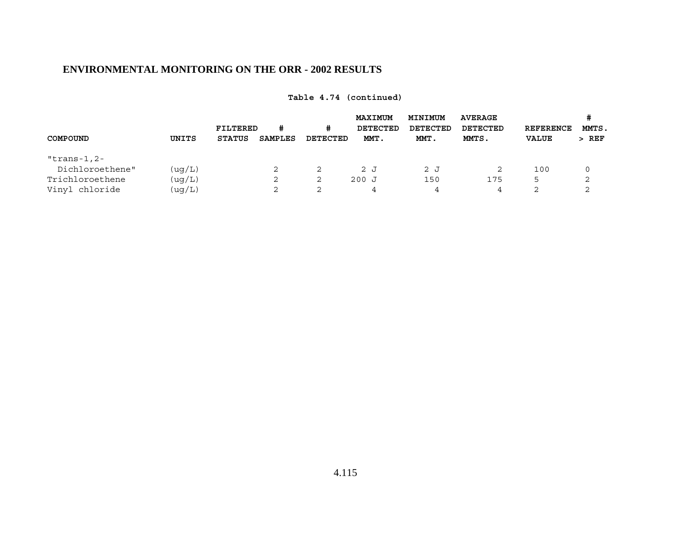| COMPOUND                                                            | UNITS                      | FILTERED<br><b>STATUS</b> | #<br><b>SAMPLES</b> | #<br>DETECTED | <b>MAXIMUM</b><br>DETECTED<br>MMT. | MINIMUM<br>DETECTED<br>MMT. | <b>AVERAGE</b><br><b>DETECTED</b><br>MMTS. | <b>REFERENCE</b><br><b>VALUE</b> | #<br>MMTS.<br>$>$ REF |
|---------------------------------------------------------------------|----------------------------|---------------------------|---------------------|---------------|------------------------------------|-----------------------------|--------------------------------------------|----------------------------------|-----------------------|
| "trans-1,2-<br>Dichloroethene"<br>Trichloroethene<br>Vinyl chloride | (ug/L)<br>(ug/L)<br>(ug/L) |                           | 2<br>$\sim$         | 2<br>2<br>2   | 2J<br>200J<br>$\overline{4}$       | 2J<br>150<br>4              | 2<br>175<br>4                              | 100<br>5<br>っ                    | 0<br>2<br>$\sim$      |

**Table 4.74 (continued)**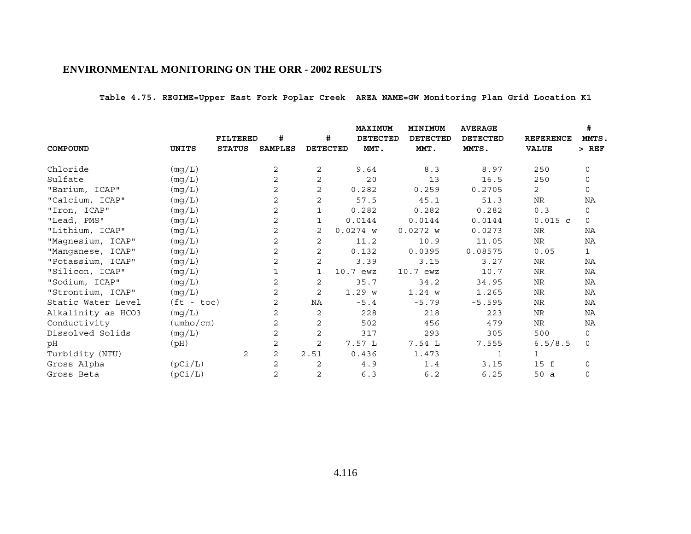**Table 4.75. REGIME=Upper East Fork Poplar Creek AREA NAME=GW Monitoring Plan Grid Location K1**

|                    |                           | <b>FILTERED</b> | #              | #               | MAXIMUM<br><b>DETECTED</b> | MINIMUM<br><b>DETECTED</b> | <b>AVERAGE</b><br><b>DETECTED</b> | <b>REFERENCE</b> | #<br>MMTS.  |
|--------------------|---------------------------|-----------------|----------------|-----------------|----------------------------|----------------------------|-----------------------------------|------------------|-------------|
| COMPOUND           | UNITS                     | <b>STATUS</b>   | <b>SAMPLES</b> | <b>DETECTED</b> | MMT.                       | MMT.                       | MMTS.                             | <b>VALUE</b>     | $>$ REF     |
| Chloride           | (mg/L)                    |                 | 2              | 2               | 9.64                       | 8.3                        | 8.97                              | 250              | 0           |
| Sulfate            | (mg/L)                    |                 | 2              | $\mathbf{2}$    | 20                         | 13                         | 16.5                              | 250              | $\mathbf 0$ |
| "Barium, ICAP"     | (mg/L)                    |                 | 2              | 2               | 0.282                      | 0.259                      | 0.2705                            | $\overline{2}$   | $\mathbf 0$ |
| "Calcium, ICAP"    | (mg/L)                    |                 | 2              | 2               | 57.5                       | 45.1                       | 51.3                              | NR               | ΝA          |
| "Iron, ICAP"       | (mg/L)                    |                 | 2              | 1               | 0.282                      | 0.282                      | 0.282                             | 0.3              | 0           |
| "Lead, PMS"        | (mg/L)                    |                 | 2              | 1               | 0.0144                     | 0.0144                     | 0.0144                            | $0.015$ c        | $\mathbf 0$ |
| "Lithium, ICAP"    | (mg/L)                    |                 | 2              | 2               | $0.0274$ W                 | 0.0272 w                   | 0.0273                            | NR               | NA          |
| "Magnesium, ICAP"  | (mg/L)                    |                 | 2              | 2               | 11.2                       | 10.9                       | 11.05                             | NR               | NA          |
| "Manganese, ICAP"  | (mg/L)                    |                 | 2              | 2               | 0.132                      | 0.0395                     | 0.08575                           | 0.05             | $\mathbf 1$ |
| "Potassium, ICAP"  | (mg/L)                    |                 | 2              | 2               | 3.39                       | 3.15                       | 3.27                              | NR               | ΝA          |
| "Silicon, ICAP"    | (mg/L)                    |                 |                | 1               | $10.7$ ewz                 | 10.7 ewz                   | 10.7                              | NR               | NA          |
| "Sodium, ICAP"     | (mg/L)                    |                 | 2              | 2               | 35.7                       | 34.2                       | 34.95                             | NR               | NA          |
| "Strontium, ICAP"  | (mg/L)                    |                 | 2              | 2               | 1.29 w                     | 1.24 w                     | 1.265                             | NR               | ΝA          |
| Static Water Level | $(ft - toc)$              |                 | 2              | NA              | $-5.4$                     | $-5.79$                    | $-5.595$                          | NR               | NA          |
| Alkalinity as HCO3 | (mg/L)                    |                 | 2              | 2               | 228                        | 218                        | 223                               | NR               | NA          |
| Conductivity       | $(\text{umbo}/\text{cm})$ |                 | 2              | 2               | 502                        | 456                        | 479                               | NR               | NA          |
| Dissolved Solids   | (mg/L)                    |                 | 2              | 2               | 317                        | 293                        | 305                               | 500              | 0           |
| pН                 | (Hq)                      |                 | 2              | 2               | 7.57L                      | 7.54L                      | 7.555                             | 6.5/8.5          | $\mathbf 0$ |
| Turbidity (NTU)    |                           | 2               | 2              | 2.51            | 0.436                      | 1.473                      | 1                                 | 1                |             |
| Gross Alpha        | (pCi/L)                   |                 | 2              | 2               | 4.9                        | 1.4                        | 3.15                              | 15 f             | $\mathbf 0$ |
| Gross Beta         | (pCi/L)                   |                 | 2              | 2               | 6.3                        | 6.2                        | 6.25                              | 50a              | $\mathbf 0$ |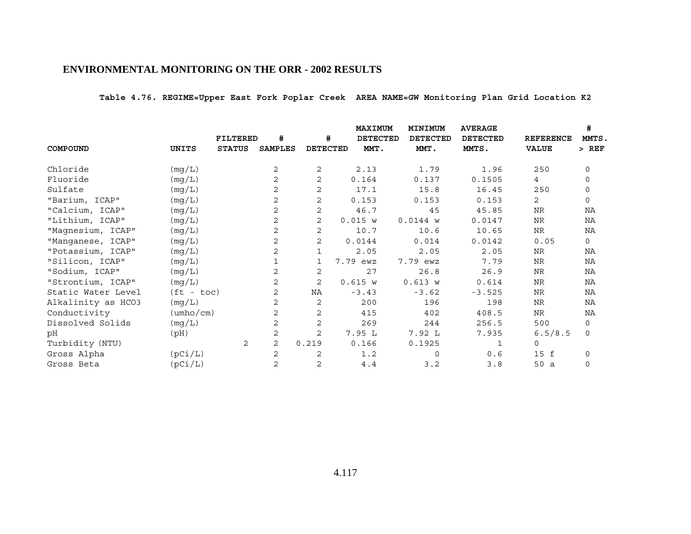**Table 4.76. REGIME=Upper East Fork Poplar Creek AREA NAME=GW Monitoring Plan Grid Location K2**

|                    |                           | FILTERED       | #              | #               | <b>MAXIMUM</b><br><b>DETECTED</b> | MINIMUM<br><b>DETECTED</b> | <b>AVERAGE</b><br><b>DETECTED</b> | <b>REFERENCE</b> | #<br>MMTS.   |
|--------------------|---------------------------|----------------|----------------|-----------------|-----------------------------------|----------------------------|-----------------------------------|------------------|--------------|
| COMPOUND           | UNITS                     | <b>STATUS</b>  | <b>SAMPLES</b> | <b>DETECTED</b> | MMT.                              | MMT.                       | MMTS.                             | <b>VALUE</b>     | $>$ REF      |
| Chloride           | (mg/L)                    |                | 2              | 2               | 2.13                              | 1.79                       | 1.96                              | 250              | 0            |
| Fluoride           | (mg/L)                    |                | 2              | 2               | 0.164                             | 0.137                      | 0.1505                            | $\overline{4}$   | $\mathbf 0$  |
| Sulfate            | (mg/L)                    |                | 2              | $\mathbf{2}$    | 17.1                              | 15.8                       | 16.45                             | 250              | $\Omega$     |
| "Barium, ICAP"     | (mg/L)                    |                | 2              | 2               | 0.153                             | 0.153                      | 0.153                             | 2                | $\mathbf 0$  |
| "Calcium, ICAP"    | (mg/L)                    |                | 2              | 2               | 46.7                              | 45                         | 45.85                             | <b>NR</b>        | ΝA           |
| "Lithium, ICAP"    | (mg/L)                    |                | 2              | 2               | 0.015 w                           | $0.0144$ W                 | 0.0147                            | NR               | ΝA           |
| "Magnesium, ICAP"  | (mg/L)                    |                | 2              | 2               | 10.7                              | 10.6                       | 10.65                             | NR               | ΝA           |
| "Manganese, ICAP"  | (mg/L)                    |                | 2              | 2               | 0.0144                            | 0.014                      | 0.0142                            | 0.05             | $\mathsf{O}$ |
| "Potassium, ICAP"  | (mg/L)                    |                | 2              | $\mathbf{1}$    | 2.05                              | 2.05                       | 2.05                              | NR               | ΝA           |
| "Silicon, ICAP"    | (mg/L)                    |                |                | 1               | 7.79 ewz                          | 7.79 ewz                   | 7.79                              | NR               | ΝA           |
| "Sodium, ICAP"     | (mg/L)                    |                | 2              | $\mathbf{2}$    | 27                                | 26.8                       | 26.9                              | NR               | ΝA           |
| "Strontium, ICAP"  | (mg/L)                    |                | 2              | $\overline{2}$  | 0.615 w                           | 0.613 w                    | 0.614                             | NR               | ΝA           |
| Static Water Level | $(ft - toc)$              |                | 2              | ΝA              | $-3.43$                           | $-3.62$                    | $-3.525$                          | NR               | ΝA           |
| Alkalinity as HCO3 | (mg/L)                    |                | 2              | 2               | 200                               | 196                        | 198                               | NR               | ΝA           |
| Conductivity       | $(\text{umbo}/\text{cm})$ |                | 2              | 2               | 415                               | 402                        | 408.5                             | ${\rm NR}$       | ΝA           |
| Dissolved Solids   | (mg/L)                    |                | 2              | 2               | 269                               | 244                        | 256.5                             | 500              | $\Omega$     |
| pН                 | (pH)                      |                | 2              | $\mathbf{2}$    | 7.95 L                            | 7.92L                      | 7.935                             | 6.5/8.5          | $\mathbf 0$  |
| Turbidity (NTU)    |                           | $\overline{2}$ | 2              | 0.219           | 0.166                             | 0.1925                     | 1                                 | $\Omega$         |              |
| Gross Alpha        | (pCi/L)                   |                | 2              | 2               | 1.2                               | $\Omega$                   | 0.6                               | 15 f             | 0            |
| Gross Beta         | (pCi/L)                   |                | 2              | $\overline{2}$  | 4.4                               | 3.2                        | 3.8                               | 50 a             | 0            |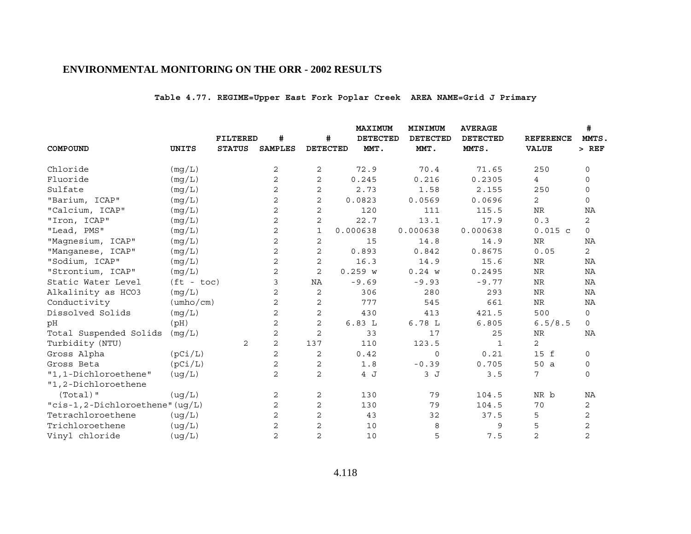# **Table 4.77. REGIME=Upper East Fork Poplar Creek AREA NAME=Grid J Primary**

|                                 |                           |                 |                |                 | MAXIMUM         | MINIMUM         | <b>AVERAGE</b>  |                  | #              |
|---------------------------------|---------------------------|-----------------|----------------|-----------------|-----------------|-----------------|-----------------|------------------|----------------|
|                                 |                           | <b>FILTERED</b> | #              | #               | <b>DETECTED</b> | <b>DETECTED</b> | <b>DETECTED</b> | <b>REFERENCE</b> | MMTS,          |
| COMPOUND                        | UNITS                     | <b>STATUS</b>   | <b>SAMPLES</b> | <b>DETECTED</b> | MMT.            | MMT.            | MMTS.           | <b>VALUE</b>     | $>$ REF        |
| Chloride                        | (mg/L)                    |                 | 2              | 2               | 72.9            | 70.4            | 71.65           | 250              | $\mathbf 0$    |
| Fluoride                        | (mq/L)                    |                 | 2              | $\mathbf{2}$    | 0.245           | 0.216           | 0.2305          | 4                | 0              |
| Sulfate                         | (mg/L)                    |                 | $\mathbf{2}$   | 2               | 2.73            | 1.58            | 2.155           | 250              | 0              |
| "Barium, ICAP"                  | (mq/L)                    |                 | $\overline{c}$ | $\overline{c}$  | 0.0823          | 0.0569          | 0.0696          | 2                | 0              |
| "Calcium, ICAP"                 | (mg/L)                    |                 | 2              | $\mathbf{2}$    | 120             | 111             | 115.5           | <b>NR</b>        | NA             |
| "Iron, ICAP"                    | (mg/L)                    |                 | $\mathbf{2}$   | 2               | 22.7            | 13.1            | 17.9            | 0.3              | $\overline{2}$ |
| "Lead, PMS"                     | (mq/L)                    |                 | $\mathbf{2}$   | 1               | 0.000638        | 0.000638        | 0.000638        | $0.015$ c        | $\mathbf 0$    |
| "Magnesium, ICAP"               | (mg/L)                    |                 | 2              | 2               | 15              | 14.8            | 14.9            | <b>NR</b>        | NA             |
| "Manganese, ICAP"               | (mq/L)                    |                 | $\overline{c}$ | $\mathbf 2$     | 0.893           | 0.842           | 0.8675          | 0.05             | $\mathbf{2}$   |
| "Sodium, ICAP"                  | (mg/L)                    |                 | 2              | 2               | 16.3            | 14.9            | 15.6            | <b>NR</b>        | NA             |
| "Strontium, ICAP"               | (mg/L)                    |                 | $\mathbf{2}$   | 2               | 0.259 w         | 0.24 w          | 0.2495          | <b>NR</b>        | NA             |
| Static Water Level              | $(ft - toc)$              |                 | 3              | ΝA              | $-9.69$         | $-9.93$         | $-9.77$         | $\rm{NR}$        | ΝA             |
| Alkalinity as HCO3              | (mg/L)                    |                 | $\mathbf{2}$   | 2               | 306             | 280             | 293             | <b>NR</b>        | <b>NA</b>      |
| Conductivity                    | $(\text{umbo}/\text{cm})$ |                 | 2              | 2               | 777             | 545             | 661             | $\rm NR$         | NA             |
| Dissolved Solids                | (mg/L)                    |                 | 2              | 2               | 430             | 413             | 421.5           | 500              | $\mathsf{O}$   |
| pH                              | (pH)                      |                 | 2              | $\mathbf{2}$    | 6.83L           | 6.78L           | 6.805           | 6.5/8.5          | $\mathsf{O}$   |
| Total Suspended Solids          | (mg/L)                    |                 | 2              | $\mathbf{2}$    | 33              | 17              | 25              | NR               | ΝA             |
| Turbidity (NTU)                 |                           | 2               | $\overline{c}$ | 137             | 110             | 123.5           | $\mathbf{1}$    | $\overline{c}$   |                |
| Gross Alpha                     | (pCi/L)                   |                 | $\mathbf{2}$   | 2               | 0.42            | $\mathbf 0$     | 0.21            | 15 f             | 0              |
| Gross Beta                      | (pCi/L)                   |                 | 2              | 2               | 1.8             | $-0.39$         | 0.705           | 50 a             | 0              |
| "1,1-Dichloroethene"            | (ug/L)                    |                 | $\mathbf{2}$   | $\overline{c}$  | 4 J             | 3J              | 3.5             | 7                | $\mathbf 0$    |
| "1,2-Dichloroethene             |                           |                 |                |                 |                 |                 |                 |                  |                |
| $(Total)$ "                     | (ug/L)                    |                 | 2              | $\sqrt{2}$      | 130             | 79              | 104.5           | NR b             | ΝA             |
| "cis-1,2-Dichloroethene" (ug/L) |                           |                 | 2              | 2               | 130             | 79              | 104.5           | 70               | 2              |
| Tetrachloroethene               | (ug/L)                    |                 | 2              | $\overline{c}$  | 43              | 32              | 37.5            | 5                | $\overline{c}$ |
| Trichloroethene                 | (ug/L)                    |                 | 2              | 2               | 10              | 8               | 9               | 5                | $\mathbf 2$    |
| Vinyl chloride                  | (ug/L)                    |                 | 2              | $\overline{c}$  | 10              | 5               | 7.5             | $\overline{2}$   | $\overline{c}$ |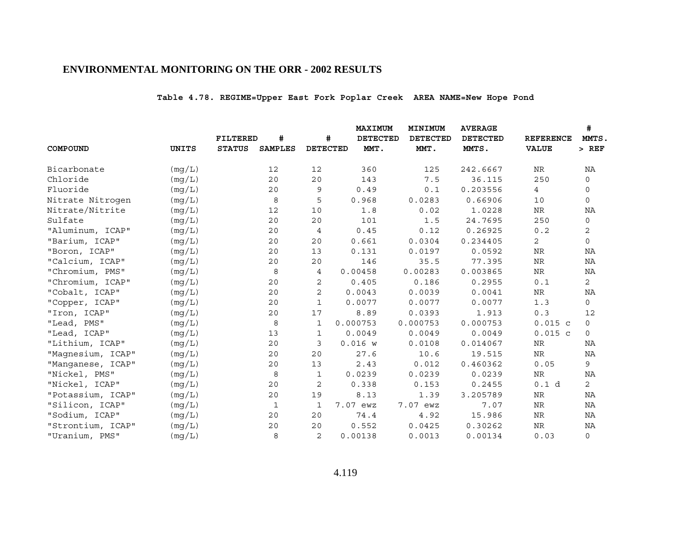# **Table 4.78. REGIME=Upper East Fork Poplar Creek AREA NAME=New Hope Pond**

|                   |              |               |                |                 | MAXIMUM         | MINIMUM         | <b>AVERAGE</b>  |                  | #              |
|-------------------|--------------|---------------|----------------|-----------------|-----------------|-----------------|-----------------|------------------|----------------|
|                   |              | FILTERED      | #              | #               | <b>DETECTED</b> | <b>DETECTED</b> | <b>DETECTED</b> | <b>REFERENCE</b> | MMTS,          |
| COMPOUND          | <b>UNITS</b> | <b>STATUS</b> | <b>SAMPLES</b> | <b>DETECTED</b> | MMT.            | MMT.            | MMTS.           | <b>VALUE</b>     | $>$ REF        |
| Bicarbonate       | (mg/L)       |               | 12             | 12              | 360             | 125             | 242.6667        | NR               | ΝA             |
| Chloride          | (mq/L)       |               | 20             | 20              | 143             | 7.5             | 36.115          | 250              | $\mathbf 0$    |
| Fluoride          | (mq/L)       |               | 20             | 9               | 0.49            | 0.1             | 0.203556        | $\overline{4}$   | 0              |
| Nitrate Nitrogen  | (mq/L)       |               | 8              | 5               | 0.968           | 0.0283          | 0.66906         | 10               | 0              |
| Nitrate/Nitrite   | (mq/L)       |               | 12             | 10              | 1.8             | 0.02            | 1.0228          | $\rm NR$         | NA             |
| Sulfate           | (mg/L)       |               | 20             | 20              | 101             | 1.5             | 24.7695         | 250              | $\mathsf{O}$   |
| "Aluminum, ICAP"  | (mq/L)       |               | 20             | 4               | 0.45            | 0.12            | 0.26925         | 0.2              | 2              |
| "Barium, ICAP"    | (mg/L)       |               | 20             | 20              | 0.661           | 0.0304          | 0.234405        | $\mathbf{2}$     | 0              |
| "Boron, ICAP"     | (mg/L)       |               | 20             | 13              | 0.131           | 0.0197          | 0.0592          | NR               | NA             |
| "Calcium, ICAP"   | (mg/L)       |               | 20             | 20              | 146             | 35.5            | 77.395          | $\rm{NR}$        | ΝA             |
| "Chromium, PMS"   | (mg/L)       |               | 8              | 4               | 0.00458         | 0.00283         | 0.003865        | <b>NR</b>        | NA             |
| "Chromium, ICAP"  | (mg/L)       |               | 20             | 2               | 0.405           | 0.186           | 0.2955          | 0.1              | $\overline{2}$ |
| "Cobalt, ICAP"    | (mg/L)       |               | 20             | $\overline{2}$  | 0.0043          | 0.0039          | 0.0041          | NR.              | NA             |
| "Copper, ICAP"    | (mq/L)       |               | 20             | $\mathbf{1}$    | 0.0077          | 0.0077          | 0.0077          | 1.3              | 0              |
| "Iron, ICAP"      | (mg/L)       |               | 20             | 17              | 8.89            | 0.0393          | 1.913           | 0.3              | 12             |
| "Lead, PMS"       | (mq/L)       |               | 8              | 1               | 0.000753        | 0.000753        | 0.000753        | 0.015c           | $\mathbf{0}$   |
| "Lead, ICAP"      | (mg/L)       |               | 13             | 1               | 0.0049          | 0.0049          | 0.0049          | $0.015$ c        | $\mathbf 0$    |
| "Lithium, ICAP"   | (mq/L)       |               | 20             | 3               | 0.016 w         | 0.0108          | 0.014067        | NR               | ΝA             |
| "Magnesium, ICAP" | (mg/L)       |               | 20             | 20              | 27.6            | 10.6            | 19.515          | NR               | ΝA             |
| "Manganese, ICAP" | (mg/L)       |               | 20             | 13              | 2.43            | 0.012           | 0.460362        | 0.05             | 9              |
| "Nickel, PMS"     | (mg/L)       |               | 8              | 1               | 0.0239          | 0.0239          | 0.0239          | NR               | ΝA             |
| "Nickel, ICAP"    | (mq/L)       |               | 20             | 2               | 0.338           | 0.153           | 0.2455          | 0.1 d            | $\overline{2}$ |
| "Potassium, ICAP" | (mg/L)       |               | 20             | 19              | 8.13            | 1.39            | 3.205789        | NR               | NA             |
| "Silicon, ICAP"   | (mg/L)       |               | 1              | $\mathbf{1}$    | 7.07 ewz        | 7.07 ewz        | 7.07            | <b>NR</b>        | <b>NA</b>      |
| "Sodium, ICAP"    | (mg/L)       |               | 20             | 20              | 74.4            | 4.92            | 15.986          | NR               | NA             |
| "Strontium, ICAP" | (mq/L)       |               | 20             | 20              | 0.552           | 0.0425          | 0.30262         | $\rm NR$         | NA             |
| "Uranium, PMS"    | (mq/L)       |               | 8              | 2               | 0.00138         | 0.0013          | 0.00134         | 0.03             | $\mathsf{O}$   |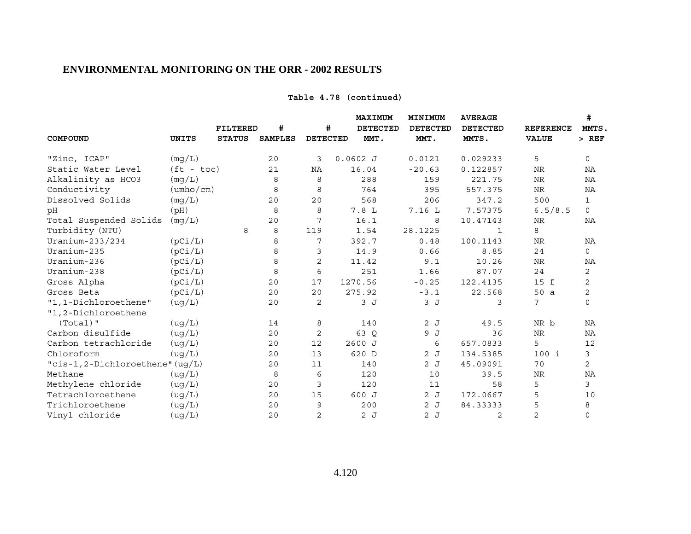### **Table 4.78 (continued)**

|                                          |                           |                 |                |                 | MAXIMUM    | MINIMUM         | <b>AVERAGE</b>  |                  | #            |
|------------------------------------------|---------------------------|-----------------|----------------|-----------------|------------|-----------------|-----------------|------------------|--------------|
|                                          |                           | <b>FILTERED</b> | #              | #               | DETECTED   | <b>DETECTED</b> | <b>DETECTED</b> | <b>REFERENCE</b> | MMTS,        |
| COMPOUND                                 | <b>UNITS</b>              | <b>STATUS</b>   | <b>SAMPLES</b> | <b>DETECTED</b> | MMT.       | MMT.            | MMTS.           | <b>VALUE</b>     | $>$ REF      |
| "Zinc, ICAP"                             | (mg/L)                    |                 | 20             | 3               | $0.0602$ J | 0.0121          | 0.029233        | 5                | $\mathsf{O}$ |
| Static Water Level                       | $(ft - toc)$              |                 | 21             | ΝA              | 16.04      | $-20.63$        | 0.122857        | <b>NR</b>        | NA           |
| Alkalinity as HCO3                       | (mq/L)                    |                 | 8              | 8               | 288        | 159             | 221.75          | <b>NR</b>        | ΝA           |
| Conductivity                             | $(\text{umbo}/\text{cm})$ |                 | 8              | 8               | 764        | 395             | 557.375         | NR               | ΝA           |
| Dissolved Solids                         | (mq/L)                    |                 | 20             | 20              | 568        | 206             | 347.2           | 500              | $\mathbf{1}$ |
| рH                                       | (pH)                      |                 | 8              | 8               | 7.8 L      | 7.16 L          | 7.57375         | 6.5/8.5          | $\Omega$     |
| Total Suspended Solids                   | (mg/L)                    |                 | 20             | 7               | 16.1       | 8               | 10.47143        | NR               | NA           |
| Turbidity (NTU)                          |                           | 8               | 8              | 119             | 1.54       | 28.1225         | $\mathbf{1}$    | 8                |              |
| Uranium-233/234                          | (pCi/L)                   |                 | 8              | 7               | 392.7      | 0.48            | 100.1143        | NR               | ΝA           |
| Uranium-235                              | (pCi/L)                   |                 | 8              | 3               | 14.9       | 0.66            | 8.85            | 24               | 0            |
| Uranium-236                              | (pCi/L)                   |                 | 8              | $\overline{c}$  | 11.42      | 9.1             | 10.26           | NR               | ΝA           |
| Uranium-238                              | (pCi/L)                   |                 | 8              | 6               | 251        | 1.66            | 87.07           | 24               | 2            |
| Gross Alpha                              | (pCi/L)                   |                 | 20             | 17              | 1270.56    | $-0.25$         | 122.4135        | 15 f             | 2            |
| Gross Beta                               | (pCi/L)                   |                 | 20             | 20              | 275.92     | $-3.1$          | 22.568          | 50 a             | $\sqrt{2}$   |
| "1,1-Dichloroethene"                     | ( uq/L)                   |                 | 20             | 2               | 3J         | 3J              | 3               | 7                | $\mathbf 0$  |
| "1,2-Dichloroethene                      |                           |                 |                |                 |            |                 |                 |                  |              |
| $(Total)$ "                              | (ug/L)                    |                 | 14             | 8               | 140        | 2J              | 49.5            | NR b             | NA           |
| Carbon disulfide                         | (ug/L)                    |                 | 20             | 2               | 63 Q       | 9 J             | 36              | <b>NR</b>        | ΝA           |
| Carbon tetrachloride                     | ( uq/L)                   |                 | 20             | 12              | 2600 J     | 6               | 657.0833        | 5                | 12           |
| Chloroform                               | ( uq/L)                   |                 | 20             | 13              | 620 D      | 2J              | 134.5385        | 100 i            | 3            |
| " $cis-1$ , 2-Dichloroethene" ( $uq/L$ ) |                           |                 | 20             | 11              | 140        | 2J              | 45.09091        | 70               | 2            |
| Methane                                  | (ug/L)                    |                 | 8              | 6               | 120        | 10              | 39.5            | <b>NR</b>        | NA           |
| Methylene chloride                       | (ug/L)                    |                 | 20             | $\mathfrak{Z}$  | 120        | 11              | 58              | 5                | 3            |
| Tetrachloroethene                        | (ug/L)                    |                 | 20             | 15              | 600 J      | 2J              | 172.0667        | 5                | 10           |
| Trichloroethene                          | ( uq/L)                   |                 | 20             | 9               | 200        | 2J              | 84.33333        | 5                | 8            |
| Vinyl chloride                           | (ug/L)                    |                 | 20             | 2               | 2J         | 2J              | 2               | $\overline{2}$   | $\mathbf 0$  |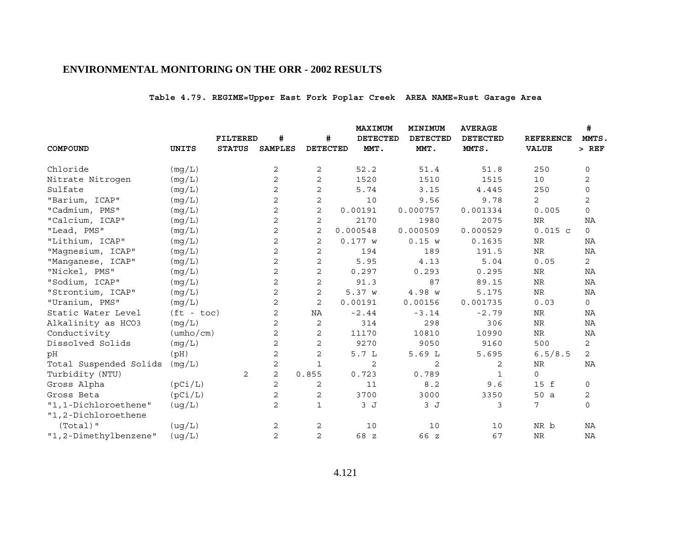# **Table 4.79. REGIME=Upper East Fork Poplar Creek AREA NAME=Rust Garage Area**

|                        |                           |                 |                |                 | MAXIMUM         | MINIMUM         | <b>AVERAGE</b>  |                  | #              |
|------------------------|---------------------------|-----------------|----------------|-----------------|-----------------|-----------------|-----------------|------------------|----------------|
|                        |                           | <b>FILTERED</b> | #              | #               | <b>DETECTED</b> | <b>DETECTED</b> | <b>DETECTED</b> | <b>REFERENCE</b> | MMTS,          |
| COMPOUND               | UNITS                     | <b>STATUS</b>   | <b>SAMPLES</b> | <b>DETECTED</b> | MMT.            | MMT.            | MMTS.           | <b>VALUE</b>     | $>$ REF        |
| Chloride               | (mg/L)                    |                 | 2              | 2               | 52.2            | 51.4            | 51.8            | 250              | $\mathbf 0$    |
| Nitrate Nitrogen       | (mq/L)                    |                 | 2              | $\mathbf{2}$    | 1520            | 1510            | 1515            | 10               | 2              |
| Sulfate                | (mg/L)                    |                 | 2              | 2               | 5.74            | 3.15            | 4.445           | 250              | 0              |
| "Barium, ICAP"         | (mq/L)                    |                 | $\mathbf{2}$   | $\mathbf 2$     | 10              | 9.56            | 9.78            | 2                | $\overline{c}$ |
| "Cadmium, PMS"         | (mg/L)                    |                 | 2              | 2               | 0.00191         | 0.000757        | 0.001334        | 0.005            | $\mathsf{O}$   |
| "Calcium, ICAP"        | (mg/L)                    |                 | 2              | 2               | 2170            | 1980            | 2075            | <b>NR</b>        | NA             |
| "Lead, PMS"            | (mq/L)                    |                 | $\mathbf{2}$   | $\overline{2}$  | 0.000548        | 0.000509        | 0.000529        | $0.015$ c        | $\circ$        |
| "Lithium, ICAP"        | (mg/L)                    |                 | 2              | $\mathbf{2}$    | 0.177 w         | 0.15 w          | 0.1635          | <b>NR</b>        | NA             |
| "Magnesium, ICAP"      | (mq/L)                    |                 | $\mathbf{2}$   | $\mathbf{2}$    | 194             | 189             | 191.5           | $\rm NR$         | ΝA             |
| "Manganese, ICAP"      | (mg/L)                    |                 | 2              | 2               | 5.95            | 4.13            | 5.04            | 0.05             | $\overline{2}$ |
| "Nickel, PMS"          | (mg/L)                    |                 | $\mathbf{2}$   | $\mathbf{2}$    | 0.297           | 0.293           | 0.295           | <b>NR</b>        | NA             |
| "Sodium, ICAP"         | (mg/L)                    |                 | 2              | 2               | 91.3            | 87              | 89.15           | $\rm{NR}$        | ΝA             |
| "Strontium, ICAP"      | (mg/L)                    |                 | $\mathbf{2}$   | 2               | 5.37 W          | 4.98 w          | 5.175           | <b>NR</b>        | <b>NA</b>      |
| "Uranium, PMS"         | (mq/L)                    |                 | $\mathbf{2}$   | $\overline{c}$  | 0.00191         | 0.00156         | 0.001735        | 0.03             | $\mathsf{O}$   |
| Static Water Level     | $(ft - toc)$              |                 | 2              | NA              | $-2.44$         | $-3.14$         | $-2.79$         | <b>NR</b>        | NA             |
| Alkalinity as HCO3     | (mg/L)                    |                 | 2              | 2               | 314             | 298             | 306             | NR               | NA             |
| Conductivity           | $(\text{umbo}/\text{cm})$ |                 | 2              | 2               | 11170           | 10810           | 10990           | ${\hbox{NR}}$    | ΝA             |
| Dissolved Solids       | (mg/L)                    |                 | $\mathbf{2}$   | 2               | 9270            | 9050            | 9160            | 500              | 2              |
| pH                     | (pH)                      |                 | 2              | 2               | 5.7L            | 5.69L           | 5.695           | 6.5/8.5          | $\mathbf{2}$   |
| Total Suspended Solids | (mq/L)                    |                 | 2              | $\mathbf{1}$    | 2               | 2               | 2               | NR               | ΝA             |
| Turbidity (NTU)        |                           | 2               | $\mathbf{2}$   | 0.855           | 0.723           | 0.789           | $\mathbf{1}$    | $\mathbf 0$      |                |
| Gross Alpha            | (pCi/L)                   |                 | 2              | 2               | 11              | 8.2             | 9.6             | 15 f             | 0              |
| Gross Beta             | (pCi/L)                   |                 | $\mathbf{2}$   | 2               | 3700            | 3000            | 3350            | 50 a             | 2              |
| "1,1-Dichloroethene"   | (ug/L)                    |                 | 2              | 1               | 3J              | 3J              | 3               | 7                | $\mathbf 0$    |
| "1,2-Dichloroethene    |                           |                 |                |                 |                 |                 |                 |                  |                |
| $(Total)$ "            | ( uq/L)                   |                 | 2              | 2               | 10              | 10              | 10              | NR b             | <b>NA</b>      |
| "1,2-Dimethylbenzene"  | ( uq/L)                   |                 | 2              | $\overline{2}$  | 68 z            | 66 z            | 67              | <b>NR</b>        | NA             |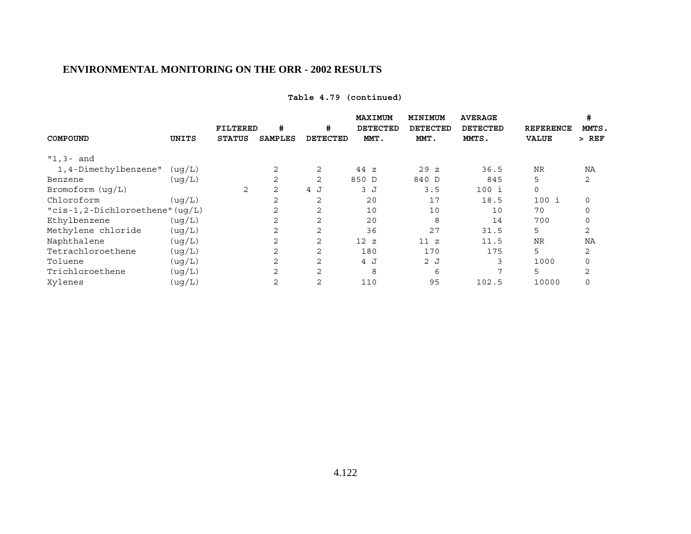# **Table 4.79 (continued)**

|                                          |         |               |                |                 | MAXIMUM         | MINIMUM         | <b>AVERAGE</b>  |                  | #        |
|------------------------------------------|---------|---------------|----------------|-----------------|-----------------|-----------------|-----------------|------------------|----------|
|                                          |         | FILTERED      | #              | #               | <b>DETECTED</b> | <b>DETECTED</b> | <b>DETECTED</b> | <b>REFERENCE</b> | MMTS.    |
| COMPOUND                                 | UNITS   | <b>STATUS</b> | <b>SAMPLES</b> | <b>DETECTED</b> | MMT.            | MMT.            | MMTS.           | <b>VALUE</b>     | $>$ REF  |
| $"1,3-$ and                              |         |               |                |                 |                 |                 |                 |                  |          |
| 1,4-Dimethylbenzene"                     | ( uq/L) |               | $\overline{2}$ | 2               | 44z             | 29z             | 36.5            | <b>NR</b>        | NA       |
| Benzene                                  | ( uq/L) |               | 2              | 2               | 850 D           | 840 D           | 845             | 5                | 2        |
| Bromoform $( uq/L)$                      |         | 2             | 2              | 4 J             | 3 J             | 3.5             | 100 i           | $\mathbf 0$      |          |
| Chloroform                               | ( uq/L) |               | 2              | 2               | 20              | 17              | 18.5            | $100$ i          | 0        |
| " $cis-1$ , 2-Dichloroethene" ( $uq/L$ ) |         |               | 2              | 2               | 10              | 10              | 10              | 70               | 0        |
| Ethylbenzene                             | ( uq/L) |               | 2              | 2               | 20              | 8               | 14              | 700              | $\Omega$ |
| Methylene chloride                       | (ug/L)  |               | 2              | 2               | 36              | 27              | 31.5            | 5                | 2        |
| Naphthalene                              | (ug/L)  |               | $\overline{2}$ | 2               | 12z             | 11 z            | 11.5            | <b>NR</b>        | NA       |
| Tetrachloroethene                        | (ug/L)  |               | 2              | 2               | 180             | 170             | 175             | 5                | 2        |
| Toluene                                  | (ug/L)  |               | 2              | 2               | 4 J             | 2J              | 3               | 1000             | 0        |
| Trichloroethene                          | (ug/L)  |               | 2              | 2               | 8               | 6               | 7               | 5                | 2        |
| Xylenes                                  | (ug/L)  |               | $\overline{2}$ | 2               | 110             | 95              | 102.5           | 10000            |          |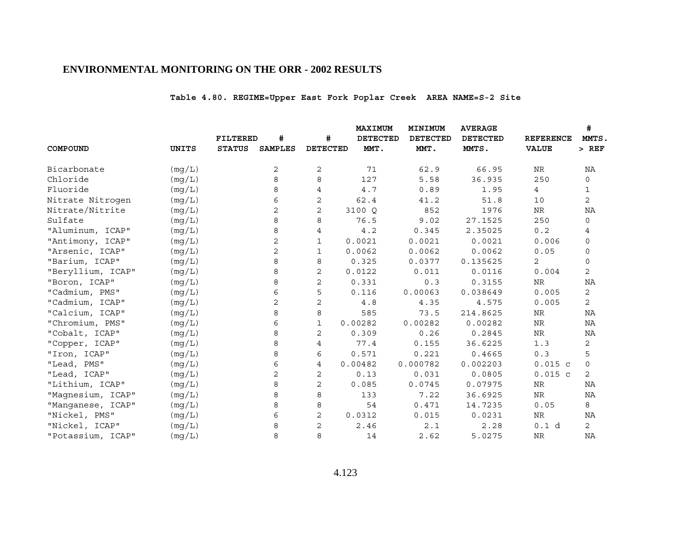# **Table 4.80. REGIME=Upper East Fork Poplar Creek AREA NAME=S-2 Site**

|                   |              |                 |                |                 | MAXIMUM         | MINIMUM         | <b>AVERAGE</b>  |                  | #              |
|-------------------|--------------|-----------------|----------------|-----------------|-----------------|-----------------|-----------------|------------------|----------------|
|                   |              | <b>FILTERED</b> | #              | #               | <b>DETECTED</b> | <b>DETECTED</b> | <b>DETECTED</b> | <b>REFERENCE</b> | MMTS.          |
| COMPOUND          | <b>UNITS</b> | <b>STATUS</b>   | <b>SAMPLES</b> | <b>DETECTED</b> | MMT.            | MMT.            | MMTS.           | <b>VALUE</b>     | $>$ REF        |
| Bicarbonate       | (mg/L)       |                 | 2              | 2               | 71              | 62.9            | 66.95           | NR               | ΝA             |
| Chloride          | (mq/L)       |                 | 8              | 8               | 127             | 5.58            | 36.935          | 250              | $\mathsf{O}$   |
| Fluoride          | (mg/L)       |                 | 8              | 4               | 4.7             | 0.89            | 1.95            | 4                | $\mathbf{1}$   |
| Nitrate Nitrogen  | (mg/L)       |                 | 6              | 2               | 62.4            | 41.2            | 51.8            | 10               | 2              |
| Nitrate/Nitrite   | (mg/L)       |                 | 2              | $\overline{2}$  | 3100 Q          | 852             | 1976            | NR               | NA             |
| Sulfate           | (mg/L)       |                 | 8              | 8               | 76.5            | 9.02            | 27.1525         | 250              | 0              |
| "Aluminum, ICAP"  | (mg/L)       |                 | 8              | 4               | 4.2             | 0.345           | 2.35025         | 0.2              | 4              |
| "Antimony, ICAP"  | (mg/L)       |                 | 2              | $\mathbf{1}$    | 0.0021          | 0.0021          | 0.0021          | 0.006            | 0              |
| "Arsenic, ICAP"   | (mg/L)       |                 | 2              | 1               | 0.0062          | 0.0062          | 0.0062          | 0.05             | 0              |
| "Barium, ICAP"    | (mq/L)       |                 | 8              | 8               | 0.325           | 0.0377          | 0.135625        | 2                | 0              |
| "Beryllium, ICAP" | (mg/L)       |                 | 8              | $\overline{2}$  | 0.0122          | 0.011           | 0.0116          | 0.004            | $\overline{2}$ |
| "Boron, ICAP"     | (mg/L)       |                 | 8              | $\overline{2}$  | 0.331           | 0.3             | 0.3155          | NR               | NA             |
| "Cadmium, PMS"    | (mg/L)       |                 | 6              | 5               | 0.116           | 0.00063         | 0.038649        | 0.005            | $\mathbf{2}$   |
| "Cadmium, ICAP"   | (mg/L)       |                 | 2              | $\overline{2}$  | 4.8             | 4.35            | 4.575           | 0.005            | $\overline{2}$ |
| "Calcium, ICAP"   | (mg/L)       |                 | 8              | 8               | 585             | 73.5            | 214.8625        | <b>NR</b>        | NA             |
| "Chromium, PMS"   | (mg/L)       |                 | 6              | $\mathbf{1}$    | 0.00282         | 0.00282         | 0.00282         | NR               | ΝA             |
| "Cobalt, ICAP"    | (mg/L)       |                 | 8              | 2               | 0.309           | 0.26            | 0.2845          | NR               | ΝA             |
| "Copper, ICAP"    | (mg/L)       |                 | 8              | 4               | 77.4            | 0.155           | 36.6225         | 1.3              | 2              |
| "Iron, ICAP"      | (mq/L)       |                 | 8              | 6               | 0.571           | 0.221           | 0.4665          | 0.3              | 5              |
| "Lead, PMS"       | (mg/L)       |                 | 6              | 4               | 0.00482         | 0.000782        | 0.002203        | $0.015$ c        | $\mathsf{O}$   |
| "Lead, ICAP"      | (mg/L)       |                 | 2              | 2               | 0.13            | 0.031           | 0.0805          | $0.015$ c        | 2              |
| "Lithium, ICAP"   | (mq/L)       |                 | 8              | 2               | 0.085           | 0.0745          | 0.07975         | NR               | ΝA             |
| "Magnesium, ICAP" | (mg/L)       |                 | 8              | 8               | 133             | 7.22            | 36.6925         | NR               | ΝA             |
| "Manganese, ICAP" | (mg/L)       |                 | 8              | 8               | 54              | 0.471           | 14.7235         | 0.05             | 8              |
| "Nickel, PMS"     | (mg/L)       |                 | 6              | 2               | 0.0312          | 0.015           | 0.0231          | NR               | ΝA             |
| "Nickel, ICAP"    | (mq/L)       |                 | 8              | 2               | 2.46            | 2.1             | 2.28            | 0.1 d            | $\overline{2}$ |
| "Potassium, ICAP" | (mq/L)       |                 | 8              | 8               | 14              | 2.62            | 5.0275          | <b>NR</b>        | NA             |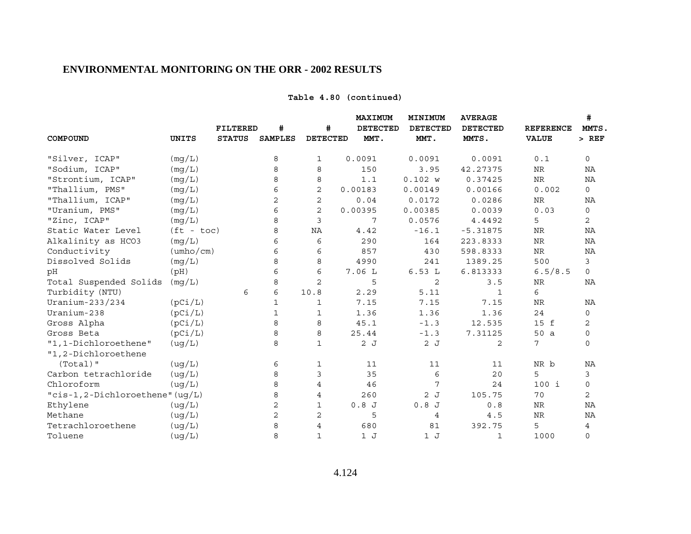### **Table 4.80 (continued)**

|                                 |                           |               |                | <b>MAXIMUM</b>  |                 | MINIMUM         | <b>AVERAGE</b>  |                  | #              |
|---------------------------------|---------------------------|---------------|----------------|-----------------|-----------------|-----------------|-----------------|------------------|----------------|
|                                 |                           | FILTERED      | #              | #               | <b>DETECTED</b> | <b>DETECTED</b> | <b>DETECTED</b> | <b>REFERENCE</b> | MMTS.          |
| COMPOUND                        | <b>UNITS</b>              | <b>STATUS</b> | <b>SAMPLES</b> | <b>DETECTED</b> | MMT.            | MMT.            | MMTS.           | <b>VALUE</b>     | $>$ REF        |
| "Silver, ICAP"                  | (mg/L)                    |               | 8              | 1               | 0.0091          | 0.0091          | 0.0091          | $0.1$            | 0              |
| "Sodium, ICAP"                  | (mq/L)                    |               | 8              | 8               | 150             | 3.95            | 42.27375        | <b>NR</b>        | NA             |
| "Strontium, ICAP"               | (mg/L)                    |               | 8              | 8               | 1.1             | 0.102 w         | 0.37425         | NR               | NA             |
| "Thallium, PMS"                 | (mq/L)                    |               | 6              | $\mathbf{2}$    | 0.00183         | 0.00149         | 0.00166         | 0.002            | $\mathsf{O}$   |
| "Thallium, ICAP"                | (mg/L)                    |               | 2              | $\mathbf{2}$    | 0.04            | 0.0172          | 0.0286          | <b>NR</b>        | NA             |
| "Uranium, PMS"                  | (mg/L)                    |               | 6              | $\overline{c}$  | 0.00395         | 0.00385         | 0.0039          | 0.03             | 0              |
| "Zinc, ICAP"                    | (mq/L)                    |               | 8              | 3               | 7               | 0.0576          | 4.4492          | 5                | $\overline{2}$ |
| Static Water Level              | $(ft - toc)$              |               | 8              | NA              | 4.42            | $-16.1$         | $-5.31875$      | <b>NR</b>        | NA             |
| Alkalinity as HCO3              | (mg/L)                    |               | 6              | 6               | 290             | 164             | 223.8333        | <b>NR</b>        | NA             |
| Conductivity                    | $(\text{umbo}/\text{cm})$ |               | 6              | 6               | 857             | 430             | 598.8333        | NR               | ΝA             |
| Dissolved Solids                | (mg/L)                    |               | 8              | 8               | 4990            | 241             | 1389.25         | 500              | 3              |
| рH                              | (pH)                      |               | 6              | 6               | 7.06L           | 6.53L           | 6.813333        | 6.5/8.5          | $\mathbf 0$    |
| Total Suspended Solids          | (mg/L)                    |               | 8              | $\overline{2}$  | 5               | 2               | $3.5$           | NR               | ΝA             |
| Turbidity (NTU)                 |                           | 6             | 6              | 10.8            | 2.29            | 5.11            | $\mathbf{1}$    | 6                |                |
| Uranium-233/234                 | (pCi/L)                   |               | 1              | 1               | 7.15            | 7.15            | 7.15            | NR               | NA             |
| Uranium-238                     | (pCi/L)                   |               | 1              | 1               | 1.36            | 1.36            | 1.36            | 24               | 0              |
| Gross Alpha                     | (pCi/L)                   |               | 8              | 8               | 45.1            | $-1.3$          | 12.535          | 15 f             | 2              |
| Gross Beta                      | (pCi/L)                   |               | 8              | 8               | 25.44           | $-1.3$          | 7.31125         | 50 a             | $\mathbf 0$    |
| "1,1-Dichloroethene"            | (ug/L)                    |               | 8              | $\mathbf{1}$    | 2J              | 2J              | 2               | 7                | $\mathbf 0$    |
| "1,2-Dichloroethene             |                           |               |                |                 |                 |                 |                 |                  |                |
| $(Total)$ "                     | (ug/L)                    |               | 6              | 1               | 11              | 11              | 11              | NR b             | NA             |
| Carbon tetrachloride            | (ug/L)                    |               | 8              | 3               | 35              | 6               | 20              | 5                | 3              |
| Chloroform                      | ( uq/L)                   |               | 8              | $\overline{4}$  | 46              | 7               | 24              | $100$ i          | 0              |
| "cis-1,2-Dichloroethene" (uq/L) |                           |               | 8              | 4               | 260             | 2J              | 105.75          | 70               | $\overline{c}$ |
| Ethylene                        | (ug/L)                    |               | 2              | $\mathbf{1}$    | 0.8J            | 0.8J            | 0.8             | <b>NR</b>        | NA             |
| Methane                         | (ug/L)                    |               | 2              | 2               | 5               | 4               | 4.5             | NR               | ΝA             |
| Tetrachloroethene               | (ug/L)                    |               | 8              | 4               | 680             | 81              | 392.75          | 5                | 4              |
| Toluene                         | ( uq/L)                   |               | 8              | $\mathbf{1}$    | 1J              | 1J              | 1               | 1000             | $\mathsf{O}$   |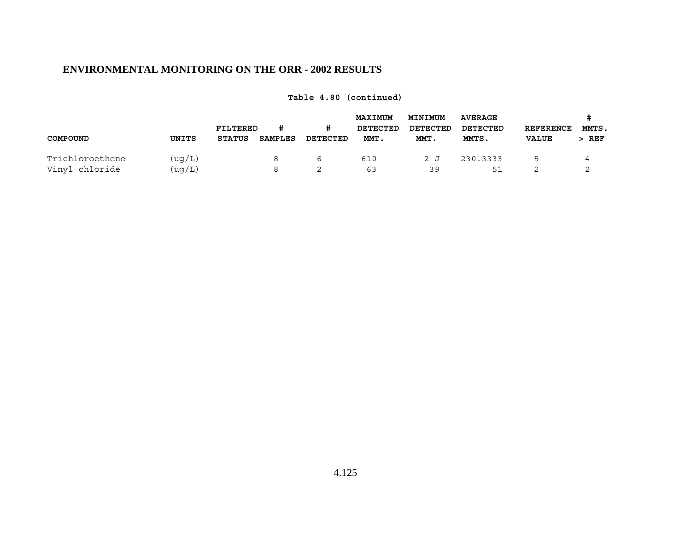|                 |        | FILTERED      |         | #        | <b>MAXIMUM</b><br>DETECTED | MINIMUM<br>DETECTED | <b>AVERAGE</b><br>DETECTED | <b>REFERENCE</b> | #<br>MMTS. |  |
|-----------------|--------|---------------|---------|----------|----------------------------|---------------------|----------------------------|------------------|------------|--|
| COMPOUND        | UNITS  | <b>STATUS</b> | SAMPLES | DETECTED | MMT.                       | MMT.                | MMTS.                      | <b>VALUE</b>     | $>$ REF    |  |
| Trichloroethene | (uq/L) |               |         | b        | 610                        | 2 J                 | 230.3333                   | 5                |            |  |
| Vinyl chloride  | (uq/L) |               |         |          | 63                         | 39                  | 51                         |                  |            |  |

**Table 4.80 (continued)**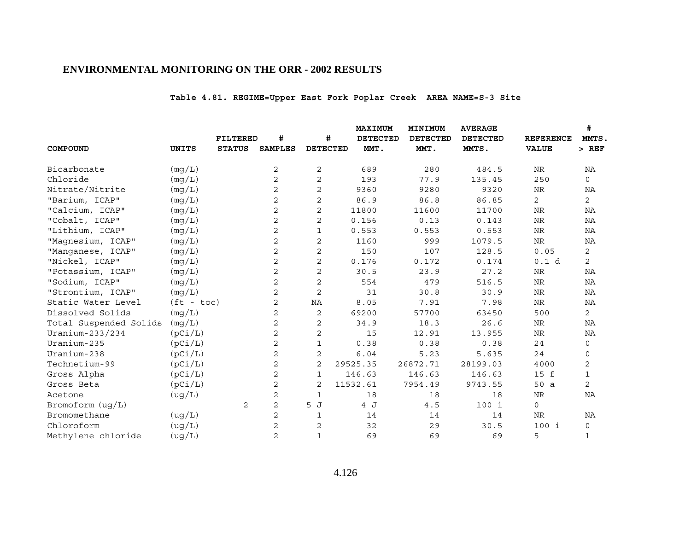# **Table 4.81. REGIME=Upper East Fork Poplar Creek AREA NAME=S-3 Site**

|                        |              |                 |                |                 | MAXIMUM         | MINIMUM         | <b>AVERAGE</b>  |                  | #              |
|------------------------|--------------|-----------------|----------------|-----------------|-----------------|-----------------|-----------------|------------------|----------------|
|                        |              | <b>FILTERED</b> | #              | #               | <b>DETECTED</b> | <b>DETECTED</b> | <b>DETECTED</b> | <b>REFERENCE</b> | MMTS,          |
| COMPOUND               | UNITS        | <b>STATUS</b>   | <b>SAMPLES</b> | <b>DETECTED</b> | MMT.            | MMT.            | MMTS.           | <b>VALUE</b>     | $>$ REF        |
| Bicarbonate            | (mg/L)       |                 | 2              | $\mathbf{2}$    | 689             | 280             | 484.5           | ${\hbox{NR}}$    | NA             |
| Chloride               | (mq/L)       |                 | 2              | 2               | 193             | 77.9            | 135.45          | 250              | 0              |
| Nitrate/Nitrite        | (mq/L)       |                 | $\overline{c}$ | 2               | 9360            | 9280            | 9320            | ${\hbox{NR}}$    | ΝA             |
| "Barium, ICAP"         | (mg/L)       |                 | $\overline{c}$ | $\overline{c}$  | 86.9            | 86.8            | 86.85           | 2                | $\mathbf{2}$   |
| "Calcium, ICAP"        | (mq/L)       |                 | $\mathbf 2$    | $\overline{c}$  | 11800           | 11600           | 11700           | $\rm NR$         | NA             |
| "Cobalt, ICAP"         | (mg/L)       |                 | $\overline{c}$ | $\overline{c}$  | 0.156           | 0.13            | 0.143           | $\rm{NR}$        | NA             |
| "Lithium, ICAP"        | (mq/L)       |                 | $\overline{c}$ | $\mathbf{1}$    | 0.553           | 0.553           | 0.553           | $\rm NR$         | NA             |
| "Magnesium, ICAP"      | (mg/L)       |                 | $\overline{c}$ | 2               | 1160            | 999             | 1079.5          | ${\hbox{NR}}$    | NA             |
| "Manganese, ICAP"      | (mg/L)       |                 | 2              | 2               | 150             | 107             | 128.5           | 0.05             | $\mathbf{2}$   |
| "Nickel, ICAP"         | (mg/L)       |                 | 2              | $\mathbf{2}$    | 0.176           | 0.172           | 0.174           | 0.1 d            | $\overline{2}$ |
| "Potassium, ICAP"      | (mg/L)       |                 | 2              | $\mathbf{2}$    | 30.5            | 23.9            | 27.2            | NR               | NA             |
| "Sodium, ICAP"         | (mg/L)       |                 | $\overline{c}$ | $\mathbf{2}$    | 554             | 479             | 516.5           | NR               | NA             |
| "Strontium, ICAP"      | (mg/L)       |                 | 2              | $\mathbf{2}$    | 31              | 30.8            | 30.9            | <b>NR</b>        | <b>NA</b>      |
| Static Water Level     | $(ft - toc)$ |                 | 2              | NA              | 8.05            | 7.91            | 7.98            | $\rm NR$         | NA             |
| Dissolved Solids       | (mg/L)       |                 | 2              | $\mathbf{2}$    | 69200           | 57700           | 63450           | 500              | $\overline{2}$ |
| Total Suspended Solids | (mq/L)       |                 | 2              | $\mathbf{2}$    | 34.9            | 18.3            | 26.6            | NR               | NA             |
| Uranium-233/234        | (pCi/L)      |                 | 2              | $\mathbf{2}$    | 15              | 12.91           | 13.955          | <b>NR</b>        | NA             |
| Uranium-235            | (pCi/L)      |                 | $\overline{c}$ | $\mathbf{1}$    | 0.38            | 0.38            | 0.38            | 24               | 0              |
| Uranium-238            | (pCi/L)      |                 | 2              | 2               | 6.04            | 5.23            | 5.635           | 24               | $\mathbf 0$    |
| Technetium-99          | (pCi/L)      |                 | $\overline{c}$ | $\overline{2}$  | 29525.35        | 26872.71        | 28199.03        | 4000             | $\mathbf{2}$   |
| Gross Alpha            | (pCi/L)      |                 | 2              | $\mathbf{1}$    | 146.63          | 146.63          | 146.63          | 15 f             | $\mathbf{1}$   |
| Gross Beta             | (pCi/L)      |                 | $\overline{c}$ | $\overline{2}$  | 11532.61        | 7954.49         | 9743.55         | 50 a             | $\overline{2}$ |
| Acetone                | (ug/L)       |                 | 2              | 1               | 18              | 18              | 18              | <b>NR</b>        | NA             |
| Bromoform (ug/L)       |              | 2               | $\overline{a}$ | 5 J             | 4 J             | 4.5             | $100$ i         | $\Omega$         |                |
| Bromomethane           | (ug/L)       |                 | 2              | 1               | 14              | 14              | 14              | NR               | NA             |
| Chloroform             | ( uq/L)      |                 | 2              | $\overline{2}$  | 32              | 29              | 30.5            | 100 i            | 0              |
| Methylene chloride     | (ug/L)       |                 | $\overline{2}$ | $\mathbf{1}$    | 69              | 69              | 69              | 5                | $\mathbf{1}$   |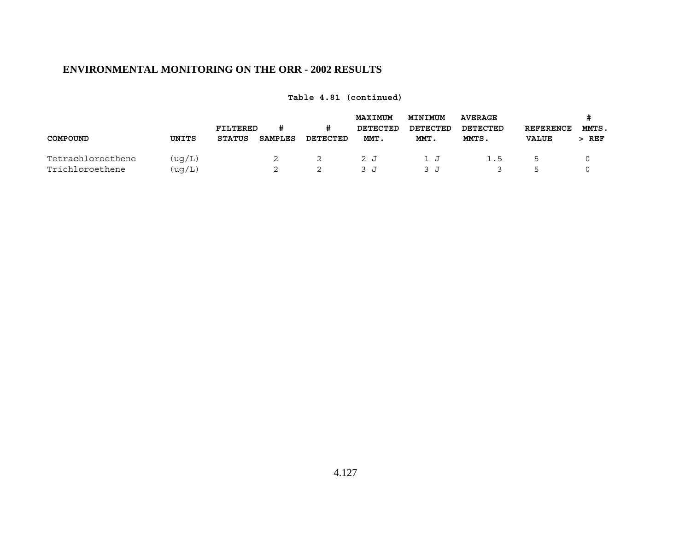|                   |        |               | <b>MAXIMUM</b><br>FILTERED<br>DETECTED<br># |          |      | MINIMUM<br>DETECTED | <b>AVERAGE</b><br>DETECTED | <b>REFERENCE</b> | #<br>MMTS. |
|-------------------|--------|---------------|---------------------------------------------|----------|------|---------------------|----------------------------|------------------|------------|
| COMPOUND          | UNITS  | <b>STATUS</b> | SAMPLES                                     | DETECTED | MMT. | MMT.                | MMTS.                      | <b>VALUE</b>     | REF        |
| Tetrachloroethene | (uq/L) |               | 2                                           | 2        | 2 J  | 1 .T                | 1.5                        | 5                |            |
| Trichloroethene   | (uq/L) |               |                                             | ∼        | ٦. ٦ |                     |                            | ᄂ                |            |

**Table 4.81 (continued)**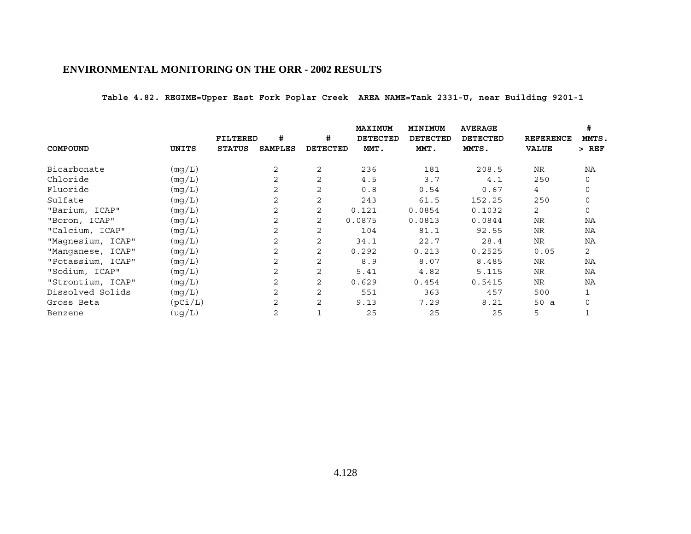**Table 4.82. REGIME=Upper East Fork Poplar Creek AREA NAME=Tank 2331-U, near Building 9201-1** 

|                   |         |               |                |                 | MAXIMUM         | MINIMUM         | <b>AVERAGE</b>  |                  | #           |
|-------------------|---------|---------------|----------------|-----------------|-----------------|-----------------|-----------------|------------------|-------------|
|                   |         | FILTERED      | #              | #               | <b>DETECTED</b> | <b>DETECTED</b> | <b>DETECTED</b> | <b>REFERENCE</b> | MMTS.       |
| COMPOUND          | UNITS   | <b>STATUS</b> | <b>SAMPLES</b> | <b>DETECTED</b> | MMT.            | MMT.            | MMTS.           | <b>VALUE</b>     | $>$ REF     |
| Bicarbonate       | (mg/L)  |               | 2              | 2               | 236             | 181             | 208.5           | <b>NR</b>        | ΝA          |
| Chloride          | (mq/L)  |               | 2              | $\mathbf{2}$    | 4.5             | 3.7             | 4.1             | 250              | 0           |
| Fluoride          | (mg/L)  |               | 2              | 2               | 0.8             | 0.54            | 0.67            | 4                | $\mathbf 0$ |
| Sulfate           | (mg/L)  |               | 2              | 2               | 243             | 61.5            | 152.25          | 250              | $\Omega$    |
| "Barium, ICAP"    | (mg/L)  |               | 2              | 2               | 0.121           | 0.0854          | 0.1032          | $\overline{2}$   | $\mathbf 0$ |
| "Boron, ICAP"     | (mg/L)  |               | 2              | 2               | 0.0875          | 0.0813          | 0.0844          | <b>NR</b>        | NA          |
| "Calcium, ICAP"   | (mq/L)  |               | 2              | 2               | 104             | 81.1            | 92.55           | <b>NR</b>        | NA          |
| "Magnesium, ICAP" | (mg/L)  |               | 2              | $\mathbf{2}$    | 34.1            | 22.7            | 28.4            | <b>NR</b>        | NA          |
| "Manganese, ICAP" | (mg/L)  |               | 2              | 2               | 0.292           | 0.213           | 0.2525          | 0.05             | 2           |
| "Potassium, ICAP" | (mg/L)  |               | 2              | 2               | 8.9             | 8.07            | 8.485           | <b>NR</b>        | NA          |
| "Sodium, ICAP"    | (mg/L)  |               | 2              | 2               | 5.41            | 4.82            | 5.115           | <b>NR</b>        | NA          |
| "Strontium, ICAP" | (mg/L)  |               | 2              | 2               | 0.629           | 0.454           | 0.5415          | <b>NR</b>        | NA          |
| Dissolved Solids  | (mg/L)  |               | 2              | 2               | 551             | 363             | 457             | 500              |             |
| Gross Beta        | (pCi/L) |               | 2              | 2               | 9.13            | 7.29            | 8.21            | 50 a             | $\Omega$    |
| Benzene           | (ug/L)  |               | 2              | 1               | 25              | 25              | 25              | 5                |             |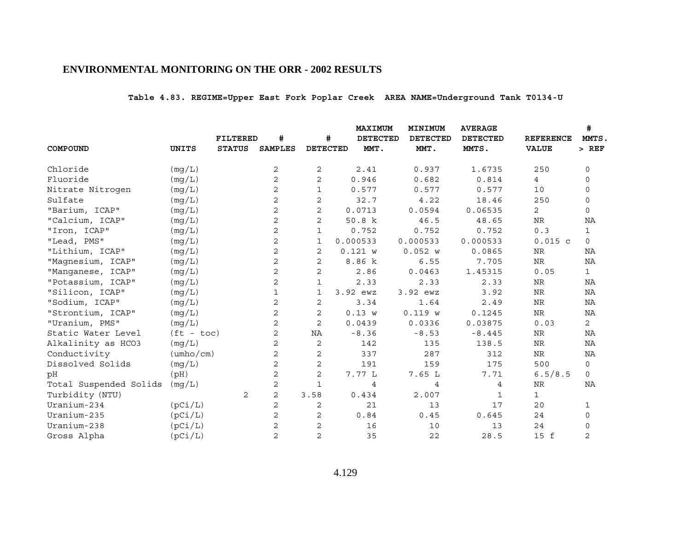# **Table 4.83. REGIME=Upper East Fork Poplar Creek AREA NAME=Underground Tank T0134-U**

|                        |                           |                 |                |                 | <b>MAXIMUM</b>  | MINIMUM         | <b>AVERAGE</b>  |                  | #              |
|------------------------|---------------------------|-----------------|----------------|-----------------|-----------------|-----------------|-----------------|------------------|----------------|
|                        |                           | <b>FILTERED</b> | #              | #               | <b>DETECTED</b> | <b>DETECTED</b> | <b>DETECTED</b> | <b>REFERENCE</b> | MMTS.          |
| COMPOUND               | <b>UNITS</b>              | <b>STATUS</b>   | <b>SAMPLES</b> | <b>DETECTED</b> | MMT.            | MMT.            | MMTS.           | <b>VALUE</b>     | $>$ REF        |
| Chloride               | (mg/L)                    |                 | 2              | $\sqrt{2}$      | 2.41            | 0.937           | 1.6735          | 250              | 0              |
| Fluoride               | (mq/L)                    |                 | $\overline{2}$ | $\mathbf{2}$    | 0.946           | 0.682           | 0.814           | $\overline{4}$   | 0              |
| Nitrate Nitrogen       | (mg/L)                    |                 | 2              | 1               | 0.577           | 0.577           | 0.577           | 10               | 0              |
| Sulfate                | (mq/L)                    |                 | 2              | $\mathbf{2}$    | 32.7            | 4.22            | 18.46           | 250              | $\mathbf 0$    |
| "Barium, ICAP"         | (mg/L)                    |                 | 2              | $\mathbf{2}$    | 0.0713          | 0.0594          | 0.06535         | 2                | $\mathbf 0$    |
| "Calcium, ICAP"        | (mg/L)                    |                 | 2              | $\mathbf{2}$    | 50.8 k          | 46.5            | 48.65           | ${\hbox{NR}}$    | ΝA             |
| "Iron, ICAP"           | (mg/L)                    |                 | 2              | $\mathbf{1}$    | 0.752           | 0.752           | 0.752           | 0.3              | $\mathbf{1}$   |
| "Lead, PMS"            | (mg/L)                    |                 | 2              | $\mathbf{1}$    | 0.000533        | 0.000533        | 0.000533        | $0.015$ c        | $\mathbf 0$    |
| "Lithium, ICAP"        | (mg/L)                    |                 | $\overline{2}$ | 2               | 0.121 w         | 0.052 w         | 0.0865          | NR               | NA             |
| "Magnesium, ICAP"      | (mg/L)                    |                 | 2              | 2               | 8.86 k          | 6.55            | 7.705           | <b>NR</b>        | NA             |
| "Manganese, ICAP"      | (mg/L)                    |                 | $\overline{2}$ | $\mathbf{2}$    | 2.86            | 0.0463          | 1.45315         | 0.05             | $\mathbf{1}$   |
| "Potassium, ICAP"      | (mg/L)                    |                 | 2              | 1               | 2.33            | 2.33            | 2.33            | NR               | ΝA             |
| "Silicon, ICAP"        | (mg/L)                    |                 | $\mathbf 1$    | 1               | 3.92 ewz        | 3.92 ewz        | 3.92            | <b>NR</b>        | ΝA             |
| "Sodium, ICAP"         | (mg/L)                    |                 | 2              | 2               | 3.34            | 1.64            | 2.49            | ${\hbox{NR}}$    | NA             |
| "Strontium, ICAP"      | (mg/L)                    |                 | 2              | 2               | 0.13 w          | 0.119 w         | 0.1245          | $\rm NR$         | NA             |
| "Uranium, PMS"         | (mq/L)                    |                 | $\overline{2}$ | 2               | 0.0439          | 0.0336          | 0.03875         | 0.03             | $\overline{2}$ |
| Static Water Level     | $(ft - toc)$              |                 | 2              | ΝA              | $-8.36$         | $-8.53$         | $-8.445$        | NR               | ΝA             |
| Alkalinity as HCO3     | (mg/L)                    |                 | $\mathbf{2}$   | 2               | 142             | 135             | 138.5           | <b>NR</b>        | NA             |
| Conductivity           | $(\text{umbo}/\text{cm})$ |                 | 2              | 2               | 337             | 287             | 312             | <b>NR</b>        | NA             |
| Dissolved Solids       | (mg/L)                    |                 | 2              | 2               | 191             | 159             | 175             | 500              | $\mathbf 0$    |
| pH                     | (pH)                      |                 | 2              | 2               | 7.77L           | 7.65L           | 7.71            | 6.5/8.5          | $\mathbf 0$    |
| Total Suspended Solids | (mg/L)                    |                 | 2              | 1               | 4               | $\overline{4}$  | 4               | NR               | NA             |
| Turbidity (NTU)        |                           | 2               | $\mathbf{2}$   | 3.58            | 0.434           | 2.007           | $\mathbf{1}$    | $\mathbf{1}$     |                |
| Uranium-234            | (pCi/L)                   |                 | $\mathbf{2}$   | 2               | 21              | 13              | 17              | 20               | 1              |
| Uranium-235            | (pCi/L)                   |                 | 2              | 2               | 0.84            | 0.45            | 0.645           | 24               | $\mathsf{O}$   |
| Uranium-238            | (pCi/L)                   |                 | 2              | $\overline{c}$  | 16              | 10              | 13              | 24               | $\Omega$       |
| Gross Alpha            | (pCi/L)                   |                 | 2              | $\overline{2}$  | 35              | 22              | 28.5            | 15 f             | 2              |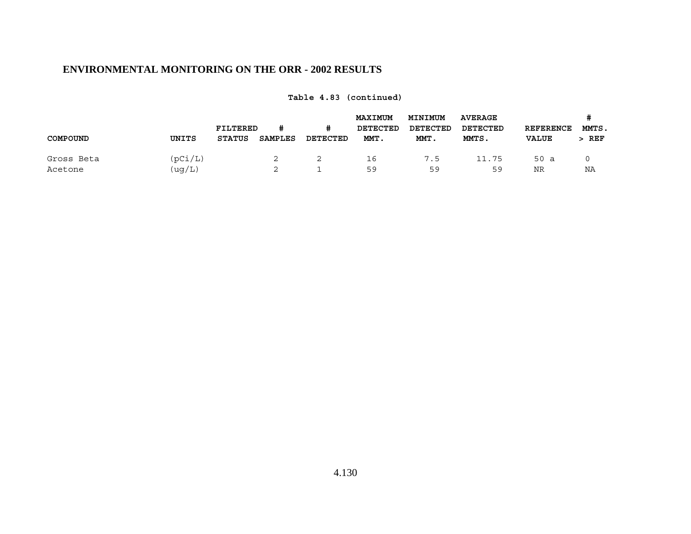|            |         | FILTERED      |         | #        | <b>MAXIMUM</b><br>DETECTED | MINIMUM<br>DETECTED | <b>AVERAGE</b><br>DETECTED | <b>REFERENCE</b> | MMTS. |
|------------|---------|---------------|---------|----------|----------------------------|---------------------|----------------------------|------------------|-------|
| COMPOUND   | UNITS   | <b>STATUS</b> | SAMPLES | DETECTED | MMT.                       | MMT.                | MMTS.                      | <b>VALUE</b>     | > REF |
| Gross Beta | (pCi/L) |               | 2       |          | 16                         | 7.5                 | 11.75                      | 50a              |       |
| Acetone    | (uq/L)  |               | 2       |          | 59                         | 59                  | 59                         | NR               | ΝA    |

**Table 4.83 (continued)**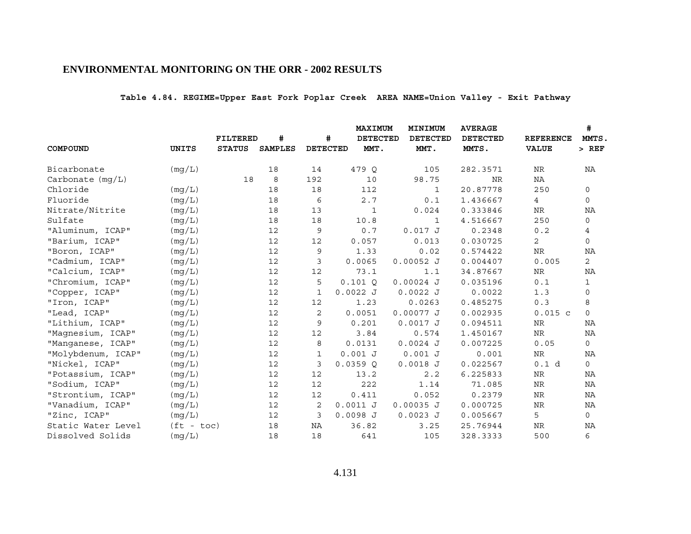# **Table 4.84. REGIME=Upper East Fork Poplar Creek AREA NAME=Union Valley - Exit Pathway**

|                    |              |                 |                |                 | <b>MAXIMUM</b>  | MINIMUM         | <b>AVERAGE</b>  |                  | #              |
|--------------------|--------------|-----------------|----------------|-----------------|-----------------|-----------------|-----------------|------------------|----------------|
|                    |              | <b>FILTERED</b> | #              | #               | <b>DETECTED</b> | <b>DETECTED</b> | <b>DETECTED</b> | <b>REFERENCE</b> | MMTS,          |
| COMPOUND           | UNITS        | <b>STATUS</b>   | <b>SAMPLES</b> | <b>DETECTED</b> | MMT.            | MMT.            | MMTS.           | <b>VALUE</b>     | $>$ REF        |
| Bicarbonate        | (mg/L)       |                 | 18             | 14              | 479 O           | 105             | 282.3571        | NR               | NA             |
| Carbonate $(mq/L)$ |              | 18              | 8              | 192             | 10              | 98.75           | <b>NR</b>       | NA               |                |
| Chloride           | (mg/L)       |                 | 18             | 18              | 112             | $\mathbf{1}$    | 20.87778        | 250              | 0              |
| Fluoride           | (mq/L)       |                 | 18             | 6               | 2.7             | 0.1             | 1.436667        | 4                | 0              |
| Nitrate/Nitrite    | (mg/L)       |                 | 18             | 13              | $\mathbf{1}$    | 0.024           | 0.333846        | <b>NR</b>        | NA             |
| Sulfate            | (mg/L)       |                 | 18             | 18              | 10.8            | $\mathbf{1}$    | 4.516667        | 250              | 0              |
| "Aluminum, ICAP"   | (mq/L)       |                 | 12             | 9               | 0.7             | 0.017J          | 0.2348          | 0.2              | 4              |
| "Barium, ICAP"     | (mg/L)       |                 | 12             | 12              | 0.057           | 0.013           | 0.030725        | $\overline{2}$   | $\mathsf{O}$   |
| "Boron, ICAP"      | (mg/L)       |                 | 12             | 9               | 1.33            | 0.02            | 0.574422        | NR               | NA             |
| "Cadmium, ICAP"    | (mg/L)       |                 | 12             | 3               | 0.0065          | $0.00052$ J     | 0.004407        | 0.005            | $\overline{2}$ |
| "Calcium, ICAP"    | (mg/L)       |                 | 12             | 12              | 73.1            | 1.1             | 34.87667        | <b>NR</b>        | ΝA             |
| "Chromium, ICAP"   | (mq/L)       |                 | 12             | 5               | $0.101$ O       | $0.00024$ J     | 0.035196        | $0.1\,$          | $\mathbf{1}$   |
| "Copper, ICAP"     | (mg/L)       |                 | 12             | 1               | 0.0022J         | $0.0022$ J      | 0.0022          | 1.3              | 0              |
| "Iron, ICAP"       | (mg/L)       |                 | 12             | 12              | 1.23            | 0.0263          | 0.485275        | 0.3              | 8              |
| "Lead, ICAP"       | (mg/L)       |                 | 12             | 2               | 0.0051          | 0.00077J        | 0.002935        | $0.015$ c        | $\mathsf{O}$   |
| "Lithium, ICAP"    | (mg/L)       |                 | 12             | 9               | 0.201           | $0.0017$ J      | 0.094511        | NR               | NA             |
| "Magnesium, ICAP"  | (mg/L)       |                 | 12             | 12              | 3.84            | 0.574           | 1.450167        | NR               | NA             |
| "Manganese, ICAP"  | (mq/L)       |                 | 12             | 8               | 0.0131          | $0.0024$ J      | 0.007225        | 0.05             | 0              |
| "Molybdenum, ICAP" | (mg/L)       |                 | 12             | 1               | 0.001 J         | $0.001$ J       | 0.001           | NR               | NA             |
| "Nickel, ICAP"     | (mg/L)       |                 | 12             | 3               | 0.0359Q         | $0.0018$ J      | 0.022567        | 0.1 d            | $\mathsf{O}$   |
| "Potassium, ICAP"  | (mq/L)       |                 | 12             | 12              | 13.2            | 2.2             | 6.225833        | NR               | NA             |
| "Sodium, ICAP"     | (mg/L)       |                 | 12             | 12              | 222             | 1.14            | 71.085          | <b>NR</b>        | <b>NA</b>      |
| "Strontium, ICAP"  | (mg/L)       |                 | 12             | 12              | 0.411           | 0.052           | 0.2379          | NR               | ΝA             |
| "Vanadium, ICAP"   | (mg/L)       |                 | 12             | 2               | $0.0011$ J      | $0.00035$ J     | 0.000725        | <b>NR</b>        | NA             |
| "Zinc, ICAP"       | (mg/L)       |                 | 12             | 3               | $0.0098$ J      | $0.0023$ J      | 0.005667        | 5                | $\mathsf{O}$   |
| Static Water Level | $(ft - toc)$ |                 | 18             | ΝA              | 36.82           | 3.25            | 25.76944        | NR               | NA             |
| Dissolved Solids   | (mg/L)       |                 | 18             | 18              | 641             | 105             | 328.3333        | 500              | 6              |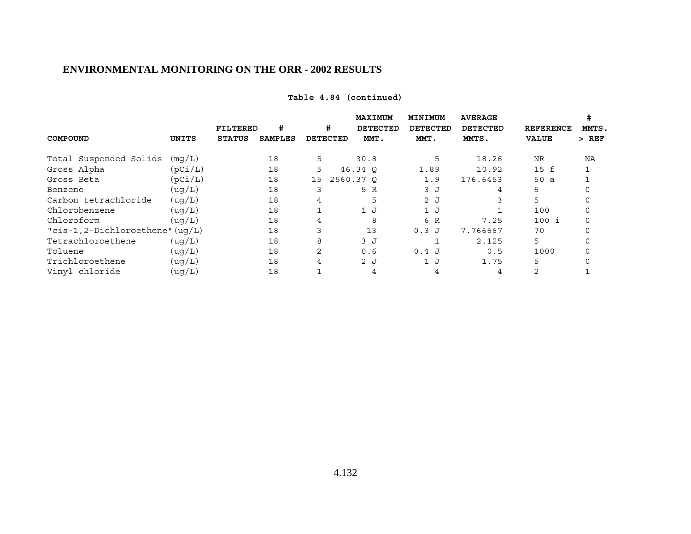| Table 4.84 (continued) |  |  |  |
|------------------------|--|--|--|
|------------------------|--|--|--|

|                                     |         |                 |                |                 | MAXIMUM         | MINIMUM         | <b>AVERAGE</b>  |                  |         |
|-------------------------------------|---------|-----------------|----------------|-----------------|-----------------|-----------------|-----------------|------------------|---------|
|                                     |         | <b>FILTERED</b> | #              | #               | <b>DETECTED</b> | <b>DETECTED</b> | <b>DETECTED</b> | <b>REFERENCE</b> | MMTS.   |
| COMPOUND                            | UNITS   | <b>STATUS</b>   | <b>SAMPLES</b> | <b>DETECTED</b> | MMT.            | MMT.            | MMTS.           | <b>VALUE</b>     | $>$ REF |
| Total Suspended Solids              | (mq/L)  |                 | 18             | 5               | 30.8            | 5               | 18.26           | <b>NR</b>        | ΝA      |
| Gross Alpha                         | (pCi/L) |                 | 18             | 5               | 46.34 0         | 1.89            | 10.92           | 15 f             |         |
| Gross Beta                          | (pCi/L) |                 | 18             | 15              | 2560.37 0       | 1.9             | 176.6453        | 50a              |         |
| Benzene                             | ( uq/L) |                 | 18             |                 | 5 R             | 3J              | 4               | 5                |         |
| Carbon tetrachloride                | ( uq/L) |                 | 18             | 4               | 5               | 2J              |                 | 5                |         |
| Chlorobenzene                       | (uq/L)  |                 | 18             |                 | 1J              | 1J              |                 | 100              |         |
| Chloroform                          | ( uq/L) |                 | 18             | 4               | 8               | 6 R             | 7.25            | 100 i            |         |
| " $cis-1, 2-Dichloroethene" (uq/L)$ |         |                 | 18             |                 | 13              | $0.3$ J         | 7.766667        | 70               |         |
| Tetrachloroethene                   | ( uq/L) |                 | 18             | 8               | 3 J             |                 | 2.125           | 5                |         |
| Toluene                             | ( uq/L) |                 | 18             | 2               | 0.6             | 0.4J            | 0.5             | 1000             |         |
| Trichloroethene                     | (ug/L)  |                 | 18             | 4               | 2J              | 1J              | 1.75            | 5                |         |
| Vinyl chloride                      | (uq/L)  |                 | 18             |                 |                 |                 | 4               |                  |         |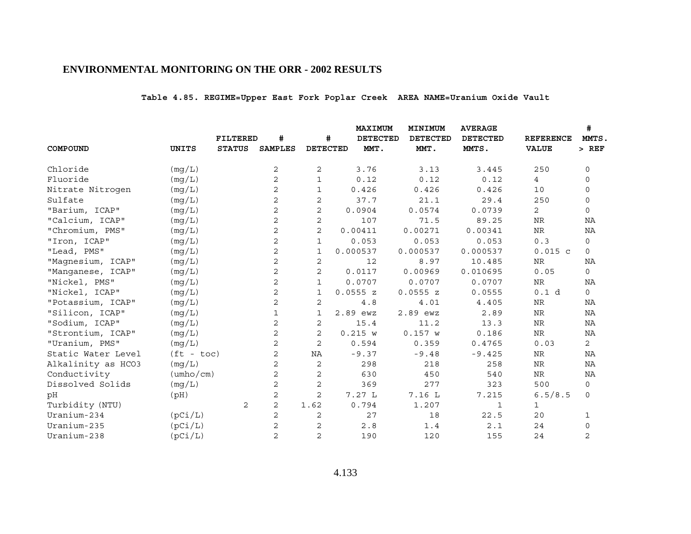# **Table 4.85. REGIME=Upper East Fork Poplar Creek AREA NAME=Uranium Oxide Vault**

|                    |              |                 |                |                 | <b>MAXIMUM</b>  | MINIMUM         | <b>AVERAGE</b>  |                  | #              |
|--------------------|--------------|-----------------|----------------|-----------------|-----------------|-----------------|-----------------|------------------|----------------|
|                    |              | <b>FILTERED</b> | #              | #               | <b>DETECTED</b> | <b>DETECTED</b> | <b>DETECTED</b> | <b>REFERENCE</b> | MMTS,          |
| COMPOUND           | <b>UNITS</b> | <b>STATUS</b>   | <b>SAMPLES</b> | <b>DETECTED</b> | MMT.            | MMT.            | MMTS.           | <b>VALUE</b>     | $>$ REF        |
| Chloride           | (mg/L)       |                 | 2              | 2               | 3.76            | 3.13            | 3.445           | 250              | $\mathbf 0$    |
| Fluoride           | (mq/L)       |                 | $\overline{2}$ | $\mathbf{1}$    | 0.12            | 0.12            | 0.12            | $4\overline{ }$  | 0              |
| Nitrate Nitrogen   | (mq/L)       |                 | 2              | 1               | 0.426           | 0.426           | 0.426           | 10               | 0              |
| Sulfate            | (mg/L)       |                 | 2              | $\mathbf{2}$    | 37.7            | 21.1            | 29.4            | 250              | $\mathbf 0$    |
| "Barium, ICAP"     | (mq/L)       |                 | 2              | 2               | 0.0904          | 0.0574          | 0.0739          | 2                | $\mathbf 0$    |
| "Calcium, ICAP"    | (mg/L)       |                 | 2              | $\mathbf{2}$    | 107             | 71.5            | 89.25           | NR               | NA             |
| "Chromium, PMS"    | (mq/L)       |                 | $\overline{2}$ | $\overline{c}$  | 0.00411         | 0.00271         | 0.00341         | $\rm NR$         | NA             |
| "Iron, ICAP"       | (mq/L)       |                 | $\mathbf{2}$   | 1               | 0.053           | 0.053           | 0.053           | 0.3              | 0              |
| "Lead, PMS"        | (mg/L)       |                 | 2              | 1               | 0.000537        | 0.000537        | 0.000537        | $0.015$ c        | $\mathbf 0$    |
| "Magnesium, ICAP"  | (mg/L)       |                 | 2              | 2               | 12              | 8.97            | 10.485          | ${\hbox{NR}}$    | NA             |
| "Manganese, ICAP"  | (mg/L)       |                 | $\mathbf{2}$   | $\mathbf{2}$    | 0.0117          | 0.00969         | 0.010695        | 0.05             | $\mathsf{O}$   |
| "Nickel, PMS"      | (mg/L)       |                 | 2              | 1               | 0.0707          | 0.0707          | 0.0707          | NR               | ΝA             |
| "Nickel, ICAP"     | (mg/L)       |                 | $\mathbf{2}$   | 1               | 0.0555 z        | 0.0555 z        | 0.0555          | 0.1 d            | $\mathsf{O}$   |
| "Potassium, ICAP"  | (mg/L)       |                 | $\overline{2}$ | 2               | 4.8             | 4.01            | 4.405           | NR               | NA             |
| "Silicon, ICAP"    | (mg/L)       |                 | $\mathbf{1}$   | $\mathbf{1}$    | 2.89 ewz        | 2.89 ewz        | 2.89            | <b>NR</b>        | NA             |
| "Sodium, ICAP"     | (mq/L)       |                 | 2              | 2               | 15.4            | 11.2            | 13.3            | NR               | ΝA             |
| "Strontium, ICAP"  | (mg/L)       |                 | 2              | 2               | 0.215 w         | 0.157 w         | 0.186           | <b>NR</b>        | NA             |
| "Uranium, PMS"     | (mq/L)       |                 | 2              | $\overline{c}$  | 0.594           | 0.359           | 0.4765          | 0.03             | $\mathbf{2}$   |
| Static Water Level | $(ft - toc)$ |                 | 2              | ΝA              | $-9.37$         | $-9.48$         | $-9.425$        | NR               | NA             |
| Alkalinity as HCO3 | (mg/L)       |                 | 2              | 2               | 298             | 218             | 258             | $\rm{NR}$        | NA             |
| Conductivity       | (umbo/cm)    |                 | $\overline{2}$ | 2               | 630             | 450             | 540             | <b>NR</b>        | NA             |
| Dissolved Solids   | (mg/L)       |                 | $\mathbf{2}$   | $\mathbf{2}$    | 369             | 277             | 323             | 500              | 0              |
| рH                 | (pH)         |                 | 2              | $\overline{2}$  | 7.27L           | 7.16 L          | 7.215           | 6.5/8.5          | $\mathsf{O}$   |
| Turbidity (NTU)    |              | 2               | 2              | 1.62            | 0.794           | 1.207           | 1               | $\mathbf{1}$     |                |
| Uranium-234        | (pCi/L)      |                 | 2              | 2               | 27              | 18              | 22.5            | 20               | 1              |
| Uranium-235        | (pCi/L)      |                 | 2              | 2               | 2.8             | 1.4             | 2.1             | 24               | 0              |
| Uranium-238        | (pCi/L)      |                 | $\overline{c}$ | $\overline{2}$  | 190             | 120             | 155             | 24               | $\overline{a}$ |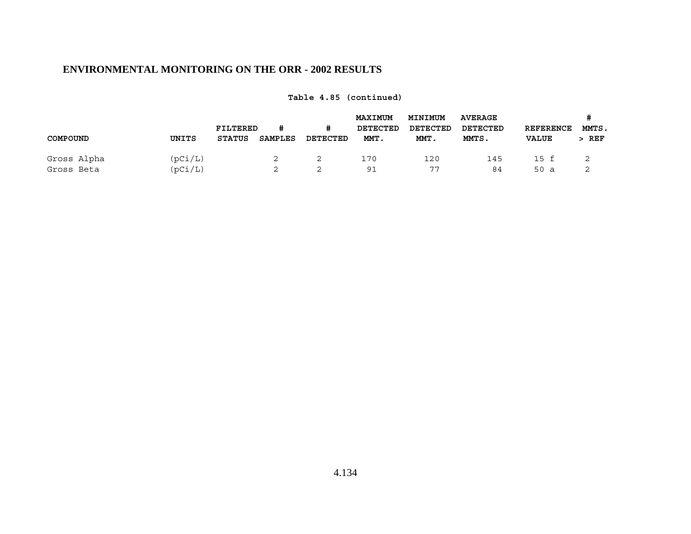|             |         | FILTERED      |                | #        | <b>MAXIMUM</b><br>DETECTED | <b>MINIMUM</b><br>DETECTED | <b>AVERAGE</b><br>DETECTED | <b>REFERENCE</b> | MMTS. |
|-------------|---------|---------------|----------------|----------|----------------------------|----------------------------|----------------------------|------------------|-------|
| COMPOUND    | UNITS   | <b>STATUS</b> | <b>SAMPLES</b> | DETECTED | MMT.                       | MMT.                       | MMTS.                      | <b>VALUE</b>     | REF   |
| Gross Alpha | (pCi/L) |               | 2              |          | 170                        | 120                        | 145                        | 15 f             |       |
| Gross Beta  | (pCi/L) |               | ৴              |          | 91                         | 77                         | 84                         | 50<br>- a        |       |

**Table 4.85 (continued)**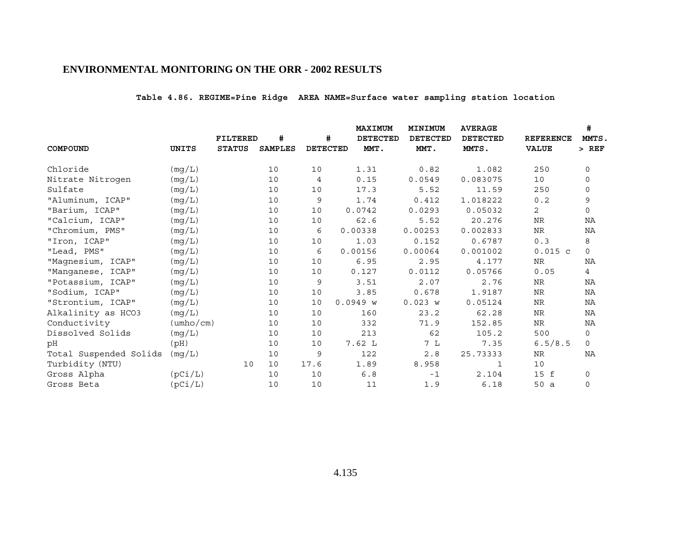# **Table 4.86. REGIME=Pine Ridge AREA NAME=Surface water sampling station location**

|                        |                           |                 |                |                 | <b>MAXIMUM</b>  | MINIMUM         | <b>AVERAGE</b>  |                  | #            |
|------------------------|---------------------------|-----------------|----------------|-----------------|-----------------|-----------------|-----------------|------------------|--------------|
|                        |                           | <b>FILTERED</b> | #              | #               | <b>DETECTED</b> | <b>DETECTED</b> | <b>DETECTED</b> | <b>REFERENCE</b> | MMTS.        |
| COMPOUND               | UNITS                     | <b>STATUS</b>   | <b>SAMPLES</b> | <b>DETECTED</b> | MMT.            | MMT.            | MMTS.           | <b>VALUE</b>     | $>$ REF      |
| Chloride               | (mg/L)                    |                 | 10             | 10              | 1.31            | 0.82            | 1.082           | 250              | $\mathbf 0$  |
| Nitrate Nitrogen       | (mg/L)                    |                 | 10             | 4               | 0.15            | 0.0549          | 0.083075        | 10               | 0            |
| Sulfate                | (mg/L)                    |                 | 10             | 10              | 17.3            | 5.52            | 11.59           | 250              | 0            |
| "Aluminum, ICAP"       | (mg/L)                    |                 | 10             | 9               | 1.74            | 0.412           | 1.018222        | 0.2              | $\mathsf 9$  |
| "Barium, ICAP"         | (mg/L)                    |                 | 10             | 10              | 0.0742          | 0.0293          | 0.05032         | 2                | $\mathbf 0$  |
| "Calcium, ICAP"        | (mg/L)                    |                 | 10             | 10              | 62.6            | 5.52            | 20.276          | NR               | NA           |
| "Chromium, PMS"        | (mg/L)                    |                 | 10             | 6               | 0.00338         | 0.00253         | 0.002833        | $\rm NR$         | ΝA           |
| "Iron, ICAP"           | (mg/L)                    |                 | 10             | 10              | 1.03            | 0.152           | 0.6787          | 0.3              | 8            |
| "Lead, PMS"            | (mg/L)                    |                 | 10             | 6               | 0.00156         | 0.00064         | 0.001002        | $0.015$ c        | $\mathsf{O}$ |
| "Magnesium, ICAP"      | (mg/L)                    |                 | 10             | 10              | 6.95            | 2.95            | 4.177           | ${\hbox{NR}}$    | NA           |
| "Manganese, ICAP"      | (mg/L)                    |                 | 10             | 10              | 0.127           | 0.0112          | 0.05766         | 0.05             | 4            |
| "Potassium, ICAP"      | (mg/L)                    |                 | 10             | 9               | 3.51            | 2.07            | 2.76            | <b>NR</b>        | NA           |
| "Sodium, ICAP"         | (mg/L)                    |                 | 10             | 10              | 3.85            | 0.678           | 1.9187          | <b>NR</b>        | NA           |
| "Strontium, ICAP"      | (mg/L)                    |                 | 10             | 10              | 0.0949 w        | 0.023 w         | 0.05124         | NR               | ΝA           |
| Alkalinity as HCO3     | (mg/L)                    |                 | 10             | 10              | 160             | 23.2            | 62.28           | NR               | NA           |
| Conductivity           | $(\text{umbo}/\text{cm})$ |                 | 10             | 10              | 332             | 71.9            | 152.85          | NR               | NA           |
| Dissolved Solids       | (mg/L)                    |                 | 10             | 10              | 213             | 62              | 105.2           | 500              | 0            |
| pН                     | (pH)                      |                 | 10             | 10              | 7.62 L          | 7 L             | 7.35            | 6.5/8.5          | $\mathbf 0$  |
| Total Suspended Solids | (mg/L)                    |                 | 10             | 9               | 122             | 2.8             | 25.73333        | NR               | ΝA           |
| Turbidity (NTU)        |                           | 10              | 10             | 17.6            | 1.89            | 8.958           | 1               | 10               |              |
| Gross Alpha            | (pCi/L)                   |                 | 10             | 10              | 6.8             | $-1$            | 2.104           | 15 f             | 0            |
| Gross Beta             | (pCi/L)                   |                 | 10             | 10              | 11              | 1.9             | 6.18            | 50 a             | $\mathbf 0$  |